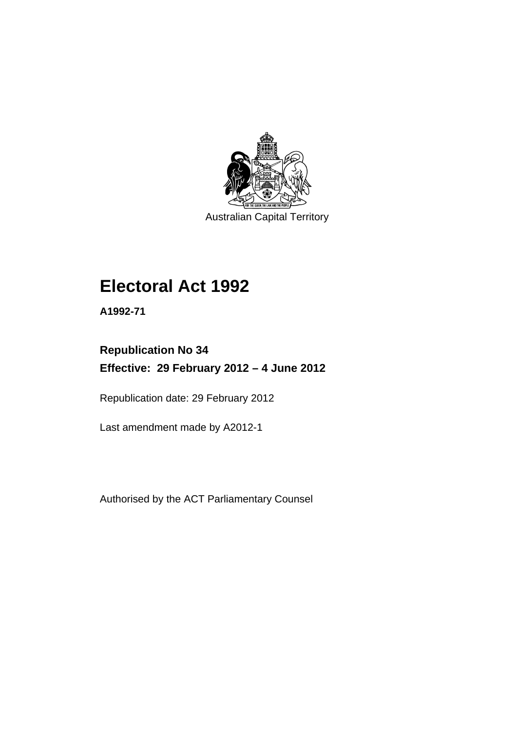

Australian Capital Territory

# **Electoral Act 1992**

**A1992-71** 

# **Republication No 34 Effective: 29 February 2012 – 4 June 2012**

Republication date: 29 February 2012

Last amendment made by A2012-1

Authorised by the ACT Parliamentary Counsel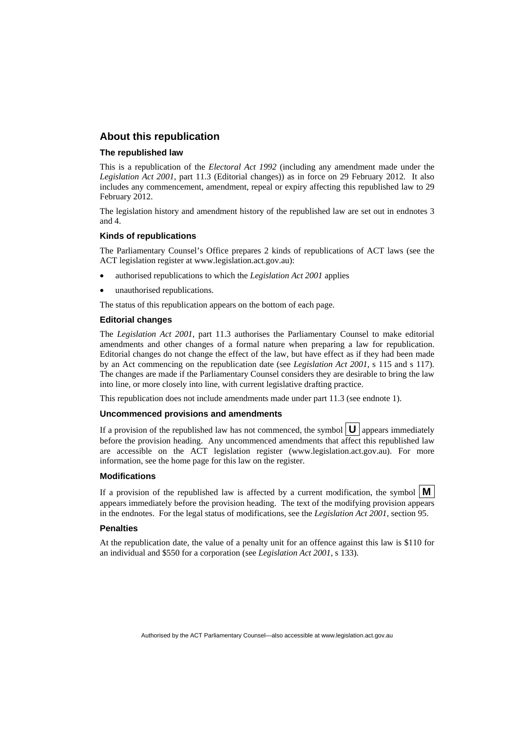### **About this republication**

#### **The republished law**

This is a republication of the *Electoral Act 1992* (including any amendment made under the *Legislation Act 2001*, part 11.3 (Editorial changes)) as in force on 29 February 2012*.* It also includes any commencement, amendment, repeal or expiry affecting this republished law to 29 February 2012.

The legislation history and amendment history of the republished law are set out in endnotes 3 and 4.

#### **Kinds of republications**

The Parliamentary Counsel's Office prepares 2 kinds of republications of ACT laws (see the ACT legislation register at www.legislation.act.gov.au):

- authorised republications to which the *Legislation Act 2001* applies
- unauthorised republications.

The status of this republication appears on the bottom of each page.

#### **Editorial changes**

The *Legislation Act 2001*, part 11.3 authorises the Parliamentary Counsel to make editorial amendments and other changes of a formal nature when preparing a law for republication. Editorial changes do not change the effect of the law, but have effect as if they had been made by an Act commencing on the republication date (see *Legislation Act 2001*, s 115 and s 117). The changes are made if the Parliamentary Counsel considers they are desirable to bring the law into line, or more closely into line, with current legislative drafting practice.

This republication does not include amendments made under part 11.3 (see endnote 1).

#### **Uncommenced provisions and amendments**

If a provision of the republished law has not commenced, the symbol  $\mathbf{U}$  appears immediately before the provision heading. Any uncommenced amendments that affect this republished law are accessible on the ACT legislation register (www.legislation.act.gov.au). For more information, see the home page for this law on the register.

#### **Modifications**

If a provision of the republished law is affected by a current modification, the symbol  $\mathbf{M}$ appears immediately before the provision heading. The text of the modifying provision appears in the endnotes. For the legal status of modifications, see the *Legislation Act 2001*, section 95.

#### **Penalties**

At the republication date, the value of a penalty unit for an offence against this law is \$110 for an individual and \$550 for a corporation (see *Legislation Act 2001*, s 133).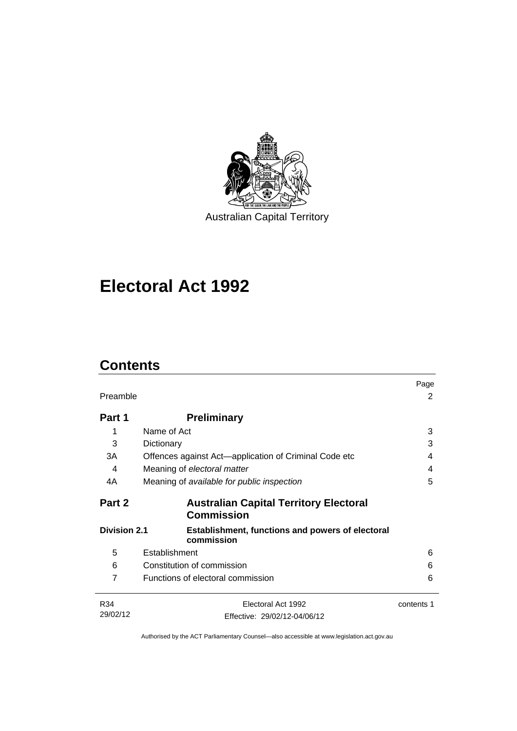

# **Electoral Act 1992**

# **Contents**

| Preamble            |                                                                       | Page<br>2  |
|---------------------|-----------------------------------------------------------------------|------------|
| Part 1              | <b>Preliminary</b>                                                    |            |
| 1                   | Name of Act                                                           | 3          |
| 3                   | Dictionary                                                            | 3          |
| 3A                  | Offences against Act—application of Criminal Code etc                 | 4          |
| 4                   | Meaning of electoral matter                                           | 4          |
| 4A                  | Meaning of available for public inspection                            | 5          |
| Part 2              | <b>Australian Capital Territory Electoral</b><br><b>Commission</b>    |            |
| <b>Division 2.1</b> | <b>Establishment, functions and powers of electoral</b><br>commission |            |
| 5                   | Establishment                                                         | 6          |
| 6                   | Constitution of commission                                            | 6          |
| 7                   | Functions of electoral commission                                     | 6          |
| R34<br>29/02/12     | Electoral Act 1992<br>Effective: 29/02/12-04/06/12                    | contents 1 |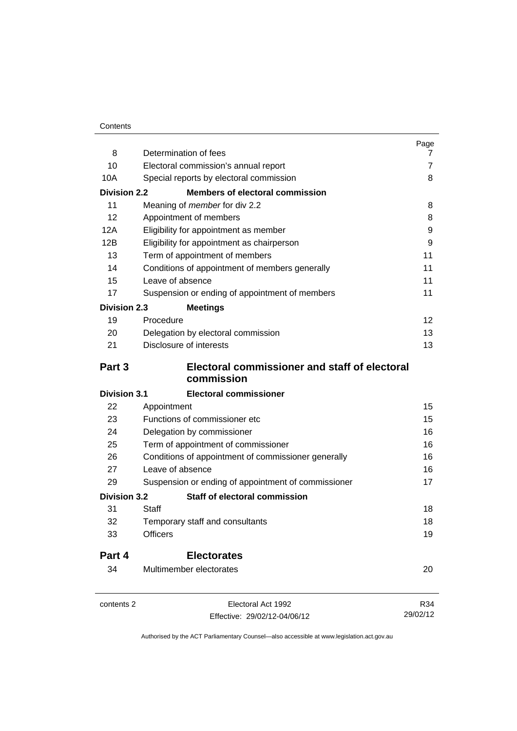| 8                   | Determination of fees                                                        | Page<br>7         |
|---------------------|------------------------------------------------------------------------------|-------------------|
| 10                  | Electoral commission's annual report                                         | 7                 |
| 10A                 | Special reports by electoral commission                                      | 8                 |
| <b>Division 2.2</b> | <b>Members of electoral commission</b>                                       |                   |
| 11                  | Meaning of <i>member</i> for div 2.2                                         | 8                 |
| 12 <sup>2</sup>     | Appointment of members                                                       | 8                 |
| 12A                 | Eligibility for appointment as member                                        | 9                 |
| 12B                 | Eligibility for appointment as chairperson<br>Term of appointment of members | 9                 |
| 13                  |                                                                              | 11                |
| 14                  |                                                                              | 11                |
| 15                  | Conditions of appointment of members generally<br>Leave of absence           | 11                |
| 17                  | Suspension or ending of appointment of members                               | 11                |
|                     |                                                                              |                   |
| <b>Division 2.3</b> | <b>Meetings</b>                                                              |                   |
| 19                  | Procedure                                                                    | $12 \overline{ }$ |
| 20                  | Delegation by electoral commission                                           | 13                |
| 21                  | Disclosure of interests                                                      | 13                |
| Part 3              | Electoral commissioner and staff of electoral<br>commission                  |                   |
| <b>Division 3.1</b> | <b>Electoral commissioner</b>                                                |                   |
| 22                  | Appointment                                                                  | 15                |
| 23                  | Functions of commissioner etc                                                | 15                |
| 24                  | Delegation by commissioner                                                   | 16                |
| 25                  | Term of appointment of commissioner                                          | 16                |
| 26                  | Conditions of appointment of commissioner generally                          | 16                |
| 27                  | Leave of absence                                                             | 16                |
| 29                  | Suspension or ending of appointment of commissioner                          | 17                |
| <b>Division 3.2</b> | Staff of electoral commission                                                |                   |
| 31                  | Staff                                                                        | 18                |
| 32                  | Temporary staff and consultants                                              | 18                |
| 33                  | <b>Officers</b>                                                              | 19                |
| Part 4              | <b>Electorates</b>                                                           |                   |
| 34                  | Multimember electorates                                                      | 20                |
| contents 2          | Electoral Act 1992                                                           | R34               |
|                     | Effective: 29/02/12-04/06/12                                                 | 29/02/12          |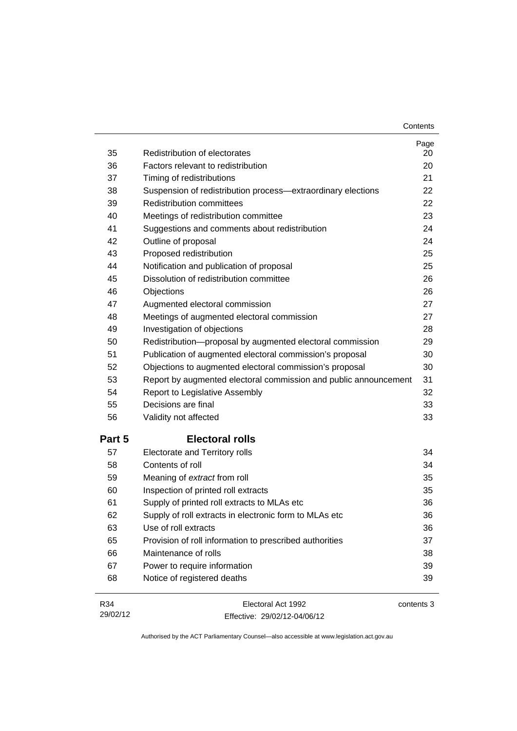| Contents |
|----------|
|----------|

| 35     | Redistribution of electorates                                    | Page<br>20 |
|--------|------------------------------------------------------------------|------------|
| 36     | Factors relevant to redistribution                               | 20         |
| 37     | Timing of redistributions                                        | 21         |
| 38     | Suspension of redistribution process-extraordinary elections     | 22         |
| 39     | <b>Redistribution committees</b>                                 | 22         |
| 40     | Meetings of redistribution committee                             | 23         |
| 41     | Suggestions and comments about redistribution                    | 24         |
| 42     | Outline of proposal                                              | 24         |
| 43     | Proposed redistribution                                          | 25         |
| 44     | Notification and publication of proposal                         | 25         |
| 45     | Dissolution of redistribution committee                          | 26         |
| 46     | Objections                                                       | 26         |
| 47     | Augmented electoral commission                                   | 27         |
| 48     | Meetings of augmented electoral commission                       | 27         |
| 49     | Investigation of objections                                      | 28         |
| 50     | Redistribution-proposal by augmented electoral commission        | 29         |
| 51     | Publication of augmented electoral commission's proposal         | 30         |
| 52     | Objections to augmented electoral commission's proposal          | 30         |
| 53     | Report by augmented electoral commission and public announcement | 31         |
| 54     | Report to Legislative Assembly                                   | 32         |
| 55     | Decisions are final                                              | 33         |
| 56     | Validity not affected                                            | 33         |
| Part 5 | <b>Electoral rolls</b>                                           |            |
| 57     | Electorate and Territory rolls                                   | 34         |
| 58     | Contents of roll                                                 | 34         |
| 59     | Meaning of extract from roll                                     | 35         |
| 60     | Inspection of printed roll extracts                              | 35         |
| 61     | Supply of printed roll extracts to MLAs etc                      | 36         |
| 62     | Supply of roll extracts in electronic form to MLAs etc           | 36         |
| 63     | Use of roll extracts                                             | 36         |
| 65     | Provision of roll information to prescribed authorities          | 37         |
| 66     | Maintenance of rolls                                             | 38         |
| 67     | Power to require information                                     | 39         |
| 68     | Notice of registered deaths                                      | 39         |
|        |                                                                  |            |

R34 29/02/12 Electoral Act 1992 Effective: 29/02/12-04/06/12 contents 3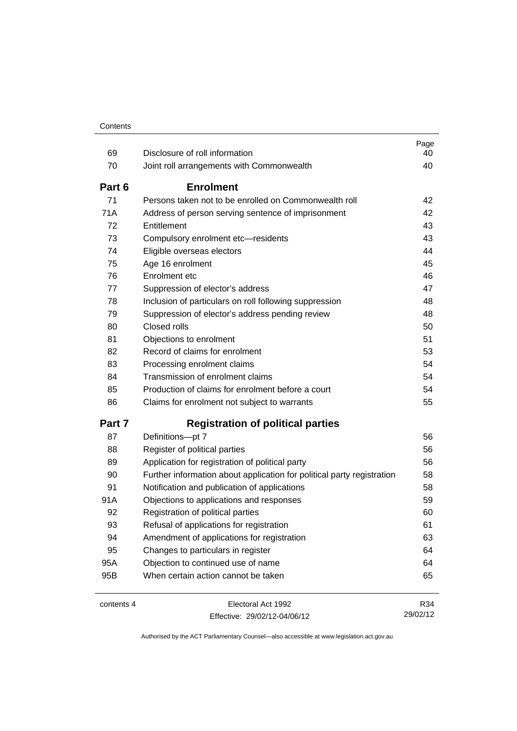| 69     | Disclosure of roll information                                         | Page<br>40 |
|--------|------------------------------------------------------------------------|------------|
| 70     | Joint roll arrangements with Commonwealth                              | 40         |
|        |                                                                        |            |
| Part 6 | <b>Enrolment</b>                                                       |            |
| 71     | Persons taken not to be enrolled on Commonwealth roll                  | 42         |
| 71A    | Address of person serving sentence of imprisonment                     | 42         |
| 72     | Entitlement                                                            | 43         |
| 73     | Compulsory enrolment etc-residents                                     | 43         |
| 74     | Eligible overseas electors                                             | 44         |
| 75     | Age 16 enrolment                                                       | 45         |
| 76     | Enrolment etc                                                          | 46         |
| 77     | Suppression of elector's address                                       | 47         |
| 78     | Inclusion of particulars on roll following suppression                 | 48         |
| 79     | Suppression of elector's address pending review                        | 48         |
| 80     | Closed rolls                                                           | 50         |
| 81     | Objections to enrolment                                                | 51         |
| 82     | Record of claims for enrolment                                         | 53         |
| 83     | Processing enrolment claims                                            | 54         |
| 84     | Transmission of enrolment claims                                       | 54         |
| 85     | Production of claims for enrolment before a court                      | 54         |
| 86     | Claims for enrolment not subject to warrants                           | 55         |
| Part 7 | <b>Registration of political parties</b>                               |            |
| 87     | Definitions-pt 7                                                       | 56         |
| 88     | Register of political parties                                          | 56         |
| 89     | Application for registration of political party                        | 56         |
| 90     | Further information about application for political party registration | 58         |
| 91     | Notification and publication of applications                           | 58         |
| 91A    | Objections to applications and responses                               | 59         |
| 92     | Registration of political parties                                      | 60         |
| 93     | Refusal of applications for registration                               | 61         |
| 94     | Amendment of applications for registration                             | 63         |
| 95     | Changes to particulars in register                                     | 64         |
| 95A    | Objection to continued use of name                                     | 64         |
| 95B    | When certain action cannot be taken                                    | 65         |
|        |                                                                        |            |

contents 4 Electoral Act 1992 Effective: 29/02/12-04/06/12

R34 29/02/12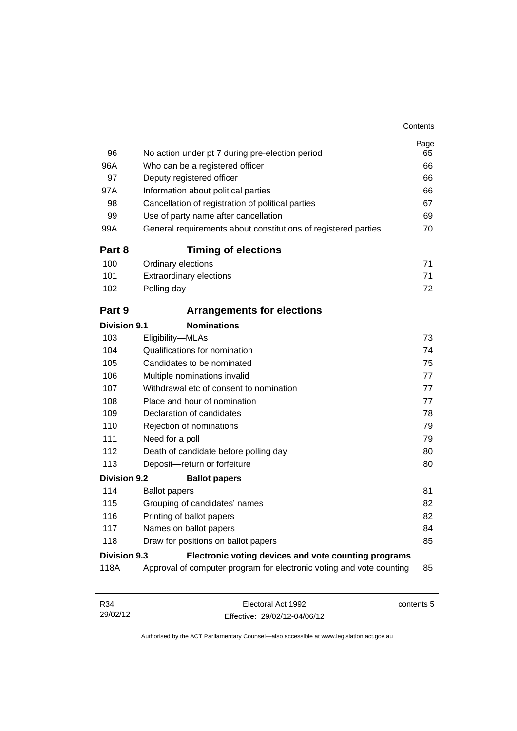| 96<br>96A<br>97<br>97A<br>98<br>99<br>99A | No action under pt 7 during pre-election period<br>Who can be a registered officer<br>Deputy registered officer<br>Information about political parties<br>Cancellation of registration of political parties<br>Use of party name after cancellation<br>General requirements about constitutions of registered parties | Page<br>65<br>66<br>66<br>66<br>67<br>69<br>70 |
|-------------------------------------------|-----------------------------------------------------------------------------------------------------------------------------------------------------------------------------------------------------------------------------------------------------------------------------------------------------------------------|------------------------------------------------|
| Part 8                                    | <b>Timing of elections</b>                                                                                                                                                                                                                                                                                            |                                                |
| 100                                       | Ordinary elections                                                                                                                                                                                                                                                                                                    | 71                                             |
| 101                                       | <b>Extraordinary elections</b>                                                                                                                                                                                                                                                                                        | 71                                             |
| 102                                       | Polling day                                                                                                                                                                                                                                                                                                           | 72                                             |
| Part 9                                    | <b>Arrangements for elections</b>                                                                                                                                                                                                                                                                                     |                                                |
| <b>Division 9.1</b>                       | <b>Nominations</b>                                                                                                                                                                                                                                                                                                    |                                                |
| 103                                       | Eligibility-MLAs                                                                                                                                                                                                                                                                                                      | 73                                             |
| 104                                       | Qualifications for nomination                                                                                                                                                                                                                                                                                         | 74                                             |
| 105                                       | Candidates to be nominated                                                                                                                                                                                                                                                                                            | 75                                             |
| 106                                       | Multiple nominations invalid                                                                                                                                                                                                                                                                                          | 77                                             |
| 107                                       | Withdrawal etc of consent to nomination                                                                                                                                                                                                                                                                               | 77                                             |
| 108                                       | Place and hour of nomination                                                                                                                                                                                                                                                                                          | 77                                             |
| 109                                       | Declaration of candidates                                                                                                                                                                                                                                                                                             | 78                                             |
| 110                                       | Rejection of nominations                                                                                                                                                                                                                                                                                              | 79                                             |
| 111                                       | Need for a poll                                                                                                                                                                                                                                                                                                       | 79                                             |
| 112                                       | Death of candidate before polling day                                                                                                                                                                                                                                                                                 | 80                                             |
| 113                                       | Deposit-return or forfeiture                                                                                                                                                                                                                                                                                          | 80                                             |
| <b>Division 9.2</b>                       | <b>Ballot papers</b>                                                                                                                                                                                                                                                                                                  |                                                |
| 114                                       | <b>Ballot papers</b>                                                                                                                                                                                                                                                                                                  | 81                                             |
| 115                                       | Grouping of candidates' names                                                                                                                                                                                                                                                                                         | 82                                             |
| 116                                       | Printing of ballot papers                                                                                                                                                                                                                                                                                             | 82                                             |
| 117                                       | Names on ballot papers                                                                                                                                                                                                                                                                                                | 84                                             |
| 118                                       | Draw for positions on ballot papers                                                                                                                                                                                                                                                                                   | 85                                             |
| <b>Division 9.3</b>                       | Electronic voting devices and vote counting programs                                                                                                                                                                                                                                                                  |                                                |
| 118A                                      | Approval of computer program for electronic voting and vote counting                                                                                                                                                                                                                                                  | 85                                             |
| R34<br>29/02/12                           | Electoral Act 1992<br>Effective: 29/02/12-04/06/12                                                                                                                                                                                                                                                                    | contents 5                                     |

Authorised by the ACT Parliamentary Counsel—also accessible at www.legislation.act.gov.au

Effective: 29/02/12-04/06/12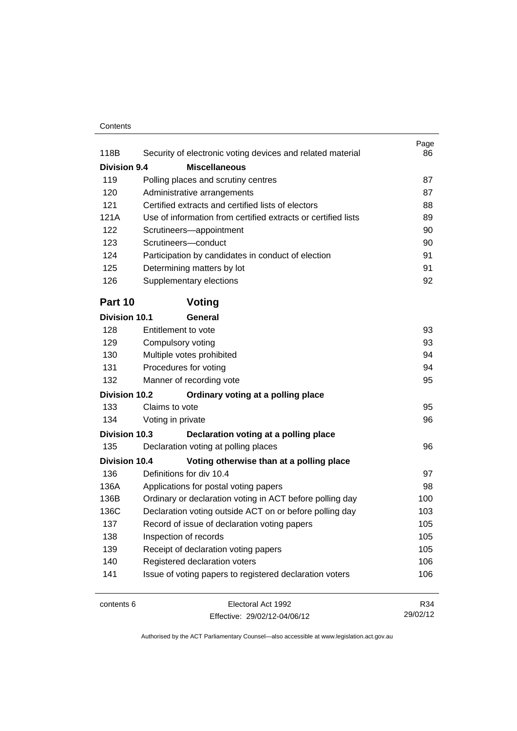#### **Contents**

| <b>Division 9.4</b><br><b>Miscellaneous</b><br>119<br>87<br>Polling places and scrutiny centres<br>120<br>Administrative arrangements<br>87<br>121<br>Certified extracts and certified lists of electors<br>88<br>Use of information from certified extracts or certified lists<br>121A<br>89<br>122<br>90<br>Scrutineers-appointment<br>123<br>Scrutineers-conduct<br>90<br>124<br>Participation by candidates in conduct of election<br>91<br>91<br>125<br>Determining matters by lot<br>126<br>Supplementary elections<br>Part 10<br>Voting<br><b>Division 10.1</b><br>General<br>Entitlement to vote<br>128<br>93<br>129<br>Compulsory voting<br>130<br>Multiple votes prohibited<br>Procedures for voting<br>131<br>132<br>Manner of recording vote<br>Division 10.2<br>Ordinary voting at a polling place<br>133<br>Claims to vote<br>95<br>134<br>Voting in private<br><b>Division 10.3</b><br>Declaration voting at a polling place<br>135<br>Declaration voting at polling places<br>96<br>Division 10.4<br>Voting otherwise than at a polling place<br>Definitions for div 10.4<br>136<br>136A<br>Applications for postal voting papers<br>Ordinary or declaration voting in ACT before polling day<br>136B<br>Declaration voting outside ACT on or before polling day<br>136C<br>103<br>Record of issue of declaration voting papers<br>137<br>105<br>138<br>Inspection of records<br>105<br>139<br>Receipt of declaration voting papers<br>140<br>Registered declaration voters<br>141<br>Issue of voting papers to registered declaration voters<br>Electoral Act 1992<br>R34<br>contents 6 |      |                                                            | Page |
|----------------------------------------------------------------------------------------------------------------------------------------------------------------------------------------------------------------------------------------------------------------------------------------------------------------------------------------------------------------------------------------------------------------------------------------------------------------------------------------------------------------------------------------------------------------------------------------------------------------------------------------------------------------------------------------------------------------------------------------------------------------------------------------------------------------------------------------------------------------------------------------------------------------------------------------------------------------------------------------------------------------------------------------------------------------------------------------------------------------------------------------------------------------------------------------------------------------------------------------------------------------------------------------------------------------------------------------------------------------------------------------------------------------------------------------------------------------------------------------------------------------------------------------------------------------------------------------------------------|------|------------------------------------------------------------|------|
|                                                                                                                                                                                                                                                                                                                                                                                                                                                                                                                                                                                                                                                                                                                                                                                                                                                                                                                                                                                                                                                                                                                                                                                                                                                                                                                                                                                                                                                                                                                                                                                                          | 118B | Security of electronic voting devices and related material | 86   |
|                                                                                                                                                                                                                                                                                                                                                                                                                                                                                                                                                                                                                                                                                                                                                                                                                                                                                                                                                                                                                                                                                                                                                                                                                                                                                                                                                                                                                                                                                                                                                                                                          |      |                                                            |      |
|                                                                                                                                                                                                                                                                                                                                                                                                                                                                                                                                                                                                                                                                                                                                                                                                                                                                                                                                                                                                                                                                                                                                                                                                                                                                                                                                                                                                                                                                                                                                                                                                          |      |                                                            |      |
|                                                                                                                                                                                                                                                                                                                                                                                                                                                                                                                                                                                                                                                                                                                                                                                                                                                                                                                                                                                                                                                                                                                                                                                                                                                                                                                                                                                                                                                                                                                                                                                                          |      |                                                            |      |
|                                                                                                                                                                                                                                                                                                                                                                                                                                                                                                                                                                                                                                                                                                                                                                                                                                                                                                                                                                                                                                                                                                                                                                                                                                                                                                                                                                                                                                                                                                                                                                                                          |      |                                                            |      |
|                                                                                                                                                                                                                                                                                                                                                                                                                                                                                                                                                                                                                                                                                                                                                                                                                                                                                                                                                                                                                                                                                                                                                                                                                                                                                                                                                                                                                                                                                                                                                                                                          |      |                                                            |      |
|                                                                                                                                                                                                                                                                                                                                                                                                                                                                                                                                                                                                                                                                                                                                                                                                                                                                                                                                                                                                                                                                                                                                                                                                                                                                                                                                                                                                                                                                                                                                                                                                          |      |                                                            |      |
|                                                                                                                                                                                                                                                                                                                                                                                                                                                                                                                                                                                                                                                                                                                                                                                                                                                                                                                                                                                                                                                                                                                                                                                                                                                                                                                                                                                                                                                                                                                                                                                                          |      |                                                            |      |
|                                                                                                                                                                                                                                                                                                                                                                                                                                                                                                                                                                                                                                                                                                                                                                                                                                                                                                                                                                                                                                                                                                                                                                                                                                                                                                                                                                                                                                                                                                                                                                                                          |      |                                                            |      |
|                                                                                                                                                                                                                                                                                                                                                                                                                                                                                                                                                                                                                                                                                                                                                                                                                                                                                                                                                                                                                                                                                                                                                                                                                                                                                                                                                                                                                                                                                                                                                                                                          |      |                                                            |      |
|                                                                                                                                                                                                                                                                                                                                                                                                                                                                                                                                                                                                                                                                                                                                                                                                                                                                                                                                                                                                                                                                                                                                                                                                                                                                                                                                                                                                                                                                                                                                                                                                          |      |                                                            | 92   |
|                                                                                                                                                                                                                                                                                                                                                                                                                                                                                                                                                                                                                                                                                                                                                                                                                                                                                                                                                                                                                                                                                                                                                                                                                                                                                                                                                                                                                                                                                                                                                                                                          |      |                                                            |      |
|                                                                                                                                                                                                                                                                                                                                                                                                                                                                                                                                                                                                                                                                                                                                                                                                                                                                                                                                                                                                                                                                                                                                                                                                                                                                                                                                                                                                                                                                                                                                                                                                          |      |                                                            |      |
|                                                                                                                                                                                                                                                                                                                                                                                                                                                                                                                                                                                                                                                                                                                                                                                                                                                                                                                                                                                                                                                                                                                                                                                                                                                                                                                                                                                                                                                                                                                                                                                                          |      |                                                            |      |
|                                                                                                                                                                                                                                                                                                                                                                                                                                                                                                                                                                                                                                                                                                                                                                                                                                                                                                                                                                                                                                                                                                                                                                                                                                                                                                                                                                                                                                                                                                                                                                                                          |      |                                                            | 93   |
|                                                                                                                                                                                                                                                                                                                                                                                                                                                                                                                                                                                                                                                                                                                                                                                                                                                                                                                                                                                                                                                                                                                                                                                                                                                                                                                                                                                                                                                                                                                                                                                                          |      |                                                            | 94   |
|                                                                                                                                                                                                                                                                                                                                                                                                                                                                                                                                                                                                                                                                                                                                                                                                                                                                                                                                                                                                                                                                                                                                                                                                                                                                                                                                                                                                                                                                                                                                                                                                          |      |                                                            | 94   |
|                                                                                                                                                                                                                                                                                                                                                                                                                                                                                                                                                                                                                                                                                                                                                                                                                                                                                                                                                                                                                                                                                                                                                                                                                                                                                                                                                                                                                                                                                                                                                                                                          |      |                                                            | 95   |
|                                                                                                                                                                                                                                                                                                                                                                                                                                                                                                                                                                                                                                                                                                                                                                                                                                                                                                                                                                                                                                                                                                                                                                                                                                                                                                                                                                                                                                                                                                                                                                                                          |      |                                                            |      |
|                                                                                                                                                                                                                                                                                                                                                                                                                                                                                                                                                                                                                                                                                                                                                                                                                                                                                                                                                                                                                                                                                                                                                                                                                                                                                                                                                                                                                                                                                                                                                                                                          |      |                                                            |      |
|                                                                                                                                                                                                                                                                                                                                                                                                                                                                                                                                                                                                                                                                                                                                                                                                                                                                                                                                                                                                                                                                                                                                                                                                                                                                                                                                                                                                                                                                                                                                                                                                          |      |                                                            | 96   |
|                                                                                                                                                                                                                                                                                                                                                                                                                                                                                                                                                                                                                                                                                                                                                                                                                                                                                                                                                                                                                                                                                                                                                                                                                                                                                                                                                                                                                                                                                                                                                                                                          |      |                                                            |      |
|                                                                                                                                                                                                                                                                                                                                                                                                                                                                                                                                                                                                                                                                                                                                                                                                                                                                                                                                                                                                                                                                                                                                                                                                                                                                                                                                                                                                                                                                                                                                                                                                          |      |                                                            |      |
|                                                                                                                                                                                                                                                                                                                                                                                                                                                                                                                                                                                                                                                                                                                                                                                                                                                                                                                                                                                                                                                                                                                                                                                                                                                                                                                                                                                                                                                                                                                                                                                                          |      |                                                            |      |
|                                                                                                                                                                                                                                                                                                                                                                                                                                                                                                                                                                                                                                                                                                                                                                                                                                                                                                                                                                                                                                                                                                                                                                                                                                                                                                                                                                                                                                                                                                                                                                                                          |      |                                                            | 97   |
|                                                                                                                                                                                                                                                                                                                                                                                                                                                                                                                                                                                                                                                                                                                                                                                                                                                                                                                                                                                                                                                                                                                                                                                                                                                                                                                                                                                                                                                                                                                                                                                                          |      |                                                            | 98   |
|                                                                                                                                                                                                                                                                                                                                                                                                                                                                                                                                                                                                                                                                                                                                                                                                                                                                                                                                                                                                                                                                                                                                                                                                                                                                                                                                                                                                                                                                                                                                                                                                          |      |                                                            | 100  |
|                                                                                                                                                                                                                                                                                                                                                                                                                                                                                                                                                                                                                                                                                                                                                                                                                                                                                                                                                                                                                                                                                                                                                                                                                                                                                                                                                                                                                                                                                                                                                                                                          |      |                                                            |      |
|                                                                                                                                                                                                                                                                                                                                                                                                                                                                                                                                                                                                                                                                                                                                                                                                                                                                                                                                                                                                                                                                                                                                                                                                                                                                                                                                                                                                                                                                                                                                                                                                          |      |                                                            |      |
|                                                                                                                                                                                                                                                                                                                                                                                                                                                                                                                                                                                                                                                                                                                                                                                                                                                                                                                                                                                                                                                                                                                                                                                                                                                                                                                                                                                                                                                                                                                                                                                                          |      |                                                            |      |
|                                                                                                                                                                                                                                                                                                                                                                                                                                                                                                                                                                                                                                                                                                                                                                                                                                                                                                                                                                                                                                                                                                                                                                                                                                                                                                                                                                                                                                                                                                                                                                                                          |      |                                                            | 105  |
|                                                                                                                                                                                                                                                                                                                                                                                                                                                                                                                                                                                                                                                                                                                                                                                                                                                                                                                                                                                                                                                                                                                                                                                                                                                                                                                                                                                                                                                                                                                                                                                                          |      |                                                            | 106  |
|                                                                                                                                                                                                                                                                                                                                                                                                                                                                                                                                                                                                                                                                                                                                                                                                                                                                                                                                                                                                                                                                                                                                                                                                                                                                                                                                                                                                                                                                                                                                                                                                          |      |                                                            | 106  |
|                                                                                                                                                                                                                                                                                                                                                                                                                                                                                                                                                                                                                                                                                                                                                                                                                                                                                                                                                                                                                                                                                                                                                                                                                                                                                                                                                                                                                                                                                                                                                                                                          |      |                                                            |      |

Effective: 29/02/12-04/06/12

29/02/12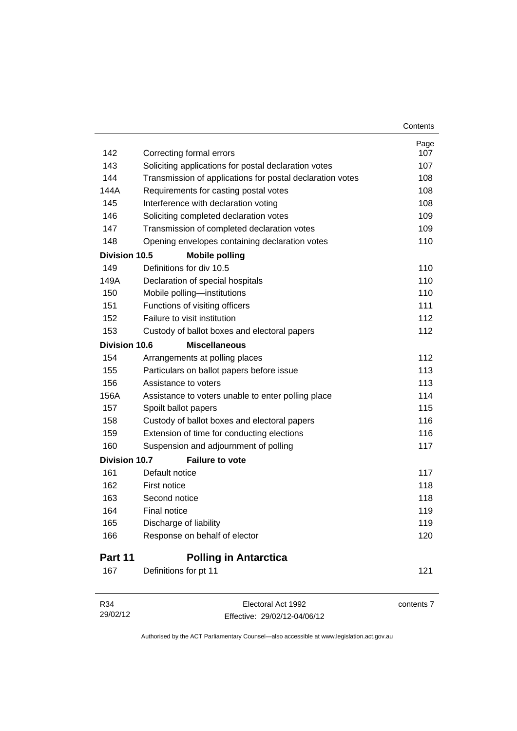|                      |                                                           | Page       |
|----------------------|-----------------------------------------------------------|------------|
| 142                  | Correcting formal errors                                  | 107        |
| 143                  | Soliciting applications for postal declaration votes      | 107        |
| 144                  | Transmission of applications for postal declaration votes | 108        |
| 144A                 | Requirements for casting postal votes                     | 108        |
| 145                  | Interference with declaration voting                      | 108        |
| 146                  | Soliciting completed declaration votes                    | 109        |
| 147                  | Transmission of completed declaration votes               | 109        |
| 148                  | Opening envelopes containing declaration votes            | 110        |
| Division 10.5        | <b>Mobile polling</b>                                     |            |
| 149                  | Definitions for div 10.5                                  | 110        |
| 149A                 | Declaration of special hospitals                          | 110        |
| 150                  | Mobile polling-institutions                               | 110        |
| 151                  | Functions of visiting officers                            | 111        |
| 152                  | Failure to visit institution                              | 112        |
| 153                  | Custody of ballot boxes and electoral papers              | 112        |
| <b>Division 10.6</b> | <b>Miscellaneous</b>                                      |            |
| 154                  | Arrangements at polling places                            | 112        |
| 155                  | Particulars on ballot papers before issue                 | 113        |
| 156                  | Assistance to voters                                      | 113        |
| 156A                 | Assistance to voters unable to enter polling place        | 114        |
| 157                  | Spoilt ballot papers                                      | 115        |
| 158                  | Custody of ballot boxes and electoral papers              | 116        |
| 159                  | Extension of time for conducting elections                | 116        |
| 160                  | Suspension and adjournment of polling                     | 117        |
| <b>Division 10.7</b> | <b>Failure to vote</b>                                    |            |
| 161                  | Default notice                                            | 117        |
| 162                  | First notice                                              | 118        |
| 163                  | Second notice                                             | 118        |
| 164                  | Final notice                                              | 119        |
| 165                  | Discharge of liability                                    | 119        |
| 166                  | Response on behalf of elector                             | 120        |
| Part 11              | <b>Polling in Antarctica</b>                              |            |
| 167                  | Definitions for pt 11                                     | 121        |
| R34                  | Electoral Act 1992                                        | contents 7 |

**Contents** 

29/02/12

Effective: 29/02/12-04/06/12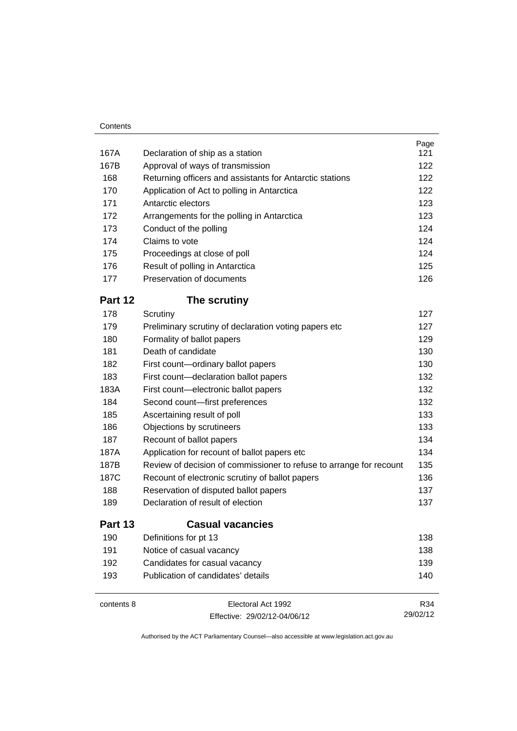| 167A    | Declaration of ship as a station                                    | Page<br>121 |
|---------|---------------------------------------------------------------------|-------------|
| 167B    | Approval of ways of transmission                                    | 122         |
| 168     | Returning officers and assistants for Antarctic stations            | 122         |
| 170     | Application of Act to polling in Antarctica                         | 122         |
| 171     | Antarctic electors                                                  | 123         |
| 172     | Arrangements for the polling in Antarctica                          | 123         |
| 173     | Conduct of the polling                                              | 124         |
| 174     | Claims to vote                                                      | 124         |
| 175     | Proceedings at close of poll                                        | 124         |
| 176     | Result of polling in Antarctica                                     | 125         |
| 177     | Preservation of documents                                           | 126         |
| Part 12 | The scrutiny                                                        |             |
| 178     | Scrutiny                                                            | 127         |
| 179     | Preliminary scrutiny of declaration voting papers etc               | 127         |
| 180     | Formality of ballot papers                                          | 129         |
| 181     | Death of candidate                                                  | 130         |
| 182     | First count-ordinary ballot papers                                  | 130         |
| 183     | First count-declaration ballot papers                               | 132         |
| 183A    | First count-electronic ballot papers                                | 132         |
| 184     | Second count-first preferences                                      | 132         |
| 185     | Ascertaining result of poll                                         | 133         |
| 186     | Objections by scrutineers                                           | 133         |
| 187     | Recount of ballot papers                                            | 134         |
| 187A    | Application for recount of ballot papers etc                        | 134         |
| 187B    | Review of decision of commissioner to refuse to arrange for recount | 135         |
| 187C    | Recount of electronic scrutiny of ballot papers                     | 136         |
| 188     | Reservation of disputed ballot papers                               | 137         |
| 189     | Declaration of result of election                                   | 137         |
| Part 13 | <b>Casual vacancies</b>                                             |             |
| 190     | Definitions for pt 13                                               | 138         |
| 191     | Notice of casual vacancy                                            | 138         |
| 192     | Candidates for casual vacancy                                       | 139         |
| 193     | Publication of candidates' details                                  | 140         |

| contents 8 | Electoral Act 1992           | R34      |
|------------|------------------------------|----------|
|            | Effective: 29/02/12-04/06/12 | 29/02/12 |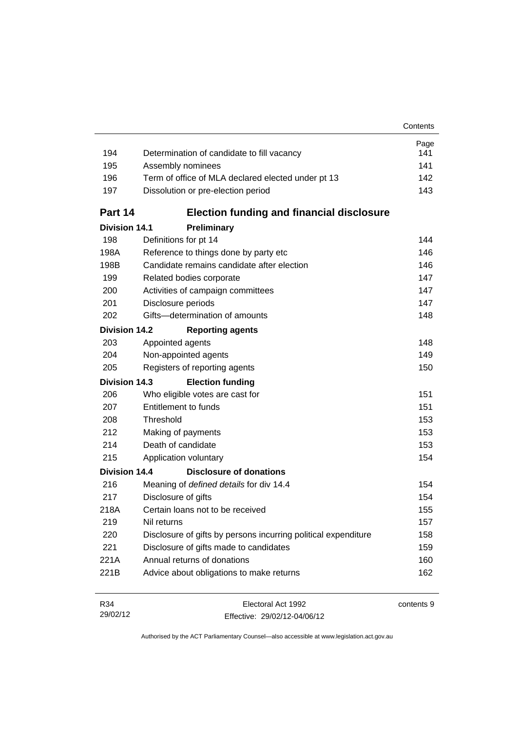|                      |                                                                | Contents    |
|----------------------|----------------------------------------------------------------|-------------|
| 194                  | Determination of candidate to fill vacancy                     | Page<br>141 |
| 195                  | Assembly nominees                                              | 141         |
| 196                  | Term of office of MLA declared elected under pt 13             | 142         |
| 197                  | Dissolution or pre-election period                             | 143         |
| Part 14              | <b>Election funding and financial disclosure</b>               |             |
| <b>Division 14.1</b> | Preliminary                                                    |             |
| 198                  | Definitions for pt 14                                          | 144         |
| 198A                 | Reference to things done by party etc                          | 146         |
| 198B                 | Candidate remains candidate after election                     | 146         |
| 199                  | Related bodies corporate                                       | 147         |
| 200                  | Activities of campaign committees                              | 147         |
| 201                  | Disclosure periods                                             | 147         |
| 202                  | Gifts-determination of amounts                                 | 148         |
| <b>Division 14.2</b> | <b>Reporting agents</b>                                        |             |
| 203                  | Appointed agents                                               | 148         |
| 204                  | Non-appointed agents                                           | 149         |
| 205                  | Registers of reporting agents                                  | 150         |
| <b>Division 14.3</b> | <b>Election funding</b>                                        |             |
| 206                  | Who eligible votes are cast for                                | 151         |
| 207                  | Entitlement to funds                                           | 151         |
| 208                  | Threshold                                                      | 153         |
| 212                  | Making of payments                                             | 153         |
| 214                  | Death of candidate                                             | 153         |
| 215                  | Application voluntary                                          | 154         |
| Division 14.4        | <b>Disclosure of donations</b>                                 |             |
| 216                  | Meaning of defined details for div 14.4                        | 154         |
| 217                  | Disclosure of gifts                                            | 154         |
| 218A                 | Certain loans not to be received                               | 155         |
| 219                  | Nil returns                                                    | 157         |
| 220                  | Disclosure of gifts by persons incurring political expenditure | 158         |
| 221                  | Disclosure of gifts made to candidates                         | 159         |
| 221A                 | Annual returns of donations                                    | 160         |
| 221B                 | Advice about obligations to make returns                       | 162         |

| R34      | Electoral Act 1992           | contents 9 |
|----------|------------------------------|------------|
| 29/02/12 | Effective: 29/02/12-04/06/12 |            |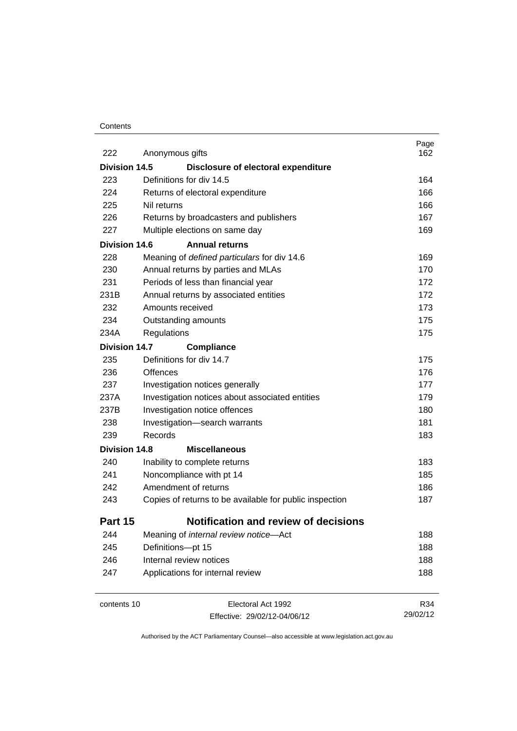### **Contents**

| 222                  | Anonymous gifts                                         | Page<br>162 |
|----------------------|---------------------------------------------------------|-------------|
| Division 14.5        | Disclosure of electoral expenditure                     |             |
| 223                  | Definitions for div 14.5                                | 164         |
| 224                  | Returns of electoral expenditure                        | 166         |
| 225                  | Nil returns                                             | 166         |
| 226                  | Returns by broadcasters and publishers                  | 167         |
| 227                  | Multiple elections on same day                          | 169         |
| Division 14.6        | <b>Annual returns</b>                                   |             |
| 228                  | Meaning of defined particulars for div 14.6             | 169         |
| 230                  | Annual returns by parties and MLAs                      | 170         |
| 231                  | Periods of less than financial year                     | 172         |
| 231B                 | Annual returns by associated entities                   | 172         |
| 232                  | Amounts received                                        | 173         |
| 234                  | Outstanding amounts                                     | 175         |
| 234A                 | Regulations                                             | 175         |
| Division 14.7        | <b>Compliance</b>                                       |             |
| 235                  | Definitions for div 14.7                                | 175         |
| 236                  | <b>Offences</b>                                         | 176         |
| 237                  | Investigation notices generally                         | 177         |
| 237A                 | Investigation notices about associated entities         | 179         |
| 237B                 | Investigation notice offences                           | 180         |
| 238                  | Investigation-search warrants                           | 181         |
| 239                  | Records                                                 | 183         |
| <b>Division 14.8</b> | <b>Miscellaneous</b>                                    |             |
| 240                  | Inability to complete returns                           | 183         |
| 241                  | Noncompliance with pt 14                                | 185         |
| 242                  | Amendment of returns                                    | 186         |
| 243                  | Copies of returns to be available for public inspection | 187         |
| Part 15              | <b>Notification and review of decisions</b>             |             |
| 244                  | Meaning of internal review notice-Act                   | 188         |
| 245                  | Definitions-pt 15                                       | 188         |
| 246                  | Internal review notices                                 | 188         |
| 247                  | Applications for internal review                        | 188         |
|                      |                                                         |             |

contents 10 Electoral Act 1992 Effective: 29/02/12-04/06/12

R34 29/02/12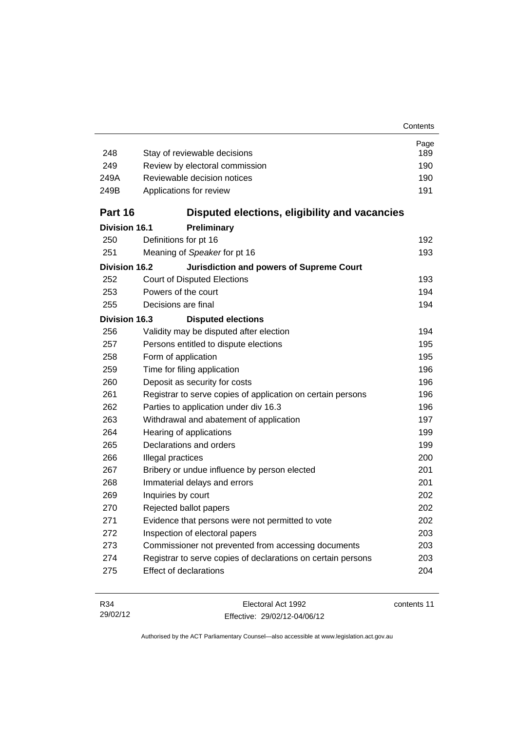| 248                  | Stay of reviewable decisions                                 | Page<br>189 |
|----------------------|--------------------------------------------------------------|-------------|
| 249                  | Review by electoral commission                               | 190         |
| 249A                 | Reviewable decision notices                                  |             |
| 249B                 | Applications for review                                      | 190<br>191  |
|                      |                                                              |             |
| Part 16              | Disputed elections, eligibility and vacancies                |             |
| Division 16.1        | Preliminary                                                  |             |
| 250                  | Definitions for pt 16                                        | 192         |
| 251                  | Meaning of Speaker for pt 16                                 | 193         |
| <b>Division 16.2</b> | Jurisdiction and powers of Supreme Court                     |             |
| 252                  | <b>Court of Disputed Elections</b>                           | 193         |
| 253                  | Powers of the court                                          | 194         |
| 255                  | Decisions are final                                          | 194         |
| <b>Division 16.3</b> | <b>Disputed elections</b>                                    |             |
| 256                  | Validity may be disputed after election                      | 194         |
| 257                  | 195<br>Persons entitled to dispute elections                 |             |
| 258                  | 195<br>Form of application                                   |             |
| 259                  | 196<br>Time for filing application                           |             |
| 260                  | Deposit as security for costs                                | 196         |
| 261                  | Registrar to serve copies of application on certain persons  | 196         |
| 262                  | Parties to application under div 16.3                        | 196         |
| 263                  | Withdrawal and abatement of application                      | 197         |
| 264                  | Hearing of applications                                      | 199         |
| 265                  | Declarations and orders                                      | 199         |
| 266                  | Illegal practices                                            | 200         |
| 267                  | Bribery or undue influence by person elected                 | 201         |
| 268                  | Immaterial delays and errors                                 | 201         |
| 269                  | Inquiries by court                                           | 202         |
| 270                  | Rejected ballot papers                                       | 202         |
| 271                  | Evidence that persons were not permitted to vote             | 202         |
| 272                  | Inspection of electoral papers                               | 203         |
| 273                  | Commissioner not prevented from accessing documents          | 203         |
| 274                  | Registrar to serve copies of declarations on certain persons | 203         |
| 275                  | <b>Effect of declarations</b>                                | 204         |
|                      |                                                              |             |

| R34      | Electoral Act 1992           | contents 11 |
|----------|------------------------------|-------------|
| 29/02/12 | Effective: 29/02/12-04/06/12 |             |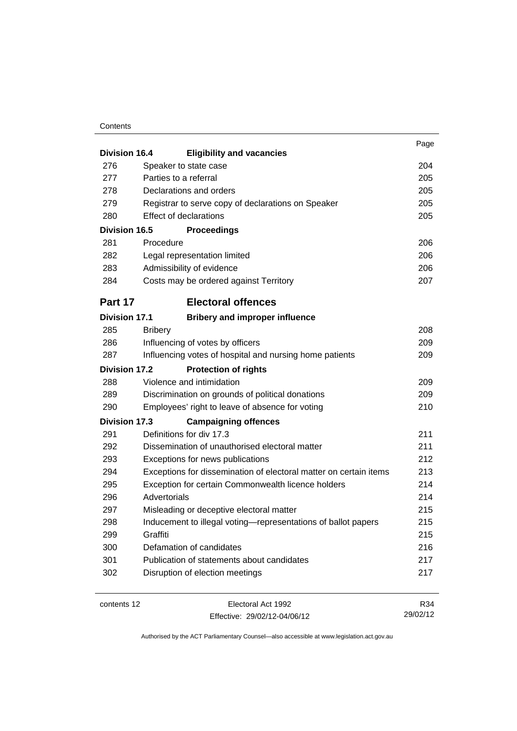### **Contents**

|               |                |                                                                   | Page |
|---------------|----------------|-------------------------------------------------------------------|------|
| Division 16.4 |                | <b>Eligibility and vacancies</b>                                  |      |
| 276           |                | Speaker to state case                                             | 204  |
| 277           |                | Parties to a referral                                             | 205  |
| 278           |                | Declarations and orders                                           | 205  |
| 279           |                | Registrar to serve copy of declarations on Speaker                | 205  |
| 280           |                | <b>Effect of declarations</b>                                     | 205  |
| Division 16.5 |                | <b>Proceedings</b>                                                |      |
| 281           | Procedure      |                                                                   | 206  |
| 282           |                | Legal representation limited                                      | 206  |
| 283           |                | Admissibility of evidence                                         | 206  |
| 284           |                | Costs may be ordered against Territory                            | 207  |
| Part 17       |                | <b>Electoral offences</b>                                         |      |
| Division 17.1 |                | <b>Bribery and improper influence</b>                             |      |
| 285           | <b>Bribery</b> |                                                                   | 208  |
| 286           |                | Influencing of votes by officers                                  | 209  |
| 287           |                | Influencing votes of hospital and nursing home patients           | 209  |
| Division 17.2 |                | <b>Protection of rights</b>                                       |      |
| 288           |                | Violence and intimidation                                         | 209  |
| 289           |                | Discrimination on grounds of political donations                  | 209  |
| 290           |                | Employees' right to leave of absence for voting                   | 210  |
| Division 17.3 |                | <b>Campaigning offences</b>                                       |      |
| 291           |                | Definitions for div 17.3                                          | 211  |
| 292           |                | Dissemination of unauthorised electoral matter                    | 211  |
| 293           |                | Exceptions for news publications                                  | 212  |
| 294           |                | Exceptions for dissemination of electoral matter on certain items | 213  |
| 295           |                | Exception for certain Commonwealth licence holders                | 214  |
| 296           | Advertorials   |                                                                   | 214  |
| 297           |                | Misleading or deceptive electoral matter                          | 215  |
| 298           |                | Inducement to illegal voting-representations of ballot papers     | 215  |
| 299           | Graffiti       |                                                                   | 215  |
| 300           |                | Defamation of candidates                                          | 216  |
| 301           |                | Publication of statements about candidates                        | 217  |
| 302           |                | Disruption of election meetings                                   | 217  |
|               |                |                                                                   |      |

contents 12 Electoral Act 1992 Effective: 29/02/12-04/06/12

R34 29/02/12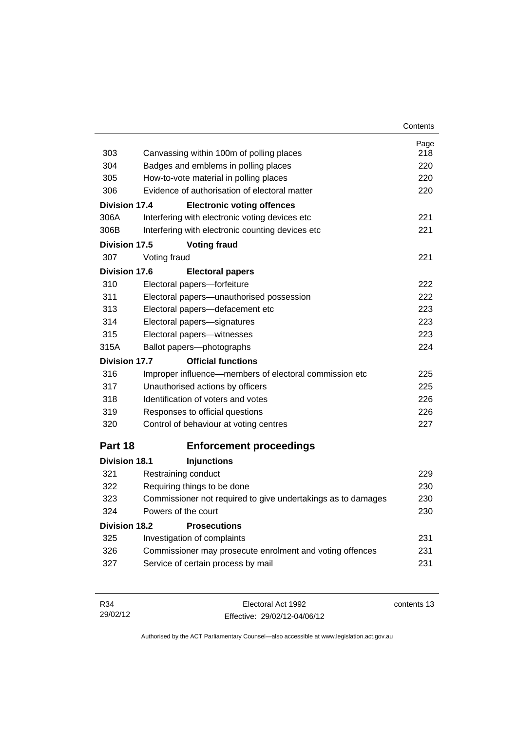| 303                  | Canvassing within 100m of polling places                     | Page<br>218 |  |
|----------------------|--------------------------------------------------------------|-------------|--|
| 304                  | Badges and emblems in polling places                         |             |  |
| 305                  | How-to-vote material in polling places                       |             |  |
| 306                  | Evidence of authorisation of electoral matter                | 220<br>220  |  |
| <b>Division 17.4</b> | <b>Electronic voting offences</b>                            |             |  |
| 306A                 | Interfering with electronic voting devices etc               | 221         |  |
| 306B                 | Interfering with electronic counting devices etc             | 221         |  |
| Division 17.5        | <b>Voting fraud</b>                                          |             |  |
| 307                  | Voting fraud                                                 | 221         |  |
| Division 17.6        | <b>Electoral papers</b>                                      |             |  |
| 310                  | Electoral papers-forfeiture                                  | 222         |  |
| 311                  | Electoral papers-unauthorised possession                     | 222         |  |
| 313                  | Electoral papers-defacement etc                              | 223         |  |
| 314                  | Electoral papers-signatures                                  | 223         |  |
| 315                  | Electoral papers-witnesses                                   | 223         |  |
| 315A                 | Ballot papers-photographs                                    | 224         |  |
| Division 17.7        | <b>Official functions</b>                                    |             |  |
| 316                  | Improper influence—members of electoral commission etc       | 225         |  |
| 317                  | Unauthorised actions by officers                             | 225         |  |
| 318                  | Identification of voters and votes                           | 226         |  |
| 319                  | Responses to official questions                              | 226         |  |
| 320                  | Control of behaviour at voting centres                       | 227         |  |
| Part 18              | <b>Enforcement proceedings</b>                               |             |  |
| <b>Division 18.1</b> | <b>Injunctions</b>                                           |             |  |
| 321                  | Restraining conduct                                          | 229         |  |
| 322                  | Requiring things to be done                                  | 230         |  |
| 323                  | Commissioner not required to give undertakings as to damages | 230         |  |
| 324                  | Powers of the court                                          | 230         |  |
| Division 18.2        | <b>Prosecutions</b>                                          |             |  |
| 325                  | Investigation of complaints                                  | 231         |  |
| 326                  | Commissioner may prosecute enrolment and voting offences     | 231         |  |
| 327                  | Service of certain process by mail                           | 231         |  |
|                      |                                                              |             |  |
|                      |                                                              |             |  |

| R34      | Electoral Act 1992           | contents 13 |
|----------|------------------------------|-------------|
| 29/02/12 | Effective: 29/02/12-04/06/12 |             |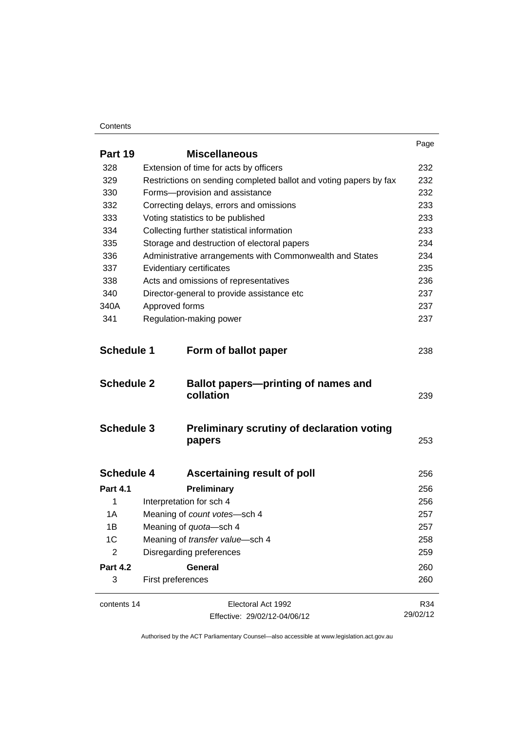#### **Contents**

|                   |                                                                   | Page     |
|-------------------|-------------------------------------------------------------------|----------|
| Part 19           | <b>Miscellaneous</b>                                              |          |
| 328               | Extension of time for acts by officers                            | 232      |
| 329               | Restrictions on sending completed ballot and voting papers by fax | 232      |
| 330               | Forms-provision and assistance                                    | 232      |
| 332               | Correcting delays, errors and omissions                           | 233      |
| 333               | Voting statistics to be published                                 | 233      |
| 334               | Collecting further statistical information                        | 233      |
| 335               | Storage and destruction of electoral papers                       | 234      |
| 336               | Administrative arrangements with Commonwealth and States          | 234      |
| 337               | Evidentiary certificates                                          | 235      |
| 338               | Acts and omissions of representatives                             | 236      |
| 340               | Director-general to provide assistance etc                        | 237      |
| 340A              | Approved forms                                                    | 237      |
| 341               | Regulation-making power                                           | 237      |
| <b>Schedule 1</b> | Form of ballot paper                                              | 238      |
| <b>Schedule 2</b> | Ballot papers-printing of names and<br>collation                  | 239      |
| <b>Schedule 3</b> | <b>Preliminary scrutiny of declaration voting</b><br>papers       | 253      |
| <b>Schedule 4</b> | <b>Ascertaining result of poll</b>                                | 256      |
| <b>Part 4.1</b>   | Preliminary                                                       | 256      |
| 1                 | Interpretation for sch 4                                          | 256      |
| 1A                | Meaning of count votes-sch 4                                      | 257      |
| 1Β                | Meaning of quota-sch 4                                            | 257      |
| 1 <sup>C</sup>    | Meaning of transfer value-sch 4                                   | 258      |
| 2                 | Disregarding preferences                                          | 259      |
| <b>Part 4.2</b>   | <b>General</b>                                                    | 260      |
| 3                 | First preferences                                                 | 260      |
| contents 14       | Electoral Act 1992                                                | R34      |
|                   | Effective: 29/02/12-04/06/12                                      | 29/02/12 |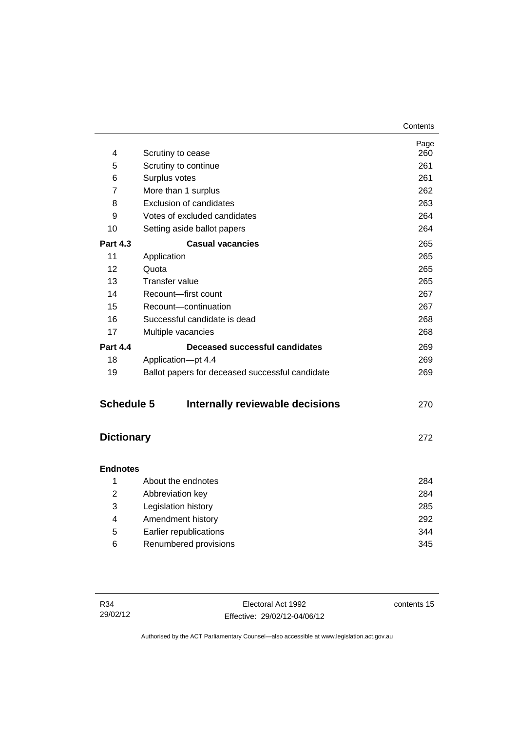|                   |                                                 | Page |
|-------------------|-------------------------------------------------|------|
| 4                 | Scrutiny to cease                               | 260  |
| 5                 | Scrutiny to continue                            | 261  |
| 6                 | Surplus votes                                   | 261  |
| 7                 | More than 1 surplus                             | 262  |
| 8                 | <b>Exclusion of candidates</b>                  | 263  |
| 9                 | Votes of excluded candidates                    | 264  |
| 10                | Setting aside ballot papers                     | 264  |
| <b>Part 4.3</b>   | <b>Casual vacancies</b>                         | 265  |
| 11                | Application                                     | 265  |
| 12                | Quota                                           | 265  |
| 13                | <b>Transfer value</b>                           | 265  |
| 14                | Recount-first count                             | 267  |
| 15                | Recount-continuation                            | 267  |
| 16                | Successful candidate is dead                    | 268  |
| 17                | Multiple vacancies                              | 268  |
| <b>Part 4.4</b>   | Deceased successful candidates                  | 269  |
| 18                | Application-pt 4.4                              | 269  |
| 19                | Ballot papers for deceased successful candidate | 269  |
| <b>Schedule 5</b> | Internally reviewable decisions                 | 270  |
| <b>Dictionary</b> |                                                 | 272  |
| <b>Endnotes</b>   |                                                 |      |
| 1                 | About the endnotes                              | 284  |
| 2                 | Abbreviation key                                | 284  |
| 3                 | Legislation history                             | 285  |
| Λ                 | Amondmont history                               | ാറാ  |

 4 [Amendment history 292](#page-309-0) 5 [Earlier republications 344](#page-361-0) 6 [Renumbered provisions 345](#page-362-0)

contents 15

**Contents**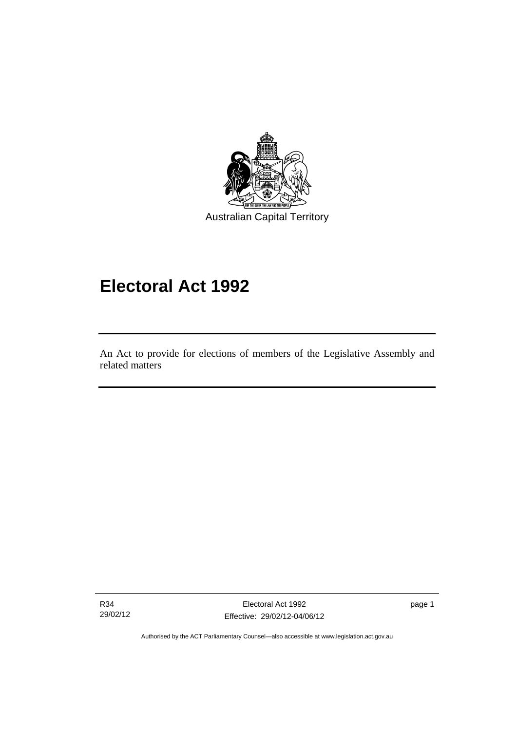

# **Electoral Act 1992**

An Act to provide for elections of members of the Legislative Assembly and related matters

R34 29/02/12

I

Electoral Act 1992 Effective: 29/02/12-04/06/12 page 1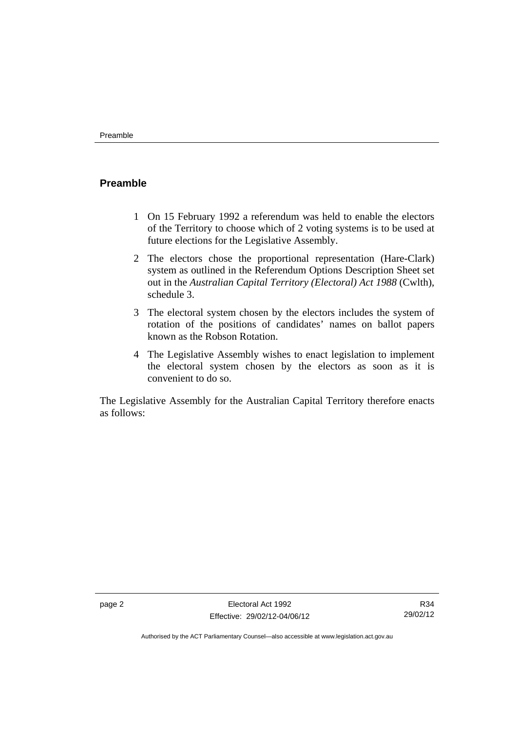# <span id="page-19-0"></span>**Preamble**

- 1 On 15 February 1992 a referendum was held to enable the electors of the Territory to choose which of 2 voting systems is to be used at future elections for the Legislative Assembly.
- 2 The electors chose the proportional representation (Hare-Clark) system as outlined in the Referendum Options Description Sheet set out in the *Australian Capital Territory (Electoral) Act 1988* (Cwlth), schedule 3.
- 3 The electoral system chosen by the electors includes the system of rotation of the positions of candidates' names on ballot papers known as the Robson Rotation.
- 4 The Legislative Assembly wishes to enact legislation to implement the electoral system chosen by the electors as soon as it is convenient to do so.

The Legislative Assembly for the Australian Capital Territory therefore enacts as follows:

R34 29/02/12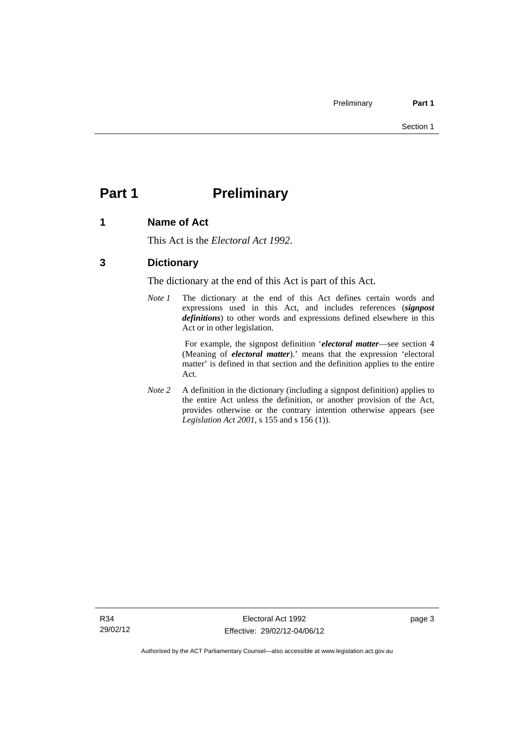# <span id="page-20-0"></span>**Part 1** Preliminary

# <span id="page-20-1"></span>**1 Name of Act**

This Act is the *Electoral Act 1992*.

# <span id="page-20-2"></span>**3 Dictionary**

The dictionary at the end of this Act is part of this Act.

*Note 1* The dictionary at the end of this Act defines certain words and expressions used in this Act, and includes references (*signpost definitions*) to other words and expressions defined elsewhere in this Act or in other legislation.

> For example, the signpost definition '*electoral matter*—see section 4 (Meaning of *electoral matter*).' means that the expression 'electoral matter' is defined in that section and the definition applies to the entire Act.

*Note 2* A definition in the dictionary (including a signpost definition) applies to the entire Act unless the definition, or another provision of the Act, provides otherwise or the contrary intention otherwise appears (see *Legislation Act 2001*, s 155 and s 156 (1)).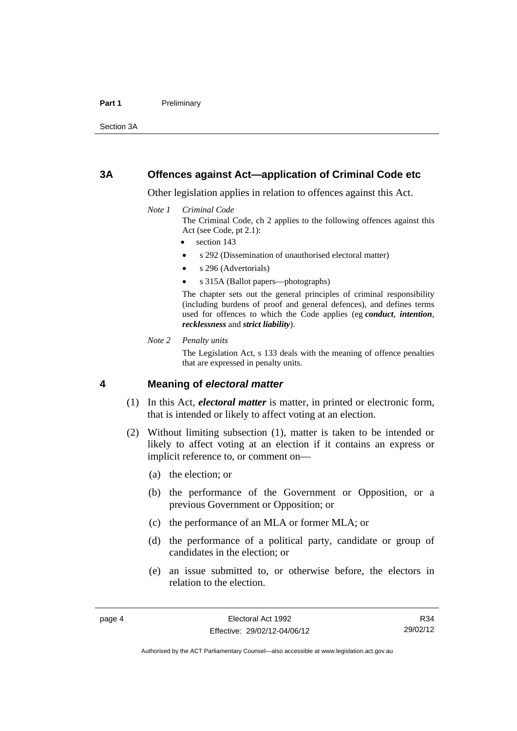#### Part 1 **Preliminary**

Section 3A

# <span id="page-21-0"></span>**3A Offences against Act—application of Criminal Code etc**

Other legislation applies in relation to offences against this Act.

#### *Note 1 Criminal Code*

The Criminal Code, ch 2 applies to the following offences against this Act (see Code, pt 2.1):

section 143

- s 292 (Dissemination of unauthorised electoral matter)
- s 296 (Advertorials)
- s 315A (Ballot papers—photographs)

The chapter sets out the general principles of criminal responsibility (including burdens of proof and general defences), and defines terms used for offences to which the Code applies (eg *conduct*, *intention*, *recklessness* and *strict liability*).

*Note 2 Penalty units* 

The Legislation Act, s 133 deals with the meaning of offence penalties that are expressed in penalty units.

# <span id="page-21-1"></span>**4 Meaning of** *electoral matter*

- (1) In this Act, *electoral matter* is matter, in printed or electronic form, that is intended or likely to affect voting at an election.
- (2) Without limiting subsection (1), matter is taken to be intended or likely to affect voting at an election if it contains an express or implicit reference to, or comment on—
	- (a) the election; or
	- (b) the performance of the Government or Opposition, or a previous Government or Opposition; or
	- (c) the performance of an MLA or former MLA; or
	- (d) the performance of a political party, candidate or group of candidates in the election; or
	- (e) an issue submitted to, or otherwise before, the electors in relation to the election.

R34 29/02/12

Authorised by the ACT Parliamentary Counsel—also accessible at www.legislation.act.gov.au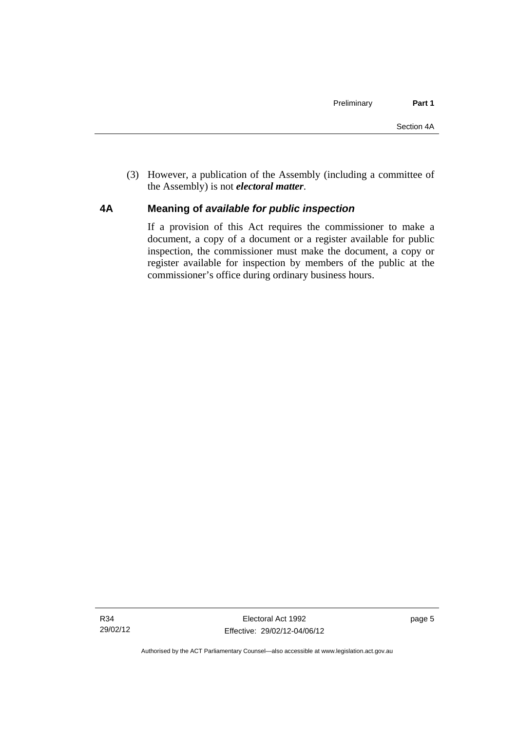(3) However, a publication of the Assembly (including a committee of the Assembly) is not *electoral matter*.

# <span id="page-22-0"></span>**4A Meaning of** *available for public inspection*

If a provision of this Act requires the commissioner to make a document, a copy of a document or a register available for public inspection, the commissioner must make the document, a copy or register available for inspection by members of the public at the commissioner's office during ordinary business hours.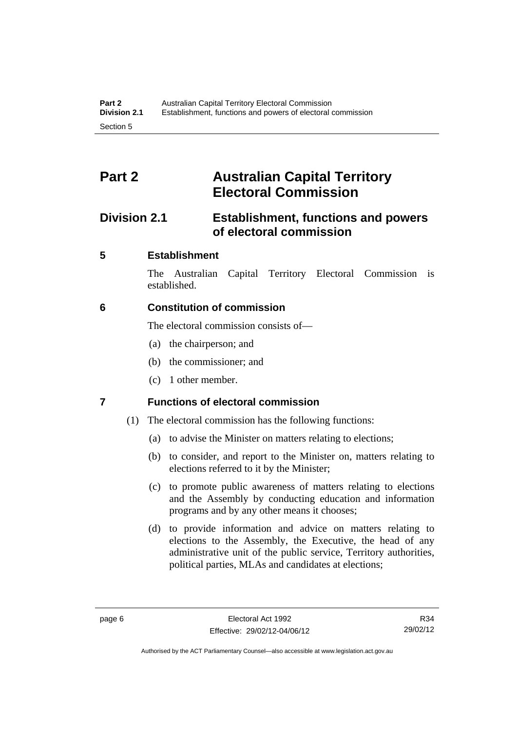# <span id="page-23-0"></span>**Part 2 Australian Capital Territory Electoral Commission**

# <span id="page-23-1"></span>**Division 2.1 Establishment, functions and powers of electoral commission**

# <span id="page-23-2"></span>**5 Establishment**

The Australian Capital Territory Electoral Commission is established.

# <span id="page-23-3"></span>**6 Constitution of commission**

The electoral commission consists of—

- (a) the chairperson; and
- (b) the commissioner; and
- (c) 1 other member.

# <span id="page-23-4"></span>**7 Functions of electoral commission**

- (1) The electoral commission has the following functions:
	- (a) to advise the Minister on matters relating to elections;
	- (b) to consider, and report to the Minister on, matters relating to elections referred to it by the Minister;
	- (c) to promote public awareness of matters relating to elections and the Assembly by conducting education and information programs and by any other means it chooses;
	- (d) to provide information and advice on matters relating to elections to the Assembly, the Executive, the head of any administrative unit of the public service, Territory authorities, political parties, MLAs and candidates at elections;

Authorised by the ACT Parliamentary Counsel—also accessible at www.legislation.act.gov.au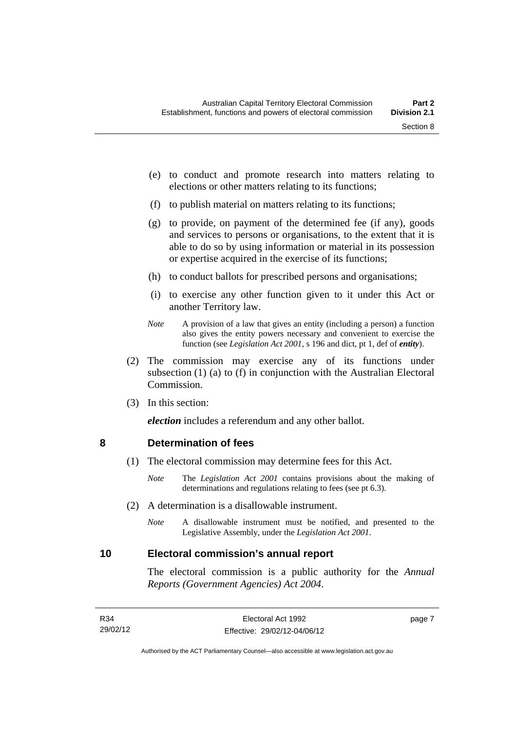- (e) to conduct and promote research into matters relating to elections or other matters relating to its functions;
- (f) to publish material on matters relating to its functions;
- (g) to provide, on payment of the determined fee (if any), goods and services to persons or organisations, to the extent that it is able to do so by using information or material in its possession or expertise acquired in the exercise of its functions;
- (h) to conduct ballots for prescribed persons and organisations;
- (i) to exercise any other function given to it under this Act or another Territory law.
- *Note* A provision of a law that gives an entity (including a person) a function also gives the entity powers necessary and convenient to exercise the function (see *Legislation Act 2001*, s 196 and dict, pt 1, def of *entity*).
- (2) The commission may exercise any of its functions under subsection (1) (a) to (f) in conjunction with the Australian Electoral Commission.
- (3) In this section:

*election* includes a referendum and any other ballot.

#### <span id="page-24-0"></span>**8 Determination of fees**

- (1) The electoral commission may determine fees for this Act.
	- *Note* The *Legislation Act 2001* contains provisions about the making of determinations and regulations relating to fees (see pt 6.3).
- (2) A determination is a disallowable instrument.
	- *Note* A disallowable instrument must be notified, and presented to the Legislative Assembly, under the *Legislation Act 2001*.

#### <span id="page-24-1"></span>**10 Electoral commission's annual report**

The electoral commission is a public authority for the *Annual Reports (Government Agencies) Act 2004*.

page 7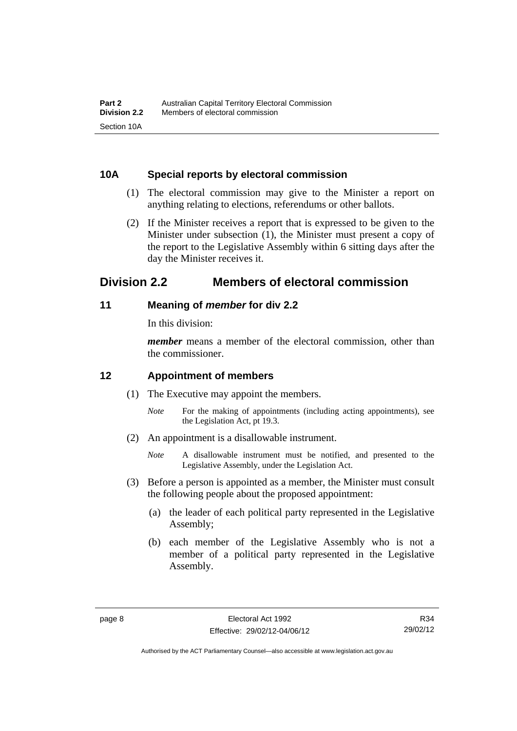# <span id="page-25-0"></span>**10A Special reports by electoral commission**

- (1) The electoral commission may give to the Minister a report on anything relating to elections, referendums or other ballots.
- (2) If the Minister receives a report that is expressed to be given to the Minister under subsection (1), the Minister must present a copy of the report to the Legislative Assembly within 6 sitting days after the day the Minister receives it.

# <span id="page-25-1"></span>**Division 2.2 Members of electoral commission**

# <span id="page-25-2"></span>**11 Meaning of** *member* **for div 2.2**

In this division:

*member* means a member of the electoral commission, other than the commissioner.

# <span id="page-25-3"></span>**12 Appointment of members**

- (1) The Executive may appoint the members.
	- *Note* For the making of appointments (including acting appointments), see the Legislation Act, pt 19.3.
- (2) An appointment is a disallowable instrument.
	- *Note* A disallowable instrument must be notified, and presented to the Legislative Assembly, under the Legislation Act.
- (3) Before a person is appointed as a member, the Minister must consult the following people about the proposed appointment:
	- (a) the leader of each political party represented in the Legislative Assembly;
	- (b) each member of the Legislative Assembly who is not a member of a political party represented in the Legislative Assembly.

Authorised by the ACT Parliamentary Counsel—also accessible at www.legislation.act.gov.au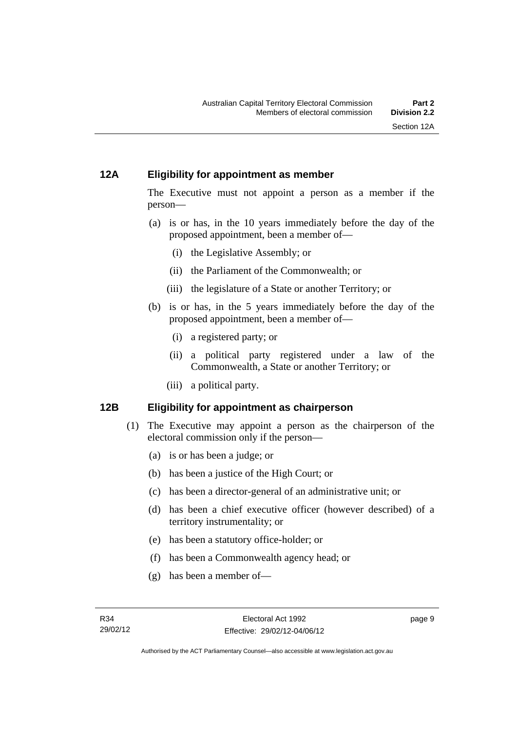# <span id="page-26-0"></span>**12A Eligibility for appointment as member**

The Executive must not appoint a person as a member if the person—

- (a) is or has, in the 10 years immediately before the day of the proposed appointment, been a member of—
	- (i) the Legislative Assembly; or
	- (ii) the Parliament of the Commonwealth; or
	- (iii) the legislature of a State or another Territory; or
- (b) is or has, in the 5 years immediately before the day of the proposed appointment, been a member of—
	- (i) a registered party; or
	- (ii) a political party registered under a law of the Commonwealth, a State or another Territory; or
	- (iii) a political party.

# <span id="page-26-1"></span>**12B Eligibility for appointment as chairperson**

- (1) The Executive may appoint a person as the chairperson of the electoral commission only if the person—
	- (a) is or has been a judge; or
	- (b) has been a justice of the High Court; or
	- (c) has been a director-general of an administrative unit; or
	- (d) has been a chief executive officer (however described) of a territory instrumentality; or
	- (e) has been a statutory office-holder; or
	- (f) has been a Commonwealth agency head; or
	- (g) has been a member of—

page 9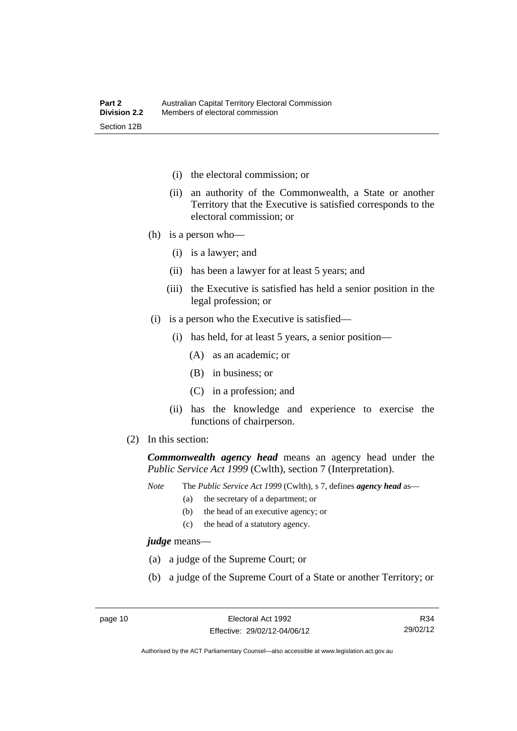- (i) the electoral commission; or
- (ii) an authority of the Commonwealth, a State or another Territory that the Executive is satisfied corresponds to the electoral commission; or
- (h) is a person who—
	- (i) is a lawyer; and
	- (ii) has been a lawyer for at least 5 years; and
	- (iii) the Executive is satisfied has held a senior position in the legal profession; or
- (i) is a person who the Executive is satisfied—
	- (i) has held, for at least 5 years, a senior position—
		- (A) as an academic; or
		- (B) in business; or
		- (C) in a profession; and
	- (ii) has the knowledge and experience to exercise the functions of chairperson.
- (2) In this section:

*Commonwealth agency head* means an agency head under the *Public Service Act 1999* (Cwlth), section 7 (Interpretation).

*Note* The *Public Service Act 1999* (Cwlth), s 7, defines *agency head* as—

- (a) the secretary of a department; or
	- (b) the head of an executive agency; or
	- (c) the head of a statutory agency.

*judge* means—

- (a) a judge of the Supreme Court; or
- (b) a judge of the Supreme Court of a State or another Territory; or

R34 29/02/12

Authorised by the ACT Parliamentary Counsel—also accessible at www.legislation.act.gov.au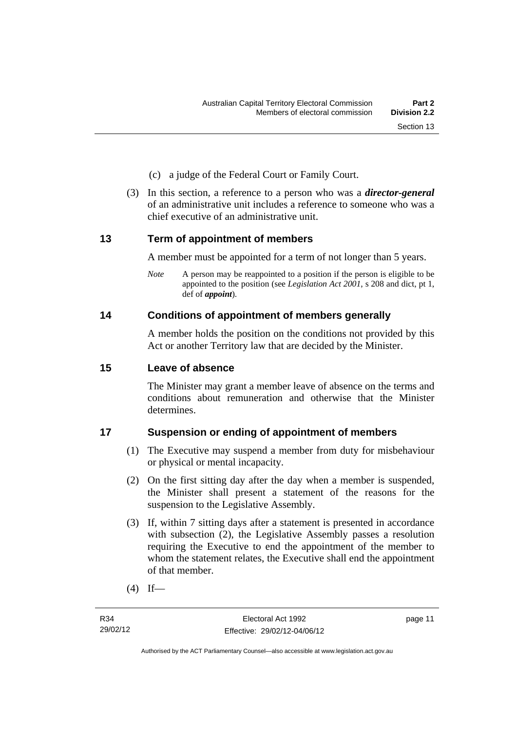- (c) a judge of the Federal Court or Family Court.
- (3) In this section, a reference to a person who was a *director-general*  of an administrative unit includes a reference to someone who was a chief executive of an administrative unit.

# <span id="page-28-0"></span>**13 Term of appointment of members**

A member must be appointed for a term of not longer than 5 years.

*Note* A person may be reappointed to a position if the person is eligible to be appointed to the position (see *Legislation Act 2001*, s 208 and dict, pt 1, def of *appoint*).

# <span id="page-28-1"></span>**14 Conditions of appointment of members generally**

A member holds the position on the conditions not provided by this Act or another Territory law that are decided by the Minister.

# <span id="page-28-2"></span>**15 Leave of absence**

The Minister may grant a member leave of absence on the terms and conditions about remuneration and otherwise that the Minister determines.

# <span id="page-28-3"></span>**17 Suspension or ending of appointment of members**

- (1) The Executive may suspend a member from duty for misbehaviour or physical or mental incapacity.
- (2) On the first sitting day after the day when a member is suspended, the Minister shall present a statement of the reasons for the suspension to the Legislative Assembly.
- (3) If, within 7 sitting days after a statement is presented in accordance with subsection (2), the Legislative Assembly passes a resolution requiring the Executive to end the appointment of the member to whom the statement relates, the Executive shall end the appointment of that member.
- $(4)$  If—

page 11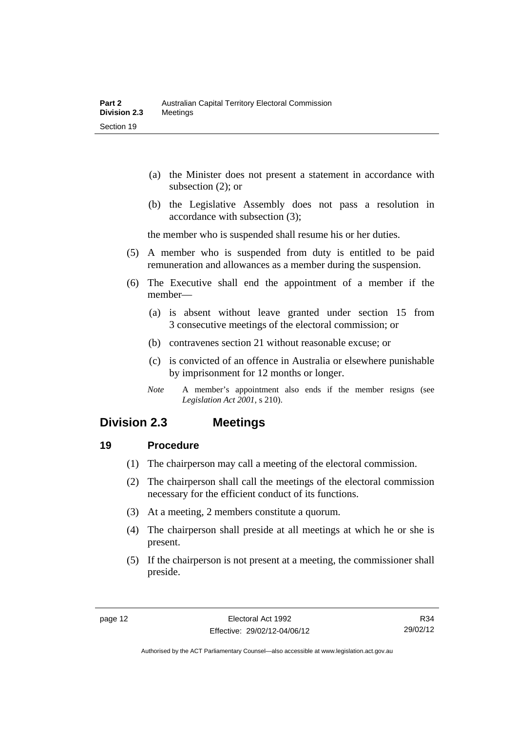- (a) the Minister does not present a statement in accordance with subsection (2); or
- (b) the Legislative Assembly does not pass a resolution in accordance with subsection (3);

the member who is suspended shall resume his or her duties.

- (5) A member who is suspended from duty is entitled to be paid remuneration and allowances as a member during the suspension.
- (6) The Executive shall end the appointment of a member if the member—
	- (a) is absent without leave granted under section 15 from 3 consecutive meetings of the electoral commission; or
	- (b) contravenes section 21 without reasonable excuse; or
	- (c) is convicted of an offence in Australia or elsewhere punishable by imprisonment for 12 months or longer.
	- *Note* A member's appointment also ends if the member resigns (see *Legislation Act 2001*, s 210).

# <span id="page-29-0"></span>**Division 2.3 Meetings**

# <span id="page-29-1"></span>**19 Procedure**

- (1) The chairperson may call a meeting of the electoral commission.
- (2) The chairperson shall call the meetings of the electoral commission necessary for the efficient conduct of its functions.
- (3) At a meeting, 2 members constitute a quorum.
- (4) The chairperson shall preside at all meetings at which he or she is present.
- (5) If the chairperson is not present at a meeting, the commissioner shall preside.

R34 29/02/12

Authorised by the ACT Parliamentary Counsel—also accessible at www.legislation.act.gov.au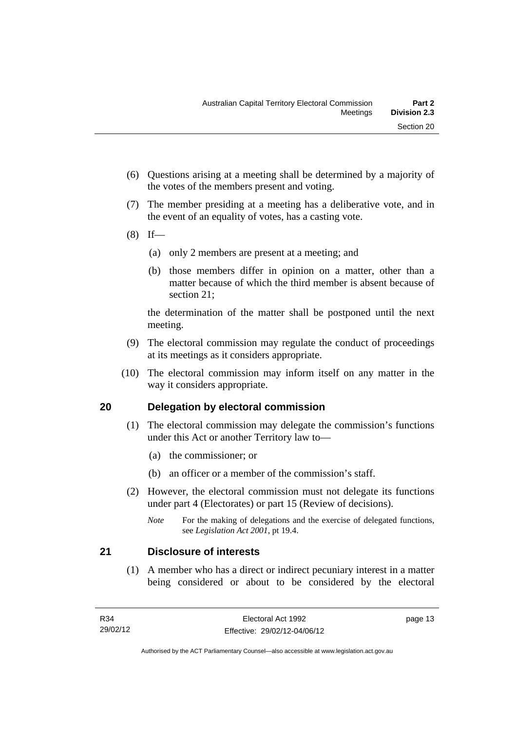- (6) Questions arising at a meeting shall be determined by a majority of the votes of the members present and voting.
- (7) The member presiding at a meeting has a deliberative vote, and in the event of an equality of votes, has a casting vote.
- $(8)$  If—
	- (a) only 2 members are present at a meeting; and
	- (b) those members differ in opinion on a matter, other than a matter because of which the third member is absent because of section 21;

the determination of the matter shall be postponed until the next meeting.

- (9) The electoral commission may regulate the conduct of proceedings at its meetings as it considers appropriate.
- (10) The electoral commission may inform itself on any matter in the way it considers appropriate.

# <span id="page-30-0"></span>**20 Delegation by electoral commission**

- (1) The electoral commission may delegate the commission's functions under this Act or another Territory law to—
	- (a) the commissioner; or
	- (b) an officer or a member of the commission's staff.
- (2) However, the electoral commission must not delegate its functions under part 4 (Electorates) or part 15 (Review of decisions).

# <span id="page-30-1"></span>**21 Disclosure of interests**

 (1) A member who has a direct or indirect pecuniary interest in a matter being considered or about to be considered by the electoral

page 13

*Note* For the making of delegations and the exercise of delegated functions, see *Legislation Act 2001*, pt 19.4.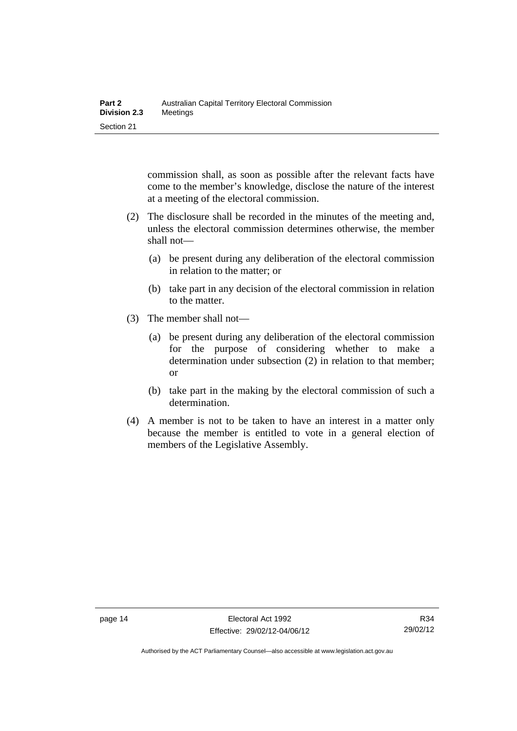commission shall, as soon as possible after the relevant facts have come to the member's knowledge, disclose the nature of the interest at a meeting of the electoral commission.

- (2) The disclosure shall be recorded in the minutes of the meeting and, unless the electoral commission determines otherwise, the member shall not—
	- (a) be present during any deliberation of the electoral commission in relation to the matter; or
	- (b) take part in any decision of the electoral commission in relation to the matter.
- (3) The member shall not—
	- (a) be present during any deliberation of the electoral commission for the purpose of considering whether to make a determination under subsection (2) in relation to that member; or
	- (b) take part in the making by the electoral commission of such a determination.
- (4) A member is not to be taken to have an interest in a matter only because the member is entitled to vote in a general election of members of the Legislative Assembly.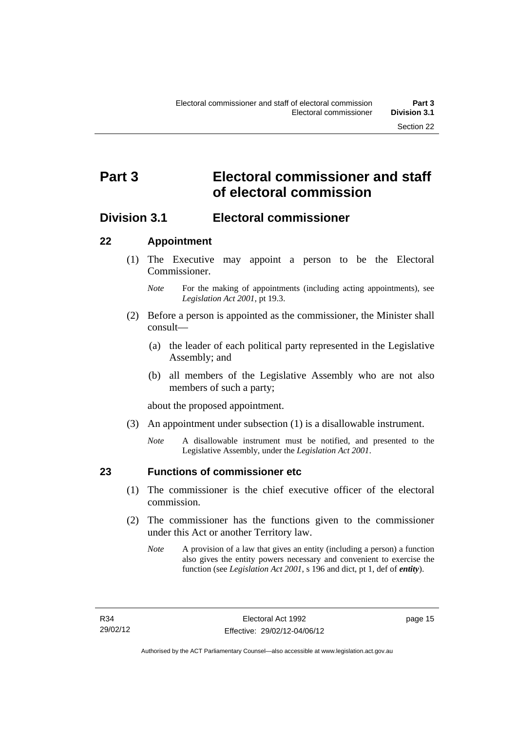# <span id="page-32-0"></span>**Part 3 Electoral commissioner and staff of electoral commission**

# <span id="page-32-1"></span>**Division 3.1 Electoral commissioner**

# <span id="page-32-2"></span>**22 Appointment**

- (1) The Executive may appoint a person to be the Electoral Commissioner.
	- *Note* For the making of appointments (including acting appointments), see *Legislation Act 2001*, pt 19.3.
- (2) Before a person is appointed as the commissioner, the Minister shall consult—
	- (a) the leader of each political party represented in the Legislative Assembly; and
	- (b) all members of the Legislative Assembly who are not also members of such a party;

about the proposed appointment.

- (3) An appointment under subsection (1) is a disallowable instrument.
	- *Note* A disallowable instrument must be notified, and presented to the Legislative Assembly, under the *Legislation Act 2001*.

<span id="page-32-3"></span>

# **23 Functions of commissioner etc**

- (1) The commissioner is the chief executive officer of the electoral commission.
- (2) The commissioner has the functions given to the commissioner under this Act or another Territory law.
	- *Note* A provision of a law that gives an entity (including a person) a function also gives the entity powers necessary and convenient to exercise the function (see *Legislation Act 2001*, s 196 and dict, pt 1, def of *entity*).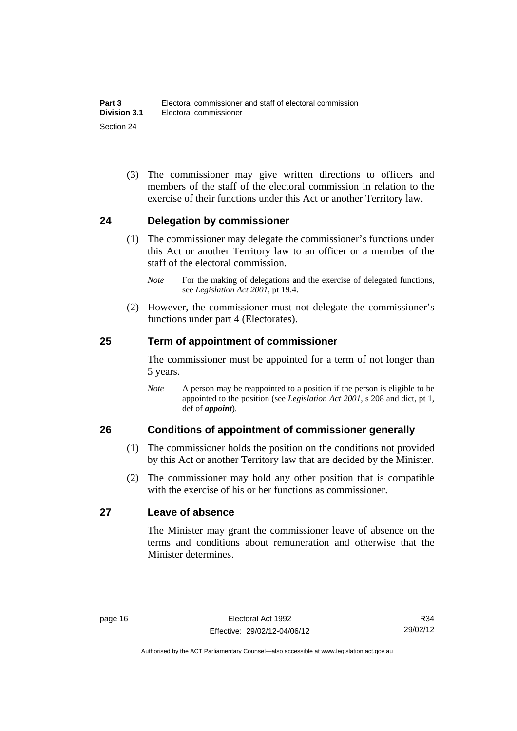(3) The commissioner may give written directions to officers and members of the staff of the electoral commission in relation to the exercise of their functions under this Act or another Territory law.

# <span id="page-33-0"></span>**24 Delegation by commissioner**

- (1) The commissioner may delegate the commissioner's functions under this Act or another Territory law to an officer or a member of the staff of the electoral commission.
	- *Note* For the making of delegations and the exercise of delegated functions, see *Legislation Act 2001*, pt 19.4.
- (2) However, the commissioner must not delegate the commissioner's functions under part 4 (Electorates).

# <span id="page-33-1"></span>**25 Term of appointment of commissioner**

The commissioner must be appointed for a term of not longer than 5 years.

*Note* A person may be reappointed to a position if the person is eligible to be appointed to the position (see *Legislation Act 2001*, s 208 and dict, pt 1, def of *appoint*).

# <span id="page-33-2"></span>**26 Conditions of appointment of commissioner generally**

- (1) The commissioner holds the position on the conditions not provided by this Act or another Territory law that are decided by the Minister.
- (2) The commissioner may hold any other position that is compatible with the exercise of his or her functions as commissioner.

# <span id="page-33-3"></span>**27 Leave of absence**

The Minister may grant the commissioner leave of absence on the terms and conditions about remuneration and otherwise that the Minister determines.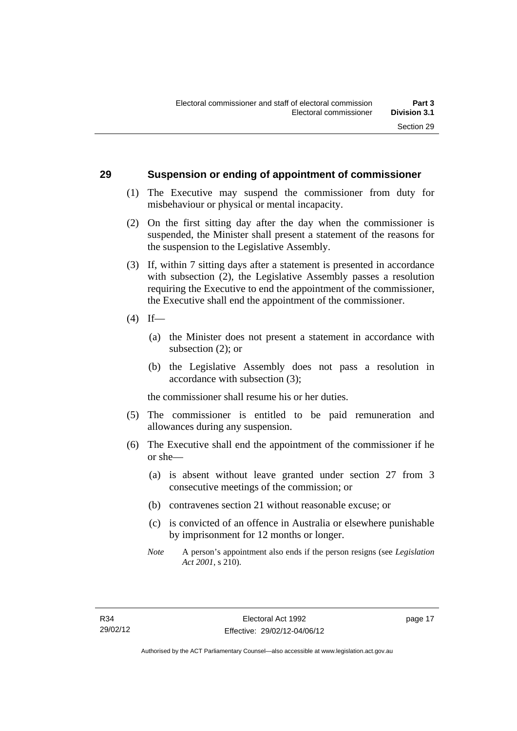### <span id="page-34-0"></span>**29 Suspension or ending of appointment of commissioner**

- (1) The Executive may suspend the commissioner from duty for misbehaviour or physical or mental incapacity.
- (2) On the first sitting day after the day when the commissioner is suspended, the Minister shall present a statement of the reasons for the suspension to the Legislative Assembly.
- (3) If, within 7 sitting days after a statement is presented in accordance with subsection (2), the Legislative Assembly passes a resolution requiring the Executive to end the appointment of the commissioner, the Executive shall end the appointment of the commissioner.
- $(4)$  If—
	- (a) the Minister does not present a statement in accordance with subsection (2); or
	- (b) the Legislative Assembly does not pass a resolution in accordance with subsection (3);

the commissioner shall resume his or her duties.

- (5) The commissioner is entitled to be paid remuneration and allowances during any suspension.
- (6) The Executive shall end the appointment of the commissioner if he or she—
	- (a) is absent without leave granted under section 27 from 3 consecutive meetings of the commission; or
	- (b) contravenes section 21 without reasonable excuse; or
	- (c) is convicted of an offence in Australia or elsewhere punishable by imprisonment for 12 months or longer.
	- *Note* A person's appointment also ends if the person resigns (see *Legislation Act 2001*, s 210).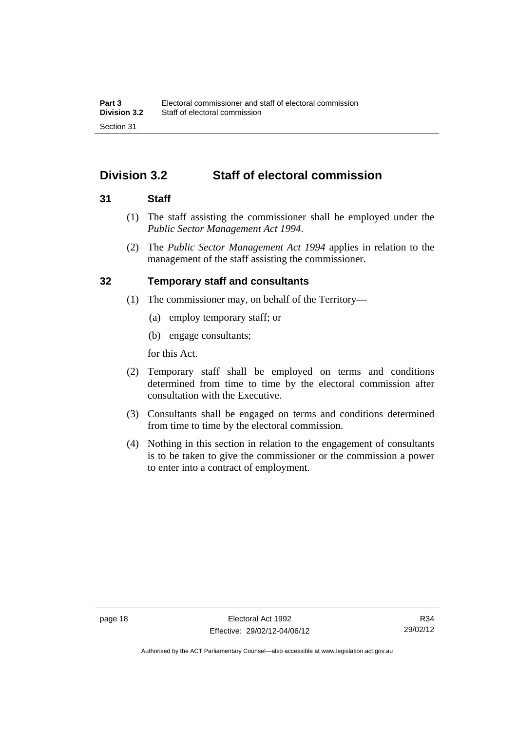# <span id="page-35-0"></span>**Division 3.2 Staff of electoral commission**

# <span id="page-35-1"></span>**31 Staff**

- (1) The staff assisting the commissioner shall be employed under the *Public Sector Management Act 1994*.
- (2) The *Public Sector Management Act 1994* applies in relation to the management of the staff assisting the commissioner.

# <span id="page-35-2"></span>**32 Temporary staff and consultants**

- (1) The commissioner may, on behalf of the Territory—
	- (a) employ temporary staff; or
	- (b) engage consultants;

for this Act.

- (2) Temporary staff shall be employed on terms and conditions determined from time to time by the electoral commission after consultation with the Executive.
- (3) Consultants shall be engaged on terms and conditions determined from time to time by the electoral commission.
- (4) Nothing in this section in relation to the engagement of consultants is to be taken to give the commissioner or the commission a power to enter into a contract of employment.

Authorised by the ACT Parliamentary Counsel—also accessible at www.legislation.act.gov.au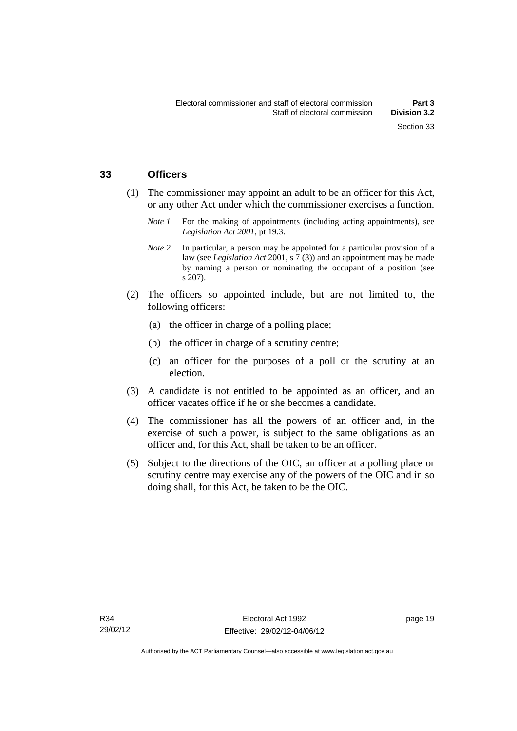#### **33 Officers**

- (1) The commissioner may appoint an adult to be an officer for this Act, or any other Act under which the commissioner exercises a function.
	- *Note 1* For the making of appointments (including acting appointments), see *Legislation Act 2001*, pt 19.3.
	- *Note* 2 In particular, a person may be appointed for a particular provision of a law (see *Legislation Act* 2001, s 7 (3)) and an appointment may be made by naming a person or nominating the occupant of a position (see s 207).
- (2) The officers so appointed include, but are not limited to, the following officers:
	- (a) the officer in charge of a polling place;
	- (b) the officer in charge of a scrutiny centre;
	- (c) an officer for the purposes of a poll or the scrutiny at an election.
- (3) A candidate is not entitled to be appointed as an officer, and an officer vacates office if he or she becomes a candidate.
- (4) The commissioner has all the powers of an officer and, in the exercise of such a power, is subject to the same obligations as an officer and, for this Act, shall be taken to be an officer.
- (5) Subject to the directions of the OIC, an officer at a polling place or scrutiny centre may exercise any of the powers of the OIC and in so doing shall, for this Act, be taken to be the OIC.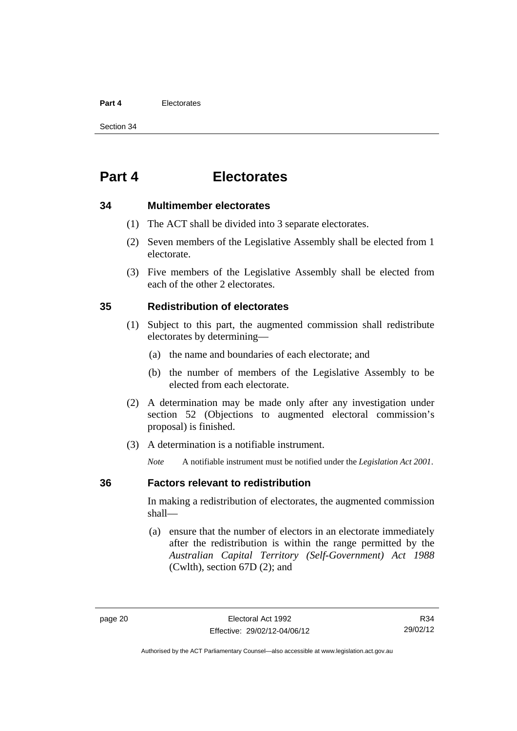#### **Part 4** Electorates

Section 34

# **Part 4 Electorates**

#### **34 Multimember electorates**

- (1) The ACT shall be divided into 3 separate electorates.
- (2) Seven members of the Legislative Assembly shall be elected from 1 electorate.
- (3) Five members of the Legislative Assembly shall be elected from each of the other 2 electorates.

#### **35 Redistribution of electorates**

- (1) Subject to this part, the augmented commission shall redistribute electorates by determining—
	- (a) the name and boundaries of each electorate; and
	- (b) the number of members of the Legislative Assembly to be elected from each electorate.
- (2) A determination may be made only after any investigation under section 52 (Objections to augmented electoral commission's proposal) is finished.
- (3) A determination is a notifiable instrument.

*Note* A notifiable instrument must be notified under the *Legislation Act 2001*.

#### **36 Factors relevant to redistribution**

In making a redistribution of electorates, the augmented commission shall—

 (a) ensure that the number of electors in an electorate immediately after the redistribution is within the range permitted by the *Australian Capital Territory (Self-Government) Act 1988*  (Cwlth), section 67D (2); and

Authorised by the ACT Parliamentary Counsel—also accessible at www.legislation.act.gov.au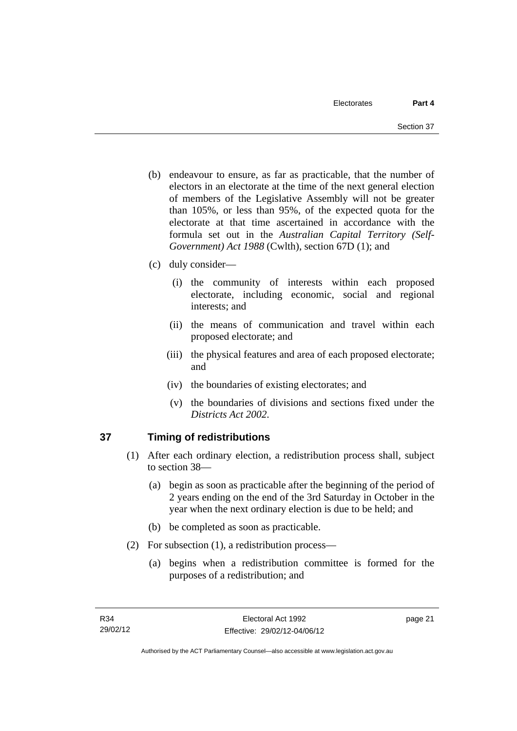- (b) endeavour to ensure, as far as practicable, that the number of electors in an electorate at the time of the next general election of members of the Legislative Assembly will not be greater than 105%, or less than 95%, of the expected quota for the electorate at that time ascertained in accordance with the formula set out in the *Australian Capital Territory (Self-Government) Act 1988* (Cwlth), section 67D (1); and
- (c) duly consider—
	- (i) the community of interests within each proposed electorate, including economic, social and regional interests; and
	- (ii) the means of communication and travel within each proposed electorate; and
	- (iii) the physical features and area of each proposed electorate; and
	- (iv) the boundaries of existing electorates; and
	- (v) the boundaries of divisions and sections fixed under the *Districts Act 2002*.

# **37 Timing of redistributions**

- (1) After each ordinary election, a redistribution process shall, subject to section 38—
	- (a) begin as soon as practicable after the beginning of the period of 2 years ending on the end of the 3rd Saturday in October in the year when the next ordinary election is due to be held; and
	- (b) be completed as soon as practicable.
- (2) For subsection (1), a redistribution process—
	- (a) begins when a redistribution committee is formed for the purposes of a redistribution; and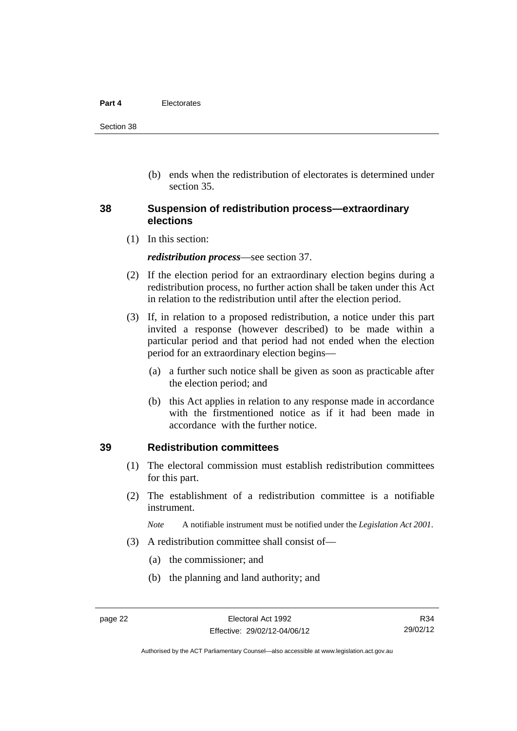#### **Part 4** Electorates

Section 38

 (b) ends when the redistribution of electorates is determined under section 35.

#### **38 Suspension of redistribution process—extraordinary elections**

(1) In this section:

*redistribution process*—see section 37.

- (2) If the election period for an extraordinary election begins during a redistribution process, no further action shall be taken under this Act in relation to the redistribution until after the election period.
- (3) If, in relation to a proposed redistribution, a notice under this part invited a response (however described) to be made within a particular period and that period had not ended when the election period for an extraordinary election begins—
	- (a) a further such notice shall be given as soon as practicable after the election period; and
	- (b) this Act applies in relation to any response made in accordance with the firstmentioned notice as if it had been made in accordance with the further notice.

#### **39 Redistribution committees**

- (1) The electoral commission must establish redistribution committees for this part.
- (2) The establishment of a redistribution committee is a notifiable instrument.

*Note* A notifiable instrument must be notified under the *Legislation Act 2001*.

- (3) A redistribution committee shall consist of—
	- (a) the commissioner; and
	- (b) the planning and land authority; and

Authorised by the ACT Parliamentary Counsel—also accessible at www.legislation.act.gov.au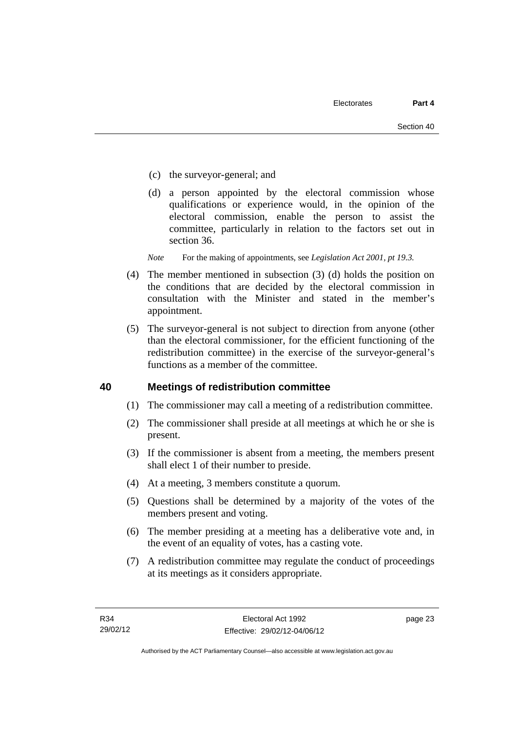- (c) the surveyor-general; and
- (d) a person appointed by the electoral commission whose qualifications or experience would, in the opinion of the electoral commission, enable the person to assist the committee, particularly in relation to the factors set out in section 36.
- *Note* For the making of appointments, see *Legislation Act 2001, pt 19.3.*
- (4) The member mentioned in subsection (3) (d) holds the position on the conditions that are decided by the electoral commission in consultation with the Minister and stated in the member's appointment.
- (5) The surveyor-general is not subject to direction from anyone (other than the electoral commissioner, for the efficient functioning of the redistribution committee) in the exercise of the surveyor-general's functions as a member of the committee.

#### **40 Meetings of redistribution committee**

- (1) The commissioner may call a meeting of a redistribution committee.
- (2) The commissioner shall preside at all meetings at which he or she is present.
- (3) If the commissioner is absent from a meeting, the members present shall elect 1 of their number to preside.
- (4) At a meeting, 3 members constitute a quorum.
- (5) Questions shall be determined by a majority of the votes of the members present and voting.
- (6) The member presiding at a meeting has a deliberative vote and, in the event of an equality of votes, has a casting vote.
- (7) A redistribution committee may regulate the conduct of proceedings at its meetings as it considers appropriate.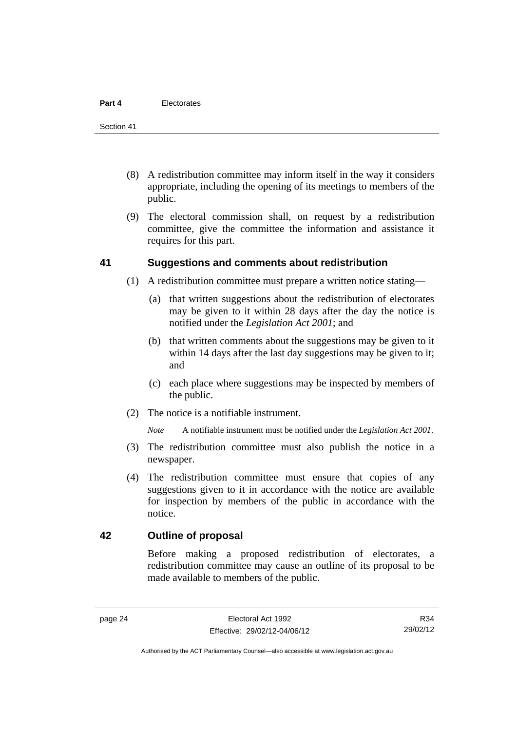- (8) A redistribution committee may inform itself in the way it considers appropriate, including the opening of its meetings to members of the public.
- (9) The electoral commission shall, on request by a redistribution committee, give the committee the information and assistance it requires for this part.

#### **41 Suggestions and comments about redistribution**

- (1) A redistribution committee must prepare a written notice stating—
	- (a) that written suggestions about the redistribution of electorates may be given to it within 28 days after the day the notice is notified under the *Legislation Act 2001*; and
	- (b) that written comments about the suggestions may be given to it within 14 days after the last day suggestions may be given to it; and
	- (c) each place where suggestions may be inspected by members of the public.
- (2) The notice is a notifiable instrument.

*Note* A notifiable instrument must be notified under the *Legislation Act 2001*.

- (3) The redistribution committee must also publish the notice in a newspaper.
- (4) The redistribution committee must ensure that copies of any suggestions given to it in accordance with the notice are available for inspection by members of the public in accordance with the notice.

#### **42 Outline of proposal**

Before making a proposed redistribution of electorates, a redistribution committee may cause an outline of its proposal to be made available to members of the public.

R34 29/02/12

Authorised by the ACT Parliamentary Counsel—also accessible at www.legislation.act.gov.au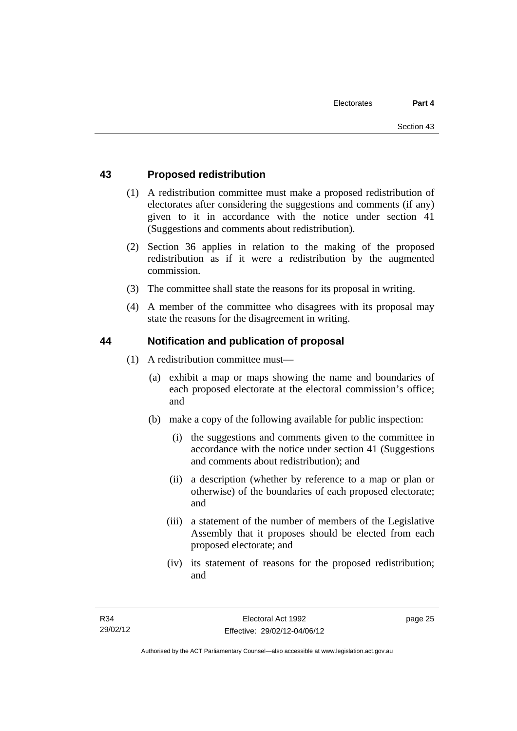#### **43 Proposed redistribution**

- (1) A redistribution committee must make a proposed redistribution of electorates after considering the suggestions and comments (if any) given to it in accordance with the notice under section 41 (Suggestions and comments about redistribution).
- (2) Section 36 applies in relation to the making of the proposed redistribution as if it were a redistribution by the augmented commission.
- (3) The committee shall state the reasons for its proposal in writing.
- (4) A member of the committee who disagrees with its proposal may state the reasons for the disagreement in writing.

#### **44 Notification and publication of proposal**

- (1) A redistribution committee must—
	- (a) exhibit a map or maps showing the name and boundaries of each proposed electorate at the electoral commission's office; and
	- (b) make a copy of the following available for public inspection:
		- (i) the suggestions and comments given to the committee in accordance with the notice under section 41 (Suggestions and comments about redistribution); and
		- (ii) a description (whether by reference to a map or plan or otherwise) of the boundaries of each proposed electorate; and
		- (iii) a statement of the number of members of the Legislative Assembly that it proposes should be elected from each proposed electorate; and
		- (iv) its statement of reasons for the proposed redistribution; and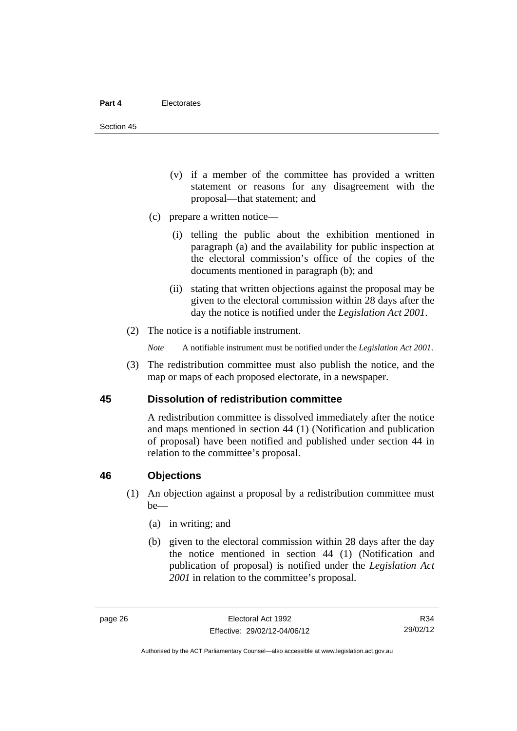Section 45

- (v) if a member of the committee has provided a written statement or reasons for any disagreement with the proposal—that statement; and
- (c) prepare a written notice—
	- (i) telling the public about the exhibition mentioned in paragraph (a) and the availability for public inspection at the electoral commission's office of the copies of the documents mentioned in paragraph (b); and
	- (ii) stating that written objections against the proposal may be given to the electoral commission within 28 days after the day the notice is notified under the *Legislation Act 2001*.
- (2) The notice is a notifiable instrument.

*Note* A notifiable instrument must be notified under the *Legislation Act 2001*.

 (3) The redistribution committee must also publish the notice, and the map or maps of each proposed electorate, in a newspaper.

#### **45 Dissolution of redistribution committee**

A redistribution committee is dissolved immediately after the notice and maps mentioned in section 44 (1) (Notification and publication of proposal) have been notified and published under section 44 in relation to the committee's proposal.

#### **46 Objections**

- (1) An objection against a proposal by a redistribution committee must be—
	- (a) in writing; and
	- (b) given to the electoral commission within 28 days after the day the notice mentioned in section 44 (1) (Notification and publication of proposal) is notified under the *Legislation Act 2001* in relation to the committee's proposal.

R34 29/02/12

Authorised by the ACT Parliamentary Counsel—also accessible at www.legislation.act.gov.au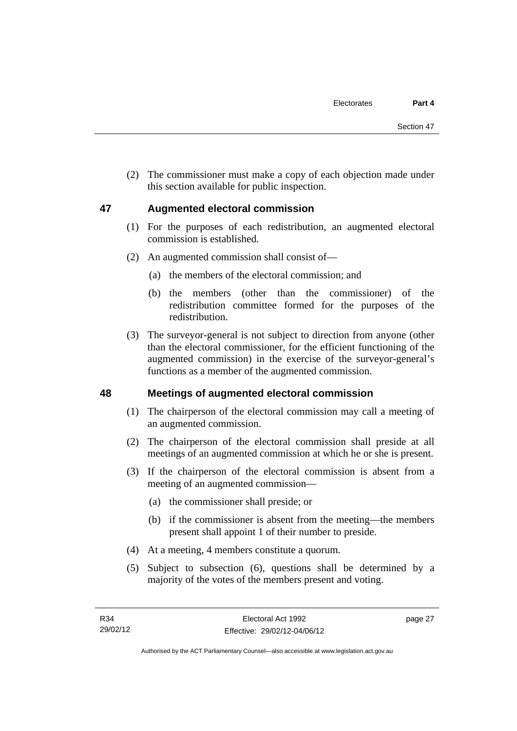(2) The commissioner must make a copy of each objection made under this section available for public inspection.

#### **47 Augmented electoral commission**

- (1) For the purposes of each redistribution, an augmented electoral commission is established.
- (2) An augmented commission shall consist of—
	- (a) the members of the electoral commission; and
	- (b) the members (other than the commissioner) of the redistribution committee formed for the purposes of the redistribution.
- (3) The surveyor-general is not subject to direction from anyone (other than the electoral commissioner, for the efficient functioning of the augmented commission) in the exercise of the surveyor-general's functions as a member of the augmented commission.

#### **48 Meetings of augmented electoral commission**

- (1) The chairperson of the electoral commission may call a meeting of an augmented commission.
- (2) The chairperson of the electoral commission shall preside at all meetings of an augmented commission at which he or she is present.
- (3) If the chairperson of the electoral commission is absent from a meeting of an augmented commission—
	- (a) the commissioner shall preside; or
	- (b) if the commissioner is absent from the meeting—the members present shall appoint 1 of their number to preside.
- (4) At a meeting, 4 members constitute a quorum.
- (5) Subject to subsection (6), questions shall be determined by a majority of the votes of the members present and voting.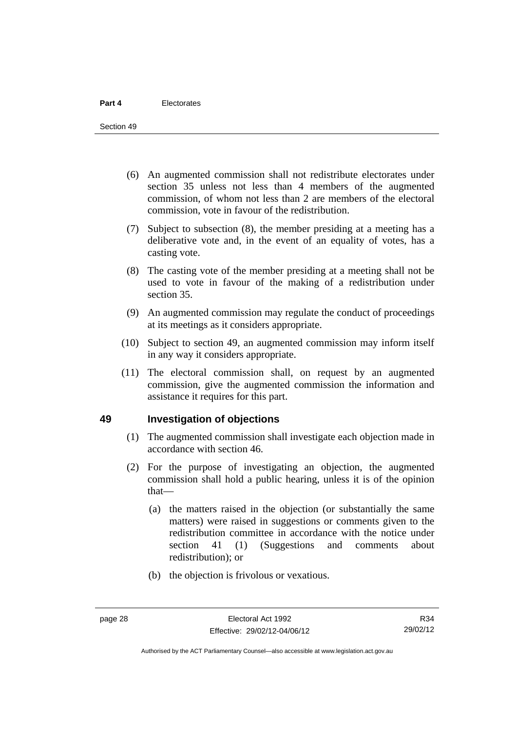- (6) An augmented commission shall not redistribute electorates under section 35 unless not less than 4 members of the augmented commission, of whom not less than 2 are members of the electoral commission, vote in favour of the redistribution.
- (7) Subject to subsection (8), the member presiding at a meeting has a deliberative vote and, in the event of an equality of votes, has a casting vote.
- (8) The casting vote of the member presiding at a meeting shall not be used to vote in favour of the making of a redistribution under section 35.
- (9) An augmented commission may regulate the conduct of proceedings at its meetings as it considers appropriate.
- (10) Subject to section 49, an augmented commission may inform itself in any way it considers appropriate.
- (11) The electoral commission shall, on request by an augmented commission, give the augmented commission the information and assistance it requires for this part.

#### **49 Investigation of objections**

- (1) The augmented commission shall investigate each objection made in accordance with section 46.
- (2) For the purpose of investigating an objection, the augmented commission shall hold a public hearing, unless it is of the opinion that—
	- (a) the matters raised in the objection (or substantially the same matters) were raised in suggestions or comments given to the redistribution committee in accordance with the notice under section 41 (1) (Suggestions and comments about redistribution); or
	- (b) the objection is frivolous or vexatious.

R34 29/02/12

Authorised by the ACT Parliamentary Counsel—also accessible at www.legislation.act.gov.au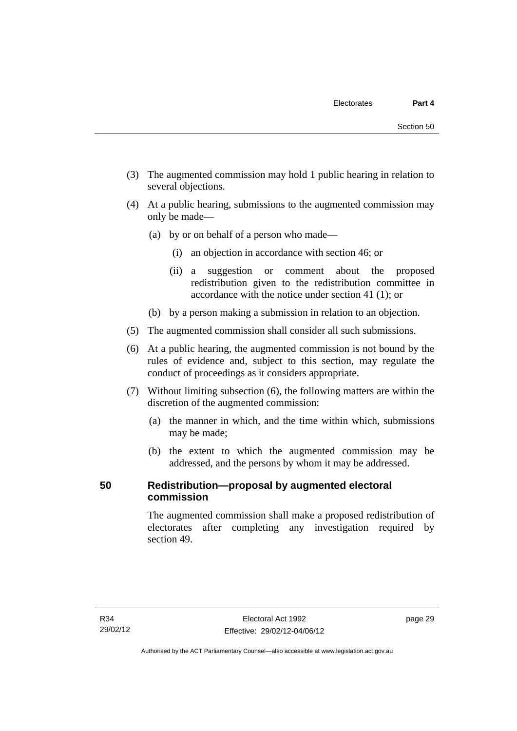- (3) The augmented commission may hold 1 public hearing in relation to several objections.
- (4) At a public hearing, submissions to the augmented commission may only be made—
	- (a) by or on behalf of a person who made—
		- (i) an objection in accordance with section 46; or
		- (ii) a suggestion or comment about the proposed redistribution given to the redistribution committee in accordance with the notice under section 41 (1); or
	- (b) by a person making a submission in relation to an objection.
- (5) The augmented commission shall consider all such submissions.
- (6) At a public hearing, the augmented commission is not bound by the rules of evidence and, subject to this section, may regulate the conduct of proceedings as it considers appropriate.
- (7) Without limiting subsection (6), the following matters are within the discretion of the augmented commission:
	- (a) the manner in which, and the time within which, submissions may be made;
	- (b) the extent to which the augmented commission may be addressed, and the persons by whom it may be addressed.

# **50 Redistribution—proposal by augmented electoral commission**

The augmented commission shall make a proposed redistribution of electorates after completing any investigation required by section 49.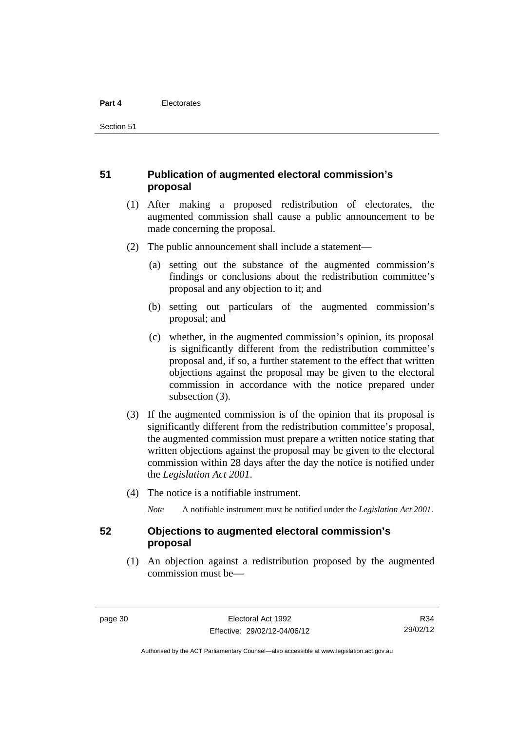Section 51

#### **51 Publication of augmented electoral commission's proposal**

- (1) After making a proposed redistribution of electorates, the augmented commission shall cause a public announcement to be made concerning the proposal.
- (2) The public announcement shall include a statement—
	- (a) setting out the substance of the augmented commission's findings or conclusions about the redistribution committee's proposal and any objection to it; and
	- (b) setting out particulars of the augmented commission's proposal; and
	- (c) whether, in the augmented commission's opinion, its proposal is significantly different from the redistribution committee's proposal and, if so, a further statement to the effect that written objections against the proposal may be given to the electoral commission in accordance with the notice prepared under subsection (3).
- (3) If the augmented commission is of the opinion that its proposal is significantly different from the redistribution committee's proposal, the augmented commission must prepare a written notice stating that written objections against the proposal may be given to the electoral commission within 28 days after the day the notice is notified under the *Legislation Act 2001*.
- (4) The notice is a notifiable instrument.

*Note* A notifiable instrument must be notified under the *Legislation Act 2001*.

#### **52 Objections to augmented electoral commission's proposal**

 (1) An objection against a redistribution proposed by the augmented commission must be—

R34 29/02/12

Authorised by the ACT Parliamentary Counsel—also accessible at www.legislation.act.gov.au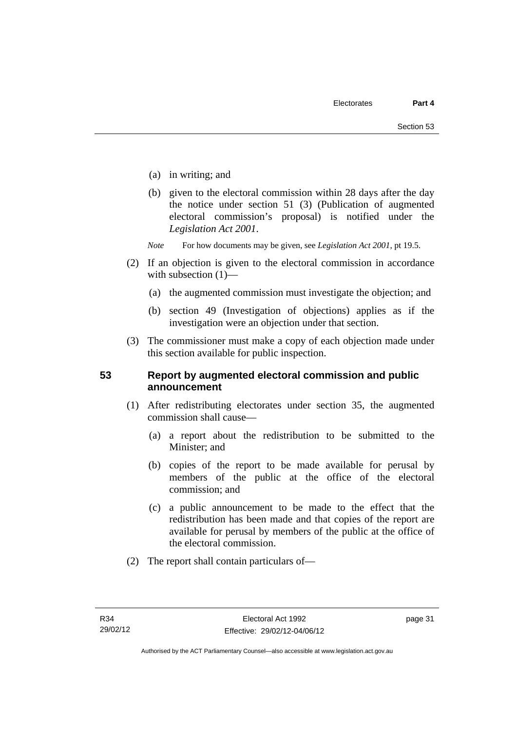- (a) in writing; and
- (b) given to the electoral commission within 28 days after the day the notice under section 51 (3) (Publication of augmented electoral commission's proposal) is notified under the *Legislation Act 2001*.
- *Note* For how documents may be given, see *Legislation Act 2001*, pt 19.5.
- (2) If an objection is given to the electoral commission in accordance with subsection  $(1)$ —
	- (a) the augmented commission must investigate the objection; and
	- (b) section 49 (Investigation of objections) applies as if the investigation were an objection under that section.
- (3) The commissioner must make a copy of each objection made under this section available for public inspection.

#### **53 Report by augmented electoral commission and public announcement**

- (1) After redistributing electorates under section 35, the augmented commission shall cause—
	- (a) a report about the redistribution to be submitted to the Minister; and
	- (b) copies of the report to be made available for perusal by members of the public at the office of the electoral commission; and
	- (c) a public announcement to be made to the effect that the redistribution has been made and that copies of the report are available for perusal by members of the public at the office of the electoral commission.
- (2) The report shall contain particulars of—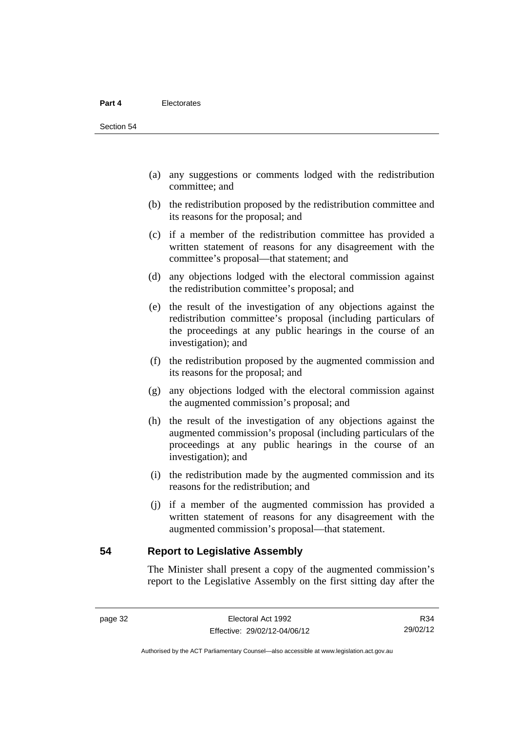- (a) any suggestions or comments lodged with the redistribution committee; and
- (b) the redistribution proposed by the redistribution committee and its reasons for the proposal; and
- (c) if a member of the redistribution committee has provided a written statement of reasons for any disagreement with the committee's proposal—that statement; and
- (d) any objections lodged with the electoral commission against the redistribution committee's proposal; and
- (e) the result of the investigation of any objections against the redistribution committee's proposal (including particulars of the proceedings at any public hearings in the course of an investigation); and
- (f) the redistribution proposed by the augmented commission and its reasons for the proposal; and
- (g) any objections lodged with the electoral commission against the augmented commission's proposal; and
- (h) the result of the investigation of any objections against the augmented commission's proposal (including particulars of the proceedings at any public hearings in the course of an investigation); and
- (i) the redistribution made by the augmented commission and its reasons for the redistribution; and
- (j) if a member of the augmented commission has provided a written statement of reasons for any disagreement with the augmented commission's proposal—that statement.

**54 Report to Legislative Assembly** 

The Minister shall present a copy of the augmented commission's report to the Legislative Assembly on the first sitting day after the

R34 29/02/12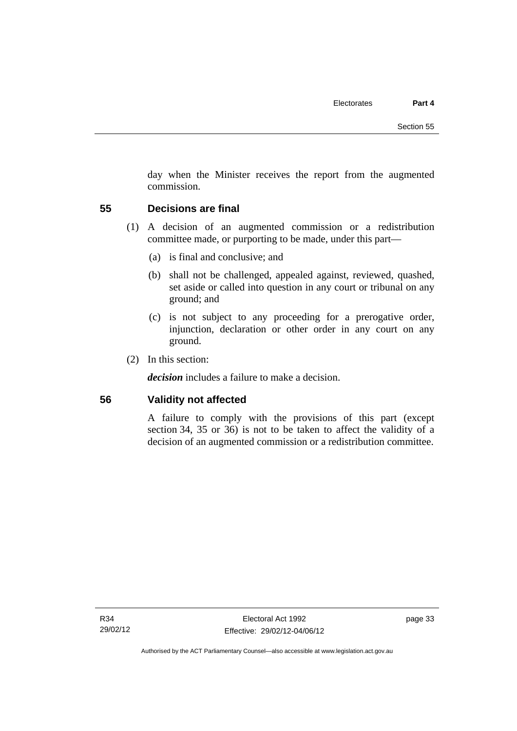day when the Minister receives the report from the augmented commission.

#### **55 Decisions are final**

- (1) A decision of an augmented commission or a redistribution committee made, or purporting to be made, under this part—
	- (a) is final and conclusive; and
	- (b) shall not be challenged, appealed against, reviewed, quashed, set aside or called into question in any court or tribunal on any ground; and
	- (c) is not subject to any proceeding for a prerogative order, injunction, declaration or other order in any court on any ground.
- (2) In this section:

*decision* includes a failure to make a decision.

#### **56 Validity not affected**

A failure to comply with the provisions of this part (except section 34, 35 or 36) is not to be taken to affect the validity of a decision of an augmented commission or a redistribution committee.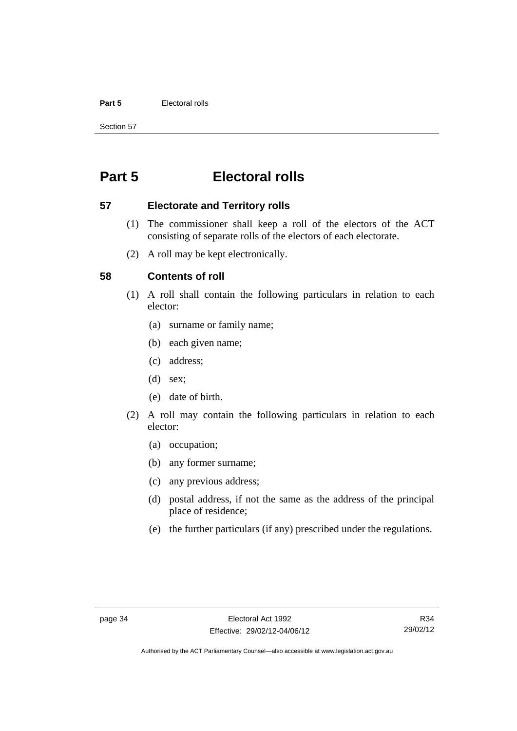#### **Part 5** Electoral rolls

Section 57

# **Part 5 Electoral rolls**

#### **57 Electorate and Territory rolls**

- (1) The commissioner shall keep a roll of the electors of the ACT consisting of separate rolls of the electors of each electorate.
- (2) A roll may be kept electronically.

#### **58 Contents of roll**

- (1) A roll shall contain the following particulars in relation to each elector:
	- (a) surname or family name;
	- (b) each given name;
	- (c) address;
	- (d) sex;
	- (e) date of birth.
- (2) A roll may contain the following particulars in relation to each elector:
	- (a) occupation;
	- (b) any former surname;
	- (c) any previous address;
	- (d) postal address, if not the same as the address of the principal place of residence;
	- (e) the further particulars (if any) prescribed under the regulations.

Authorised by the ACT Parliamentary Counsel—also accessible at www.legislation.act.gov.au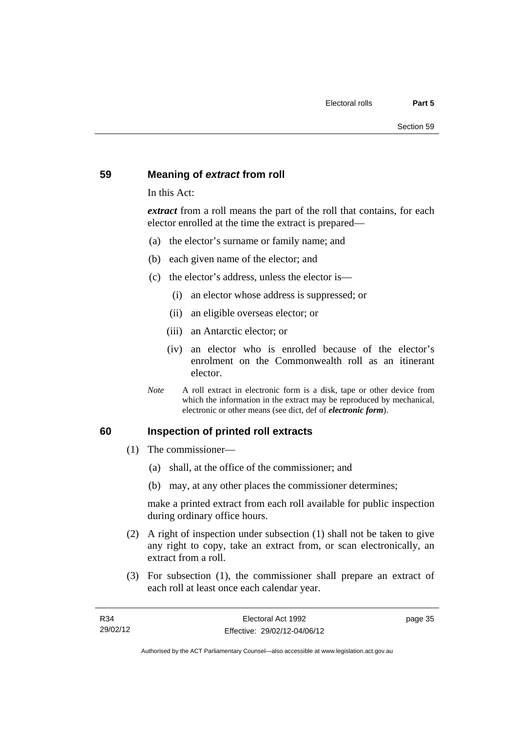#### **59 Meaning of** *extract* **from roll**

In this Act:

*extract* from a roll means the part of the roll that contains, for each elector enrolled at the time the extract is prepared—

- (a) the elector's surname or family name; and
- (b) each given name of the elector; and
- (c) the elector's address, unless the elector is—
	- (i) an elector whose address is suppressed; or
	- (ii) an eligible overseas elector; or
	- (iii) an Antarctic elector; or
	- (iv) an elector who is enrolled because of the elector's enrolment on the Commonwealth roll as an itinerant elector.
- *Note* A roll extract in electronic form is a disk, tape or other device from which the information in the extract may be reproduced by mechanical, electronic or other means (see dict, def of *electronic form*).

#### **60 Inspection of printed roll extracts**

- (1) The commissioner—
	- (a) shall, at the office of the commissioner; and
	- (b) may, at any other places the commissioner determines;

make a printed extract from each roll available for public inspection during ordinary office hours.

- (2) A right of inspection under subsection (1) shall not be taken to give any right to copy, take an extract from, or scan electronically, an extract from a roll.
- (3) For subsection (1), the commissioner shall prepare an extract of each roll at least once each calendar year.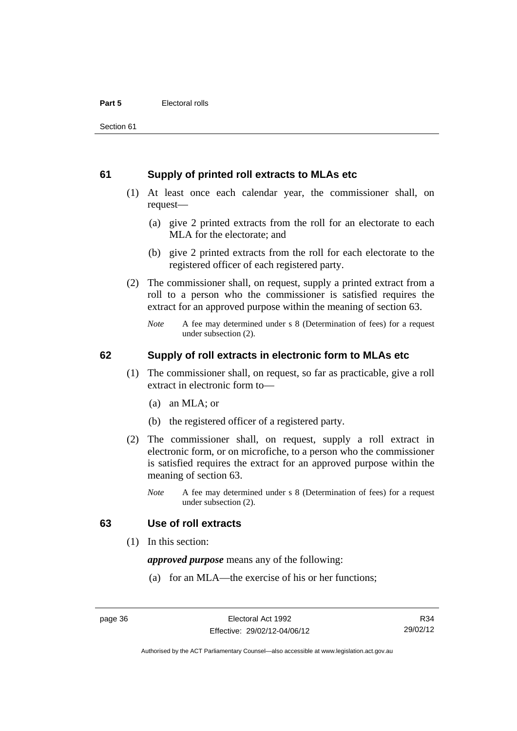#### **61 Supply of printed roll extracts to MLAs etc**

- (1) At least once each calendar year, the commissioner shall, on request—
	- (a) give 2 printed extracts from the roll for an electorate to each MLA for the electorate; and
	- (b) give 2 printed extracts from the roll for each electorate to the registered officer of each registered party.
- (2) The commissioner shall, on request, supply a printed extract from a roll to a person who the commissioner is satisfied requires the extract for an approved purpose within the meaning of section 63.
	- *Note* A fee may determined under s 8 (Determination of fees) for a request under subsection (2).

#### **62 Supply of roll extracts in electronic form to MLAs etc**

- (1) The commissioner shall, on request, so far as practicable, give a roll extract in electronic form to—
	- (a) an MLA; or
	- (b) the registered officer of a registered party.
- (2) The commissioner shall, on request, supply a roll extract in electronic form, or on microfiche, to a person who the commissioner is satisfied requires the extract for an approved purpose within the meaning of section 63.
	- *Note* A fee may determined under s 8 (Determination of fees) for a request under subsection (2).

#### **63 Use of roll extracts**

(1) In this section:

*approved purpose* means any of the following:

(a) for an MLA—the exercise of his or her functions;

R34 29/02/12

Authorised by the ACT Parliamentary Counsel—also accessible at www.legislation.act.gov.au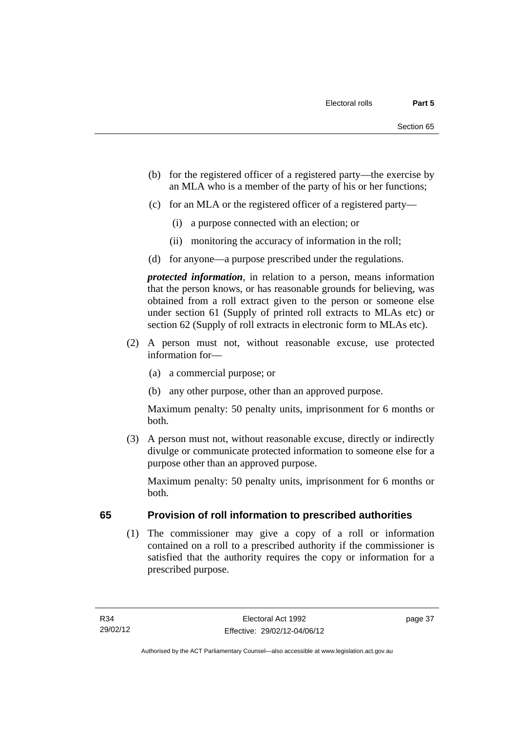- (b) for the registered officer of a registered party—the exercise by an MLA who is a member of the party of his or her functions;
- (c) for an MLA or the registered officer of a registered party—
	- (i) a purpose connected with an election; or
	- (ii) monitoring the accuracy of information in the roll;
- (d) for anyone—a purpose prescribed under the regulations.

*protected information*, in relation to a person, means information that the person knows, or has reasonable grounds for believing, was obtained from a roll extract given to the person or someone else under section 61 (Supply of printed roll extracts to MLAs etc) or section 62 (Supply of roll extracts in electronic form to MLAs etc).

- (2) A person must not, without reasonable excuse, use protected information for—
	- (a) a commercial purpose; or
	- (b) any other purpose, other than an approved purpose.

Maximum penalty: 50 penalty units, imprisonment for 6 months or both.

 (3) A person must not, without reasonable excuse, directly or indirectly divulge or communicate protected information to someone else for a purpose other than an approved purpose.

Maximum penalty: 50 penalty units, imprisonment for 6 months or both.

# **65 Provision of roll information to prescribed authorities**

 (1) The commissioner may give a copy of a roll or information contained on a roll to a prescribed authority if the commissioner is satisfied that the authority requires the copy or information for a prescribed purpose.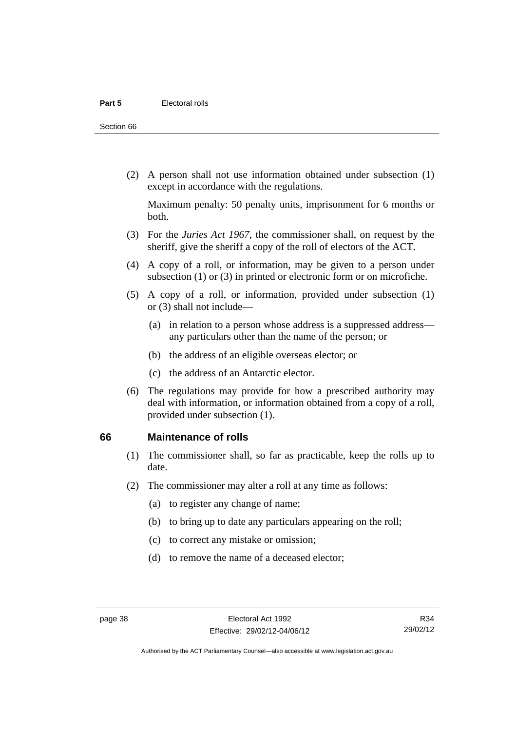Section 66

 (2) A person shall not use information obtained under subsection (1) except in accordance with the regulations.

Maximum penalty: 50 penalty units, imprisonment for 6 months or both.

- (3) For the *Juries Act 1967*, the commissioner shall, on request by the sheriff, give the sheriff a copy of the roll of electors of the ACT.
- (4) A copy of a roll, or information, may be given to a person under subsection (1) or (3) in printed or electronic form or on microfiche.
- (5) A copy of a roll, or information, provided under subsection (1) or (3) shall not include—
	- (a) in relation to a person whose address is a suppressed address any particulars other than the name of the person; or
	- (b) the address of an eligible overseas elector; or
	- (c) the address of an Antarctic elector.
- (6) The regulations may provide for how a prescribed authority may deal with information, or information obtained from a copy of a roll, provided under subsection (1).

#### **66 Maintenance of rolls**

- (1) The commissioner shall, so far as practicable, keep the rolls up to date.
- (2) The commissioner may alter a roll at any time as follows:
	- (a) to register any change of name;
	- (b) to bring up to date any particulars appearing on the roll;
	- (c) to correct any mistake or omission;
	- (d) to remove the name of a deceased elector;

Authorised by the ACT Parliamentary Counsel—also accessible at www.legislation.act.gov.au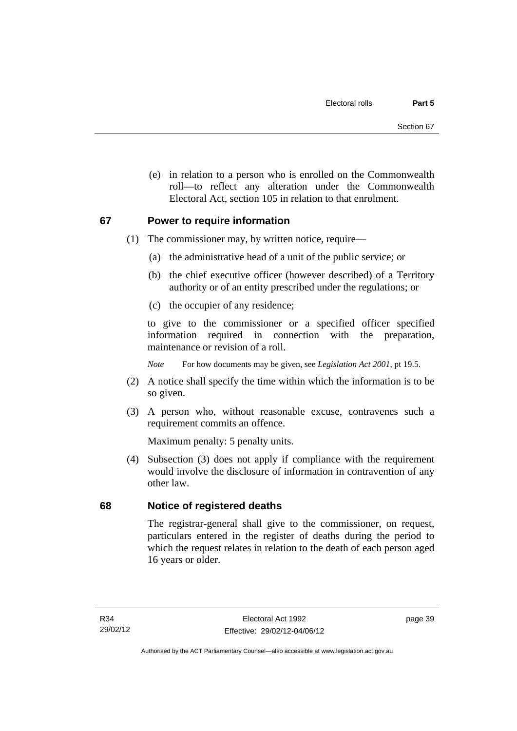(e) in relation to a person who is enrolled on the Commonwealth roll—to reflect any alteration under the Commonwealth Electoral Act, section 105 in relation to that enrolment.

#### **67 Power to require information**

- (1) The commissioner may, by written notice, require—
	- (a) the administrative head of a unit of the public service; or
	- (b) the chief executive officer (however described) of a Territory authority or of an entity prescribed under the regulations; or
	- (c) the occupier of any residence;

to give to the commissioner or a specified officer specified information required in connection with the preparation, maintenance or revision of a roll.

*Note* For how documents may be given, see *Legislation Act 2001*, pt 19.5.

- (2) A notice shall specify the time within which the information is to be so given.
- (3) A person who, without reasonable excuse, contravenes such a requirement commits an offence.

Maximum penalty: 5 penalty units.

 (4) Subsection (3) does not apply if compliance with the requirement would involve the disclosure of information in contravention of any other law.

#### **68 Notice of registered deaths**

The registrar-general shall give to the commissioner, on request, particulars entered in the register of deaths during the period to which the request relates in relation to the death of each person aged 16 years or older.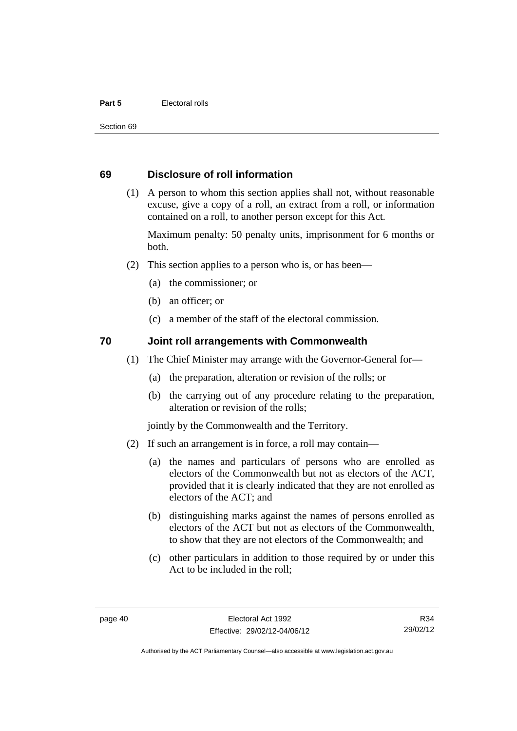#### **Part 5 Electoral rolls**

Section 69

#### **69 Disclosure of roll information**

 (1) A person to whom this section applies shall not, without reasonable excuse, give a copy of a roll, an extract from a roll, or information contained on a roll, to another person except for this Act.

Maximum penalty: 50 penalty units, imprisonment for 6 months or both.

- (2) This section applies to a person who is, or has been—
	- (a) the commissioner; or
	- (b) an officer; or
	- (c) a member of the staff of the electoral commission.

#### **70 Joint roll arrangements with Commonwealth**

- (1) The Chief Minister may arrange with the Governor-General for—
	- (a) the preparation, alteration or revision of the rolls; or
	- (b) the carrying out of any procedure relating to the preparation, alteration or revision of the rolls;

jointly by the Commonwealth and the Territory.

- (2) If such an arrangement is in force, a roll may contain—
	- (a) the names and particulars of persons who are enrolled as electors of the Commonwealth but not as electors of the ACT, provided that it is clearly indicated that they are not enrolled as electors of the ACT; and
	- (b) distinguishing marks against the names of persons enrolled as electors of the ACT but not as electors of the Commonwealth, to show that they are not electors of the Commonwealth; and
	- (c) other particulars in addition to those required by or under this Act to be included in the roll;

R34 29/02/12

Authorised by the ACT Parliamentary Counsel—also accessible at www.legislation.act.gov.au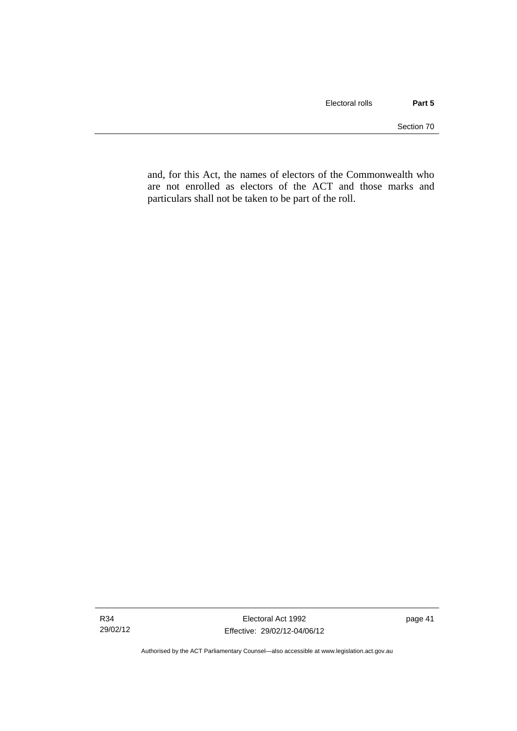and, for this Act, the names of electors of the Commonwealth who are not enrolled as electors of the ACT and those marks and particulars shall not be taken to be part of the roll.

Authorised by the ACT Parliamentary Counsel—also accessible at www.legislation.act.gov.au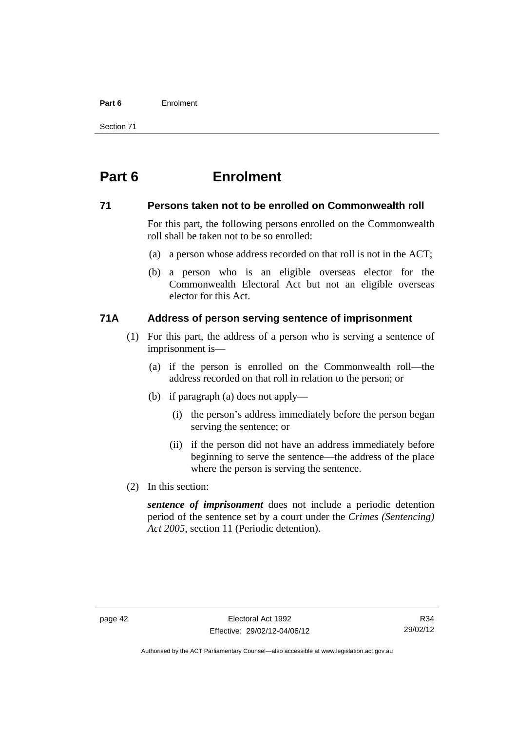#### **Part 6** Enrolment

Section 71

# **Part 6 Enrolment**

#### **71 Persons taken not to be enrolled on Commonwealth roll**

For this part, the following persons enrolled on the Commonwealth roll shall be taken not to be so enrolled:

- (a) a person whose address recorded on that roll is not in the ACT;
- (b) a person who is an eligible overseas elector for the Commonwealth Electoral Act but not an eligible overseas elector for this Act.

# **71A Address of person serving sentence of imprisonment**

- (1) For this part, the address of a person who is serving a sentence of imprisonment is—
	- (a) if the person is enrolled on the Commonwealth roll—the address recorded on that roll in relation to the person; or
	- (b) if paragraph (a) does not apply—
		- (i) the person's address immediately before the person began serving the sentence; or
		- (ii) if the person did not have an address immediately before beginning to serve the sentence—the address of the place where the person is serving the sentence.
- (2) In this section:

*sentence of imprisonment* does not include a periodic detention period of the sentence set by a court under the *Crimes (Sentencing) Act 2005*, section 11 (Periodic detention).

Authorised by the ACT Parliamentary Counsel—also accessible at www.legislation.act.gov.au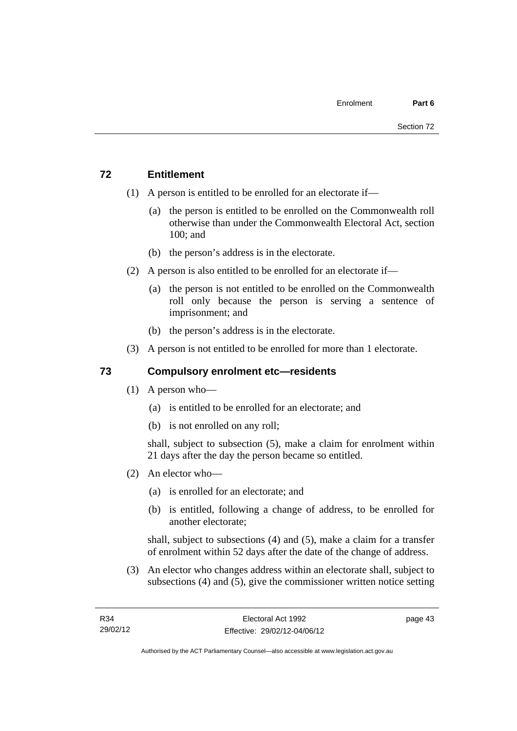# **72 Entitlement**

- (1) A person is entitled to be enrolled for an electorate if—
	- (a) the person is entitled to be enrolled on the Commonwealth roll otherwise than under the Commonwealth Electoral Act, section 100; and
	- (b) the person's address is in the electorate.
- (2) A person is also entitled to be enrolled for an electorate if—
	- (a) the person is not entitled to be enrolled on the Commonwealth roll only because the person is serving a sentence of imprisonment; and
	- (b) the person's address is in the electorate.
- (3) A person is not entitled to be enrolled for more than 1 electorate.

# **73 Compulsory enrolment etc—residents**

- (1) A person who—
	- (a) is entitled to be enrolled for an electorate; and
	- (b) is not enrolled on any roll;

shall, subject to subsection (5), make a claim for enrolment within 21 days after the day the person became so entitled.

- (2) An elector who—
	- (a) is enrolled for an electorate; and
	- (b) is entitled, following a change of address, to be enrolled for another electorate;

shall, subject to subsections (4) and (5), make a claim for a transfer of enrolment within 52 days after the date of the change of address.

 (3) An elector who changes address within an electorate shall, subject to subsections (4) and (5), give the commissioner written notice setting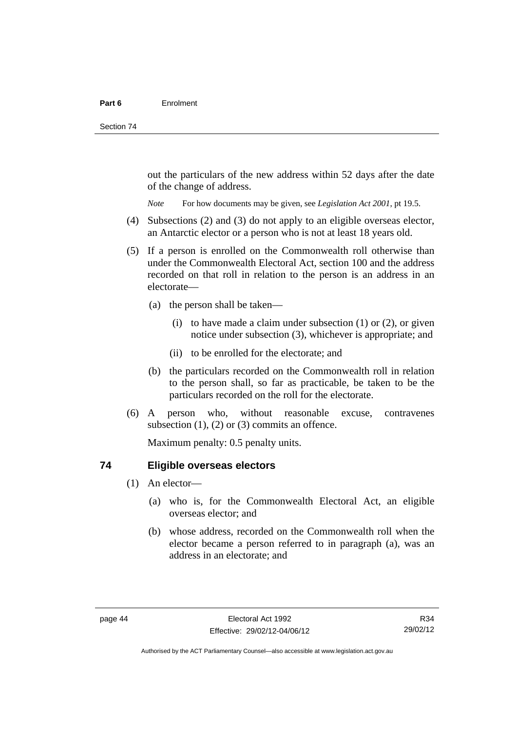out the particulars of the new address within 52 days after the date of the change of address.

*Note* For how documents may be given, see *Legislation Act 2001*, pt 19.5.

- (4) Subsections (2) and (3) do not apply to an eligible overseas elector, an Antarctic elector or a person who is not at least 18 years old.
- (5) If a person is enrolled on the Commonwealth roll otherwise than under the Commonwealth Electoral Act, section 100 and the address recorded on that roll in relation to the person is an address in an electorate—
	- (a) the person shall be taken—
		- (i) to have made a claim under subsection  $(1)$  or  $(2)$ , or given notice under subsection (3), whichever is appropriate; and
		- (ii) to be enrolled for the electorate; and
	- (b) the particulars recorded on the Commonwealth roll in relation to the person shall, so far as practicable, be taken to be the particulars recorded on the roll for the electorate.
- (6) A person who, without reasonable excuse, contravenes subsection  $(1)$ ,  $(2)$  or  $(3)$  commits an offence.

Maximum penalty: 0.5 penalty units.

#### **74 Eligible overseas electors**

- (1) An elector—
	- (a) who is, for the Commonwealth Electoral Act, an eligible overseas elector; and
	- (b) whose address, recorded on the Commonwealth roll when the elector became a person referred to in paragraph (a), was an address in an electorate; and

R34 29/02/12

Authorised by the ACT Parliamentary Counsel—also accessible at www.legislation.act.gov.au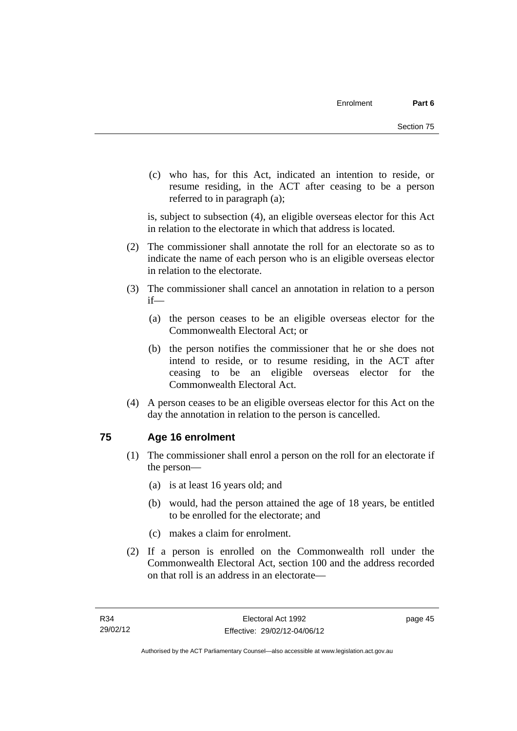(c) who has, for this Act, indicated an intention to reside, or resume residing, in the ACT after ceasing to be a person referred to in paragraph (a);

is, subject to subsection (4), an eligible overseas elector for this Act in relation to the electorate in which that address is located.

- (2) The commissioner shall annotate the roll for an electorate so as to indicate the name of each person who is an eligible overseas elector in relation to the electorate.
- (3) The commissioner shall cancel an annotation in relation to a person if—
	- (a) the person ceases to be an eligible overseas elector for the Commonwealth Electoral Act; or
	- (b) the person notifies the commissioner that he or she does not intend to reside, or to resume residing, in the ACT after ceasing to be an eligible overseas elector for the Commonwealth Electoral Act.
- (4) A person ceases to be an eligible overseas elector for this Act on the day the annotation in relation to the person is cancelled.

# **75 Age 16 enrolment**

- (1) The commissioner shall enrol a person on the roll for an electorate if the person—
	- (a) is at least 16 years old; and
	- (b) would, had the person attained the age of 18 years, be entitled to be enrolled for the electorate; and
	- (c) makes a claim for enrolment.
- (2) If a person is enrolled on the Commonwealth roll under the Commonwealth Electoral Act, section 100 and the address recorded on that roll is an address in an electorate—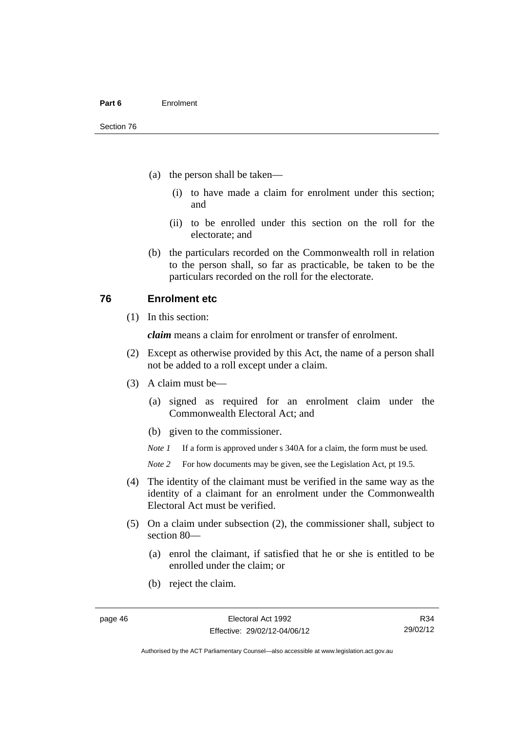- (a) the person shall be taken—
	- (i) to have made a claim for enrolment under this section; and
	- (ii) to be enrolled under this section on the roll for the electorate; and
- (b) the particulars recorded on the Commonwealth roll in relation to the person shall, so far as practicable, be taken to be the particulars recorded on the roll for the electorate.

#### **76 Enrolment etc**

(1) In this section:

*claim* means a claim for enrolment or transfer of enrolment.

- (2) Except as otherwise provided by this Act, the name of a person shall not be added to a roll except under a claim.
- (3) A claim must be—
	- (a) signed as required for an enrolment claim under the Commonwealth Electoral Act; and
	- (b) given to the commissioner.

*Note 1* If a form is approved under s 340A for a claim, the form must be used.

- *Note* 2 For how documents may be given, see the Legislation Act, pt 19.5.
- (4) The identity of the claimant must be verified in the same way as the identity of a claimant for an enrolment under the Commonwealth Electoral Act must be verified.
- (5) On a claim under subsection (2), the commissioner shall, subject to section 80—
	- (a) enrol the claimant, if satisfied that he or she is entitled to be enrolled under the claim; or
	- (b) reject the claim.

R34 29/02/12

Authorised by the ACT Parliamentary Counsel—also accessible at www.legislation.act.gov.au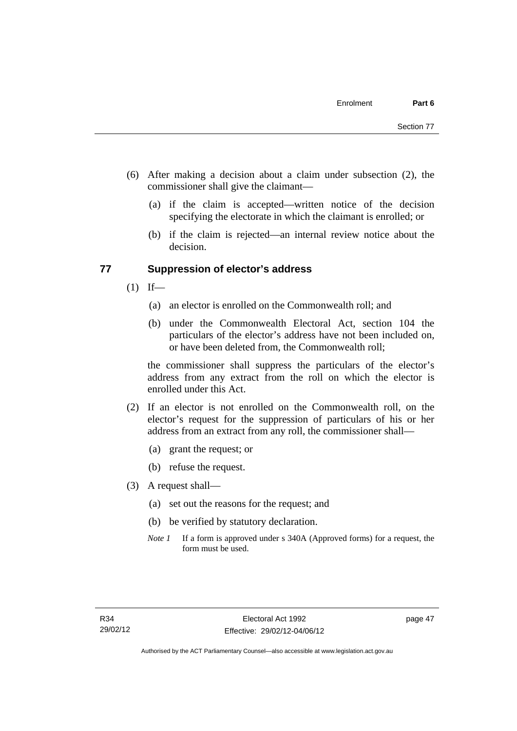- (6) After making a decision about a claim under subsection (2), the commissioner shall give the claimant—
	- (a) if the claim is accepted—written notice of the decision specifying the electorate in which the claimant is enrolled; or
	- (b) if the claim is rejected—an internal review notice about the decision.

#### **77 Suppression of elector's address**

- $(1)$  If—
	- (a) an elector is enrolled on the Commonwealth roll; and
	- (b) under the Commonwealth Electoral Act, section 104 the particulars of the elector's address have not been included on, or have been deleted from, the Commonwealth roll;

the commissioner shall suppress the particulars of the elector's address from any extract from the roll on which the elector is enrolled under this Act.

- (2) If an elector is not enrolled on the Commonwealth roll, on the elector's request for the suppression of particulars of his or her address from an extract from any roll, the commissioner shall—
	- (a) grant the request; or
	- (b) refuse the request.
- (3) A request shall—
	- (a) set out the reasons for the request; and
	- (b) be verified by statutory declaration.
	- *Note 1* If a form is approved under s 340A (Approved forms) for a request, the form must be used.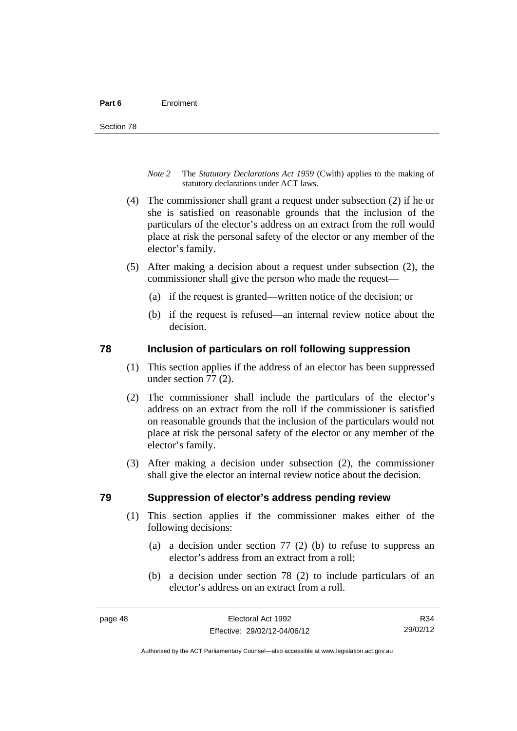- *Note 2* The *Statutory Declarations Act 1959* (Cwlth) applies to the making of statutory declarations under ACT laws.
- (4) The commissioner shall grant a request under subsection (2) if he or she is satisfied on reasonable grounds that the inclusion of the particulars of the elector's address on an extract from the roll would place at risk the personal safety of the elector or any member of the elector's family.
- (5) After making a decision about a request under subsection (2), the commissioner shall give the person who made the request—
	- (a) if the request is granted—written notice of the decision; or
	- (b) if the request is refused—an internal review notice about the decision.

#### **78 Inclusion of particulars on roll following suppression**

- (1) This section applies if the address of an elector has been suppressed under section 77 (2).
- (2) The commissioner shall include the particulars of the elector's address on an extract from the roll if the commissioner is satisfied on reasonable grounds that the inclusion of the particulars would not place at risk the personal safety of the elector or any member of the elector's family.
- (3) After making a decision under subsection (2), the commissioner shall give the elector an internal review notice about the decision.

#### **79 Suppression of elector's address pending review**

- (1) This section applies if the commissioner makes either of the following decisions:
	- (a) a decision under section 77 (2) (b) to refuse to suppress an elector's address from an extract from a roll;
	- (b) a decision under section 78 (2) to include particulars of an elector's address on an extract from a roll.

R34 29/02/12

Authorised by the ACT Parliamentary Counsel—also accessible at www.legislation.act.gov.au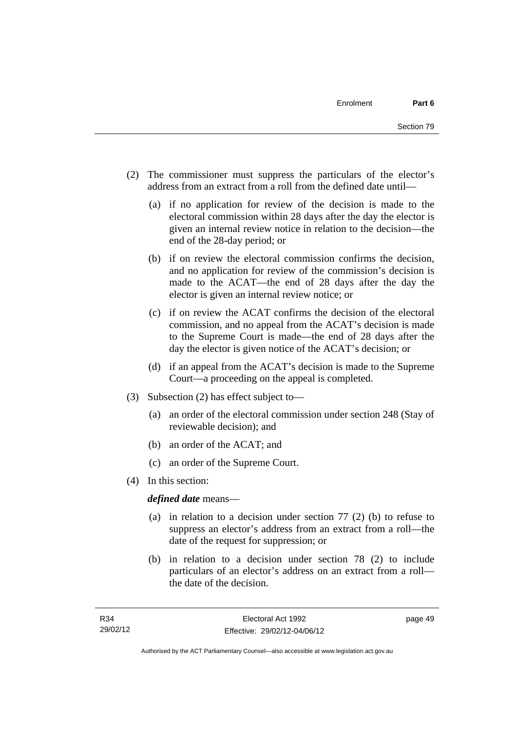- (2) The commissioner must suppress the particulars of the elector's address from an extract from a roll from the defined date until—
	- (a) if no application for review of the decision is made to the electoral commission within 28 days after the day the elector is given an internal review notice in relation to the decision—the end of the 28-day period; or
	- (b) if on review the electoral commission confirms the decision, and no application for review of the commission's decision is made to the ACAT—the end of 28 days after the day the elector is given an internal review notice; or
	- (c) if on review the ACAT confirms the decision of the electoral commission, and no appeal from the ACAT's decision is made to the Supreme Court is made—the end of 28 days after the day the elector is given notice of the ACAT's decision; or
	- (d) if an appeal from the ACAT's decision is made to the Supreme Court—a proceeding on the appeal is completed.
- (3) Subsection (2) has effect subject to—
	- (a) an order of the electoral commission under section 248 (Stay of reviewable decision); and
	- (b) an order of the ACAT; and
	- (c) an order of the Supreme Court.
- (4) In this section:

*defined date* means—

- (a) in relation to a decision under section 77 (2) (b) to refuse to suppress an elector's address from an extract from a roll—the date of the request for suppression; or
- (b) in relation to a decision under section 78 (2) to include particulars of an elector's address on an extract from a roll the date of the decision.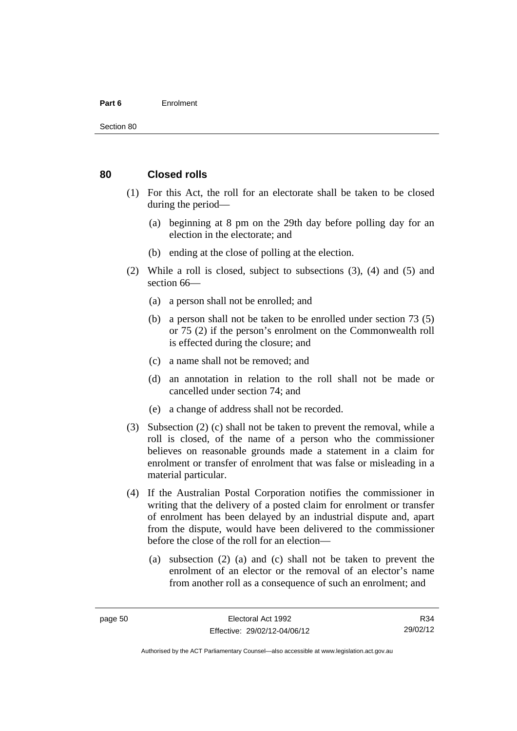#### **Part 6** Enrolment

#### **80 Closed rolls**

- (1) For this Act, the roll for an electorate shall be taken to be closed during the period—
	- (a) beginning at 8 pm on the 29th day before polling day for an election in the electorate; and
	- (b) ending at the close of polling at the election.
- (2) While a roll is closed, subject to subsections (3), (4) and (5) and section 66—
	- (a) a person shall not be enrolled; and
	- (b) a person shall not be taken to be enrolled under section 73 (5) or 75 (2) if the person's enrolment on the Commonwealth roll is effected during the closure; and
	- (c) a name shall not be removed; and
	- (d) an annotation in relation to the roll shall not be made or cancelled under section 74; and
	- (e) a change of address shall not be recorded.
- (3) Subsection (2) (c) shall not be taken to prevent the removal, while a roll is closed, of the name of a person who the commissioner believes on reasonable grounds made a statement in a claim for enrolment or transfer of enrolment that was false or misleading in a material particular.
- (4) If the Australian Postal Corporation notifies the commissioner in writing that the delivery of a posted claim for enrolment or transfer of enrolment has been delayed by an industrial dispute and, apart from the dispute, would have been delivered to the commissioner before the close of the roll for an election—
	- (a) subsection (2) (a) and (c) shall not be taken to prevent the enrolment of an elector or the removal of an elector's name from another roll as a consequence of such an enrolment; and

R34 29/02/12

Authorised by the ACT Parliamentary Counsel—also accessible at www.legislation.act.gov.au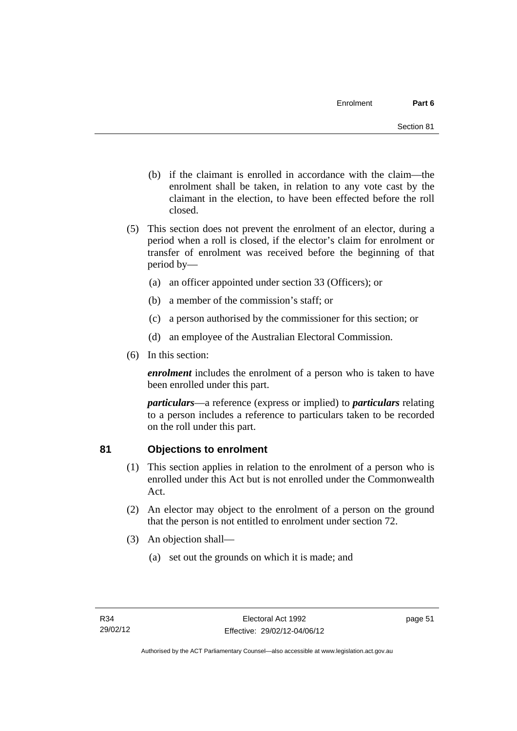- (b) if the claimant is enrolled in accordance with the claim—the enrolment shall be taken, in relation to any vote cast by the claimant in the election, to have been effected before the roll closed.
- (5) This section does not prevent the enrolment of an elector, during a period when a roll is closed, if the elector's claim for enrolment or transfer of enrolment was received before the beginning of that period by—
	- (a) an officer appointed under section 33 (Officers); or
	- (b) a member of the commission's staff; or
	- (c) a person authorised by the commissioner for this section; or
	- (d) an employee of the Australian Electoral Commission.
- (6) In this section:

*enrolment* includes the enrolment of a person who is taken to have been enrolled under this part.

*particulars*—a reference (express or implied) to *particulars* relating to a person includes a reference to particulars taken to be recorded on the roll under this part.

# **81 Objections to enrolment**

- (1) This section applies in relation to the enrolment of a person who is enrolled under this Act but is not enrolled under the Commonwealth Act.
- (2) An elector may object to the enrolment of a person on the ground that the person is not entitled to enrolment under section 72.
- (3) An objection shall—
	- (a) set out the grounds on which it is made; and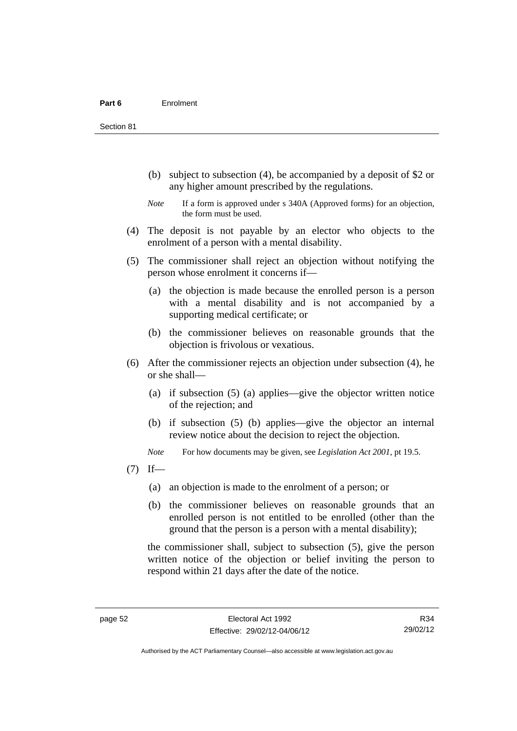Section 81

- (b) subject to subsection (4), be accompanied by a deposit of \$2 or any higher amount prescribed by the regulations.
- *Note* If a form is approved under s 340A (Approved forms) for an objection, the form must be used.
- (4) The deposit is not payable by an elector who objects to the enrolment of a person with a mental disability.
- (5) The commissioner shall reject an objection without notifying the person whose enrolment it concerns if—
	- (a) the objection is made because the enrolled person is a person with a mental disability and is not accompanied by a supporting medical certificate; or
	- (b) the commissioner believes on reasonable grounds that the objection is frivolous or vexatious.
- (6) After the commissioner rejects an objection under subsection (4), he or she shall—
	- (a) if subsection (5) (a) applies—give the objector written notice of the rejection; and
	- (b) if subsection (5) (b) applies—give the objector an internal review notice about the decision to reject the objection.

*Note* For how documents may be given, see *Legislation Act 2001*, pt 19.5.

- $(7)$  If—
	- (a) an objection is made to the enrolment of a person; or
	- (b) the commissioner believes on reasonable grounds that an enrolled person is not entitled to be enrolled (other than the ground that the person is a person with a mental disability);

the commissioner shall, subject to subsection (5), give the person written notice of the objection or belief inviting the person to respond within 21 days after the date of the notice.

R34 29/02/12

Authorised by the ACT Parliamentary Counsel—also accessible at www.legislation.act.gov.au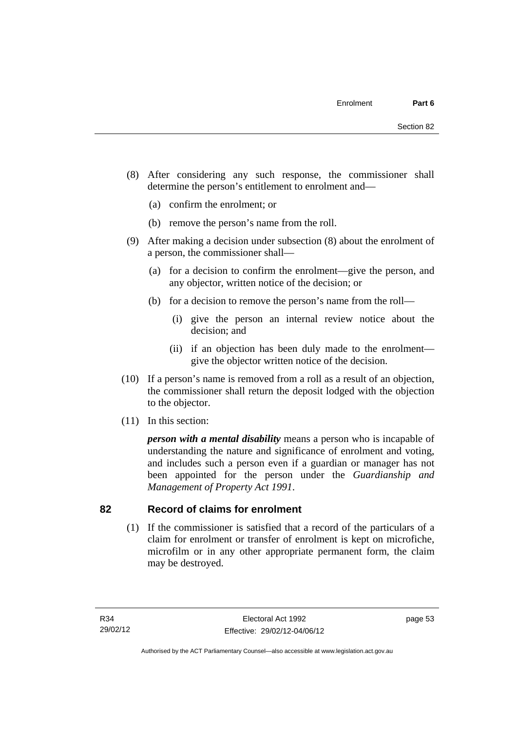- (8) After considering any such response, the commissioner shall determine the person's entitlement to enrolment and—
	- (a) confirm the enrolment; or
	- (b) remove the person's name from the roll.
- (9) After making a decision under subsection (8) about the enrolment of a person, the commissioner shall—
	- (a) for a decision to confirm the enrolment—give the person, and any objector, written notice of the decision; or
	- (b) for a decision to remove the person's name from the roll—
		- (i) give the person an internal review notice about the decision; and
		- (ii) if an objection has been duly made to the enrolment give the objector written notice of the decision.
- (10) If a person's name is removed from a roll as a result of an objection, the commissioner shall return the deposit lodged with the objection to the objector.
- (11) In this section:

*person with a mental disability* means a person who is incapable of understanding the nature and significance of enrolment and voting, and includes such a person even if a guardian or manager has not been appointed for the person under the *Guardianship and Management of Property Act 1991*.

#### **82 Record of claims for enrolment**

 (1) If the commissioner is satisfied that a record of the particulars of a claim for enrolment or transfer of enrolment is kept on microfiche, microfilm or in any other appropriate permanent form, the claim may be destroyed.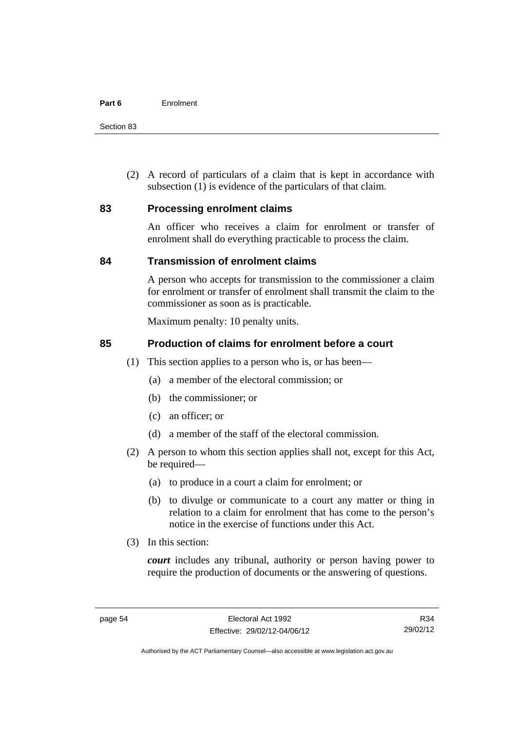Section 83

 (2) A record of particulars of a claim that is kept in accordance with subsection (1) is evidence of the particulars of that claim.

#### **83 Processing enrolment claims**

An officer who receives a claim for enrolment or transfer of enrolment shall do everything practicable to process the claim.

#### **84 Transmission of enrolment claims**

A person who accepts for transmission to the commissioner a claim for enrolment or transfer of enrolment shall transmit the claim to the commissioner as soon as is practicable.

Maximum penalty: 10 penalty units.

#### **85 Production of claims for enrolment before a court**

- (1) This section applies to a person who is, or has been—
	- (a) a member of the electoral commission; or
	- (b) the commissioner; or
	- (c) an officer; or
	- (d) a member of the staff of the electoral commission.
- (2) A person to whom this section applies shall not, except for this Act, be required—
	- (a) to produce in a court a claim for enrolment; or
	- (b) to divulge or communicate to a court any matter or thing in relation to a claim for enrolment that has come to the person's notice in the exercise of functions under this Act.
- (3) In this section:

*court* includes any tribunal, authority or person having power to require the production of documents or the answering of questions.

R34 29/02/12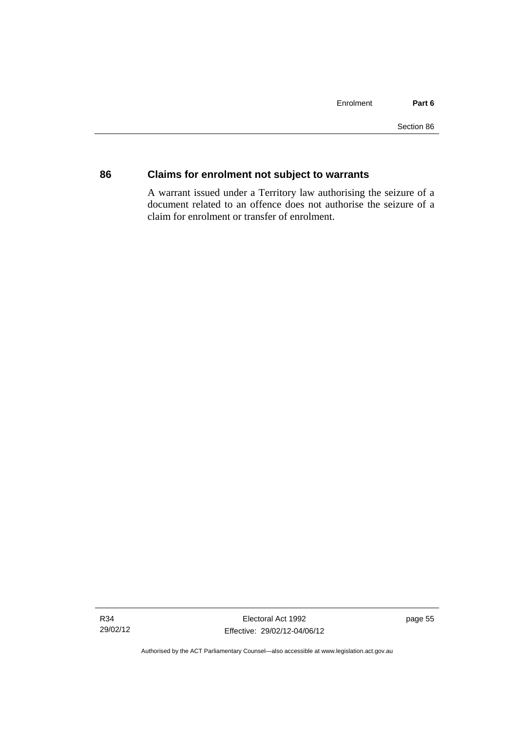### **86 Claims for enrolment not subject to warrants**

A warrant issued under a Territory law authorising the seizure of a document related to an offence does not authorise the seizure of a claim for enrolment or transfer of enrolment.

Authorised by the ACT Parliamentary Counsel—also accessible at www.legislation.act.gov.au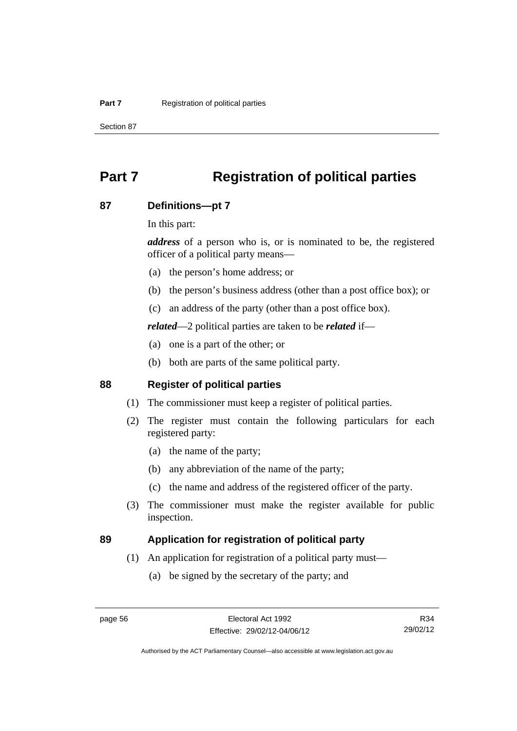Section 87

# **Part 7 Registration of political parties**

#### **87 Definitions—pt 7**

In this part:

*address* of a person who is, or is nominated to be, the registered officer of a political party means—

- (a) the person's home address; or
- (b) the person's business address (other than a post office box); or
- (c) an address of the party (other than a post office box).

*related*—2 political parties are taken to be *related* if—

- (a) one is a part of the other; or
- (b) both are parts of the same political party.

### **88 Register of political parties**

- (1) The commissioner must keep a register of political parties.
- (2) The register must contain the following particulars for each registered party:
	- (a) the name of the party;
	- (b) any abbreviation of the name of the party;
	- (c) the name and address of the registered officer of the party.
- (3) The commissioner must make the register available for public inspection.

### **89 Application for registration of political party**

- (1) An application for registration of a political party must—
	- (a) be signed by the secretary of the party; and

Authorised by the ACT Parliamentary Counsel—also accessible at www.legislation.act.gov.au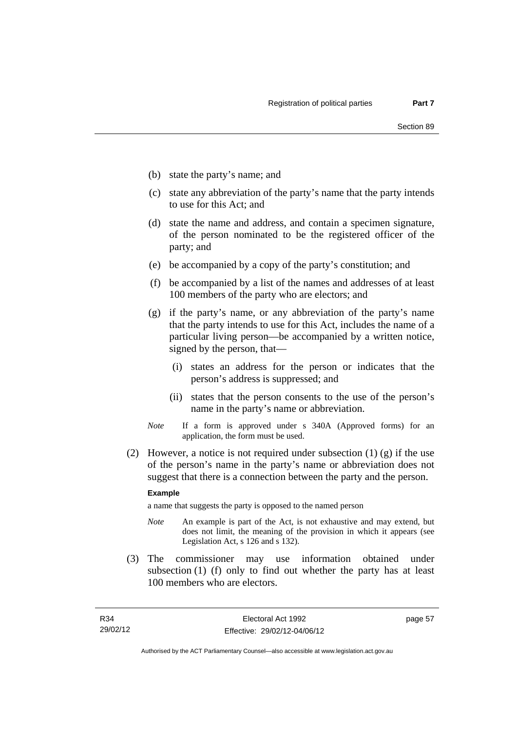- (b) state the party's name; and
- (c) state any abbreviation of the party's name that the party intends to use for this Act; and
- (d) state the name and address, and contain a specimen signature, of the person nominated to be the registered officer of the party; and
- (e) be accompanied by a copy of the party's constitution; and
- (f) be accompanied by a list of the names and addresses of at least 100 members of the party who are electors; and
- (g) if the party's name, or any abbreviation of the party's name that the party intends to use for this Act, includes the name of a particular living person—be accompanied by a written notice, signed by the person, that—
	- (i) states an address for the person or indicates that the person's address is suppressed; and
	- (ii) states that the person consents to the use of the person's name in the party's name or abbreviation.
- *Note* If a form is approved under s 340A (Approved forms) for an application, the form must be used.
- (2) However, a notice is not required under subsection  $(1)$  (g) if the use of the person's name in the party's name or abbreviation does not suggest that there is a connection between the party and the person.

#### **Example**

a name that suggests the party is opposed to the named person

- *Note* An example is part of the Act, is not exhaustive and may extend, but does not limit, the meaning of the provision in which it appears (see Legislation Act, s 126 and s 132).
- (3) The commissioner may use information obtained under subsection (1) (f) only to find out whether the party has at least 100 members who are electors.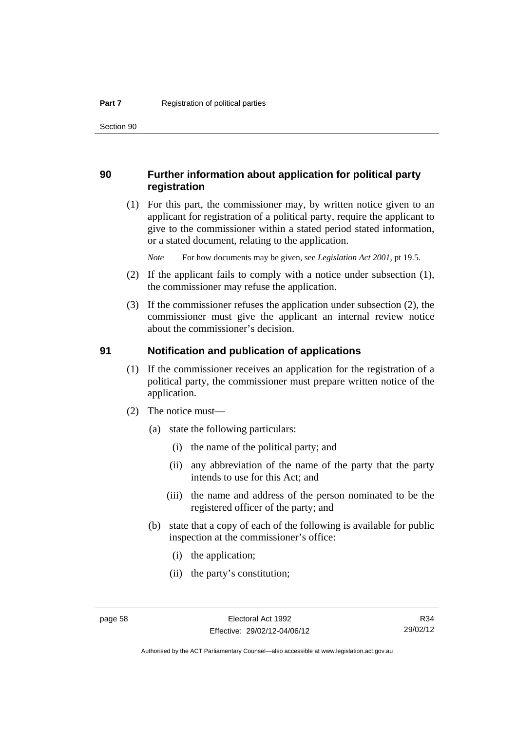Section 90

### **90 Further information about application for political party registration**

 (1) For this part, the commissioner may, by written notice given to an applicant for registration of a political party, require the applicant to give to the commissioner within a stated period stated information, or a stated document, relating to the application.

*Note* For how documents may be given, see *Legislation Act 2001*, pt 19.5.

- (2) If the applicant fails to comply with a notice under subsection (1), the commissioner may refuse the application.
- (3) If the commissioner refuses the application under subsection (2), the commissioner must give the applicant an internal review notice about the commissioner's decision.

#### **91 Notification and publication of applications**

- (1) If the commissioner receives an application for the registration of a political party, the commissioner must prepare written notice of the application.
- (2) The notice must—
	- (a) state the following particulars:
		- (i) the name of the political party; and
		- (ii) any abbreviation of the name of the party that the party intends to use for this Act; and
		- (iii) the name and address of the person nominated to be the registered officer of the party; and
	- (b) state that a copy of each of the following is available for public inspection at the commissioner's office:
		- (i) the application;
		- (ii) the party's constitution;

Authorised by the ACT Parliamentary Counsel—also accessible at www.legislation.act.gov.au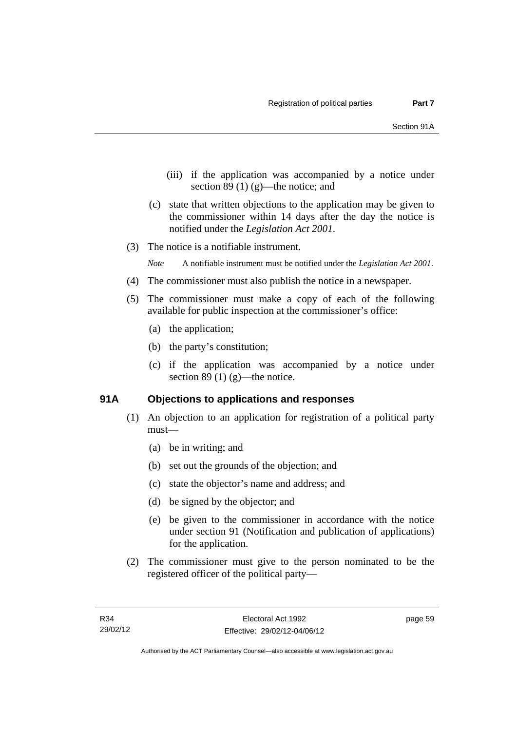- (iii) if the application was accompanied by a notice under section 89 $(1)$  $(g)$ —the notice; and
- (c) state that written objections to the application may be given to the commissioner within 14 days after the day the notice is notified under the *Legislation Act 2001*.
- (3) The notice is a notifiable instrument.

*Note* A notifiable instrument must be notified under the *Legislation Act 2001*.

- (4) The commissioner must also publish the notice in a newspaper.
- (5) The commissioner must make a copy of each of the following available for public inspection at the commissioner's office:
	- (a) the application;
	- (b) the party's constitution;
	- (c) if the application was accompanied by a notice under section 89 (1)  $(g)$ —the notice.

#### **91A Objections to applications and responses**

- (1) An objection to an application for registration of a political party must—
	- (a) be in writing; and
	- (b) set out the grounds of the objection; and
	- (c) state the objector's name and address; and
	- (d) be signed by the objector; and
	- (e) be given to the commissioner in accordance with the notice under section 91 (Notification and publication of applications) for the application.
- (2) The commissioner must give to the person nominated to be the registered officer of the political party—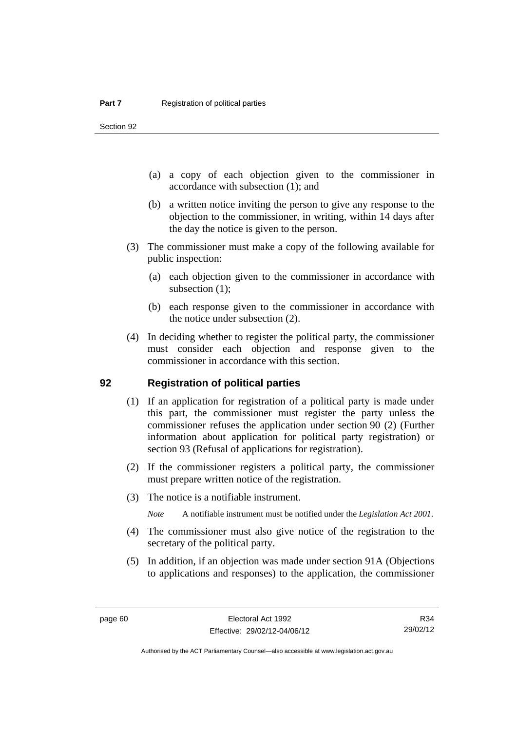Section 92

- (a) a copy of each objection given to the commissioner in accordance with subsection (1); and
- (b) a written notice inviting the person to give any response to the objection to the commissioner, in writing, within 14 days after the day the notice is given to the person.
- (3) The commissioner must make a copy of the following available for public inspection:
	- (a) each objection given to the commissioner in accordance with subsection  $(1)$ ;
	- (b) each response given to the commissioner in accordance with the notice under subsection (2).
- (4) In deciding whether to register the political party, the commissioner must consider each objection and response given to the commissioner in accordance with this section.

#### **92 Registration of political parties**

- (1) If an application for registration of a political party is made under this part, the commissioner must register the party unless the commissioner refuses the application under section 90 (2) (Further information about application for political party registration) or section 93 (Refusal of applications for registration).
- (2) If the commissioner registers a political party, the commissioner must prepare written notice of the registration.
- (3) The notice is a notifiable instrument.

*Note* A notifiable instrument must be notified under the *Legislation Act 2001*.

- (4) The commissioner must also give notice of the registration to the secretary of the political party.
- (5) In addition, if an objection was made under section 91A (Objections to applications and responses) to the application, the commissioner

R34 29/02/12

Authorised by the ACT Parliamentary Counsel—also accessible at www.legislation.act.gov.au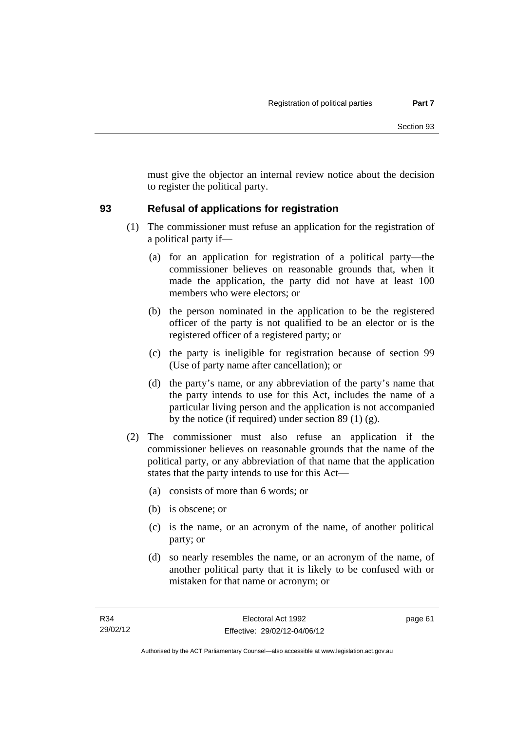must give the objector an internal review notice about the decision to register the political party.

### **93 Refusal of applications for registration**

- (1) The commissioner must refuse an application for the registration of a political party if—
	- (a) for an application for registration of a political party—the commissioner believes on reasonable grounds that, when it made the application, the party did not have at least 100 members who were electors; or
	- (b) the person nominated in the application to be the registered officer of the party is not qualified to be an elector or is the registered officer of a registered party; or
	- (c) the party is ineligible for registration because of section 99 (Use of party name after cancellation); or
	- (d) the party's name, or any abbreviation of the party's name that the party intends to use for this Act, includes the name of a particular living person and the application is not accompanied by the notice (if required) under section 89 (1) (g).
- (2) The commissioner must also refuse an application if the commissioner believes on reasonable grounds that the name of the political party, or any abbreviation of that name that the application states that the party intends to use for this Act—
	- (a) consists of more than 6 words; or
	- (b) is obscene; or
	- (c) is the name, or an acronym of the name, of another political party; or
	- (d) so nearly resembles the name, or an acronym of the name, of another political party that it is likely to be confused with or mistaken for that name or acronym; or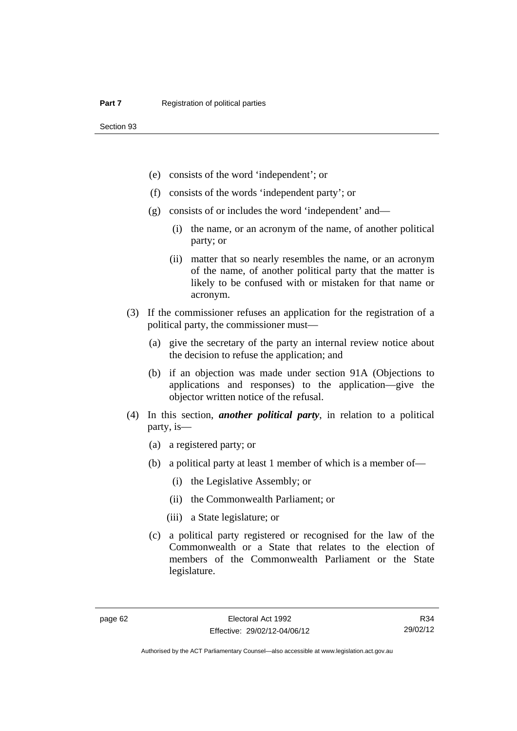- (e) consists of the word 'independent'; or
- (f) consists of the words 'independent party'; or
- (g) consists of or includes the word 'independent' and—
	- (i) the name, or an acronym of the name, of another political party; or
	- (ii) matter that so nearly resembles the name, or an acronym of the name, of another political party that the matter is likely to be confused with or mistaken for that name or acronym.
- (3) If the commissioner refuses an application for the registration of a political party, the commissioner must—
	- (a) give the secretary of the party an internal review notice about the decision to refuse the application; and
	- (b) if an objection was made under section 91A (Objections to applications and responses) to the application—give the objector written notice of the refusal.
- (4) In this section, *another political party*, in relation to a political party, is—
	- (a) a registered party; or
	- (b) a political party at least 1 member of which is a member of—
		- (i) the Legislative Assembly; or
		- (ii) the Commonwealth Parliament; or
		- (iii) a State legislature; or
	- (c) a political party registered or recognised for the law of the Commonwealth or a State that relates to the election of members of the Commonwealth Parliament or the State legislature.

R34 29/02/12

Authorised by the ACT Parliamentary Counsel—also accessible at www.legislation.act.gov.au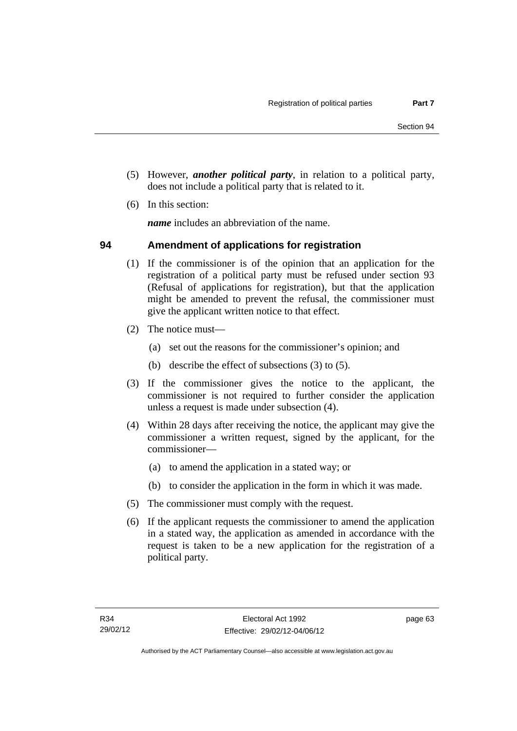- (5) However, *another political party*, in relation to a political party, does not include a political party that is related to it.
- (6) In this section:

*name* includes an abbreviation of the name.

### **94 Amendment of applications for registration**

- (1) If the commissioner is of the opinion that an application for the registration of a political party must be refused under section 93 (Refusal of applications for registration), but that the application might be amended to prevent the refusal, the commissioner must give the applicant written notice to that effect.
- (2) The notice must—
	- (a) set out the reasons for the commissioner's opinion; and
	- (b) describe the effect of subsections (3) to (5).
- (3) If the commissioner gives the notice to the applicant, the commissioner is not required to further consider the application unless a request is made under subsection (4).
- (4) Within 28 days after receiving the notice, the applicant may give the commissioner a written request, signed by the applicant, for the commissioner—
	- (a) to amend the application in a stated way; or
	- (b) to consider the application in the form in which it was made.
- (5) The commissioner must comply with the request.
- (6) If the applicant requests the commissioner to amend the application in a stated way, the application as amended in accordance with the request is taken to be a new application for the registration of a political party.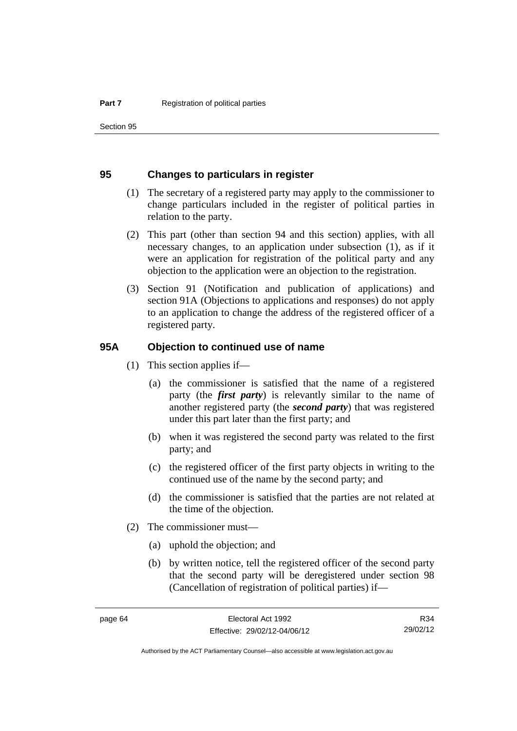Section 95

#### **95 Changes to particulars in register**

- (1) The secretary of a registered party may apply to the commissioner to change particulars included in the register of political parties in relation to the party.
- (2) This part (other than section 94 and this section) applies, with all necessary changes, to an application under subsection (1), as if it were an application for registration of the political party and any objection to the application were an objection to the registration.
- (3) Section 91 (Notification and publication of applications) and section 91A (Objections to applications and responses) do not apply to an application to change the address of the registered officer of a registered party.

#### **95A Objection to continued use of name**

- (1) This section applies if—
	- (a) the commissioner is satisfied that the name of a registered party (the *first party*) is relevantly similar to the name of another registered party (the *second party*) that was registered under this part later than the first party; and
	- (b) when it was registered the second party was related to the first party; and
	- (c) the registered officer of the first party objects in writing to the continued use of the name by the second party; and
	- (d) the commissioner is satisfied that the parties are not related at the time of the objection.
- (2) The commissioner must—
	- (a) uphold the objection; and
	- (b) by written notice, tell the registered officer of the second party that the second party will be deregistered under section 98 (Cancellation of registration of political parties) if—

R34 29/02/12

Authorised by the ACT Parliamentary Counsel—also accessible at www.legislation.act.gov.au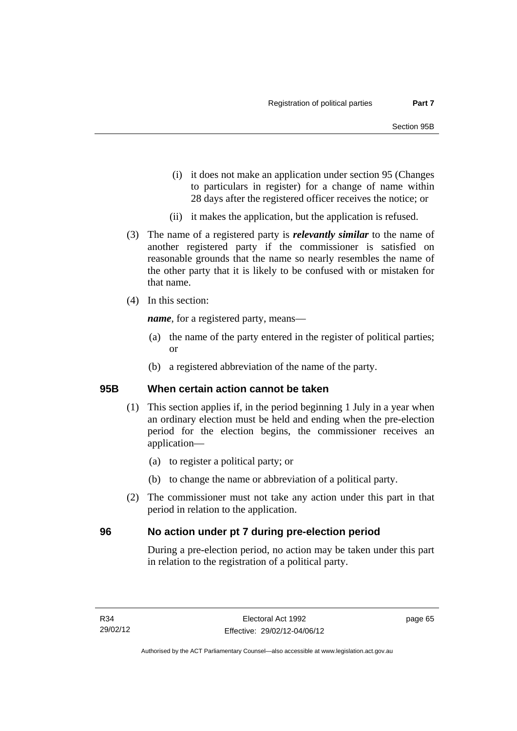- (i) it does not make an application under section 95 (Changes to particulars in register) for a change of name within 28 days after the registered officer receives the notice; or
- (ii) it makes the application, but the application is refused.
- (3) The name of a registered party is *relevantly similar* to the name of another registered party if the commissioner is satisfied on reasonable grounds that the name so nearly resembles the name of the other party that it is likely to be confused with or mistaken for that name.
- (4) In this section:

*name*, for a registered party, means—

- (a) the name of the party entered in the register of political parties; or
- (b) a registered abbreviation of the name of the party.

### **95B When certain action cannot be taken**

- (1) This section applies if, in the period beginning 1 July in a year when an ordinary election must be held and ending when the pre-election period for the election begins, the commissioner receives an application—
	- (a) to register a political party; or
	- (b) to change the name or abbreviation of a political party.
- (2) The commissioner must not take any action under this part in that period in relation to the application.

### **96 No action under pt 7 during pre-election period**

During a pre-election period, no action may be taken under this part in relation to the registration of a political party.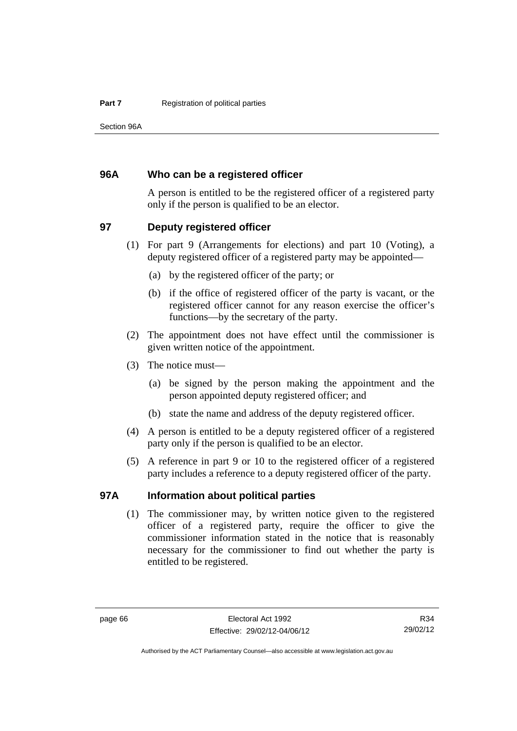Section 96A

### **96A Who can be a registered officer**

A person is entitled to be the registered officer of a registered party only if the person is qualified to be an elector.

### **97 Deputy registered officer**

- (1) For part 9 (Arrangements for elections) and part 10 (Voting), a deputy registered officer of a registered party may be appointed—
	- (a) by the registered officer of the party; or
	- (b) if the office of registered officer of the party is vacant, or the registered officer cannot for any reason exercise the officer's functions—by the secretary of the party.
- (2) The appointment does not have effect until the commissioner is given written notice of the appointment.
- (3) The notice must—
	- (a) be signed by the person making the appointment and the person appointed deputy registered officer; and
	- (b) state the name and address of the deputy registered officer.
- (4) A person is entitled to be a deputy registered officer of a registered party only if the person is qualified to be an elector.
- (5) A reference in part 9 or 10 to the registered officer of a registered party includes a reference to a deputy registered officer of the party.

#### **97A Information about political parties**

 (1) The commissioner may, by written notice given to the registered officer of a registered party, require the officer to give the commissioner information stated in the notice that is reasonably necessary for the commissioner to find out whether the party is entitled to be registered.

Authorised by the ACT Parliamentary Counsel—also accessible at www.legislation.act.gov.au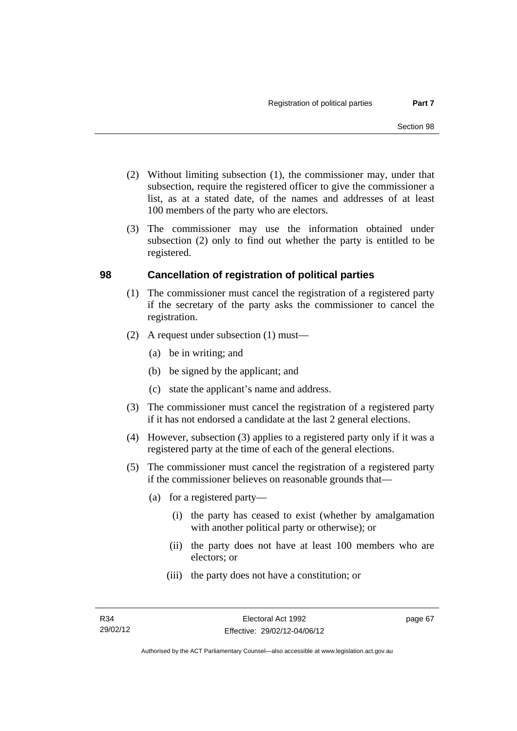- (2) Without limiting subsection (1), the commissioner may, under that subsection, require the registered officer to give the commissioner a list, as at a stated date, of the names and addresses of at least 100 members of the party who are electors.
- (3) The commissioner may use the information obtained under subsection (2) only to find out whether the party is entitled to be registered.

### **98 Cancellation of registration of political parties**

- (1) The commissioner must cancel the registration of a registered party if the secretary of the party asks the commissioner to cancel the registration.
- (2) A request under subsection (1) must—
	- (a) be in writing; and
	- (b) be signed by the applicant; and
	- (c) state the applicant's name and address.
- (3) The commissioner must cancel the registration of a registered party if it has not endorsed a candidate at the last 2 general elections.
- (4) However, subsection (3) applies to a registered party only if it was a registered party at the time of each of the general elections.
- (5) The commissioner must cancel the registration of a registered party if the commissioner believes on reasonable grounds that—
	- (a) for a registered party—
		- (i) the party has ceased to exist (whether by amalgamation with another political party or otherwise); or
		- (ii) the party does not have at least 100 members who are electors; or
		- (iii) the party does not have a constitution; or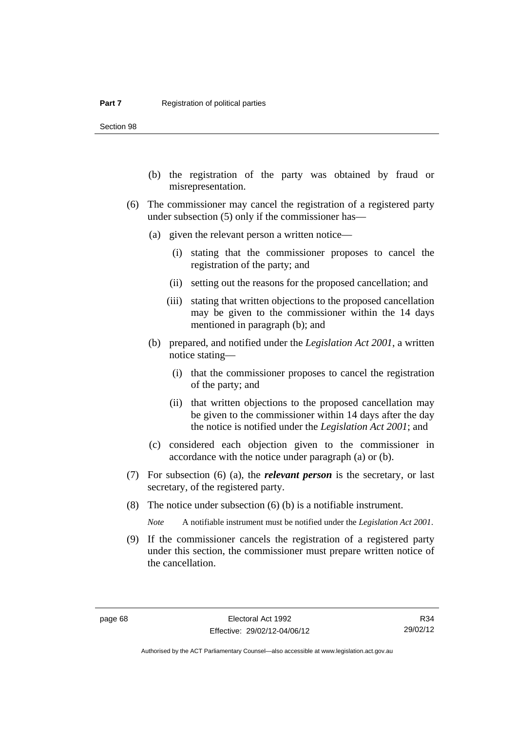Section 98

- (b) the registration of the party was obtained by fraud or misrepresentation.
- (6) The commissioner may cancel the registration of a registered party under subsection (5) only if the commissioner has—
	- (a) given the relevant person a written notice—
		- (i) stating that the commissioner proposes to cancel the registration of the party; and
		- (ii) setting out the reasons for the proposed cancellation; and
		- (iii) stating that written objections to the proposed cancellation may be given to the commissioner within the 14 days mentioned in paragraph (b); and
	- (b) prepared, and notified under the *Legislation Act 2001*, a written notice stating—
		- (i) that the commissioner proposes to cancel the registration of the party; and
		- (ii) that written objections to the proposed cancellation may be given to the commissioner within 14 days after the day the notice is notified under the *Legislation Act 2001*; and
	- (c) considered each objection given to the commissioner in accordance with the notice under paragraph (a) or (b).
- (7) For subsection (6) (a), the *relevant person* is the secretary, or last secretary, of the registered party.
- (8) The notice under subsection (6) (b) is a notifiable instrument.

*Note* A notifiable instrument must be notified under the *Legislation Act 2001*.

 (9) If the commissioner cancels the registration of a registered party under this section, the commissioner must prepare written notice of the cancellation.

R34 29/02/12

Authorised by the ACT Parliamentary Counsel—also accessible at www.legislation.act.gov.au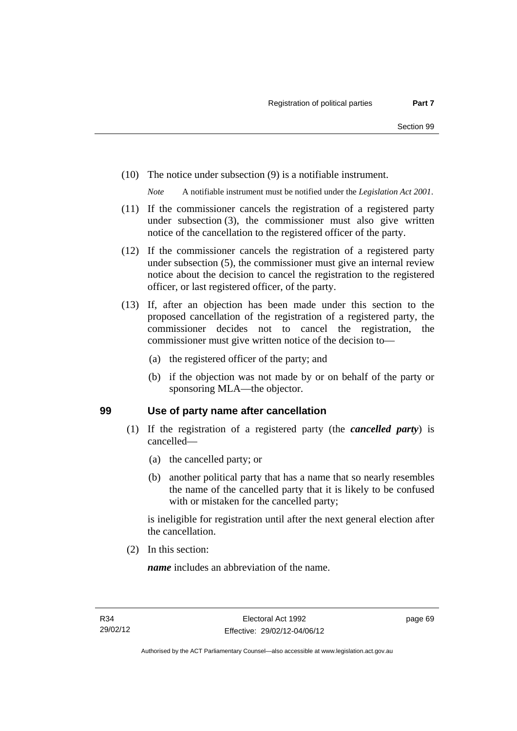(10) The notice under subsection (9) is a notifiable instrument.

*Note* A notifiable instrument must be notified under the *Legislation Act 2001*.

- (11) If the commissioner cancels the registration of a registered party under subsection (3), the commissioner must also give written notice of the cancellation to the registered officer of the party.
- (12) If the commissioner cancels the registration of a registered party under subsection (5), the commissioner must give an internal review notice about the decision to cancel the registration to the registered officer, or last registered officer, of the party.
- (13) If, after an objection has been made under this section to the proposed cancellation of the registration of a registered party, the commissioner decides not to cancel the registration, the commissioner must give written notice of the decision to—
	- (a) the registered officer of the party; and
	- (b) if the objection was not made by or on behalf of the party or sponsoring MLA—the objector.

#### **99 Use of party name after cancellation**

- (1) If the registration of a registered party (the *cancelled party*) is cancelled—
	- (a) the cancelled party; or
	- (b) another political party that has a name that so nearly resembles the name of the cancelled party that it is likely to be confused with or mistaken for the cancelled party;

is ineligible for registration until after the next general election after the cancellation.

(2) In this section:

*name* includes an abbreviation of the name.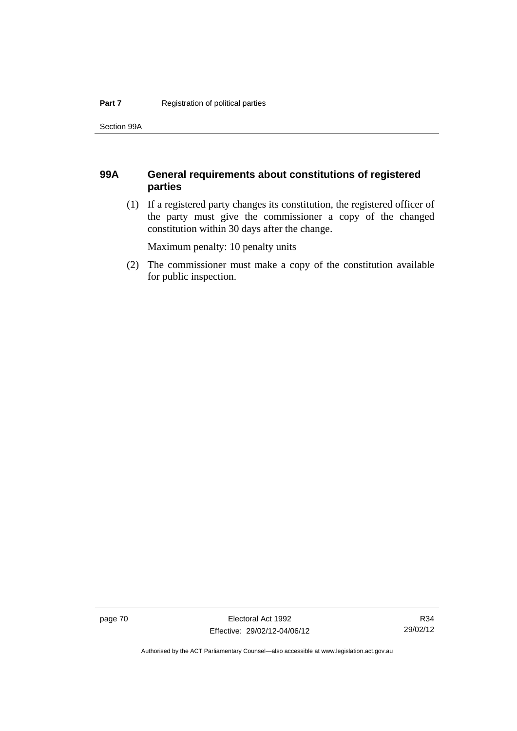Section 99A

### **99A General requirements about constitutions of registered parties**

 (1) If a registered party changes its constitution, the registered officer of the party must give the commissioner a copy of the changed constitution within 30 days after the change.

Maximum penalty: 10 penalty units

 (2) The commissioner must make a copy of the constitution available for public inspection.

page 70 Electoral Act 1992 Effective: 29/02/12-04/06/12

R34 29/02/12

Authorised by the ACT Parliamentary Counsel—also accessible at www.legislation.act.gov.au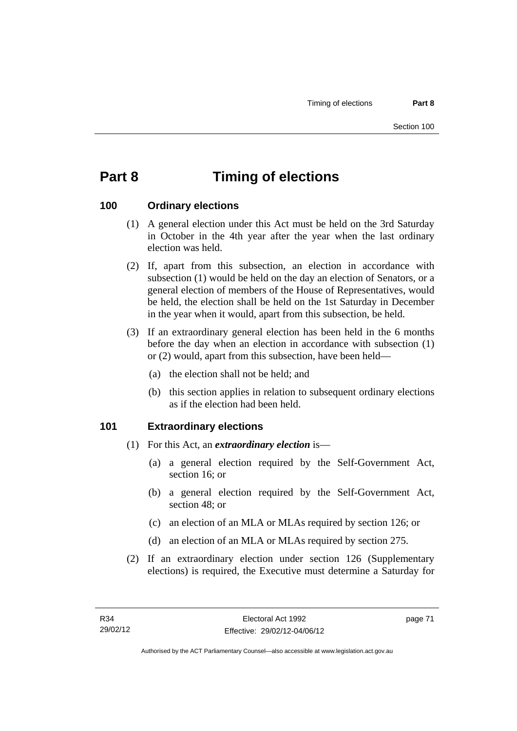# **Part 8 Timing of elections**

### **100 Ordinary elections**

- (1) A general election under this Act must be held on the 3rd Saturday in October in the 4th year after the year when the last ordinary election was held.
- (2) If, apart from this subsection, an election in accordance with subsection (1) would be held on the day an election of Senators, or a general election of members of the House of Representatives, would be held, the election shall be held on the 1st Saturday in December in the year when it would, apart from this subsection, be held.
- (3) If an extraordinary general election has been held in the 6 months before the day when an election in accordance with subsection (1) or (2) would, apart from this subsection, have been held—
	- (a) the election shall not be held; and
	- (b) this section applies in relation to subsequent ordinary elections as if the election had been held.

#### **101 Extraordinary elections**

- (1) For this Act, an *extraordinary election* is—
	- (a) a general election required by the Self-Government Act, section 16; or
	- (b) a general election required by the Self-Government Act, section 48; or
	- (c) an election of an MLA or MLAs required by section 126; or
	- (d) an election of an MLA or MLAs required by section 275.
- (2) If an extraordinary election under section 126 (Supplementary elections) is required, the Executive must determine a Saturday for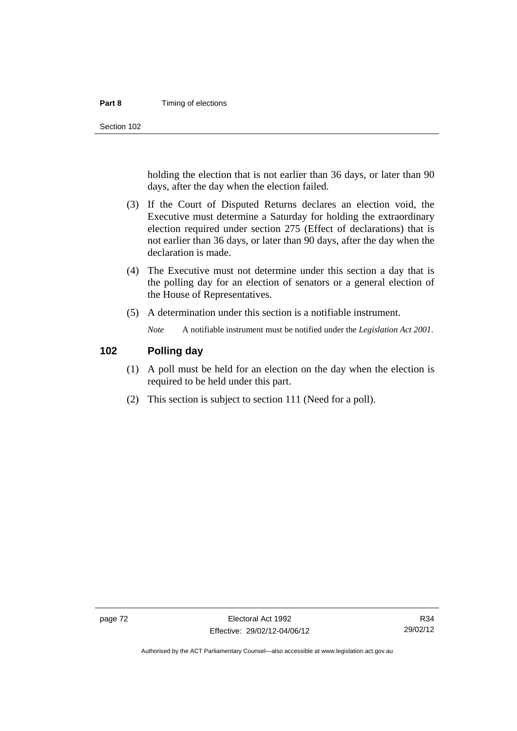#### **Part 8 Timing of elections**

Section 102

holding the election that is not earlier than 36 days, or later than 90 days, after the day when the election failed.

- (3) If the Court of Disputed Returns declares an election void, the Executive must determine a Saturday for holding the extraordinary election required under section 275 (Effect of declarations) that is not earlier than 36 days, or later than 90 days, after the day when the declaration is made.
- (4) The Executive must not determine under this section a day that is the polling day for an election of senators or a general election of the House of Representatives.
- (5) A determination under this section is a notifiable instrument.

*Note* A notifiable instrument must be notified under the *Legislation Act 2001*.

#### **102 Polling day**

- (1) A poll must be held for an election on the day when the election is required to be held under this part.
- (2) This section is subject to section 111 (Need for a poll).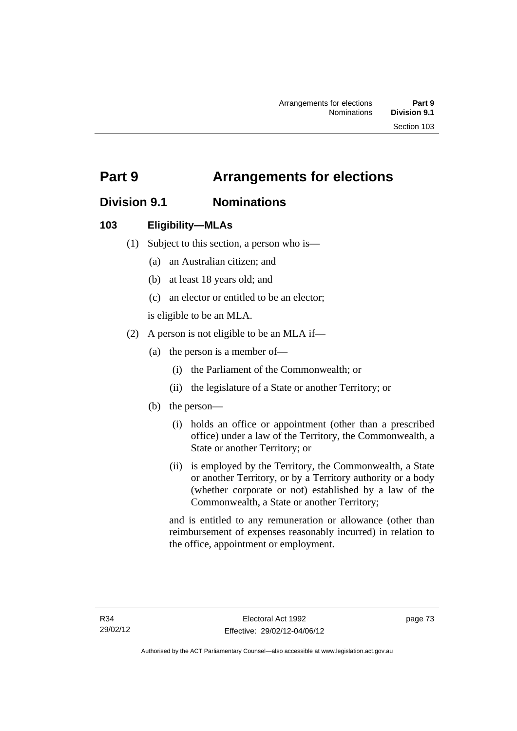## **Part 9 Arrangements for elections**

## **Division 9.1 Nominations**

### **103 Eligibility—MLAs**

- (1) Subject to this section, a person who is—
	- (a) an Australian citizen; and
	- (b) at least 18 years old; and
	- (c) an elector or entitled to be an elector;

is eligible to be an MLA.

- (2) A person is not eligible to be an MLA if—
	- (a) the person is a member of—
		- (i) the Parliament of the Commonwealth; or
		- (ii) the legislature of a State or another Territory; or
	- (b) the person—
		- (i) holds an office or appointment (other than a prescribed office) under a law of the Territory, the Commonwealth, a State or another Territory; or
		- (ii) is employed by the Territory, the Commonwealth, a State or another Territory, or by a Territory authority or a body (whether corporate or not) established by a law of the Commonwealth, a State or another Territory;

and is entitled to any remuneration or allowance (other than reimbursement of expenses reasonably incurred) in relation to the office, appointment or employment.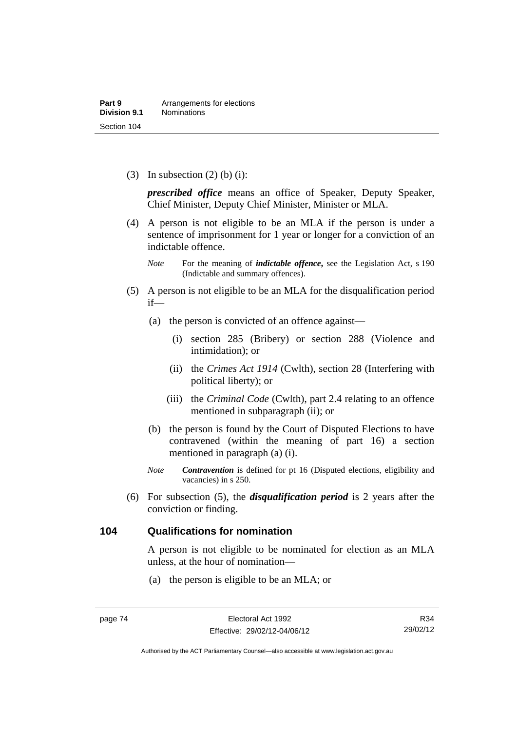(3) In subsection  $(2)$  (b) (i):

*prescribed office* means an office of Speaker, Deputy Speaker, Chief Minister, Deputy Chief Minister, Minister or MLA.

 (4) A person is not eligible to be an MLA if the person is under a sentence of imprisonment for 1 year or longer for a conviction of an indictable offence.

- (5) A person is not eligible to be an MLA for the disqualification period if—
	- (a) the person is convicted of an offence against—
		- (i) section 285 (Bribery) or section 288 (Violence and intimidation); or
		- (ii) the *Crimes Act 1914* (Cwlth), section 28 (Interfering with political liberty); or
		- (iii) the *Criminal Code* (Cwlth), part 2.4 relating to an offence mentioned in subparagraph (ii); or
	- (b) the person is found by the Court of Disputed Elections to have contravened (within the meaning of part 16) a section mentioned in paragraph (a) (i).
	- *Note Contravention* is defined for pt 16 (Disputed elections, eligibility and vacancies) in s 250.
- (6) For subsection (5), the *disqualification period* is 2 years after the conviction or finding.

#### **104 Qualifications for nomination**

A person is not eligible to be nominated for election as an MLA unless, at the hour of nomination—

(a) the person is eligible to be an MLA; or

*Note* For the meaning of *indictable offence*, see the Legislation Act, s 190 (Indictable and summary offences).

R34 29/02/12

Authorised by the ACT Parliamentary Counsel—also accessible at www.legislation.act.gov.au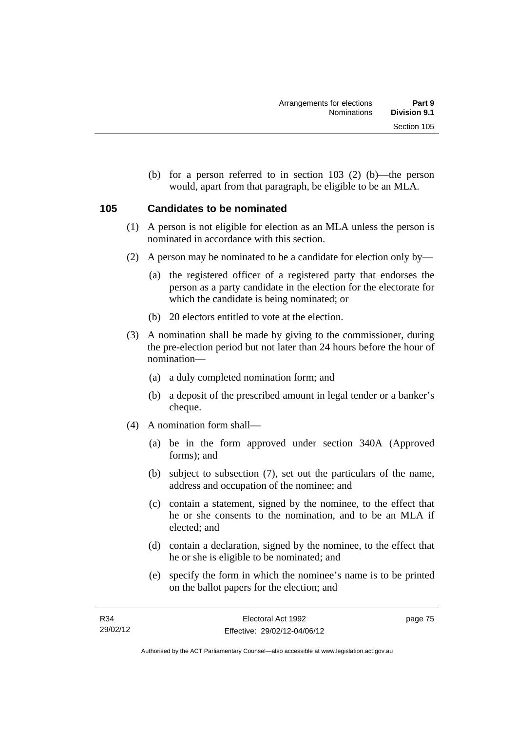(b) for a person referred to in section 103 (2) (b)—the person would, apart from that paragraph, be eligible to be an MLA.

### **105 Candidates to be nominated**

- (1) A person is not eligible for election as an MLA unless the person is nominated in accordance with this section.
- (2) A person may be nominated to be a candidate for election only by—
	- (a) the registered officer of a registered party that endorses the person as a party candidate in the election for the electorate for which the candidate is being nominated; or
	- (b) 20 electors entitled to vote at the election.
- (3) A nomination shall be made by giving to the commissioner, during the pre-election period but not later than 24 hours before the hour of nomination—
	- (a) a duly completed nomination form; and
	- (b) a deposit of the prescribed amount in legal tender or a banker's cheque.
- (4) A nomination form shall—
	- (a) be in the form approved under section 340A (Approved forms); and
	- (b) subject to subsection (7), set out the particulars of the name, address and occupation of the nominee; and
	- (c) contain a statement, signed by the nominee, to the effect that he or she consents to the nomination, and to be an MLA if elected; and
	- (d) contain a declaration, signed by the nominee, to the effect that he or she is eligible to be nominated; and
	- (e) specify the form in which the nominee's name is to be printed on the ballot papers for the election; and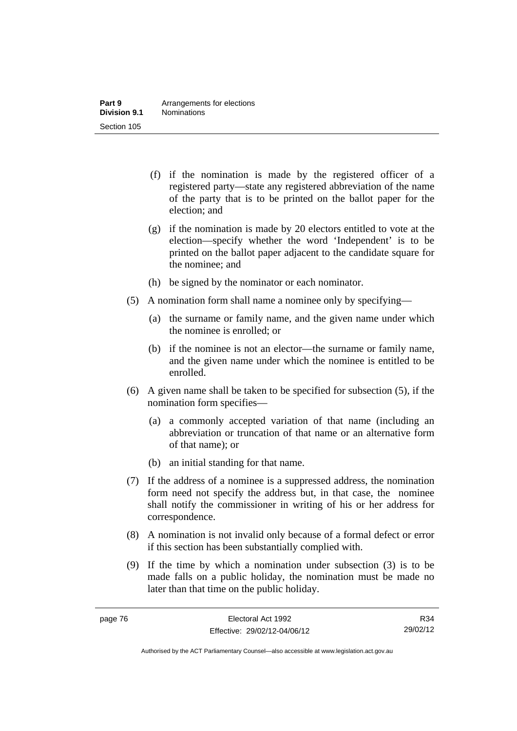- (f) if the nomination is made by the registered officer of a registered party—state any registered abbreviation of the name of the party that is to be printed on the ballot paper for the election; and
- (g) if the nomination is made by 20 electors entitled to vote at the election—specify whether the word 'Independent' is to be printed on the ballot paper adjacent to the candidate square for the nominee; and
- (h) be signed by the nominator or each nominator.
- (5) A nomination form shall name a nominee only by specifying—
	- (a) the surname or family name, and the given name under which the nominee is enrolled; or
	- (b) if the nominee is not an elector—the surname or family name, and the given name under which the nominee is entitled to be enrolled.
- (6) A given name shall be taken to be specified for subsection (5), if the nomination form specifies—
	- (a) a commonly accepted variation of that name (including an abbreviation or truncation of that name or an alternative form of that name); or
	- (b) an initial standing for that name.
- (7) If the address of a nominee is a suppressed address, the nomination form need not specify the address but, in that case, the nominee shall notify the commissioner in writing of his or her address for correspondence.
- (8) A nomination is not invalid only because of a formal defect or error if this section has been substantially complied with.
- (9) If the time by which a nomination under subsection (3) is to be made falls on a public holiday, the nomination must be made no later than that time on the public holiday.

R34 29/02/12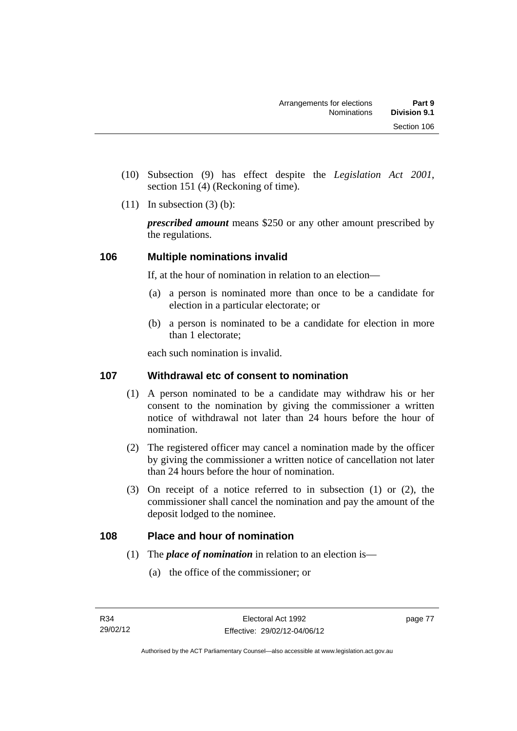- (10) Subsection (9) has effect despite the *Legislation Act 2001*, section 151 (4) (Reckoning of time).
- $(11)$  In subsection  $(3)$  (b):

*prescribed amount* means \$250 or any other amount prescribed by the regulations.

### **106 Multiple nominations invalid**

If, at the hour of nomination in relation to an election—

- (a) a person is nominated more than once to be a candidate for election in a particular electorate; or
- (b) a person is nominated to be a candidate for election in more than 1 electorate;

each such nomination is invalid.

### **107 Withdrawal etc of consent to nomination**

- (1) A person nominated to be a candidate may withdraw his or her consent to the nomination by giving the commissioner a written notice of withdrawal not later than 24 hours before the hour of nomination.
- (2) The registered officer may cancel a nomination made by the officer by giving the commissioner a written notice of cancellation not later than 24 hours before the hour of nomination.
- (3) On receipt of a notice referred to in subsection (1) or (2), the commissioner shall cancel the nomination and pay the amount of the deposit lodged to the nominee.

### **108 Place and hour of nomination**

- (1) The *place of nomination* in relation to an election is—
	- (a) the office of the commissioner; or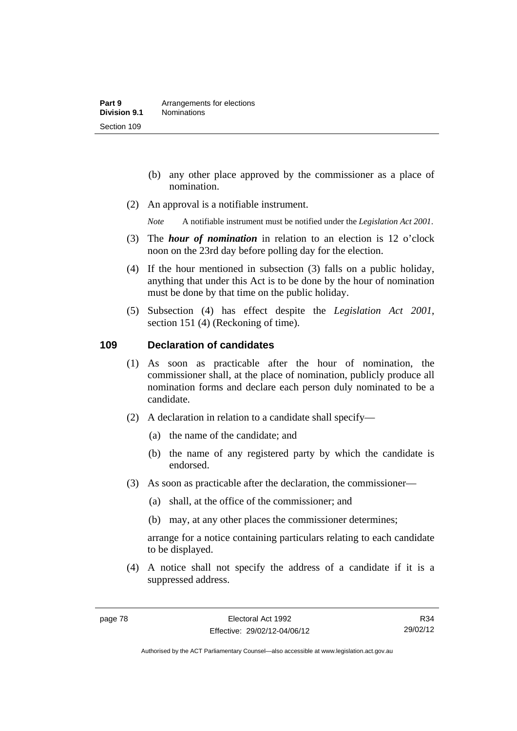- (b) any other place approved by the commissioner as a place of nomination.
- (2) An approval is a notifiable instrument.

*Note* A notifiable instrument must be notified under the *Legislation Act 2001*.

- (3) The *hour of nomination* in relation to an election is 12 o'clock noon on the 23rd day before polling day for the election.
- (4) If the hour mentioned in subsection (3) falls on a public holiday, anything that under this Act is to be done by the hour of nomination must be done by that time on the public holiday.
- (5) Subsection (4) has effect despite the *Legislation Act 2001*, section 151 (4) (Reckoning of time).

#### **109 Declaration of candidates**

- (1) As soon as practicable after the hour of nomination, the commissioner shall, at the place of nomination, publicly produce all nomination forms and declare each person duly nominated to be a candidate.
- (2) A declaration in relation to a candidate shall specify—
	- (a) the name of the candidate; and
	- (b) the name of any registered party by which the candidate is endorsed.
- (3) As soon as practicable after the declaration, the commissioner—
	- (a) shall, at the office of the commissioner; and
	- (b) may, at any other places the commissioner determines;

arrange for a notice containing particulars relating to each candidate to be displayed.

 (4) A notice shall not specify the address of a candidate if it is a suppressed address.

Authorised by the ACT Parliamentary Counsel—also accessible at www.legislation.act.gov.au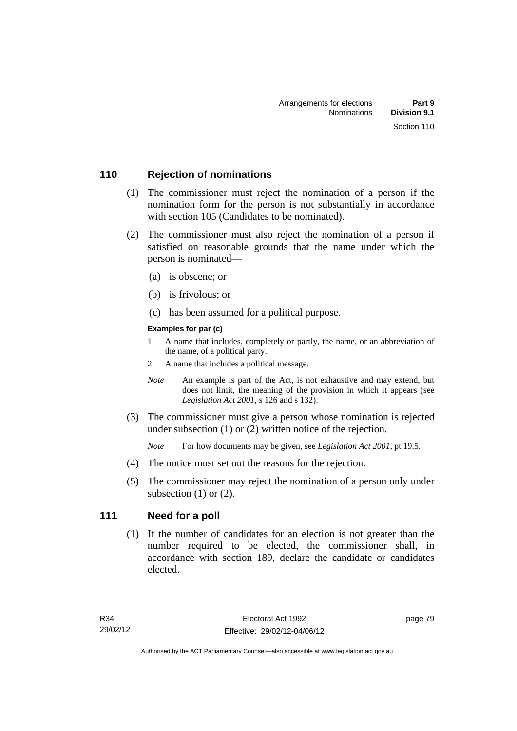### **110 Rejection of nominations**

- (1) The commissioner must reject the nomination of a person if the nomination form for the person is not substantially in accordance with section 105 (Candidates to be nominated).
- (2) The commissioner must also reject the nomination of a person if satisfied on reasonable grounds that the name under which the person is nominated—
	- (a) is obscene; or
	- (b) is frivolous; or
	- (c) has been assumed for a political purpose.

#### **Examples for par (c)**

- 1 A name that includes, completely or partly, the name, or an abbreviation of the name, of a political party.
- 2 A name that includes a political message.
- *Note* An example is part of the Act, is not exhaustive and may extend, but does not limit, the meaning of the provision in which it appears (see *Legislation Act 2001*, s 126 and s 132).
- (3) The commissioner must give a person whose nomination is rejected under subsection (1) or (2) written notice of the rejection.

*Note* For how documents may be given, see *Legislation Act 2001*, pt 19.5.

- (4) The notice must set out the reasons for the rejection.
- (5) The commissioner may reject the nomination of a person only under subsection  $(1)$  or  $(2)$ .

### **111 Need for a poll**

 (1) If the number of candidates for an election is not greater than the number required to be elected, the commissioner shall, in accordance with section 189, declare the candidate or candidates elected.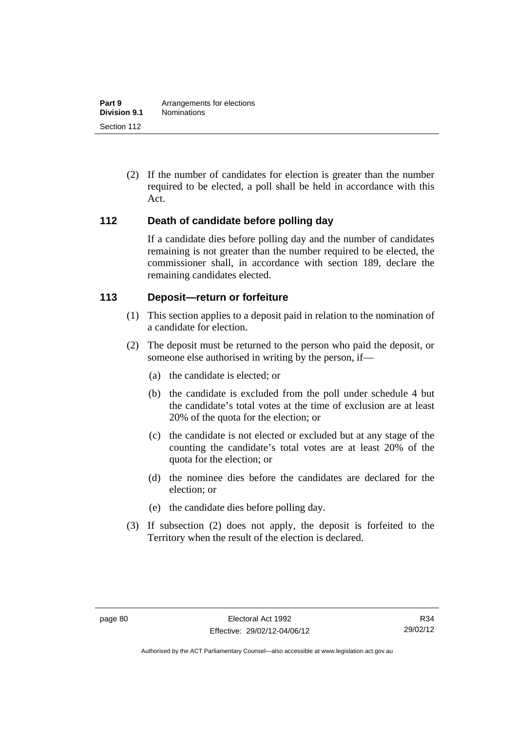(2) If the number of candidates for election is greater than the number required to be elected, a poll shall be held in accordance with this Act.

### **112 Death of candidate before polling day**

If a candidate dies before polling day and the number of candidates remaining is not greater than the number required to be elected, the commissioner shall, in accordance with section 189, declare the remaining candidates elected.

### **113 Deposit—return or forfeiture**

- (1) This section applies to a deposit paid in relation to the nomination of a candidate for election.
- (2) The deposit must be returned to the person who paid the deposit, or someone else authorised in writing by the person, if—
	- (a) the candidate is elected; or
	- (b) the candidate is excluded from the poll under schedule 4 but the candidate's total votes at the time of exclusion are at least 20% of the quota for the election; or
	- (c) the candidate is not elected or excluded but at any stage of the counting the candidate's total votes are at least 20% of the quota for the election; or
	- (d) the nominee dies before the candidates are declared for the election; or
	- (e) the candidate dies before polling day.
- (3) If subsection (2) does not apply, the deposit is forfeited to the Territory when the result of the election is declared.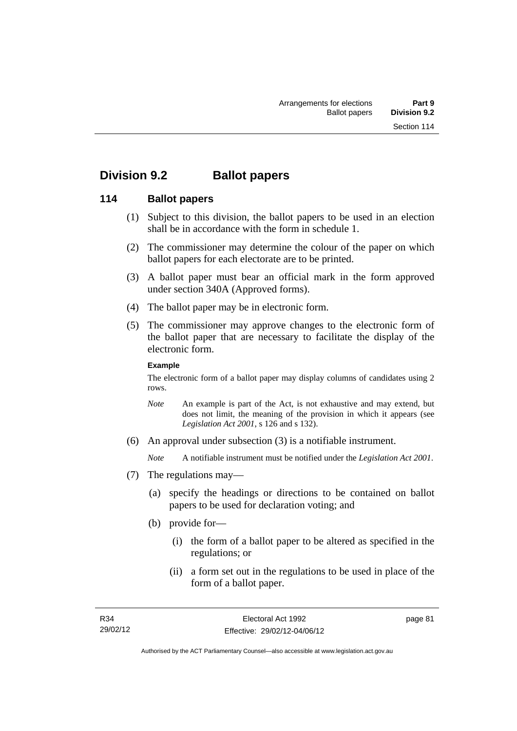## **Division 9.2 Ballot papers**

### **114 Ballot papers**

- (1) Subject to this division, the ballot papers to be used in an election shall be in accordance with the form in schedule 1.
- (2) The commissioner may determine the colour of the paper on which ballot papers for each electorate are to be printed.
- (3) A ballot paper must bear an official mark in the form approved under section 340A (Approved forms).
- (4) The ballot paper may be in electronic form.
- (5) The commissioner may approve changes to the electronic form of the ballot paper that are necessary to facilitate the display of the electronic form.

#### **Example**

The electronic form of a ballot paper may display columns of candidates using 2 rows.

- *Note* An example is part of the Act, is not exhaustive and may extend, but does not limit, the meaning of the provision in which it appears (see *Legislation Act 2001*, s 126 and s 132).
- (6) An approval under subsection (3) is a notifiable instrument.

*Note* A notifiable instrument must be notified under the *Legislation Act 2001*.

- (7) The regulations may—
	- (a) specify the headings or directions to be contained on ballot papers to be used for declaration voting; and
	- (b) provide for—
		- (i) the form of a ballot paper to be altered as specified in the regulations; or
		- (ii) a form set out in the regulations to be used in place of the form of a ballot paper.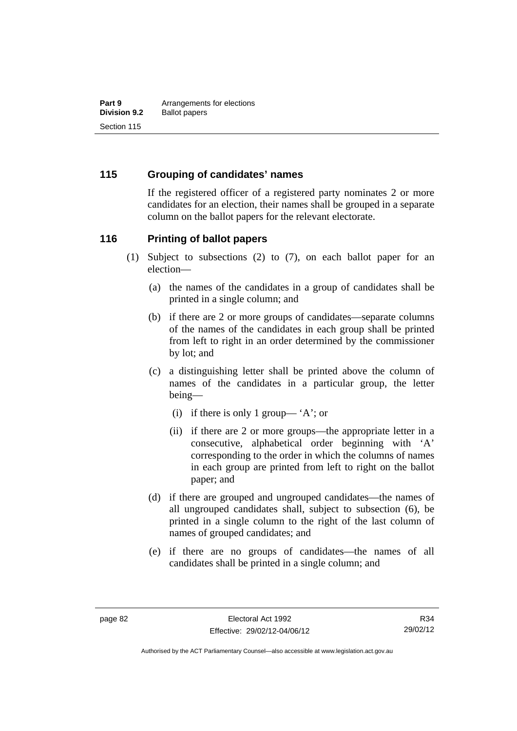### **115 Grouping of candidates' names**

If the registered officer of a registered party nominates 2 or more candidates for an election, their names shall be grouped in a separate column on the ballot papers for the relevant electorate.

#### **116 Printing of ballot papers**

- (1) Subject to subsections (2) to (7), on each ballot paper for an election—
	- (a) the names of the candidates in a group of candidates shall be printed in a single column; and
	- (b) if there are 2 or more groups of candidates—separate columns of the names of the candidates in each group shall be printed from left to right in an order determined by the commissioner by lot; and
	- (c) a distinguishing letter shall be printed above the column of names of the candidates in a particular group, the letter being—
		- (i) if there is only 1 group— 'A'; or
		- (ii) if there are 2 or more groups—the appropriate letter in a consecutive, alphabetical order beginning with 'A' corresponding to the order in which the columns of names in each group are printed from left to right on the ballot paper; and
	- (d) if there are grouped and ungrouped candidates—the names of all ungrouped candidates shall, subject to subsection (6), be printed in a single column to the right of the last column of names of grouped candidates; and
	- (e) if there are no groups of candidates—the names of all candidates shall be printed in a single column; and

Authorised by the ACT Parliamentary Counsel—also accessible at www.legislation.act.gov.au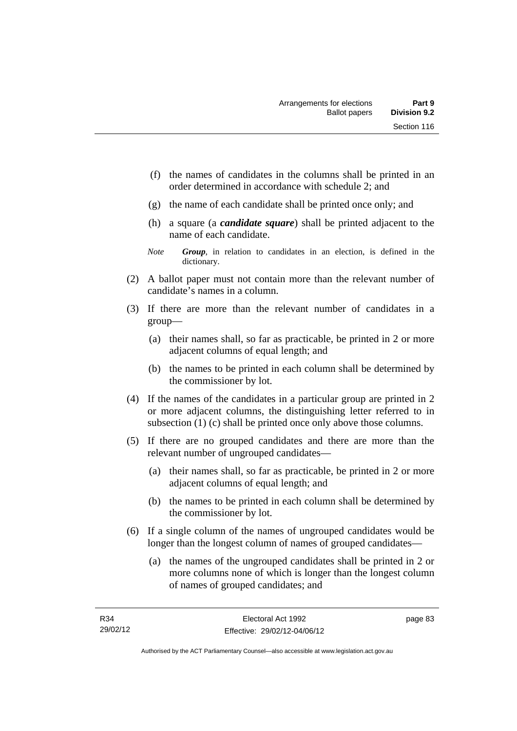- (f) the names of candidates in the columns shall be printed in an order determined in accordance with schedule 2; and
- (g) the name of each candidate shall be printed once only; and
- (h) a square (a *candidate square*) shall be printed adjacent to the name of each candidate.
- *Note Group*, in relation to candidates in an election, is defined in the dictionary.
- (2) A ballot paper must not contain more than the relevant number of candidate's names in a column.
- (3) If there are more than the relevant number of candidates in a group—
	- (a) their names shall, so far as practicable, be printed in 2 or more adjacent columns of equal length; and
	- (b) the names to be printed in each column shall be determined by the commissioner by lot.
- (4) If the names of the candidates in a particular group are printed in 2 or more adjacent columns, the distinguishing letter referred to in subsection (1) (c) shall be printed once only above those columns.
- (5) If there are no grouped candidates and there are more than the relevant number of ungrouped candidates—
	- (a) their names shall, so far as practicable, be printed in 2 or more adjacent columns of equal length; and
	- (b) the names to be printed in each column shall be determined by the commissioner by lot.
- (6) If a single column of the names of ungrouped candidates would be longer than the longest column of names of grouped candidates—
	- (a) the names of the ungrouped candidates shall be printed in 2 or more columns none of which is longer than the longest column of names of grouped candidates; and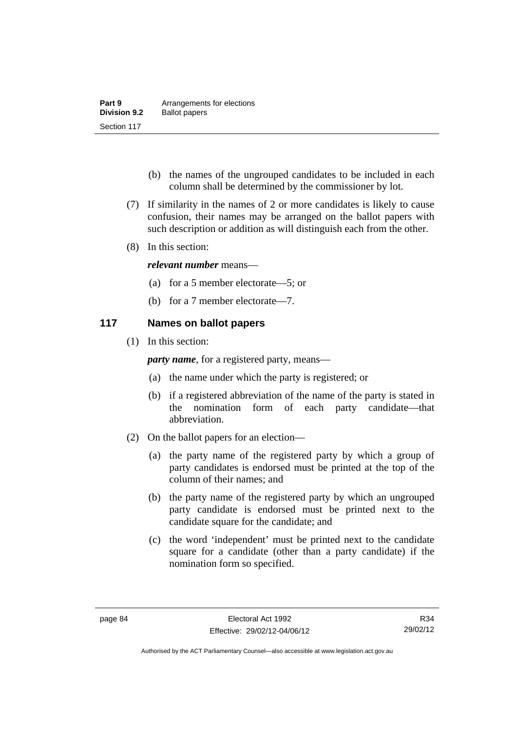| Part 9              | Arrangements for elections |
|---------------------|----------------------------|
| <b>Division 9.2</b> | <b>Ballot papers</b>       |
| Section 117         |                            |

- (b) the names of the ungrouped candidates to be included in each column shall be determined by the commissioner by lot.
- (7) If similarity in the names of 2 or more candidates is likely to cause confusion, their names may be arranged on the ballot papers with such description or addition as will distinguish each from the other.
- (8) In this section:

#### *relevant number* means—

- (a) for a 5 member electorate—5; or
- (b) for a 7 member electorate—7.

### **117 Names on ballot papers**

(1) In this section:

*party name*, for a registered party, means—

- (a) the name under which the party is registered; or
- (b) if a registered abbreviation of the name of the party is stated in the nomination form of each party candidate—that abbreviation.
- (2) On the ballot papers for an election—
	- (a) the party name of the registered party by which a group of party candidates is endorsed must be printed at the top of the column of their names; and
	- (b) the party name of the registered party by which an ungrouped party candidate is endorsed must be printed next to the candidate square for the candidate; and
	- (c) the word 'independent' must be printed next to the candidate square for a candidate (other than a party candidate) if the nomination form so specified.

Authorised by the ACT Parliamentary Counsel—also accessible at www.legislation.act.gov.au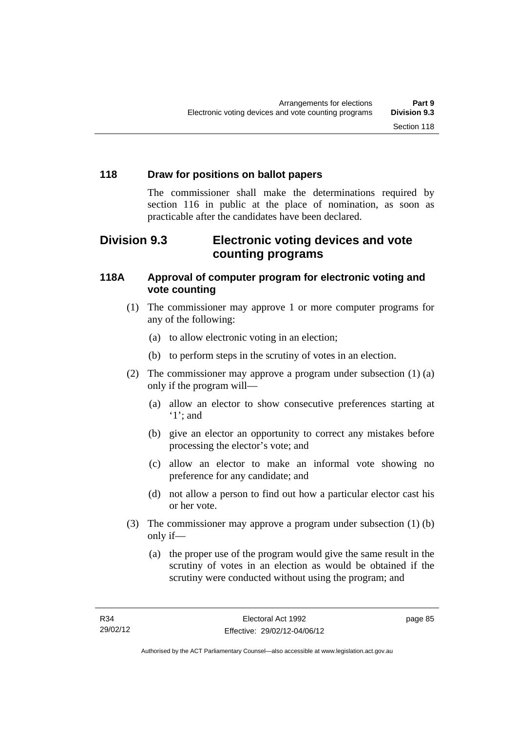### **118 Draw for positions on ballot papers**

The commissioner shall make the determinations required by section 116 in public at the place of nomination, as soon as practicable after the candidates have been declared.

## **Division 9.3 Electronic voting devices and vote counting programs**

### **118A Approval of computer program for electronic voting and vote counting**

- (1) The commissioner may approve 1 or more computer programs for any of the following:
	- (a) to allow electronic voting in an election;
	- (b) to perform steps in the scrutiny of votes in an election.
- (2) The commissioner may approve a program under subsection (1) (a) only if the program will—
	- (a) allow an elector to show consecutive preferences starting at '1'; and
	- (b) give an elector an opportunity to correct any mistakes before processing the elector's vote; and
	- (c) allow an elector to make an informal vote showing no preference for any candidate; and
	- (d) not allow a person to find out how a particular elector cast his or her vote.
- (3) The commissioner may approve a program under subsection (1) (b) only if—
	- (a) the proper use of the program would give the same result in the scrutiny of votes in an election as would be obtained if the scrutiny were conducted without using the program; and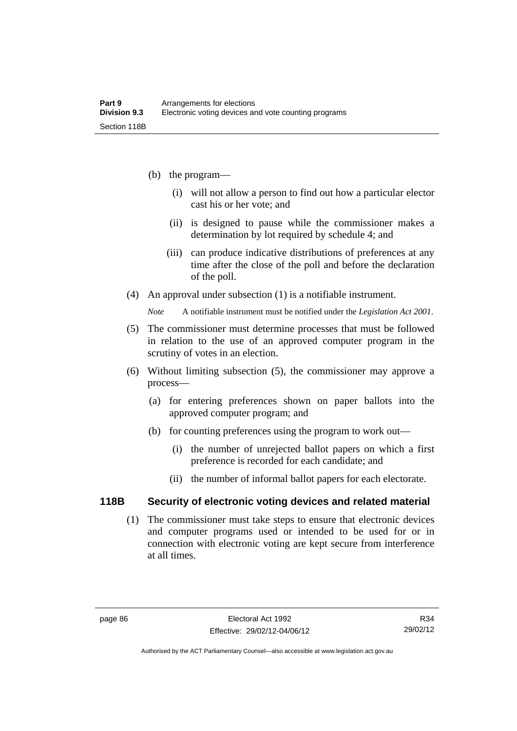- (b) the program—
	- (i) will not allow a person to find out how a particular elector cast his or her vote; and
	- (ii) is designed to pause while the commissioner makes a determination by lot required by schedule 4; and
	- (iii) can produce indicative distributions of preferences at any time after the close of the poll and before the declaration of the poll.
- (4) An approval under subsection (1) is a notifiable instrument.

*Note* A notifiable instrument must be notified under the *Legislation Act 2001*.

- (5) The commissioner must determine processes that must be followed in relation to the use of an approved computer program in the scrutiny of votes in an election.
- (6) Without limiting subsection (5), the commissioner may approve a process—
	- (a) for entering preferences shown on paper ballots into the approved computer program; and
	- (b) for counting preferences using the program to work out—
		- (i) the number of unrejected ballot papers on which a first preference is recorded for each candidate; and
		- (ii) the number of informal ballot papers for each electorate.

#### **118B Security of electronic voting devices and related material**

 (1) The commissioner must take steps to ensure that electronic devices and computer programs used or intended to be used for or in connection with electronic voting are kept secure from interference at all times.

Authorised by the ACT Parliamentary Counsel—also accessible at www.legislation.act.gov.au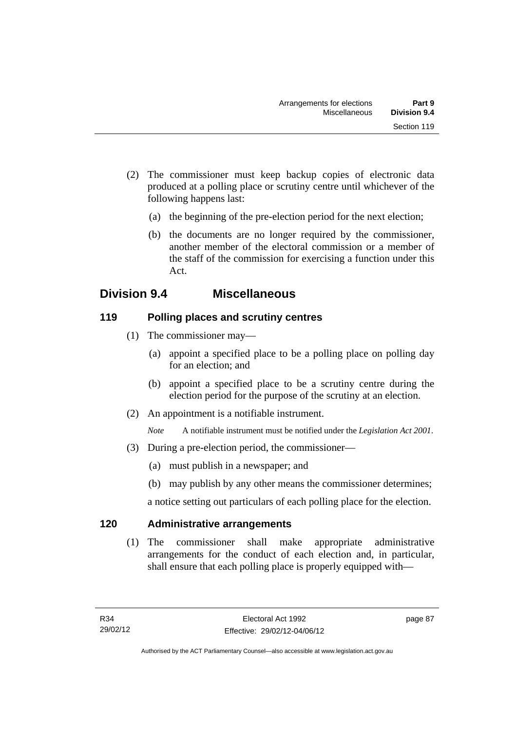- (2) The commissioner must keep backup copies of electronic data produced at a polling place or scrutiny centre until whichever of the following happens last:
	- (a) the beginning of the pre-election period for the next election;
	- (b) the documents are no longer required by the commissioner, another member of the electoral commission or a member of the staff of the commission for exercising a function under this Act.

## **Division 9.4 Miscellaneous**

### **119 Polling places and scrutiny centres**

- (1) The commissioner may—
	- (a) appoint a specified place to be a polling place on polling day for an election; and
	- (b) appoint a specified place to be a scrutiny centre during the election period for the purpose of the scrutiny at an election.
- (2) An appointment is a notifiable instrument.

*Note* A notifiable instrument must be notified under the *Legislation Act 2001*.

- (3) During a pre-election period, the commissioner—
	- (a) must publish in a newspaper; and
	- (b) may publish by any other means the commissioner determines;

a notice setting out particulars of each polling place for the election.

### **120 Administrative arrangements**

 (1) The commissioner shall make appropriate administrative arrangements for the conduct of each election and, in particular, shall ensure that each polling place is properly equipped with—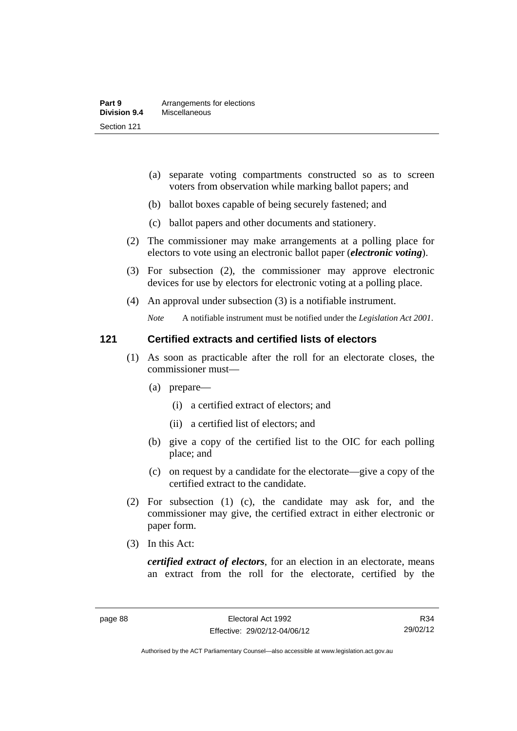- (a) separate voting compartments constructed so as to screen voters from observation while marking ballot papers; and
- (b) ballot boxes capable of being securely fastened; and
- (c) ballot papers and other documents and stationery.
- (2) The commissioner may make arrangements at a polling place for electors to vote using an electronic ballot paper (*electronic voting*).
- (3) For subsection (2), the commissioner may approve electronic devices for use by electors for electronic voting at a polling place.
- (4) An approval under subsection (3) is a notifiable instrument.

*Note* A notifiable instrument must be notified under the *Legislation Act 2001*.

#### **121 Certified extracts and certified lists of electors**

- (1) As soon as practicable after the roll for an electorate closes, the commissioner must—
	- (a) prepare—
		- (i) a certified extract of electors; and
		- (ii) a certified list of electors; and
	- (b) give a copy of the certified list to the OIC for each polling place; and
	- (c) on request by a candidate for the electorate—give a copy of the certified extract to the candidate.
- (2) For subsection (1) (c), the candidate may ask for, and the commissioner may give, the certified extract in either electronic or paper form.
- (3) In this Act:

*certified extract of electors*, for an election in an electorate, means an extract from the roll for the electorate, certified by the

R34 29/02/12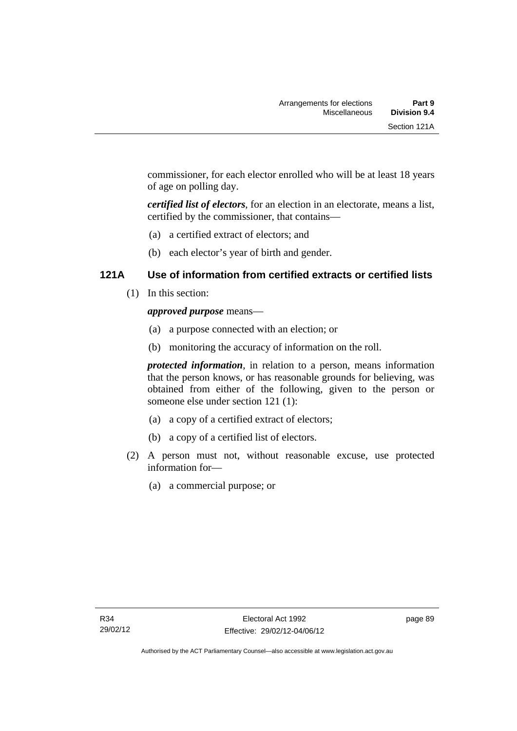commissioner, for each elector enrolled who will be at least 18 years of age on polling day.

*certified list of electors*, for an election in an electorate, means a list, certified by the commissioner, that contains—

- (a) a certified extract of electors; and
- (b) each elector's year of birth and gender.

### **121A Use of information from certified extracts or certified lists**

(1) In this section:

### *approved purpose* means—

- (a) a purpose connected with an election; or
- (b) monitoring the accuracy of information on the roll.

*protected information*, in relation to a person, means information that the person knows, or has reasonable grounds for believing, was obtained from either of the following, given to the person or someone else under section 121 (1):

- (a) a copy of a certified extract of electors;
- (b) a copy of a certified list of electors.
- (2) A person must not, without reasonable excuse, use protected information for—
	- (a) a commercial purpose; or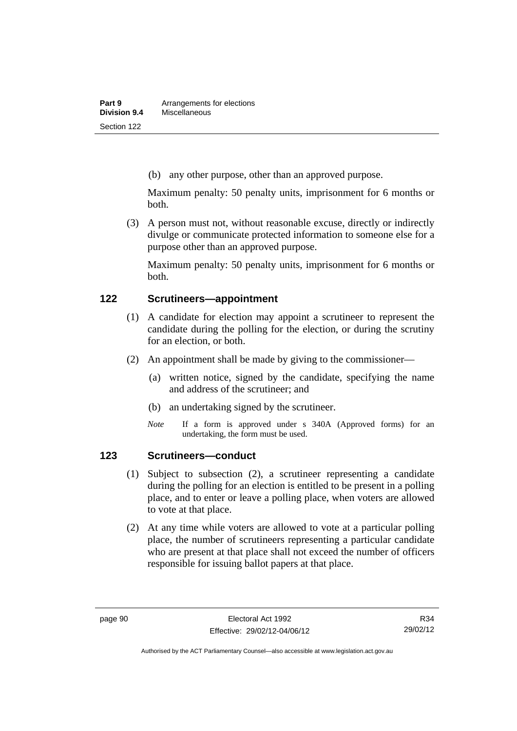(b) any other purpose, other than an approved purpose.

Maximum penalty: 50 penalty units, imprisonment for 6 months or both.

 (3) A person must not, without reasonable excuse, directly or indirectly divulge or communicate protected information to someone else for a purpose other than an approved purpose.

Maximum penalty: 50 penalty units, imprisonment for 6 months or both.

#### **122 Scrutineers—appointment**

- (1) A candidate for election may appoint a scrutineer to represent the candidate during the polling for the election, or during the scrutiny for an election, or both.
- (2) An appointment shall be made by giving to the commissioner—
	- (a) written notice, signed by the candidate, specifying the name and address of the scrutineer; and
	- (b) an undertaking signed by the scrutineer.
	- *Note* If a form is approved under s 340A (Approved forms) for an undertaking, the form must be used.

### **123 Scrutineers—conduct**

- (1) Subject to subsection (2), a scrutineer representing a candidate during the polling for an election is entitled to be present in a polling place, and to enter or leave a polling place, when voters are allowed to vote at that place.
- (2) At any time while voters are allowed to vote at a particular polling place, the number of scrutineers representing a particular candidate who are present at that place shall not exceed the number of officers responsible for issuing ballot papers at that place.

Authorised by the ACT Parliamentary Counsel—also accessible at www.legislation.act.gov.au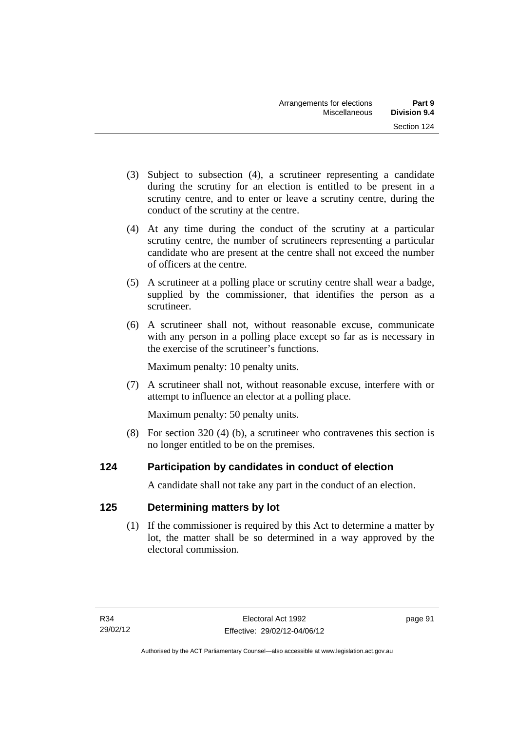- (3) Subject to subsection (4), a scrutineer representing a candidate during the scrutiny for an election is entitled to be present in a scrutiny centre, and to enter or leave a scrutiny centre, during the conduct of the scrutiny at the centre.
- (4) At any time during the conduct of the scrutiny at a particular scrutiny centre, the number of scrutineers representing a particular candidate who are present at the centre shall not exceed the number of officers at the centre.
- (5) A scrutineer at a polling place or scrutiny centre shall wear a badge, supplied by the commissioner, that identifies the person as a scrutineer.
- (6) A scrutineer shall not, without reasonable excuse, communicate with any person in a polling place except so far as is necessary in the exercise of the scrutineer's functions.

Maximum penalty: 10 penalty units.

 (7) A scrutineer shall not, without reasonable excuse, interfere with or attempt to influence an elector at a polling place.

Maximum penalty: 50 penalty units.

 (8) For section 320 (4) (b), a scrutineer who contravenes this section is no longer entitled to be on the premises.

## **124 Participation by candidates in conduct of election**

A candidate shall not take any part in the conduct of an election.

## **125 Determining matters by lot**

 (1) If the commissioner is required by this Act to determine a matter by lot, the matter shall be so determined in a way approved by the electoral commission.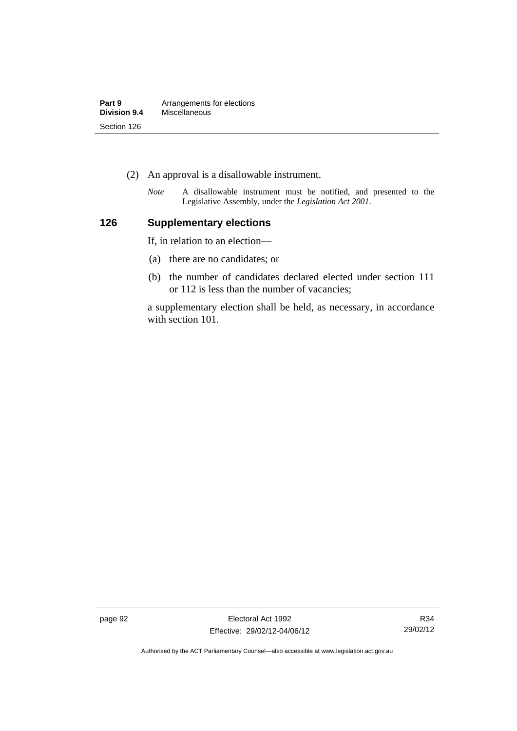| Part 9       | Arrangements for elections |
|--------------|----------------------------|
| Division 9.4 | Miscellaneous              |
| Section 126  |                            |

- (2) An approval is a disallowable instrument.
	- *Note* A disallowable instrument must be notified, and presented to the Legislative Assembly, under the *Legislation Act 2001*.

## **126 Supplementary elections**

If, in relation to an election—

- (a) there are no candidates; or
- (b) the number of candidates declared elected under section 111 or 112 is less than the number of vacancies;

a supplementary election shall be held, as necessary, in accordance with section 101.

page 92 **Electoral Act 1992** Effective: 29/02/12-04/06/12

R34 29/02/12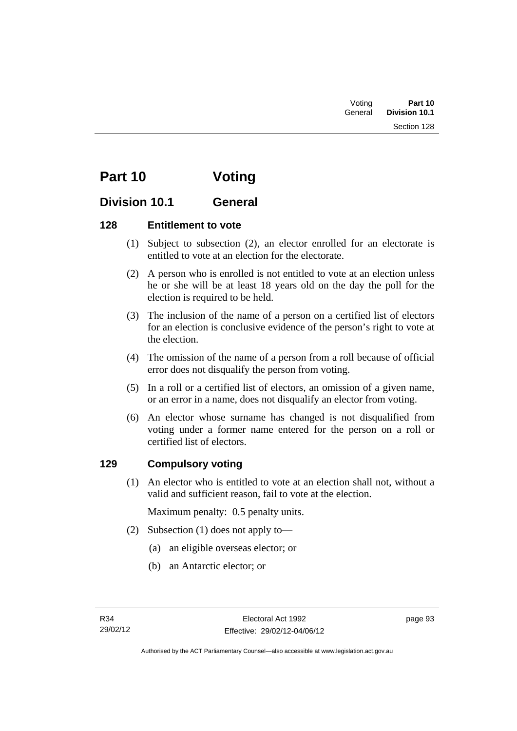| Voting  | Part 10       |
|---------|---------------|
| General | Division 10.1 |
|         | Section 128   |

# **Part 10 Voting**

## **Division 10.1 General**

## **128 Entitlement to vote**

- (1) Subject to subsection (2), an elector enrolled for an electorate is entitled to vote at an election for the electorate.
- (2) A person who is enrolled is not entitled to vote at an election unless he or she will be at least 18 years old on the day the poll for the election is required to be held.
- (3) The inclusion of the name of a person on a certified list of electors for an election is conclusive evidence of the person's right to vote at the election.
- (4) The omission of the name of a person from a roll because of official error does not disqualify the person from voting.
- (5) In a roll or a certified list of electors, an omission of a given name, or an error in a name, does not disqualify an elector from voting.
- (6) An elector whose surname has changed is not disqualified from voting under a former name entered for the person on a roll or certified list of electors.

## **129 Compulsory voting**

 (1) An elector who is entitled to vote at an election shall not, without a valid and sufficient reason, fail to vote at the election.

Maximum penalty: 0.5 penalty units.

- (2) Subsection (1) does not apply to—
	- (a) an eligible overseas elector; or
	- (b) an Antarctic elector; or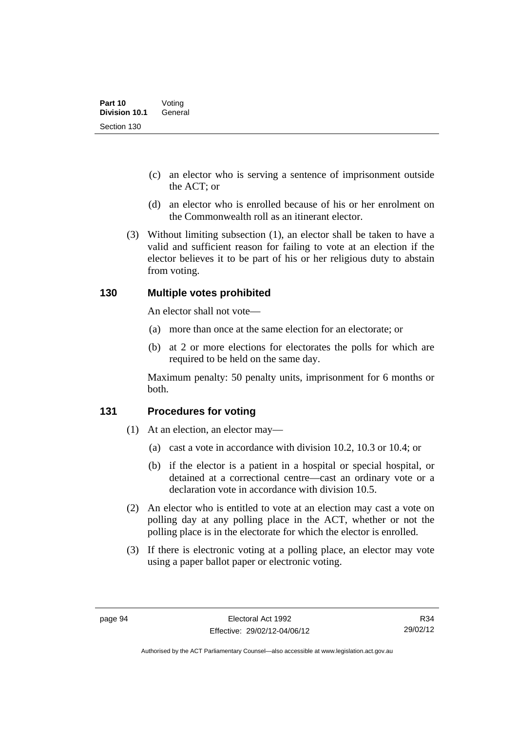- (c) an elector who is serving a sentence of imprisonment outside the ACT; or
- (d) an elector who is enrolled because of his or her enrolment on the Commonwealth roll as an itinerant elector.
- (3) Without limiting subsection (1), an elector shall be taken to have a valid and sufficient reason for failing to vote at an election if the elector believes it to be part of his or her religious duty to abstain from voting.

## **130 Multiple votes prohibited**

An elector shall not vote—

- (a) more than once at the same election for an electorate; or
- (b) at 2 or more elections for electorates the polls for which are required to be held on the same day.

Maximum penalty: 50 penalty units, imprisonment for 6 months or both.

### **131 Procedures for voting**

- (1) At an election, an elector may—
	- (a) cast a vote in accordance with division 10.2, 10.3 or 10.4; or
	- (b) if the elector is a patient in a hospital or special hospital, or detained at a correctional centre—cast an ordinary vote or a declaration vote in accordance with division 10.5.
- (2) An elector who is entitled to vote at an election may cast a vote on polling day at any polling place in the ACT, whether or not the polling place is in the electorate for which the elector is enrolled.
- (3) If there is electronic voting at a polling place, an elector may vote using a paper ballot paper or electronic voting.

R34 29/02/12

Authorised by the ACT Parliamentary Counsel—also accessible at www.legislation.act.gov.au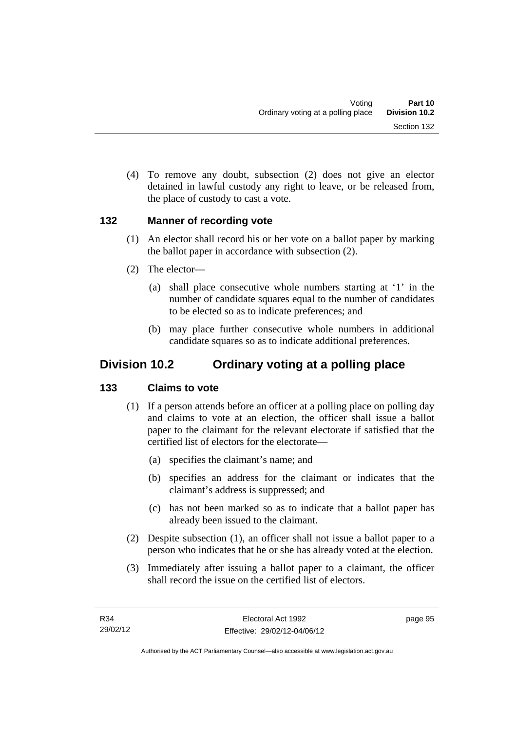(4) To remove any doubt, subsection (2) does not give an elector detained in lawful custody any right to leave, or be released from, the place of custody to cast a vote.

## **132 Manner of recording vote**

- (1) An elector shall record his or her vote on a ballot paper by marking the ballot paper in accordance with subsection (2).
- (2) The elector—
	- (a) shall place consecutive whole numbers starting at '1' in the number of candidate squares equal to the number of candidates to be elected so as to indicate preferences; and
	- (b) may place further consecutive whole numbers in additional candidate squares so as to indicate additional preferences.

## **Division 10.2 Ordinary voting at a polling place**

## **133 Claims to vote**

- (1) If a person attends before an officer at a polling place on polling day and claims to vote at an election, the officer shall issue a ballot paper to the claimant for the relevant electorate if satisfied that the certified list of electors for the electorate—
	- (a) specifies the claimant's name; and
	- (b) specifies an address for the claimant or indicates that the claimant's address is suppressed; and
	- (c) has not been marked so as to indicate that a ballot paper has already been issued to the claimant.
- (2) Despite subsection (1), an officer shall not issue a ballot paper to a person who indicates that he or she has already voted at the election.
- (3) Immediately after issuing a ballot paper to a claimant, the officer shall record the issue on the certified list of electors.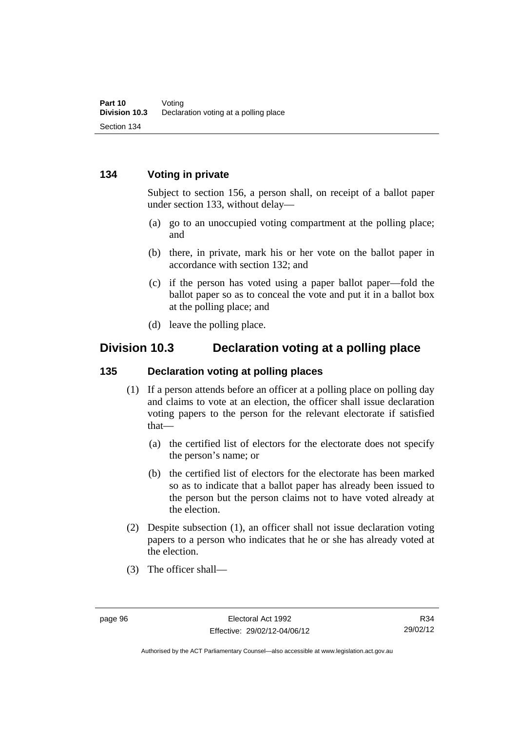## **134 Voting in private**

Subject to section 156, a person shall, on receipt of a ballot paper under section 133, without delay—

- (a) go to an unoccupied voting compartment at the polling place; and
- (b) there, in private, mark his or her vote on the ballot paper in accordance with section 132; and
- (c) if the person has voted using a paper ballot paper—fold the ballot paper so as to conceal the vote and put it in a ballot box at the polling place; and
- (d) leave the polling place.

## **Division 10.3 Declaration voting at a polling place**

#### **135 Declaration voting at polling places**

- (1) If a person attends before an officer at a polling place on polling day and claims to vote at an election, the officer shall issue declaration voting papers to the person for the relevant electorate if satisfied that—
	- (a) the certified list of electors for the electorate does not specify the person's name; or
	- (b) the certified list of electors for the electorate has been marked so as to indicate that a ballot paper has already been issued to the person but the person claims not to have voted already at the election.
- (2) Despite subsection (1), an officer shall not issue declaration voting papers to a person who indicates that he or she has already voted at the election.
- (3) The officer shall—

R34 29/02/12

Authorised by the ACT Parliamentary Counsel—also accessible at www.legislation.act.gov.au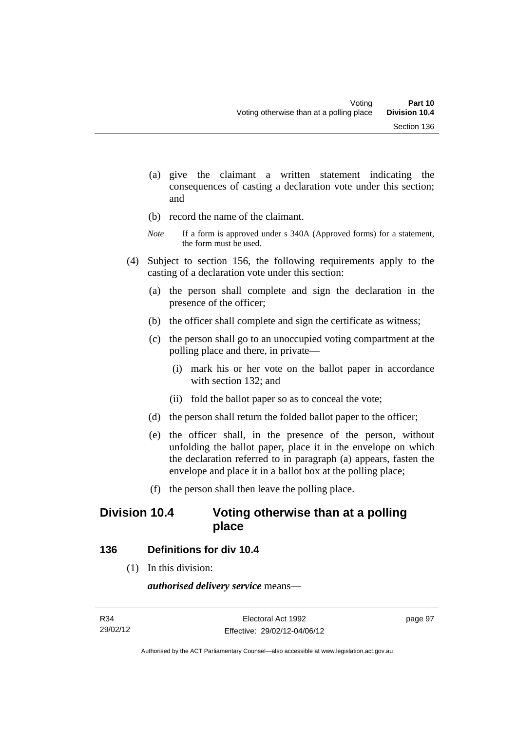- (a) give the claimant a written statement indicating the consequences of casting a declaration vote under this section; and
- (b) record the name of the claimant.
- *Note* If a form is approved under s 340A (Approved forms) for a statement, the form must be used.
- (4) Subject to section 156, the following requirements apply to the casting of a declaration vote under this section:
	- (a) the person shall complete and sign the declaration in the presence of the officer;
	- (b) the officer shall complete and sign the certificate as witness;
	- (c) the person shall go to an unoccupied voting compartment at the polling place and there, in private—
		- (i) mark his or her vote on the ballot paper in accordance with section 132; and
		- (ii) fold the ballot paper so as to conceal the vote;
	- (d) the person shall return the folded ballot paper to the officer;
	- (e) the officer shall, in the presence of the person, without unfolding the ballot paper, place it in the envelope on which the declaration referred to in paragraph (a) appears, fasten the envelope and place it in a ballot box at the polling place;
	- (f) the person shall then leave the polling place.

## **Division 10.4 Voting otherwise than at a polling place**

### **136 Definitions for div 10.4**

(1) In this division:

*authorised delivery service* means—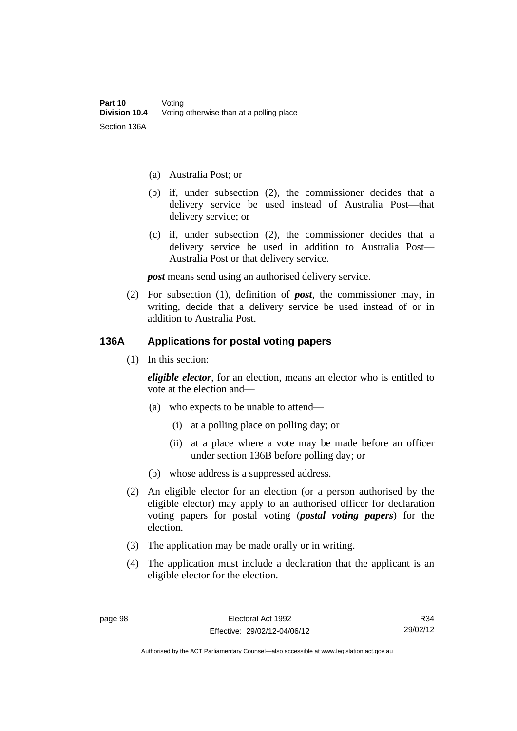- (a) Australia Post; or
- (b) if, under subsection (2), the commissioner decides that a delivery service be used instead of Australia Post—that delivery service; or
- (c) if, under subsection (2), the commissioner decides that a delivery service be used in addition to Australia Post— Australia Post or that delivery service.

*post* means send using an authorised delivery service.

 (2) For subsection (1), definition of *post*, the commissioner may, in writing, decide that a delivery service be used instead of or in addition to Australia Post.

## **136A Applications for postal voting papers**

(1) In this section:

*eligible elector*, for an election, means an elector who is entitled to vote at the election and—

- (a) who expects to be unable to attend—
	- (i) at a polling place on polling day; or
	- (ii) at a place where a vote may be made before an officer under section 136B before polling day; or
- (b) whose address is a suppressed address.
- (2) An eligible elector for an election (or a person authorised by the eligible elector) may apply to an authorised officer for declaration voting papers for postal voting (*postal voting papers*) for the election.
- (3) The application may be made orally or in writing.
- (4) The application must include a declaration that the applicant is an eligible elector for the election.

Authorised by the ACT Parliamentary Counsel—also accessible at www.legislation.act.gov.au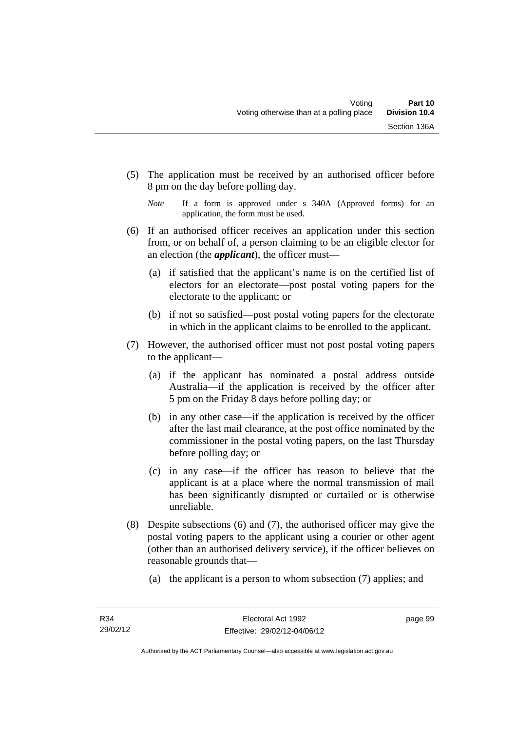- (5) The application must be received by an authorised officer before 8 pm on the day before polling day.
	- *Note* If a form is approved under s 340A (Approved forms) for an application, the form must be used.
- (6) If an authorised officer receives an application under this section from, or on behalf of, a person claiming to be an eligible elector for an election (the *applicant*), the officer must—
	- (a) if satisfied that the applicant's name is on the certified list of electors for an electorate—post postal voting papers for the electorate to the applicant; or
	- (b) if not so satisfied—post postal voting papers for the electorate in which in the applicant claims to be enrolled to the applicant.
- (7) However, the authorised officer must not post postal voting papers to the applicant—
	- (a) if the applicant has nominated a postal address outside Australia—if the application is received by the officer after 5 pm on the Friday 8 days before polling day; or
	- (b) in any other case—if the application is received by the officer after the last mail clearance, at the post office nominated by the commissioner in the postal voting papers, on the last Thursday before polling day; or
	- (c) in any case—if the officer has reason to believe that the applicant is at a place where the normal transmission of mail has been significantly disrupted or curtailed or is otherwise unreliable.
- (8) Despite subsections (6) and (7), the authorised officer may give the postal voting papers to the applicant using a courier or other agent (other than an authorised delivery service), if the officer believes on reasonable grounds that—
	- (a) the applicant is a person to whom subsection (7) applies; and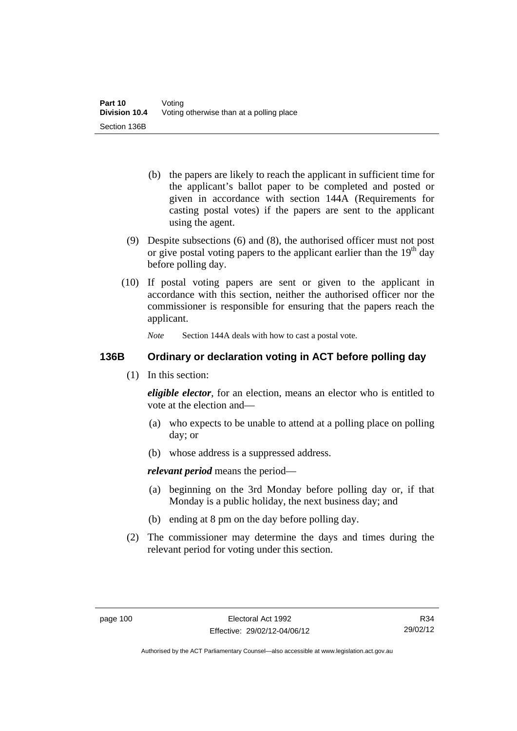- (b) the papers are likely to reach the applicant in sufficient time for the applicant's ballot paper to be completed and posted or given in accordance with section 144A (Requirements for casting postal votes) if the papers are sent to the applicant using the agent.
- (9) Despite subsections (6) and (8), the authorised officer must not post or give postal voting papers to the applicant earlier than the  $19<sup>th</sup>$  day before polling day.
- (10) If postal voting papers are sent or given to the applicant in accordance with this section, neither the authorised officer nor the commissioner is responsible for ensuring that the papers reach the applicant.

*Note* Section 144A deals with how to cast a postal vote.

## **136B Ordinary or declaration voting in ACT before polling day**

(1) In this section:

*eligible elector*, for an election, means an elector who is entitled to vote at the election and—

- (a) who expects to be unable to attend at a polling place on polling day; or
- (b) whose address is a suppressed address.

*relevant period* means the period—

- (a) beginning on the 3rd Monday before polling day or, if that Monday is a public holiday, the next business day; and
- (b) ending at 8 pm on the day before polling day.
- (2) The commissioner may determine the days and times during the relevant period for voting under this section.

R34 29/02/12

Authorised by the ACT Parliamentary Counsel—also accessible at www.legislation.act.gov.au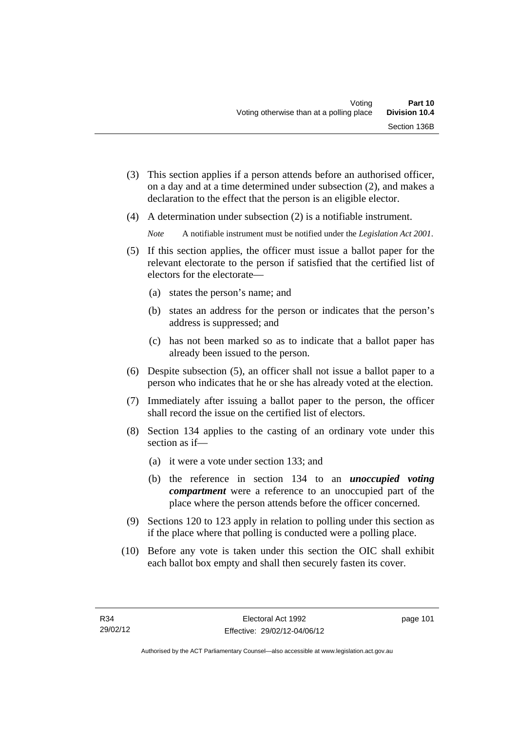- (3) This section applies if a person attends before an authorised officer, on a day and at a time determined under subsection (2), and makes a declaration to the effect that the person is an eligible elector.
- (4) A determination under subsection (2) is a notifiable instrument.

*Note* A notifiable instrument must be notified under the *Legislation Act 2001*.

- (5) If this section applies, the officer must issue a ballot paper for the relevant electorate to the person if satisfied that the certified list of electors for the electorate—
	- (a) states the person's name; and
	- (b) states an address for the person or indicates that the person's address is suppressed; and
	- (c) has not been marked so as to indicate that a ballot paper has already been issued to the person.
- (6) Despite subsection (5), an officer shall not issue a ballot paper to a person who indicates that he or she has already voted at the election.
- (7) Immediately after issuing a ballot paper to the person, the officer shall record the issue on the certified list of electors.
- (8) Section 134 applies to the casting of an ordinary vote under this section as if—
	- (a) it were a vote under section 133; and
	- (b) the reference in section 134 to an *unoccupied voting compartment* were a reference to an unoccupied part of the place where the person attends before the officer concerned.
- (9) Sections 120 to 123 apply in relation to polling under this section as if the place where that polling is conducted were a polling place.
- (10) Before any vote is taken under this section the OIC shall exhibit each ballot box empty and shall then securely fasten its cover.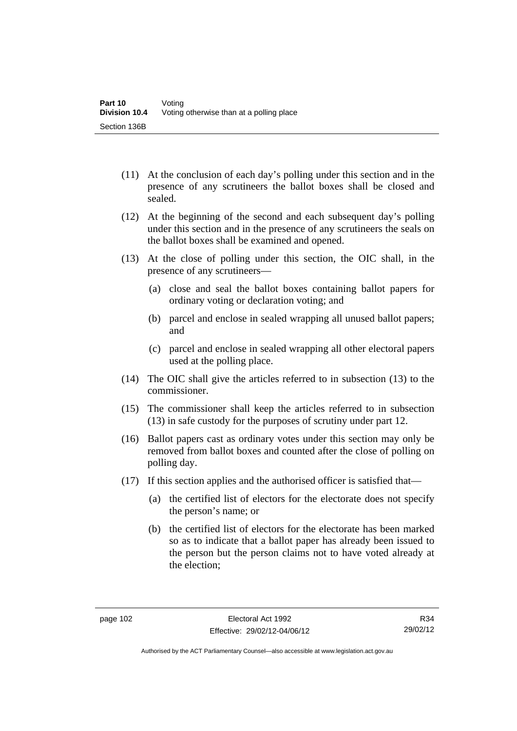- (11) At the conclusion of each day's polling under this section and in the presence of any scrutineers the ballot boxes shall be closed and sealed.
- (12) At the beginning of the second and each subsequent day's polling under this section and in the presence of any scrutineers the seals on the ballot boxes shall be examined and opened.
- (13) At the close of polling under this section, the OIC shall, in the presence of any scrutineers—
	- (a) close and seal the ballot boxes containing ballot papers for ordinary voting or declaration voting; and
	- (b) parcel and enclose in sealed wrapping all unused ballot papers; and
	- (c) parcel and enclose in sealed wrapping all other electoral papers used at the polling place.
- (14) The OIC shall give the articles referred to in subsection (13) to the commissioner.
- (15) The commissioner shall keep the articles referred to in subsection (13) in safe custody for the purposes of scrutiny under part 12.
- (16) Ballot papers cast as ordinary votes under this section may only be removed from ballot boxes and counted after the close of polling on polling day.
- (17) If this section applies and the authorised officer is satisfied that—
	- (a) the certified list of electors for the electorate does not specify the person's name; or
	- (b) the certified list of electors for the electorate has been marked so as to indicate that a ballot paper has already been issued to the person but the person claims not to have voted already at the election;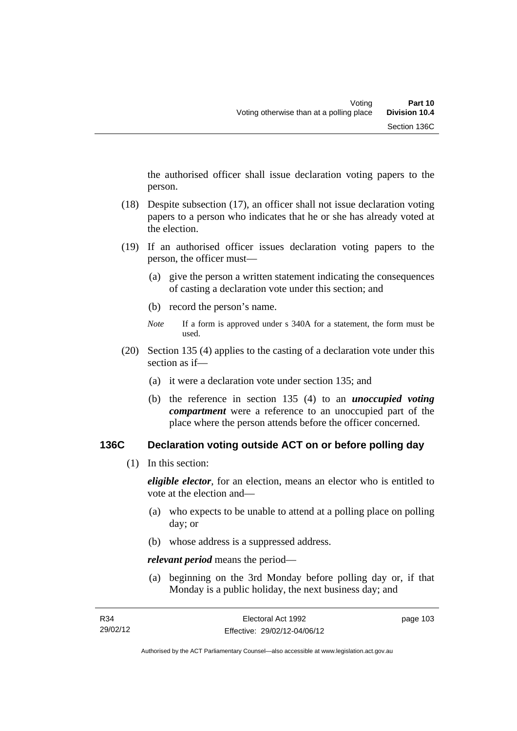the authorised officer shall issue declaration voting papers to the person.

- (18) Despite subsection (17), an officer shall not issue declaration voting papers to a person who indicates that he or she has already voted at the election.
- (19) If an authorised officer issues declaration voting papers to the person, the officer must—
	- (a) give the person a written statement indicating the consequences of casting a declaration vote under this section; and
	- (b) record the person's name.
	- *Note* If a form is approved under s 340A for a statement, the form must be used.
- (20) Section 135 (4) applies to the casting of a declaration vote under this section as if—
	- (a) it were a declaration vote under section 135; and
	- (b) the reference in section 135 (4) to an *unoccupied voting compartment* were a reference to an unoccupied part of the place where the person attends before the officer concerned.

### **136C Declaration voting outside ACT on or before polling day**

(1) In this section:

*eligible elector*, for an election, means an elector who is entitled to vote at the election and—

- (a) who expects to be unable to attend at a polling place on polling day; or
- (b) whose address is a suppressed address.

*relevant period* means the period—

 (a) beginning on the 3rd Monday before polling day or, if that Monday is a public holiday, the next business day; and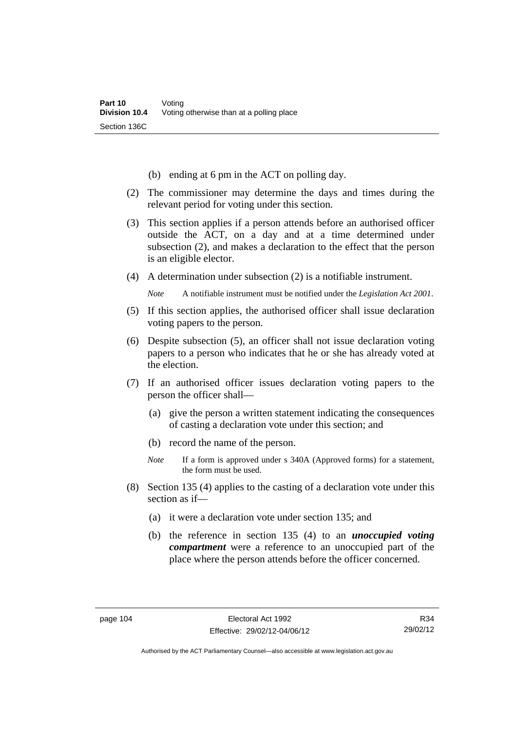- (b) ending at 6 pm in the ACT on polling day.
- (2) The commissioner may determine the days and times during the relevant period for voting under this section.
- (3) This section applies if a person attends before an authorised officer outside the ACT, on a day and at a time determined under subsection (2), and makes a declaration to the effect that the person is an eligible elector.
- (4) A determination under subsection (2) is a notifiable instrument.

*Note* A notifiable instrument must be notified under the *Legislation Act 2001*.

- (5) If this section applies, the authorised officer shall issue declaration voting papers to the person.
- (6) Despite subsection (5), an officer shall not issue declaration voting papers to a person who indicates that he or she has already voted at the election.
- (7) If an authorised officer issues declaration voting papers to the person the officer shall—
	- (a) give the person a written statement indicating the consequences of casting a declaration vote under this section; and
	- (b) record the name of the person.
	- *Note* If a form is approved under s 340A (Approved forms) for a statement, the form must be used.
- (8) Section 135 (4) applies to the casting of a declaration vote under this section as if—
	- (a) it were a declaration vote under section 135; and
	- (b) the reference in section 135 (4) to an *unoccupied voting compartment* were a reference to an unoccupied part of the place where the person attends before the officer concerned.

R34 29/02/12

Authorised by the ACT Parliamentary Counsel—also accessible at www.legislation.act.gov.au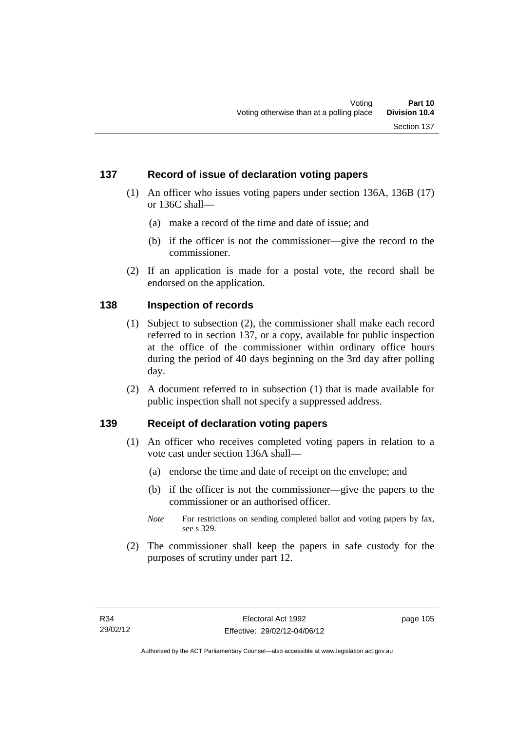## **137 Record of issue of declaration voting papers**

- (1) An officer who issues voting papers under section 136A, 136B (17) or 136C shall—
	- (a) make a record of the time and date of issue; and
	- (b) if the officer is not the commissioner—give the record to the commissioner.
- (2) If an application is made for a postal vote, the record shall be endorsed on the application.

### **138 Inspection of records**

- (1) Subject to subsection (2), the commissioner shall make each record referred to in section 137, or a copy, available for public inspection at the office of the commissioner within ordinary office hours during the period of 40 days beginning on the 3rd day after polling day.
- (2) A document referred to in subsection (1) that is made available for public inspection shall not specify a suppressed address.

## **139 Receipt of declaration voting papers**

- (1) An officer who receives completed voting papers in relation to a vote cast under section 136A shall—
	- (a) endorse the time and date of receipt on the envelope; and
	- (b) if the officer is not the commissioner—give the papers to the commissioner or an authorised officer.
	- *Note* For restrictions on sending completed ballot and voting papers by fax, see s 329.
- (2) The commissioner shall keep the papers in safe custody for the purposes of scrutiny under part 12.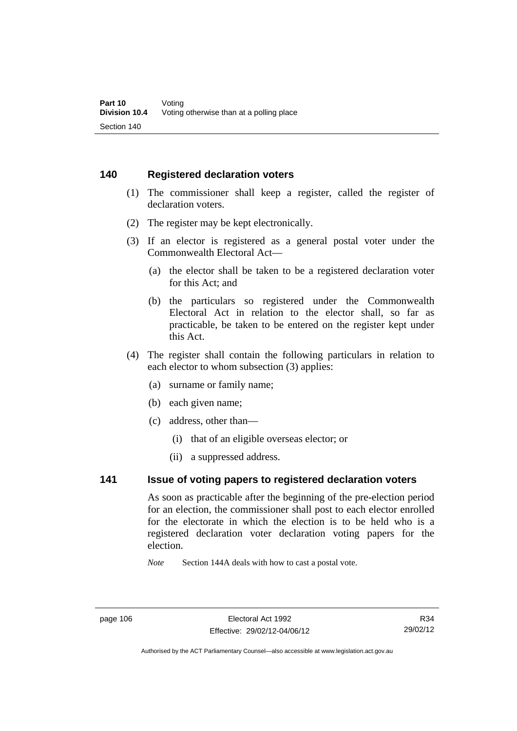#### **140 Registered declaration voters**

- (1) The commissioner shall keep a register, called the register of declaration voters.
- (2) The register may be kept electronically.
- (3) If an elector is registered as a general postal voter under the Commonwealth Electoral Act—
	- (a) the elector shall be taken to be a registered declaration voter for this Act; and
	- (b) the particulars so registered under the Commonwealth Electoral Act in relation to the elector shall, so far as practicable, be taken to be entered on the register kept under this Act.
- (4) The register shall contain the following particulars in relation to each elector to whom subsection (3) applies:
	- (a) surname or family name;
	- (b) each given name;
	- (c) address, other than—
		- (i) that of an eligible overseas elector; or
		- (ii) a suppressed address.

## **141 Issue of voting papers to registered declaration voters**

As soon as practicable after the beginning of the pre-election period for an election, the commissioner shall post to each elector enrolled for the electorate in which the election is to be held who is a registered declaration voter declaration voting papers for the election.

*Note* Section 144A deals with how to cast a postal vote.

R34 29/02/12

Authorised by the ACT Parliamentary Counsel—also accessible at www.legislation.act.gov.au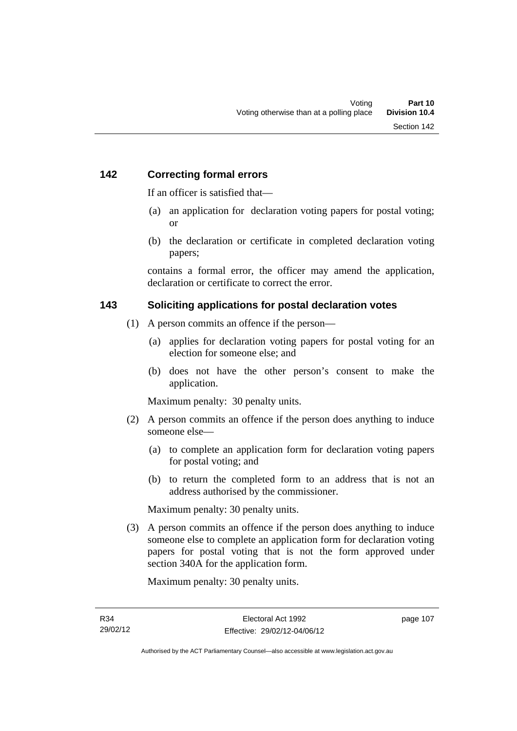## **142 Correcting formal errors**

If an officer is satisfied that—

- (a) an application for declaration voting papers for postal voting; or
- (b) the declaration or certificate in completed declaration voting papers;

contains a formal error, the officer may amend the application, declaration or certificate to correct the error.

### **143 Soliciting applications for postal declaration votes**

- (1) A person commits an offence if the person—
	- (a) applies for declaration voting papers for postal voting for an election for someone else; and
	- (b) does not have the other person's consent to make the application.

Maximum penalty: 30 penalty units.

- (2) A person commits an offence if the person does anything to induce someone else—
	- (a) to complete an application form for declaration voting papers for postal voting; and
	- (b) to return the completed form to an address that is not an address authorised by the commissioner.

Maximum penalty: 30 penalty units.

 (3) A person commits an offence if the person does anything to induce someone else to complete an application form for declaration voting papers for postal voting that is not the form approved under section 340A for the application form.

Maximum penalty: 30 penalty units.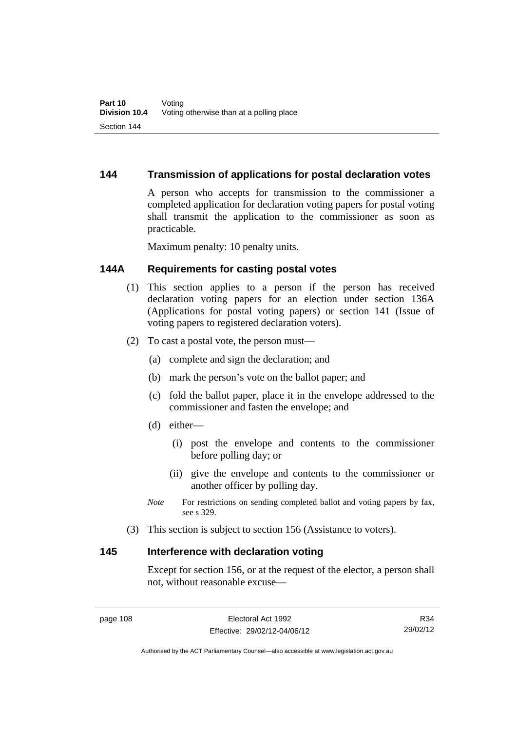## **144 Transmission of applications for postal declaration votes**

A person who accepts for transmission to the commissioner a completed application for declaration voting papers for postal voting shall transmit the application to the commissioner as soon as practicable.

Maximum penalty: 10 penalty units.

## **144A Requirements for casting postal votes**

- (1) This section applies to a person if the person has received declaration voting papers for an election under section 136A (Applications for postal voting papers) or section 141 (Issue of voting papers to registered declaration voters).
- (2) To cast a postal vote, the person must—
	- (a) complete and sign the declaration; and
	- (b) mark the person's vote on the ballot paper; and
	- (c) fold the ballot paper, place it in the envelope addressed to the commissioner and fasten the envelope; and
	- (d) either—
		- (i) post the envelope and contents to the commissioner before polling day; or
		- (ii) give the envelope and contents to the commissioner or another officer by polling day.
	- *Note* For restrictions on sending completed ballot and voting papers by fax, see s 329.
- (3) This section is subject to section 156 (Assistance to voters).

### **145 Interference with declaration voting**

Except for section 156, or at the request of the elector, a person shall not, without reasonable excuse—

R34 29/02/12

Authorised by the ACT Parliamentary Counsel—also accessible at www.legislation.act.gov.au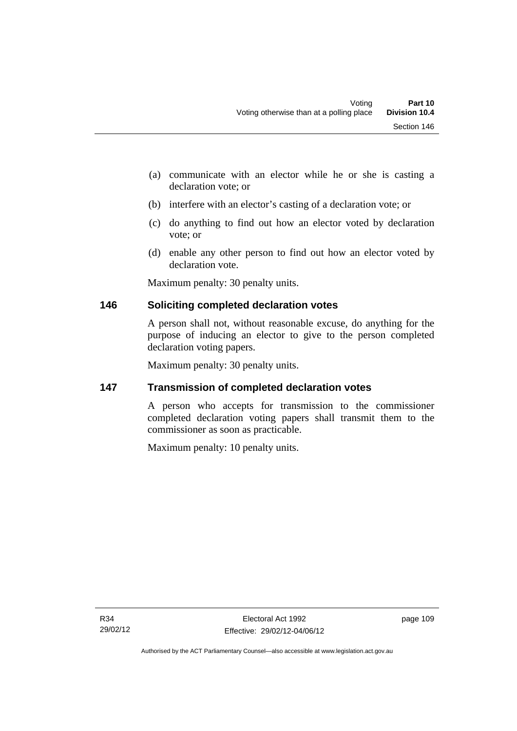- (a) communicate with an elector while he or she is casting a declaration vote; or
- (b) interfere with an elector's casting of a declaration vote; or
- (c) do anything to find out how an elector voted by declaration vote; or
- (d) enable any other person to find out how an elector voted by declaration vote.

Maximum penalty: 30 penalty units.

## **146 Soliciting completed declaration votes**

A person shall not, without reasonable excuse, do anything for the purpose of inducing an elector to give to the person completed declaration voting papers.

Maximum penalty: 30 penalty units.

## **147 Transmission of completed declaration votes**

A person who accepts for transmission to the commissioner completed declaration voting papers shall transmit them to the commissioner as soon as practicable.

Maximum penalty: 10 penalty units.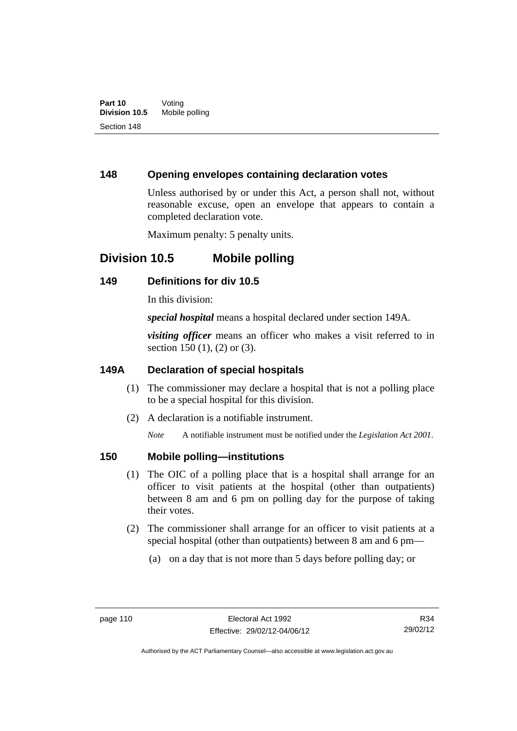## **148 Opening envelopes containing declaration votes**

Unless authorised by or under this Act, a person shall not, without reasonable excuse, open an envelope that appears to contain a completed declaration vote.

Maximum penalty: 5 penalty units.

## **Division 10.5 Mobile polling**

## **149 Definitions for div 10.5**

In this division:

*special hospital* means a hospital declared under section 149A.

*visiting officer* means an officer who makes a visit referred to in section 150 (1), (2) or (3).

## **149A Declaration of special hospitals**

- (1) The commissioner may declare a hospital that is not a polling place to be a special hospital for this division.
- (2) A declaration is a notifiable instrument.

*Note* A notifiable instrument must be notified under the *Legislation Act 2001*.

### **150 Mobile polling—institutions**

- (1) The OIC of a polling place that is a hospital shall arrange for an officer to visit patients at the hospital (other than outpatients) between 8 am and 6 pm on polling day for the purpose of taking their votes.
- (2) The commissioner shall arrange for an officer to visit patients at a special hospital (other than outpatients) between 8 am and 6 pm—
	- (a) on a day that is not more than 5 days before polling day; or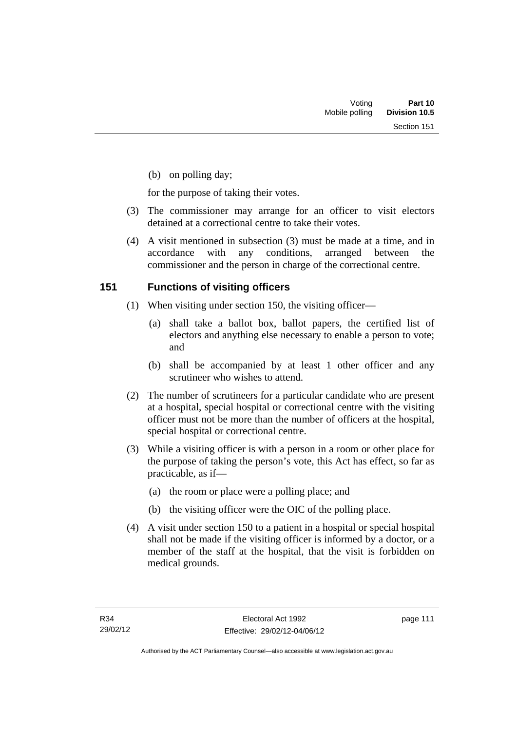(b) on polling day;

for the purpose of taking their votes.

- (3) The commissioner may arrange for an officer to visit electors detained at a correctional centre to take their votes.
- (4) A visit mentioned in subsection (3) must be made at a time, and in accordance with any conditions, arranged between the commissioner and the person in charge of the correctional centre.

## **151 Functions of visiting officers**

- (1) When visiting under section 150, the visiting officer—
	- (a) shall take a ballot box, ballot papers, the certified list of electors and anything else necessary to enable a person to vote; and
	- (b) shall be accompanied by at least 1 other officer and any scrutineer who wishes to attend.
- (2) The number of scrutineers for a particular candidate who are present at a hospital, special hospital or correctional centre with the visiting officer must not be more than the number of officers at the hospital, special hospital or correctional centre.
- (3) While a visiting officer is with a person in a room or other place for the purpose of taking the person's vote, this Act has effect, so far as practicable, as if—
	- (a) the room or place were a polling place; and
	- (b) the visiting officer were the OIC of the polling place.
- (4) A visit under section 150 to a patient in a hospital or special hospital shall not be made if the visiting officer is informed by a doctor, or a member of the staff at the hospital, that the visit is forbidden on medical grounds.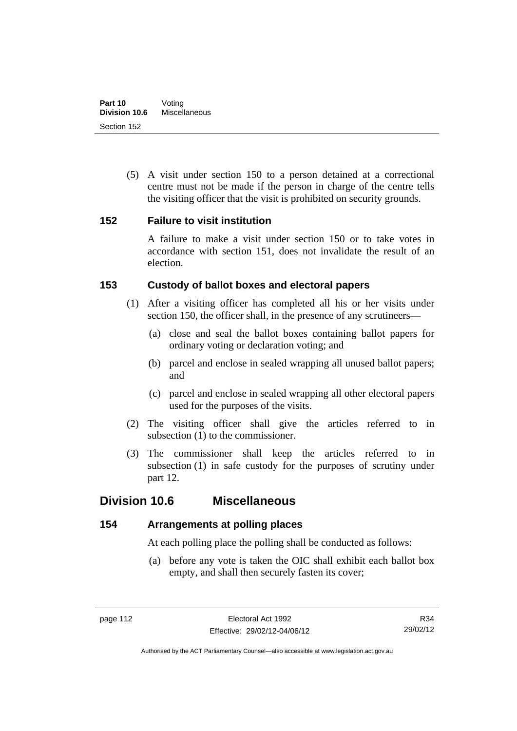(5) A visit under section 150 to a person detained at a correctional centre must not be made if the person in charge of the centre tells the visiting officer that the visit is prohibited on security grounds.

## **152 Failure to visit institution**

A failure to make a visit under section 150 or to take votes in accordance with section 151, does not invalidate the result of an election.

## **153 Custody of ballot boxes and electoral papers**

- (1) After a visiting officer has completed all his or her visits under section 150, the officer shall, in the presence of any scrutineers—
	- (a) close and seal the ballot boxes containing ballot papers for ordinary voting or declaration voting; and
	- (b) parcel and enclose in sealed wrapping all unused ballot papers; and
	- (c) parcel and enclose in sealed wrapping all other electoral papers used for the purposes of the visits.
- (2) The visiting officer shall give the articles referred to in subsection (1) to the commissioner.
- (3) The commissioner shall keep the articles referred to in subsection (1) in safe custody for the purposes of scrutiny under part 12.

## **Division 10.6 Miscellaneous**

## **154 Arrangements at polling places**

At each polling place the polling shall be conducted as follows:

 (a) before any vote is taken the OIC shall exhibit each ballot box empty, and shall then securely fasten its cover;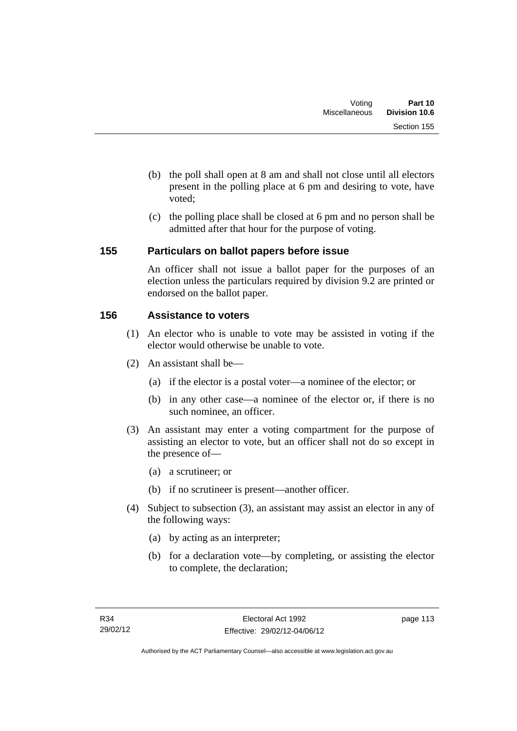- (b) the poll shall open at 8 am and shall not close until all electors present in the polling place at 6 pm and desiring to vote, have voted;
- (c) the polling place shall be closed at 6 pm and no person shall be admitted after that hour for the purpose of voting.

## **155 Particulars on ballot papers before issue**

An officer shall not issue a ballot paper for the purposes of an election unless the particulars required by division 9.2 are printed or endorsed on the ballot paper.

## **156 Assistance to voters**

- (1) An elector who is unable to vote may be assisted in voting if the elector would otherwise be unable to vote.
- (2) An assistant shall be—
	- (a) if the elector is a postal voter—a nominee of the elector; or
	- (b) in any other case—a nominee of the elector or, if there is no such nominee, an officer.
- (3) An assistant may enter a voting compartment for the purpose of assisting an elector to vote, but an officer shall not do so except in the presence of—
	- (a) a scrutineer; or
	- (b) if no scrutineer is present—another officer.
- (4) Subject to subsection (3), an assistant may assist an elector in any of the following ways:
	- (a) by acting as an interpreter;
	- (b) for a declaration vote—by completing, or assisting the elector to complete, the declaration;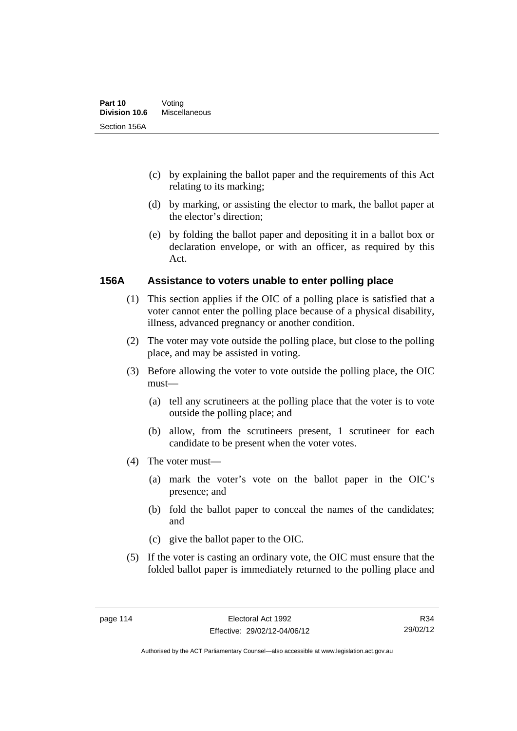- (c) by explaining the ballot paper and the requirements of this Act relating to its marking;
- (d) by marking, or assisting the elector to mark, the ballot paper at the elector's direction;
- (e) by folding the ballot paper and depositing it in a ballot box or declaration envelope, or with an officer, as required by this Act.

## **156A Assistance to voters unable to enter polling place**

- (1) This section applies if the OIC of a polling place is satisfied that a voter cannot enter the polling place because of a physical disability, illness, advanced pregnancy or another condition.
- (2) The voter may vote outside the polling place, but close to the polling place, and may be assisted in voting.
- (3) Before allowing the voter to vote outside the polling place, the OIC must—
	- (a) tell any scrutineers at the polling place that the voter is to vote outside the polling place; and
	- (b) allow, from the scrutineers present, 1 scrutineer for each candidate to be present when the voter votes.
- (4) The voter must—
	- (a) mark the voter's vote on the ballot paper in the OIC's presence; and
	- (b) fold the ballot paper to conceal the names of the candidates; and
	- (c) give the ballot paper to the OIC.
- (5) If the voter is casting an ordinary vote, the OIC must ensure that the folded ballot paper is immediately returned to the polling place and

R34 29/02/12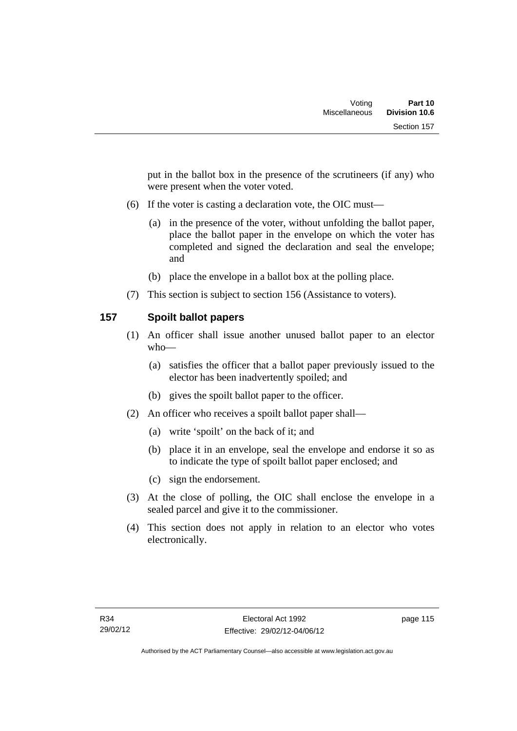put in the ballot box in the presence of the scrutineers (if any) who were present when the voter voted.

- (6) If the voter is casting a declaration vote, the OIC must—
	- (a) in the presence of the voter, without unfolding the ballot paper, place the ballot paper in the envelope on which the voter has completed and signed the declaration and seal the envelope; and
	- (b) place the envelope in a ballot box at the polling place.
- (7) This section is subject to section 156 (Assistance to voters).

## **157 Spoilt ballot papers**

- (1) An officer shall issue another unused ballot paper to an elector who—
	- (a) satisfies the officer that a ballot paper previously issued to the elector has been inadvertently spoiled; and
	- (b) gives the spoilt ballot paper to the officer.
- (2) An officer who receives a spoilt ballot paper shall—
	- (a) write 'spoilt' on the back of it; and
	- (b) place it in an envelope, seal the envelope and endorse it so as to indicate the type of spoilt ballot paper enclosed; and
	- (c) sign the endorsement.
- (3) At the close of polling, the OIC shall enclose the envelope in a sealed parcel and give it to the commissioner.
- (4) This section does not apply in relation to an elector who votes electronically.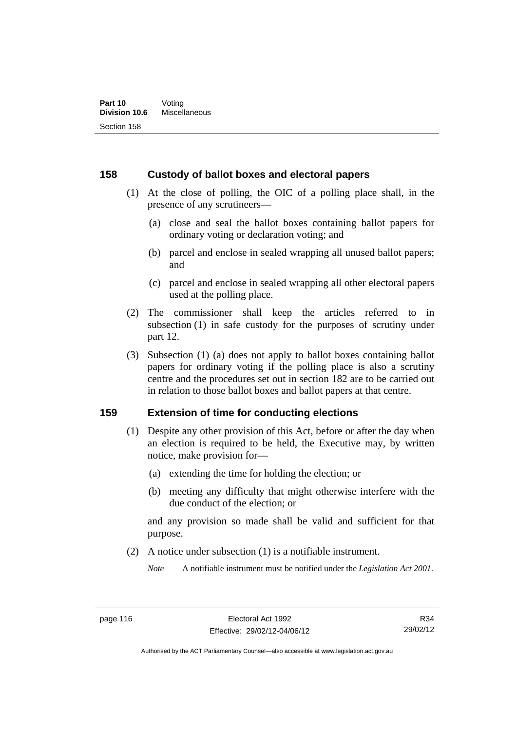### **158 Custody of ballot boxes and electoral papers**

- (1) At the close of polling, the OIC of a polling place shall, in the presence of any scrutineers—
	- (a) close and seal the ballot boxes containing ballot papers for ordinary voting or declaration voting; and
	- (b) parcel and enclose in sealed wrapping all unused ballot papers; and
	- (c) parcel and enclose in sealed wrapping all other electoral papers used at the polling place.
- (2) The commissioner shall keep the articles referred to in subsection (1) in safe custody for the purposes of scrutiny under part 12.
- (3) Subsection (1) (a) does not apply to ballot boxes containing ballot papers for ordinary voting if the polling place is also a scrutiny centre and the procedures set out in section 182 are to be carried out in relation to those ballot boxes and ballot papers at that centre.

#### **159 Extension of time for conducting elections**

- (1) Despite any other provision of this Act, before or after the day when an election is required to be held, the Executive may, by written notice, make provision for—
	- (a) extending the time for holding the election; or
	- (b) meeting any difficulty that might otherwise interfere with the due conduct of the election; or

and any provision so made shall be valid and sufficient for that purpose.

(2) A notice under subsection (1) is a notifiable instrument.

*Note* A notifiable instrument must be notified under the *Legislation Act 2001*.

R34 29/02/12

Authorised by the ACT Parliamentary Counsel—also accessible at www.legislation.act.gov.au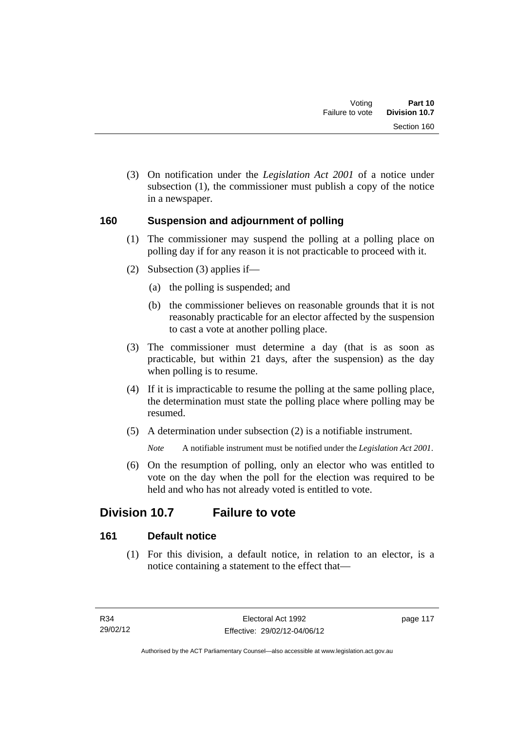(3) On notification under the *Legislation Act 2001* of a notice under subsection (1), the commissioner must publish a copy of the notice in a newspaper.

## **160 Suspension and adjournment of polling**

- (1) The commissioner may suspend the polling at a polling place on polling day if for any reason it is not practicable to proceed with it.
- (2) Subsection (3) applies if—
	- (a) the polling is suspended; and
	- (b) the commissioner believes on reasonable grounds that it is not reasonably practicable for an elector affected by the suspension to cast a vote at another polling place.
- (3) The commissioner must determine a day (that is as soon as practicable, but within 21 days, after the suspension) as the day when polling is to resume.
- (4) If it is impracticable to resume the polling at the same polling place, the determination must state the polling place where polling may be resumed.
- (5) A determination under subsection (2) is a notifiable instrument.

*Note* A notifiable instrument must be notified under the *Legislation Act 2001*.

 (6) On the resumption of polling, only an elector who was entitled to vote on the day when the poll for the election was required to be held and who has not already voted is entitled to vote.

# **Division 10.7 Failure to vote**

## **161 Default notice**

 (1) For this division, a default notice, in relation to an elector, is a notice containing a statement to the effect that—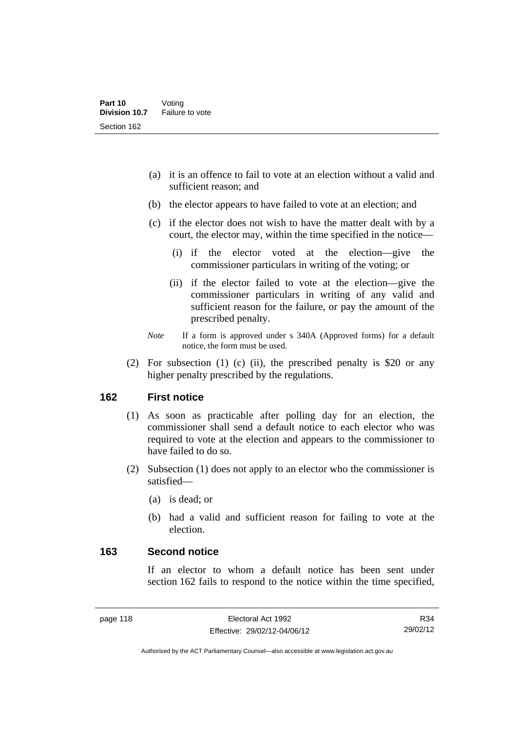- (a) it is an offence to fail to vote at an election without a valid and sufficient reason; and
- (b) the elector appears to have failed to vote at an election; and
- (c) if the elector does not wish to have the matter dealt with by a court, the elector may, within the time specified in the notice—
	- (i) if the elector voted at the election—give the commissioner particulars in writing of the voting; or
	- (ii) if the elector failed to vote at the election—give the commissioner particulars in writing of any valid and sufficient reason for the failure, or pay the amount of the prescribed penalty.
- *Note* If a form is approved under s 340A (Approved forms) for a default notice, the form must be used.
- (2) For subsection (1) (c) (ii), the prescribed penalty is \$20 or any higher penalty prescribed by the regulations.

### **162 First notice**

- (1) As soon as practicable after polling day for an election, the commissioner shall send a default notice to each elector who was required to vote at the election and appears to the commissioner to have failed to do so.
- (2) Subsection (1) does not apply to an elector who the commissioner is satisfied—
	- (a) is dead; or
	- (b) had a valid and sufficient reason for failing to vote at the election.

#### **163 Second notice**

If an elector to whom a default notice has been sent under section 162 fails to respond to the notice within the time specified,

Authorised by the ACT Parliamentary Counsel—also accessible at www.legislation.act.gov.au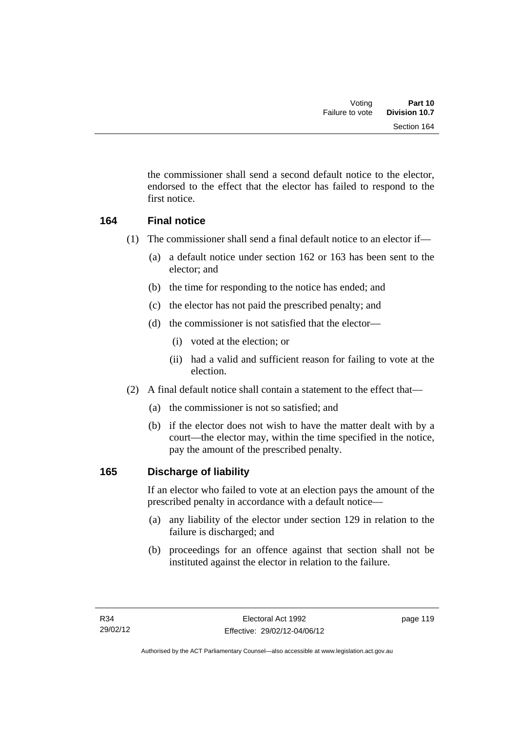the commissioner shall send a second default notice to the elector, endorsed to the effect that the elector has failed to respond to the first notice.

## **164 Final notice**

- (1) The commissioner shall send a final default notice to an elector if—
	- (a) a default notice under section 162 or 163 has been sent to the elector; and
	- (b) the time for responding to the notice has ended; and
	- (c) the elector has not paid the prescribed penalty; and
	- (d) the commissioner is not satisfied that the elector—
		- (i) voted at the election; or
		- (ii) had a valid and sufficient reason for failing to vote at the election.
- (2) A final default notice shall contain a statement to the effect that—
	- (a) the commissioner is not so satisfied; and
	- (b) if the elector does not wish to have the matter dealt with by a court—the elector may, within the time specified in the notice, pay the amount of the prescribed penalty.

## **165 Discharge of liability**

If an elector who failed to vote at an election pays the amount of the prescribed penalty in accordance with a default notice—

- (a) any liability of the elector under section 129 in relation to the failure is discharged; and
- (b) proceedings for an offence against that section shall not be instituted against the elector in relation to the failure.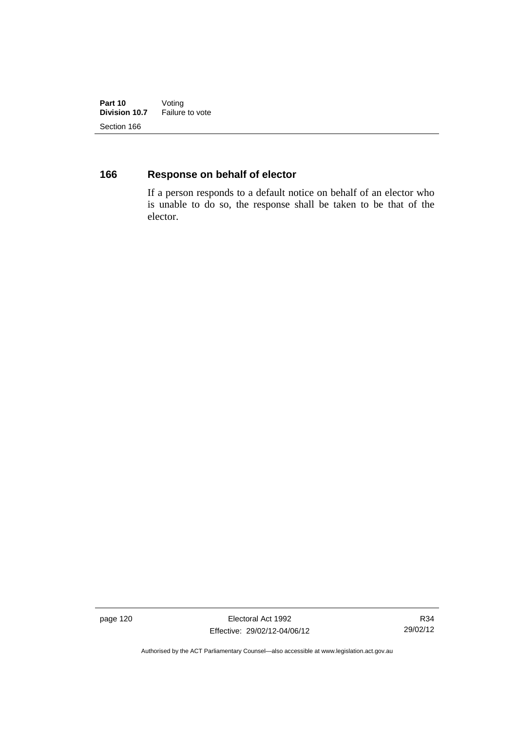**Part 10** Voting<br>**Division 10.7** Failure **Failure to vote** Section 166

## **166 Response on behalf of elector**

If a person responds to a default notice on behalf of an elector who is unable to do so, the response shall be taken to be that of the elector.

page 120 **Electoral Act 1992** Effective: 29/02/12-04/06/12

R34 29/02/12

Authorised by the ACT Parliamentary Counsel—also accessible at www.legislation.act.gov.au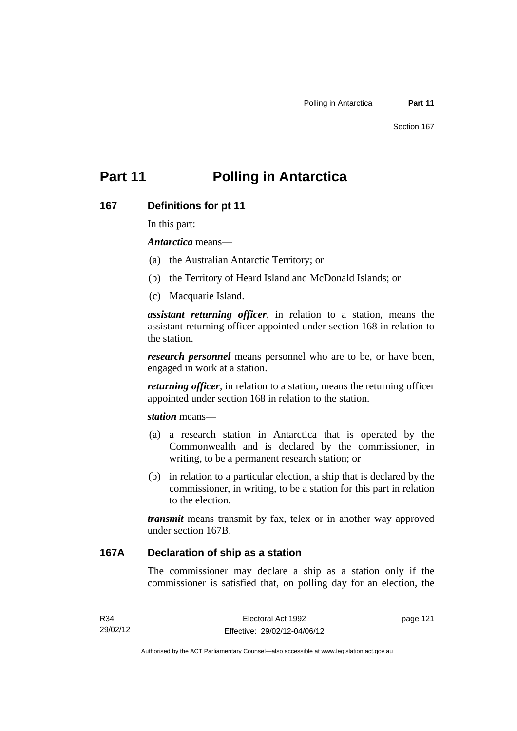# **Part 11 Polling in Antarctica**

#### **167 Definitions for pt 11**

In this part:

*Antarctica* means—

- (a) the Australian Antarctic Territory; or
- (b) the Territory of Heard Island and McDonald Islands; or
- (c) Macquarie Island.

*assistant returning officer*, in relation to a station, means the assistant returning officer appointed under section 168 in relation to the station.

*research personnel* means personnel who are to be, or have been, engaged in work at a station.

*returning officer*, in relation to a station, means the returning officer appointed under section 168 in relation to the station.

*station* means—

- (a) a research station in Antarctica that is operated by the Commonwealth and is declared by the commissioner, in writing, to be a permanent research station; or
- (b) in relation to a particular election, a ship that is declared by the commissioner, in writing, to be a station for this part in relation to the election.

*transmit* means transmit by fax, telex or in another way approved under section 167B.

## **167A Declaration of ship as a station**

The commissioner may declare a ship as a station only if the commissioner is satisfied that, on polling day for an election, the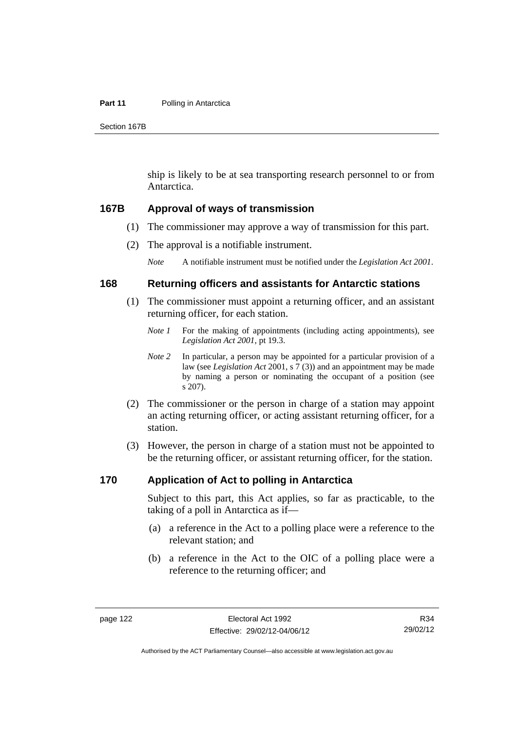#### **Part 11** Polling in Antarctica

Section 167B

ship is likely to be at sea transporting research personnel to or from Antarctica.

#### **167B Approval of ways of transmission**

- (1) The commissioner may approve a way of transmission for this part.
- (2) The approval is a notifiable instrument.

*Note* A notifiable instrument must be notified under the *Legislation Act 2001*.

### **168 Returning officers and assistants for Antarctic stations**

- (1) The commissioner must appoint a returning officer, and an assistant returning officer, for each station.
	- *Note 1* For the making of appointments (including acting appointments), see *Legislation Act 2001*, pt 19.3.
	- *Note 2* In particular, a person may be appointed for a particular provision of a law (see *Legislation Act* 2001, s 7 (3)) and an appointment may be made by naming a person or nominating the occupant of a position (see s 207).
- (2) The commissioner or the person in charge of a station may appoint an acting returning officer, or acting assistant returning officer, for a station.
- (3) However, the person in charge of a station must not be appointed to be the returning officer, or assistant returning officer, for the station.

### **170 Application of Act to polling in Antarctica**

Subject to this part, this Act applies, so far as practicable, to the taking of a poll in Antarctica as if—

- (a) a reference in the Act to a polling place were a reference to the relevant station; and
- (b) a reference in the Act to the OIC of a polling place were a reference to the returning officer; and

R34 29/02/12

Authorised by the ACT Parliamentary Counsel—also accessible at www.legislation.act.gov.au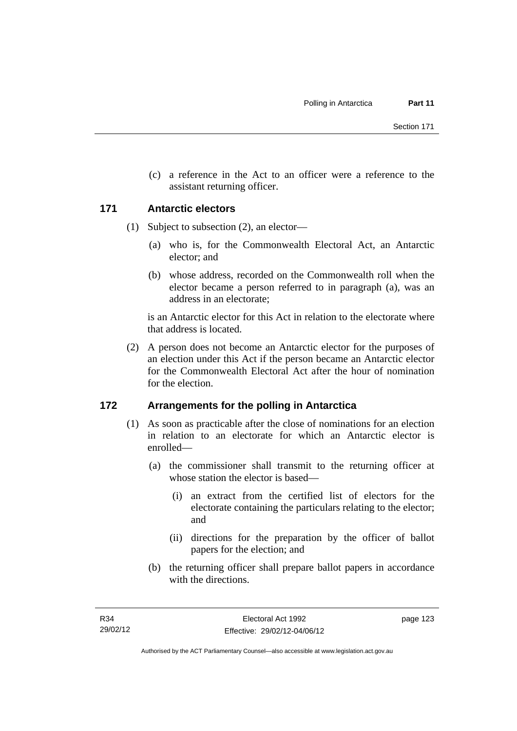(c) a reference in the Act to an officer were a reference to the assistant returning officer.

## **171 Antarctic electors**

- (1) Subject to subsection (2), an elector—
	- (a) who is, for the Commonwealth Electoral Act, an Antarctic elector; and
	- (b) whose address, recorded on the Commonwealth roll when the elector became a person referred to in paragraph (a), was an address in an electorate;

is an Antarctic elector for this Act in relation to the electorate where that address is located.

 (2) A person does not become an Antarctic elector for the purposes of an election under this Act if the person became an Antarctic elector for the Commonwealth Electoral Act after the hour of nomination for the election.

## **172 Arrangements for the polling in Antarctica**

- (1) As soon as practicable after the close of nominations for an election in relation to an electorate for which an Antarctic elector is enrolled—
	- (a) the commissioner shall transmit to the returning officer at whose station the elector is based—
		- (i) an extract from the certified list of electors for the electorate containing the particulars relating to the elector; and
		- (ii) directions for the preparation by the officer of ballot papers for the election; and
	- (b) the returning officer shall prepare ballot papers in accordance with the directions.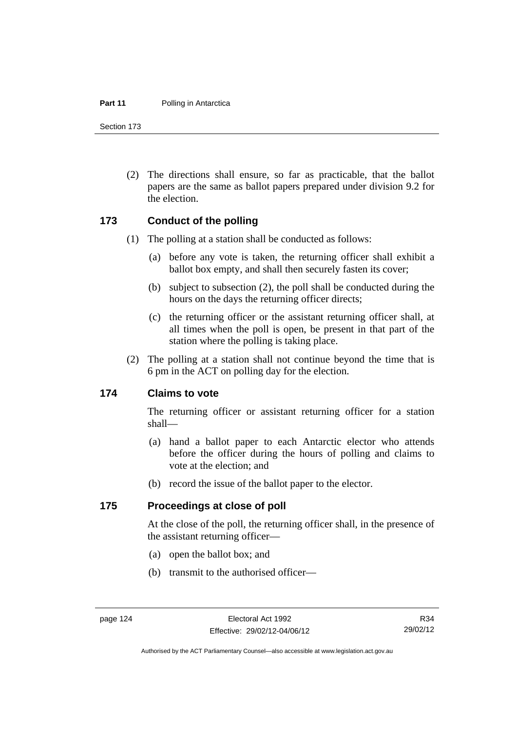#### **Part 11** Polling in Antarctica

Section 173

 (2) The directions shall ensure, so far as practicable, that the ballot papers are the same as ballot papers prepared under division 9.2 for the election.

#### **173 Conduct of the polling**

- (1) The polling at a station shall be conducted as follows:
	- (a) before any vote is taken, the returning officer shall exhibit a ballot box empty, and shall then securely fasten its cover;
	- (b) subject to subsection (2), the poll shall be conducted during the hours on the days the returning officer directs;
	- (c) the returning officer or the assistant returning officer shall, at all times when the poll is open, be present in that part of the station where the polling is taking place.
- (2) The polling at a station shall not continue beyond the time that is 6 pm in the ACT on polling day for the election.

#### **174 Claims to vote**

The returning officer or assistant returning officer for a station shall—

- (a) hand a ballot paper to each Antarctic elector who attends before the officer during the hours of polling and claims to vote at the election; and
- (b) record the issue of the ballot paper to the elector.

#### **175 Proceedings at close of poll**

At the close of the poll, the returning officer shall, in the presence of the assistant returning officer—

- (a) open the ballot box; and
- (b) transmit to the authorised officer—

R34 29/02/12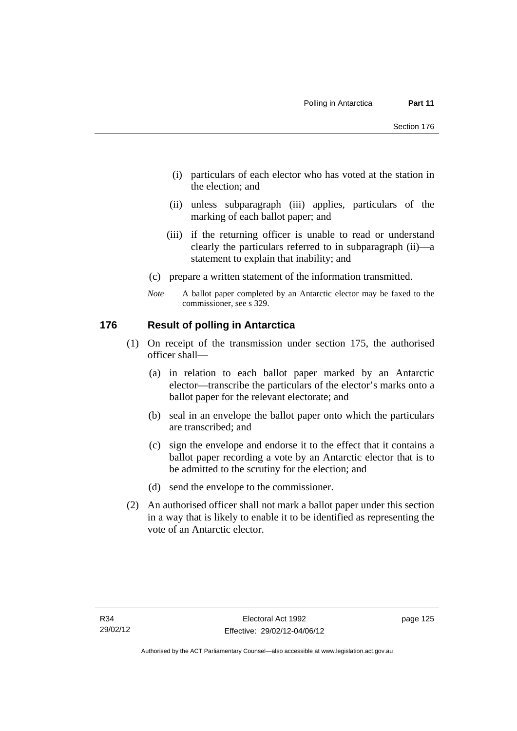- (i) particulars of each elector who has voted at the station in the election; and
- (ii) unless subparagraph (iii) applies, particulars of the marking of each ballot paper; and
- (iii) if the returning officer is unable to read or understand clearly the particulars referred to in subparagraph (ii)—a statement to explain that inability; and
- (c) prepare a written statement of the information transmitted.
- *Note* A ballot paper completed by an Antarctic elector may be faxed to the commissioner, see s 329.

## **176 Result of polling in Antarctica**

- (1) On receipt of the transmission under section 175, the authorised officer shall—
	- (a) in relation to each ballot paper marked by an Antarctic elector—transcribe the particulars of the elector's marks onto a ballot paper for the relevant electorate; and
	- (b) seal in an envelope the ballot paper onto which the particulars are transcribed; and
	- (c) sign the envelope and endorse it to the effect that it contains a ballot paper recording a vote by an Antarctic elector that is to be admitted to the scrutiny for the election; and
	- (d) send the envelope to the commissioner.
- (2) An authorised officer shall not mark a ballot paper under this section in a way that is likely to enable it to be identified as representing the vote of an Antarctic elector.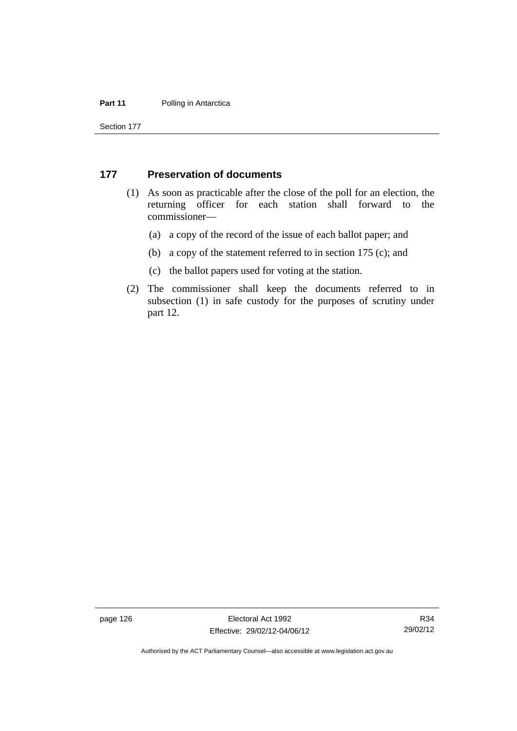#### **Part 11** Polling in Antarctica

Section 177

#### **177 Preservation of documents**

- (1) As soon as practicable after the close of the poll for an election, the returning officer for each station shall forward to the commissioner—
	- (a) a copy of the record of the issue of each ballot paper; and
	- (b) a copy of the statement referred to in section 175 (c); and
	- (c) the ballot papers used for voting at the station.
- (2) The commissioner shall keep the documents referred to in subsection (1) in safe custody for the purposes of scrutiny under part 12.

page 126 **Electoral Act 1992** Effective: 29/02/12-04/06/12

R34 29/02/12

Authorised by the ACT Parliamentary Counsel—also accessible at www.legislation.act.gov.au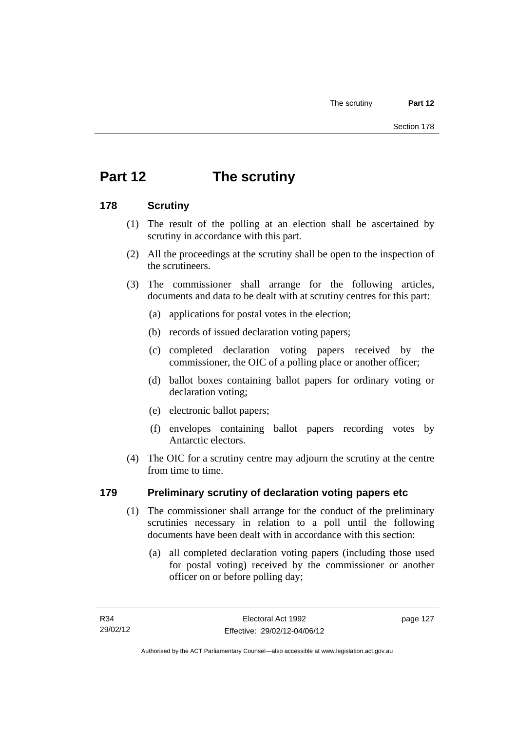# **Part 12 The scrutiny**

# **178 Scrutiny**

- (1) The result of the polling at an election shall be ascertained by scrutiny in accordance with this part.
- (2) All the proceedings at the scrutiny shall be open to the inspection of the scrutineers.
- (3) The commissioner shall arrange for the following articles, documents and data to be dealt with at scrutiny centres for this part:
	- (a) applications for postal votes in the election;
	- (b) records of issued declaration voting papers;
	- (c) completed declaration voting papers received by the commissioner, the OIC of a polling place or another officer;
	- (d) ballot boxes containing ballot papers for ordinary voting or declaration voting;
	- (e) electronic ballot papers;
	- (f) envelopes containing ballot papers recording votes by Antarctic electors.
- (4) The OIC for a scrutiny centre may adjourn the scrutiny at the centre from time to time.

# **179 Preliminary scrutiny of declaration voting papers etc**

- (1) The commissioner shall arrange for the conduct of the preliminary scrutinies necessary in relation to a poll until the following documents have been dealt with in accordance with this section:
	- (a) all completed declaration voting papers (including those used for postal voting) received by the commissioner or another officer on or before polling day;

page 127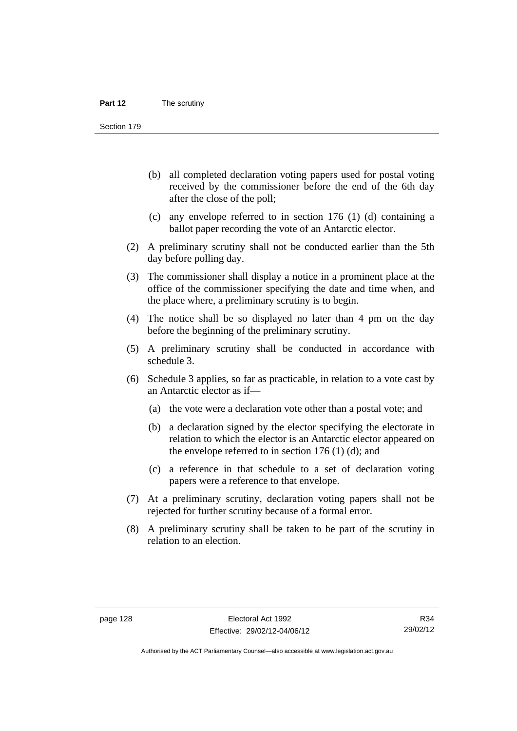Section 179

- (b) all completed declaration voting papers used for postal voting received by the commissioner before the end of the 6th day after the close of the poll;
- (c) any envelope referred to in section 176 (1) (d) containing a ballot paper recording the vote of an Antarctic elector.
- (2) A preliminary scrutiny shall not be conducted earlier than the 5th day before polling day.
- (3) The commissioner shall display a notice in a prominent place at the office of the commissioner specifying the date and time when, and the place where, a preliminary scrutiny is to begin.
- (4) The notice shall be so displayed no later than 4 pm on the day before the beginning of the preliminary scrutiny.
- (5) A preliminary scrutiny shall be conducted in accordance with schedule 3.
- (6) Schedule 3 applies, so far as practicable, in relation to a vote cast by an Antarctic elector as if—
	- (a) the vote were a declaration vote other than a postal vote; and
	- (b) a declaration signed by the elector specifying the electorate in relation to which the elector is an Antarctic elector appeared on the envelope referred to in section  $176$  (1) (d); and
	- (c) a reference in that schedule to a set of declaration voting papers were a reference to that envelope.
- (7) At a preliminary scrutiny, declaration voting papers shall not be rejected for further scrutiny because of a formal error.
- (8) A preliminary scrutiny shall be taken to be part of the scrutiny in relation to an election.

Authorised by the ACT Parliamentary Counsel—also accessible at www.legislation.act.gov.au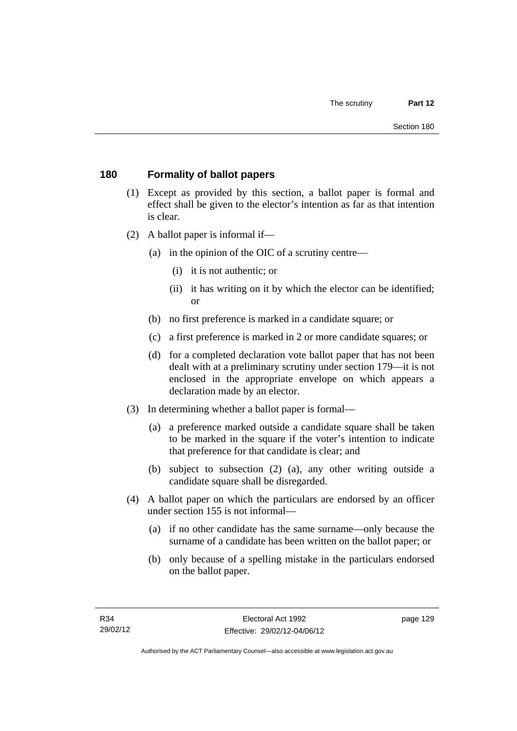# **180 Formality of ballot papers**

- (1) Except as provided by this section, a ballot paper is formal and effect shall be given to the elector's intention as far as that intention is clear.
- (2) A ballot paper is informal if—
	- (a) in the opinion of the OIC of a scrutiny centre—
		- (i) it is not authentic; or
		- (ii) it has writing on it by which the elector can be identified; or
	- (b) no first preference is marked in a candidate square; or
	- (c) a first preference is marked in 2 or more candidate squares; or
	- (d) for a completed declaration vote ballot paper that has not been dealt with at a preliminary scrutiny under section 179—it is not enclosed in the appropriate envelope on which appears a declaration made by an elector.
- (3) In determining whether a ballot paper is formal—
	- (a) a preference marked outside a candidate square shall be taken to be marked in the square if the voter's intention to indicate that preference for that candidate is clear; and
	- (b) subject to subsection (2) (a), any other writing outside a candidate square shall be disregarded.
- (4) A ballot paper on which the particulars are endorsed by an officer under section 155 is not informal—
	- (a) if no other candidate has the same surname—only because the surname of a candidate has been written on the ballot paper; or
	- (b) only because of a spelling mistake in the particulars endorsed on the ballot paper.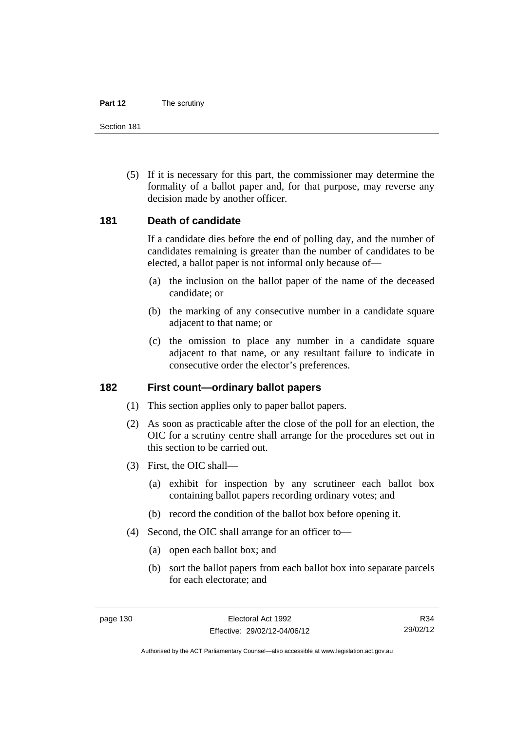#### **Part 12** The scrutiny

Section 181

 (5) If it is necessary for this part, the commissioner may determine the formality of a ballot paper and, for that purpose, may reverse any decision made by another officer.

## **181 Death of candidate**

If a candidate dies before the end of polling day, and the number of candidates remaining is greater than the number of candidates to be elected, a ballot paper is not informal only because of—

- (a) the inclusion on the ballot paper of the name of the deceased candidate; or
- (b) the marking of any consecutive number in a candidate square adjacent to that name; or
- (c) the omission to place any number in a candidate square adjacent to that name, or any resultant failure to indicate in consecutive order the elector's preferences.

## **182 First count—ordinary ballot papers**

- (1) This section applies only to paper ballot papers.
- (2) As soon as practicable after the close of the poll for an election, the OIC for a scrutiny centre shall arrange for the procedures set out in this section to be carried out.
- (3) First, the OIC shall—
	- (a) exhibit for inspection by any scrutineer each ballot box containing ballot papers recording ordinary votes; and
	- (b) record the condition of the ballot box before opening it.
- (4) Second, the OIC shall arrange for an officer to—
	- (a) open each ballot box; and
	- (b) sort the ballot papers from each ballot box into separate parcels for each electorate; and

R34 29/02/12

Authorised by the ACT Parliamentary Counsel—also accessible at www.legislation.act.gov.au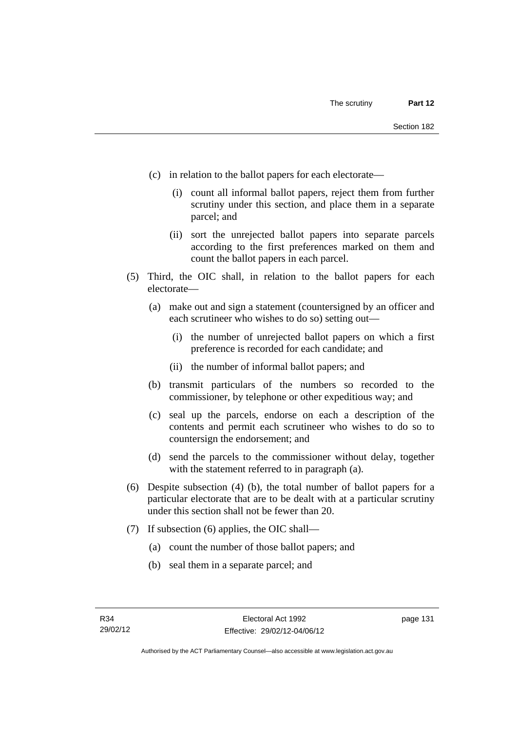- (c) in relation to the ballot papers for each electorate—
	- (i) count all informal ballot papers, reject them from further scrutiny under this section, and place them in a separate parcel; and
	- (ii) sort the unrejected ballot papers into separate parcels according to the first preferences marked on them and count the ballot papers in each parcel.
- (5) Third, the OIC shall, in relation to the ballot papers for each electorate—
	- (a) make out and sign a statement (countersigned by an officer and each scrutineer who wishes to do so) setting out—
		- (i) the number of unrejected ballot papers on which a first preference is recorded for each candidate; and
		- (ii) the number of informal ballot papers; and
	- (b) transmit particulars of the numbers so recorded to the commissioner, by telephone or other expeditious way; and
	- (c) seal up the parcels, endorse on each a description of the contents and permit each scrutineer who wishes to do so to countersign the endorsement; and
	- (d) send the parcels to the commissioner without delay, together with the statement referred to in paragraph (a).
- (6) Despite subsection (4) (b), the total number of ballot papers for a particular electorate that are to be dealt with at a particular scrutiny under this section shall not be fewer than 20.
- (7) If subsection (6) applies, the OIC shall—
	- (a) count the number of those ballot papers; and
	- (b) seal them in a separate parcel; and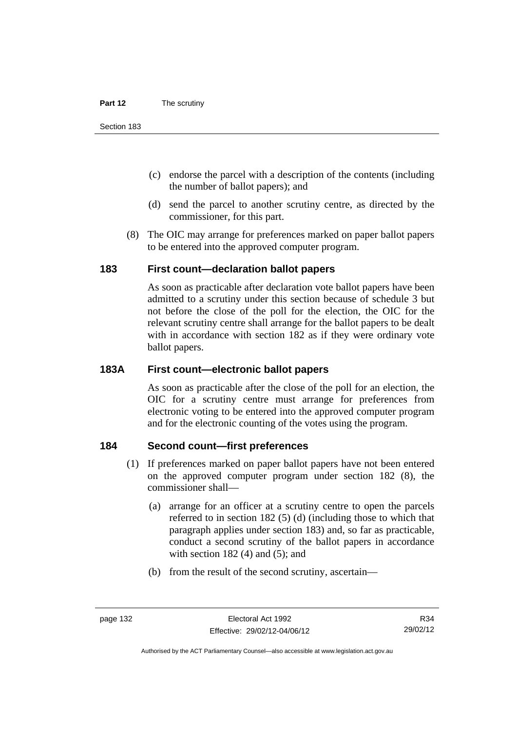- (c) endorse the parcel with a description of the contents (including the number of ballot papers); and
- (d) send the parcel to another scrutiny centre, as directed by the commissioner, for this part.
- (8) The OIC may arrange for preferences marked on paper ballot papers to be entered into the approved computer program.

## **183 First count—declaration ballot papers**

As soon as practicable after declaration vote ballot papers have been admitted to a scrutiny under this section because of schedule 3 but not before the close of the poll for the election, the OIC for the relevant scrutiny centre shall arrange for the ballot papers to be dealt with in accordance with section 182 as if they were ordinary vote ballot papers.

# **183A First count—electronic ballot papers**

As soon as practicable after the close of the poll for an election, the OIC for a scrutiny centre must arrange for preferences from electronic voting to be entered into the approved computer program and for the electronic counting of the votes using the program.

# **184 Second count—first preferences**

- (1) If preferences marked on paper ballot papers have not been entered on the approved computer program under section 182 (8), the commissioner shall—
	- (a) arrange for an officer at a scrutiny centre to open the parcels referred to in section 182 (5) (d) (including those to which that paragraph applies under section 183) and, so far as practicable, conduct a second scrutiny of the ballot papers in accordance with section  $182(4)$  and  $(5)$ ; and
	- (b) from the result of the second scrutiny, ascertain—

R34 29/02/12

Authorised by the ACT Parliamentary Counsel—also accessible at www.legislation.act.gov.au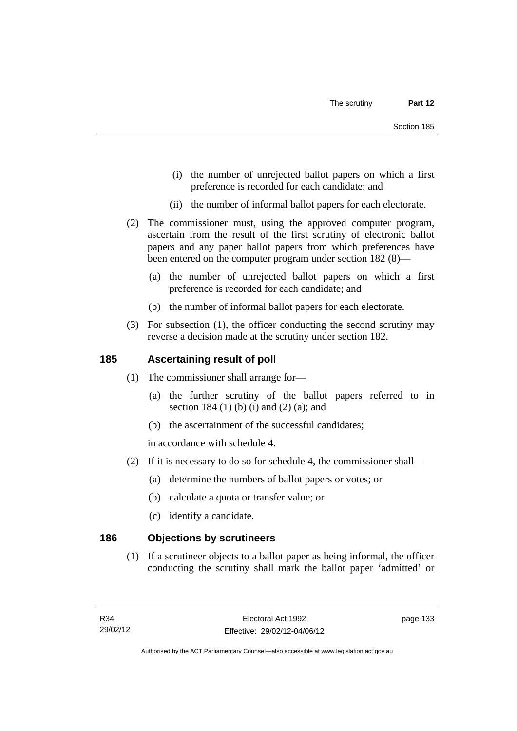- (i) the number of unrejected ballot papers on which a first preference is recorded for each candidate; and
- (ii) the number of informal ballot papers for each electorate.
- (2) The commissioner must, using the approved computer program, ascertain from the result of the first scrutiny of electronic ballot papers and any paper ballot papers from which preferences have been entered on the computer program under section 182 (8)—
	- (a) the number of unrejected ballot papers on which a first preference is recorded for each candidate; and
	- (b) the number of informal ballot papers for each electorate.
- (3) For subsection (1), the officer conducting the second scrutiny may reverse a decision made at the scrutiny under section 182.

## **185 Ascertaining result of poll**

- (1) The commissioner shall arrange for—
	- (a) the further scrutiny of the ballot papers referred to in section 184 (1) (b) (i) and (2) (a); and
	- (b) the ascertainment of the successful candidates;

in accordance with schedule 4.

- (2) If it is necessary to do so for schedule 4, the commissioner shall—
	- (a) determine the numbers of ballot papers or votes; or
	- (b) calculate a quota or transfer value; or
	- (c) identify a candidate.

# **186 Objections by scrutineers**

 (1) If a scrutineer objects to a ballot paper as being informal, the officer conducting the scrutiny shall mark the ballot paper 'admitted' or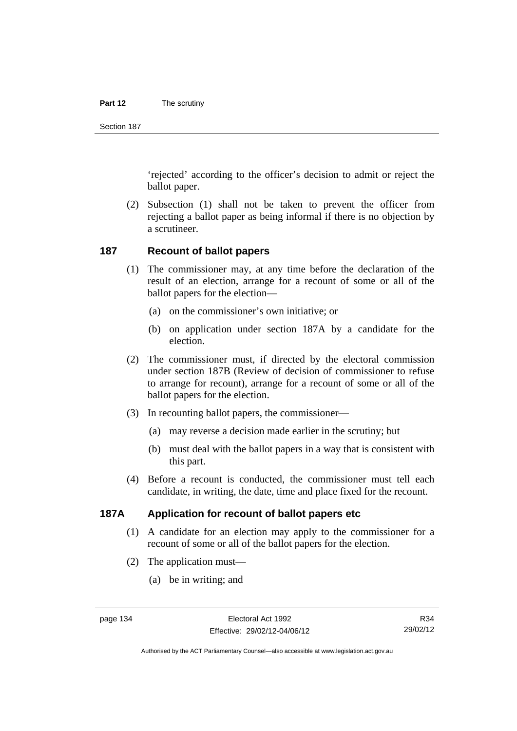#### **Part 12** The scrutiny

Section 187

'rejected' according to the officer's decision to admit or reject the ballot paper.

 (2) Subsection (1) shall not be taken to prevent the officer from rejecting a ballot paper as being informal if there is no objection by a scrutineer.

#### **187 Recount of ballot papers**

- (1) The commissioner may, at any time before the declaration of the result of an election, arrange for a recount of some or all of the ballot papers for the election—
	- (a) on the commissioner's own initiative; or
	- (b) on application under section 187A by a candidate for the election.
- (2) The commissioner must, if directed by the electoral commission under section 187B (Review of decision of commissioner to refuse to arrange for recount), arrange for a recount of some or all of the ballot papers for the election.
- (3) In recounting ballot papers, the commissioner—
	- (a) may reverse a decision made earlier in the scrutiny; but
	- (b) must deal with the ballot papers in a way that is consistent with this part.
- (4) Before a recount is conducted, the commissioner must tell each candidate, in writing, the date, time and place fixed for the recount.

# **187A Application for recount of ballot papers etc**

- (1) A candidate for an election may apply to the commissioner for a recount of some or all of the ballot papers for the election.
- (2) The application must—
	- (a) be in writing; and

R34 29/02/12

Authorised by the ACT Parliamentary Counsel—also accessible at www.legislation.act.gov.au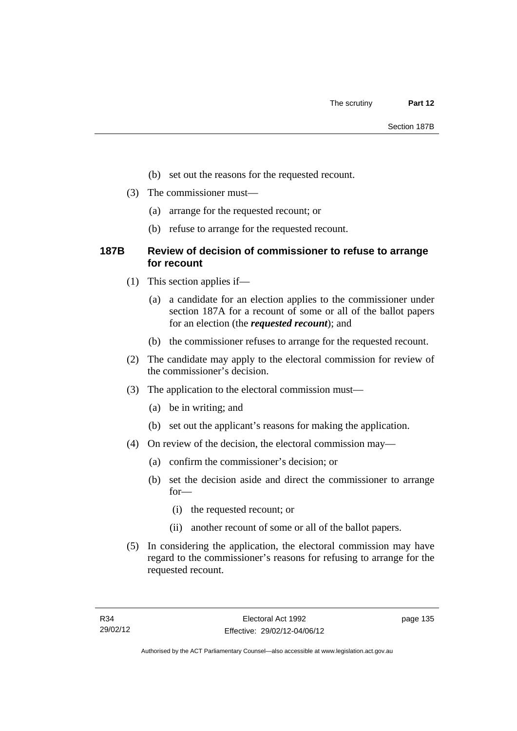- (b) set out the reasons for the requested recount.
- (3) The commissioner must—
	- (a) arrange for the requested recount; or
	- (b) refuse to arrange for the requested recount.

# **187B Review of decision of commissioner to refuse to arrange for recount**

- (1) This section applies if—
	- (a) a candidate for an election applies to the commissioner under section 187A for a recount of some or all of the ballot papers for an election (the *requested recount*); and
	- (b) the commissioner refuses to arrange for the requested recount.
- (2) The candidate may apply to the electoral commission for review of the commissioner's decision.
- (3) The application to the electoral commission must—
	- (a) be in writing; and
	- (b) set out the applicant's reasons for making the application.
- (4) On review of the decision, the electoral commission may—
	- (a) confirm the commissioner's decision; or
	- (b) set the decision aside and direct the commissioner to arrange for—
		- (i) the requested recount; or
		- (ii) another recount of some or all of the ballot papers.
- (5) In considering the application, the electoral commission may have regard to the commissioner's reasons for refusing to arrange for the requested recount.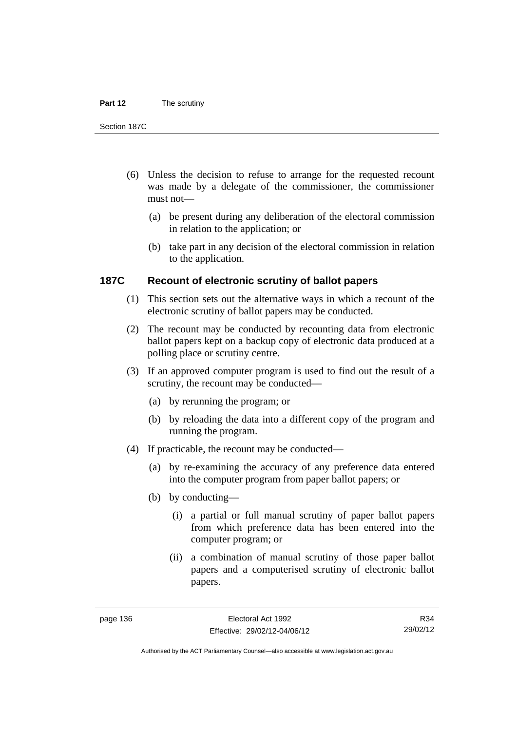#### **Part 12** The scrutiny

Section 187C

- (6) Unless the decision to refuse to arrange for the requested recount was made by a delegate of the commissioner, the commissioner must not—
	- (a) be present during any deliberation of the electoral commission in relation to the application; or
	- (b) take part in any decision of the electoral commission in relation to the application.

# **187C Recount of electronic scrutiny of ballot papers**

- (1) This section sets out the alternative ways in which a recount of the electronic scrutiny of ballot papers may be conducted.
- (2) The recount may be conducted by recounting data from electronic ballot papers kept on a backup copy of electronic data produced at a polling place or scrutiny centre.
- (3) If an approved computer program is used to find out the result of a scrutiny, the recount may be conducted—
	- (a) by rerunning the program; or
	- (b) by reloading the data into a different copy of the program and running the program.
- (4) If practicable, the recount may be conducted—
	- (a) by re-examining the accuracy of any preference data entered into the computer program from paper ballot papers; or
	- (b) by conducting—
		- (i) a partial or full manual scrutiny of paper ballot papers from which preference data has been entered into the computer program; or
		- (ii) a combination of manual scrutiny of those paper ballot papers and a computerised scrutiny of electronic ballot papers.

R34 29/02/12

Authorised by the ACT Parliamentary Counsel—also accessible at www.legislation.act.gov.au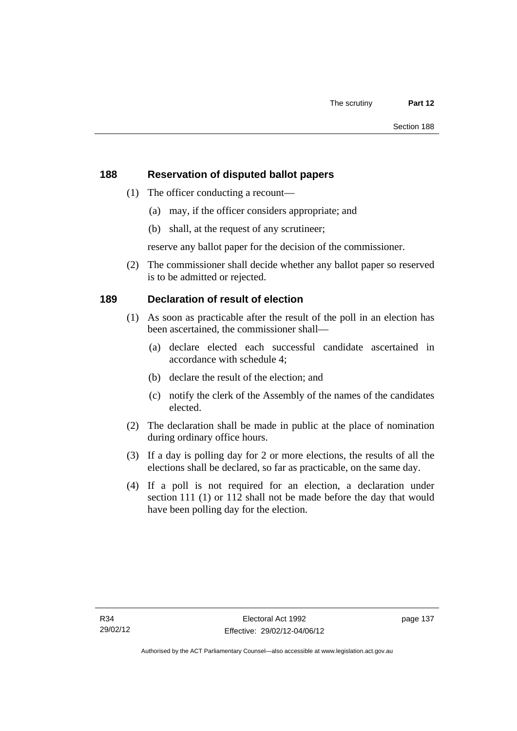# **188 Reservation of disputed ballot papers**

- (1) The officer conducting a recount—
	- (a) may, if the officer considers appropriate; and
	- (b) shall, at the request of any scrutineer;

reserve any ballot paper for the decision of the commissioner.

 (2) The commissioner shall decide whether any ballot paper so reserved is to be admitted or rejected.

# **189 Declaration of result of election**

- (1) As soon as practicable after the result of the poll in an election has been ascertained, the commissioner shall—
	- (a) declare elected each successful candidate ascertained in accordance with schedule 4;
	- (b) declare the result of the election; and
	- (c) notify the clerk of the Assembly of the names of the candidates elected.
- (2) The declaration shall be made in public at the place of nomination during ordinary office hours.
- (3) If a day is polling day for 2 or more elections, the results of all the elections shall be declared, so far as practicable, on the same day.
- (4) If a poll is not required for an election, a declaration under section 111 (1) or 112 shall not be made before the day that would have been polling day for the election.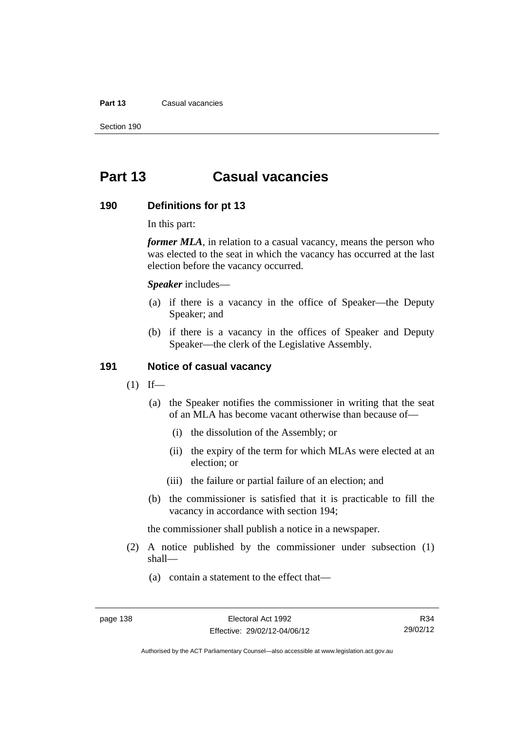#### **Part 13** Casual vacancies

Section 190

# **Part 13 Casual vacancies**

#### **190 Definitions for pt 13**

In this part:

*former MLA*, in relation to a casual vacancy, means the person who was elected to the seat in which the vacancy has occurred at the last election before the vacancy occurred.

*Speaker* includes—

- (a) if there is a vacancy in the office of Speaker—the Deputy Speaker; and
- (b) if there is a vacancy in the offices of Speaker and Deputy Speaker—the clerk of the Legislative Assembly.

## **191 Notice of casual vacancy**

- $(1)$  If—
	- (a) the Speaker notifies the commissioner in writing that the seat of an MLA has become vacant otherwise than because of—
		- (i) the dissolution of the Assembly; or
		- (ii) the expiry of the term for which MLAs were elected at an election; or
		- (iii) the failure or partial failure of an election; and
	- (b) the commissioner is satisfied that it is practicable to fill the vacancy in accordance with section 194;

the commissioner shall publish a notice in a newspaper.

- (2) A notice published by the commissioner under subsection (1) shall—
	- (a) contain a statement to the effect that—

Authorised by the ACT Parliamentary Counsel—also accessible at www.legislation.act.gov.au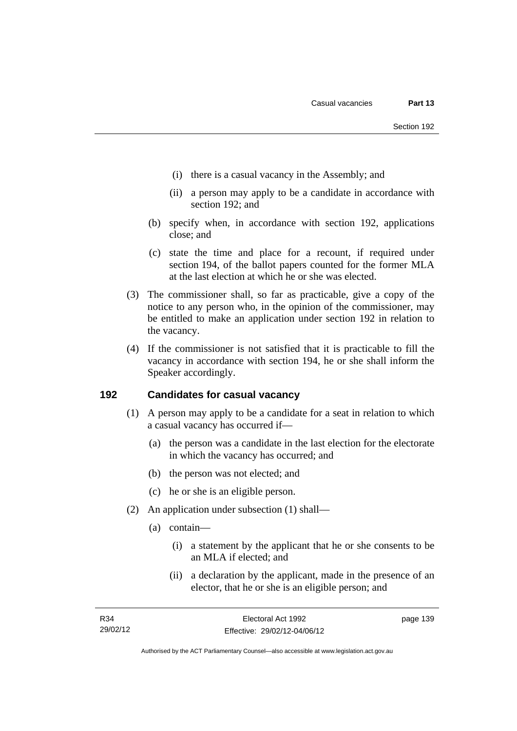- (i) there is a casual vacancy in the Assembly; and
- (ii) a person may apply to be a candidate in accordance with section 192; and
- (b) specify when, in accordance with section 192, applications close; and
- (c) state the time and place for a recount, if required under section 194, of the ballot papers counted for the former MLA at the last election at which he or she was elected.
- (3) The commissioner shall, so far as practicable, give a copy of the notice to any person who, in the opinion of the commissioner, may be entitled to make an application under section 192 in relation to the vacancy.
- (4) If the commissioner is not satisfied that it is practicable to fill the vacancy in accordance with section 194, he or she shall inform the Speaker accordingly.

## **192 Candidates for casual vacancy**

- (1) A person may apply to be a candidate for a seat in relation to which a casual vacancy has occurred if—
	- (a) the person was a candidate in the last election for the electorate in which the vacancy has occurred; and
	- (b) the person was not elected; and
	- (c) he or she is an eligible person.
- (2) An application under subsection (1) shall—
	- (a) contain—
		- (i) a statement by the applicant that he or she consents to be an MLA if elected; and
		- (ii) a declaration by the applicant, made in the presence of an elector, that he or she is an eligible person; and

page 139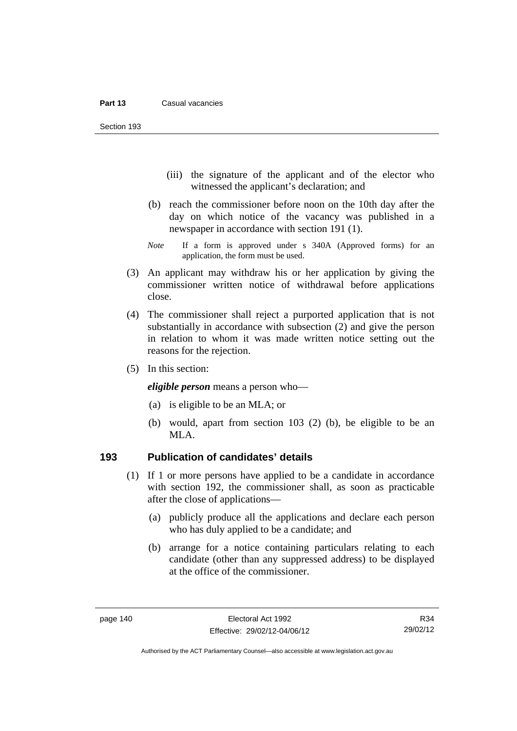Section 193

- (iii) the signature of the applicant and of the elector who witnessed the applicant's declaration; and
- (b) reach the commissioner before noon on the 10th day after the day on which notice of the vacancy was published in a newspaper in accordance with section 191 (1).
- *Note* If a form is approved under s 340A (Approved forms) for an application, the form must be used.
- (3) An applicant may withdraw his or her application by giving the commissioner written notice of withdrawal before applications close.
- (4) The commissioner shall reject a purported application that is not substantially in accordance with subsection (2) and give the person in relation to whom it was made written notice setting out the reasons for the rejection.
- (5) In this section:

*eligible person* means a person who—

- (a) is eligible to be an MLA; or
- (b) would, apart from section 103 (2) (b), be eligible to be an MLA.

## **193 Publication of candidates' details**

- (1) If 1 or more persons have applied to be a candidate in accordance with section 192, the commissioner shall, as soon as practicable after the close of applications—
	- (a) publicly produce all the applications and declare each person who has duly applied to be a candidate; and
	- (b) arrange for a notice containing particulars relating to each candidate (other than any suppressed address) to be displayed at the office of the commissioner.

Authorised by the ACT Parliamentary Counsel—also accessible at www.legislation.act.gov.au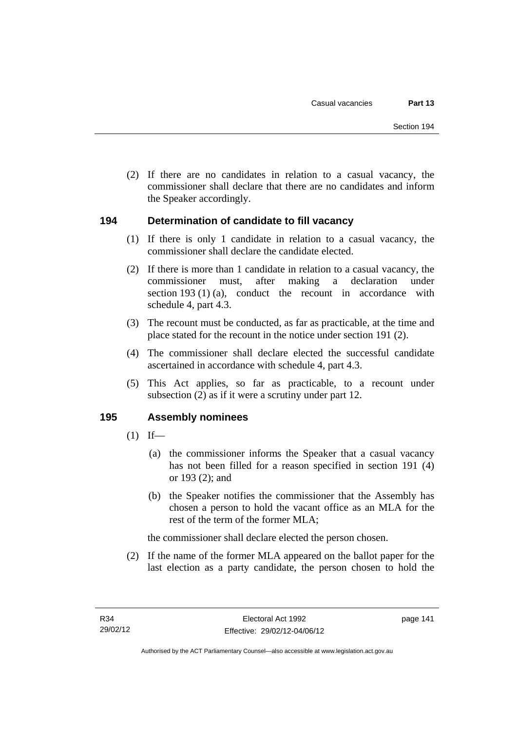(2) If there are no candidates in relation to a casual vacancy, the commissioner shall declare that there are no candidates and inform the Speaker accordingly.

## **194 Determination of candidate to fill vacancy**

- (1) If there is only 1 candidate in relation to a casual vacancy, the commissioner shall declare the candidate elected.
- (2) If there is more than 1 candidate in relation to a casual vacancy, the commissioner must, after making a declaration under section 193 (1) (a), conduct the recount in accordance with schedule 4, part 4.3.
- (3) The recount must be conducted, as far as practicable, at the time and place stated for the recount in the notice under section 191 (2).
- (4) The commissioner shall declare elected the successful candidate ascertained in accordance with schedule 4, part 4.3.
- (5) This Act applies, so far as practicable, to a recount under subsection (2) as if it were a scrutiny under part 12.

## **195 Assembly nominees**

- $(1)$  If—
	- (a) the commissioner informs the Speaker that a casual vacancy has not been filled for a reason specified in section 191 (4) or 193 (2); and
	- (b) the Speaker notifies the commissioner that the Assembly has chosen a person to hold the vacant office as an MLA for the rest of the term of the former MLA;

the commissioner shall declare elected the person chosen.

 (2) If the name of the former MLA appeared on the ballot paper for the last election as a party candidate, the person chosen to hold the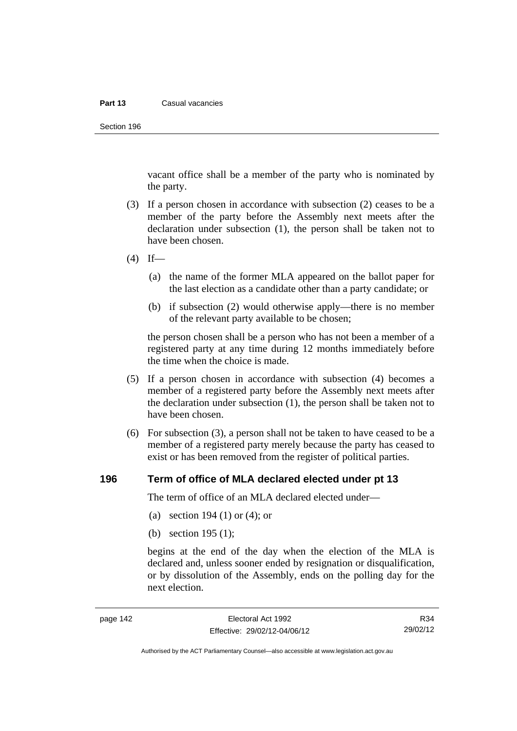#### **Part 13** Casual vacancies

Section 196

vacant office shall be a member of the party who is nominated by the party.

- (3) If a person chosen in accordance with subsection (2) ceases to be a member of the party before the Assembly next meets after the declaration under subsection (1), the person shall be taken not to have been chosen.
- $(4)$  If—
	- (a) the name of the former MLA appeared on the ballot paper for the last election as a candidate other than a party candidate; or
	- (b) if subsection (2) would otherwise apply—there is no member of the relevant party available to be chosen;

the person chosen shall be a person who has not been a member of a registered party at any time during 12 months immediately before the time when the choice is made.

- (5) If a person chosen in accordance with subsection (4) becomes a member of a registered party before the Assembly next meets after the declaration under subsection (1), the person shall be taken not to have been chosen.
- (6) For subsection (3), a person shall not be taken to have ceased to be a member of a registered party merely because the party has ceased to exist or has been removed from the register of political parties.

#### **196 Term of office of MLA declared elected under pt 13**

The term of office of an MLA declared elected under—

- (a) section 194 (1) or (4); or
- (b) section 195 (1);

begins at the end of the day when the election of the MLA is declared and, unless sooner ended by resignation or disqualification, or by dissolution of the Assembly, ends on the polling day for the next election.

R34 29/02/12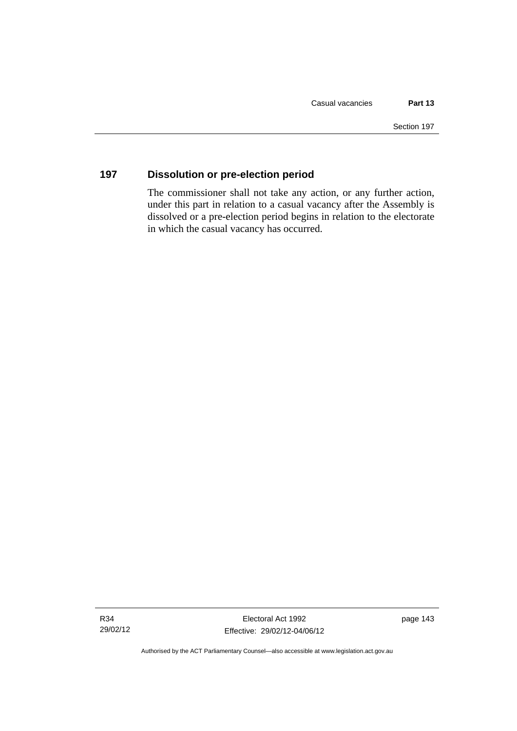# **197 Dissolution or pre-election period**

The commissioner shall not take any action, or any further action, under this part in relation to a casual vacancy after the Assembly is dissolved or a pre-election period begins in relation to the electorate in which the casual vacancy has occurred.

Authorised by the ACT Parliamentary Counsel—also accessible at www.legislation.act.gov.au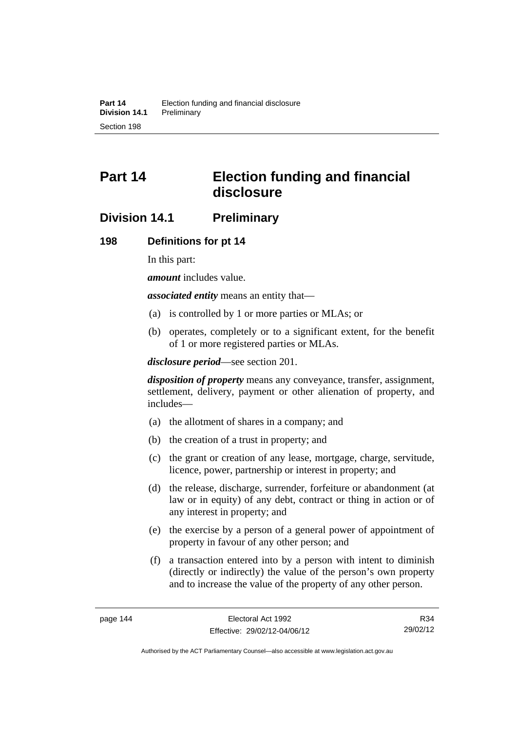# **Part 14 Election funding and financial disclosure**

# **Division 14.1 Preliminary**

## **198 Definitions for pt 14**

In this part:

*amount* includes value.

*associated entity* means an entity that—

- (a) is controlled by 1 or more parties or MLAs; or
- (b) operates, completely or to a significant extent, for the benefit of 1 or more registered parties or MLAs.

*disclosure period*—see section 201.

*disposition of property* means any conveyance, transfer, assignment, settlement, delivery, payment or other alienation of property, and includes—

- (a) the allotment of shares in a company; and
- (b) the creation of a trust in property; and
- (c) the grant or creation of any lease, mortgage, charge, servitude, licence, power, partnership or interest in property; and
- (d) the release, discharge, surrender, forfeiture or abandonment (at law or in equity) of any debt, contract or thing in action or of any interest in property; and
- (e) the exercise by a person of a general power of appointment of property in favour of any other person; and
- (f) a transaction entered into by a person with intent to diminish (directly or indirectly) the value of the person's own property and to increase the value of the property of any other person.

R34 29/02/12

Authorised by the ACT Parliamentary Counsel—also accessible at www.legislation.act.gov.au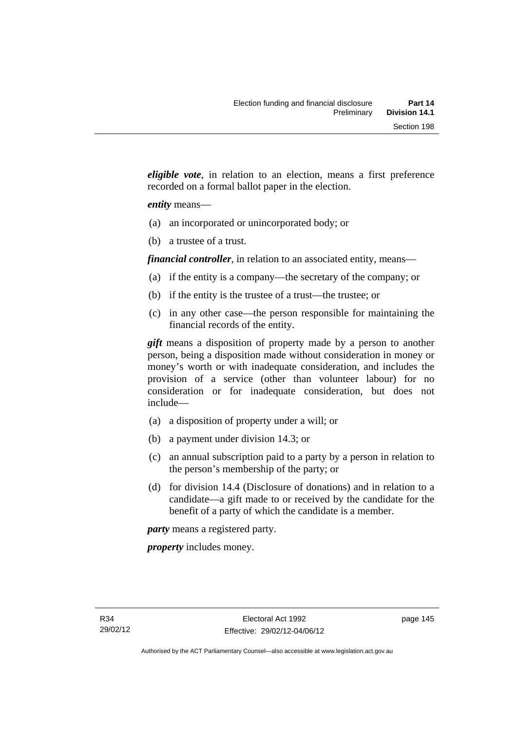*eligible vote*, in relation to an election, means a first preference recorded on a formal ballot paper in the election.

## *entity* means—

- (a) an incorporated or unincorporated body; or
- (b) a trustee of a trust.

*financial controller*, in relation to an associated entity, means—

- (a) if the entity is a company—the secretary of the company; or
- (b) if the entity is the trustee of a trust—the trustee; or
- (c) in any other case—the person responsible for maintaining the financial records of the entity.

*gift* means a disposition of property made by a person to another person, being a disposition made without consideration in money or money's worth or with inadequate consideration, and includes the provision of a service (other than volunteer labour) for no consideration or for inadequate consideration, but does not include—

- (a) a disposition of property under a will; or
- (b) a payment under division 14.3; or
- (c) an annual subscription paid to a party by a person in relation to the person's membership of the party; or
- (d) for division 14.4 (Disclosure of donations) and in relation to a candidate—a gift made to or received by the candidate for the benefit of a party of which the candidate is a member.

*party* means a registered party.

*property* includes money.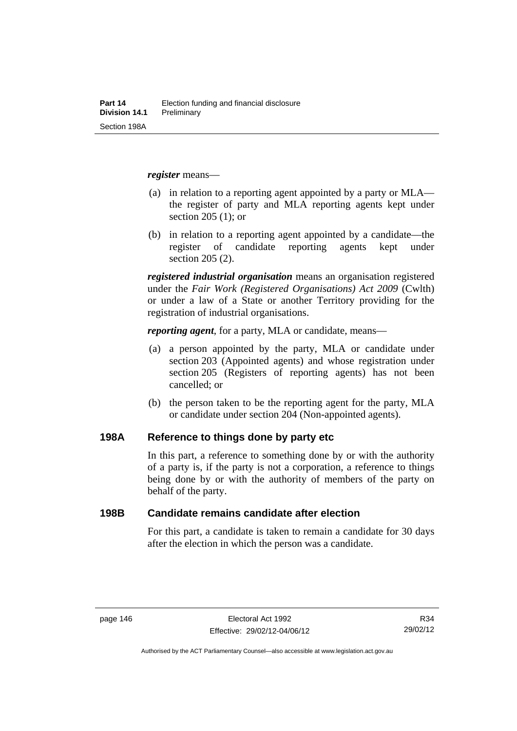*register* means—

- (a) in relation to a reporting agent appointed by a party or MLA the register of party and MLA reporting agents kept under section 205 (1); or
- (b) in relation to a reporting agent appointed by a candidate—the register of candidate reporting agents kept under section 205 (2).

*registered industrial organisation* means an organisation registered under the *Fair Work (Registered Organisations) Act 2009* (Cwlth) or under a law of a State or another Territory providing for the registration of industrial organisations.

*reporting agent*, for a party, MLA or candidate, means—

- (a) a person appointed by the party, MLA or candidate under section 203 (Appointed agents) and whose registration under section 205 (Registers of reporting agents) has not been cancelled; or
- (b) the person taken to be the reporting agent for the party, MLA or candidate under section 204 (Non-appointed agents).

## **198A Reference to things done by party etc**

In this part, a reference to something done by or with the authority of a party is, if the party is not a corporation, a reference to things being done by or with the authority of members of the party on behalf of the party.

### **198B Candidate remains candidate after election**

For this part, a candidate is taken to remain a candidate for 30 days after the election in which the person was a candidate.

R34 29/02/12

Authorised by the ACT Parliamentary Counsel—also accessible at www.legislation.act.gov.au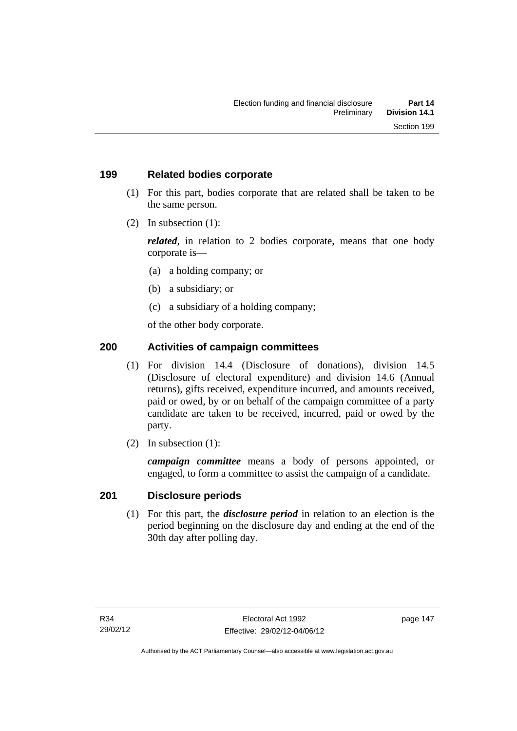## **199 Related bodies corporate**

- (1) For this part, bodies corporate that are related shall be taken to be the same person.
- (2) In subsection (1):

*related*, in relation to 2 bodies corporate, means that one body corporate is—

- (a) a holding company; or
- (b) a subsidiary; or
- (c) a subsidiary of a holding company;

of the other body corporate.

# **200 Activities of campaign committees**

- (1) For division 14.4 (Disclosure of donations), division 14.5 (Disclosure of electoral expenditure) and division 14.6 (Annual returns), gifts received, expenditure incurred, and amounts received, paid or owed, by or on behalf of the campaign committee of a party candidate are taken to be received, incurred, paid or owed by the party.
- (2) In subsection (1):

*campaign committee* means a body of persons appointed, or engaged, to form a committee to assist the campaign of a candidate.

## **201 Disclosure periods**

 (1) For this part, the *disclosure period* in relation to an election is the period beginning on the disclosure day and ending at the end of the 30th day after polling day.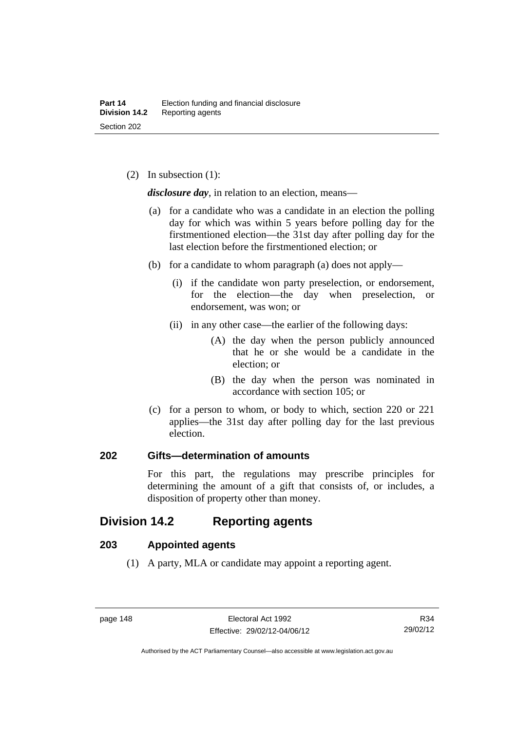(2) In subsection (1):

*disclosure day*, in relation to an election, means—

- (a) for a candidate who was a candidate in an election the polling day for which was within 5 years before polling day for the firstmentioned election—the 31st day after polling day for the last election before the firstmentioned election; or
- (b) for a candidate to whom paragraph (a) does not apply—
	- (i) if the candidate won party preselection, or endorsement, for the election—the day when preselection, or endorsement, was won; or
	- (ii) in any other case—the earlier of the following days:
		- (A) the day when the person publicly announced that he or she would be a candidate in the election; or
		- (B) the day when the person was nominated in accordance with section 105; or
- (c) for a person to whom, or body to which, section 220 or 221 applies—the 31st day after polling day for the last previous election.

## **202 Gifts—determination of amounts**

For this part, the regulations may prescribe principles for determining the amount of a gift that consists of, or includes, a disposition of property other than money.

# **Division 14.2 Reporting agents**

# **203 Appointed agents**

(1) A party, MLA or candidate may appoint a reporting agent.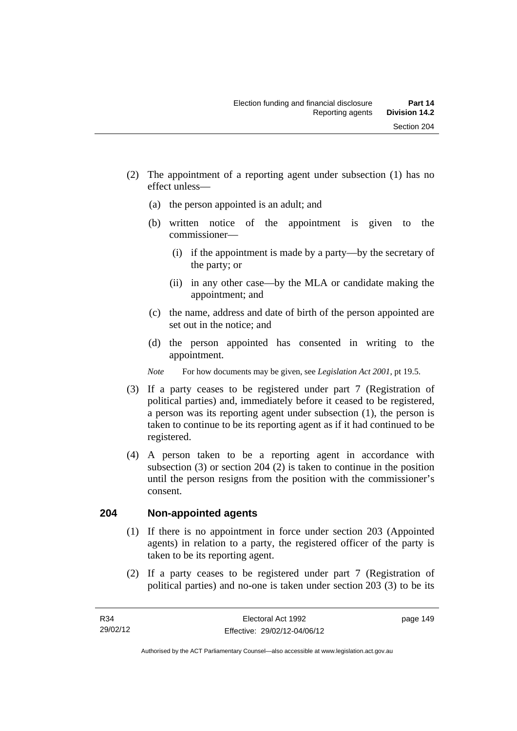- (2) The appointment of a reporting agent under subsection (1) has no effect unless—
	- (a) the person appointed is an adult; and
	- (b) written notice of the appointment is given to the commissioner—
		- (i) if the appointment is made by a party—by the secretary of the party; or
		- (ii) in any other case—by the MLA or candidate making the appointment; and
	- (c) the name, address and date of birth of the person appointed are set out in the notice; and
	- (d) the person appointed has consented in writing to the appointment.
	- *Note* For how documents may be given, see *Legislation Act 2001*, pt 19.5.
- (3) If a party ceases to be registered under part 7 (Registration of political parties) and, immediately before it ceased to be registered, a person was its reporting agent under subsection (1), the person is taken to continue to be its reporting agent as if it had continued to be registered.
- (4) A person taken to be a reporting agent in accordance with subsection (3) or section 204 (2) is taken to continue in the position until the person resigns from the position with the commissioner's consent.

# **204 Non-appointed agents**

- (1) If there is no appointment in force under section 203 (Appointed agents) in relation to a party, the registered officer of the party is taken to be its reporting agent.
- (2) If a party ceases to be registered under part 7 (Registration of political parties) and no-one is taken under section 203 (3) to be its

page 149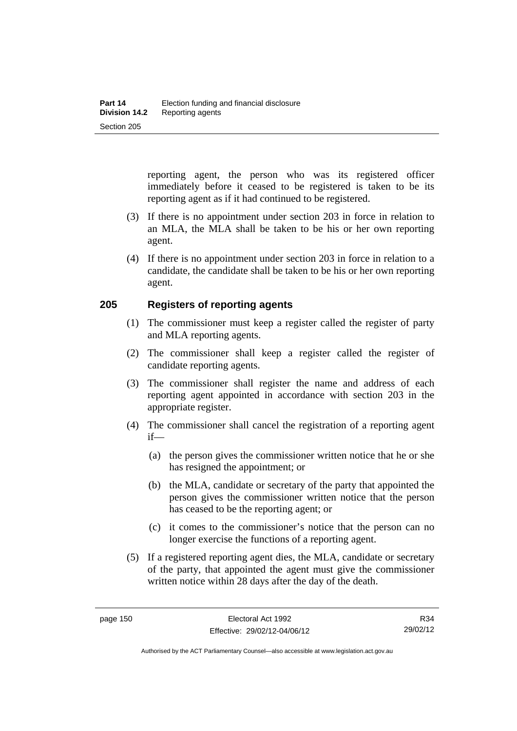reporting agent, the person who was its registered officer immediately before it ceased to be registered is taken to be its reporting agent as if it had continued to be registered.

- (3) If there is no appointment under section 203 in force in relation to an MLA, the MLA shall be taken to be his or her own reporting agent.
- (4) If there is no appointment under section 203 in force in relation to a candidate, the candidate shall be taken to be his or her own reporting agent.

## **205 Registers of reporting agents**

- (1) The commissioner must keep a register called the register of party and MLA reporting agents.
- (2) The commissioner shall keep a register called the register of candidate reporting agents.
- (3) The commissioner shall register the name and address of each reporting agent appointed in accordance with section 203 in the appropriate register.
- (4) The commissioner shall cancel the registration of a reporting agent if—
	- (a) the person gives the commissioner written notice that he or she has resigned the appointment; or
	- (b) the MLA, candidate or secretary of the party that appointed the person gives the commissioner written notice that the person has ceased to be the reporting agent; or
	- (c) it comes to the commissioner's notice that the person can no longer exercise the functions of a reporting agent.
- (5) If a registered reporting agent dies, the MLA, candidate or secretary of the party, that appointed the agent must give the commissioner written notice within 28 days after the day of the death.

R34 29/02/12

Authorised by the ACT Parliamentary Counsel—also accessible at www.legislation.act.gov.au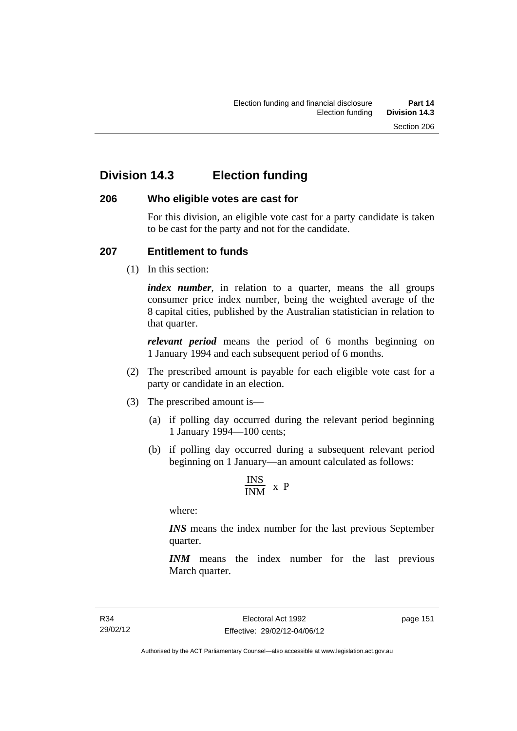# **Division 14.3 Election funding**

## **206 Who eligible votes are cast for**

For this division, an eligible vote cast for a party candidate is taken to be cast for the party and not for the candidate.

## **207 Entitlement to funds**

(1) In this section:

*index number*, in relation to a quarter, means the all groups consumer price index number, being the weighted average of the 8 capital cities, published by the Australian statistician in relation to that quarter.

*relevant period* means the period of 6 months beginning on 1 January 1994 and each subsequent period of 6 months.

- (2) The prescribed amount is payable for each eligible vote cast for a party or candidate in an election.
- (3) The prescribed amount is—
	- (a) if polling day occurred during the relevant period beginning 1 January 1994—100 cents;
	- (b) if polling day occurred during a subsequent relevant period beginning on 1 January—an amount calculated as follows:

$$
\frac{INS}{INM} \times P
$$

where:

*INS* means the index number for the last previous September quarter.

*INM* means the index number for the last previous March quarter.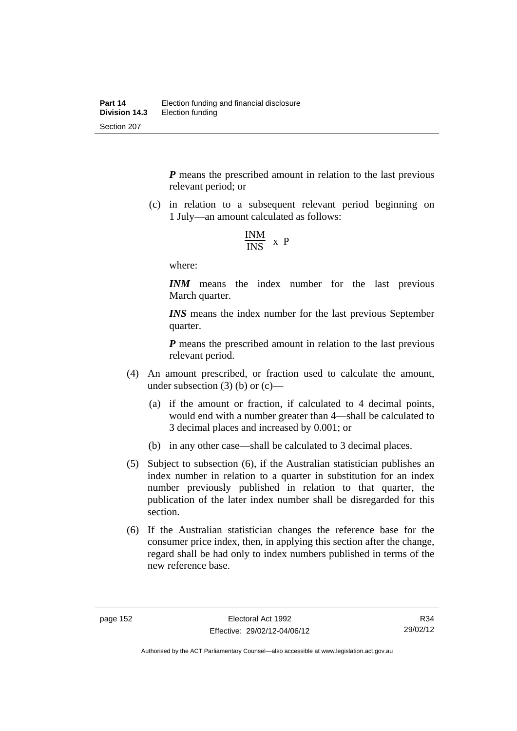*P* means the prescribed amount in relation to the last previous relevant period; or

 (c) in relation to a subsequent relevant period beginning on 1 July—an amount calculated as follows:

$$
\frac{INM}{INS} \times P
$$

where:

*INM* means the index number for the last previous March quarter.

*INS* means the index number for the last previous September quarter.

*P* means the prescribed amount in relation to the last previous relevant period.

- (4) An amount prescribed, or fraction used to calculate the amount, under subsection  $(3)$  (b) or  $(c)$ —
	- (a) if the amount or fraction, if calculated to 4 decimal points, would end with a number greater than 4—shall be calculated to 3 decimal places and increased by 0.001; or
	- (b) in any other case—shall be calculated to 3 decimal places.
- (5) Subject to subsection (6), if the Australian statistician publishes an index number in relation to a quarter in substitution for an index number previously published in relation to that quarter, the publication of the later index number shall be disregarded for this section.
- (6) If the Australian statistician changes the reference base for the consumer price index, then, in applying this section after the change, regard shall be had only to index numbers published in terms of the new reference base.

R34 29/02/12

Authorised by the ACT Parliamentary Counsel—also accessible at www.legislation.act.gov.au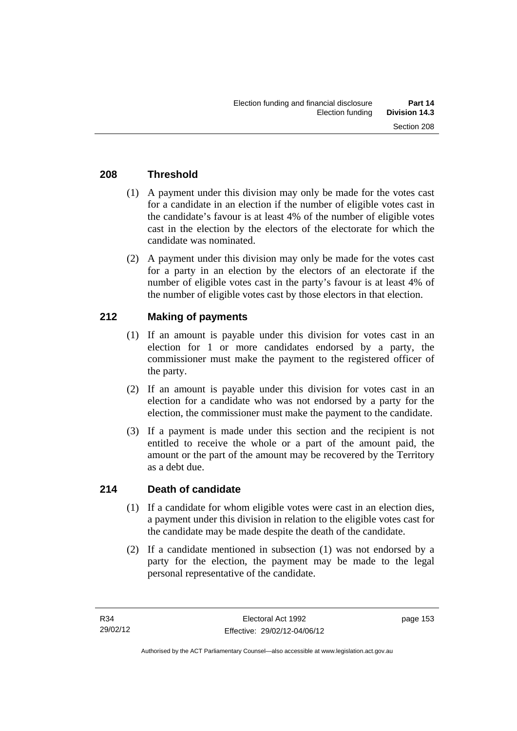# **208 Threshold**

- (1) A payment under this division may only be made for the votes cast for a candidate in an election if the number of eligible votes cast in the candidate's favour is at least 4% of the number of eligible votes cast in the election by the electors of the electorate for which the candidate was nominated.
- (2) A payment under this division may only be made for the votes cast for a party in an election by the electors of an electorate if the number of eligible votes cast in the party's favour is at least 4% of the number of eligible votes cast by those electors in that election.

# **212 Making of payments**

- (1) If an amount is payable under this division for votes cast in an election for 1 or more candidates endorsed by a party, the commissioner must make the payment to the registered officer of the party.
- (2) If an amount is payable under this division for votes cast in an election for a candidate who was not endorsed by a party for the election, the commissioner must make the payment to the candidate.
- (3) If a payment is made under this section and the recipient is not entitled to receive the whole or a part of the amount paid, the amount or the part of the amount may be recovered by the Territory as a debt due.

## **214 Death of candidate**

- (1) If a candidate for whom eligible votes were cast in an election dies, a payment under this division in relation to the eligible votes cast for the candidate may be made despite the death of the candidate.
- (2) If a candidate mentioned in subsection (1) was not endorsed by a party for the election, the payment may be made to the legal personal representative of the candidate.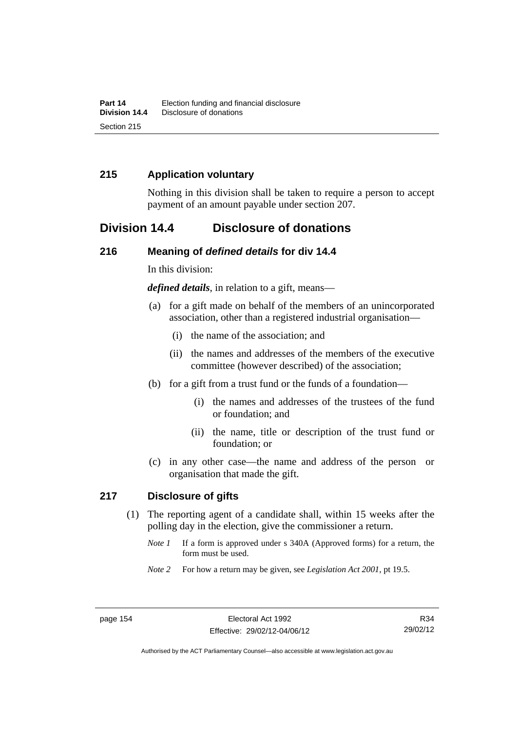# **215 Application voluntary**

Nothing in this division shall be taken to require a person to accept payment of an amount payable under section 207.

# **Division 14.4 Disclosure of donations**

## **216 Meaning of** *defined details* **for div 14.4**

In this division:

*defined details*, in relation to a gift, means—

- (a) for a gift made on behalf of the members of an unincorporated association, other than a registered industrial organisation—
	- (i) the name of the association; and
	- (ii) the names and addresses of the members of the executive committee (however described) of the association;
- (b) for a gift from a trust fund or the funds of a foundation—
	- (i) the names and addresses of the trustees of the fund or foundation; and
	- (ii) the name, title or description of the trust fund or foundation; or
- (c) in any other case—the name and address of the person or organisation that made the gift.

## **217 Disclosure of gifts**

- (1) The reporting agent of a candidate shall, within 15 weeks after the polling day in the election, give the commissioner a return.
	- *Note 1* If a form is approved under s 340A (Approved forms) for a return, the form must be used.
	- *Note 2* For how a return may be given, see *Legislation Act 2001*, pt 19.5.

R34 29/02/12

Authorised by the ACT Parliamentary Counsel—also accessible at www.legislation.act.gov.au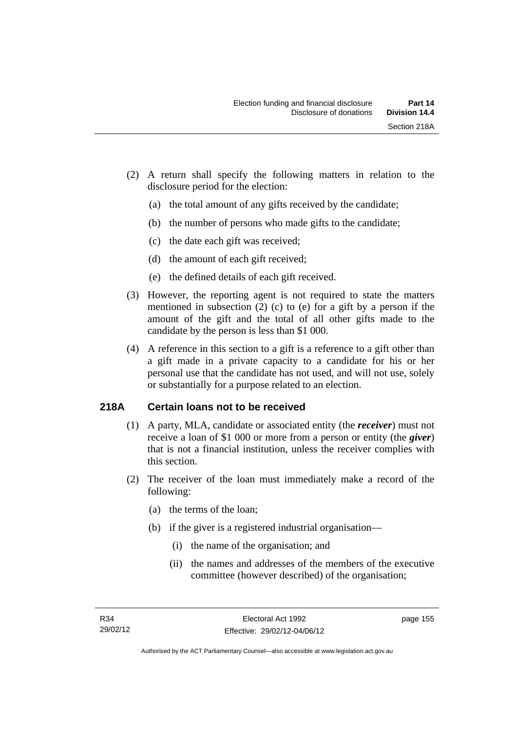- (2) A return shall specify the following matters in relation to the disclosure period for the election:
	- (a) the total amount of any gifts received by the candidate;
	- (b) the number of persons who made gifts to the candidate;
	- (c) the date each gift was received;
	- (d) the amount of each gift received;
	- (e) the defined details of each gift received.
- (3) However, the reporting agent is not required to state the matters mentioned in subsection (2) (c) to (e) for a gift by a person if the amount of the gift and the total of all other gifts made to the candidate by the person is less than \$1 000.
- (4) A reference in this section to a gift is a reference to a gift other than a gift made in a private capacity to a candidate for his or her personal use that the candidate has not used, and will not use, solely or substantially for a purpose related to an election.

# **218A Certain loans not to be received**

- (1) A party, MLA, candidate or associated entity (the *receiver*) must not receive a loan of \$1 000 or more from a person or entity (the *giver*) that is not a financial institution, unless the receiver complies with this section.
- (2) The receiver of the loan must immediately make a record of the following:
	- (a) the terms of the loan;
	- (b) if the giver is a registered industrial organisation—
		- (i) the name of the organisation; and
		- (ii) the names and addresses of the members of the executive committee (however described) of the organisation;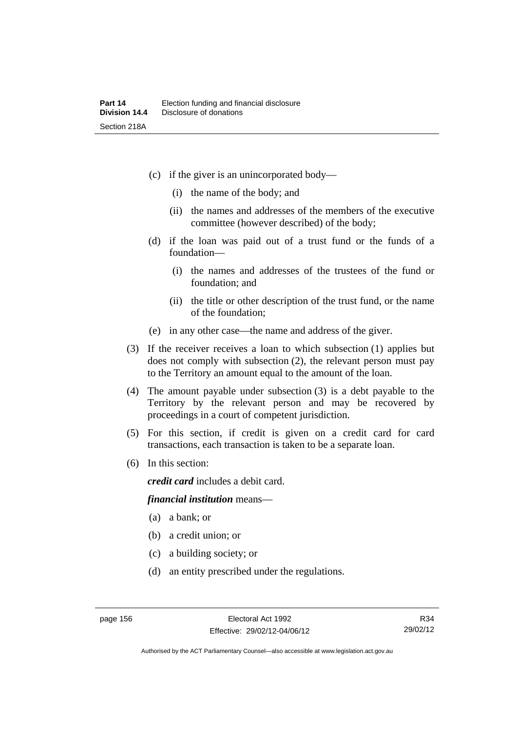- (c) if the giver is an unincorporated body—
	- (i) the name of the body; and
	- (ii) the names and addresses of the members of the executive committee (however described) of the body;
- (d) if the loan was paid out of a trust fund or the funds of a foundation—
	- (i) the names and addresses of the trustees of the fund or foundation; and
	- (ii) the title or other description of the trust fund, or the name of the foundation;
- (e) in any other case—the name and address of the giver.
- (3) If the receiver receives a loan to which subsection (1) applies but does not comply with subsection (2), the relevant person must pay to the Territory an amount equal to the amount of the loan.
- (4) The amount payable under subsection (3) is a debt payable to the Territory by the relevant person and may be recovered by proceedings in a court of competent jurisdiction.
- (5) For this section, if credit is given on a credit card for card transactions, each transaction is taken to be a separate loan.
- (6) In this section:

*credit card* includes a debit card.

#### *financial institution* means—

- (a) a bank; or
- (b) a credit union; or
- (c) a building society; or
- (d) an entity prescribed under the regulations.

Authorised by the ACT Parliamentary Counsel—also accessible at www.legislation.act.gov.au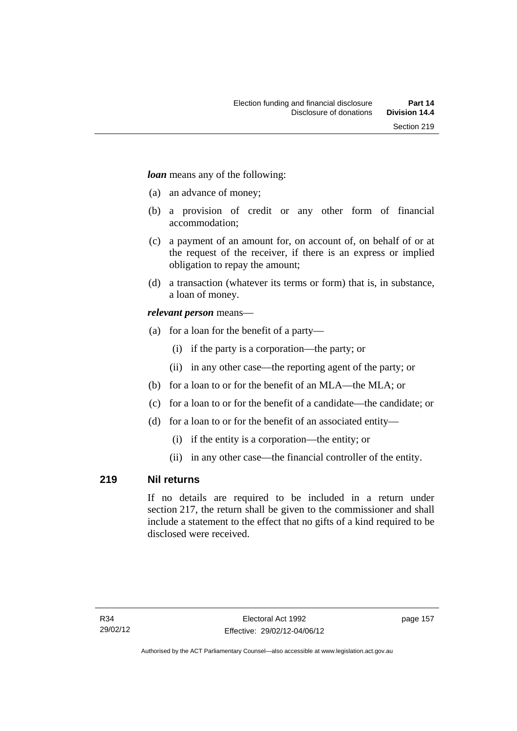*loan* means any of the following:

- (a) an advance of money;
- (b) a provision of credit or any other form of financial accommodation;
- (c) a payment of an amount for, on account of, on behalf of or at the request of the receiver, if there is an express or implied obligation to repay the amount;
- (d) a transaction (whatever its terms or form) that is, in substance, a loan of money.

## *relevant person* means—

- (a) for a loan for the benefit of a party—
	- (i) if the party is a corporation—the party; or
	- (ii) in any other case—the reporting agent of the party; or
- (b) for a loan to or for the benefit of an MLA—the MLA; or
- (c) for a loan to or for the benefit of a candidate—the candidate; or
- (d) for a loan to or for the benefit of an associated entity—
	- (i) if the entity is a corporation—the entity; or
	- (ii) in any other case—the financial controller of the entity.

## **219 Nil returns**

If no details are required to be included in a return under section 217, the return shall be given to the commissioner and shall include a statement to the effect that no gifts of a kind required to be disclosed were received.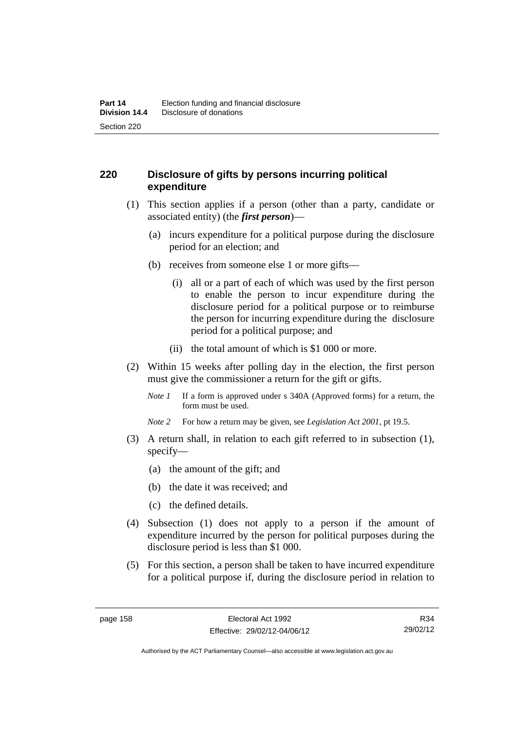# **220 Disclosure of gifts by persons incurring political expenditure**

- (1) This section applies if a person (other than a party, candidate or associated entity) (the *first person*)—
	- (a) incurs expenditure for a political purpose during the disclosure period for an election; and
	- (b) receives from someone else 1 or more gifts—
		- (i) all or a part of each of which was used by the first person to enable the person to incur expenditure during the disclosure period for a political purpose or to reimburse the person for incurring expenditure during the disclosure period for a political purpose; and
		- (ii) the total amount of which is \$1 000 or more.
- (2) Within 15 weeks after polling day in the election, the first person must give the commissioner a return for the gift or gifts.
	- *Note 1* If a form is approved under s 340A (Approved forms) for a return, the form must be used.
	- *Note 2* For how a return may be given, see *Legislation Act 2001*, pt 19.5.
- (3) A return shall, in relation to each gift referred to in subsection (1), specify—
	- (a) the amount of the gift; and
	- (b) the date it was received; and
	- (c) the defined details.
- (4) Subsection (1) does not apply to a person if the amount of expenditure incurred by the person for political purposes during the disclosure period is less than \$1 000.
- (5) For this section, a person shall be taken to have incurred expenditure for a political purpose if, during the disclosure period in relation to

R34 29/02/12

Authorised by the ACT Parliamentary Counsel—also accessible at www.legislation.act.gov.au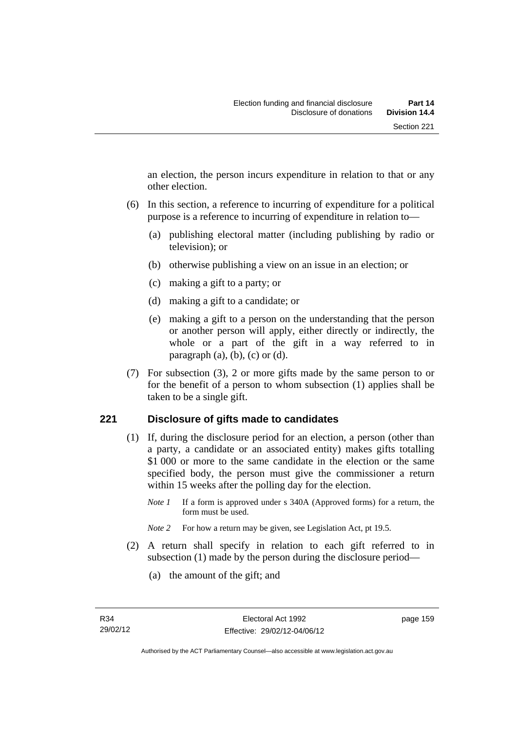an election, the person incurs expenditure in relation to that or any other election.

- (6) In this section, a reference to incurring of expenditure for a political purpose is a reference to incurring of expenditure in relation to—
	- (a) publishing electoral matter (including publishing by radio or television); or
	- (b) otherwise publishing a view on an issue in an election; or
	- (c) making a gift to a party; or
	- (d) making a gift to a candidate; or
	- (e) making a gift to a person on the understanding that the person or another person will apply, either directly or indirectly, the whole or a part of the gift in a way referred to in paragraph  $(a)$ ,  $(b)$ ,  $(c)$  or  $(d)$ .
- (7) For subsection (3), 2 or more gifts made by the same person to or for the benefit of a person to whom subsection (1) applies shall be taken to be a single gift.

## **221 Disclosure of gifts made to candidates**

- (1) If, during the disclosure period for an election, a person (other than a party, a candidate or an associated entity) makes gifts totalling \$1 000 or more to the same candidate in the election or the same specified body, the person must give the commissioner a return within 15 weeks after the polling day for the election.
	- *Note 1* If a form is approved under s 340A (Approved forms) for a return, the form must be used.
	- *Note* 2 For how a return may be given, see Legislation Act, pt 19.5.
- (2) A return shall specify in relation to each gift referred to in subsection (1) made by the person during the disclosure period—
	- (a) the amount of the gift; and

page 159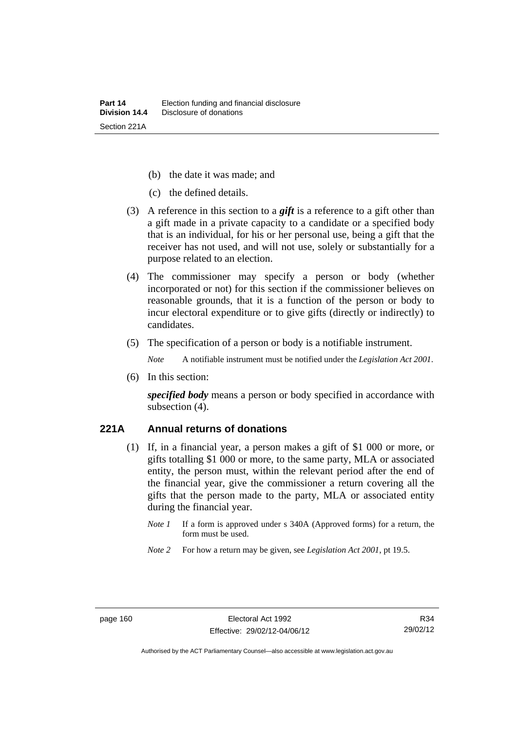- (b) the date it was made; and
- (c) the defined details.
- (3) A reference in this section to a *gift* is a reference to a gift other than a gift made in a private capacity to a candidate or a specified body that is an individual, for his or her personal use, being a gift that the receiver has not used, and will not use, solely or substantially for a purpose related to an election.
- (4) The commissioner may specify a person or body (whether incorporated or not) for this section if the commissioner believes on reasonable grounds, that it is a function of the person or body to incur electoral expenditure or to give gifts (directly or indirectly) to candidates.
- (5) The specification of a person or body is a notifiable instrument.

*Note* A notifiable instrument must be notified under the *Legislation Act 2001*.

(6) In this section:

*specified body* means a person or body specified in accordance with subsection (4).

#### **221A Annual returns of donations**

- (1) If, in a financial year, a person makes a gift of \$1 000 or more, or gifts totalling \$1 000 or more, to the same party, MLA or associated entity, the person must, within the relevant period after the end of the financial year, give the commissioner a return covering all the gifts that the person made to the party, MLA or associated entity during the financial year.
	- *Note 1* If a form is approved under s 340A (Approved forms) for a return, the form must be used.
	- *Note 2* For how a return may be given, see *Legislation Act 2001*, pt 19.5.

R34 29/02/12

Authorised by the ACT Parliamentary Counsel—also accessible at www.legislation.act.gov.au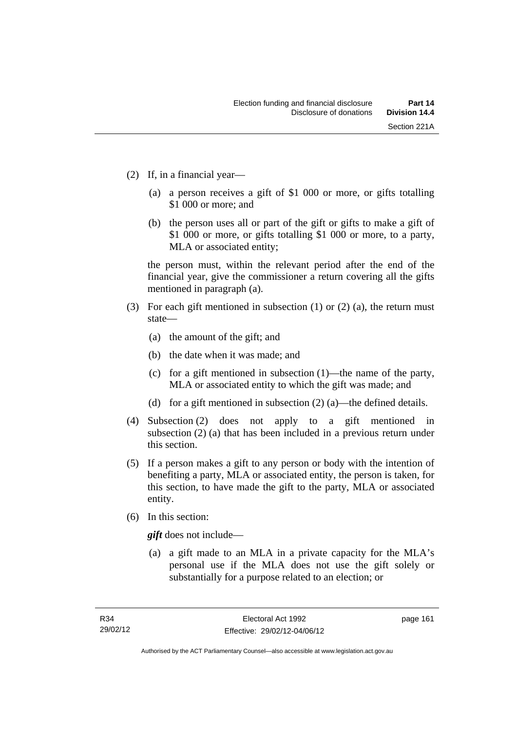- (2) If, in a financial year—
	- (a) a person receives a gift of \$1 000 or more, or gifts totalling \$1 000 or more; and
	- (b) the person uses all or part of the gift or gifts to make a gift of \$1 000 or more, or gifts totalling \$1 000 or more, to a party, MLA or associated entity;

the person must, within the relevant period after the end of the financial year, give the commissioner a return covering all the gifts mentioned in paragraph (a).

- (3) For each gift mentioned in subsection (1) or (2) (a), the return must state—
	- (a) the amount of the gift; and
	- (b) the date when it was made; and
	- (c) for a gift mentioned in subsection (1)—the name of the party, MLA or associated entity to which the gift was made; and
	- (d) for a gift mentioned in subsection (2) (a)—the defined details.
- (4) Subsection (2) does not apply to a gift mentioned in subsection (2) (a) that has been included in a previous return under this section.
- (5) If a person makes a gift to any person or body with the intention of benefiting a party, MLA or associated entity, the person is taken, for this section, to have made the gift to the party, MLA or associated entity.
- (6) In this section:

*gift* does not include—

 (a) a gift made to an MLA in a private capacity for the MLA's personal use if the MLA does not use the gift solely or substantially for a purpose related to an election; or

page 161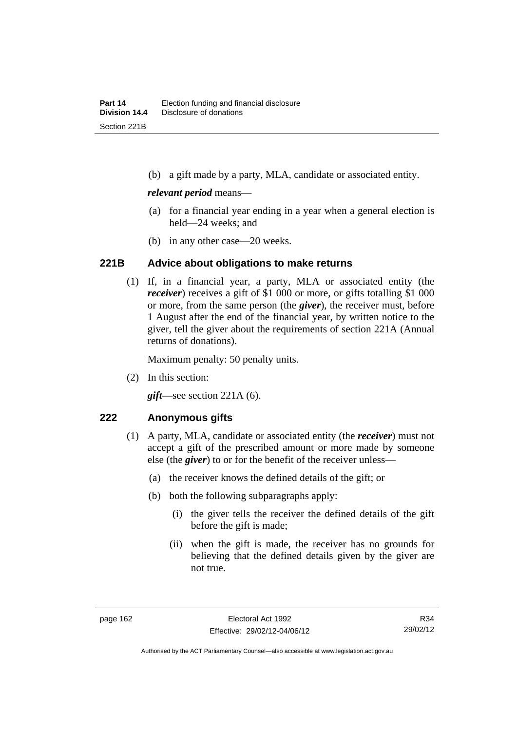(b) a gift made by a party, MLA, candidate or associated entity.

#### *relevant period* means—

- (a) for a financial year ending in a year when a general election is held—24 weeks; and
- (b) in any other case—20 weeks.

## **221B Advice about obligations to make returns**

 (1) If, in a financial year, a party, MLA or associated entity (the *receiver*) receives a gift of \$1 000 or more, or gifts totalling \$1 000 or more, from the same person (the *giver*), the receiver must, before 1 August after the end of the financial year, by written notice to the giver, tell the giver about the requirements of section 221A (Annual returns of donations).

Maximum penalty: 50 penalty units.

(2) In this section:

*gift*—see section 221A (6).

## **222 Anonymous gifts**

- (1) A party, MLA, candidate or associated entity (the *receiver*) must not accept a gift of the prescribed amount or more made by someone else (the *giver*) to or for the benefit of the receiver unless—
	- (a) the receiver knows the defined details of the gift; or
	- (b) both the following subparagraphs apply:
		- (i) the giver tells the receiver the defined details of the gift before the gift is made;
		- (ii) when the gift is made, the receiver has no grounds for believing that the defined details given by the giver are not true.

R34 29/02/12

Authorised by the ACT Parliamentary Counsel—also accessible at www.legislation.act.gov.au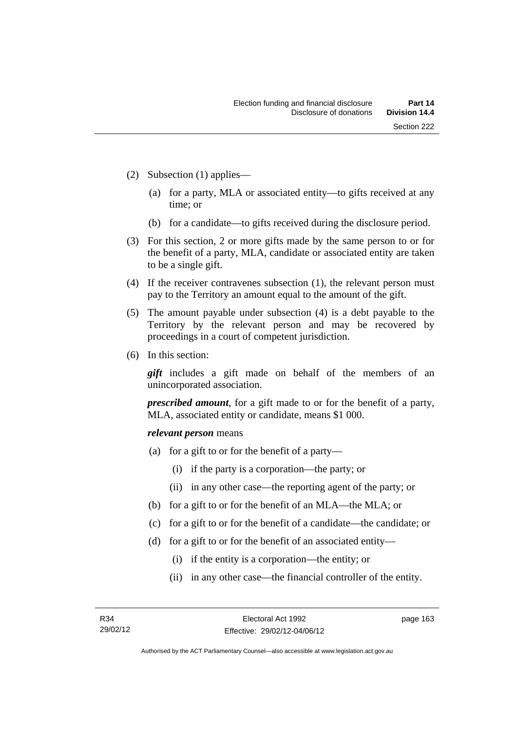- (2) Subsection (1) applies—
	- (a) for a party, MLA or associated entity—to gifts received at any time; or
	- (b) for a candidate—to gifts received during the disclosure period.
- (3) For this section, 2 or more gifts made by the same person to or for the benefit of a party, MLA, candidate or associated entity are taken to be a single gift.
- (4) If the receiver contravenes subsection (1), the relevant person must pay to the Territory an amount equal to the amount of the gift.
- (5) The amount payable under subsection (4) is a debt payable to the Territory by the relevant person and may be recovered by proceedings in a court of competent jurisdiction.
- (6) In this section:

*gift* includes a gift made on behalf of the members of an unincorporated association.

*prescribed amount*, for a gift made to or for the benefit of a party, MLA, associated entity or candidate, means \$1 000.

#### *relevant person* means

- (a) for a gift to or for the benefit of a party—
	- (i) if the party is a corporation—the party; or
	- (ii) in any other case—the reporting agent of the party; or
- (b) for a gift to or for the benefit of an MLA—the MLA; or
- (c) for a gift to or for the benefit of a candidate—the candidate; or
- (d) for a gift to or for the benefit of an associated entity—
	- (i) if the entity is a corporation—the entity; or
	- (ii) in any other case—the financial controller of the entity.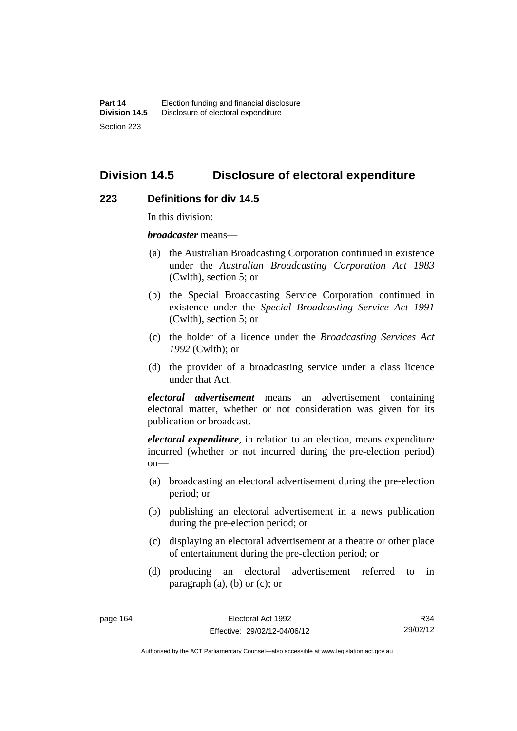# **Division 14.5 Disclosure of electoral expenditure**

#### **223 Definitions for div 14.5**

In this division:

*broadcaster* means—

- (a) the Australian Broadcasting Corporation continued in existence under the *Australian Broadcasting Corporation Act 1983* (Cwlth), section 5; or
- (b) the Special Broadcasting Service Corporation continued in existence under the *Special Broadcasting Service Act 1991*  (Cwlth), section 5; or
- (c) the holder of a licence under the *Broadcasting Services Act 1992* (Cwlth); or
- (d) the provider of a broadcasting service under a class licence under that Act.

*electoral advertisement* means an advertisement containing electoral matter, whether or not consideration was given for its publication or broadcast.

*electoral expenditure*, in relation to an election, means expenditure incurred (whether or not incurred during the pre-election period)  $on$ —

- (a) broadcasting an electoral advertisement during the pre-election period; or
- (b) publishing an electoral advertisement in a news publication during the pre-election period; or
- (c) displaying an electoral advertisement at a theatre or other place of entertainment during the pre-election period; or
- (d) producing an electoral advertisement referred to in paragraph (a), (b) or (c); or

R34 29/02/12

Authorised by the ACT Parliamentary Counsel—also accessible at www.legislation.act.gov.au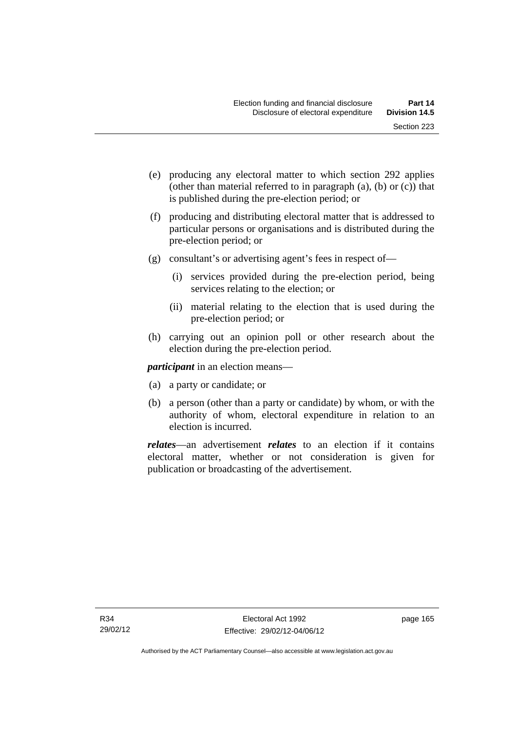- (e) producing any electoral matter to which section 292 applies (other than material referred to in paragraph (a), (b) or (c)) that is published during the pre-election period; or
- (f) producing and distributing electoral matter that is addressed to particular persons or organisations and is distributed during the pre-election period; or
- (g) consultant's or advertising agent's fees in respect of—
	- (i) services provided during the pre-election period, being services relating to the election; or
	- (ii) material relating to the election that is used during the pre-election period; or
- (h) carrying out an opinion poll or other research about the election during the pre-election period.

*participant* in an election means—

- (a) a party or candidate; or
- (b) a person (other than a party or candidate) by whom, or with the authority of whom, electoral expenditure in relation to an election is incurred.

*relates*—an advertisement *relates* to an election if it contains electoral matter, whether or not consideration is given for publication or broadcasting of the advertisement.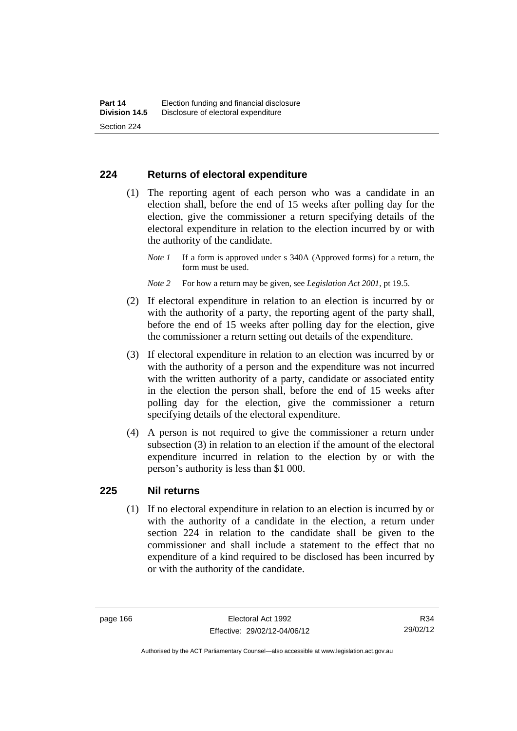## **224 Returns of electoral expenditure**

 (1) The reporting agent of each person who was a candidate in an election shall, before the end of 15 weeks after polling day for the election, give the commissioner a return specifying details of the electoral expenditure in relation to the election incurred by or with the authority of the candidate.

- *Note 2* For how a return may be given, see *Legislation Act 2001*, pt 19.5.
- (2) If electoral expenditure in relation to an election is incurred by or with the authority of a party, the reporting agent of the party shall, before the end of 15 weeks after polling day for the election, give the commissioner a return setting out details of the expenditure.
- (3) If electoral expenditure in relation to an election was incurred by or with the authority of a person and the expenditure was not incurred with the written authority of a party, candidate or associated entity in the election the person shall, before the end of 15 weeks after polling day for the election, give the commissioner a return specifying details of the electoral expenditure.
- (4) A person is not required to give the commissioner a return under subsection (3) in relation to an election if the amount of the electoral expenditure incurred in relation to the election by or with the person's authority is less than \$1 000.

## **225 Nil returns**

 (1) If no electoral expenditure in relation to an election is incurred by or with the authority of a candidate in the election, a return under section 224 in relation to the candidate shall be given to the commissioner and shall include a statement to the effect that no expenditure of a kind required to be disclosed has been incurred by or with the authority of the candidate.

*Note 1* If a form is approved under s 340A (Approved forms) for a return, the form must be used.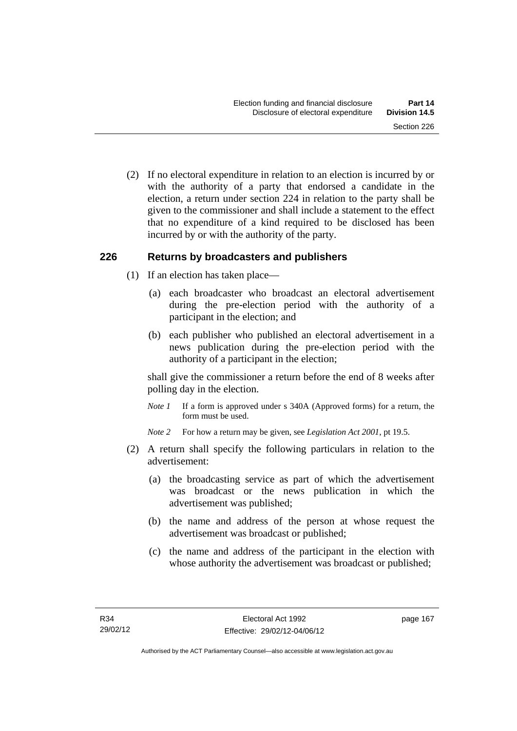(2) If no electoral expenditure in relation to an election is incurred by or with the authority of a party that endorsed a candidate in the election, a return under section 224 in relation to the party shall be given to the commissioner and shall include a statement to the effect that no expenditure of a kind required to be disclosed has been incurred by or with the authority of the party.

## **226 Returns by broadcasters and publishers**

- (1) If an election has taken place—
	- (a) each broadcaster who broadcast an electoral advertisement during the pre-election period with the authority of a participant in the election; and
	- (b) each publisher who published an electoral advertisement in a news publication during the pre-election period with the authority of a participant in the election;

shall give the commissioner a return before the end of 8 weeks after polling day in the election.

*Note 1* If a form is approved under s 340A (Approved forms) for a return, the form must be used.

*Note 2* For how a return may be given, see *Legislation Act 2001*, pt 19.5.

- (2) A return shall specify the following particulars in relation to the advertisement:
	- (a) the broadcasting service as part of which the advertisement was broadcast or the news publication in which the advertisement was published;
	- (b) the name and address of the person at whose request the advertisement was broadcast or published;
	- (c) the name and address of the participant in the election with whose authority the advertisement was broadcast or published;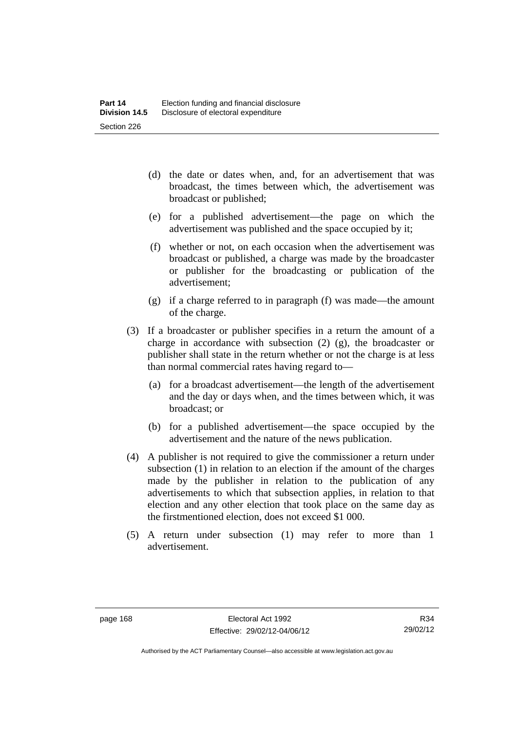- (d) the date or dates when, and, for an advertisement that was broadcast, the times between which, the advertisement was broadcast or published;
- (e) for a published advertisement—the page on which the advertisement was published and the space occupied by it;
- (f) whether or not, on each occasion when the advertisement was broadcast or published, a charge was made by the broadcaster or publisher for the broadcasting or publication of the advertisement;
- (g) if a charge referred to in paragraph (f) was made—the amount of the charge.
- (3) If a broadcaster or publisher specifies in a return the amount of a charge in accordance with subsection (2) (g), the broadcaster or publisher shall state in the return whether or not the charge is at less than normal commercial rates having regard to—
	- (a) for a broadcast advertisement—the length of the advertisement and the day or days when, and the times between which, it was broadcast; or
	- (b) for a published advertisement—the space occupied by the advertisement and the nature of the news publication.
- (4) A publisher is not required to give the commissioner a return under subsection (1) in relation to an election if the amount of the charges made by the publisher in relation to the publication of any advertisements to which that subsection applies, in relation to that election and any other election that took place on the same day as the firstmentioned election, does not exceed \$1 000.
- (5) A return under subsection (1) may refer to more than 1 advertisement.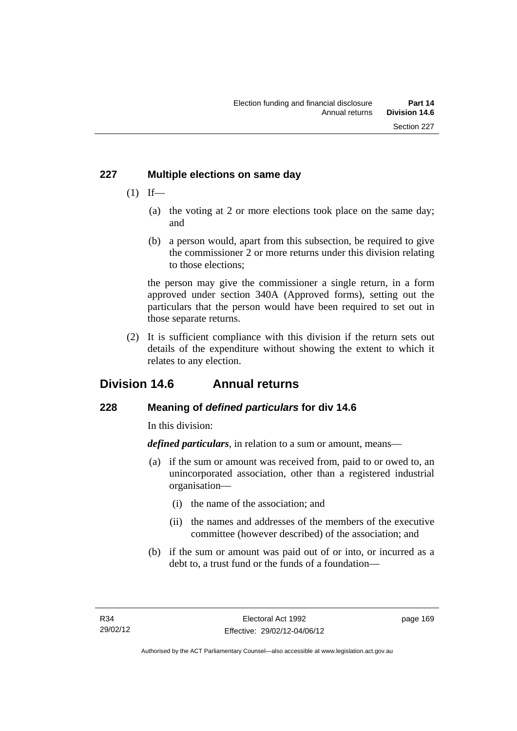## **227 Multiple elections on same day**

- $(1)$  If—
	- (a) the voting at 2 or more elections took place on the same day; and
	- (b) a person would, apart from this subsection, be required to give the commissioner 2 or more returns under this division relating to those elections;

the person may give the commissioner a single return, in a form approved under section 340A (Approved forms), setting out the particulars that the person would have been required to set out in those separate returns.

 (2) It is sufficient compliance with this division if the return sets out details of the expenditure without showing the extent to which it relates to any election.

# **Division 14.6 Annual returns**

## **228 Meaning of** *defined particulars* **for div 14.6**

In this division:

*defined particulars*, in relation to a sum or amount, means—

- (a) if the sum or amount was received from, paid to or owed to, an unincorporated association, other than a registered industrial organisation—
	- (i) the name of the association; and
	- (ii) the names and addresses of the members of the executive committee (however described) of the association; and
- (b) if the sum or amount was paid out of or into, or incurred as a debt to, a trust fund or the funds of a foundation—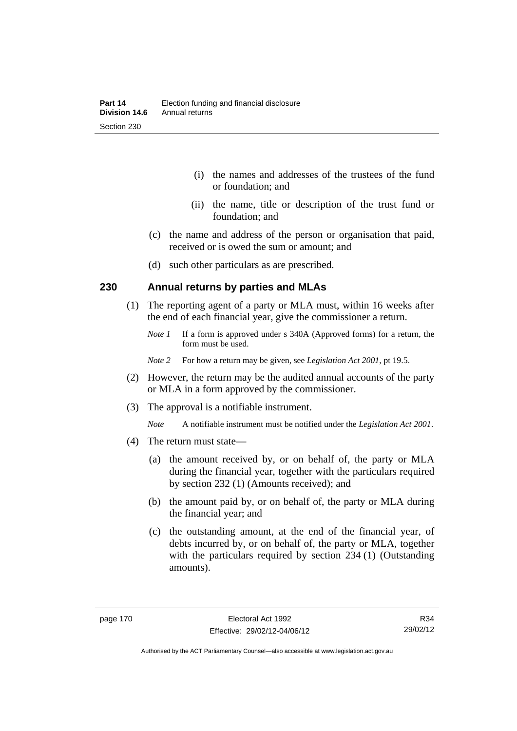- (i) the names and addresses of the trustees of the fund or foundation; and
- (ii) the name, title or description of the trust fund or foundation; and
- (c) the name and address of the person or organisation that paid, received or is owed the sum or amount; and
- (d) such other particulars as are prescribed.

## **230 Annual returns by parties and MLAs**

- (1) The reporting agent of a party or MLA must, within 16 weeks after the end of each financial year, give the commissioner a return.
	- *Note 1* If a form is approved under s 340A (Approved forms) for a return, the form must be used.
	- *Note 2* For how a return may be given, see *Legislation Act 2001*, pt 19.5.
- (2) However, the return may be the audited annual accounts of the party or MLA in a form approved by the commissioner.
- (3) The approval is a notifiable instrument.
	- *Note* A notifiable instrument must be notified under the *Legislation Act 2001*.
- (4) The return must state—
	- (a) the amount received by, or on behalf of, the party or MLA during the financial year, together with the particulars required by section 232 (1) (Amounts received); and
	- (b) the amount paid by, or on behalf of, the party or MLA during the financial year; and
	- (c) the outstanding amount, at the end of the financial year, of debts incurred by, or on behalf of, the party or MLA, together with the particulars required by section 234 (1) (Outstanding amounts).

R34 29/02/12

Authorised by the ACT Parliamentary Counsel—also accessible at www.legislation.act.gov.au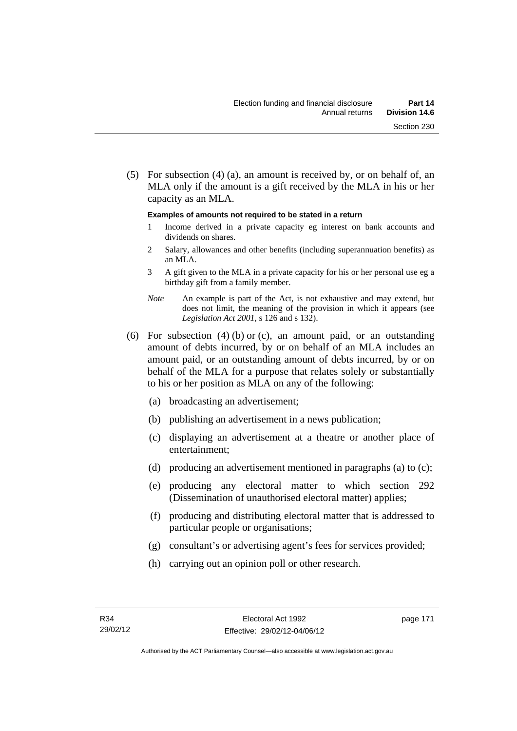(5) For subsection (4) (a), an amount is received by, or on behalf of, an MLA only if the amount is a gift received by the MLA in his or her capacity as an MLA.

#### **Examples of amounts not required to be stated in a return**

- 1 Income derived in a private capacity eg interest on bank accounts and dividends on shares.
- 2 Salary, allowances and other benefits (including superannuation benefits) as an MLA.
- 3 A gift given to the MLA in a private capacity for his or her personal use eg a birthday gift from a family member.
- *Note* An example is part of the Act, is not exhaustive and may extend, but does not limit, the meaning of the provision in which it appears (see *Legislation Act 2001*, s 126 and s 132).
- (6) For subsection (4) (b) or (c), an amount paid, or an outstanding amount of debts incurred, by or on behalf of an MLA includes an amount paid, or an outstanding amount of debts incurred, by or on behalf of the MLA for a purpose that relates solely or substantially to his or her position as MLA on any of the following:
	- (a) broadcasting an advertisement;
	- (b) publishing an advertisement in a news publication;
	- (c) displaying an advertisement at a theatre or another place of entertainment;
	- (d) producing an advertisement mentioned in paragraphs (a) to (c);
	- (e) producing any electoral matter to which section 292 (Dissemination of unauthorised electoral matter) applies;
	- (f) producing and distributing electoral matter that is addressed to particular people or organisations;
	- (g) consultant's or advertising agent's fees for services provided;
	- (h) carrying out an opinion poll or other research.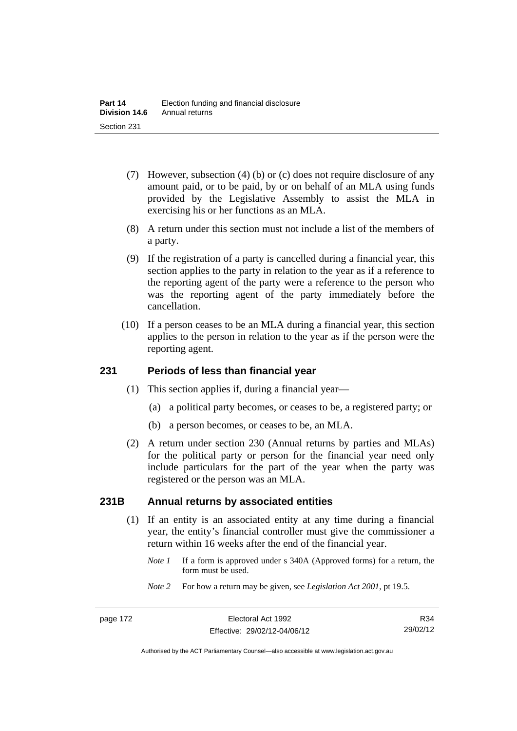- (7) However, subsection (4) (b) or (c) does not require disclosure of any amount paid, or to be paid, by or on behalf of an MLA using funds provided by the Legislative Assembly to assist the MLA in exercising his or her functions as an MLA.
- (8) A return under this section must not include a list of the members of a party.
- (9) If the registration of a party is cancelled during a financial year, this section applies to the party in relation to the year as if a reference to the reporting agent of the party were a reference to the person who was the reporting agent of the party immediately before the cancellation.
- (10) If a person ceases to be an MLA during a financial year, this section applies to the person in relation to the year as if the person were the reporting agent.

## **231 Periods of less than financial year**

- (1) This section applies if, during a financial year—
	- (a) a political party becomes, or ceases to be, a registered party; or
	- (b) a person becomes, or ceases to be, an MLA.
- (2) A return under section 230 (Annual returns by parties and MLAs) for the political party or person for the financial year need only include particulars for the part of the year when the party was registered or the person was an MLA.

## **231B Annual returns by associated entities**

- (1) If an entity is an associated entity at any time during a financial year, the entity's financial controller must give the commissioner a return within 16 weeks after the end of the financial year.
	- *Note 1* If a form is approved under s 340A (Approved forms) for a return, the form must be used.
	- *Note 2* For how a return may be given, see *Legislation Act 2001*, pt 19.5.

Authorised by the ACT Parliamentary Counsel—also accessible at www.legislation.act.gov.au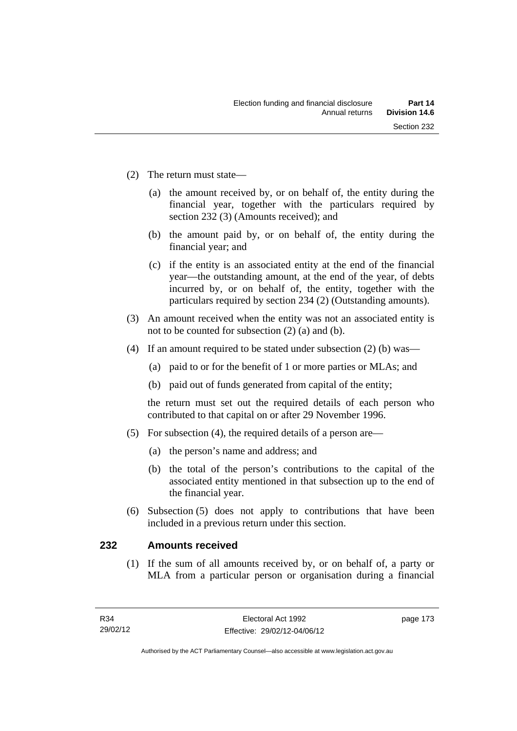- (2) The return must state—
	- (a) the amount received by, or on behalf of, the entity during the financial year, together with the particulars required by section 232 (3) (Amounts received); and
	- (b) the amount paid by, or on behalf of, the entity during the financial year; and
	- (c) if the entity is an associated entity at the end of the financial year—the outstanding amount, at the end of the year, of debts incurred by, or on behalf of, the entity, together with the particulars required by section 234 (2) (Outstanding amounts).
- (3) An amount received when the entity was not an associated entity is not to be counted for subsection (2) (a) and (b).
- (4) If an amount required to be stated under subsection (2) (b) was—
	- (a) paid to or for the benefit of 1 or more parties or MLAs; and
	- (b) paid out of funds generated from capital of the entity;

the return must set out the required details of each person who contributed to that capital on or after 29 November 1996.

- (5) For subsection (4), the required details of a person are—
	- (a) the person's name and address; and
	- (b) the total of the person's contributions to the capital of the associated entity mentioned in that subsection up to the end of the financial year.
- (6) Subsection (5) does not apply to contributions that have been included in a previous return under this section.

## **232 Amounts received**

 (1) If the sum of all amounts received by, or on behalf of, a party or MLA from a particular person or organisation during a financial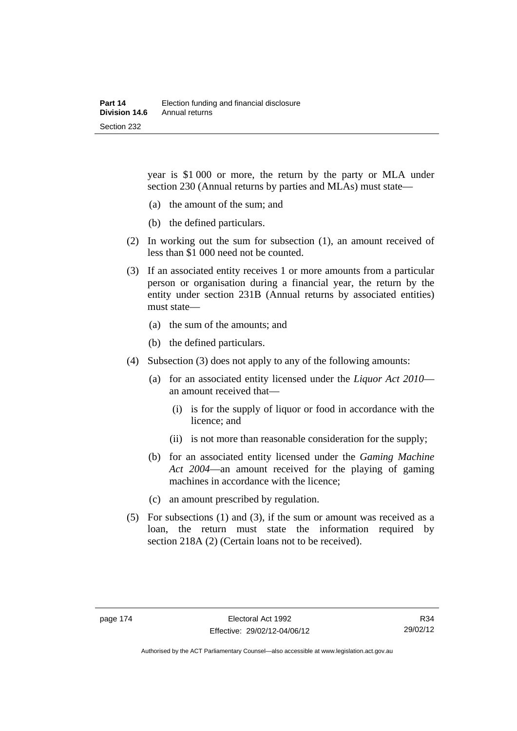year is \$1 000 or more, the return by the party or MLA under section 230 (Annual returns by parties and MLAs) must state—

- (a) the amount of the sum; and
- (b) the defined particulars.
- (2) In working out the sum for subsection (1), an amount received of less than \$1 000 need not be counted.
- (3) If an associated entity receives 1 or more amounts from a particular person or organisation during a financial year, the return by the entity under section 231B (Annual returns by associated entities) must state—
	- (a) the sum of the amounts; and
	- (b) the defined particulars.
- (4) Subsection (3) does not apply to any of the following amounts:
	- (a) for an associated entity licensed under the *Liquor Act 2010* an amount received that—
		- (i) is for the supply of liquor or food in accordance with the licence; and
		- (ii) is not more than reasonable consideration for the supply;
	- (b) for an associated entity licensed under the *Gaming Machine Act 2004*—an amount received for the playing of gaming machines in accordance with the licence;
	- (c) an amount prescribed by regulation.
- (5) For subsections (1) and (3), if the sum or amount was received as a loan, the return must state the information required by section 218A (2) (Certain loans not to be received).

R34 29/02/12

Authorised by the ACT Parliamentary Counsel—also accessible at www.legislation.act.gov.au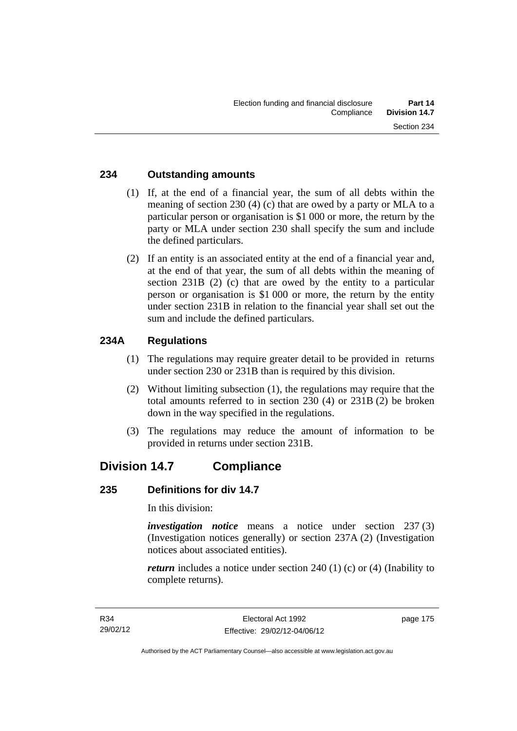## **234 Outstanding amounts**

- (1) If, at the end of a financial year, the sum of all debts within the meaning of section 230 (4) (c) that are owed by a party or MLA to a particular person or organisation is \$1 000 or more, the return by the party or MLA under section 230 shall specify the sum and include the defined particulars.
- (2) If an entity is an associated entity at the end of a financial year and, at the end of that year, the sum of all debts within the meaning of section 231B (2) (c) that are owed by the entity to a particular person or organisation is \$1 000 or more, the return by the entity under section 231B in relation to the financial year shall set out the sum and include the defined particulars.

## **234A Regulations**

- (1) The regulations may require greater detail to be provided in returns under section 230 or 231B than is required by this division.
- (2) Without limiting subsection (1), the regulations may require that the total amounts referred to in section 230 (4) or 231B (2) be broken down in the way specified in the regulations.
- (3) The regulations may reduce the amount of information to be provided in returns under section 231B.

## **Division 14.7 Compliance**

## **235 Definitions for div 14.7**

In this division:

*investigation notice* means a notice under section 237 (3) (Investigation notices generally) or section 237A (2) (Investigation notices about associated entities).

*return* includes a notice under section 240 (1) (c) or (4) (Inability to complete returns).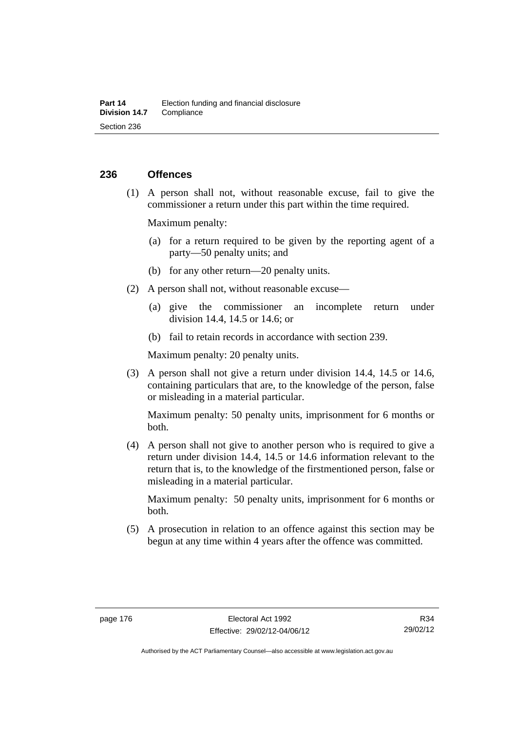## **236 Offences**

 (1) A person shall not, without reasonable excuse, fail to give the commissioner a return under this part within the time required.

Maximum penalty:

- (a) for a return required to be given by the reporting agent of a party—50 penalty units; and
- (b) for any other return—20 penalty units.
- (2) A person shall not, without reasonable excuse—
	- (a) give the commissioner an incomplete return under division 14.4, 14.5 or 14.6; or
	- (b) fail to retain records in accordance with section 239.

Maximum penalty: 20 penalty units.

 (3) A person shall not give a return under division 14.4, 14.5 or 14.6, containing particulars that are, to the knowledge of the person, false or misleading in a material particular.

Maximum penalty: 50 penalty units, imprisonment for 6 months or both.

 (4) A person shall not give to another person who is required to give a return under division 14.4, 14.5 or 14.6 information relevant to the return that is, to the knowledge of the firstmentioned person, false or misleading in a material particular.

Maximum penalty: 50 penalty units, imprisonment for 6 months or both.

 (5) A prosecution in relation to an offence against this section may be begun at any time within 4 years after the offence was committed.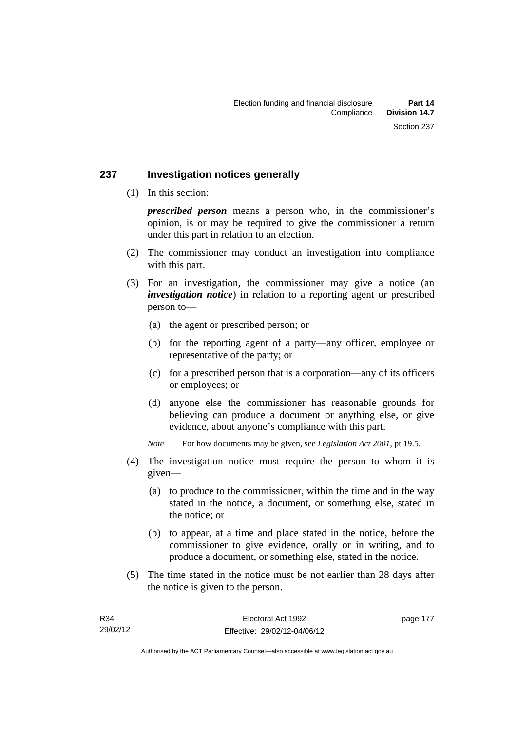## **237 Investigation notices generally**

(1) In this section:

*prescribed person* means a person who, in the commissioner's opinion, is or may be required to give the commissioner a return under this part in relation to an election.

- (2) The commissioner may conduct an investigation into compliance with this part.
- (3) For an investigation, the commissioner may give a notice (an *investigation notice*) in relation to a reporting agent or prescribed person to—
	- (a) the agent or prescribed person; or
	- (b) for the reporting agent of a party—any officer, employee or representative of the party; or
	- (c) for a prescribed person that is a corporation—any of its officers or employees; or
	- (d) anyone else the commissioner has reasonable grounds for believing can produce a document or anything else, or give evidence, about anyone's compliance with this part.
	- *Note* For how documents may be given, see *Legislation Act 2001*, pt 19.5.
- (4) The investigation notice must require the person to whom it is given—
	- (a) to produce to the commissioner, within the time and in the way stated in the notice, a document, or something else, stated in the notice; or
	- (b) to appear, at a time and place stated in the notice, before the commissioner to give evidence, orally or in writing, and to produce a document, or something else, stated in the notice.
- (5) The time stated in the notice must be not earlier than 28 days after the notice is given to the person.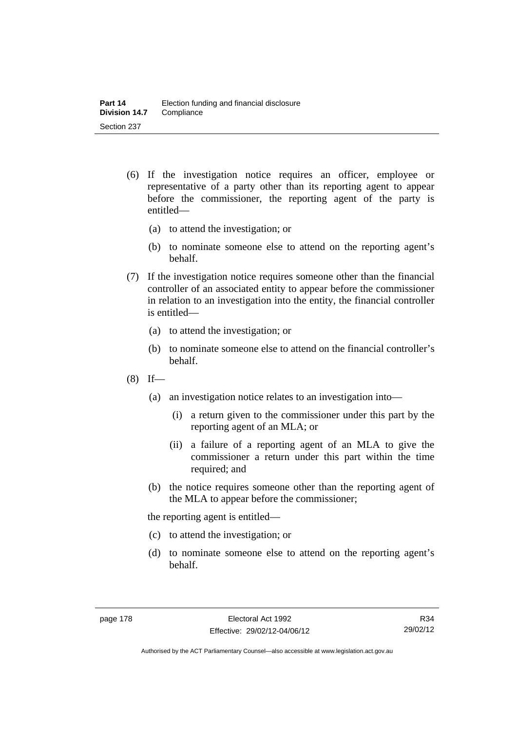- (6) If the investigation notice requires an officer, employee or representative of a party other than its reporting agent to appear before the commissioner, the reporting agent of the party is entitled—
	- (a) to attend the investigation; or
	- (b) to nominate someone else to attend on the reporting agent's behalf.
- (7) If the investigation notice requires someone other than the financial controller of an associated entity to appear before the commissioner in relation to an investigation into the entity, the financial controller is entitled—
	- (a) to attend the investigation; or
	- (b) to nominate someone else to attend on the financial controller's behalf.
- $(8)$  If—
	- (a) an investigation notice relates to an investigation into—
		- (i) a return given to the commissioner under this part by the reporting agent of an MLA; or
		- (ii) a failure of a reporting agent of an MLA to give the commissioner a return under this part within the time required; and
	- (b) the notice requires someone other than the reporting agent of the MLA to appear before the commissioner;

the reporting agent is entitled—

- (c) to attend the investigation; or
- (d) to nominate someone else to attend on the reporting agent's behalf.

R34 29/02/12

Authorised by the ACT Parliamentary Counsel—also accessible at www.legislation.act.gov.au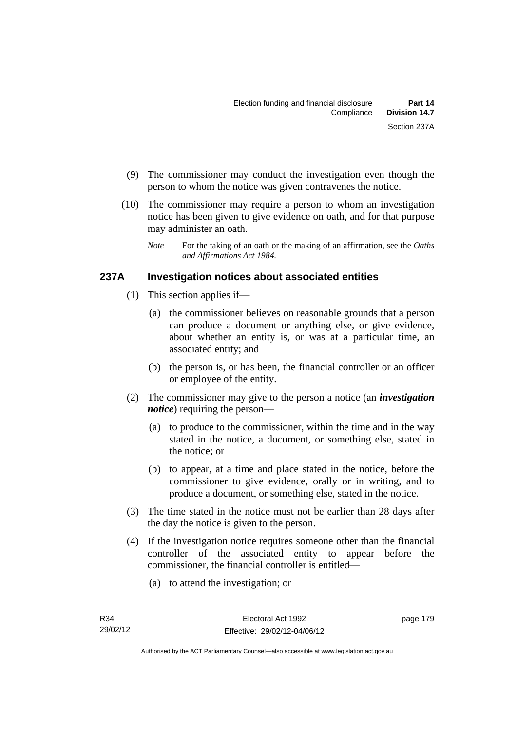- (9) The commissioner may conduct the investigation even though the person to whom the notice was given contravenes the notice.
- (10) The commissioner may require a person to whom an investigation notice has been given to give evidence on oath, and for that purpose may administer an oath.
	- *Note* For the taking of an oath or the making of an affirmation, see the *Oaths and Affirmations Act 1984.*

## **237A Investigation notices about associated entities**

- (1) This section applies if—
	- (a) the commissioner believes on reasonable grounds that a person can produce a document or anything else, or give evidence, about whether an entity is, or was at a particular time, an associated entity; and
	- (b) the person is, or has been, the financial controller or an officer or employee of the entity.
- (2) The commissioner may give to the person a notice (an *investigation notice*) requiring the person—
	- (a) to produce to the commissioner, within the time and in the way stated in the notice, a document, or something else, stated in the notice; or
	- (b) to appear, at a time and place stated in the notice, before the commissioner to give evidence, orally or in writing, and to produce a document, or something else, stated in the notice.
- (3) The time stated in the notice must not be earlier than 28 days after the day the notice is given to the person.
- (4) If the investigation notice requires someone other than the financial controller of the associated entity to appear before the commissioner, the financial controller is entitled—
	- (a) to attend the investigation; or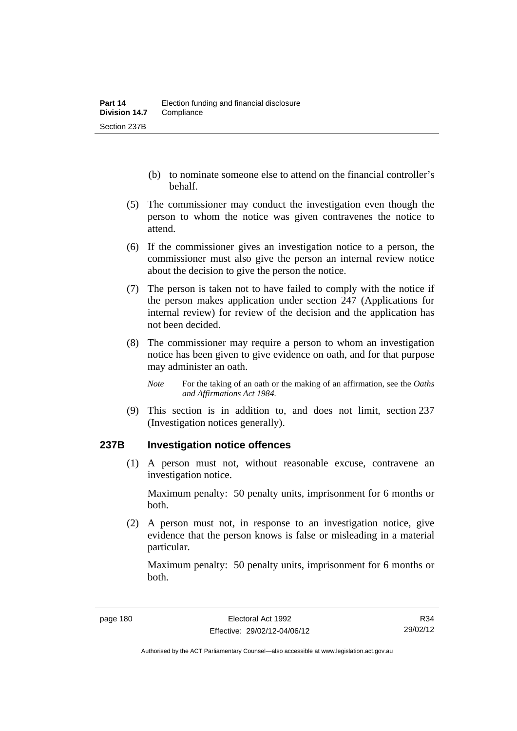- (b) to nominate someone else to attend on the financial controller's behalf.
- (5) The commissioner may conduct the investigation even though the person to whom the notice was given contravenes the notice to attend.
- (6) If the commissioner gives an investigation notice to a person, the commissioner must also give the person an internal review notice about the decision to give the person the notice.
- (7) The person is taken not to have failed to comply with the notice if the person makes application under section 247 (Applications for internal review) for review of the decision and the application has not been decided.
- (8) The commissioner may require a person to whom an investigation notice has been given to give evidence on oath, and for that purpose may administer an oath.
	- *Note* For the taking of an oath or the making of an affirmation, see the *Oaths and Affirmations Act 1984.*
- (9) This section is in addition to, and does not limit, section 237 (Investigation notices generally).

## **237B Investigation notice offences**

 (1) A person must not, without reasonable excuse, contravene an investigation notice.

Maximum penalty: 50 penalty units, imprisonment for 6 months or both.

 (2) A person must not, in response to an investigation notice, give evidence that the person knows is false or misleading in a material particular.

Maximum penalty: 50 penalty units, imprisonment for 6 months or both.

Authorised by the ACT Parliamentary Counsel—also accessible at www.legislation.act.gov.au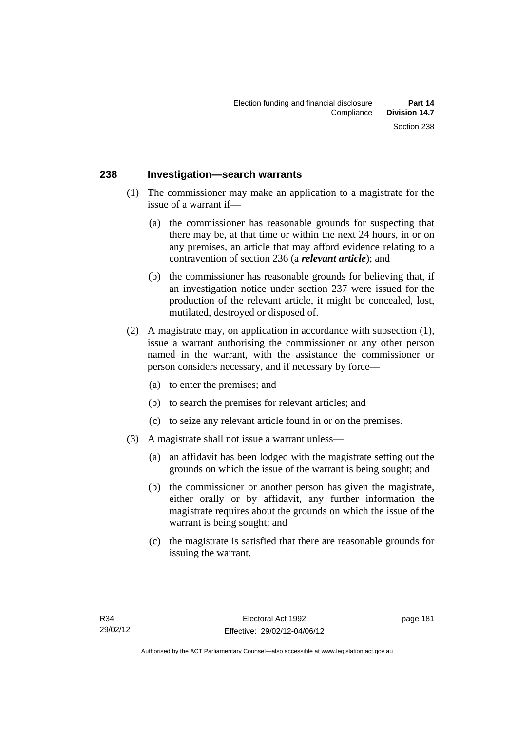## **238 Investigation—search warrants**

- (1) The commissioner may make an application to a magistrate for the issue of a warrant if—
	- (a) the commissioner has reasonable grounds for suspecting that there may be, at that time or within the next 24 hours, in or on any premises, an article that may afford evidence relating to a contravention of section 236 (a *relevant article*); and
	- (b) the commissioner has reasonable grounds for believing that, if an investigation notice under section 237 were issued for the production of the relevant article, it might be concealed, lost, mutilated, destroyed or disposed of.
- (2) A magistrate may, on application in accordance with subsection (1), issue a warrant authorising the commissioner or any other person named in the warrant, with the assistance the commissioner or person considers necessary, and if necessary by force—
	- (a) to enter the premises; and
	- (b) to search the premises for relevant articles; and
	- (c) to seize any relevant article found in or on the premises.
- (3) A magistrate shall not issue a warrant unless—
	- (a) an affidavit has been lodged with the magistrate setting out the grounds on which the issue of the warrant is being sought; and
	- (b) the commissioner or another person has given the magistrate, either orally or by affidavit, any further information the magistrate requires about the grounds on which the issue of the warrant is being sought; and
	- (c) the magistrate is satisfied that there are reasonable grounds for issuing the warrant.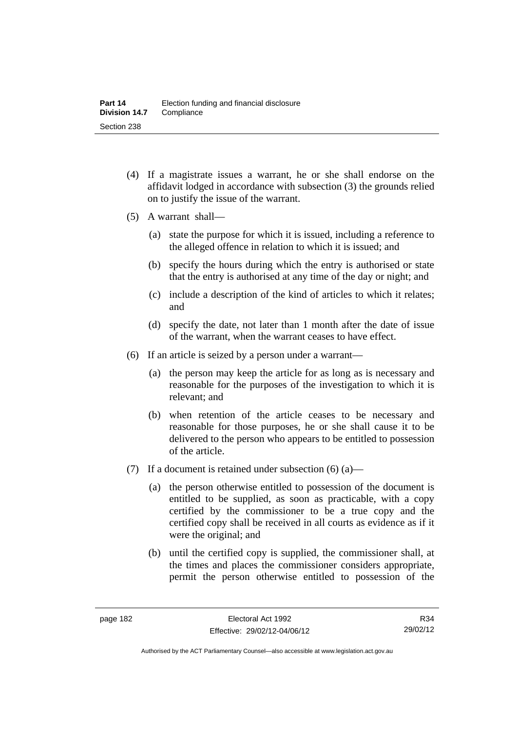- (4) If a magistrate issues a warrant, he or she shall endorse on the affidavit lodged in accordance with subsection (3) the grounds relied on to justify the issue of the warrant.
- (5) A warrant shall—
	- (a) state the purpose for which it is issued, including a reference to the alleged offence in relation to which it is issued; and
	- (b) specify the hours during which the entry is authorised or state that the entry is authorised at any time of the day or night; and
	- (c) include a description of the kind of articles to which it relates; and
	- (d) specify the date, not later than 1 month after the date of issue of the warrant, when the warrant ceases to have effect.
- (6) If an article is seized by a person under a warrant—
	- (a) the person may keep the article for as long as is necessary and reasonable for the purposes of the investigation to which it is relevant; and
	- (b) when retention of the article ceases to be necessary and reasonable for those purposes, he or she shall cause it to be delivered to the person who appears to be entitled to possession of the article.
- (7) If a document is retained under subsection  $(6)$  (a)—
	- (a) the person otherwise entitled to possession of the document is entitled to be supplied, as soon as practicable, with a copy certified by the commissioner to be a true copy and the certified copy shall be received in all courts as evidence as if it were the original; and
	- (b) until the certified copy is supplied, the commissioner shall, at the times and places the commissioner considers appropriate, permit the person otherwise entitled to possession of the

R34 29/02/12

Authorised by the ACT Parliamentary Counsel—also accessible at www.legislation.act.gov.au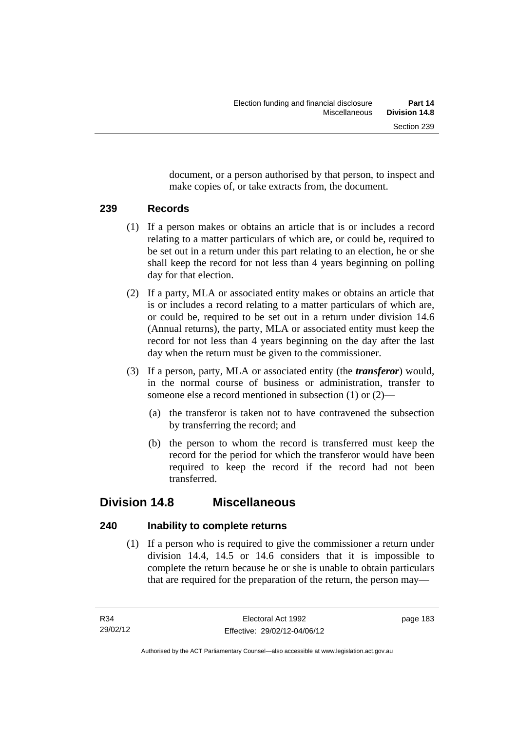document, or a person authorised by that person, to inspect and make copies of, or take extracts from, the document.

## **239 Records**

- (1) If a person makes or obtains an article that is or includes a record relating to a matter particulars of which are, or could be, required to be set out in a return under this part relating to an election, he or she shall keep the record for not less than 4 years beginning on polling day for that election.
- (2) If a party, MLA or associated entity makes or obtains an article that is or includes a record relating to a matter particulars of which are, or could be, required to be set out in a return under division 14.6 (Annual returns), the party, MLA or associated entity must keep the record for not less than 4 years beginning on the day after the last day when the return must be given to the commissioner.
- (3) If a person, party, MLA or associated entity (the *transferor*) would, in the normal course of business or administration, transfer to someone else a record mentioned in subsection (1) or (2)—
	- (a) the transferor is taken not to have contravened the subsection by transferring the record; and
	- (b) the person to whom the record is transferred must keep the record for the period for which the transferor would have been required to keep the record if the record had not been transferred.

## **Division 14.8 Miscellaneous**

## **240 Inability to complete returns**

 (1) If a person who is required to give the commissioner a return under division 14.4, 14.5 or 14.6 considers that it is impossible to complete the return because he or she is unable to obtain particulars that are required for the preparation of the return, the person may—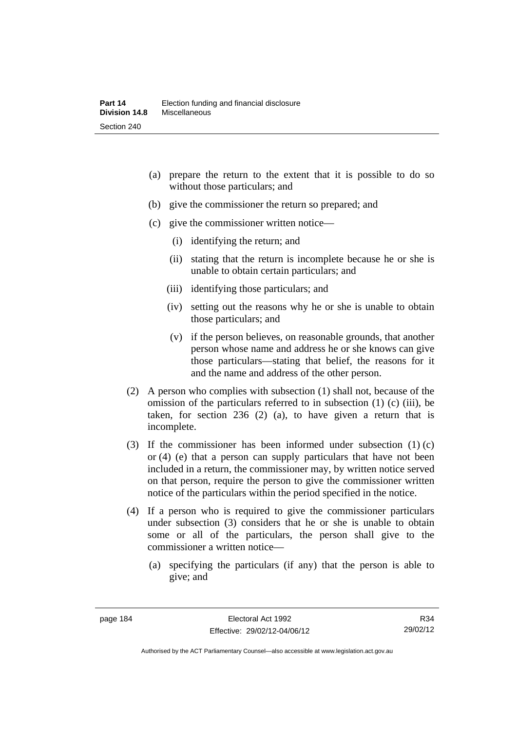- (a) prepare the return to the extent that it is possible to do so without those particulars; and
- (b) give the commissioner the return so prepared; and
- (c) give the commissioner written notice—
	- (i) identifying the return; and
	- (ii) stating that the return is incomplete because he or she is unable to obtain certain particulars; and
	- (iii) identifying those particulars; and
	- (iv) setting out the reasons why he or she is unable to obtain those particulars; and
	- (v) if the person believes, on reasonable grounds, that another person whose name and address he or she knows can give those particulars—stating that belief, the reasons for it and the name and address of the other person.
- (2) A person who complies with subsection (1) shall not, because of the omission of the particulars referred to in subsection (1) (c) (iii), be taken, for section 236 (2) (a), to have given a return that is incomplete.
- (3) If the commissioner has been informed under subsection (1) (c) or (4) (e) that a person can supply particulars that have not been included in a return, the commissioner may, by written notice served on that person, require the person to give the commissioner written notice of the particulars within the period specified in the notice.
- (4) If a person who is required to give the commissioner particulars under subsection (3) considers that he or she is unable to obtain some or all of the particulars, the person shall give to the commissioner a written notice—
	- (a) specifying the particulars (if any) that the person is able to give; and

Authorised by the ACT Parliamentary Counsel—also accessible at www.legislation.act.gov.au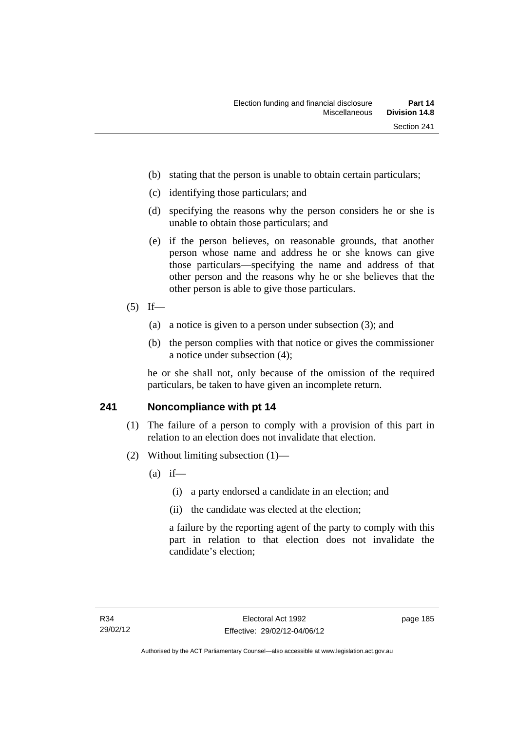- (b) stating that the person is unable to obtain certain particulars;
- (c) identifying those particulars; and
- (d) specifying the reasons why the person considers he or she is unable to obtain those particulars; and
- (e) if the person believes, on reasonable grounds, that another person whose name and address he or she knows can give those particulars—specifying the name and address of that other person and the reasons why he or she believes that the other person is able to give those particulars.
- $(5)$  If—
	- (a) a notice is given to a person under subsection (3); and
	- (b) the person complies with that notice or gives the commissioner a notice under subsection (4);

he or she shall not, only because of the omission of the required particulars, be taken to have given an incomplete return.

## **241 Noncompliance with pt 14**

- (1) The failure of a person to comply with a provision of this part in relation to an election does not invalidate that election.
- (2) Without limiting subsection (1)—
	- $(a)$  if—
		- (i) a party endorsed a candidate in an election; and
		- (ii) the candidate was elected at the election;

a failure by the reporting agent of the party to comply with this part in relation to that election does not invalidate the candidate's election;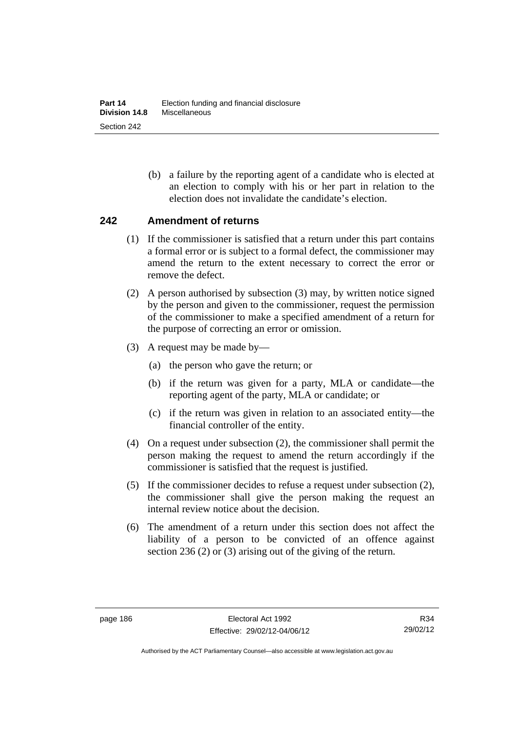(b) a failure by the reporting agent of a candidate who is elected at an election to comply with his or her part in relation to the election does not invalidate the candidate's election.

## **242 Amendment of returns**

- (1) If the commissioner is satisfied that a return under this part contains a formal error or is subject to a formal defect, the commissioner may amend the return to the extent necessary to correct the error or remove the defect.
- (2) A person authorised by subsection (3) may, by written notice signed by the person and given to the commissioner, request the permission of the commissioner to make a specified amendment of a return for the purpose of correcting an error or omission.
- (3) A request may be made by—
	- (a) the person who gave the return; or
	- (b) if the return was given for a party, MLA or candidate—the reporting agent of the party, MLA or candidate; or
	- (c) if the return was given in relation to an associated entity—the financial controller of the entity.
- (4) On a request under subsection (2), the commissioner shall permit the person making the request to amend the return accordingly if the commissioner is satisfied that the request is justified.
- (5) If the commissioner decides to refuse a request under subsection (2), the commissioner shall give the person making the request an internal review notice about the decision.
- (6) The amendment of a return under this section does not affect the liability of a person to be convicted of an offence against section 236 (2) or (3) arising out of the giving of the return.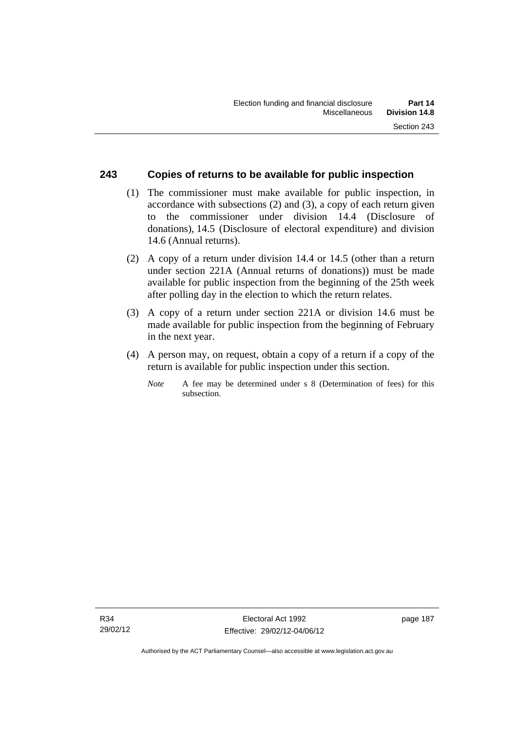## **243 Copies of returns to be available for public inspection**

- (1) The commissioner must make available for public inspection, in accordance with subsections (2) and (3), a copy of each return given to the commissioner under division 14.4 (Disclosure of donations), 14.5 (Disclosure of electoral expenditure) and division 14.6 (Annual returns).
- (2) A copy of a return under division 14.4 or 14.5 (other than a return under section 221A (Annual returns of donations)) must be made available for public inspection from the beginning of the 25th week after polling day in the election to which the return relates.
- (3) A copy of a return under section 221A or division 14.6 must be made available for public inspection from the beginning of February in the next year.
- (4) A person may, on request, obtain a copy of a return if a copy of the return is available for public inspection under this section.
	- *Note* A fee may be determined under s 8 (Determination of fees) for this subsection.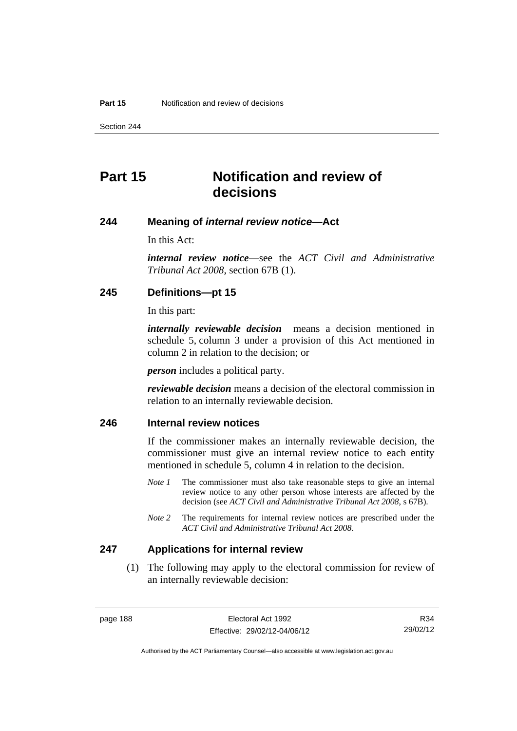Section 244

# **Part 15 Notification and review of decisions**

#### **244 Meaning of** *internal review notice***—Act**

In this Act:

*internal review notice*—see the *ACT Civil and Administrative Tribunal Act 2008*, section 67B (1).

## **245 Definitions—pt 15**

In this part:

*internally reviewable decision* means a decision mentioned in schedule 5, column 3 under a provision of this Act mentioned in column 2 in relation to the decision; or

*person* includes a political party.

*reviewable decision* means a decision of the electoral commission in relation to an internally reviewable decision.

## **246 Internal review notices**

If the commissioner makes an internally reviewable decision, the commissioner must give an internal review notice to each entity mentioned in schedule 5, column 4 in relation to the decision.

- *Note 1* The commissioner must also take reasonable steps to give an internal review notice to any other person whose interests are affected by the decision (see *ACT Civil and Administrative Tribunal Act 2008*, s 67B).
- *Note* 2 The requirements for internal review notices are prescribed under the *ACT Civil and Administrative Tribunal Act 2008*.

#### **247 Applications for internal review**

 (1) The following may apply to the electoral commission for review of an internally reviewable decision:

R34 29/02/12

Authorised by the ACT Parliamentary Counsel—also accessible at www.legislation.act.gov.au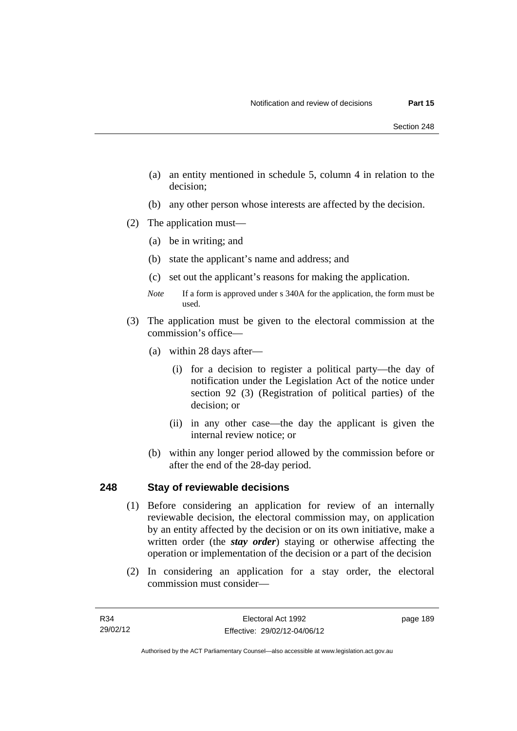- (a) an entity mentioned in schedule 5, column 4 in relation to the decision;
- (b) any other person whose interests are affected by the decision.
- (2) The application must—
	- (a) be in writing; and
	- (b) state the applicant's name and address; and
	- (c) set out the applicant's reasons for making the application.
	- *Note* If a form is approved under s 340A for the application, the form must be used.
- (3) The application must be given to the electoral commission at the commission's office—
	- (a) within 28 days after—
		- (i) for a decision to register a political party—the day of notification under the Legislation Act of the notice under section 92 (3) (Registration of political parties) of the decision; or
		- (ii) in any other case—the day the applicant is given the internal review notice; or
	- (b) within any longer period allowed by the commission before or after the end of the 28-day period.

## **248 Stay of reviewable decisions**

- (1) Before considering an application for review of an internally reviewable decision, the electoral commission may, on application by an entity affected by the decision or on its own initiative, make a written order (the *stay order*) staying or otherwise affecting the operation or implementation of the decision or a part of the decision
- (2) In considering an application for a stay order, the electoral commission must consider—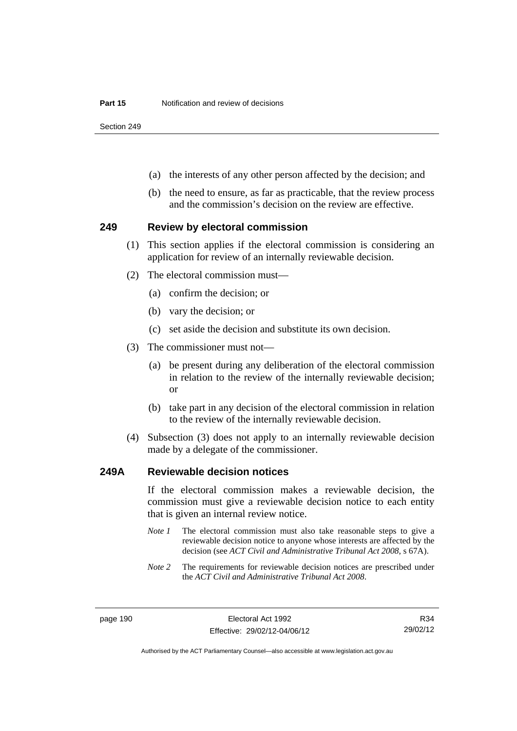Section 249

- (a) the interests of any other person affected by the decision; and
- (b) the need to ensure, as far as practicable, that the review process and the commission's decision on the review are effective.

#### **249 Review by electoral commission**

- (1) This section applies if the electoral commission is considering an application for review of an internally reviewable decision.
- (2) The electoral commission must—
	- (a) confirm the decision; or
	- (b) vary the decision; or
	- (c) set aside the decision and substitute its own decision.
- (3) The commissioner must not—
	- (a) be present during any deliberation of the electoral commission in relation to the review of the internally reviewable decision; or
	- (b) take part in any decision of the electoral commission in relation to the review of the internally reviewable decision.
- (4) Subsection (3) does not apply to an internally reviewable decision made by a delegate of the commissioner.

#### **249A Reviewable decision notices**

If the electoral commission makes a reviewable decision, the commission must give a reviewable decision notice to each entity that is given an internal review notice.

- *Note 1* The electoral commission must also take reasonable steps to give a reviewable decision notice to anyone whose interests are affected by the decision (see *ACT Civil and Administrative Tribunal Act 2008*, s 67A).
- *Note 2* The requirements for reviewable decision notices are prescribed under the *ACT Civil and Administrative Tribunal Act 2008*.

R34 29/02/12

Authorised by the ACT Parliamentary Counsel—also accessible at www.legislation.act.gov.au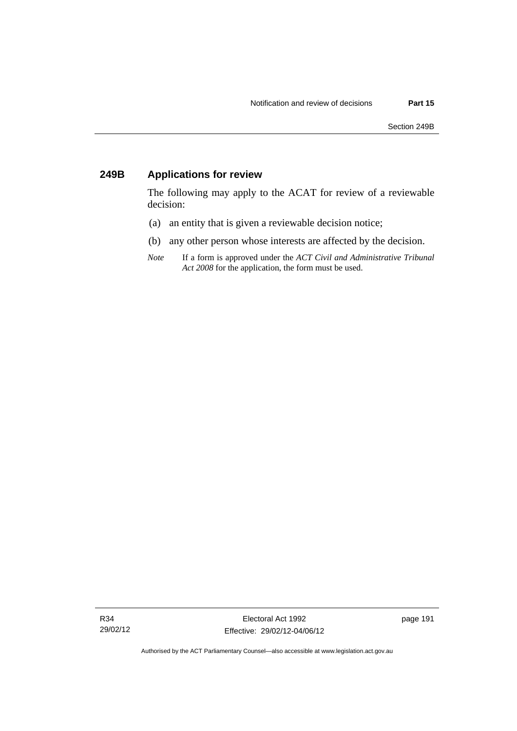## **249B Applications for review**

The following may apply to the ACAT for review of a reviewable decision:

- (a) an entity that is given a reviewable decision notice;
- (b) any other person whose interests are affected by the decision.
- *Note* If a form is approved under the *ACT Civil and Administrative Tribunal Act 2008* for the application, the form must be used.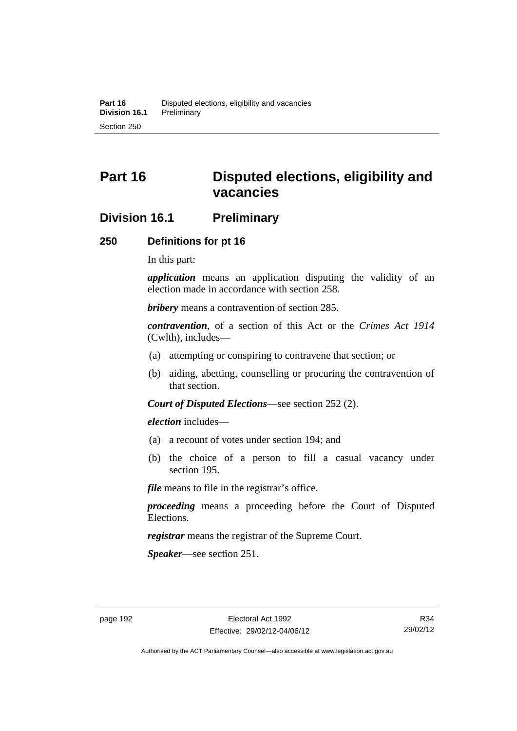# **Part 16 Disputed elections, eligibility and vacancies**

## **Division 16.1 Preliminary**

#### **250 Definitions for pt 16**

In this part:

*application* means an application disputing the validity of an election made in accordance with section 258.

*bribery* means a contravention of section 285.

*contravention*, of a section of this Act or the *Crimes Act 1914* (Cwlth), includes—

- (a) attempting or conspiring to contravene that section; or
- (b) aiding, abetting, counselling or procuring the contravention of that section.

*Court of Disputed Elections*—see section 252 (2).

*election* includes—

- (a) a recount of votes under section 194; and
- (b) the choice of a person to fill a casual vacancy under section 195.

*file* means to file in the registrar's office.

*proceeding* means a proceeding before the Court of Disputed Elections.

*registrar* means the registrar of the Supreme Court.

*Speaker*—see section 251.

Authorised by the ACT Parliamentary Counsel—also accessible at www.legislation.act.gov.au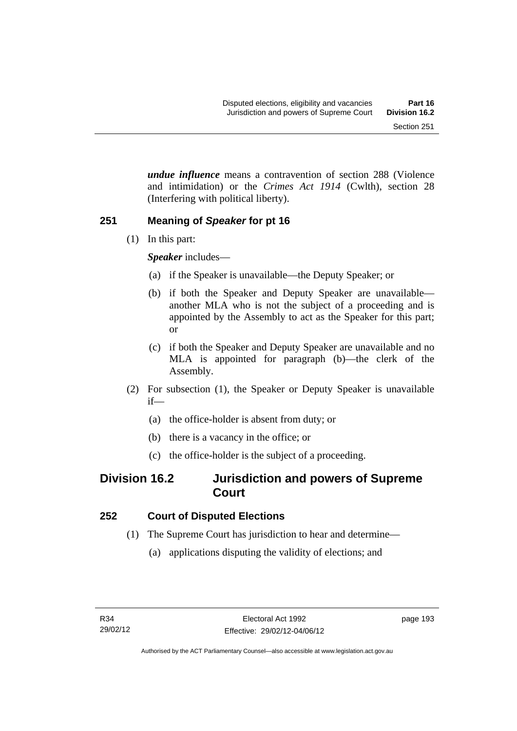*undue influence* means a contravention of section 288 (Violence and intimidation) or the *Crimes Act 1914* (Cwlth), section 28 (Interfering with political liberty).

## **251 Meaning of** *Speaker* **for pt 16**

(1) In this part:

*Speaker* includes—

- (a) if the Speaker is unavailable—the Deputy Speaker; or
- (b) if both the Speaker and Deputy Speaker are unavailable another MLA who is not the subject of a proceeding and is appointed by the Assembly to act as the Speaker for this part; or
- (c) if both the Speaker and Deputy Speaker are unavailable and no MLA is appointed for paragraph (b)—the clerk of the Assembly.
- (2) For subsection (1), the Speaker or Deputy Speaker is unavailable if—
	- (a) the office-holder is absent from duty; or
	- (b) there is a vacancy in the office; or
	- (c) the office-holder is the subject of a proceeding.

# **Division 16.2 Jurisdiction and powers of Supreme Court**

## **252 Court of Disputed Elections**

- (1) The Supreme Court has jurisdiction to hear and determine—
	- (a) applications disputing the validity of elections; and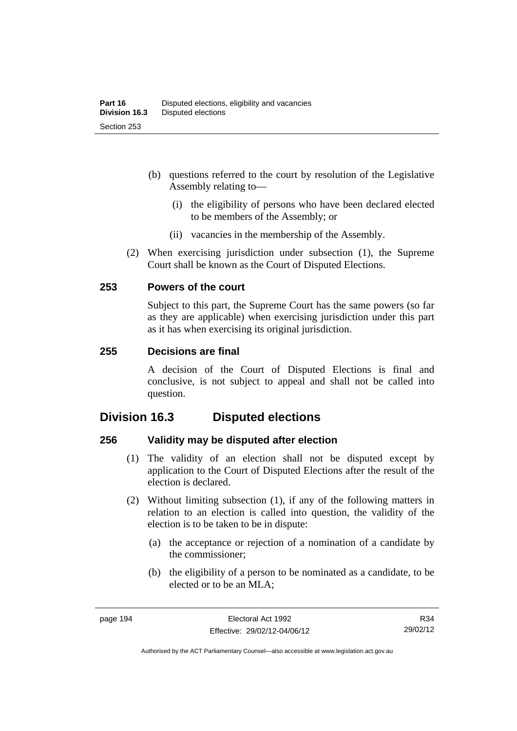- (b) questions referred to the court by resolution of the Legislative Assembly relating to—
	- (i) the eligibility of persons who have been declared elected to be members of the Assembly; or
	- (ii) vacancies in the membership of the Assembly.
- (2) When exercising jurisdiction under subsection (1), the Supreme Court shall be known as the Court of Disputed Elections.

## **253 Powers of the court**

Subject to this part, the Supreme Court has the same powers (so far as they are applicable) when exercising jurisdiction under this part as it has when exercising its original jurisdiction.

#### **255 Decisions are final**

A decision of the Court of Disputed Elections is final and conclusive, is not subject to appeal and shall not be called into question.

## **Division 16.3 Disputed elections**

## **256 Validity may be disputed after election**

- (1) The validity of an election shall not be disputed except by application to the Court of Disputed Elections after the result of the election is declared.
- (2) Without limiting subsection (1), if any of the following matters in relation to an election is called into question, the validity of the election is to be taken to be in dispute:
	- (a) the acceptance or rejection of a nomination of a candidate by the commissioner;
	- (b) the eligibility of a person to be nominated as a candidate, to be elected or to be an MLA;

R34 29/02/12

Authorised by the ACT Parliamentary Counsel—also accessible at www.legislation.act.gov.au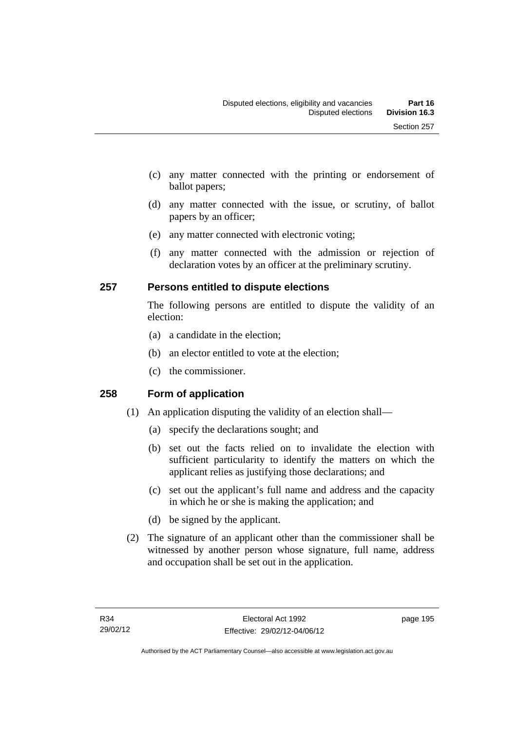- (c) any matter connected with the printing or endorsement of ballot papers;
- (d) any matter connected with the issue, or scrutiny, of ballot papers by an officer;
- (e) any matter connected with electronic voting;
- (f) any matter connected with the admission or rejection of declaration votes by an officer at the preliminary scrutiny.

## **257 Persons entitled to dispute elections**

The following persons are entitled to dispute the validity of an election:

- (a) a candidate in the election;
- (b) an elector entitled to vote at the election;
- (c) the commissioner.

## **258 Form of application**

- (1) An application disputing the validity of an election shall—
	- (a) specify the declarations sought; and
	- (b) set out the facts relied on to invalidate the election with sufficient particularity to identify the matters on which the applicant relies as justifying those declarations; and
	- (c) set out the applicant's full name and address and the capacity in which he or she is making the application; and
	- (d) be signed by the applicant.
- (2) The signature of an applicant other than the commissioner shall be witnessed by another person whose signature, full name, address and occupation shall be set out in the application.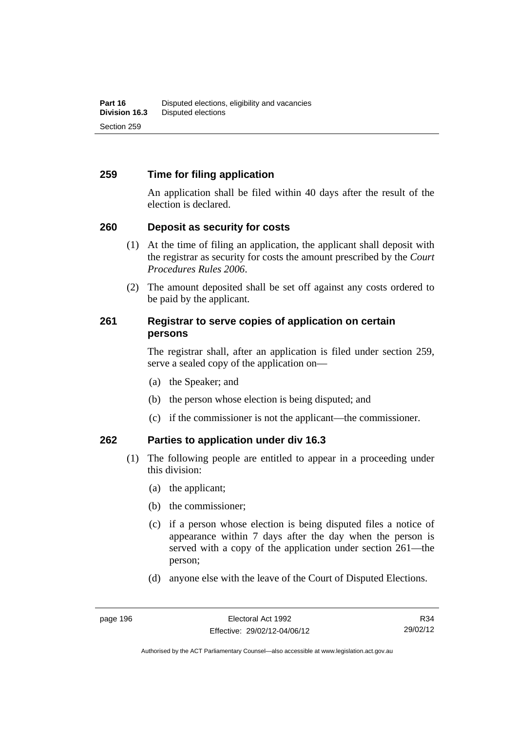## **259 Time for filing application**

An application shall be filed within 40 days after the result of the election is declared.

## **260 Deposit as security for costs**

- (1) At the time of filing an application, the applicant shall deposit with the registrar as security for costs the amount prescribed by the *Court Procedures Rules 2006*.
- (2) The amount deposited shall be set off against any costs ordered to be paid by the applicant.

## **261 Registrar to serve copies of application on certain persons**

The registrar shall, after an application is filed under section 259, serve a sealed copy of the application on—

- (a) the Speaker; and
- (b) the person whose election is being disputed; and
- (c) if the commissioner is not the applicant—the commissioner.

## **262 Parties to application under div 16.3**

- (1) The following people are entitled to appear in a proceeding under this division:
	- (a) the applicant;
	- (b) the commissioner;
	- (c) if a person whose election is being disputed files a notice of appearance within 7 days after the day when the person is served with a copy of the application under section 261—the person;
	- (d) anyone else with the leave of the Court of Disputed Elections.

R34 29/02/12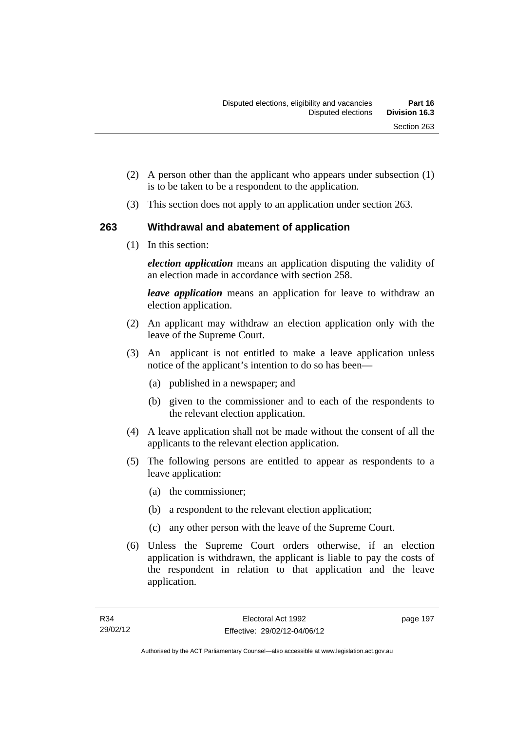- (2) A person other than the applicant who appears under subsection (1) is to be taken to be a respondent to the application.
- (3) This section does not apply to an application under section 263.

## **263 Withdrawal and abatement of application**

(1) In this section:

*election application* means an application disputing the validity of an election made in accordance with section 258.

*leave application* means an application for leave to withdraw an election application.

- (2) An applicant may withdraw an election application only with the leave of the Supreme Court.
- (3) An applicant is not entitled to make a leave application unless notice of the applicant's intention to do so has been—
	- (a) published in a newspaper; and
	- (b) given to the commissioner and to each of the respondents to the relevant election application.
- (4) A leave application shall not be made without the consent of all the applicants to the relevant election application.
- (5) The following persons are entitled to appear as respondents to a leave application:
	- (a) the commissioner;
	- (b) a respondent to the relevant election application;
	- (c) any other person with the leave of the Supreme Court.
- (6) Unless the Supreme Court orders otherwise, if an election application is withdrawn, the applicant is liable to pay the costs of the respondent in relation to that application and the leave application.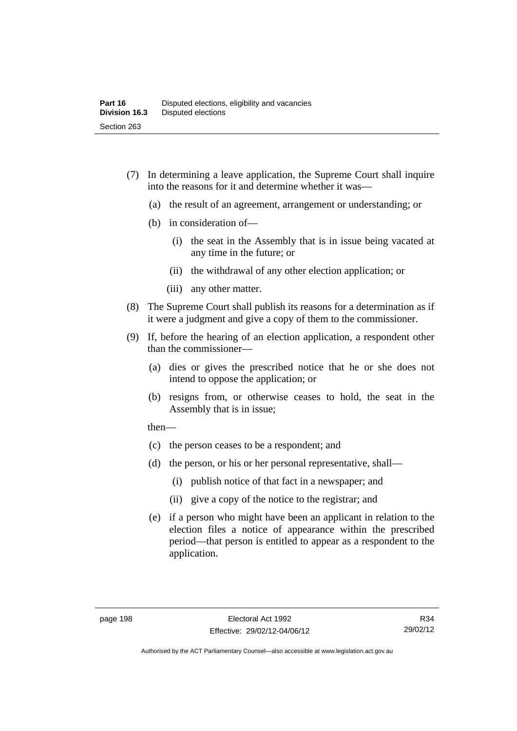- (7) In determining a leave application, the Supreme Court shall inquire into the reasons for it and determine whether it was—
	- (a) the result of an agreement, arrangement or understanding; or
	- (b) in consideration of—
		- (i) the seat in the Assembly that is in issue being vacated at any time in the future; or
		- (ii) the withdrawal of any other election application; or
		- (iii) any other matter.
- (8) The Supreme Court shall publish its reasons for a determination as if it were a judgment and give a copy of them to the commissioner.
- (9) If, before the hearing of an election application, a respondent other than the commissioner—
	- (a) dies or gives the prescribed notice that he or she does not intend to oppose the application; or
	- (b) resigns from, or otherwise ceases to hold, the seat in the Assembly that is in issue;

then—

- (c) the person ceases to be a respondent; and
- (d) the person, or his or her personal representative, shall—
	- (i) publish notice of that fact in a newspaper; and
	- (ii) give a copy of the notice to the registrar; and
- (e) if a person who might have been an applicant in relation to the election files a notice of appearance within the prescribed period—that person is entitled to appear as a respondent to the application.

R34 29/02/12

Authorised by the ACT Parliamentary Counsel—also accessible at www.legislation.act.gov.au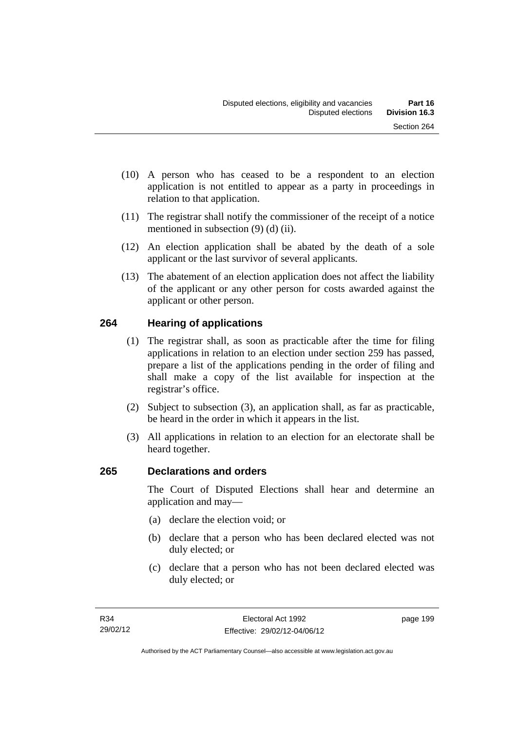- (10) A person who has ceased to be a respondent to an election application is not entitled to appear as a party in proceedings in relation to that application.
- (11) The registrar shall notify the commissioner of the receipt of a notice mentioned in subsection (9) (d) (ii).
- (12) An election application shall be abated by the death of a sole applicant or the last survivor of several applicants.
- (13) The abatement of an election application does not affect the liability of the applicant or any other person for costs awarded against the applicant or other person.

## **264 Hearing of applications**

- (1) The registrar shall, as soon as practicable after the time for filing applications in relation to an election under section 259 has passed, prepare a list of the applications pending in the order of filing and shall make a copy of the list available for inspection at the registrar's office.
- (2) Subject to subsection (3), an application shall, as far as practicable, be heard in the order in which it appears in the list.
- (3) All applications in relation to an election for an electorate shall be heard together.

## **265 Declarations and orders**

The Court of Disputed Elections shall hear and determine an application and may—

- (a) declare the election void; or
- (b) declare that a person who has been declared elected was not duly elected; or
- (c) declare that a person who has not been declared elected was duly elected; or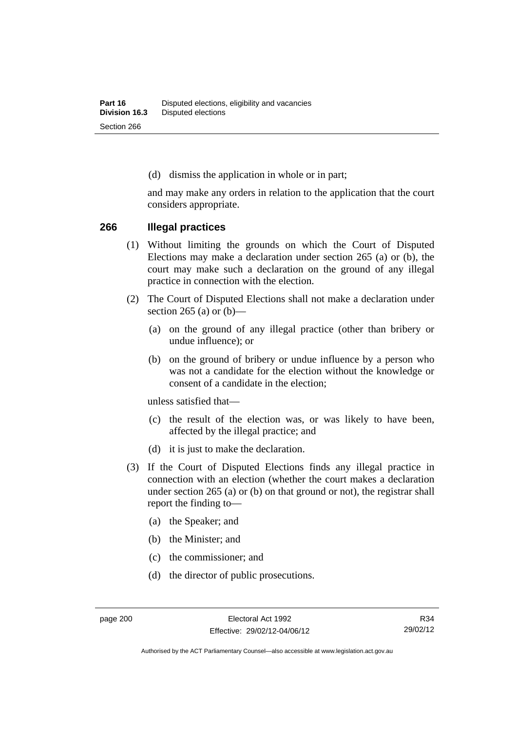(d) dismiss the application in whole or in part;

and may make any orders in relation to the application that the court considers appropriate.

#### **266 Illegal practices**

- (1) Without limiting the grounds on which the Court of Disputed Elections may make a declaration under section 265 (a) or (b), the court may make such a declaration on the ground of any illegal practice in connection with the election.
- (2) The Court of Disputed Elections shall not make a declaration under section 265 (a) or  $(b)$ —
	- (a) on the ground of any illegal practice (other than bribery or undue influence); or
	- (b) on the ground of bribery or undue influence by a person who was not a candidate for the election without the knowledge or consent of a candidate in the election;

unless satisfied that—

- (c) the result of the election was, or was likely to have been, affected by the illegal practice; and
- (d) it is just to make the declaration.
- (3) If the Court of Disputed Elections finds any illegal practice in connection with an election (whether the court makes a declaration under section 265 (a) or (b) on that ground or not), the registrar shall report the finding to—
	- (a) the Speaker; and
	- (b) the Minister; and
	- (c) the commissioner; and
	- (d) the director of public prosecutions.

Authorised by the ACT Parliamentary Counsel—also accessible at www.legislation.act.gov.au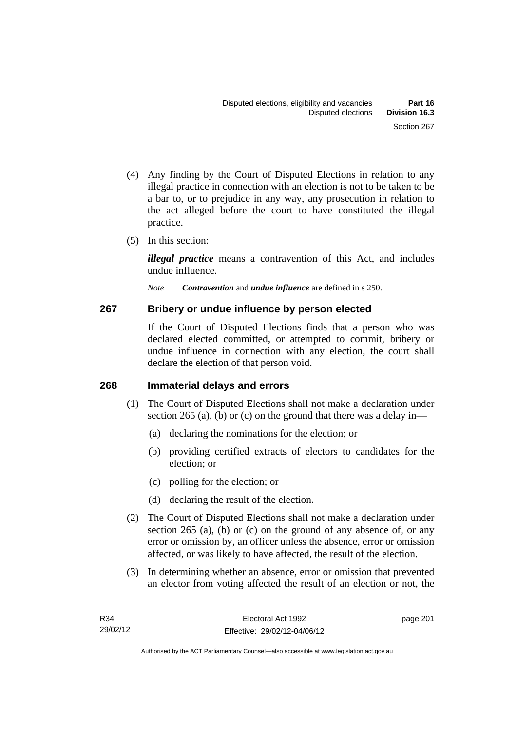- (4) Any finding by the Court of Disputed Elections in relation to any illegal practice in connection with an election is not to be taken to be a bar to, or to prejudice in any way, any prosecution in relation to the act alleged before the court to have constituted the illegal practice.
- (5) In this section:

*illegal practice* means a contravention of this Act, and includes undue influence.

*Note Contravention* and *undue influence* are defined in s 250.

## **267 Bribery or undue influence by person elected**

If the Court of Disputed Elections finds that a person who was declared elected committed, or attempted to commit, bribery or undue influence in connection with any election, the court shall declare the election of that person void.

## **268 Immaterial delays and errors**

- (1) The Court of Disputed Elections shall not make a declaration under section 265 (a), (b) or (c) on the ground that there was a delay in—
	- (a) declaring the nominations for the election; or
	- (b) providing certified extracts of electors to candidates for the election; or
	- (c) polling for the election; or
	- (d) declaring the result of the election.
- (2) The Court of Disputed Elections shall not make a declaration under section 265 (a), (b) or (c) on the ground of any absence of, or any error or omission by, an officer unless the absence, error or omission affected, or was likely to have affected, the result of the election.
- (3) In determining whether an absence, error or omission that prevented an elector from voting affected the result of an election or not, the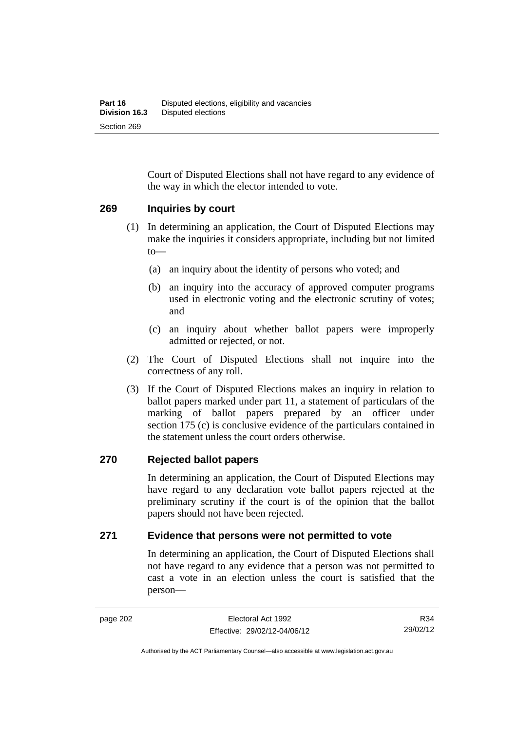Court of Disputed Elections shall not have regard to any evidence of the way in which the elector intended to vote.

#### **269 Inquiries by court**

- (1) In determining an application, the Court of Disputed Elections may make the inquiries it considers appropriate, including but not limited to—
	- (a) an inquiry about the identity of persons who voted; and
	- (b) an inquiry into the accuracy of approved computer programs used in electronic voting and the electronic scrutiny of votes; and
	- (c) an inquiry about whether ballot papers were improperly admitted or rejected, or not.
- (2) The Court of Disputed Elections shall not inquire into the correctness of any roll.
- (3) If the Court of Disputed Elections makes an inquiry in relation to ballot papers marked under part 11, a statement of particulars of the marking of ballot papers prepared by an officer under section 175 (c) is conclusive evidence of the particulars contained in the statement unless the court orders otherwise.

#### **270 Rejected ballot papers**

In determining an application, the Court of Disputed Elections may have regard to any declaration vote ballot papers rejected at the preliminary scrutiny if the court is of the opinion that the ballot papers should not have been rejected.

#### **271 Evidence that persons were not permitted to vote**

In determining an application, the Court of Disputed Elections shall not have regard to any evidence that a person was not permitted to cast a vote in an election unless the court is satisfied that the person—

R34 29/02/12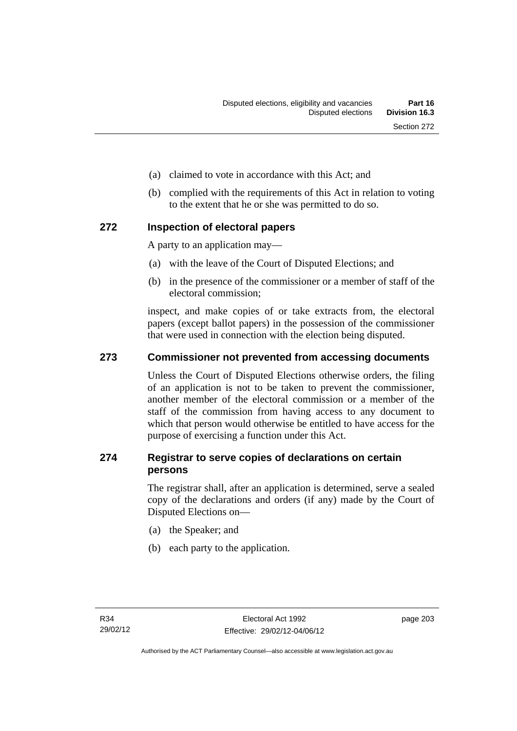- (a) claimed to vote in accordance with this Act; and
- (b) complied with the requirements of this Act in relation to voting to the extent that he or she was permitted to do so.

#### **272 Inspection of electoral papers**

A party to an application may—

- (a) with the leave of the Court of Disputed Elections; and
- (b) in the presence of the commissioner or a member of staff of the electoral commission;

inspect, and make copies of or take extracts from, the electoral papers (except ballot papers) in the possession of the commissioner that were used in connection with the election being disputed.

### **273 Commissioner not prevented from accessing documents**

Unless the Court of Disputed Elections otherwise orders, the filing of an application is not to be taken to prevent the commissioner, another member of the electoral commission or a member of the staff of the commission from having access to any document to which that person would otherwise be entitled to have access for the purpose of exercising a function under this Act.

### **274 Registrar to serve copies of declarations on certain persons**

The registrar shall, after an application is determined, serve a sealed copy of the declarations and orders (if any) made by the Court of Disputed Elections on—

- (a) the Speaker; and
- (b) each party to the application.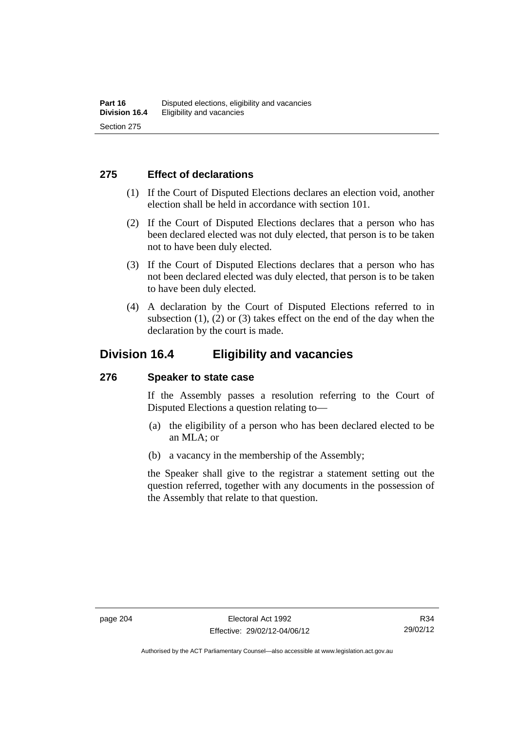### **275 Effect of declarations**

- (1) If the Court of Disputed Elections declares an election void, another election shall be held in accordance with section 101.
- (2) If the Court of Disputed Elections declares that a person who has been declared elected was not duly elected, that person is to be taken not to have been duly elected.
- (3) If the Court of Disputed Elections declares that a person who has not been declared elected was duly elected, that person is to be taken to have been duly elected.
- (4) A declaration by the Court of Disputed Elections referred to in subsection  $(1)$ ,  $(2)$  or  $(3)$  takes effect on the end of the day when the declaration by the court is made.

## **Division 16.4 Eligibility and vacancies**

#### **276 Speaker to state case**

If the Assembly passes a resolution referring to the Court of Disputed Elections a question relating to—

- (a) the eligibility of a person who has been declared elected to be an MLA; or
- (b) a vacancy in the membership of the Assembly;

the Speaker shall give to the registrar a statement setting out the question referred, together with any documents in the possession of the Assembly that relate to that question.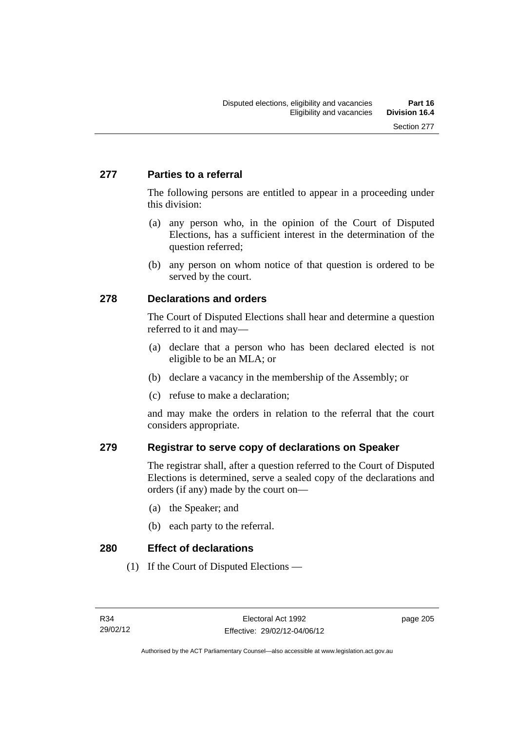## **277 Parties to a referral**

The following persons are entitled to appear in a proceeding under this division:

- (a) any person who, in the opinion of the Court of Disputed Elections, has a sufficient interest in the determination of the question referred;
- (b) any person on whom notice of that question is ordered to be served by the court.

## **278 Declarations and orders**

The Court of Disputed Elections shall hear and determine a question referred to it and may—

- (a) declare that a person who has been declared elected is not eligible to be an MLA; or
- (b) declare a vacancy in the membership of the Assembly; or
- (c) refuse to make a declaration;

and may make the orders in relation to the referral that the court considers appropriate.

## **279 Registrar to serve copy of declarations on Speaker**

The registrar shall, after a question referred to the Court of Disputed Elections is determined, serve a sealed copy of the declarations and orders (if any) made by the court on—

- (a) the Speaker; and
- (b) each party to the referral.

#### **280 Effect of declarations**

(1) If the Court of Disputed Elections —

page 205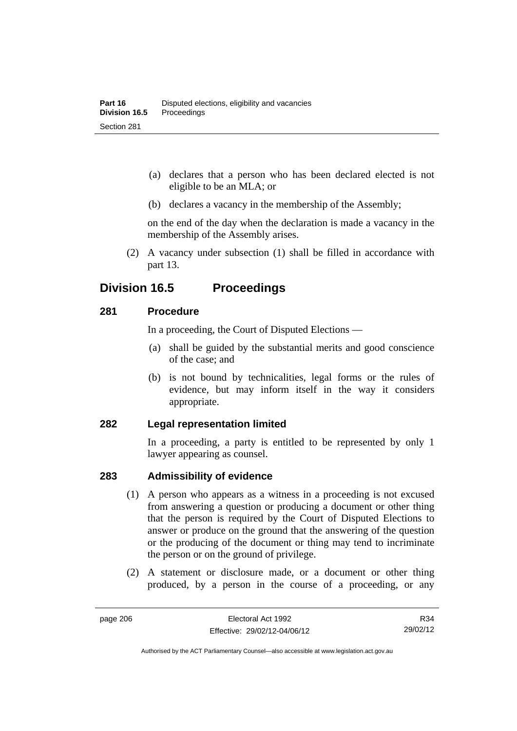- (a) declares that a person who has been declared elected is not eligible to be an MLA; or
- (b) declares a vacancy in the membership of the Assembly;

on the end of the day when the declaration is made a vacancy in the membership of the Assembly arises.

 (2) A vacancy under subsection (1) shall be filled in accordance with part 13.

## **Division 16.5 Proceedings**

### **281 Procedure**

In a proceeding, the Court of Disputed Elections —

- (a) shall be guided by the substantial merits and good conscience of the case; and
- (b) is not bound by technicalities, legal forms or the rules of evidence, but may inform itself in the way it considers appropriate.

#### **282 Legal representation limited**

In a proceeding, a party is entitled to be represented by only 1 lawyer appearing as counsel.

## **283 Admissibility of evidence**

- (1) A person who appears as a witness in a proceeding is not excused from answering a question or producing a document or other thing that the person is required by the Court of Disputed Elections to answer or produce on the ground that the answering of the question or the producing of the document or thing may tend to incriminate the person or on the ground of privilege.
- (2) A statement or disclosure made, or a document or other thing produced, by a person in the course of a proceeding, or any

R34 29/02/12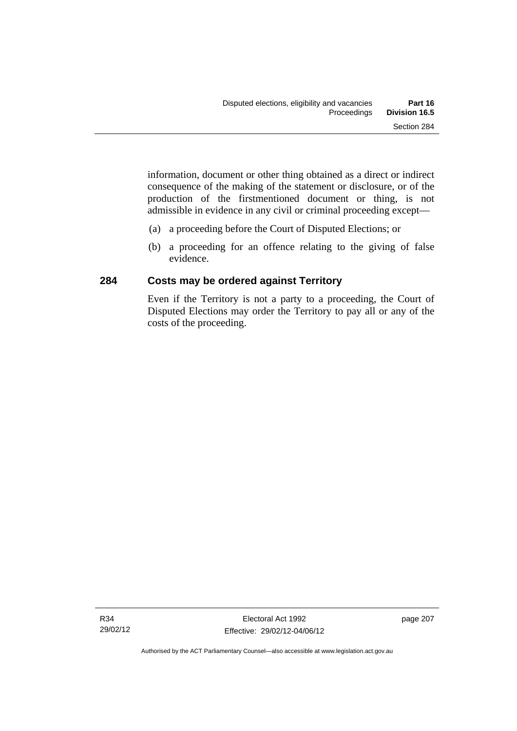information, document or other thing obtained as a direct or indirect consequence of the making of the statement or disclosure, or of the production of the firstmentioned document or thing, is not admissible in evidence in any civil or criminal proceeding except—

- (a) a proceeding before the Court of Disputed Elections; or
- (b) a proceeding for an offence relating to the giving of false evidence.

## **284 Costs may be ordered against Territory**

Even if the Territory is not a party to a proceeding, the Court of Disputed Elections may order the Territory to pay all or any of the costs of the proceeding.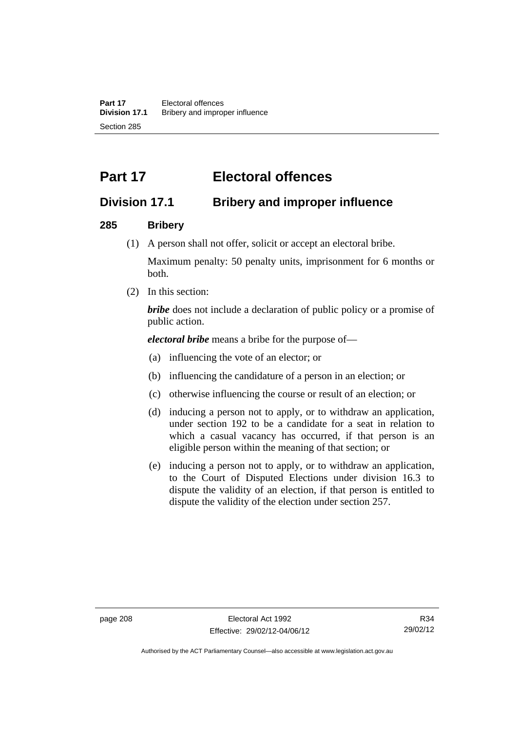# **Part 17 Electoral offences**

## **Division 17.1 Bribery and improper influence**

### **285 Bribery**

(1) A person shall not offer, solicit or accept an electoral bribe.

Maximum penalty: 50 penalty units, imprisonment for 6 months or both.

(2) In this section:

*bribe* does not include a declaration of public policy or a promise of public action.

*electoral bribe* means a bribe for the purpose of—

- (a) influencing the vote of an elector; or
- (b) influencing the candidature of a person in an election; or
- (c) otherwise influencing the course or result of an election; or
- (d) inducing a person not to apply, or to withdraw an application, under section 192 to be a candidate for a seat in relation to which a casual vacancy has occurred, if that person is an eligible person within the meaning of that section; or
- (e) inducing a person not to apply, or to withdraw an application, to the Court of Disputed Elections under division 16.3 to dispute the validity of an election, if that person is entitled to dispute the validity of the election under section 257.

Authorised by the ACT Parliamentary Counsel—also accessible at www.legislation.act.gov.au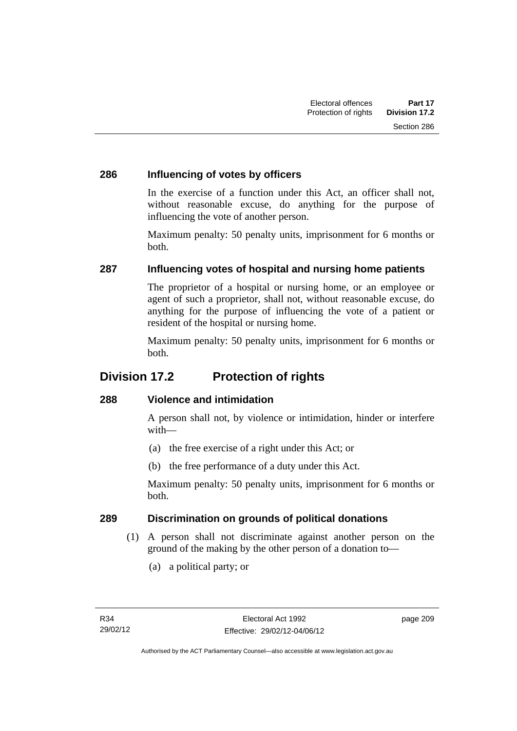### **286 Influencing of votes by officers**

In the exercise of a function under this Act, an officer shall not, without reasonable excuse, do anything for the purpose of influencing the vote of another person.

Maximum penalty: 50 penalty units, imprisonment for 6 months or both.

## **287 Influencing votes of hospital and nursing home patients**

The proprietor of a hospital or nursing home, or an employee or agent of such a proprietor, shall not, without reasonable excuse, do anything for the purpose of influencing the vote of a patient or resident of the hospital or nursing home.

Maximum penalty: 50 penalty units, imprisonment for 6 months or both.

## **Division 17.2 Protection of rights**

## **288 Violence and intimidation**

A person shall not, by violence or intimidation, hinder or interfere with—

- (a) the free exercise of a right under this Act; or
- (b) the free performance of a duty under this Act.

Maximum penalty: 50 penalty units, imprisonment for 6 months or both.

## **289 Discrimination on grounds of political donations**

- (1) A person shall not discriminate against another person on the ground of the making by the other person of a donation to—
	- (a) a political party; or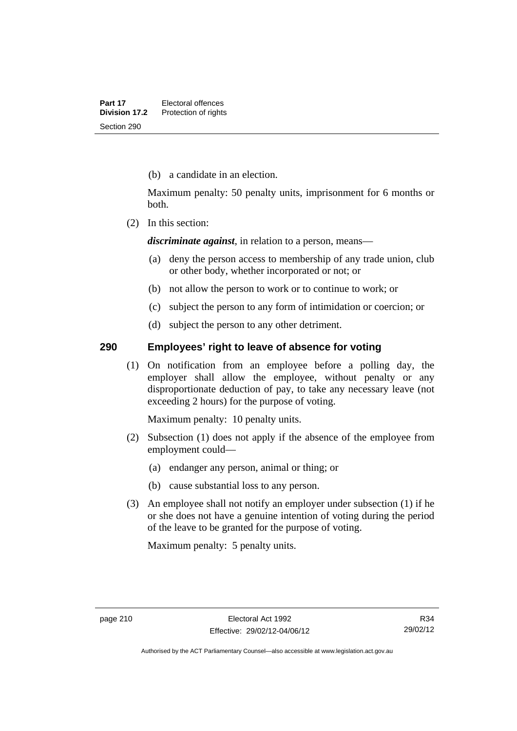(b) a candidate in an election.

Maximum penalty: 50 penalty units, imprisonment for 6 months or both.

(2) In this section:

*discriminate against*, in relation to a person, means—

- (a) deny the person access to membership of any trade union, club or other body, whether incorporated or not; or
- (b) not allow the person to work or to continue to work; or
- (c) subject the person to any form of intimidation or coercion; or
- (d) subject the person to any other detriment.

#### **290 Employees' right to leave of absence for voting**

 (1) On notification from an employee before a polling day, the employer shall allow the employee, without penalty or any disproportionate deduction of pay, to take any necessary leave (not exceeding 2 hours) for the purpose of voting.

Maximum penalty: 10 penalty units.

- (2) Subsection (1) does not apply if the absence of the employee from employment could—
	- (a) endanger any person, animal or thing; or
	- (b) cause substantial loss to any person.
- (3) An employee shall not notify an employer under subsection (1) if he or she does not have a genuine intention of voting during the period of the leave to be granted for the purpose of voting.

Maximum penalty: 5 penalty units.

Authorised by the ACT Parliamentary Counsel—also accessible at www.legislation.act.gov.au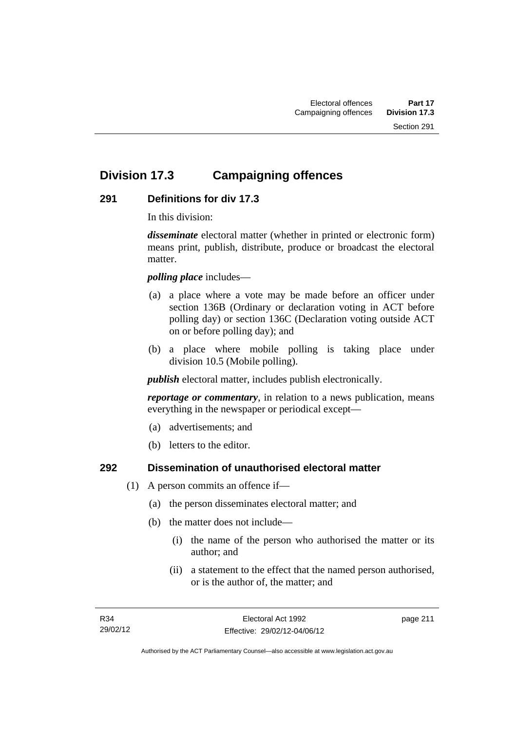## **Division 17.3 Campaigning offences**

## **291 Definitions for div 17.3**

In this division:

*disseminate* electoral matter (whether in printed or electronic form) means print, publish, distribute, produce or broadcast the electoral matter.

*polling place* includes—

- (a) a place where a vote may be made before an officer under section 136B (Ordinary or declaration voting in ACT before polling day) or section 136C (Declaration voting outside ACT on or before polling day); and
- (b) a place where mobile polling is taking place under division 10.5 (Mobile polling).

*publish* electoral matter, includes publish electronically.

*reportage or commentary*, in relation to a news publication, means everything in the newspaper or periodical except—

- (a) advertisements; and
- (b) letters to the editor.

#### **292 Dissemination of unauthorised electoral matter**

- (1) A person commits an offence if—
	- (a) the person disseminates electoral matter; and
	- (b) the matter does not include—
		- (i) the name of the person who authorised the matter or its author; and
		- (ii) a statement to the effect that the named person authorised, or is the author of, the matter; and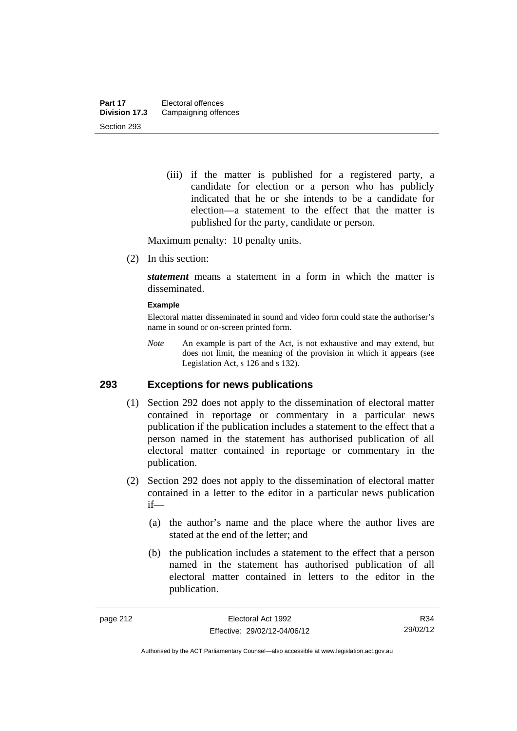(iii) if the matter is published for a registered party, a candidate for election or a person who has publicly indicated that he or she intends to be a candidate for election—a statement to the effect that the matter is published for the party, candidate or person.

Maximum penalty: 10 penalty units.

(2) In this section:

*statement* means a statement in a form in which the matter is disseminated.

#### **Example**

Electoral matter disseminated in sound and video form could state the authoriser's name in sound or on-screen printed form.

*Note* An example is part of the Act, is not exhaustive and may extend, but does not limit, the meaning of the provision in which it appears (see Legislation Act, s 126 and s 132).

#### **293 Exceptions for news publications**

- (1) Section 292 does not apply to the dissemination of electoral matter contained in reportage or commentary in a particular news publication if the publication includes a statement to the effect that a person named in the statement has authorised publication of all electoral matter contained in reportage or commentary in the publication.
- (2) Section 292 does not apply to the dissemination of electoral matter contained in a letter to the editor in a particular news publication if—
	- (a) the author's name and the place where the author lives are stated at the end of the letter; and
	- (b) the publication includes a statement to the effect that a person named in the statement has authorised publication of all electoral matter contained in letters to the editor in the publication.

R34 29/02/12

Authorised by the ACT Parliamentary Counsel—also accessible at www.legislation.act.gov.au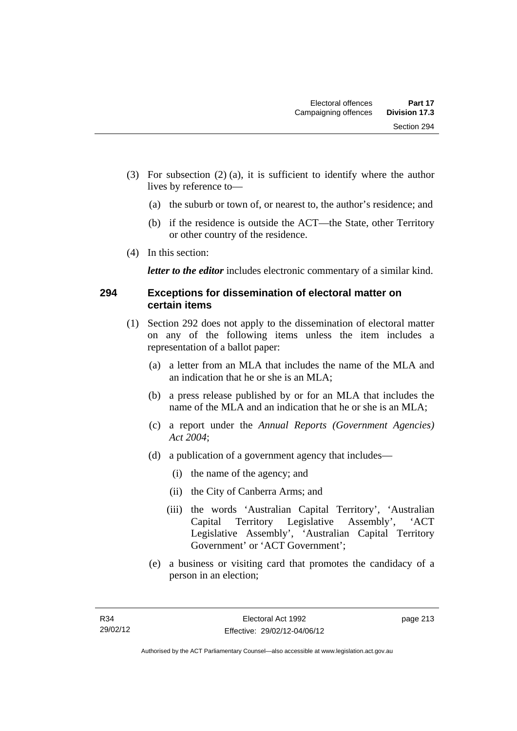- (3) For subsection (2) (a), it is sufficient to identify where the author lives by reference to—
	- (a) the suburb or town of, or nearest to, the author's residence; and
	- (b) if the residence is outside the ACT—the State, other Territory or other country of the residence.
- (4) In this section:

*letter to the editor* includes electronic commentary of a similar kind.

### **294 Exceptions for dissemination of electoral matter on certain items**

- (1) Section 292 does not apply to the dissemination of electoral matter on any of the following items unless the item includes a representation of a ballot paper:
	- (a) a letter from an MLA that includes the name of the MLA and an indication that he or she is an MLA;
	- (b) a press release published by or for an MLA that includes the name of the MLA and an indication that he or she is an MLA;
	- (c) a report under the *Annual Reports (Government Agencies) Act 2004*;
	- (d) a publication of a government agency that includes—
		- (i) the name of the agency; and
		- (ii) the City of Canberra Arms; and
		- (iii) the words 'Australian Capital Territory', 'Australian Capital Territory Legislative Assembly', 'ACT Legislative Assembly', 'Australian Capital Territory Government' or 'ACT Government';
	- (e) a business or visiting card that promotes the candidacy of a person in an election;

page 213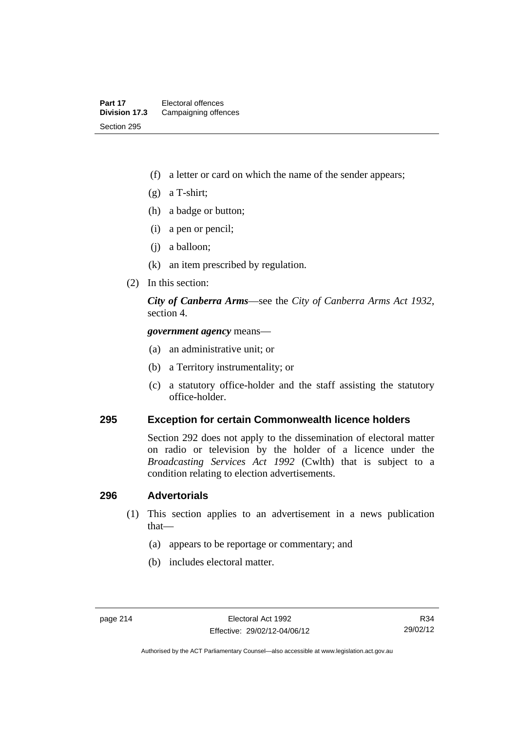- (f) a letter or card on which the name of the sender appears;
- (g) a T-shirt;
- (h) a badge or button;
- (i) a pen or pencil;
- (j) a balloon;
- (k) an item prescribed by regulation.
- (2) In this section:

*City of Canberra Arms*—see the *City of Canberra Arms Act 1932*, section 4.

*government agency* means—

- (a) an administrative unit; or
- (b) a Territory instrumentality; or
- (c) a statutory office-holder and the staff assisting the statutory office-holder.

#### **295 Exception for certain Commonwealth licence holders**

Section 292 does not apply to the dissemination of electoral matter on radio or television by the holder of a licence under the *Broadcasting Services Act 1992* (Cwlth) that is subject to a condition relating to election advertisements.

#### **296 Advertorials**

- (1) This section applies to an advertisement in a news publication that—
	- (a) appears to be reportage or commentary; and
	- (b) includes electoral matter.

Authorised by the ACT Parliamentary Counsel—also accessible at www.legislation.act.gov.au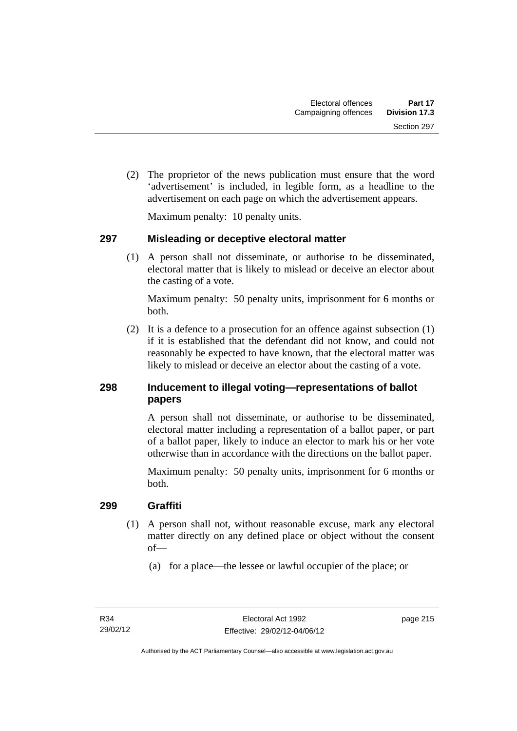(2) The proprietor of the news publication must ensure that the word 'advertisement' is included, in legible form, as a headline to the advertisement on each page on which the advertisement appears.

Maximum penalty: 10 penalty units.

## **297 Misleading or deceptive electoral matter**

 (1) A person shall not disseminate, or authorise to be disseminated, electoral matter that is likely to mislead or deceive an elector about the casting of a vote.

Maximum penalty: 50 penalty units, imprisonment for 6 months or both.

 (2) It is a defence to a prosecution for an offence against subsection (1) if it is established that the defendant did not know, and could not reasonably be expected to have known, that the electoral matter was likely to mislead or deceive an elector about the casting of a vote.

## **298 Inducement to illegal voting—representations of ballot papers**

A person shall not disseminate, or authorise to be disseminated, electoral matter including a representation of a ballot paper, or part of a ballot paper, likely to induce an elector to mark his or her vote otherwise than in accordance with the directions on the ballot paper.

Maximum penalty: 50 penalty units, imprisonment for 6 months or both.

## **299 Graffiti**

- (1) A person shall not, without reasonable excuse, mark any electoral matter directly on any defined place or object without the consent of—
	- (a) for a place—the lessee or lawful occupier of the place; or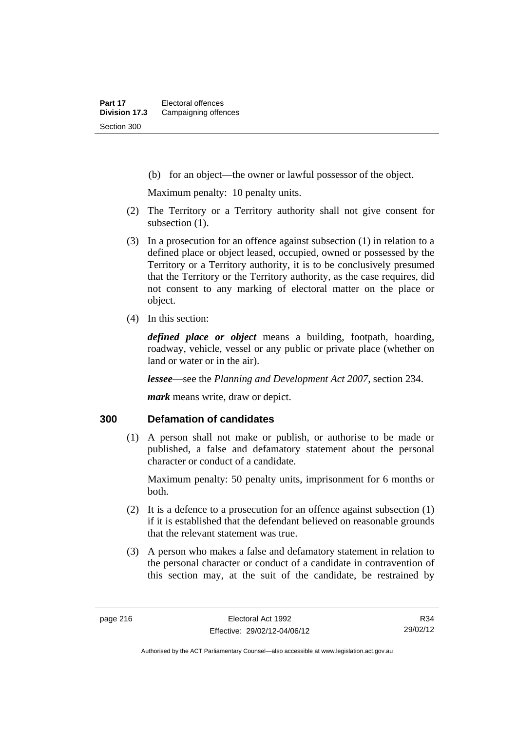(b) for an object—the owner or lawful possessor of the object.

Maximum penalty: 10 penalty units.

- (2) The Territory or a Territory authority shall not give consent for subsection  $(1)$ .
- (3) In a prosecution for an offence against subsection (1) in relation to a defined place or object leased, occupied, owned or possessed by the Territory or a Territory authority, it is to be conclusively presumed that the Territory or the Territory authority, as the case requires, did not consent to any marking of electoral matter on the place or object.
- (4) In this section:

*defined place or object* means a building, footpath, hoarding, roadway, vehicle, vessel or any public or private place (whether on land or water or in the air).

*lessee*—see the *Planning and Development Act 2007*, section 234.

*mark* means write, draw or depict.

#### **300 Defamation of candidates**

 (1) A person shall not make or publish, or authorise to be made or published, a false and defamatory statement about the personal character or conduct of a candidate.

Maximum penalty: 50 penalty units, imprisonment for 6 months or both.

- (2) It is a defence to a prosecution for an offence against subsection (1) if it is established that the defendant believed on reasonable grounds that the relevant statement was true.
- (3) A person who makes a false and defamatory statement in relation to the personal character or conduct of a candidate in contravention of this section may, at the suit of the candidate, be restrained by

R34 29/02/12

Authorised by the ACT Parliamentary Counsel—also accessible at www.legislation.act.gov.au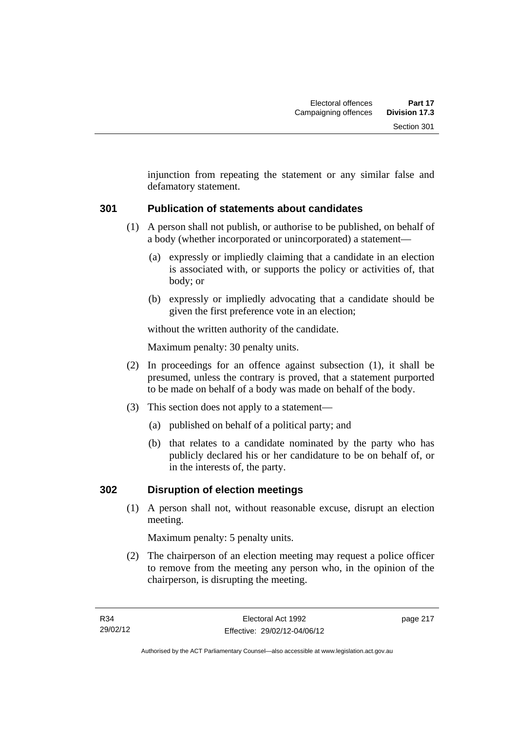injunction from repeating the statement or any similar false and defamatory statement.

## **301 Publication of statements about candidates**

- (1) A person shall not publish, or authorise to be published, on behalf of a body (whether incorporated or unincorporated) a statement—
	- (a) expressly or impliedly claiming that a candidate in an election is associated with, or supports the policy or activities of, that body; or
	- (b) expressly or impliedly advocating that a candidate should be given the first preference vote in an election;

without the written authority of the candidate.

Maximum penalty: 30 penalty units.

- (2) In proceedings for an offence against subsection (1), it shall be presumed, unless the contrary is proved, that a statement purported to be made on behalf of a body was made on behalf of the body.
- (3) This section does not apply to a statement—
	- (a) published on behalf of a political party; and
	- (b) that relates to a candidate nominated by the party who has publicly declared his or her candidature to be on behalf of, or in the interests of, the party.

## **302 Disruption of election meetings**

 (1) A person shall not, without reasonable excuse, disrupt an election meeting.

Maximum penalty: 5 penalty units.

 (2) The chairperson of an election meeting may request a police officer to remove from the meeting any person who, in the opinion of the chairperson, is disrupting the meeting.

page 217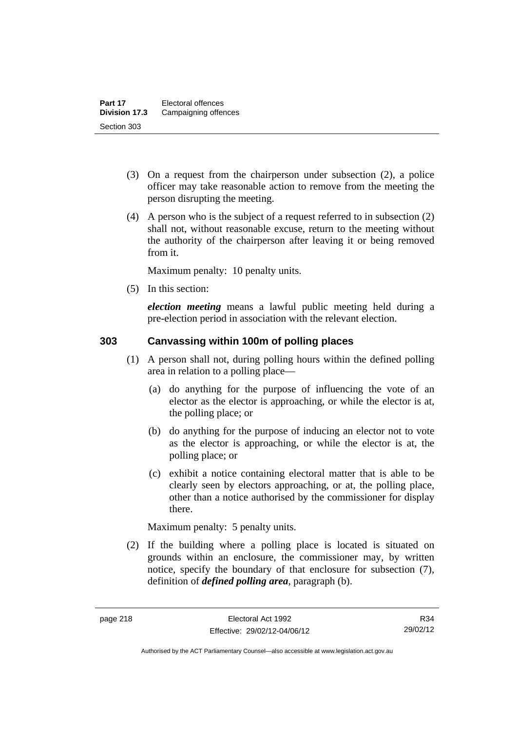- (3) On a request from the chairperson under subsection (2), a police officer may take reasonable action to remove from the meeting the person disrupting the meeting.
- (4) A person who is the subject of a request referred to in subsection (2) shall not, without reasonable excuse, return to the meeting without the authority of the chairperson after leaving it or being removed from it.

Maximum penalty: 10 penalty units.

(5) In this section:

*election meeting* means a lawful public meeting held during a pre-election period in association with the relevant election.

## **303 Canvassing within 100m of polling places**

- (1) A person shall not, during polling hours within the defined polling area in relation to a polling place—
	- (a) do anything for the purpose of influencing the vote of an elector as the elector is approaching, or while the elector is at, the polling place; or
	- (b) do anything for the purpose of inducing an elector not to vote as the elector is approaching, or while the elector is at, the polling place; or
	- (c) exhibit a notice containing electoral matter that is able to be clearly seen by electors approaching, or at, the polling place, other than a notice authorised by the commissioner for display there.

Maximum penalty: 5 penalty units.

 (2) If the building where a polling place is located is situated on grounds within an enclosure, the commissioner may, by written notice, specify the boundary of that enclosure for subsection (7), definition of *defined polling area*, paragraph (b).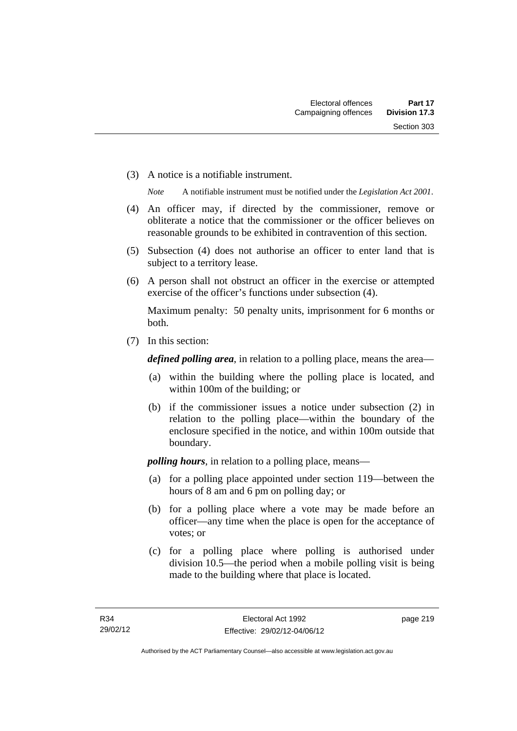(3) A notice is a notifiable instrument.

*Note* A notifiable instrument must be notified under the *Legislation Act 2001*.

- (4) An officer may, if directed by the commissioner, remove or obliterate a notice that the commissioner or the officer believes on reasonable grounds to be exhibited in contravention of this section.
- (5) Subsection (4) does not authorise an officer to enter land that is subject to a territory lease.
- (6) A person shall not obstruct an officer in the exercise or attempted exercise of the officer's functions under subsection (4).

Maximum penalty: 50 penalty units, imprisonment for 6 months or both.

(7) In this section:

*defined polling area*, in relation to a polling place, means the area—

- (a) within the building where the polling place is located, and within 100m of the building; or
- (b) if the commissioner issues a notice under subsection (2) in relation to the polling place—within the boundary of the enclosure specified in the notice, and within 100m outside that boundary.

*polling hours*, in relation to a polling place, means—

- (a) for a polling place appointed under section 119—between the hours of 8 am and 6 pm on polling day; or
- (b) for a polling place where a vote may be made before an officer—any time when the place is open for the acceptance of votes; or
- (c) for a polling place where polling is authorised under division 10.5—the period when a mobile polling visit is being made to the building where that place is located.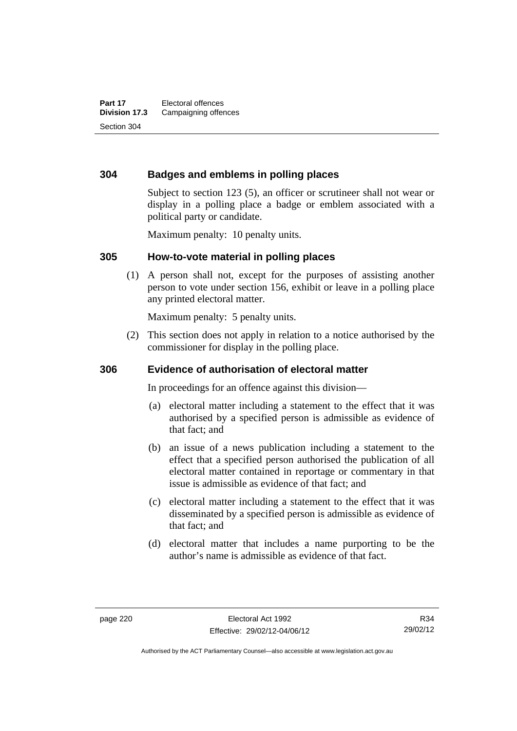### **304 Badges and emblems in polling places**

Subject to section 123 (5), an officer or scrutineer shall not wear or display in a polling place a badge or emblem associated with a political party or candidate.

Maximum penalty: 10 penalty units.

#### **305 How-to-vote material in polling places**

 (1) A person shall not, except for the purposes of assisting another person to vote under section 156, exhibit or leave in a polling place any printed electoral matter.

Maximum penalty: 5 penalty units.

 (2) This section does not apply in relation to a notice authorised by the commissioner for display in the polling place.

#### **306 Evidence of authorisation of electoral matter**

In proceedings for an offence against this division—

- (a) electoral matter including a statement to the effect that it was authorised by a specified person is admissible as evidence of that fact; and
- (b) an issue of a news publication including a statement to the effect that a specified person authorised the publication of all electoral matter contained in reportage or commentary in that issue is admissible as evidence of that fact; and
- (c) electoral matter including a statement to the effect that it was disseminated by a specified person is admissible as evidence of that fact; and
- (d) electoral matter that includes a name purporting to be the author's name is admissible as evidence of that fact.

R34 29/02/12

Authorised by the ACT Parliamentary Counsel—also accessible at www.legislation.act.gov.au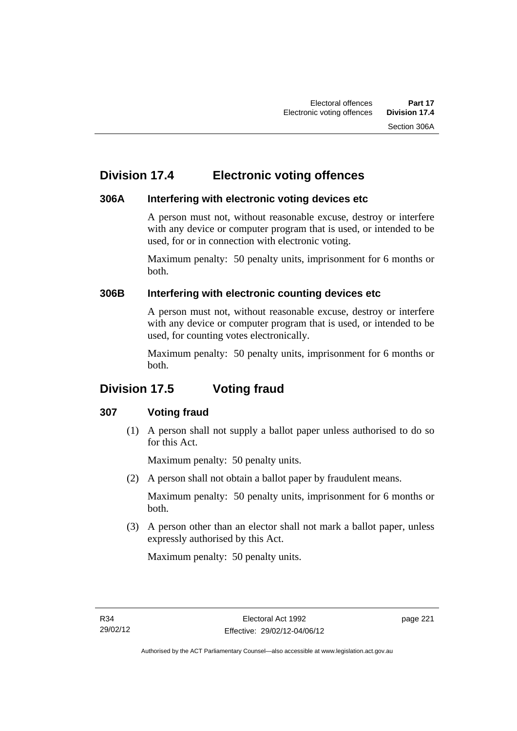## **Division 17.4 Electronic voting offences**

## **306A Interfering with electronic voting devices etc**

A person must not, without reasonable excuse, destroy or interfere with any device or computer program that is used, or intended to be used, for or in connection with electronic voting.

Maximum penalty: 50 penalty units, imprisonment for 6 months or both.

## **306B Interfering with electronic counting devices etc**

A person must not, without reasonable excuse, destroy or interfere with any device or computer program that is used, or intended to be used, for counting votes electronically.

Maximum penalty: 50 penalty units, imprisonment for 6 months or both.

# **Division 17.5 Voting fraud**

## **307 Voting fraud**

 (1) A person shall not supply a ballot paper unless authorised to do so for this Act.

Maximum penalty: 50 penalty units.

(2) A person shall not obtain a ballot paper by fraudulent means.

Maximum penalty: 50 penalty units, imprisonment for 6 months or both.

 (3) A person other than an elector shall not mark a ballot paper, unless expressly authorised by this Act.

Maximum penalty: 50 penalty units.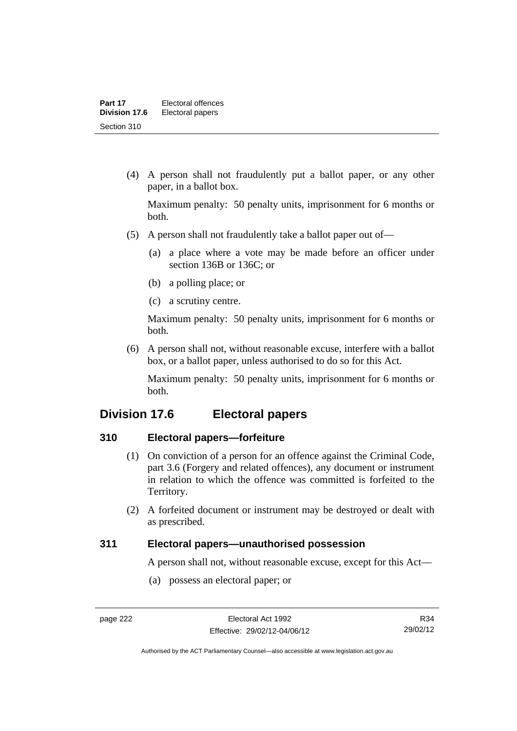(4) A person shall not fraudulently put a ballot paper, or any other paper, in a ballot box.

Maximum penalty: 50 penalty units, imprisonment for 6 months or both.

- (5) A person shall not fraudulently take a ballot paper out of—
	- (a) a place where a vote may be made before an officer under section 136B or 136C; or
	- (b) a polling place; or
	- (c) a scrutiny centre.

Maximum penalty: 50 penalty units, imprisonment for 6 months or both.

 (6) A person shall not, without reasonable excuse, interfere with a ballot box, or a ballot paper, unless authorised to do so for this Act.

Maximum penalty: 50 penalty units, imprisonment for 6 months or both.

## **Division 17.6 Electoral papers**

## **310 Electoral papers—forfeiture**

- (1) On conviction of a person for an offence against the Criminal Code, part 3.6 (Forgery and related offences), any document or instrument in relation to which the offence was committed is forfeited to the Territory.
- (2) A forfeited document or instrument may be destroyed or dealt with as prescribed.

#### **311 Electoral papers—unauthorised possession**

A person shall not, without reasonable excuse, except for this Act—

(a) possess an electoral paper; or

R34 29/02/12

Authorised by the ACT Parliamentary Counsel—also accessible at www.legislation.act.gov.au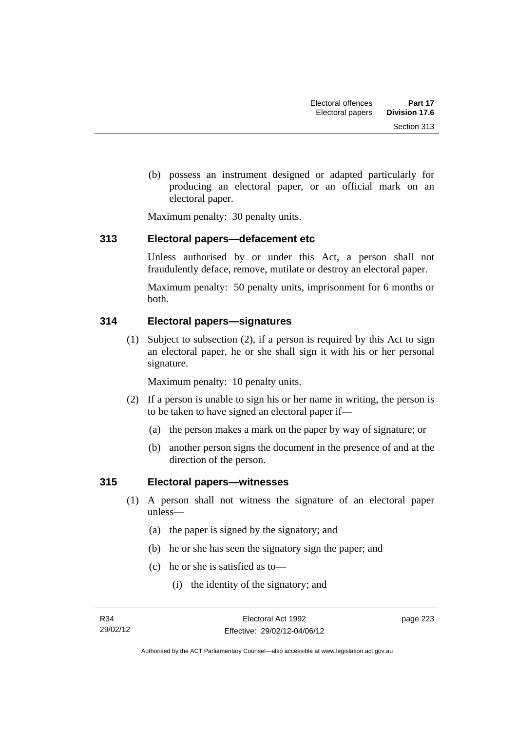(b) possess an instrument designed or adapted particularly for producing an electoral paper, or an official mark on an electoral paper.

Maximum penalty: 30 penalty units.

### **313 Electoral papers—defacement etc**

Unless authorised by or under this Act, a person shall not fraudulently deface, remove, mutilate or destroy an electoral paper.

Maximum penalty: 50 penalty units, imprisonment for 6 months or both.

## **314 Electoral papers—signatures**

 (1) Subject to subsection (2), if a person is required by this Act to sign an electoral paper, he or she shall sign it with his or her personal signature.

Maximum penalty: 10 penalty units.

- (2) If a person is unable to sign his or her name in writing, the person is to be taken to have signed an electoral paper if—
	- (a) the person makes a mark on the paper by way of signature; or
	- (b) another person signs the document in the presence of and at the direction of the person.

#### **315 Electoral papers—witnesses**

- (1) A person shall not witness the signature of an electoral paper unless—
	- (a) the paper is signed by the signatory; and
	- (b) he or she has seen the signatory sign the paper; and
	- (c) he or she is satisfied as to—
		- (i) the identity of the signatory; and

page 223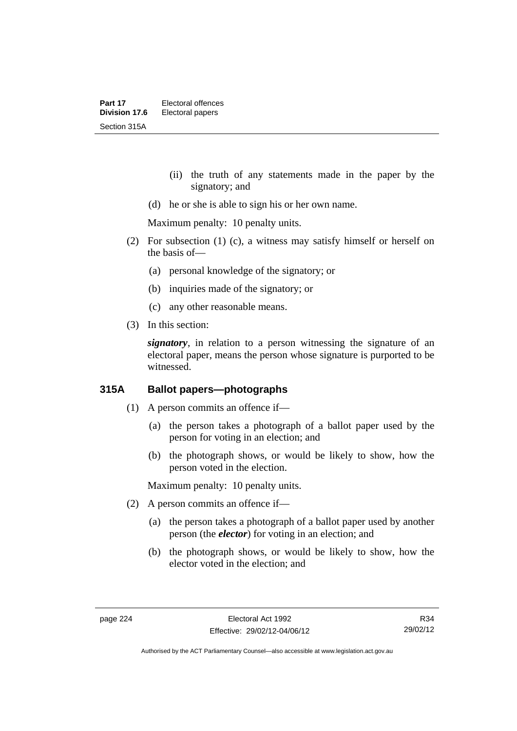- (ii) the truth of any statements made in the paper by the signatory; and
- (d) he or she is able to sign his or her own name.

Maximum penalty: 10 penalty units.

- (2) For subsection (1) (c), a witness may satisfy himself or herself on the basis of—
	- (a) personal knowledge of the signatory; or
	- (b) inquiries made of the signatory; or
	- (c) any other reasonable means.
- (3) In this section:

*signatory*, in relation to a person witnessing the signature of an electoral paper, means the person whose signature is purported to be witnessed.

## **315A Ballot papers—photographs**

- (1) A person commits an offence if—
	- (a) the person takes a photograph of a ballot paper used by the person for voting in an election; and
	- (b) the photograph shows, or would be likely to show, how the person voted in the election.

Maximum penalty: 10 penalty units.

- (2) A person commits an offence if—
	- (a) the person takes a photograph of a ballot paper used by another person (the *elector*) for voting in an election; and
	- (b) the photograph shows, or would be likely to show, how the elector voted in the election; and

R34 29/02/12

Authorised by the ACT Parliamentary Counsel—also accessible at www.legislation.act.gov.au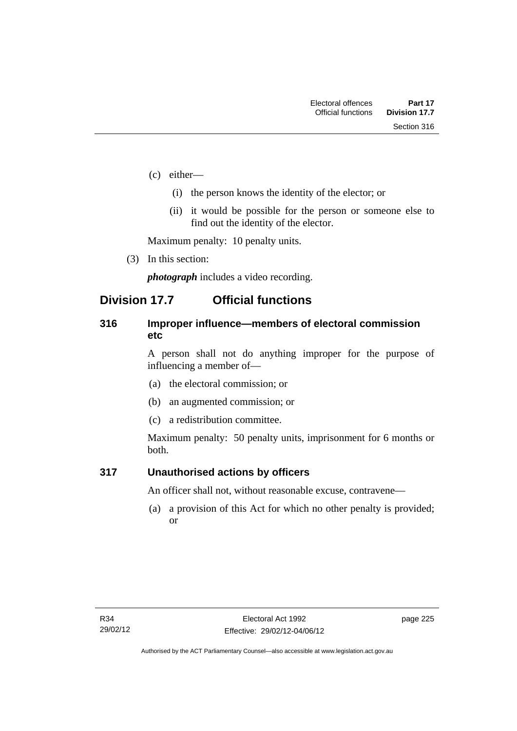- (c) either—
	- (i) the person knows the identity of the elector; or
	- (ii) it would be possible for the person or someone else to find out the identity of the elector.

Maximum penalty: 10 penalty units.

(3) In this section:

*photograph* includes a video recording.

## **Division 17.7 Official functions**

### **316 Improper influence—members of electoral commission etc**

A person shall not do anything improper for the purpose of influencing a member of—

- (a) the electoral commission; or
- (b) an augmented commission; or
- (c) a redistribution committee.

Maximum penalty: 50 penalty units, imprisonment for 6 months or both.

#### **317 Unauthorised actions by officers**

An officer shall not, without reasonable excuse, contravene—

 (a) a provision of this Act for which no other penalty is provided; or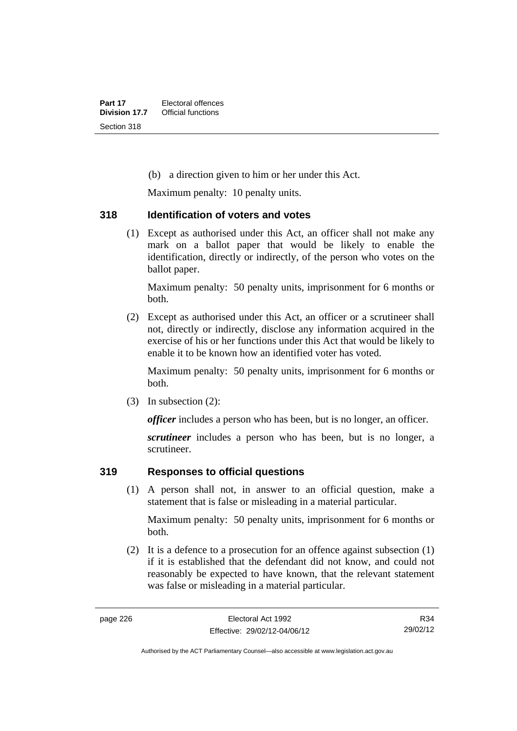(b) a direction given to him or her under this Act.

Maximum penalty: 10 penalty units.

#### **318 Identification of voters and votes**

 (1) Except as authorised under this Act, an officer shall not make any mark on a ballot paper that would be likely to enable the identification, directly or indirectly, of the person who votes on the ballot paper.

Maximum penalty: 50 penalty units, imprisonment for 6 months or both.

 (2) Except as authorised under this Act, an officer or a scrutineer shall not, directly or indirectly, disclose any information acquired in the exercise of his or her functions under this Act that would be likely to enable it to be known how an identified voter has voted.

Maximum penalty: 50 penalty units, imprisonment for 6 months or both.

(3) In subsection (2):

*officer* includes a person who has been, but is no longer, an officer.

*scrutineer* includes a person who has been, but is no longer, a scrutineer.

## **319 Responses to official questions**

 (1) A person shall not, in answer to an official question, make a statement that is false or misleading in a material particular.

Maximum penalty: 50 penalty units, imprisonment for 6 months or both.

 (2) It is a defence to a prosecution for an offence against subsection (1) if it is established that the defendant did not know, and could not reasonably be expected to have known, that the relevant statement was false or misleading in a material particular.

Authorised by the ACT Parliamentary Counsel—also accessible at www.legislation.act.gov.au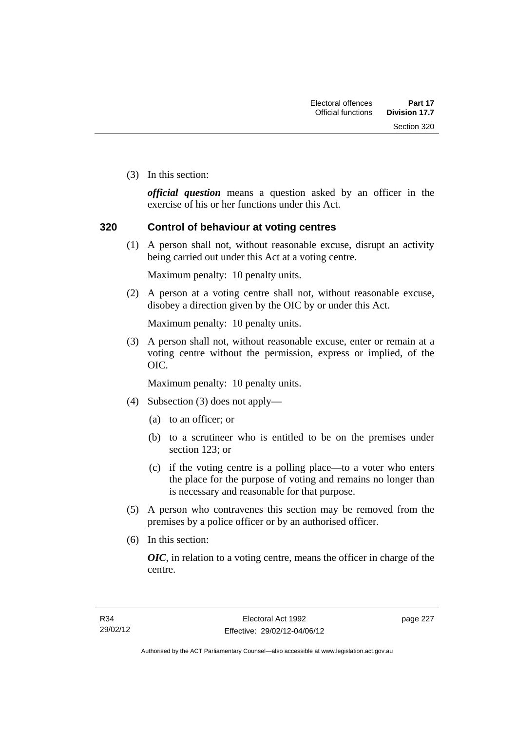Section 320

(3) In this section:

*official question* means a question asked by an officer in the exercise of his or her functions under this Act.

### **320 Control of behaviour at voting centres**

 (1) A person shall not, without reasonable excuse, disrupt an activity being carried out under this Act at a voting centre.

Maximum penalty: 10 penalty units.

 (2) A person at a voting centre shall not, without reasonable excuse, disobey a direction given by the OIC by or under this Act.

Maximum penalty: 10 penalty units.

 (3) A person shall not, without reasonable excuse, enter or remain at a voting centre without the permission, express or implied, of the OIC.

Maximum penalty: 10 penalty units.

- (4) Subsection (3) does not apply—
	- (a) to an officer; or
	- (b) to a scrutineer who is entitled to be on the premises under section 123; or
	- (c) if the voting centre is a polling place—to a voter who enters the place for the purpose of voting and remains no longer than is necessary and reasonable for that purpose.
- (5) A person who contravenes this section may be removed from the premises by a police officer or by an authorised officer.
- (6) In this section:

*OIC*, in relation to a voting centre, means the officer in charge of the centre.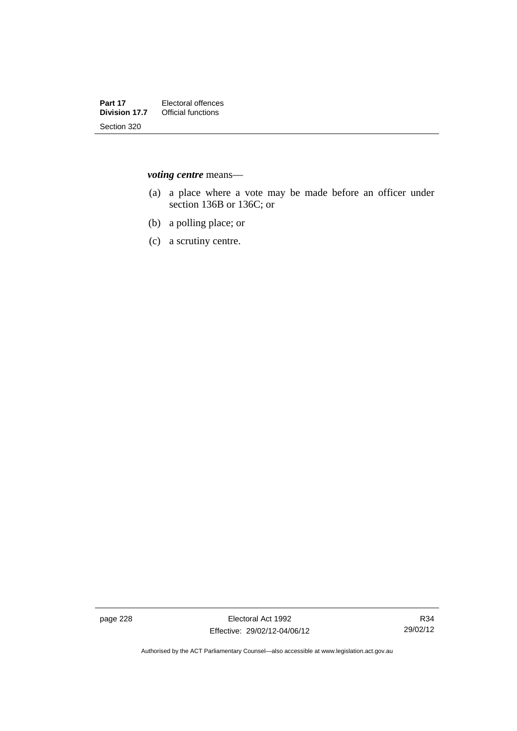*voting centre* means—

- (a) a place where a vote may be made before an officer under section 136B or 136C; or
- (b) a polling place; or
- (c) a scrutiny centre.

page 228 Electoral Act 1992 Effective: 29/02/12-04/06/12

R34 29/02/12

Authorised by the ACT Parliamentary Counsel—also accessible at www.legislation.act.gov.au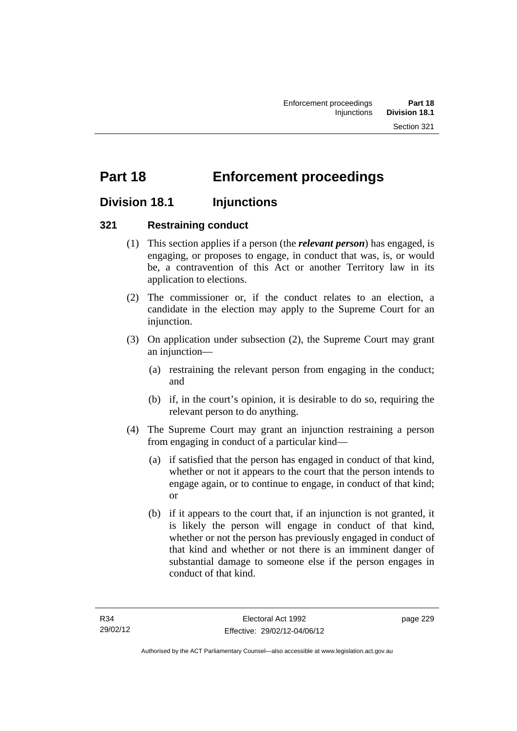# **Part 18 Enforcement proceedings**

## **Division 18.1 Injunctions**

## **321 Restraining conduct**

- (1) This section applies if a person (the *relevant person*) has engaged, is engaging, or proposes to engage, in conduct that was, is, or would be, a contravention of this Act or another Territory law in its application to elections.
- (2) The commissioner or, if the conduct relates to an election, a candidate in the election may apply to the Supreme Court for an injunction.
- (3) On application under subsection (2), the Supreme Court may grant an injunction—
	- (a) restraining the relevant person from engaging in the conduct; and
	- (b) if, in the court's opinion, it is desirable to do so, requiring the relevant person to do anything.
- (4) The Supreme Court may grant an injunction restraining a person from engaging in conduct of a particular kind—
	- (a) if satisfied that the person has engaged in conduct of that kind, whether or not it appears to the court that the person intends to engage again, or to continue to engage, in conduct of that kind; or
	- (b) if it appears to the court that, if an injunction is not granted, it is likely the person will engage in conduct of that kind, whether or not the person has previously engaged in conduct of that kind and whether or not there is an imminent danger of substantial damage to someone else if the person engages in conduct of that kind.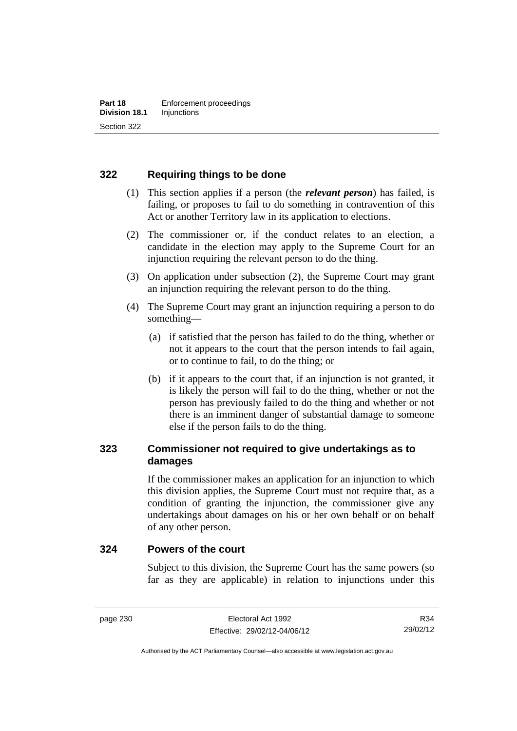## **322 Requiring things to be done**

- (1) This section applies if a person (the *relevant person*) has failed, is failing, or proposes to fail to do something in contravention of this Act or another Territory law in its application to elections.
- (2) The commissioner or, if the conduct relates to an election, a candidate in the election may apply to the Supreme Court for an injunction requiring the relevant person to do the thing.
- (3) On application under subsection (2), the Supreme Court may grant an injunction requiring the relevant person to do the thing.
- (4) The Supreme Court may grant an injunction requiring a person to do something—
	- (a) if satisfied that the person has failed to do the thing, whether or not it appears to the court that the person intends to fail again, or to continue to fail, to do the thing; or
	- (b) if it appears to the court that, if an injunction is not granted, it is likely the person will fail to do the thing, whether or not the person has previously failed to do the thing and whether or not there is an imminent danger of substantial damage to someone else if the person fails to do the thing.

## **323 Commissioner not required to give undertakings as to damages**

If the commissioner makes an application for an injunction to which this division applies, the Supreme Court must not require that, as a condition of granting the injunction, the commissioner give any undertakings about damages on his or her own behalf or on behalf of any other person.

#### **324 Powers of the court**

Subject to this division, the Supreme Court has the same powers (so far as they are applicable) in relation to injunctions under this

Authorised by the ACT Parliamentary Counsel—also accessible at www.legislation.act.gov.au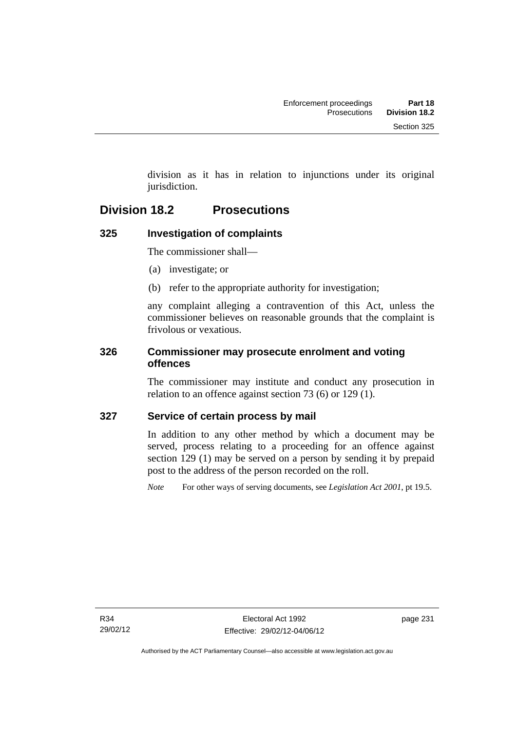division as it has in relation to injunctions under its original jurisdiction.

## **Division 18.2 Prosecutions**

## **325 Investigation of complaints**

The commissioner shall—

- (a) investigate; or
- (b) refer to the appropriate authority for investigation;

any complaint alleging a contravention of this Act, unless the commissioner believes on reasonable grounds that the complaint is frivolous or vexatious.

### **326 Commissioner may prosecute enrolment and voting offences**

The commissioner may institute and conduct any prosecution in relation to an offence against section 73 (6) or 129 (1).

## **327 Service of certain process by mail**

In addition to any other method by which a document may be served, process relating to a proceeding for an offence against section 129 (1) may be served on a person by sending it by prepaid post to the address of the person recorded on the roll.

*Note* For other ways of serving documents, see *Legislation Act 2001*, pt 19.5.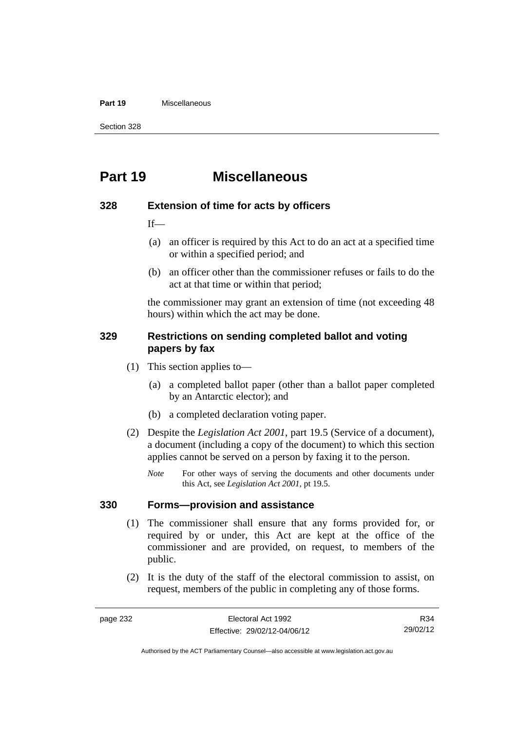#### **Part 19** Miscellaneous

Section 328

# **Part 19 Miscellaneous**

#### **328 Extension of time for acts by officers**

 $If$ 

- (a) an officer is required by this Act to do an act at a specified time or within a specified period; and
- (b) an officer other than the commissioner refuses or fails to do the act at that time or within that period;

the commissioner may grant an extension of time (not exceeding 48 hours) within which the act may be done.

#### **329 Restrictions on sending completed ballot and voting papers by fax**

- (1) This section applies to—
	- (a) a completed ballot paper (other than a ballot paper completed by an Antarctic elector); and
	- (b) a completed declaration voting paper.
- (2) Despite the *Legislation Act 2001*, part 19.5 (Service of a document), a document (including a copy of the document) to which this section applies cannot be served on a person by faxing it to the person.
	- *Note* For other ways of serving the documents and other documents under this Act, see *Legislation Act 2001*, pt 19.5.

#### **330 Forms—provision and assistance**

- (1) The commissioner shall ensure that any forms provided for, or required by or under, this Act are kept at the office of the commissioner and are provided, on request, to members of the public.
- (2) It is the duty of the staff of the electoral commission to assist, on request, members of the public in completing any of those forms.

R34 29/02/12

Authorised by the ACT Parliamentary Counsel—also accessible at www.legislation.act.gov.au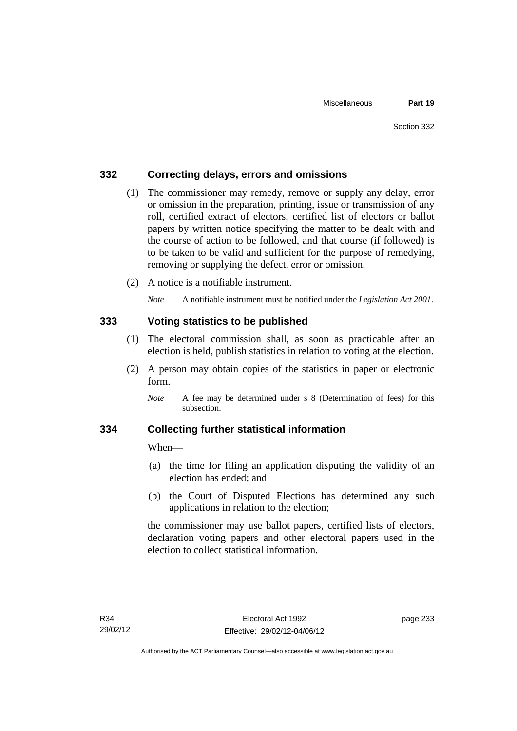### **332 Correcting delays, errors and omissions**

- (1) The commissioner may remedy, remove or supply any delay, error or omission in the preparation, printing, issue or transmission of any roll, certified extract of electors, certified list of electors or ballot papers by written notice specifying the matter to be dealt with and the course of action to be followed, and that course (if followed) is to be taken to be valid and sufficient for the purpose of remedying, removing or supplying the defect, error or omission.
- (2) A notice is a notifiable instrument.

*Note* A notifiable instrument must be notified under the *Legislation Act 2001*.

#### **333 Voting statistics to be published**

- (1) The electoral commission shall, as soon as practicable after an election is held, publish statistics in relation to voting at the election.
- (2) A person may obtain copies of the statistics in paper or electronic form.

#### **334 Collecting further statistical information**

When—

- (a) the time for filing an application disputing the validity of an election has ended; and
- (b) the Court of Disputed Elections has determined any such applications in relation to the election;

the commissioner may use ballot papers, certified lists of electors, declaration voting papers and other electoral papers used in the election to collect statistical information.

*Note* A fee may be determined under s 8 (Determination of fees) for this subsection.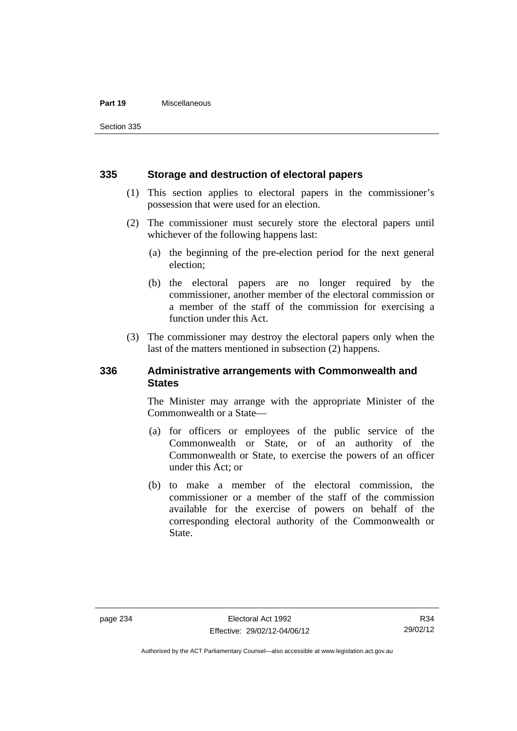#### **Part 19** Miscellaneous

Section 335

#### **335 Storage and destruction of electoral papers**

- (1) This section applies to electoral papers in the commissioner's possession that were used for an election.
- (2) The commissioner must securely store the electoral papers until whichever of the following happens last:
	- (a) the beginning of the pre-election period for the next general election;
	- (b) the electoral papers are no longer required by the commissioner, another member of the electoral commission or a member of the staff of the commission for exercising a function under this Act.
- (3) The commissioner may destroy the electoral papers only when the last of the matters mentioned in subsection (2) happens.

#### **336 Administrative arrangements with Commonwealth and States**

The Minister may arrange with the appropriate Minister of the Commonwealth or a State—

- (a) for officers or employees of the public service of the Commonwealth or State, or of an authority of the Commonwealth or State, to exercise the powers of an officer under this Act; or
- (b) to make a member of the electoral commission, the commissioner or a member of the staff of the commission available for the exercise of powers on behalf of the corresponding electoral authority of the Commonwealth or State.

Authorised by the ACT Parliamentary Counsel—also accessible at www.legislation.act.gov.au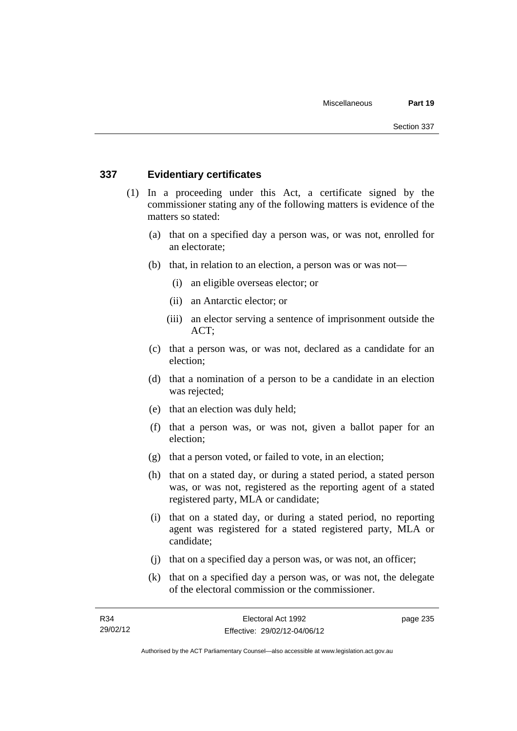#### **337 Evidentiary certificates**

- (1) In a proceeding under this Act, a certificate signed by the commissioner stating any of the following matters is evidence of the matters so stated:
	- (a) that on a specified day a person was, or was not, enrolled for an electorate;
	- (b) that, in relation to an election, a person was or was not—
		- (i) an eligible overseas elector; or
		- (ii) an Antarctic elector; or
		- (iii) an elector serving a sentence of imprisonment outside the ACT;
	- (c) that a person was, or was not, declared as a candidate for an election;
	- (d) that a nomination of a person to be a candidate in an election was rejected;
	- (e) that an election was duly held;
	- (f) that a person was, or was not, given a ballot paper for an election;
	- (g) that a person voted, or failed to vote, in an election;
	- (h) that on a stated day, or during a stated period, a stated person was, or was not, registered as the reporting agent of a stated registered party, MLA or candidate;
	- (i) that on a stated day, or during a stated period, no reporting agent was registered for a stated registered party, MLA or candidate;
	- (j) that on a specified day a person was, or was not, an officer;
	- (k) that on a specified day a person was, or was not, the delegate of the electoral commission or the commissioner.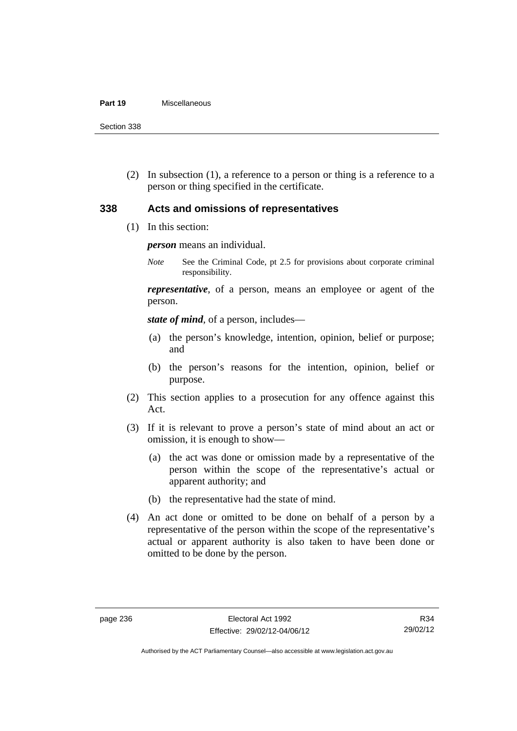#### **Part 19** Miscellaneous

Section 338

 (2) In subsection (1), a reference to a person or thing is a reference to a person or thing specified in the certificate.

#### **338 Acts and omissions of representatives**

(1) In this section:

*person* means an individual.

*Note* See the Criminal Code, pt 2.5 for provisions about corporate criminal responsibility.

*representative*, of a person, means an employee or agent of the person.

*state of mind*, of a person, includes—

- (a) the person's knowledge, intention, opinion, belief or purpose; and
- (b) the person's reasons for the intention, opinion, belief or purpose.
- (2) This section applies to a prosecution for any offence against this Act.
- (3) If it is relevant to prove a person's state of mind about an act or omission, it is enough to show—
	- (a) the act was done or omission made by a representative of the person within the scope of the representative's actual or apparent authority; and
	- (b) the representative had the state of mind.
- (4) An act done or omitted to be done on behalf of a person by a representative of the person within the scope of the representative's actual or apparent authority is also taken to have been done or omitted to be done by the person.

Authorised by the ACT Parliamentary Counsel—also accessible at www.legislation.act.gov.au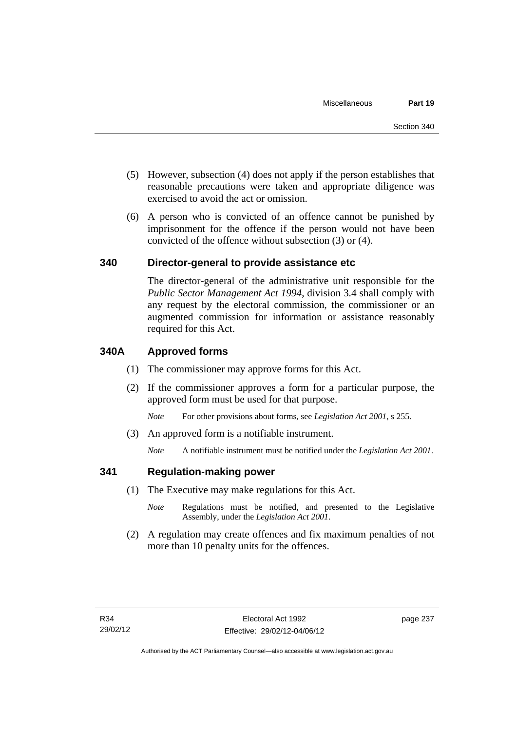- (5) However, subsection (4) does not apply if the person establishes that reasonable precautions were taken and appropriate diligence was exercised to avoid the act or omission.
- (6) A person who is convicted of an offence cannot be punished by imprisonment for the offence if the person would not have been convicted of the offence without subsection (3) or (4).

### **340 Director-general to provide assistance etc**

The director-general of the administrative unit responsible for the *Public Sector Management Act 1994*, division 3.4 shall comply with any request by the electoral commission, the commissioner or an augmented commission for information or assistance reasonably required for this Act.

### **340A Approved forms**

- (1) The commissioner may approve forms for this Act.
- (2) If the commissioner approves a form for a particular purpose, the approved form must be used for that purpose.

*Note* For other provisions about forms, see *Legislation Act 2001*, s 255.

(3) An approved form is a notifiable instrument.

*Note* A notifiable instrument must be notified under the *Legislation Act 2001*.

#### **341 Regulation-making power**

- (1) The Executive may make regulations for this Act.
	- *Note* **Regulations** must be notified, and presented to the Legislative Assembly, under the *Legislation Act 2001*.
- (2) A regulation may create offences and fix maximum penalties of not more than 10 penalty units for the offences.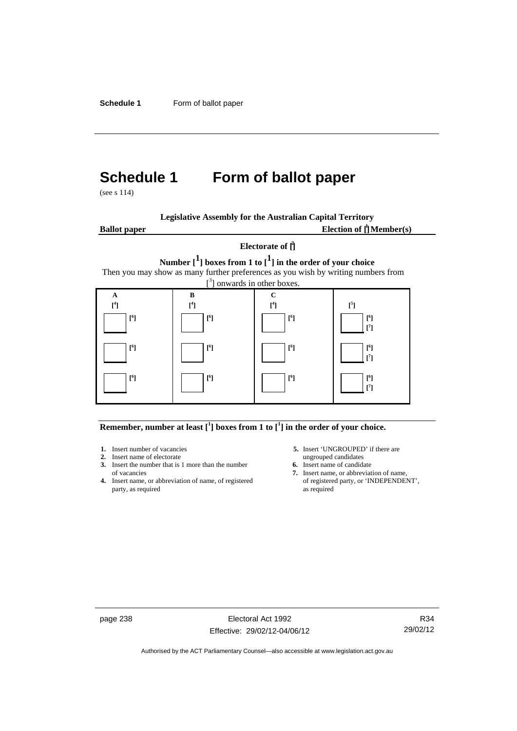# **Schedule 1 Form of ballot paper**

(see s 114)

| <b>Legislative Assembly for the Australian Capital Territory</b> |  |  |  |
|------------------------------------------------------------------|--|--|--|
|                                                                  |  |  |  |

**Ballot paper** Election of  $\prod_{i=1}^{n} \text{Member}(s)$ 

#### **Electorate of [ 2 ]**

**Number [1] boxes from 1 to [1] in the order of your choice**  Then you may show as many further preferences as you wish by writing numbers from



**Remember, number at least**  $\begin{bmatrix} 1 \end{bmatrix}$  boxes from 1 to  $\begin{bmatrix} 1 \end{bmatrix}$  in the order of your choice.

- 
- **3.** Insert the number that is 1 more than the number **6.** Insert name of candidate of vacancies **7.** Insert name, or abbreviate
- **4.** Insert name, or abbreviation of name, of registered party, as required as required
- **1.** Insert number of vacancies **5.** Insert 'UNGROUPED' if there are **2.** Insert name of electorate ungrouped candidates
	-
	- 7. Insert name, or abbreviation of name,<br>of registered party, or 'INDEPENDENT',

page 238 Electoral Act 1992 Effective: 29/02/12-04/06/12

R34 29/02/12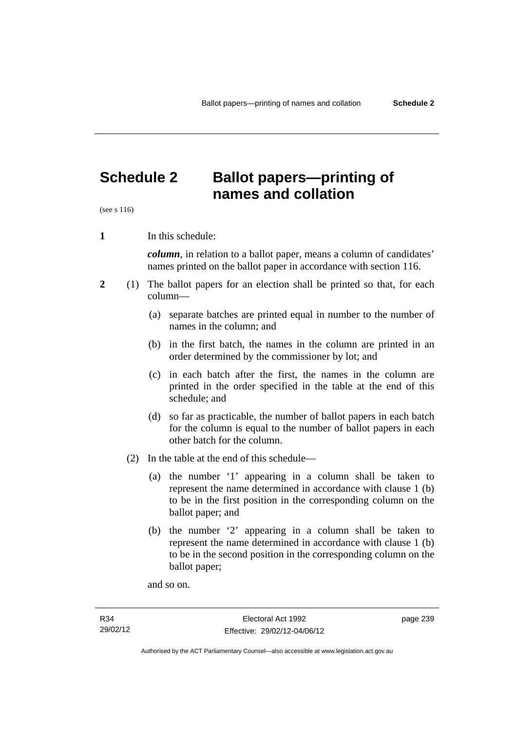# **Schedule 2 Ballot papers—printing of names and collation**

(see s 116)

**1** In this schedule:

*column*, in relation to a ballot paper, means a column of candidates' names printed on the ballot paper in accordance with section 116.

- **2** (1) The ballot papers for an election shall be printed so that, for each column—
	- (a) separate batches are printed equal in number to the number of names in the column; and
	- (b) in the first batch, the names in the column are printed in an order determined by the commissioner by lot; and
	- (c) in each batch after the first, the names in the column are printed in the order specified in the table at the end of this schedule; and
	- (d) so far as practicable, the number of ballot papers in each batch for the column is equal to the number of ballot papers in each other batch for the column.
	- (2) In the table at the end of this schedule—
		- (a) the number '1' appearing in a column shall be taken to represent the name determined in accordance with clause 1 (b) to be in the first position in the corresponding column on the ballot paper; and
		- (b) the number '2' appearing in a column shall be taken to represent the name determined in accordance with clause 1 (b) to be in the second position in the corresponding column on the ballot paper;

and so on.

page 239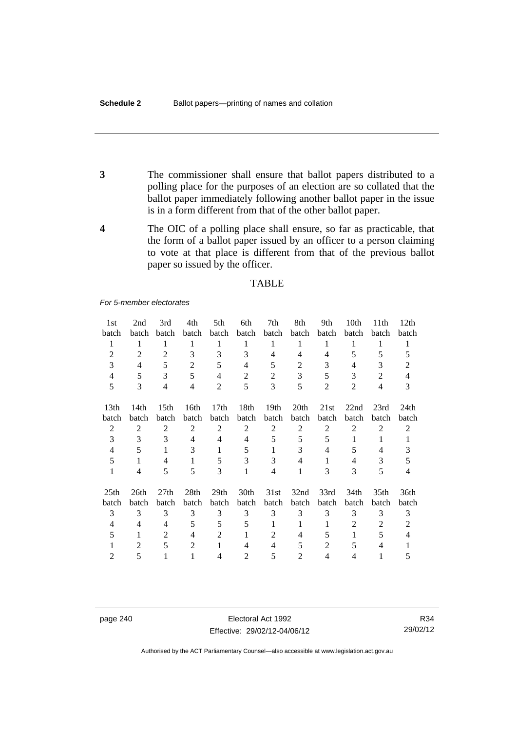- **3** The commissioner shall ensure that ballot papers distributed to a polling place for the purposes of an election are so collated that the ballot paper immediately following another ballot paper in the issue is in a form different from that of the other ballot paper.
- **4** The OIC of a polling place shall ensure, so far as practicable, that the form of a ballot paper issued by an officer to a person claiming to vote at that place is different from that of the previous ballot paper so issued by the officer.

#### **TABLE**

#### *For 5-member electorates*

| 1st              | 2nd            | 3rd              | 4th            | 5th              | 6th            | 7th              | 8th              | 9th            | 10th           | 11th             | 12 <sub>th</sub> |
|------------------|----------------|------------------|----------------|------------------|----------------|------------------|------------------|----------------|----------------|------------------|------------------|
| batch            | batch          | batch            | batch          | batch            | batch          | batch            | batch            | batch          | batch          | batch            | batch            |
| 1                | 1              | 1                | 1              | 1                | 1              | 1                | 1                | 1              | 1              | 1                | 1                |
| $\overline{2}$   | $\overline{2}$ | 2                | 3              | 3                | 3              | 4                | 4                | 4              | 5              | 5                | 5                |
| 3                | 4              | 5                | $\overline{2}$ | 5                | $\overline{4}$ | 5                | 2                | 3              | 4              | 3                | 2                |
| 4                | 5              | 3                | 5              | $\overline{4}$   | $\overline{2}$ | $\overline{2}$   | 3                | 5              | 3              | $\overline{2}$   | 4                |
| 5                | 3              | $\overline{4}$   | $\overline{4}$ | $\overline{2}$   | 5              | 3                | 5                | $\overline{2}$ | $\overline{2}$ | 4                | 3                |
| 13 <sub>th</sub> | 14th           | 15 <sup>th</sup> | 16th           | 17 <sub>th</sub> | 18th           | 19 <sub>th</sub> | 20 <sup>th</sup> | 21st           | 22nd           | 23rd             | 24th             |
| batch            | batch          | batch            | batch          | batch            | batch          | batch            | batch            | batch          | batch          | batch            | batch            |
| $\overline{2}$   | 2              | 2                | $\overline{2}$ | $\overline{2}$   | $\overline{2}$ | 2                | $\overline{2}$   | $\overline{2}$ | $\overline{2}$ | $\overline{2}$   | $\overline{2}$   |
| 3                | 3              | 3                | 4              | 4                | $\overline{4}$ | 5                | 5                | 5              | 1              | 1                |                  |
| $\overline{4}$   | 5              | 1                | 3              | 1                | 5              | 1                | 3                | 4              | 5              | 4                | 3                |
| 5                | 1              | 4                | 1              | 5                | 3              | 3                | 4                | 1              | 4              | 3                | 5                |
| $\mathbf{1}$     | 4              | 5                | 5              | 3                | 1              | $\overline{4}$   | 1                | 3              | 3              | 5                | $\overline{4}$   |
| 25 <sub>th</sub> | 26th           | 27th             | 28th           | 29 <sub>th</sub> | 30th           | 31st             | 32nd             | 33rd           | 34th           | 35 <sub>th</sub> | 36th             |
| batch            | batch          | batch            | <b>batch</b>   | batch            | batch          | batch            | batch            | batch          | batch          | batch            | batch            |
| 3                | 3              | 3                | 3              | 3                | 3              | 3                | 3                | 3              | 3              | 3                | 3                |
| 4                | 4              | 4                | 5              | 5                | 5              | 1                | 1                | 1              | 2              | $\overline{2}$   | 2                |
| 5                | 1              | 2                | 4              | 2                | 1              | 2                | 4                | 5              | 1              | 5                | 4                |
|                  | 2              | 5                | $\overline{2}$ | 1                | 4              | 4                | 5                | 2              | 5              | 4                |                  |
| $\overline{2}$   | 5              | 1                | 1              | $\overline{4}$   | $\overline{2}$ | 5                | $\mathfrak{D}$   | 4              | $\overline{4}$ | 1                | 5                |

page 240 Electoral Act 1992 Effective: 29/02/12-04/06/12

R34 29/02/12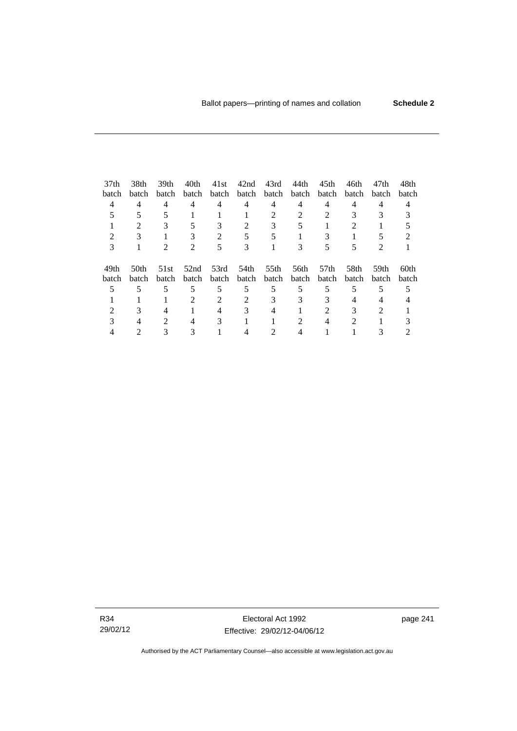| 37 <sub>th</sub> | 38th             | 39 <sub>th</sub>            | 40th                        | 41st  | 42nd  | 43rd        | 44th  | 45 <sub>th</sub> | 46th  | 47th           | 48th  |
|------------------|------------------|-----------------------------|-----------------------------|-------|-------|-------------|-------|------------------|-------|----------------|-------|
| batch            | batch            | batch                       | batch                       | batch |       | batch batch | batch | batch            | batch | batch          | batch |
| 4                | 4                | 4                           | 4                           | 4     | 4     | 4           | 4     | 4                | 4     | 4              |       |
|                  |                  |                             |                             |       |       |             |       |                  |       |                |       |
|                  | $\mathfrak{D}$   | 3                           | 5                           | 3     | 2     | 3           |       |                  | 2     |                |       |
|                  |                  |                             |                             |       |       |             |       |                  |       |                |       |
| 3                |                  | $\mathcal{D}_{\mathcal{L}}$ | $\mathcal{D}_{\mathcal{L}}$ | 5     | 3     |             | 3     |                  |       | $\mathfrak{D}$ |       |
| 49th             | 50 <sub>th</sub> | 51st                        | 52nd                        | 53rd  | 54th  | 55th        | 56th  | 57th             | 58th  | 59th           | 60th  |
| batch            | batch            | batch                       | batch                       | batch | batch | batch       | batch | batch            | batch | batch          | batch |
|                  |                  | 5                           | 5                           | 5     | 5     | 5           | 5     | 5                | 5     | 5              |       |
|                  |                  |                             |                             |       |       |             | 3     |                  |       |                |       |
|                  |                  |                             |                             |       |       |             |       |                  |       | $\mathcal{D}$  |       |
|                  |                  | $\mathcal{D}_{\mathcal{L}}$ | 4                           | 3     |       |             | 2     |                  | 2     |                |       |
|                  |                  |                             |                             |       |       |             |       |                  |       |                |       |

R34 29/02/12

Electoral Act 1992 Effective: 29/02/12-04/06/12 page 241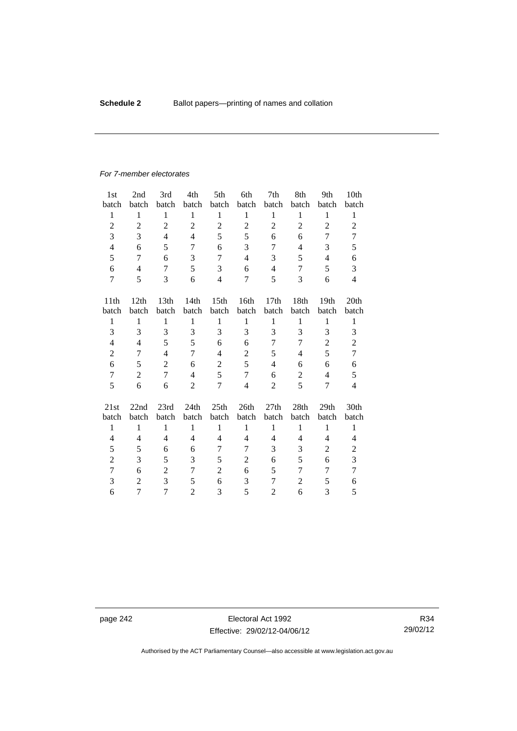#### *For 7-member electorates*

| 1 <sub>st</sub>  | 2nd            | 3rd              | 4th            | 5th              | 6th            | 7th              | 8th            | 9th            | 10th             |
|------------------|----------------|------------------|----------------|------------------|----------------|------------------|----------------|----------------|------------------|
| batch            | batch          | batch            | batch          | batch            | batch          | batch            | batch          | batch          | batch            |
| $\mathbf{1}$     | $\mathbf{1}$   | $\mathbf{1}$     | $\mathbf{1}$   | $\mathbf{1}$     | $\mathbf{1}$   | $\mathbf{1}$     | $\mathbf{1}$   | $\mathbf{1}$   | $\mathbf{1}$     |
| $\overline{2}$   | $\overline{2}$ | $\overline{2}$   | $\overline{2}$ | $\overline{2}$   | $\overline{2}$ | $\overline{c}$   | $\overline{2}$ | $\overline{2}$ | $\overline{2}$   |
| 3                | 3              | $\overline{4}$   | $\overline{4}$ | 5                | 5              | 6                | 6              | 7              | 7                |
| $\overline{4}$   | 6              | 5                | 7              | 6                | 3              | 7                | $\overline{4}$ | 3              | 5                |
| 5                | 7              | 6                | 3              | $\overline{7}$   | $\overline{4}$ | 3                | 5              | $\overline{4}$ | 6                |
| 6                | $\overline{4}$ | 7                | 5              | 3                | 6              | 4                | 7              | 5              | 3                |
| $\tau$           | 5              | 3                | 6              | $\overline{4}$   | $\overline{7}$ | 5                | 3              | 6              | $\overline{4}$   |
| 11 <sup>th</sup> | 12th           | 13 <sup>th</sup> | 14th           | 15 <sup>th</sup> | 16th           | 17 <sub>th</sub> | 18th           | 19th           | 20 <sub>th</sub> |
| batch            | batch          | batch            | batch          | batch            | batch          | batch            | batch          | batch          | batch            |
| $\mathbf{1}$     | $\mathbf{1}$   | $\mathbf{1}$     | $\mathbf{1}$   | $\mathbf{1}$     | $\mathbf{1}$   | $\mathbf{1}$     | $\mathbf{1}$   | $\mathbf{1}$   | $\mathbf{1}$     |
| 3                | 3              | 3                | 3              | 3                | 3              | 3                | 3              | 3              | 3                |
| $\overline{4}$   | 4              | 5                | 5              | 6                | 6              | 7                | 7              | $\overline{2}$ | $\overline{c}$   |
| $\overline{2}$   | 7              | $\overline{4}$   | 7              | $\overline{4}$   | $\overline{c}$ | 5                | 4              | 5              | $\tau$           |
| 6                | 5              | $\overline{2}$   | 6              | $\boldsymbol{2}$ | 5              | 4                | 6              | 6              | 6                |
| $\tau$           | $\overline{2}$ | 7                | $\overline{4}$ | 5                | $\overline{7}$ | 6                | $\overline{2}$ | $\overline{4}$ | 5                |
| 5                | 6              | 6                | $\overline{2}$ | $\overline{7}$   | $\overline{4}$ | 2                | 5              | 7              | $\overline{4}$   |
| 21st             | 22nd           | 23rd             | 24th           | 25th             | 26th           | 27th             | 28th           | 29th           | 30th             |
| batch            | batch          | batch            | batch          | batch            | batch          | batch            | batch          | batch          | batch            |
| $\mathbf{1}$     | $\mathbf{1}$   | $\mathbf{1}$     | $\mathbf{1}$   | 1                | $\mathbf{1}$   | $\mathbf{1}$     | 1              | $\mathbf{1}$   | $\mathbf{1}$     |
| 4                | 4              | $\overline{4}$   | $\overline{4}$ | 4                | 4              | 4                | 4              | 4              | 4                |
| 5                | 5              | 6                | 6              | 7                | 7              | 3                | 3              | 2              | $\overline{c}$   |
| $\overline{c}$   | 3              | 5                | 3              | 5                | 2              | 6                | 5              | 6              | 3                |
| 7                | 6              | $\overline{2}$   | 7              | $\overline{2}$   | 6              | 5                | 7              | 7              | $\overline{7}$   |
| 3                | $\overline{2}$ | 3                | 5              | 6                | 3              | 7                | $\overline{2}$ | 5              | 6                |
| 6                | 7              | 7                | $\overline{2}$ | 3                | 5              | $\overline{c}$   | 6              | 3              | 5                |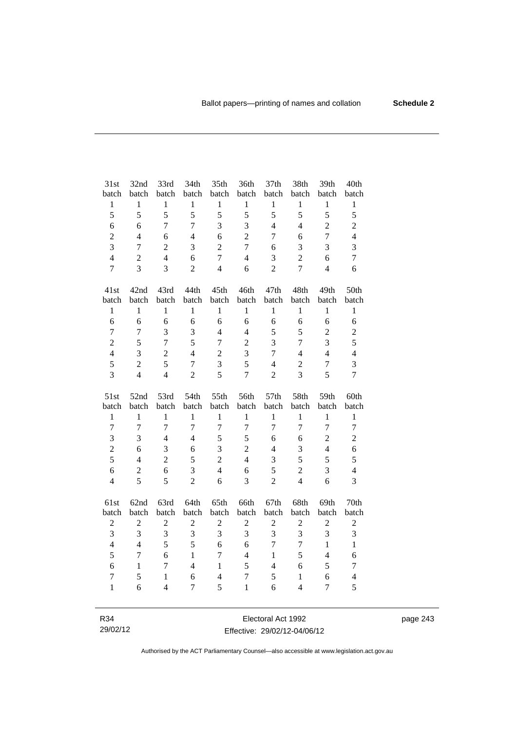| 31st                    | 32nd             | 33rd                           | 34th           | 35th                | 36th                             | 37th           | 38th                           | 39th                | 40th                |
|-------------------------|------------------|--------------------------------|----------------|---------------------|----------------------------------|----------------|--------------------------------|---------------------|---------------------|
| batch                   | batch            | batch                          | batch          | batch               | batch                            | batch          | batch                          | batch               | batch               |
| $\,1$                   | $\,1$            | $\mathbf 1$                    | $\mathbf{1}$   | $\,1$               | $\,1$                            | $\,1$          | $\,1$                          | $\mathbf{1}$        | $\mathbf{1}$        |
| 5                       | 5                | 5                              | 5              | 5                   | 5                                | 5              | 5                              | 5                   | 5                   |
| 6                       | 6                | $\overline{7}$                 | $\overline{7}$ | 3                   | 3                                | $\overline{4}$ | $\overline{4}$                 | $\overline{2}$      | $\overline{c}$      |
| $\overline{2}$          | $\overline{4}$   | 6                              | $\overline{4}$ | 6                   | $\overline{2}$                   | $\tau$         | 6                              | $\overline{7}$      | $\overline{4}$      |
| 3                       | $\overline{7}$   | $\overline{2}$                 | 3              | $\overline{2}$      | $\overline{7}$                   | 6              | 3                              | 3                   | 3                   |
| $\overline{4}$          | $\overline{2}$   | $\overline{4}$                 | 6              | $\overline{7}$      | $\overline{4}$                   | 3              | $\overline{2}$                 | 6                   | $\overline{7}$      |
| $\overline{7}$          | $\overline{3}$   | 3                              | $\overline{2}$ | $\overline{4}$      | 6                                | $\overline{2}$ | $\overline{7}$                 | $\overline{4}$      | 6                   |
| 41st                    | 42nd             | 43rd                           | 44th           | 45th                | 46th                             | 47th           | 48th                           | 49th                | 50th                |
| batch                   | batch            | batch                          | batch          | batch               | batch                            | batch          | batch                          | batch               | batch               |
| $\mathbf{1}$            | $\mathbf{1}$     | $\mathbf{1}$                   | $\mathbf{1}$   | $\mathbf{1}$        | $\mathbf{1}$                     | $\mathbf{1}$   | $\mathbf{1}$                   | $\mathbf{1}$        | $\mathbf{1}$        |
| 6                       | 6                | 6                              | 6              | 6                   | 6                                | 6              | 6                              | 6                   | 6                   |
| $\tau$                  | $\overline{7}$   | 3                              | 3              | $\overline{4}$      | $\overline{4}$                   | 5              | 5                              | $\overline{c}$      | $\mathbf{2}$        |
| $\overline{c}$          | 5                | $\boldsymbol{7}$               | 5              | $\overline{7}$      | $\overline{c}$                   | 3              | $\tau$                         | 3                   | 5                   |
| $\overline{4}$          | 3                | $\overline{2}$                 | $\overline{4}$ | $\overline{2}$      | $\overline{3}$                   | $\overline{7}$ | $\overline{4}$                 | $\overline{4}$      | $\overline{4}$      |
| 5                       | $\overline{2}$   | 5                              | $\overline{7}$ | 3                   | 5                                | $\overline{4}$ | $\overline{2}$                 | $\overline{7}$      | 3                   |
| 3                       | $\overline{4}$   | $\overline{4}$                 | $\overline{2}$ | 5                   | $\overline{7}$                   | $\overline{2}$ | $\overline{3}$                 | 5                   | $\overline{7}$      |
|                         |                  |                                |                |                     |                                  |                |                                |                     |                     |
| 51st                    | 52nd             | 53rd                           | 54th           | 55th                | 56th                             | 57th           | 58th                           | 59th                | 60th                |
| batch                   | batch            | batch                          | batch          | batch               | batch                            | batch          | batch                          | batch               | batch               |
| $\mathbf{1}$            | $\mathbf{1}$     | $\mathbf{1}$                   | $\mathbf{1}$   | $\mathbf{1}$        | $\mathbf{1}$                     | $\mathbf{1}$   | $\mathbf{1}$                   | $\mathbf{1}$        | $\mathbf{1}$        |
| $\overline{7}$          | $\overline{7}$   | $\overline{7}$                 | $\overline{7}$ | $\overline{7}$      | $\boldsymbol{7}$                 | $\overline{7}$ | $\tau$                         | $\overline{7}$      | $\boldsymbol{7}$    |
| 3                       | $\overline{3}$   | $\overline{4}$                 | $\overline{4}$ | 5                   | 5                                | 6              | 6                              | $\overline{2}$      | $\overline{2}$      |
| $\overline{2}$          | 6                | 3                              | 6              | 3                   | $\overline{2}$                   | $\overline{4}$ | 3                              | $\overline{4}$      | 6                   |
| 5                       | $\overline{4}$   | $\overline{2}$                 | 5              | $\overline{2}$      | $\overline{4}$                   | 3              | 5                              | 5                   | 5                   |
| 6                       | $\boldsymbol{2}$ | $\overline{6}$                 | 3              | $\overline{4}$      | 6                                | 5              | $\overline{c}$                 | 3                   | $\overline{4}$      |
| $\overline{4}$          | 5                | 5                              | $\overline{2}$ | 6                   | $\overline{3}$                   | $\overline{2}$ | $\overline{4}$                 | 6                   | $\overline{3}$      |
| 61st                    | 62nd             | 63rd                           | 64th           | 65th                | 66th                             | 67th           | 68th                           | 69th                | 70th                |
| batch                   | batch            | batch                          | batch          | batch               | batch                            | batch          | batch                          | batch               | batch               |
| $\overline{c}$          | $\sqrt{2}$       | $\overline{c}$                 | $\overline{2}$ | $\sqrt{2}$          | $\sqrt{2}$                       | $\overline{c}$ | $\overline{c}$                 | $\sqrt{2}$          | $\sqrt{2}$          |
| 3                       | 3                | 3                              | 3              | 3                   | 3                                | 3              | 3                              | 3                   | 3                   |
| $\overline{\mathbf{4}}$ | $\overline{4}$   | 5                              | 5              | 6                   | 6                                | $\overline{7}$ | $\overline{7}$                 | $\mathbf{1}$        | $\mathbf{1}$        |
| 5                       | $\overline{7}$   | 6                              | $\mathbf{1}$   | $\overline{7}$      | $\overline{4}$                   | $\mathbf{1}$   | 5                              | $\overline{4}$      | 6                   |
| 6                       | $\mathbf{1}$     | $\overline{7}$                 | $\overline{4}$ | $\mathbf{1}$        | 5                                | $\overline{4}$ | 6                              | 5                   | $\tau$              |
| $\tau$<br>$\mathbf{1}$  | 5<br>6           | $\mathbf{1}$<br>$\overline{4}$ | 6<br>$\tau$    | $\overline{4}$<br>5 | $\boldsymbol{7}$<br>$\mathbf{1}$ | 5<br>6         | $\mathbf{1}$<br>$\overline{4}$ | 6<br>$\overline{7}$ | $\overline{4}$<br>5 |

R34 29/02/12

Electoral Act 1992 Effective: 29/02/12-04/06/12 page 243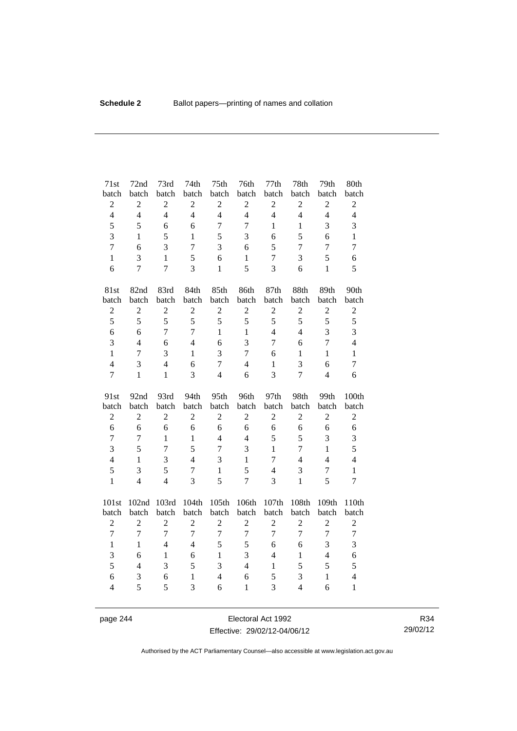| 71st                | 72nd           | 73rd           | 74th              | 75th                | 76th              | 77th           | 78th                             | 79th           | 80th                                    |
|---------------------|----------------|----------------|-------------------|---------------------|-------------------|----------------|----------------------------------|----------------|-----------------------------------------|
| batch               | batch          | batch          | batch             | batch               | batch             | batch          | batch                            | batch          | batch                                   |
| $\sqrt{2}$          | $\overline{c}$ | $\overline{c}$ | $\overline{c}$    | $\sqrt{2}$          | $\overline{c}$    | $\overline{2}$ | $\boldsymbol{2}$                 | $\sqrt{2}$     | $\sqrt{2}$                              |
| $\overline{4}$      | $\overline{4}$ | $\overline{4}$ | $\overline{4}$    | $\overline{4}$      | $\overline{4}$    | $\overline{4}$ | $\overline{4}$                   | $\overline{4}$ | $\overline{4}$                          |
| 5                   | 5              | 6              | 6                 | $\boldsymbol{7}$    | $\overline{7}$    | $\mathbf{1}$   | $\mathbf{1}$                     | 3              | 3                                       |
| 3                   | $\mathbf{1}$   | 5              | $\mathbf{1}$      | 5                   | 3                 | 6              | 5                                | 6              | $\,1\,$                                 |
| $\overline{7}$      | 6              | 3              | $\overline{7}$    | 3                   | 6                 | 5              | $\tau$                           | $\overline{7}$ | $\boldsymbol{7}$                        |
| $\mathbf{1}$        | 3              | $\mathbf{1}$   | 5                 | 6                   | $\mathbf{1}$      | $\overline{7}$ | 3                                | 5              | $\sqrt{6}$                              |
| 6                   | $\overline{7}$ | $\overline{7}$ | 3                 | $\mathbf{1}$        | 5                 | 3              | 6                                | $\mathbf{1}$   | 5                                       |
| 81st                | 82nd           | 83rd           | 84th              | 85th                | 86th              | 87th           | 88th                             | 89th           | 90th                                    |
| batch               | batch          | batch          | batch             | batch               | batch             | batch          | batch                            | batch          | batch                                   |
| $\sqrt{2}$          | $\overline{c}$ | $\overline{c}$ | $\overline{c}$    | $\overline{c}$      | $\sqrt{2}$        | $\sqrt{2}$     | $\overline{2}$                   | $\overline{c}$ | $\sqrt{2}$                              |
| 5                   | 5              | 5              | 5                 | 5                   | 5                 | 5              | 5                                | 5              | 5                                       |
| 6                   | 6              | $\overline{7}$ | $\overline{7}$    | $\mathbf{1}$        | $\mathbf{1}$      | $\overline{4}$ | $\overline{4}$                   | $\overline{3}$ | 3                                       |
| 3                   | $\overline{4}$ | 6              | $\overline{4}$    | 6                   | 3                 | $\overline{7}$ | 6                                | $\overline{7}$ | $\overline{4}$                          |
| $\mathbf{1}$        | $\tau$         | 3              | $\mathbf{1}$      | 3                   | $\overline{7}$    | 6              | $\mathbf{1}$                     | $\mathbf{1}$   | $\,1\,$                                 |
| $\overline{4}$      | 3              | $\overline{4}$ | 6                 | $\overline{7}$      | $\overline{4}$    | $\mathbf{1}$   | 3                                | 6              | $\tau$                                  |
| $\overline{7}$      | $\mathbf{1}$   | $\mathbf{1}$   | 3                 | $\overline{4}$      | 6                 | 3              | $\overline{7}$                   | $\overline{4}$ | 6                                       |
|                     |                |                |                   |                     |                   |                |                                  |                |                                         |
| 91st                | 92nd           | 93rd           | 94th              | 95th                | 96th              | 97th           | 98th                             | 99th           | 100th                                   |
| batch               | batch          | batch          | batch             | batch               | batch             | batch          | batch                            | batch          | batch                                   |
| $\sqrt{2}$          | $\overline{c}$ | $\overline{c}$ | $\overline{c}$    | $\overline{c}$      | $\overline{2}$    | $\mathbf{2}$   | $\overline{2}$                   | $\overline{2}$ | $\sqrt{2}$                              |
| 6                   | 6              | 6              | 6                 | 6                   | 6                 | 6              | 6                                | 6              | 6                                       |
| $\overline{7}$      | 7              | $\mathbf{1}$   | $\mathbf{1}$      | $\overline{4}$      | $\overline{4}$    | 5              | 5                                | 3              | 3                                       |
| $\overline{3}$      | 5              | $\overline{7}$ | 5                 | $\overline{7}$      | 3                 | $\mathbf{1}$   | $\overline{7}$                   | $\mathbf{1}$   | 5                                       |
| $\overline{4}$      | $\mathbf{1}$   | 3              | $\overline{4}$    | 3                   | $\mathbf{1}$      | $\overline{7}$ | $\overline{4}$                   | $\overline{4}$ | $\overline{4}$                          |
| 5                   | 3              | 5              | $\tau$            | $\mathbf{1}$        | 5                 | $\overline{4}$ | $\mathfrak{Z}$                   | $\overline{7}$ | $\,1\,$                                 |
| $\mathbf{1}$        | $\overline{4}$ | $\overline{4}$ | $\overline{3}$    | 5                   | $\overline{7}$    | 3              | $\mathbf{1}$                     | 5              | $\overline{7}$                          |
| 101st               | 102nd          | 103rd          | 104th             | 105th               | 106th             | 107th          | 108th                            | 109th          | 110th                                   |
| batch               | batch          | batch          | batch             | batch               | batch             | batch          | batch                            | batch          | batch                                   |
| $\overline{2}$      | $\overline{c}$ | $\overline{c}$ | $\overline{2}$    | $\overline{c}$      | $\overline{c}$    | $\overline{2}$ | $\overline{2}$                   | $\overline{c}$ | $\mathfrak{2}$                          |
| $\overline{7}$      | $\overline{7}$ | $\overline{7}$ | $\overline{7}$    | $\overline{7}$      | $\overline{7}$    | $\overline{7}$ | $\overline{7}$                   | $\overline{7}$ | $\overline{7}$                          |
| $\mathbf{1}$        | $\mathbf{1}$   | $\overline{4}$ | $\overline{4}$    | 5                   | 5                 | 6              | 6                                | 3              | 3                                       |
| 3                   | 6              | $\mathbf{1}$   | 6                 | $\mathbf{1}$        | 3                 | $\overline{4}$ | $\mathbf{1}$                     | $\overline{4}$ | 6                                       |
| 5                   | $\overline{4}$ | 3              | 5                 | $\overline{3}$      | $\overline{4}$    | $\mathbf{1}$   | 5                                | 5              | 5                                       |
| 6<br>$\overline{4}$ | 3<br>5         | 6<br>5         | $\mathbf{1}$<br>3 | $\overline{4}$<br>6 | 6<br>$\mathbf{1}$ | 5<br>3         | $\mathfrak{Z}$<br>$\overline{4}$ | $\,1$<br>6     | $\overline{\mathbf{4}}$<br>$\mathbf{1}$ |

page 244 Electoral Act 1992 Effective: 29/02/12-04/06/12

R34 29/02/12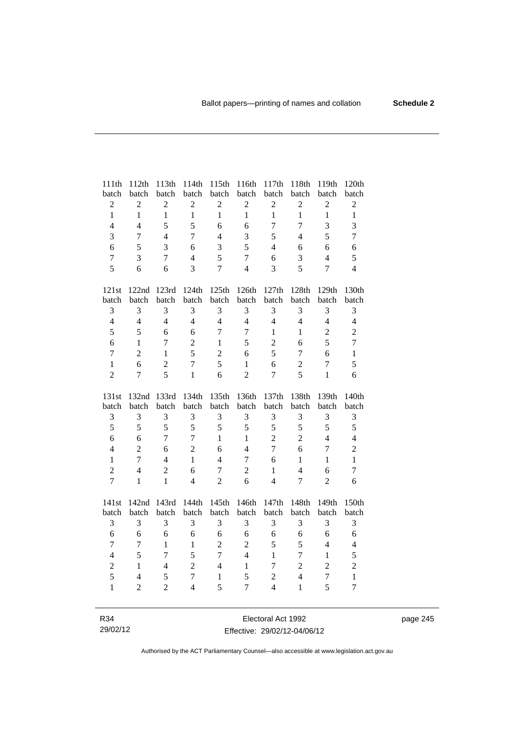| 111th            | 112th            | 113th          | 114th          | 115th            | 116th            | 117th          | 118th            | 119th          | 120th          |
|------------------|------------------|----------------|----------------|------------------|------------------|----------------|------------------|----------------|----------------|
| batch            | batch            | batch          | batch          | batch            | batch            | batch          | batch            | batch          | batch          |
| $\sqrt{2}$       | $\boldsymbol{2}$ | $\sqrt{2}$     | $\sqrt{2}$     | $\boldsymbol{2}$ | $\mathbf{2}$     | $\mathbf{2}$   | $\sqrt{2}$       | $\mathbf{2}$   | $\overline{c}$ |
| $\mathbf{1}$     | $\mathbf{1}$     | $\mathbf{1}$   | $\mathbf{1}$   | $\mathbf{1}$     | $\mathbf{1}$     | $\mathbf{1}$   | $\mathbf{1}$     | $\mathbf{1}$   | $\mathbf{1}$   |
| $\overline{4}$   | $\overline{4}$   | 5              | 5              | 6                | 6                | $\tau$         | $\overline{7}$   | 3              | 3              |
| 3                | $\tau$           | $\overline{4}$ | $\overline{7}$ | $\overline{4}$   | 3                | 5              | $\overline{4}$   | 5              | $\overline{7}$ |
| 6                | 5                | 3              | 6              | 3                | 5                | $\overline{4}$ | 6                | 6              | 6              |
| $\boldsymbol{7}$ | 3                | $\overline{7}$ | $\overline{4}$ | 5                | $\overline{7}$   | 6              | 3                | $\overline{4}$ | 5              |
| 5                | 6                | 6              | $\overline{3}$ | $\overline{7}$   | $\overline{4}$   | 3              | 5                | $\overline{7}$ | $\overline{4}$ |
| 121st            | 122nd            | 123rd          | 124th          | 125th            | 126th            | 127th          | $128\mathrm{th}$ | 129th          | 130th          |
| batch            | batch            | batch          | batch          | batch            | batch            | batch          | batch            | batch          | batch          |
| 3                | 3                | 3              | 3              | 3                | 3                | 3              | 3                | 3              | 3              |
| $\overline{4}$   | $\overline{4}$   | $\overline{4}$ | $\overline{4}$ | $\overline{4}$   | $\overline{4}$   | $\overline{4}$ | $\overline{4}$   | $\overline{4}$ | $\overline{4}$ |
| 5                | 5                | 6              | 6              | $\overline{7}$   | $\overline{7}$   | 1              | $\mathbf{1}$     | $\sqrt{2}$     | $\overline{c}$ |
| 6                | $\mathbf{1}$     | 7              | $\overline{c}$ | $\mathbf{1}$     | 5                | $\overline{2}$ | 6                | 5              | $\overline{7}$ |
| $\overline{7}$   | $\overline{2}$   | $\mathbf{1}$   | 5              | $\overline{2}$   | 6                | 5              | $\tau$           | 6              | $\mathbf{1}$   |
| $\mathbf{1}$     | 6                | $\overline{2}$ | $\overline{7}$ | 5                | $\mathbf{1}$     | 6              | $\sqrt{2}$       | $\overline{7}$ | 5              |
| $\overline{2}$   | 7                | 5              | $\mathbf{1}$   | 6                | $\overline{2}$   | 7              | 5                | $\mathbf{1}$   | 6              |
|                  |                  |                |                |                  |                  |                |                  |                |                |
| 131st            | 132nd            | 133rd          | 134th          | 135th            | 136th            | 137th          | 138th            | 139th          | 140th          |
| batch            | batch            | batch          | batch          | batch            | batch            | batch          | batch            | batch          | batch          |
| $\mathfrak 3$    | 3                | 3              | 3              | 3                | $\mathfrak{Z}$   | 3              | 3                | 3              | $\mathfrak{Z}$ |
| 5                | 5                | 5              | 5              | 5                | 5                | 5              | 5                | 5              | 5              |
| 6                | 6                | $\overline{7}$ | $\overline{7}$ | $\mathbf{1}$     | $\mathbf{1}$     | $\overline{c}$ | $\overline{c}$   | $\overline{4}$ | $\overline{4}$ |
| $\overline{4}$   | $\overline{2}$   | 6              | $\overline{2}$ | 6                | $\overline{4}$   | $\overline{7}$ | 6                | $\overline{7}$ | $\overline{c}$ |
| $\mathbf{1}$     | $\tau$           | $\overline{4}$ | $\mathbf{1}$   | $\overline{4}$   | $\boldsymbol{7}$ | 6              | $\mathbf{1}$     | $\mathbf{1}$   | $\mathbf{1}$   |
| $\overline{c}$   | $\overline{4}$   | $\overline{2}$ | 6              | $\overline{7}$   | $\overline{2}$   | $\mathbf{1}$   | $\overline{4}$   | 6              | $\tau$         |
| $\overline{7}$   | $\mathbf{1}$     | $\mathbf{1}$   | $\overline{4}$ | $\overline{2}$   | 6                | $\overline{4}$ | $\overline{7}$   | $\overline{2}$ | 6              |
| 141st            | 142nd            | 143rd          | 144th          | 145th            | 146th            | 147th          | 148th            | 149th          | 150th          |
| batch            | batch            | batch          | batch          | batch            | batch            | batch          | batch            | batch          | batch          |
| 3                | 3                | 3              | 3              | 3                | 3                | 3              | 3                | 3              | 3              |
| 6                | 6                | 6              | 6              | 6                | 6                | 6              | $\sqrt{6}$       | 6              | 6              |
| $\overline{7}$   | $\tau$           | $\mathbf{1}$   | $\mathbf{1}$   | $\overline{2}$   | $\overline{2}$   | 5              | 5                | $\overline{4}$ | $\overline{4}$ |
| $\overline{4}$   | 5                | $\overline{7}$ | 5              | $\overline{7}$   | $\overline{4}$   | $\mathbf{1}$   | $\overline{7}$   | $\mathbf{1}$   | 5              |
| $\overline{c}$   | $\mathbf{1}$     | $\overline{4}$ | $\overline{2}$ | $\overline{4}$   | $\mathbf{1}$     | $\overline{7}$ | $\overline{c}$   | $\overline{c}$ | $\overline{c}$ |
| 5                | $\overline{4}$   | 5              | $\overline{7}$ | $\mathbf{1}$     | 5                | $\overline{c}$ | $\overline{4}$   | $\overline{7}$ | $\mathbf{1}$   |
| $\mathbf{1}$     | $\overline{2}$   | $\overline{2}$ | $\overline{4}$ | 5                | $\overline{7}$   | $\overline{4}$ | $\mathbf{1}$     | 5              | $\overline{7}$ |

R34 29/02/12

Electoral Act 1992 Effective: 29/02/12-04/06/12 page 245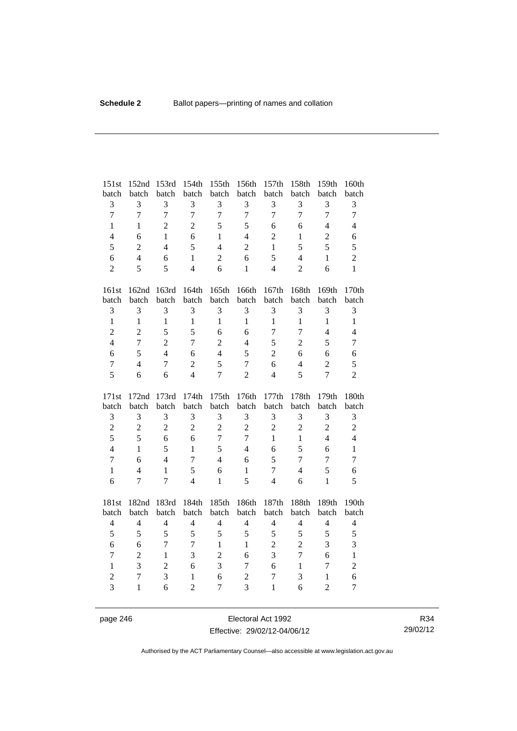| 151st               | 152nd          | 153rd          | 154th                          | 155th               | 156th                            | 157th          | 158th          | 159th                   | 160th               |
|---------------------|----------------|----------------|--------------------------------|---------------------|----------------------------------|----------------|----------------|-------------------------|---------------------|
| batch               | batch          | batch          | batch                          | batch               | batch                            | batch          | batch          | batch                   | batch               |
| $\mathfrak{Z}$      | 3              | 3              | 3                              | $\mathfrak{Z}$      | 3                                | 3              | 3              | 3                       | 3                   |
| $\overline{7}$      | $\overline{7}$ | $\overline{7}$ | $\overline{7}$                 | $\overline{7}$      | $\tau$                           | $\overline{7}$ | $\overline{7}$ | $\overline{7}$          | $\overline{7}$      |
| $\mathbf{1}$        | $\mathbf{1}$   | $\overline{2}$ | $\overline{2}$                 | 5                   | 5                                | 6              | 6              | $\overline{4}$          | $\overline{4}$      |
| $\overline{4}$      | 6              | $\mathbf{1}$   | 6                              | $\mathbf{1}$        | $\overline{4}$                   | $\overline{2}$ | $\mathbf{1}$   | $\overline{2}$          | 6                   |
| 5                   | $\overline{2}$ | $\overline{4}$ | 5                              | $\overline{4}$      | $\overline{c}$                   | $\mathbf{1}$   | 5              | 5                       | 5                   |
| $\sqrt{6}$          | $\overline{4}$ | 6              | $\mathbf{1}$                   | $\overline{2}$      | 6                                | 5              | $\overline{4}$ | $\mathbf{1}$            | $\overline{2}$      |
| $\overline{c}$      | 5              | 5              | $\overline{4}$                 | 6                   | $\mathbf{1}$                     | $\overline{4}$ | $\overline{2}$ | 6                       | $\mathbf{1}$        |
| 161st               | 162nd          | 163rd          | 164th                          | 165th               | 166th                            | 167th          | 168th          | 169th                   | 170th               |
| batch               | batch          | batch          | batch                          | batch               | batch                            | batch          | batch          | batch                   | batch               |
| $\mathfrak{Z}$      | 3              | 3              | 3                              | $\mathfrak{Z}$      | 3                                | 3              | 3              | $\mathfrak{Z}$          | 3                   |
| $\mathbf{1}$        | $\mathbf{1}$   | $\mathbf{1}$   | $\mathbf{1}$                   | $\mathbf{1}$        | $\mathbf{1}$                     | $\mathbf{1}$   | $\mathbf{1}$   | $\mathbf{1}$            | $\mathbf{1}$        |
| $\overline{c}$      | $\overline{2}$ | 5              | 5                              | 6                   | 6                                | $\overline{7}$ | $\overline{7}$ | $\overline{4}$          | $\overline{4}$      |
| $\overline{4}$      | $\overline{7}$ | $\overline{2}$ | 7                              | $\overline{2}$      | $\overline{4}$                   | 5              | $\overline{2}$ | 5                       | $\tau$              |
| 6                   | 5              | $\overline{4}$ | 6                              | $\overline{4}$      | 5                                | $\overline{2}$ | 6              | 6                       | 6                   |
| $\overline{7}$      | $\overline{4}$ | 7              | $\overline{2}$                 | 5                   | $\overline{7}$                   | 6              | $\overline{4}$ | $\overline{2}$          | 5                   |
| 5                   | 6              | 6              | $\overline{4}$                 | $\overline{7}$      | $\overline{2}$                   | $\overline{4}$ | 5              | $\overline{7}$          | $\overline{2}$      |
|                     |                |                |                                |                     |                                  |                |                |                         |                     |
| 171st               | 172nd          | 173rd          | 174th                          | 175th               | 176th                            | 177th          | 178th          | 179th                   | 180th               |
| batch               | batch          | batch          | batch                          | batch               | batch                            | batch          | batch          | batch                   | batch               |
| $\mathfrak{Z}$      | 3              | 3              | 3                              | $\mathfrak{Z}$      | 3                                | 3              | 3              | 3                       | 3                   |
| $\overline{c}$      | $\overline{c}$ | $\overline{2}$ | $\overline{2}$                 | $\overline{2}$      | $\overline{2}$                   | $\overline{2}$ | $\overline{c}$ | $\overline{c}$          | $\overline{c}$      |
| 5                   | 5              | 6              | 6                              | $\overline{7}$      | $\overline{7}$                   | $\mathbf{1}$   | $\mathbf{1}$   | $\overline{4}$          | $\overline{4}$      |
| $\overline{4}$      | $\mathbf{1}$   | 5              | $\mathbf{1}$                   | 5                   | $\overline{4}$                   | 6              | 5              | 6                       | $\mathbf{1}$        |
| $\overline{7}$      | 6              | $\overline{4}$ | $\tau$                         | $\overline{4}$      | 6                                | 5              | 7              | $\overline{7}$          | $\tau$              |
| $\mathbf{1}$        | $\overline{4}$ | $\mathbf{1}$   | 5                              | 6                   | $\mathbf{1}$                     | 7              | $\overline{4}$ | 5                       | 6                   |
| 6                   | $\overline{7}$ | $\overline{7}$ | $\overline{4}$                 | $\mathbf{1}$        | 5                                | $\overline{4}$ | 6              | $\mathbf{1}$            | 5                   |
| 181st               | 182nd          | 183rd          | 184th                          | 185th               | 186th                            | 187th          | 188th          | 189th                   | 190th               |
| batch               | batch          | batch          | batch                          | batch               | batch                            | batch          | batch          | batch                   | batch               |
| $\overline{4}$      | $\overline{4}$ | $\overline{4}$ | $\overline{4}$                 | $\overline{4}$      | $\overline{4}$                   | $\overline{4}$ | $\overline{4}$ | $\overline{4}$          | $\overline{4}$      |
| 5                   | 5              | 5              | 5                              | 5                   | 5                                | 5              | 5              | 5                       | 5                   |
| 6                   | 6              | $\overline{7}$ | $\overline{7}$                 | $\mathbf{1}$        | $\mathbf{1}$                     | $\overline{2}$ | $\overline{2}$ | 3                       | 3                   |
| $\tau$              | $\overline{c}$ | $\mathbf{1}$   | 3                              | $\overline{2}$      | 6                                | 3              | $\overline{7}$ | 6                       | $\mathbf{1}$        |
| $\mathbf{1}$        | 3              | $\overline{2}$ | 6                              | 3                   | $\overline{7}$                   | 6              | $\mathbf{1}$   | $\tau$                  | $\overline{c}$      |
| $\overline{c}$<br>3 | $\overline{7}$ | 3              | $\mathbf{1}$<br>$\overline{2}$ | 6<br>$\overline{7}$ | $\overline{c}$<br>$\overline{3}$ | 7              | 3              | $\,1$<br>$\overline{2}$ | 6<br>$\overline{7}$ |

page 246 Electoral Act 1992 Effective: 29/02/12-04/06/12

R34 29/02/12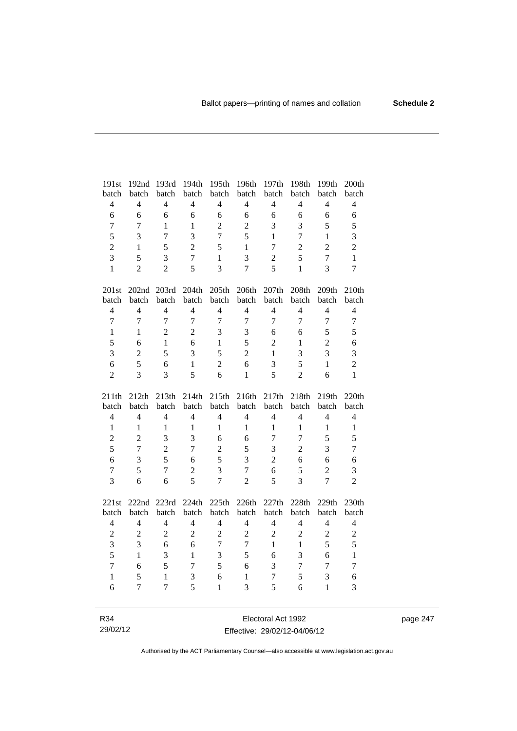| 191st                    | 192nd          | 193rd          | 194th          | 195th          | 196th          | 197th          | 198th          | 199th          | 200th          |
|--------------------------|----------------|----------------|----------------|----------------|----------------|----------------|----------------|----------------|----------------|
| batch                    | batch          | batch          | batch          | batch          | batch          | batch          | batch          | batch          | batch          |
| $\overline{4}$           | $\overline{4}$ | $\overline{4}$ | $\overline{4}$ | $\overline{4}$ | $\overline{4}$ | $\overline{4}$ | $\overline{4}$ | $\overline{4}$ | $\overline{4}$ |
| 6                        | 6              | 6              | 6              | 6              | 6              | 6              | 6              | 6              | 6              |
| $\tau$                   | $\overline{7}$ | $\mathbf{1}$   | $\mathbf{1}$   | $\overline{c}$ | $\overline{c}$ | 3              | 3              | 5              | 5              |
| 5                        | 3              | $\overline{7}$ | $\overline{3}$ | $\overline{7}$ | 5              | $\mathbf{1}$   | $\overline{7}$ | $\mathbf{1}$   | 3              |
| $\overline{c}$           | $\mathbf{1}$   | 5              | $\overline{2}$ | 5              | $\mathbf{1}$   | $\tau$         | $\overline{2}$ | $\overline{2}$ | $\overline{2}$ |
| $\overline{3}$           | 5              | 3              | $\overline{7}$ | $\mathbf{1}$   | 3              | $\overline{c}$ | 5              | $\overline{7}$ | $\mathbf{1}$   |
| $\mathbf{1}$             | $\overline{2}$ | $\overline{2}$ | 5              | $\overline{3}$ | $\overline{7}$ | 5              | $\mathbf{1}$   | $\overline{3}$ | $\overline{7}$ |
|                          |                |                |                |                |                |                |                |                |                |
| 201st                    |                | 202nd 203rd    | 204th          | 205th          | 206th          | 207th          | 208th          | 209th          | 210th          |
| batch                    | batch          | batch          | batch          | batch          | batch          | batch          | batch          | batch          | batch          |
| $\overline{\mathcal{L}}$ | $\overline{4}$ | $\overline{4}$ | $\overline{4}$ | $\overline{4}$ | $\overline{4}$ | $\overline{4}$ | $\overline{4}$ | $\overline{4}$ | $\overline{4}$ |
| $\overline{7}$           | $\overline{7}$ | $\overline{7}$ | $\overline{7}$ | $\overline{7}$ | $\overline{7}$ | 7              | $\overline{7}$ | $\overline{7}$ | $\overline{7}$ |
| $\mathbf{1}$             | $\mathbf{1}$   | $\overline{2}$ | $\overline{2}$ | 3              | 3              | 6              | 6              | 5              | 5              |
| 5                        | 6              | $\mathbf{1}$   | 6              | $\mathbf{1}$   | 5              | $\overline{2}$ | $\mathbf{1}$   | $\overline{2}$ | 6              |
| 3                        | $\overline{2}$ | 5              | 3              | 5              | $\overline{2}$ | $\mathbf{1}$   | 3              | $\overline{3}$ | 3              |
| 6                        | 5              | 6              | $\mathbf{1}$   | $\overline{2}$ | 6              | 3              | 5              | $\mathbf{1}$   | $\overline{2}$ |
| $\overline{2}$           | 3              | 3              | 5              | 6              | $\mathbf{1}$   | 5              | $\overline{2}$ | 6              | $\mathbf{1}$   |
|                          |                |                |                |                |                |                |                |                |                |
|                          |                |                |                |                |                |                |                |                |                |
| 211th                    | 212th          | 213th          | 214th          | 215th          | 216th          | 217th          | 218th          | 219th          | 220th          |
| batch                    | batch          | batch          | batch          | batch          | batch          | batch          | batch          | batch          | batch          |
| $\overline{\mathbf{4}}$  | $\overline{4}$ | $\overline{4}$ | $\overline{4}$ | $\overline{4}$ | $\overline{4}$ | $\overline{4}$ | $\overline{4}$ | $\overline{4}$ | $\overline{4}$ |
| $\mathbf{1}$             | $\mathbf{1}$   | $\mathbf{1}$   | 1              | 1              | 1              | 1              | $\mathbf{1}$   | $\mathbf{1}$   | $\mathbf{1}$   |
| $\overline{c}$           | $\overline{2}$ | 3              | 3              | 6              | 6              | 7              | $\overline{7}$ | 5              | 5              |
| 5                        | $\overline{7}$ | $\overline{2}$ | $\overline{7}$ | $\overline{2}$ | 5              | 3              | $\overline{2}$ | $\overline{3}$ | $\overline{7}$ |
| 6                        | 3              | 5              | 6              | 5              | 3              | $\overline{2}$ | $\sqrt{6}$     | 6              | 6              |
| $\overline{7}$           | 5              | $\overline{7}$ | $\overline{c}$ | 3              | $\overline{7}$ | 6              | 5              | $\overline{2}$ | 3              |
| $\overline{3}$           | 6              | 6              | 5              | $\overline{7}$ | $\overline{2}$ | 5              | 3              | $\overline{7}$ | $\overline{2}$ |
|                          |                |                |                |                |                |                |                |                |                |
| 221st                    | 222nd 223rd    |                | 224th          | 225th          | 226th          | 227th          | 228th          | 229th          | 230th          |
| batch                    | batch          | batch          | batch          | batch          | batch          | batch          | batch          | batch          | batch          |
| $\overline{\mathbf{4}}$  | $\overline{4}$ | $\overline{4}$ | $\overline{4}$ | $\overline{4}$ | $\overline{4}$ | $\overline{4}$ | $\overline{4}$ | $\overline{4}$ | $\overline{4}$ |
| $\overline{2}$           | $\overline{2}$ | $\overline{2}$ | $\overline{2}$ | $\overline{2}$ | $\overline{2}$ | $\overline{2}$ | $\overline{2}$ | $\overline{c}$ | $\overline{c}$ |
| 3                        | 3              | 6              | 6              | $\overline{7}$ | $\overline{7}$ | $\mathbf{1}$   | $\mathbf{1}$   | 5              | 5              |
| 5                        | $\mathbf{1}$   | 3              | $\mathbf{1}$   | $\mathfrak{Z}$ | 5              | 6              | 3              | 6              | $\mathbf{1}$   |
| $\overline{7}$           | 6              | 5              | $\overline{7}$ | 5              | 6              | 3              | $\overline{7}$ | $\overline{7}$ | $\overline{7}$ |
| $\mathbf{1}$             | 5              | $\mathbf{1}$   | 3              | 6              | $\mathbf{1}$   | 7              | 5              | 3              | 6              |
| 6                        | 7              | $\overline{7}$ | 5              | $\mathbf{1}$   | 3              | 5              | 6              | $\mathbf{1}$   | 3              |

page 247

R34 29/02/12

Electoral Act 1992 Effective: 29/02/12-04/06/12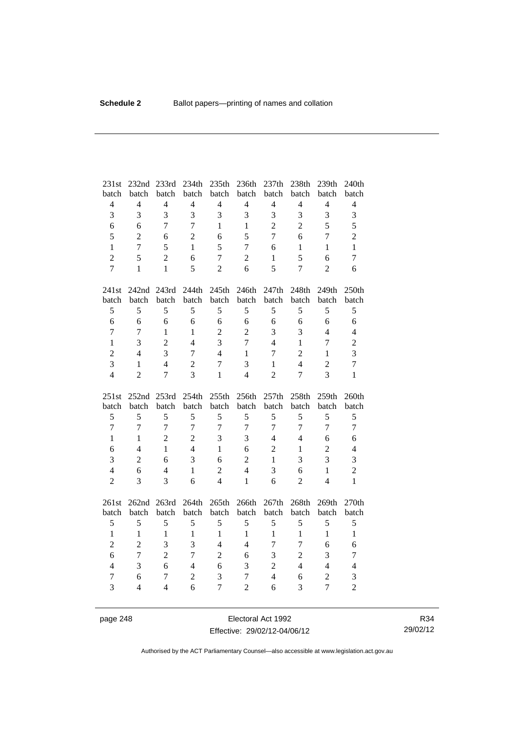| 231st          | 232nd          | 233rd          | 234th          | 235th          | 236th          | 237th          | 238th          | 239th          | 240th          |
|----------------|----------------|----------------|----------------|----------------|----------------|----------------|----------------|----------------|----------------|
| batch          | batch          | batch          | batch          | batch          | batch          | batch          | batch          | batch          | batch          |
| $\overline{4}$ | $\overline{4}$ | $\overline{4}$ | $\overline{4}$ | $\overline{4}$ | $\overline{4}$ | $\overline{4}$ | $\overline{4}$ | $\overline{4}$ | $\overline{4}$ |
| 3              | 3              | $\overline{3}$ | 3              | 3              | 3              | 3              | 3              | 3              | 3              |
| 6              | 6              | 7              | 7              | $\mathbf{1}$   | $\mathbf{1}$   | $\overline{2}$ | $\overline{2}$ | 5              | 5              |
| 5              | $\overline{2}$ | 6              | $\overline{2}$ | 6              | 5              | $\overline{7}$ | 6              | $\overline{7}$ | $\overline{2}$ |
| $\mathbf{1}$   | $\overline{7}$ | 5              | $\mathbf{1}$   | 5              | $\overline{7}$ | 6              | $\mathbf{1}$   | $\mathbf{1}$   | $\mathbf{1}$   |
| $\overline{2}$ | 5              | $\overline{2}$ | 6              | $\overline{7}$ | $\overline{c}$ | 1              | 5              | 6              | $\overline{7}$ |
| $\overline{7}$ | $\mathbf{1}$   | $\mathbf{1}$   | 5              | $\overline{2}$ | 6              | 5              | $\overline{7}$ | $\overline{2}$ | 6              |
| 241st          | 242nd 243rd    |                | 244th          | 245th          | 246th          | 247th          | 248th          | 249th          | 250th          |
| batch          | batch          | batch          | batch          | batch          | batch          | batch          | batch          | batch          | batch          |
| 5              | 5              | 5              | 5              | 5              | 5              | 5              | 5              | 5              | 5              |
| 6              | 6              | 6              | 6              | 6              | 6              | 6              | 6              | 6              | 6              |
| $\overline{7}$ | $\overline{7}$ | $\mathbf{1}$   | $\mathbf{1}$   | $\overline{2}$ | $\overline{2}$ | 3              | 3              | $\overline{4}$ | $\overline{4}$ |
| $\mathbf{1}$   | 3              | $\overline{2}$ | $\overline{4}$ | 3              | $\overline{7}$ | $\overline{4}$ | $\mathbf{1}$   | $\overline{7}$ | $\overline{c}$ |
| $\overline{2}$ | $\overline{4}$ | 3              | $\overline{7}$ | $\overline{4}$ | $\mathbf{1}$   | $\tau$         | $\overline{2}$ | $\mathbf{1}$   | 3              |
| 3              | 1              | $\overline{4}$ | $\overline{c}$ | $\overline{7}$ | 3              | $\mathbf{1}$   | $\overline{4}$ | $\overline{2}$ | $\overline{7}$ |
| $\overline{4}$ | $\overline{2}$ | $\overline{7}$ | $\overline{3}$ | $\mathbf{1}$   | $\overline{4}$ | $\overline{2}$ | $\overline{7}$ | $\overline{3}$ | $\mathbf{1}$   |
|                |                |                |                |                |                |                |                |                |                |
| 251st          | 252nd          | 253rd          | 254th          | 255th          | 256th          | 257th          | 258th          | 259th          | 260th          |
| batch          | batch          | batch          | batch          | batch          | batch          | batch          | batch          | batch          | batch          |
| 5              | 5              | 5              | 5              | 5              | 5              | 5              | 5              | 5              | 5              |
| $\overline{7}$ | $\overline{7}$ | $\overline{7}$ | $\overline{7}$ | $\overline{7}$ | $\overline{7}$ | $\overline{7}$ | $\overline{7}$ | $\overline{7}$ | $\tau$         |
| $\mathbf{1}$   | $\mathbf{1}$   | $\overline{2}$ | $\overline{2}$ | 3              | 3              | $\overline{4}$ | $\overline{4}$ | 6              | 6              |
| 6              | $\overline{4}$ | $\mathbf{1}$   | $\overline{4}$ | $\mathbf{1}$   | 6              | $\overline{2}$ | $\mathbf{1}$   | $\overline{2}$ | $\overline{4}$ |
| 3              | $\overline{c}$ | 6              | 3              | 6              | $\overline{c}$ | $\mathbf{1}$   | 3              | 3              | 3              |
| $\overline{4}$ | 6              | $\overline{4}$ | $\mathbf{1}$   | $\overline{2}$ | $\overline{4}$ | 3              | 6              | $\mathbf{1}$   | $\overline{2}$ |
| $\overline{2}$ | 3              | 3              | 6              | 4              | $\mathbf{1}$   | 6              | $\overline{2}$ | $\overline{4}$ | $\mathbf{1}$   |
| 261st          | 262nd 263rd    |                | 264th          | 265th          | 266th          | 267th          | 268th          | 269th          | 270th          |
| batch          | batch          | batch          | batch          | batch          | batch          | batch          | batch          | batch          | batch          |
| 5              | 5              | 5              | 5              | 5              | 5              | 5              | 5              | 5              | 5              |
| $\mathbf{1}$   | $\mathbf{1}$   | $\mathbf{1}$   | $\mathbf{1}$   | $\mathbf{1}$   | $\mathbf{1}$   | $\mathbf{1}$   | $\mathbf{1}$   | $\mathbf{1}$   | $\mathbf{1}$   |
| $\overline{2}$ | $\overline{2}$ | 3              | 3              | $\overline{4}$ | $\overline{4}$ | 7              | $\tau$         | 6              | 6              |
| 6              | $\overline{7}$ | $\overline{2}$ | $\overline{7}$ | $\overline{2}$ | 6              | 3              | $\overline{c}$ | 3              | $\tau$         |
| $\overline{4}$ | 3              | 6              | $\overline{4}$ | 6              | 3              | $\overline{2}$ | $\overline{4}$ | $\overline{4}$ | $\overline{4}$ |
| 7              | 6              | $\overline{7}$ | $\overline{2}$ | 3              | $\overline{7}$ | $\overline{4}$ | 6              | $\sqrt{2}$     | 3              |

page 248 Electoral Act 1992 Effective: 29/02/12-04/06/12

R34 29/02/12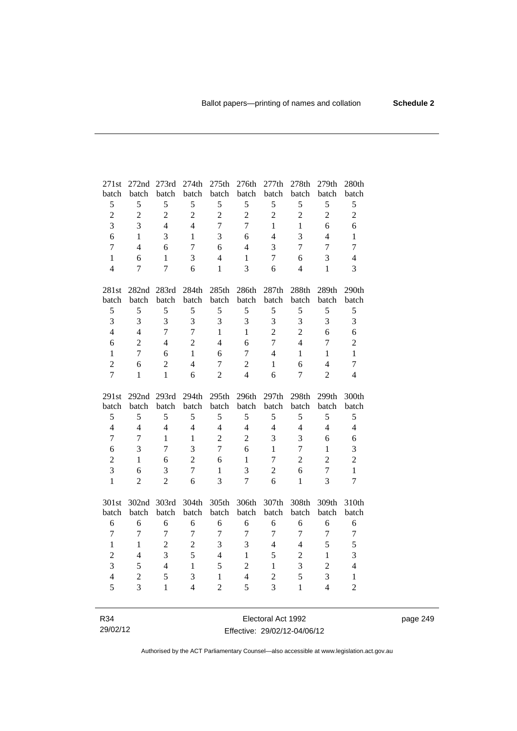| 271st          | 272nd 273rd                |                | 274th            | 275th          | 276th          | 277th          | 278th          | 279th          | 280th            |
|----------------|----------------------------|----------------|------------------|----------------|----------------|----------------|----------------|----------------|------------------|
| batch          | batch                      | batch          | batch            | batch          | batch          | batch          | batch          | batch          | batch            |
| 5              | 5                          | 5              | 5                | 5              | 5              | 5              | 5              | 5              | 5                |
| $\overline{c}$ | $\sqrt{2}$                 | $\overline{c}$ | $\overline{2}$   | $\overline{2}$ | $\sqrt{2}$     | $\sqrt{2}$     | $\overline{c}$ | $\overline{c}$ | $\overline{2}$   |
| $\overline{3}$ | 3                          | $\overline{4}$ | $\overline{4}$   | $\overline{7}$ | $\overline{7}$ | $\mathbf{1}$   | $\mathbf{1}$   | 6              | 6                |
| 6              | $\mathbf{1}$               | 3              | $\mathbf{1}$     | 3              | 6              | $\overline{4}$ | 3              | $\overline{4}$ | $\mathbf{1}$     |
| $\overline{7}$ | $\overline{4}$             | 6              | $\overline{7}$   | 6              | $\overline{4}$ | 3              | $\overline{7}$ | $\overline{7}$ | $\boldsymbol{7}$ |
| $\mathbf{1}$   | 6                          | $\mathbf{1}$   | 3                | $\overline{4}$ | $\mathbf{1}$   | 7              | 6              | 3              | $\overline{4}$   |
| $\overline{4}$ | 7                          | $\overline{7}$ | 6                | $\mathbf{1}$   | 3              | 6              | $\overline{4}$ | 1              | 3                |
| 281st          |                            | 282nd 283rd    | 284th            | 285th          | 286th          | 287th          | 288th          | 289th          | 290th            |
| batch          | batch                      | batch          | batch            | batch          | batch          | batch          | batch          | batch          | batch            |
| $\mathfrak s$  | 5                          | 5              | 5                | 5              | 5              | 5              | 5              | 5              | 5                |
| 3              | 3                          | 3              | 3                | 3              | 3              | 3              | 3              | 3              | $\mathfrak{Z}$   |
| $\overline{4}$ | $\overline{4}$             | $\overline{7}$ | $\overline{7}$   | $\mathbf{1}$   | $\mathbf{1}$   | $\overline{2}$ | $\overline{c}$ | 6              | 6                |
| 6              | $\overline{2}$             | $\overline{4}$ | $\overline{2}$   | $\overline{4}$ | 6              | $\overline{7}$ | $\overline{4}$ | $\overline{7}$ | $\mathbf{2}$     |
| $\mathbf{1}$   | $\overline{7}$             | 6              | $\mathbf{1}$     | 6              | $\tau$         | $\overline{4}$ | 1              | $\mathbf{1}$   | $\mathbf{1}$     |
| $\overline{c}$ | 6                          | $\overline{c}$ | $\overline{4}$   | $\tau$         | $\sqrt{2}$     | $\mathbf{1}$   | 6              | $\overline{4}$ | $\tau$           |
| $\overline{7}$ | 1                          | $\mathbf{1}$   | 6                | $\overline{2}$ | $\overline{4}$ | 6              | 7              | $\overline{2}$ | $\overline{4}$   |
|                |                            |                |                  |                |                |                |                |                |                  |
| 291st          |                            | 293rd          | 294th            | 295th          | 296th          | 297th          | 298th          | 299th          | 300th            |
| batch          | 292 <sub>nd</sub><br>batch | batch          | batch            | batch          | batch          | batch          | batch          | batch          | batch            |
| $\mathfrak s$  | 5                          | 5              | 5                | 5              | 5              | 5              | 5              | 5              | 5                |
| $\overline{4}$ | $\overline{4}$             | $\overline{4}$ | $\overline{4}$   | $\overline{4}$ | $\overline{4}$ | $\overline{4}$ | $\overline{4}$ | $\overline{4}$ | $\overline{4}$   |
| $\overline{7}$ | $\overline{7}$             | $\mathbf{1}$   | $\mathbf{1}$     | $\overline{2}$ | $\overline{2}$ | 3              | 3              | 6              | 6                |
| 6              | 3                          | $\overline{7}$ | $\overline{3}$   | $\overline{7}$ | 6              | $\mathbf{1}$   | $\overline{7}$ | $\mathbf{1}$   | 3                |
| $\sqrt{2}$     | 1                          | 6              | $\overline{2}$   | 6              | $\mathbf{1}$   | 7              | $\overline{2}$ | $\overline{2}$ | $\overline{2}$   |
| $\overline{3}$ | 6                          | 3              | $\boldsymbol{7}$ | $\mathbf{1}$   | 3              | $\overline{2}$ | 6              | $\tau$         | $\mathbf{1}$     |
| $\mathbf{1}$   | $\overline{2}$             | $\overline{2}$ | 6                | $\overline{3}$ | $\overline{7}$ | 6              | $\mathbf{1}$   | $\overline{3}$ | $\overline{7}$   |
| 301st          |                            | 302nd 303rd    | 304th            | 305th          | 306th          | 307th          | 308th          | 309th          | 310th            |
| batch          | batch                      | batch          | batch            | batch          | batch          | batch          | batch          | batch          | batch            |
| 6              | 6                          | 6              | 6                | 6              | 6              | 6              | 6              | 6              | 6                |
| 7              | $\overline{7}$             | $\tau$         | $\tau$           | 7              | $\overline{7}$ | $\overline{7}$ | 7              | 7              | $\tau$           |
| $\mathbf{1}$   | 1                          | $\overline{c}$ | $\overline{c}$   | 3              | 3              | $\overline{4}$ | $\overline{4}$ | 5              | 5                |
| $\overline{c}$ | $\overline{4}$             | 3              | 5                | $\overline{4}$ | $\mathbf{1}$   | 5              | $\overline{2}$ | $\mathbf{1}$   | 3                |
| $\overline{3}$ | 5                          | $\overline{4}$ | $\mathbf{1}$     | 5              | $\overline{2}$ | $\mathbf{1}$   | 3              | $\overline{2}$ | $\overline{4}$   |
| $\overline{4}$ | $\overline{c}$             | 5              | 3                | $\mathbf{1}$   | $\overline{4}$ | $\overline{c}$ | 5              | 3              | $\mathbf{1}$     |
| 5              | $\overline{3}$             | $\overline{1}$ | $\overline{4}$   | $\overline{2}$ | 5              | 3              | $\mathbf{1}$   | $\overline{4}$ | $\overline{2}$   |

R34 29/02/12

Electoral Act 1992 Effective: 29/02/12-04/06/12 page 249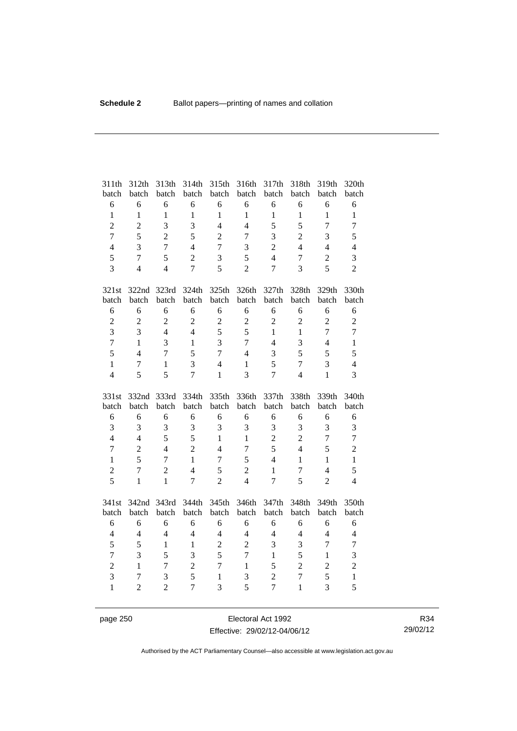| 311th                          | 312th               | 313th             | 314th             | 315th                          | 316th                          | 317th             | 318th             | 319th                          | 320th                          |
|--------------------------------|---------------------|-------------------|-------------------|--------------------------------|--------------------------------|-------------------|-------------------|--------------------------------|--------------------------------|
| batch                          | batch               | batch             | batch             | batch                          | batch                          | batch             | batch             | batch                          | batch                          |
| 6                              | 6                   | 6                 | 6                 | 6                              | 6                              | 6                 | 6                 | 6                              | 6                              |
| $\mathbf{1}$<br>$\overline{c}$ | $\mathbf{1}$        | $\mathbf{1}$<br>3 | $\mathbf{1}$<br>3 | $\mathbf{1}$<br>$\overline{4}$ | $\mathbf{1}$<br>$\overline{4}$ | $\mathbf{1}$<br>5 | $\mathbf{1}$<br>5 | $\mathbf{1}$<br>$\overline{7}$ | $\mathbf{1}$<br>$\overline{7}$ |
| $\overline{7}$                 | $\overline{c}$<br>5 | $\overline{2}$    | 5                 |                                |                                |                   |                   | $\overline{3}$                 |                                |
|                                |                     |                   |                   | $\overline{2}$                 | $\overline{7}$                 | 3                 | $\overline{2}$    |                                | 5                              |
| $\overline{4}$                 | 3                   | $\overline{7}$    | $\overline{4}$    | $\overline{7}$                 | 3                              | $\overline{2}$    | $\overline{4}$    | $\overline{4}$                 | $\overline{4}$                 |
| 5                              | $\overline{7}$      | 5                 | $\overline{2}$    | 3                              | 5                              | $\overline{4}$    | 7                 | $\overline{c}$                 | 3                              |
| $\overline{3}$                 | $\overline{4}$      | $\overline{4}$    | $\overline{7}$    | 5                              | $\overline{2}$                 | $\overline{7}$    | 3                 | 5                              | $\overline{2}$                 |
| 321st                          | 322nd               | 323rd             | 324th             | 325th                          | 326th                          | 327th             | 328th             | 329th                          | 330th                          |
| batch                          | batch               | batch             | batch             | batch                          | batch                          | batch             | batch             | batch                          | batch                          |
| 6                              | 6                   | 6                 | 6                 | 6                              | 6                              | 6                 | 6                 | 6                              | 6                              |
| $\overline{2}$                 | $\overline{2}$      | $\overline{c}$    | $\overline{2}$    | $\overline{c}$                 | $\overline{c}$                 | $\overline{c}$    | $\overline{2}$    | $\overline{2}$                 | $\overline{c}$                 |
| $\overline{3}$                 | 3                   | $\overline{4}$    | $\overline{4}$    | 5                              | 5                              | $\mathbf{1}$      | $\mathbf{1}$      | $\overline{7}$                 | $\overline{7}$                 |
| $\overline{7}$                 | $\mathbf{1}$        | $\overline{3}$    | $\mathbf{1}$      | 3                              | $\boldsymbol{7}$               | $\overline{4}$    | 3                 | $\overline{4}$                 | $\mathbf{1}$                   |
| 5                              | $\overline{4}$      | $\overline{7}$    | 5                 | $\overline{7}$                 | $\overline{4}$                 | 3                 | 5                 | 5                              | 5                              |
| $\mathbf{1}$                   | $\overline{7}$      | 1                 | 3                 | $\overline{4}$                 | $\mathbf{1}$                   | 5                 | $\overline{7}$    | 3                              | $\overline{4}$                 |
| $\overline{4}$                 | 5                   | 5                 | $\overline{7}$    | $\mathbf{1}$                   | 3                              | $\overline{7}$    | $\overline{4}$    | $\mathbf{1}$                   | $\overline{3}$                 |
|                                |                     |                   |                   |                                |                                |                   |                   |                                |                                |
| 331st                          | 332nd               | 333rd             | 334th             | 335th                          | 336th                          | 337th             | 338th             | 339th                          | 340th                          |
| batch                          | batch               | batch             | batch             | batch                          | batch                          | batch             | batch             | batch                          | batch                          |
| 6                              | 6                   | 6                 | 6                 | 6                              | 6                              | 6                 | 6                 | 6                              | 6                              |
| $\overline{3}$                 | 3                   | 3                 | 3                 | 3                              | 3                              | 3                 | 3                 | 3                              | 3                              |
| $\overline{4}$                 | $\overline{4}$      | 5                 | 5                 | $\mathbf{1}$                   | $\mathbf{1}$                   | $\overline{2}$    | $\overline{2}$    | $\overline{7}$                 | $\boldsymbol{7}$               |
| $\overline{7}$                 | $\overline{2}$      | $\overline{4}$    | $\overline{2}$    | $\overline{4}$                 | $\overline{7}$                 | 5                 | $\overline{4}$    | 5                              | $\overline{2}$                 |
| $\mathbf{1}$                   | 5                   | 7                 | $\mathbf{1}$      | $\overline{7}$                 | 5                              | $\overline{4}$    | $\mathbf{1}$      | $\mathbf{1}$                   | $\mathbf{1}$                   |
| $\overline{c}$                 | $\overline{7}$      | $\overline{2}$    | $\overline{4}$    | 5                              | $\overline{2}$                 | $\mathbf{1}$      | $\overline{7}$    | $\overline{4}$                 | 5                              |
| 5                              | $\mathbf{1}$        | $\mathbf{1}$      | $\overline{7}$    | $\overline{2}$                 | $\overline{4}$                 | $\overline{7}$    | 5                 | $\overline{2}$                 | $\overline{4}$                 |
| 341st                          | 342nd               | 343rd             | 344th             | 345th                          | 346th                          | 347th             | 348th             | 349th                          | 350th                          |
| batch                          | batch               | batch             | batch             | batch                          | batch                          | batch             | batch             | batch                          | batch                          |
| 6                              | 6                   | 6                 | 6                 | 6                              | 6                              | 6                 | 6                 | 6                              | 6                              |
| $\overline{4}$                 | $\overline{4}$      | $\overline{4}$    | $\overline{4}$    | $\overline{4}$                 | $\overline{4}$                 | $\overline{4}$    | $\overline{4}$    | $\overline{4}$                 | $\overline{4}$                 |
| 5                              | 5                   | $\mathbf{1}$      | $\mathbf{1}$      | $\overline{2}$                 | $\overline{2}$                 | 3                 | 3                 | $\overline{7}$                 | $\boldsymbol{7}$               |
| $\overline{7}$                 | 3                   | 5                 | $\overline{3}$    | 5                              | $\overline{7}$                 | $\mathbf{1}$      | 5                 | $\mathbf{1}$                   | 3                              |
| $\overline{c}$                 | $\mathbf{1}$        | $\overline{7}$    | $\overline{c}$    | $\overline{7}$                 | $\mathbf{1}$                   | 5                 | $\overline{2}$    | $\overline{c}$                 | $\overline{c}$                 |
| 3                              | 7                   | 3                 | 5                 | $\mathbf{1}$                   | 3                              | $\overline{c}$    | $\overline{7}$    | 5                              | $\mathbf{1}$<br>5              |

page 250 **Electoral Act 1992** Effective: 29/02/12-04/06/12

R34 29/02/12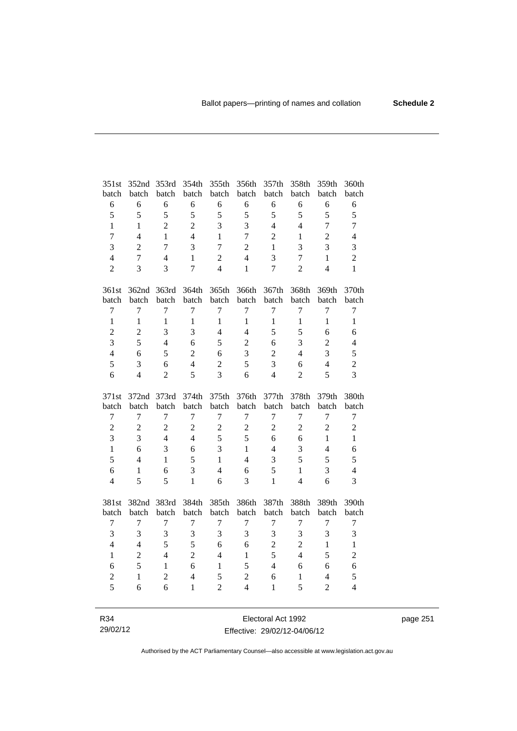| 351st          | 352nd          | 353rd          | 354th          | 355th          | 356th            | 357th          | 358th            | 359th          | 360th            |
|----------------|----------------|----------------|----------------|----------------|------------------|----------------|------------------|----------------|------------------|
| batch          | batch          | batch          | batch          | batch          | batch            | batch          | batch            | batch          | batch            |
| $\sqrt{6}$     | 6              | 6              | 6              | 6              | 6                | 6              | 6                | 6              | $\sqrt{6}$       |
| 5              | 5              | 5              | 5              | 5              | 5                | 5              | 5                | 5              | 5                |
| $\mathbf{1}$   | $\mathbf{1}$   | $\overline{2}$ | $\overline{2}$ | 3              | 3                | $\overline{4}$ | $\overline{4}$   | $\overline{7}$ | $\tau$           |
| $\overline{7}$ | $\overline{4}$ | 1              | $\overline{4}$ | 1              | $\overline{7}$   | $\overline{2}$ | 1                | $\overline{c}$ | $\overline{4}$   |
| $\overline{3}$ | $\overline{2}$ | $\overline{7}$ | 3              | $\overline{7}$ | $\overline{c}$   | 1              | 3                | 3              | 3                |
| $\overline{4}$ | $\overline{7}$ | $\overline{4}$ | $\mathbf{1}$   | $\overline{c}$ | $\overline{4}$   | 3              | $\boldsymbol{7}$ | $\mathbf{1}$   | $\overline{2}$   |
| $\overline{2}$ | 3              | 3              | $\overline{7}$ | $\overline{4}$ | $\mathbf{1}$     | $\overline{7}$ | $\overline{2}$   | $\overline{4}$ | $\mathbf{1}$     |
| 361st          |                | 362nd 363rd    | 364th          | 365th          | 366th            | 367th          | 368th            | 369th          | 370th            |
| batch          | batch          | batch          | batch          | batch          | batch            | batch          | batch            | batch          | batch            |
| $\tau$         | $\overline{7}$ | 7              | 7              | 7              | 7                | 7              | $\tau$           | 7              | $\tau$           |
| $\mathbf{1}$   | $\mathbf{1}$   | $\mathbf{1}$   | $\mathbf{1}$   | $\mathbf{1}$   | $\mathbf{1}$     | $\mathbf{1}$   | $\mathbf{1}$     | $\mathbf{1}$   | $\mathbf{1}$     |
| $\overline{c}$ | $\overline{c}$ | 3              | 3              | $\overline{4}$ | $\overline{4}$   | 5              | 5                | 6              | 6                |
| $\overline{3}$ | 5              | $\overline{4}$ | 6              | 5              | $\overline{2}$   | 6              | 3                | $\overline{2}$ | $\overline{4}$   |
| $\overline{4}$ | 6              | 5              | $\overline{c}$ | 6              | 3                | $\overline{2}$ | $\overline{4}$   | 3              | 5                |
| 5              | 3              | 6              | $\overline{4}$ | $\overline{c}$ | 5                | 3              | 6                | $\overline{4}$ | $\overline{c}$   |
| 6              | $\overline{4}$ | $\overline{2}$ | 5              | 3              | 6                | $\overline{4}$ | $\overline{2}$   | 5              | $\overline{3}$   |
|                |                |                |                |                |                  |                |                  |                |                  |
| 371st          | 372nd          | 373rd          | 374th          | 375th          | 376th            | 377th          | 378th            | 379th          | 380th            |
| batch          | batch          | batch          | batch          | batch          | batch            | batch          | batch            | batch          | batch            |
| $\tau$         | $\overline{7}$ | 7              | 7              | 7              | 7                | $\tau$         | 7                | $\overline{7}$ | $\boldsymbol{7}$ |
| $\overline{c}$ | $\sqrt{2}$     | $\overline{c}$ | $\overline{2}$ | $\overline{2}$ | $\boldsymbol{2}$ | $\mathfrak{2}$ | $\overline{2}$   | $\overline{2}$ | $\sqrt{2}$       |
| $\overline{3}$ | $\overline{3}$ | $\overline{4}$ | $\overline{4}$ | 5              | 5                | 6              | 6                | $\mathbf{1}$   | $\mathbf{1}$     |
| $\mathbf{1}$   | 6              | 3              | 6              | 3              | $\mathbf{1}$     | $\overline{4}$ | 3                | $\overline{4}$ | 6                |
| 5              | $\overline{4}$ | $\mathbf{1}$   | 5              | $\mathbf{1}$   | $\overline{4}$   | 3              | 5                | 5              | 5                |
| 6              | $\mathbf{1}$   | 6              | 3              | $\overline{4}$ | 6                | 5              | $\mathbf{1}$     | 3              | $\overline{4}$   |
| $\overline{4}$ | 5              | 5              | $\mathbf{1}$   | 6              | 3                | $\mathbf{1}$   | $\overline{4}$   | 6              | $\overline{3}$   |
| 381st          | 382nd 383rd    |                | 384th          | 385th          | 386th            | 387th          | 388th            | 389th          | 390th            |
| batch          | batch          | batch          | batch          | batch          | batch            | batch          | batch            | batch          | batch            |
| 7              | 7              | 7              | 7              | 7              | 7                | 7              | 7                | 7              | 7                |
| 3              | $\mathfrak{Z}$ | 3              | 3              | 3              | 3                | 3              | 3                | 3              | 3                |
| $\overline{4}$ | $\overline{4}$ | 5              | 5              | 6              | 6                | $\overline{c}$ | $\overline{2}$   | $\mathbf{1}$   | $\mathbf{1}$     |
| $\mathbf{1}$   | $\overline{c}$ | $\overline{4}$ | $\overline{2}$ | $\overline{4}$ | $\mathbf{1}$     | 5              | $\overline{4}$   | 5              | $\overline{2}$   |
| 6              | 5              | $\mathbf{1}$   | 6              | $\mathbf{1}$   | 5                | $\overline{4}$ | 6                | 6              | 6                |
| $\overline{c}$ | $\mathbf{1}$   | $\overline{c}$ | $\overline{4}$ | 5              | $\overline{c}$   | 6              | $\mathbf{1}$     | $\overline{4}$ | 5                |
| $\overline{5}$ | 6              | 6              | $\mathbf{1}$   | $\overline{2}$ | $\overline{4}$   | $\mathbf{1}$   | 5                | $\overline{2}$ | $\overline{4}$   |

R34 29/02/12

Electoral Act 1992 Effective: 29/02/12-04/06/12 page 251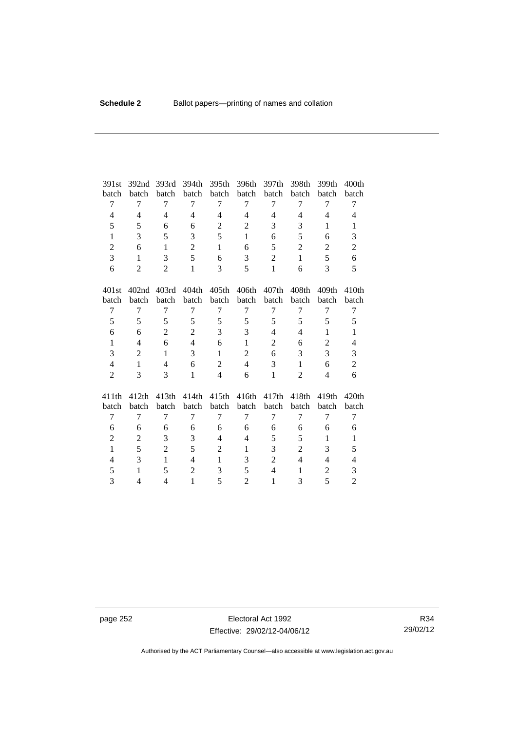| 391st          | 392 <sub>nd</sub> | 393rd             | 394th          | 395th             | 396th          | 397th          | 398th          | 399th             | 400 <sub>th</sub> |
|----------------|-------------------|-------------------|----------------|-------------------|----------------|----------------|----------------|-------------------|-------------------|
| batch          | batch             | batch             | batch          | batch             | batch          | batch          | batch          | batch             | batch             |
| 7              | 7                 | 7                 | 7              | 7                 | 7              | 7              | 7              | 7                 | 7                 |
| $\overline{4}$ | $\overline{4}$    | $\overline{4}$    | $\overline{4}$ | $\overline{4}$    | $\overline{4}$ | $\overline{4}$ | $\overline{4}$ | $\overline{4}$    | $\overline{4}$    |
| 5              | 5                 | 6                 | 6              | $\mathfrak{2}$    | $\mathfrak{2}$ | 3              | 3              | $\mathbf{1}$      | $\mathbf{1}$      |
| $\mathbf{1}$   | 3                 | 5                 | 3              | 5                 | $\mathbf{1}$   | 6              | 5              | 6                 | 3                 |
| $\overline{2}$ | 6                 | $\mathbf{1}$      | $\overline{2}$ | $\mathbf{1}$      | 6              | 5              | $\overline{2}$ | $\overline{2}$    | $\overline{2}$    |
| 3              | 1                 | 3                 | 5              | 6                 | 3              | $\overline{2}$ | $\mathbf{1}$   | 5                 | 6                 |
| 6              | $\overline{2}$    | $\overline{2}$    | $\mathbf{1}$   | 3                 | 5              | $\mathbf{1}$   | 6              | 3                 | 5                 |
| 401st          | 402 <sub>nd</sub> | 403rd             | 404th          | 405 <sub>th</sub> | 406th          | 407th          | 408th          | 409 <sub>th</sub> | 410 <sub>th</sub> |
| batch          | batch             | batch             | batch          | batch             | batch          | batch          | batch          | batch             | batch             |
| 7              | 7                 | 7                 | 7              | 7                 | 7              | 7              | 7              | 7                 | 7                 |
| 5              | 5                 | 5                 | 5              | 5                 | 5              | 5              | 5              | 5                 | 5                 |
| 6              | 6                 | $\overline{2}$    | $\overline{2}$ | 3                 | 3              | $\overline{4}$ | 4              | 1                 | $\mathbf{1}$      |
| $\mathbf{1}$   | $\overline{4}$    | 6                 | $\overline{4}$ | 6                 | $\mathbf{1}$   | $\overline{2}$ | 6              | $\overline{c}$    | $\overline{4}$    |
| 3              | $\overline{2}$    | 1                 | 3              | 1                 | $\overline{2}$ | 6              | 3              | 3                 | 3                 |
| $\overline{4}$ | $\mathbf{1}$      | $\overline{4}$    | 6              | $\overline{2}$    | $\overline{4}$ | 3              | $\mathbf{1}$   | 6                 | $\overline{c}$    |
| $\overline{2}$ | 3                 | 3                 | $\mathbf{1}$   | $\overline{4}$    | 6              | $\mathbf{1}$   | $\overline{2}$ | 4                 | 6                 |
| 411th          | 412th             | 413 <sub>th</sub> | 414th          | 415th             | 416th          | 417th          | 418th          | 419th             | 420th             |
| batch          | batch             | batch             | batch          | batch             | batch          | batch          | batch          | batch             | batch             |
| $\overline{7}$ | $\overline{7}$    | 7                 | 7              | $\overline{7}$    | 7              | 7              | 7              | 7                 | $\tau$            |
| 6              | 6                 | 6                 | 6              | 6                 | 6              | 6              | 6              | 6                 | 6                 |
| $\overline{2}$ | 2                 | 3                 | 3              | $\overline{4}$    | $\overline{4}$ | 5              | 5              | $\mathbf{1}$      | $\mathbf{1}$      |
| $\mathbf{1}$   | 5                 | $\overline{2}$    | 5              | $\overline{2}$    | 1              | 3              | $\overline{c}$ | 3                 | 5                 |
| 4              | 3                 | $\mathbf{1}$      | $\overline{4}$ | $\mathbf{1}$      | 3              | $\mathbf{2}$   | $\overline{4}$ | 4                 | $\overline{4}$    |
| 5              | 1                 | 5                 | $\overline{2}$ | 3                 | 5              | $\overline{4}$ | 1              | $\overline{c}$    | 3                 |
| 3              | 4                 | 4                 | $\mathbf{1}$   | 5                 | $\overline{2}$ | 1              | 3              | 5                 | $\overline{2}$    |

page 252 **Electoral Act 1992** Effective: 29/02/12-04/06/12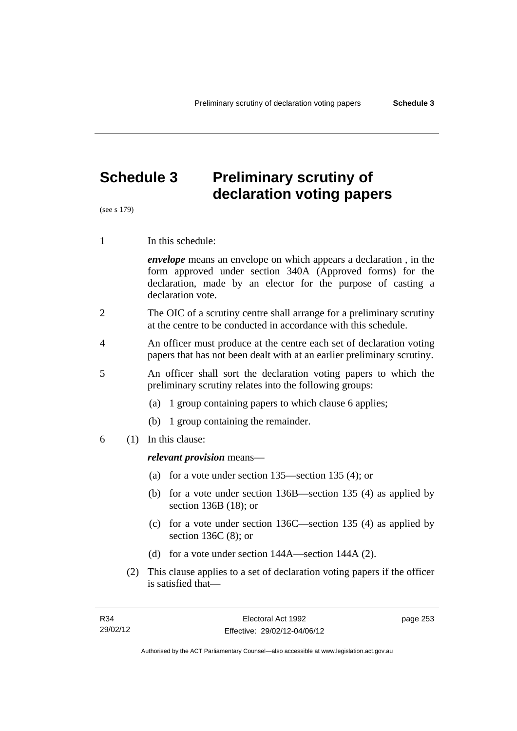# **Schedule 3 Preliminary scrutiny of declaration voting papers**

(see s 179)

1 In this schedule:

*envelope* means an envelope on which appears a declaration , in the form approved under section 340A (Approved forms) for the declaration, made by an elector for the purpose of casting a declaration vote.

- 2 The OIC of a scrutiny centre shall arrange for a preliminary scrutiny at the centre to be conducted in accordance with this schedule.
- 4 An officer must produce at the centre each set of declaration voting papers that has not been dealt with at an earlier preliminary scrutiny.
- 5 An officer shall sort the declaration voting papers to which the preliminary scrutiny relates into the following groups:
	- (a) 1 group containing papers to which clause 6 applies;
	- (b) 1 group containing the remainder.
- 6 (1) In this clause:

#### *relevant provision* means—

- (a) for a vote under section 135—section 135 (4); or
- (b) for a vote under section 136B—section 135 (4) as applied by section 136B (18); or
- (c) for a vote under section 136C—section 135 (4) as applied by section 136C (8); or
- (d) for a vote under section 144A—section 144A (2).
- (2) This clause applies to a set of declaration voting papers if the officer is satisfied that—

page 253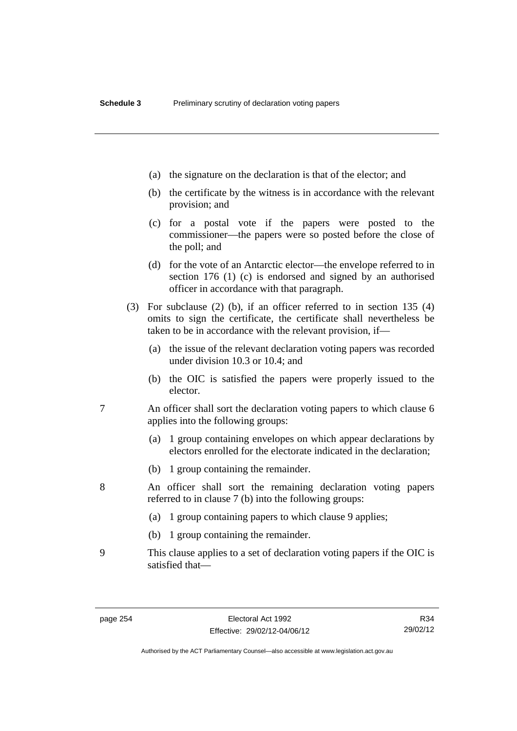- (a) the signature on the declaration is that of the elector; and
- (b) the certificate by the witness is in accordance with the relevant provision; and
- (c) for a postal vote if the papers were posted to the commissioner—the papers were so posted before the close of the poll; and
- (d) for the vote of an Antarctic elector—the envelope referred to in section 176 (1) (c) is endorsed and signed by an authorised officer in accordance with that paragraph.
- (3) For subclause (2) (b), if an officer referred to in section 135 (4) omits to sign the certificate, the certificate shall nevertheless be taken to be in accordance with the relevant provision, if—
	- (a) the issue of the relevant declaration voting papers was recorded under division 10.3 or 10.4; and
	- (b) the OIC is satisfied the papers were properly issued to the elector.
- 7 An officer shall sort the declaration voting papers to which clause 6 applies into the following groups:
	- (a) 1 group containing envelopes on which appear declarations by electors enrolled for the electorate indicated in the declaration;
	- (b) 1 group containing the remainder.
- 8 An officer shall sort the remaining declaration voting papers referred to in clause 7 (b) into the following groups:
	- (a) 1 group containing papers to which clause 9 applies;
	- (b) 1 group containing the remainder.
- 9 This clause applies to a set of declaration voting papers if the OIC is satisfied that—

R34 29/02/12

Authorised by the ACT Parliamentary Counsel—also accessible at www.legislation.act.gov.au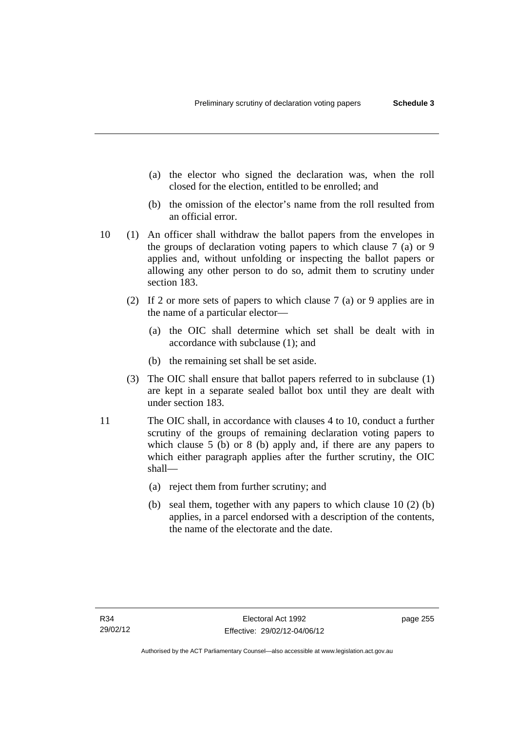- (a) the elector who signed the declaration was, when the roll closed for the election, entitled to be enrolled; and
- (b) the omission of the elector's name from the roll resulted from an official error.
- 10 (1) An officer shall withdraw the ballot papers from the envelopes in the groups of declaration voting papers to which clause 7 (a) or 9 applies and, without unfolding or inspecting the ballot papers or allowing any other person to do so, admit them to scrutiny under section 183.
	- (2) If 2 or more sets of papers to which clause 7 (a) or 9 applies are in the name of a particular elector—
		- (a) the OIC shall determine which set shall be dealt with in accordance with subclause (1); and
		- (b) the remaining set shall be set aside.
	- (3) The OIC shall ensure that ballot papers referred to in subclause (1) are kept in a separate sealed ballot box until they are dealt with under section 183.
- 11 The OIC shall, in accordance with clauses 4 to 10, conduct a further scrutiny of the groups of remaining declaration voting papers to which clause 5 (b) or 8 (b) apply and, if there are any papers to which either paragraph applies after the further scrutiny, the OIC shall—
	- (a) reject them from further scrutiny; and
	- (b) seal them, together with any papers to which clause 10 (2) (b) applies, in a parcel endorsed with a description of the contents, the name of the electorate and the date.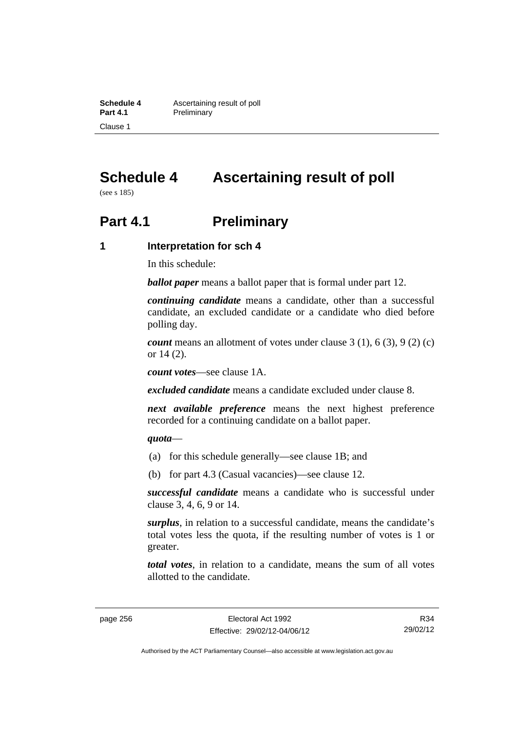**Schedule 4 Ascertaining result of poll**<br>**Part 4.1 Preliminary Preliminary** Clause 1

# **Schedule 4 Ascertaining result of poll**

(see s 185)

# **Part 4.1** Preliminary

#### **1 Interpretation for sch 4**

In this schedule:

*ballot paper* means a ballot paper that is formal under part 12.

*continuing candidate* means a candidate, other than a successful candidate, an excluded candidate or a candidate who died before polling day.

*count* means an allotment of votes under clause 3 (1), 6 (3), 9 (2) (c) or 14 (2).

*count votes*—see clause 1A.

*excluded candidate* means a candidate excluded under clause 8.

*next available preference* means the next highest preference recorded for a continuing candidate on a ballot paper.

#### *quota*—

- (a) for this schedule generally—see clause 1B; and
- (b) for part 4.3 (Casual vacancies)—see clause 12.

*successful candidate* means a candidate who is successful under clause 3, 4, 6, 9 or 14.

*surplus*, in relation to a successful candidate, means the candidate's total votes less the quota, if the resulting number of votes is 1 or greater.

*total votes*, in relation to a candidate, means the sum of all votes allotted to the candidate.

Authorised by the ACT Parliamentary Counsel—also accessible at www.legislation.act.gov.au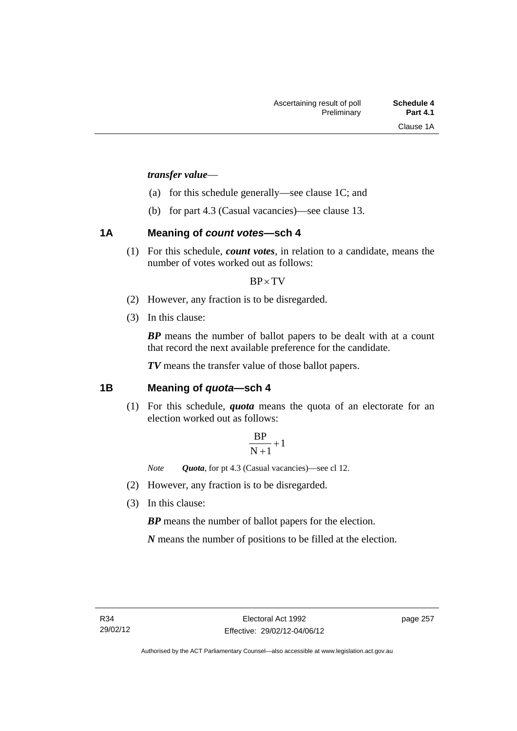#### *transfer value*—

- (a) for this schedule generally—see clause 1C; and
- (b) for part 4.3 (Casual vacancies)—see clause 13.

## **1A Meaning of** *count votes***—sch 4**

(1) For this schedule, *count votes*, in relation to a candidate, means the number of votes worked out as follows:

#### $BP \times TV$

- (2) However, any fraction is to be disregarded.
- (3) In this clause:

*BP* means the number of ballot papers to be dealt with at a count that record the next available preference for the candidate.

*TV* means the transfer value of those ballot papers.

## **1B Meaning of** *quota***—sch 4**

(1) For this schedule, *quota* means the quota of an electorate for an election worked out as follows:

$$
\frac{BP}{N+1}+1
$$

*Note Quota*, for pt 4.3 (Casual vacancies)—see cl 12.

- (2) However, any fraction is to be disregarded.
- (3) In this clause:

*BP* means the number of ballot papers for the election.

*N* means the number of positions to be filled at the election.

page 257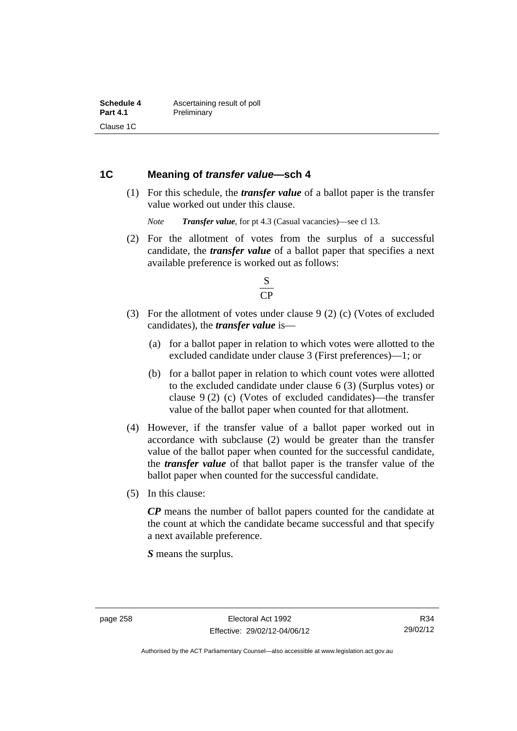### **1C Meaning of** *transfer value***—sch 4**

 (1) For this schedule, the *transfer value* of a ballot paper is the transfer value worked out under this clause.

*Note Transfer value*, for pt 4.3 (Casual vacancies)—see cl 13.

 (2) For the allotment of votes from the surplus of a successful candidate, the *transfer value* of a ballot paper that specifies a next available preference is worked out as follows:



- (3) For the allotment of votes under clause 9 (2) (c) (Votes of excluded candidates), the *transfer value* is—
	- (a) for a ballot paper in relation to which votes were allotted to the excluded candidate under clause 3 (First preferences)—1; or
	- (b) for a ballot paper in relation to which count votes were allotted to the excluded candidate under clause 6 (3) (Surplus votes) or clause 9 (2) (c) (Votes of excluded candidates)—the transfer value of the ballot paper when counted for that allotment.
- (4) However, if the transfer value of a ballot paper worked out in accordance with subclause (2) would be greater than the transfer value of the ballot paper when counted for the successful candidate, the *transfer value* of that ballot paper is the transfer value of the ballot paper when counted for the successful candidate.
- (5) In this clause:

*CP* means the number of ballot papers counted for the candidate at the count at which the candidate became successful and that specify a next available preference.

*S* means the surplus.

R34 29/02/12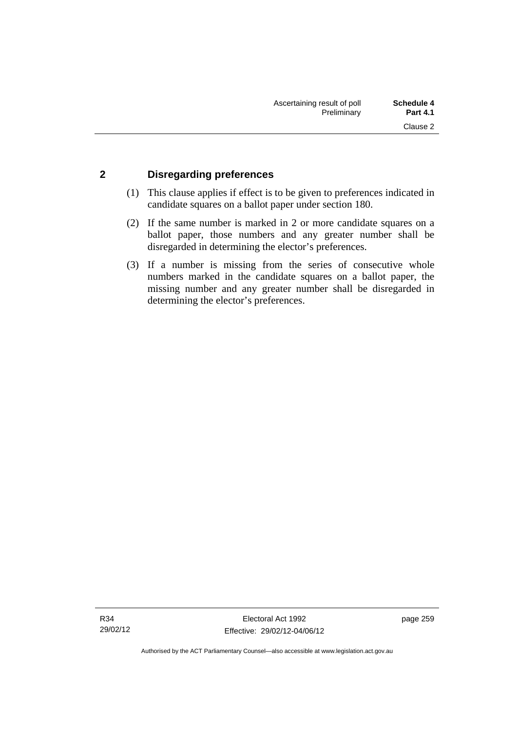## **2 Disregarding preferences**

- (1) This clause applies if effect is to be given to preferences indicated in candidate squares on a ballot paper under section 180.
- (2) If the same number is marked in 2 or more candidate squares on a ballot paper, those numbers and any greater number shall be disregarded in determining the elector's preferences.
- (3) If a number is missing from the series of consecutive whole numbers marked in the candidate squares on a ballot paper, the missing number and any greater number shall be disregarded in determining the elector's preferences.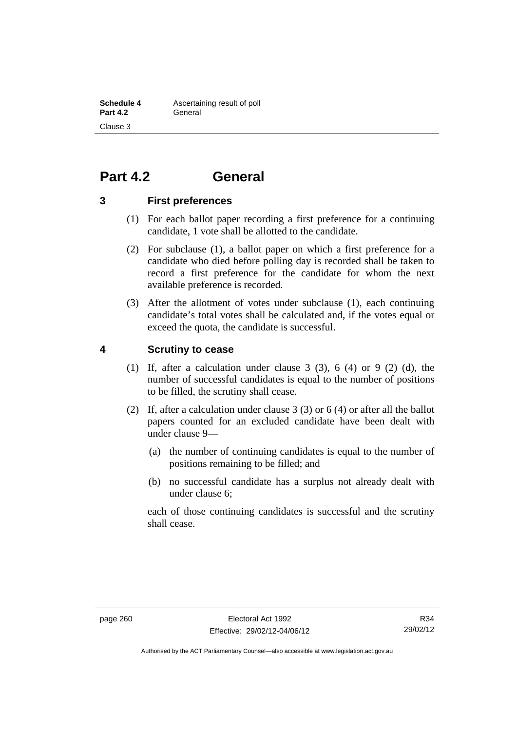# **Part 4.2 General**

#### **3 First preferences**

- (1) For each ballot paper recording a first preference for a continuing candidate, 1 vote shall be allotted to the candidate.
- (2) For subclause (1), a ballot paper on which a first preference for a candidate who died before polling day is recorded shall be taken to record a first preference for the candidate for whom the next available preference is recorded.
- (3) After the allotment of votes under subclause (1), each continuing candidate's total votes shall be calculated and, if the votes equal or exceed the quota, the candidate is successful.

#### **4 Scrutiny to cease**

- (1) If, after a calculation under clause  $3$  (3),  $6$  (4) or  $9$  (2) (d), the number of successful candidates is equal to the number of positions to be filled, the scrutiny shall cease.
- (2) If, after a calculation under clause 3 (3) or 6 (4) or after all the ballot papers counted for an excluded candidate have been dealt with under clause 9—
	- (a) the number of continuing candidates is equal to the number of positions remaining to be filled; and
	- (b) no successful candidate has a surplus not already dealt with under clause 6;

each of those continuing candidates is successful and the scrutiny shall cease.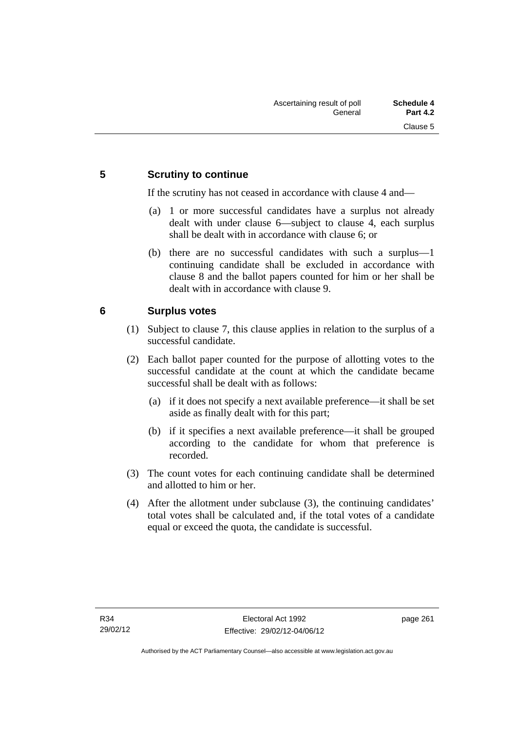## **5 Scrutiny to continue**

If the scrutiny has not ceased in accordance with clause 4 and—

- (a) 1 or more successful candidates have a surplus not already dealt with under clause 6—subject to clause 4, each surplus shall be dealt with in accordance with clause 6; or
- (b) there are no successful candidates with such a surplus—1 continuing candidate shall be excluded in accordance with clause 8 and the ballot papers counted for him or her shall be dealt with in accordance with clause 9.

## **6 Surplus votes**

- (1) Subject to clause 7, this clause applies in relation to the surplus of a successful candidate.
- (2) Each ballot paper counted for the purpose of allotting votes to the successful candidate at the count at which the candidate became successful shall be dealt with as follows:
	- (a) if it does not specify a next available preference—it shall be set aside as finally dealt with for this part;
	- (b) if it specifies a next available preference—it shall be grouped according to the candidate for whom that preference is recorded.
- (3) The count votes for each continuing candidate shall be determined and allotted to him or her.
- (4) After the allotment under subclause (3), the continuing candidates' total votes shall be calculated and, if the total votes of a candidate equal or exceed the quota, the candidate is successful.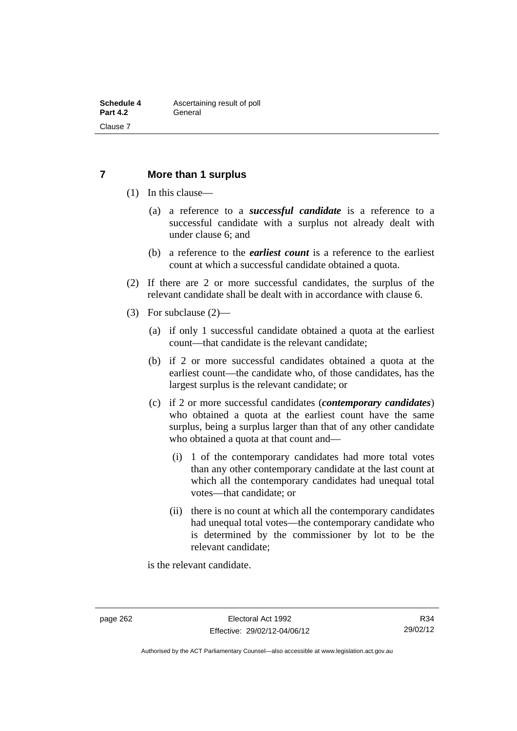### **7 More than 1 surplus**

- (1) In this clause—
	- (a) a reference to a *successful candidate* is a reference to a successful candidate with a surplus not already dealt with under clause 6; and
	- (b) a reference to the *earliest count* is a reference to the earliest count at which a successful candidate obtained a quota.
- (2) If there are 2 or more successful candidates, the surplus of the relevant candidate shall be dealt with in accordance with clause 6.
- (3) For subclause (2)—
	- (a) if only 1 successful candidate obtained a quota at the earliest count—that candidate is the relevant candidate;
	- (b) if 2 or more successful candidates obtained a quota at the earliest count—the candidate who, of those candidates, has the largest surplus is the relevant candidate; or
	- (c) if 2 or more successful candidates (*contemporary candidates*) who obtained a quota at the earliest count have the same surplus, being a surplus larger than that of any other candidate who obtained a quota at that count and—
		- (i) 1 of the contemporary candidates had more total votes than any other contemporary candidate at the last count at which all the contemporary candidates had unequal total votes—that candidate; or
		- (ii) there is no count at which all the contemporary candidates had unequal total votes—the contemporary candidate who is determined by the commissioner by lot to be the relevant candidate;

is the relevant candidate.

Authorised by the ACT Parliamentary Counsel—also accessible at www.legislation.act.gov.au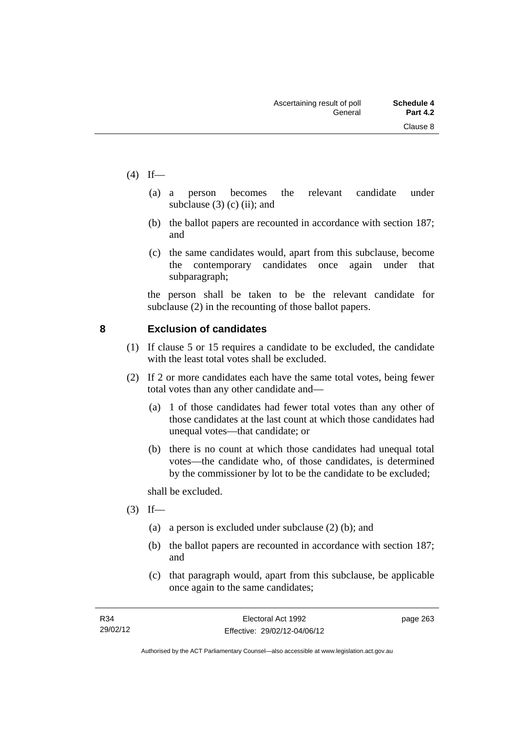- $(4)$  If—
- (a) a person becomes the relevant candidate under subclause  $(3)$  (c) (ii); and
	- (b) the ballot papers are recounted in accordance with section 187; and
	- (c) the same candidates would, apart from this subclause, become the contemporary candidates once again under that subparagraph;

the person shall be taken to be the relevant candidate for subclause (2) in the recounting of those ballot papers.

## **8 Exclusion of candidates**

- (1) If clause 5 or 15 requires a candidate to be excluded, the candidate with the least total votes shall be excluded.
- (2) If 2 or more candidates each have the same total votes, being fewer total votes than any other candidate and—
	- (a) 1 of those candidates had fewer total votes than any other of those candidates at the last count at which those candidates had unequal votes—that candidate; or
	- (b) there is no count at which those candidates had unequal total votes—the candidate who, of those candidates, is determined by the commissioner by lot to be the candidate to be excluded;

shall be excluded.

- $(3)$  If—
	- (a) a person is excluded under subclause (2) (b); and
	- (b) the ballot papers are recounted in accordance with section 187; and
	- (c) that paragraph would, apart from this subclause, be applicable once again to the same candidates;

page 263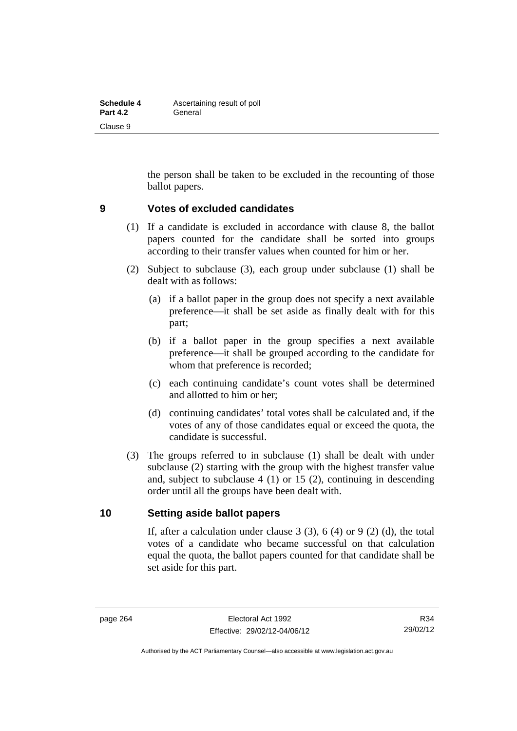| <b>Schedule 4</b> | Ascertaining result of poll |  |  |  |
|-------------------|-----------------------------|--|--|--|
| <b>Part 4.2</b>   | General                     |  |  |  |
| Clause 9          |                             |  |  |  |

the person shall be taken to be excluded in the recounting of those ballot papers.

#### **9 Votes of excluded candidates**

- (1) If a candidate is excluded in accordance with clause 8, the ballot papers counted for the candidate shall be sorted into groups according to their transfer values when counted for him or her.
- (2) Subject to subclause (3), each group under subclause (1) shall be dealt with as follows:
	- (a) if a ballot paper in the group does not specify a next available preference—it shall be set aside as finally dealt with for this part;
	- (b) if a ballot paper in the group specifies a next available preference—it shall be grouped according to the candidate for whom that preference is recorded;
	- (c) each continuing candidate's count votes shall be determined and allotted to him or her;
	- (d) continuing candidates' total votes shall be calculated and, if the votes of any of those candidates equal or exceed the quota, the candidate is successful.
- (3) The groups referred to in subclause (1) shall be dealt with under subclause (2) starting with the group with the highest transfer value and, subject to subclause 4 (1) or 15 (2), continuing in descending order until all the groups have been dealt with.

#### **10 Setting aside ballot papers**

If, after a calculation under clause  $3(3)$ ,  $6(4)$  or  $9(2)(d)$ , the total votes of a candidate who became successful on that calculation equal the quota, the ballot papers counted for that candidate shall be set aside for this part.

Authorised by the ACT Parliamentary Counsel—also accessible at www.legislation.act.gov.au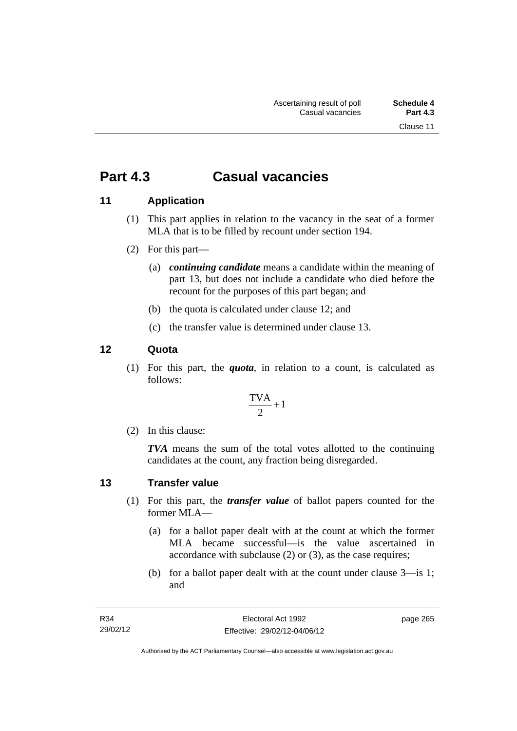# **Part 4.3 Casual vacancies**

## **11 Application**

- (1) This part applies in relation to the vacancy in the seat of a former MLA that is to be filled by recount under section 194.
- (2) For this part—
	- (a) *continuing candidate* means a candidate within the meaning of part 13, but does not include a candidate who died before the recount for the purposes of this part began; and
	- (b) the quota is calculated under clause 12; and
	- (c) the transfer value is determined under clause 13.

## **12 Quota**

(1) For this part, the *quota*, in relation to a count, is calculated as follows:

$$
\frac{\text{TVA}}{2} + 1
$$

(2) In this clause:

*TVA* means the sum of the total votes allotted to the continuing candidates at the count, any fraction being disregarded.

## **13 Transfer value**

- (1) For this part, the *transfer value* of ballot papers counted for the former MLA—
	- (a) for a ballot paper dealt with at the count at which the former MLA became successful—is the value ascertained in accordance with subclause (2) or (3), as the case requires;
	- (b) for a ballot paper dealt with at the count under clause 3—is 1; and

page 265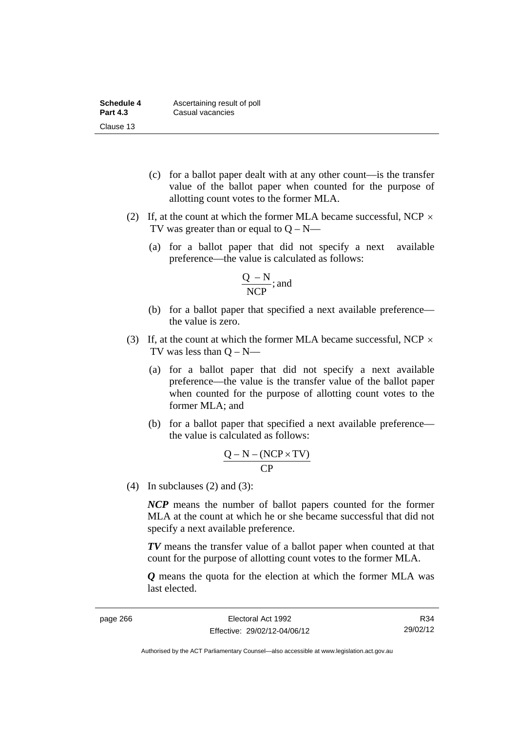| Schedule 4      | Ascertaining result of poll |
|-----------------|-----------------------------|
| <b>Part 4.3</b> | Casual vacancies            |
| Clause 13       |                             |

- (c) for a ballot paper dealt with at any other count—is the transfer value of the ballot paper when counted for the purpose of allotting count votes to the former MLA.
- (2) If, at the count at which the former MLA became successful, NCP  $\times$ TV was greater than or equal to  $Q - N$ —
	- (a) for a ballot paper that did not specify a next available preference—the value is calculated as follows:

$$
\frac{Q - N}{NCP}; \text{and}
$$

- (b) for a ballot paper that specified a next available preference the value is zero.
- (3) If, at the count at which the former MLA became successful, NCP  $\times$ TV was less than  $Q - N$ —
	- (a) for a ballot paper that did not specify a next available preference—the value is the transfer value of the ballot paper when counted for the purpose of allotting count votes to the former MLA; and
	- (b) for a ballot paper that specified a next available preference the value is calculated as follows:

$$
\frac{Q-N-(NCP\times TV)}{CP}
$$

(4) In subclauses (2) and (3):

*NCP* means the number of ballot papers counted for the former MLA at the count at which he or she became successful that did not specify a next available preference.

*TV* means the transfer value of a ballot paper when counted at that count for the purpose of allotting count votes to the former MLA.

*Q* means the quota for the election at which the former MLA was last elected.

R34 29/02/12

Authorised by the ACT Parliamentary Counsel—also accessible at www.legislation.act.gov.au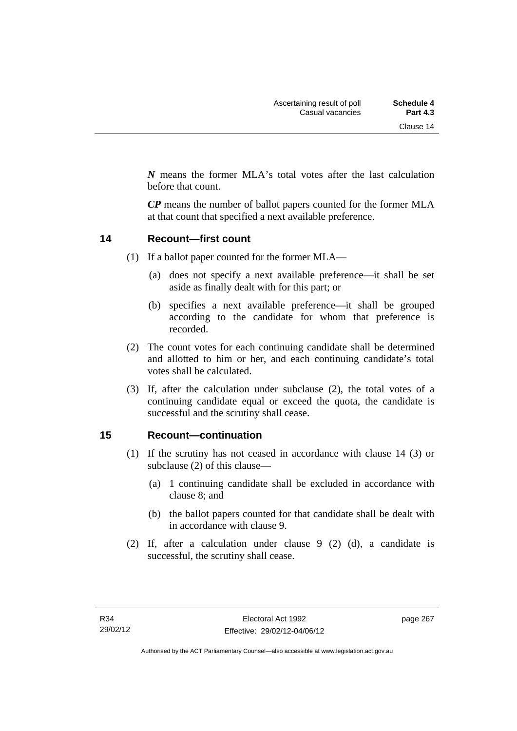*N* means the former MLA's total votes after the last calculation before that count.

*CP* means the number of ballot papers counted for the former MLA at that count that specified a next available preference.

#### **14 Recount—first count**

- (1) If a ballot paper counted for the former MLA—
	- (a) does not specify a next available preference—it shall be set aside as finally dealt with for this part; or
	- (b) specifies a next available preference—it shall be grouped according to the candidate for whom that preference is recorded.
- (2) The count votes for each continuing candidate shall be determined and allotted to him or her, and each continuing candidate's total votes shall be calculated.
- (3) If, after the calculation under subclause (2), the total votes of a continuing candidate equal or exceed the quota, the candidate is successful and the scrutiny shall cease.

#### **15 Recount—continuation**

- (1) If the scrutiny has not ceased in accordance with clause 14 (3) or subclause (2) of this clause—
	- (a) 1 continuing candidate shall be excluded in accordance with clause 8; and
	- (b) the ballot papers counted for that candidate shall be dealt with in accordance with clause 9.
- (2) If, after a calculation under clause 9 (2) (d), a candidate is successful, the scrutiny shall cease.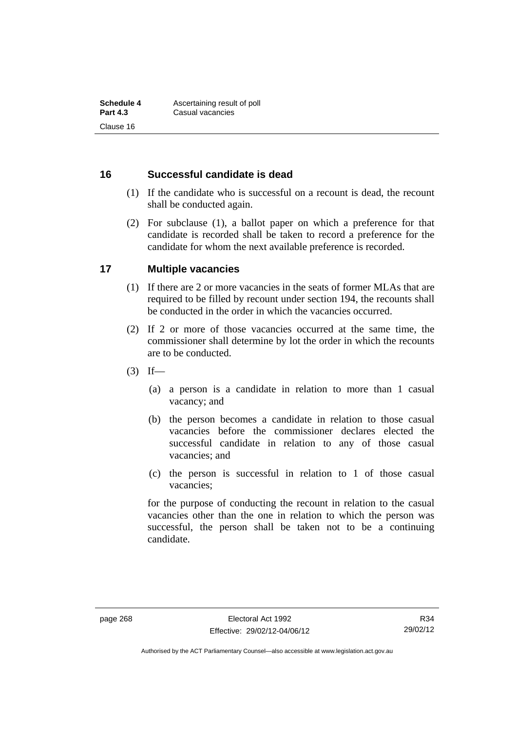### **16 Successful candidate is dead**

- (1) If the candidate who is successful on a recount is dead, the recount shall be conducted again.
- (2) For subclause (1), a ballot paper on which a preference for that candidate is recorded shall be taken to record a preference for the candidate for whom the next available preference is recorded.

### **17 Multiple vacancies**

- (1) If there are 2 or more vacancies in the seats of former MLAs that are required to be filled by recount under section 194, the recounts shall be conducted in the order in which the vacancies occurred.
- (2) If 2 or more of those vacancies occurred at the same time, the commissioner shall determine by lot the order in which the recounts are to be conducted.
- $(3)$  If—
	- (a) a person is a candidate in relation to more than 1 casual vacancy; and
	- (b) the person becomes a candidate in relation to those casual vacancies before the commissioner declares elected the successful candidate in relation to any of those casual vacancies; and
	- (c) the person is successful in relation to 1 of those casual vacancies;

for the purpose of conducting the recount in relation to the casual vacancies other than the one in relation to which the person was successful, the person shall be taken not to be a continuing candidate.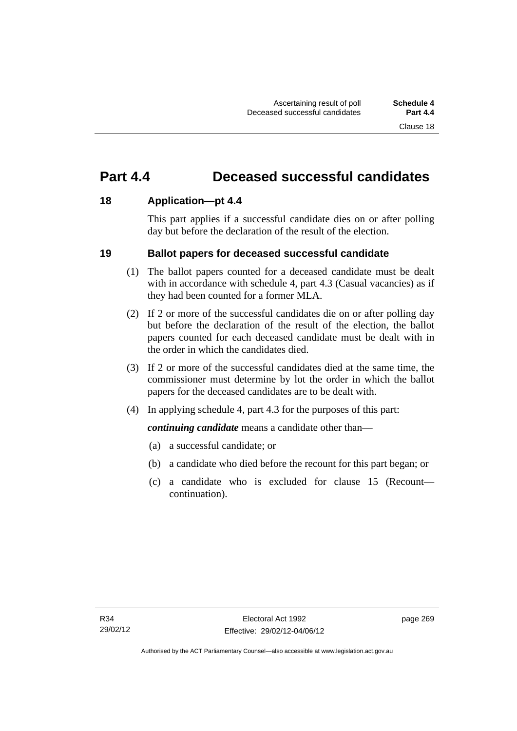# **Part 4.4 Deceased successful candidates**

### **18 Application—pt 4.4**

This part applies if a successful candidate dies on or after polling day but before the declaration of the result of the election.

### **19 Ballot papers for deceased successful candidate**

- (1) The ballot papers counted for a deceased candidate must be dealt with in accordance with schedule 4, part 4.3 (Casual vacancies) as if they had been counted for a former MLA.
- (2) If 2 or more of the successful candidates die on or after polling day but before the declaration of the result of the election, the ballot papers counted for each deceased candidate must be dealt with in the order in which the candidates died.
- (3) If 2 or more of the successful candidates died at the same time, the commissioner must determine by lot the order in which the ballot papers for the deceased candidates are to be dealt with.
- (4) In applying schedule 4, part 4.3 for the purposes of this part:

*continuing candidate* means a candidate other than—

- (a) a successful candidate; or
- (b) a candidate who died before the recount for this part began; or
- (c) a candidate who is excluded for clause 15 (Recount continuation).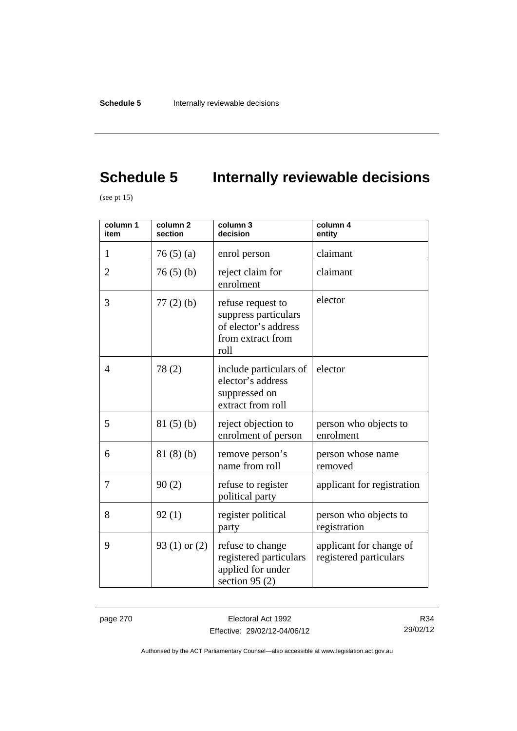# **Schedule 5** Internally reviewable decisions

(see pt 15)

| column 1<br>item | column <sub>2</sub><br>section | column 3<br>decision                                                                           | column 4<br>entity                                |
|------------------|--------------------------------|------------------------------------------------------------------------------------------------|---------------------------------------------------|
| 1                | 76(5)(a)                       | enrol person                                                                                   | claimant                                          |
| $\overline{2}$   | 76(5)(b)                       | reject claim for<br>enrolment                                                                  | claimant                                          |
| 3                | $77(2)$ (b)                    | refuse request to<br>suppress particulars<br>of elector's address<br>from extract from<br>roll | elector                                           |
| $\overline{4}$   | 78(2)                          | include particulars of<br>elector's address<br>suppressed on<br>extract from roll              | elector                                           |
| 5                | 81(5)(b)                       | reject objection to<br>enrolment of person                                                     | person who objects to<br>enrolment                |
| 6                | 81(8)(b)                       | remove person's<br>name from roll                                                              | person whose name<br>removed                      |
| 7                | 90(2)                          | refuse to register<br>political party                                                          | applicant for registration                        |
| 8                | 92(1)                          | register political<br>party                                                                    | person who objects to<br>registration             |
| 9                | 93 $(1)$ or $(2)$              | refuse to change<br>registered particulars<br>applied for under<br>section 95 $(2)$            | applicant for change of<br>registered particulars |

page 270 **Electoral Act 1992** Effective: 29/02/12-04/06/12

R34 29/02/12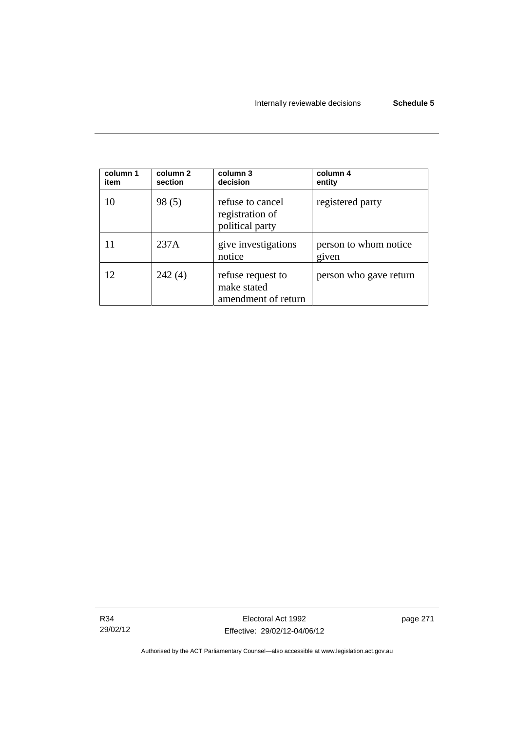| column 1<br>item | column 2<br>section | column 3<br>decision                                    | column 4<br>entity             |
|------------------|---------------------|---------------------------------------------------------|--------------------------------|
| 10               | 98(5)               | refuse to cancel<br>registration of<br>political party  | registered party               |
|                  | 237A                | give investigations<br>notice                           | person to whom notice<br>given |
| 12               | 242(4)              | refuse request to<br>make stated<br>amendment of return | person who gave return         |

R34 29/02/12 page 271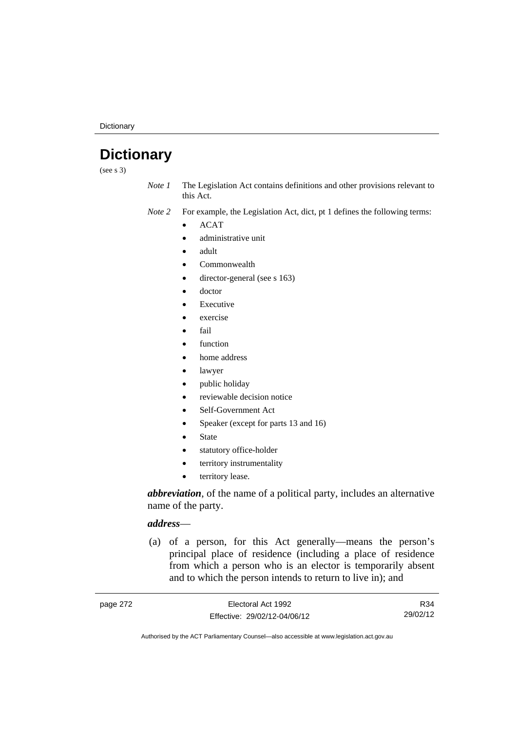**Dictionary** 

# **Dictionary**

(see s 3)

*Note 1* The Legislation Act contains definitions and other provisions relevant to this Act.

*Note 2* For example, the Legislation Act, dict, pt 1 defines the following terms:

ACAT

- administrative unit
- adult
- Commonwealth
- director-general (see s 163)
- doctor
- Executive
- exercise
- fail
- function
- home address
- lawyer
- public holiday
- reviewable decision notice
- Self-Government Act
- Speaker (except for parts 13 and 16)
- State
- statutory office-holder
- territory instrumentality
- territory lease.

*abbreviation*, of the name of a political party, includes an alternative name of the party.

# *address*—

 (a) of a person, for this Act generally—means the person's principal place of residence (including a place of residence from which a person who is an elector is temporarily absent and to which the person intends to return to live in); and

| page 272 | Electoral Act 1992           | R34      |
|----------|------------------------------|----------|
|          | Effective: 29/02/12-04/06/12 | 29/02/12 |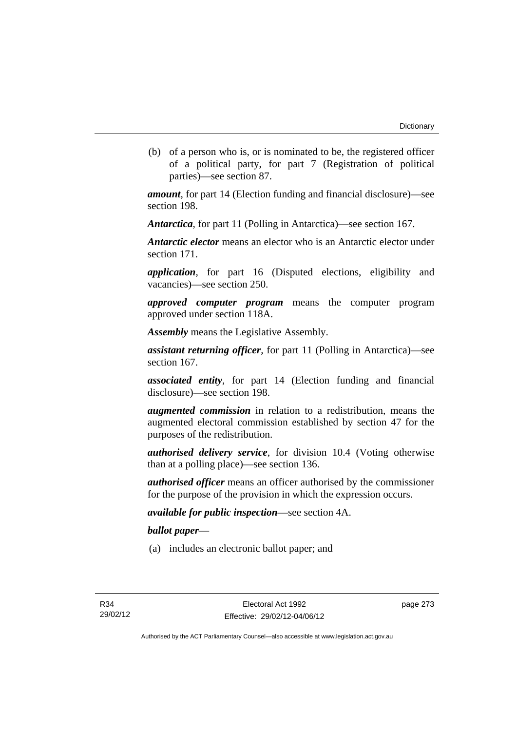(b) of a person who is, or is nominated to be, the registered officer of a political party, for part 7 (Registration of political parties)—see section 87.

*amount*, for part 14 (Election funding and financial disclosure)—see section 198.

*Antarctica*, for part 11 (Polling in Antarctica)—see section 167.

*Antarctic elector* means an elector who is an Antarctic elector under section 171.

*application*, for part 16 (Disputed elections, eligibility and vacancies)—see section 250.

*approved computer program* means the computer program approved under section 118A.

*Assembly* means the Legislative Assembly.

*assistant returning officer*, for part 11 (Polling in Antarctica)—see section 167.

*associated entity*, for part 14 (Election funding and financial disclosure)—see section 198.

*augmented commission* in relation to a redistribution, means the augmented electoral commission established by section 47 for the purposes of the redistribution.

*authorised delivery service*, for division 10.4 (Voting otherwise than at a polling place)—see section 136.

*authorised officer* means an officer authorised by the commissioner for the purpose of the provision in which the expression occurs.

*available for public inspection*—see section 4A.

*ballot paper*—

(a) includes an electronic ballot paper; and

page 273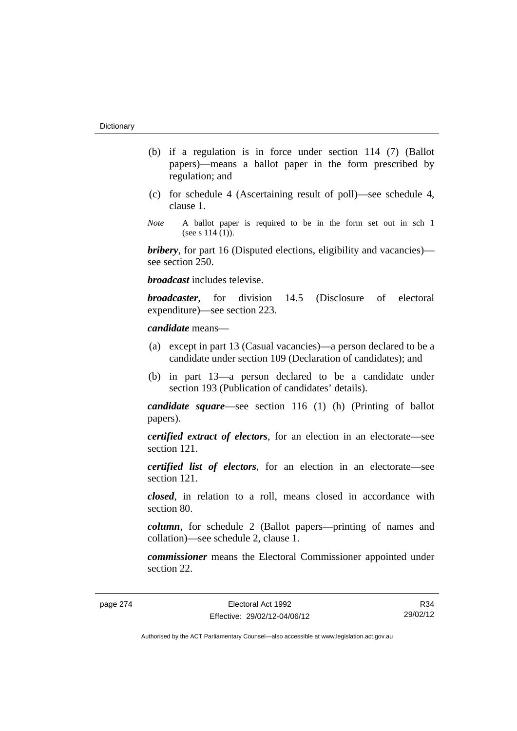- (b) if a regulation is in force under section 114 (7) (Ballot papers)—means a ballot paper in the form prescribed by regulation; and
- (c) for schedule 4 (Ascertaining result of poll)—see schedule 4, clause 1.
- *Note* A ballot paper is required to be in the form set out in sch 1 (see s  $114(1)$ ).

*bribery*, for part 16 (Disputed elections, eligibility and vacancies) see section 250.

*broadcast* includes televise.

*broadcaster*, for division 14.5 (Disclosure of electoral expenditure)—see section 223.

*candidate* means—

- (a) except in part 13 (Casual vacancies)—a person declared to be a candidate under section 109 (Declaration of candidates); and
- (b) in part 13—a person declared to be a candidate under section 193 (Publication of candidates' details).

*candidate square*—see section 116 (1) (h) (Printing of ballot papers).

*certified extract of electors*, for an election in an electorate—see section 121.

*certified list of electors*, for an election in an electorate—see section 121.

*closed*, in relation to a roll, means closed in accordance with section 80.

*column*, for schedule 2 (Ballot papers—printing of names and collation)—see schedule 2, clause 1.

*commissioner* means the Electoral Commissioner appointed under section 22.

R34 29/02/12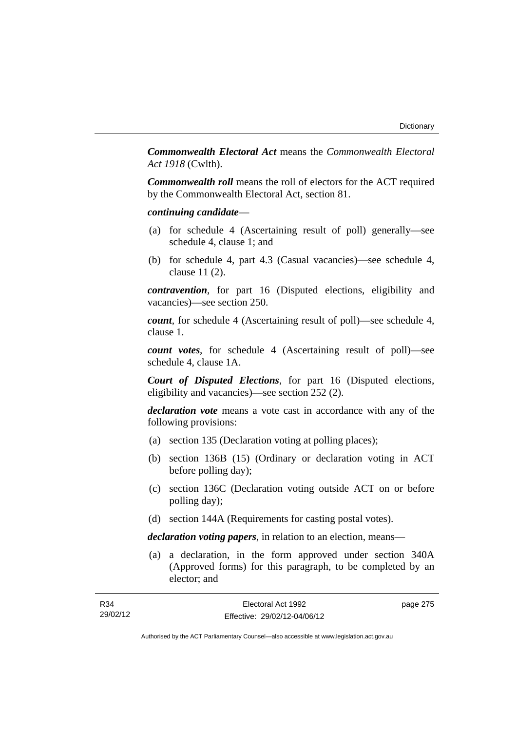*Commonwealth Electoral Act* means the *Commonwealth Electoral Act 1918* (Cwlth).

*Commonwealth roll* means the roll of electors for the ACT required by the Commonwealth Electoral Act, section 81.

## *continuing candidate*—

- (a) for schedule 4 (Ascertaining result of poll) generally—see schedule 4, clause 1; and
- (b) for schedule 4, part 4.3 (Casual vacancies)—see schedule 4, clause 11 (2).

*contravention*, for part 16 (Disputed elections, eligibility and vacancies)—see section 250.

*count*, for schedule 4 (Ascertaining result of poll)—see schedule 4, clause 1.

*count votes*, for schedule 4 (Ascertaining result of poll)—see schedule 4, clause 1A.

*Court of Disputed Elections*, for part 16 (Disputed elections, eligibility and vacancies)—see section 252 (2).

*declaration vote* means a vote cast in accordance with any of the following provisions:

- (a) section 135 (Declaration voting at polling places);
- (b) section 136B (15) (Ordinary or declaration voting in ACT before polling day);
- (c) section 136C (Declaration voting outside ACT on or before polling day);
- (d) section 144A (Requirements for casting postal votes).

*declaration voting papers*, in relation to an election, means—

 (a) a declaration, in the form approved under section 340A (Approved forms) for this paragraph, to be completed by an elector; and

| R34      | Electoral Act 1992           | page 275 |
|----------|------------------------------|----------|
| 29/02/12 | Effective: 29/02/12-04/06/12 |          |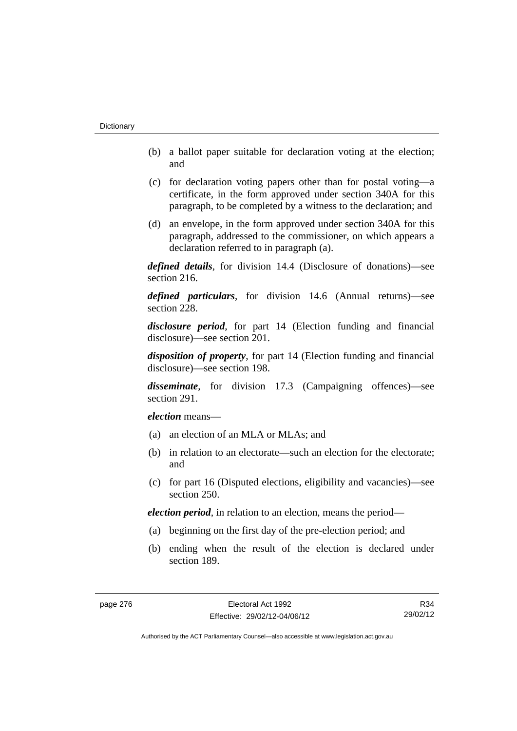- (b) a ballot paper suitable for declaration voting at the election; and
- (c) for declaration voting papers other than for postal voting—a certificate, in the form approved under section 340A for this paragraph, to be completed by a witness to the declaration; and
- (d) an envelope, in the form approved under section 340A for this paragraph, addressed to the commissioner, on which appears a declaration referred to in paragraph (a).

*defined details*, for division 14.4 (Disclosure of donations)—see section 216.

*defined particulars*, for division 14.6 (Annual returns)—see section 228.

*disclosure period*, for part 14 (Election funding and financial disclosure)—see section 201.

*disposition of property*, for part 14 (Election funding and financial disclosure)—see section 198.

*disseminate*, for division 17.3 (Campaigning offences)—see section 291.

*election* means—

- (a) an election of an MLA or MLAs; and
- (b) in relation to an electorate—such an election for the electorate; and
- (c) for part 16 (Disputed elections, eligibility and vacancies)—see section 250.

*election period*, in relation to an election, means the period—

- (a) beginning on the first day of the pre-election period; and
- (b) ending when the result of the election is declared under section 189.

R34 29/02/12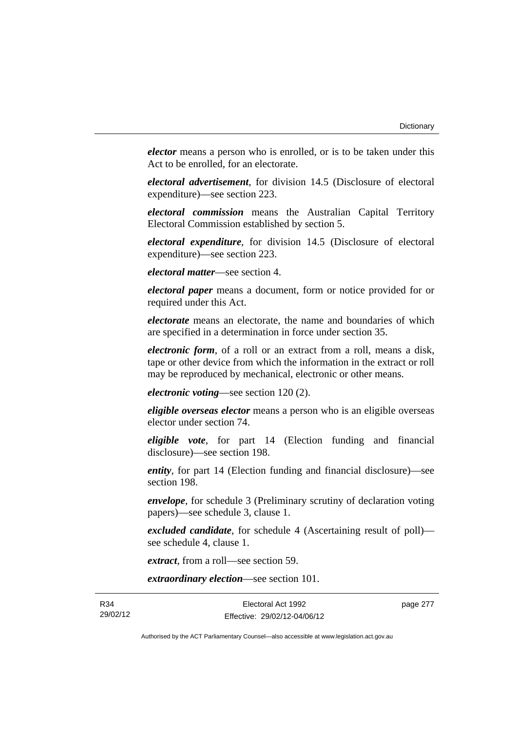*elector* means a person who is enrolled, or is to be taken under this Act to be enrolled, for an electorate.

*electoral advertisement*, for division 14.5 (Disclosure of electoral expenditure)—see section 223.

*electoral commission* means the Australian Capital Territory Electoral Commission established by section 5.

*electoral expenditure*, for division 14.5 (Disclosure of electoral expenditure)—see section 223.

*electoral matter*—see section 4.

*electoral paper* means a document, form or notice provided for or required under this Act.

*electorate* means an electorate, the name and boundaries of which are specified in a determination in force under section 35.

*electronic form*, of a roll or an extract from a roll, means a disk, tape or other device from which the information in the extract or roll may be reproduced by mechanical, electronic or other means.

*electronic voting*—see section 120 (2).

*eligible overseas elector* means a person who is an eligible overseas elector under section 74.

*eligible vote*, for part 14 (Election funding and financial disclosure)—see section 198.

*entity*, for part 14 (Election funding and financial disclosure)—see section 198.

*envelope*, for schedule 3 (Preliminary scrutiny of declaration voting papers)—see schedule 3, clause 1.

*excluded candidate*, for schedule 4 (Ascertaining result of poll) see schedule 4, clause 1.

*extract*, from a roll—see section 59.

*extraordinary election*—see section 101.

R34 29/02/12 page 277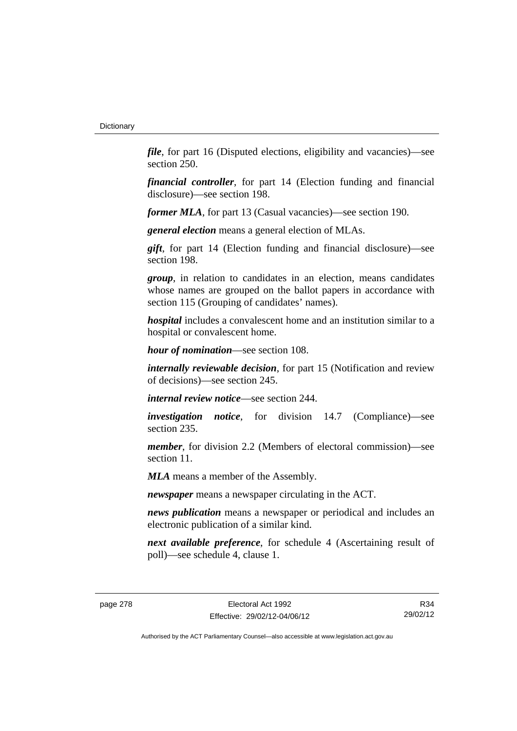*file*, for part 16 (Disputed elections, eligibility and vacancies)—see section 250.

*financial controller*, for part 14 (Election funding and financial disclosure)—see section 198.

*former MLA*, for part 13 (Casual vacancies)—see section 190.

*general election* means a general election of MLAs.

*gift*, for part 14 (Election funding and financial disclosure)—see section 198.

*group*, in relation to candidates in an election, means candidates whose names are grouped on the ballot papers in accordance with section 115 (Grouping of candidates' names).

*hospital* includes a convalescent home and an institution similar to a hospital or convalescent home.

*hour of nomination*—see section 108.

*internally reviewable decision*, for part 15 (Notification and review of decisions)—see section 245.

*internal review notice*—see section 244.

*investigation notice*, for division 14.7 (Compliance)—see section 235.

*member*, for division 2.2 (Members of electoral commission)—see section 11.

*MLA* means a member of the Assembly.

*newspaper* means a newspaper circulating in the ACT.

*news publication* means a newspaper or periodical and includes an electronic publication of a similar kind.

*next available preference*, for schedule 4 (Ascertaining result of poll)—see schedule 4, clause 1.

R34 29/02/12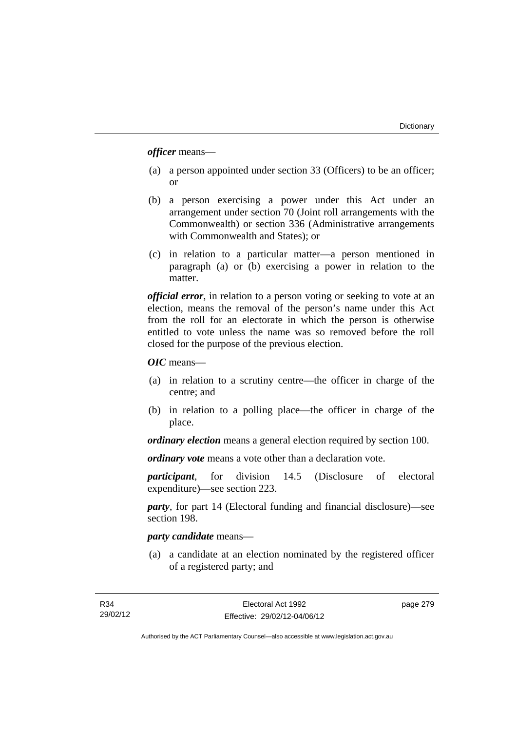*officer* means—

- (a) a person appointed under section 33 (Officers) to be an officer; or
- (b) a person exercising a power under this Act under an arrangement under section 70 (Joint roll arrangements with the Commonwealth) or section 336 (Administrative arrangements with Commonwealth and States); or
- (c) in relation to a particular matter—a person mentioned in paragraph (a) or (b) exercising a power in relation to the matter.

*official error*, in relation to a person voting or seeking to vote at an election, means the removal of the person's name under this Act from the roll for an electorate in which the person is otherwise entitled to vote unless the name was so removed before the roll closed for the purpose of the previous election.

*OIC* means—

- (a) in relation to a scrutiny centre—the officer in charge of the centre; and
- (b) in relation to a polling place—the officer in charge of the place.

*ordinary election* means a general election required by section 100.

*ordinary vote* means a vote other than a declaration vote.

*participant*, for division 14.5 (Disclosure of electoral expenditure)—see section 223.

*party*, for part 14 (Electoral funding and financial disclosure)—see section 198.

# *party candidate* means—

 (a) a candidate at an election nominated by the registered officer of a registered party; and

page 279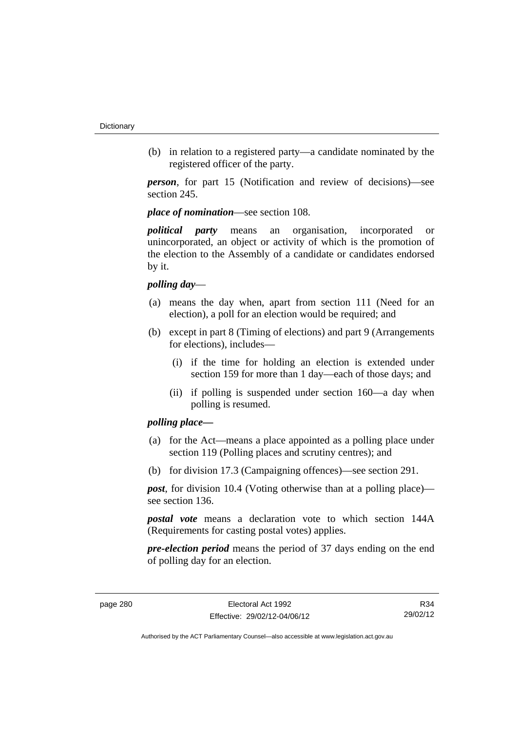(b) in relation to a registered party—a candidate nominated by the registered officer of the party.

*person*, for part 15 (Notification and review of decisions)—see section 245.

*place of nomination*—see section 108.

*political party* means an organisation, incorporated or unincorporated, an object or activity of which is the promotion of the election to the Assembly of a candidate or candidates endorsed by it.

# *polling day*—

- (a) means the day when, apart from section 111 (Need for an election), a poll for an election would be required; and
- (b) except in part 8 (Timing of elections) and part 9 (Arrangements for elections), includes—
	- (i) if the time for holding an election is extended under section 159 for more than 1 day—each of those days; and
	- (ii) if polling is suspended under section 160—a day when polling is resumed.

# *polling place—*

- (a) for the Act—means a place appointed as a polling place under section 119 (Polling places and scrutiny centres); and
- (b) for division 17.3 (Campaigning offences)—see section 291.

*post*, for division 10.4 (Voting otherwise than at a polling place) see section 136.

*postal vote* means a declaration vote to which section 144A (Requirements for casting postal votes) applies.

*pre-election period* means the period of 37 days ending on the end of polling day for an election.

R34 29/02/12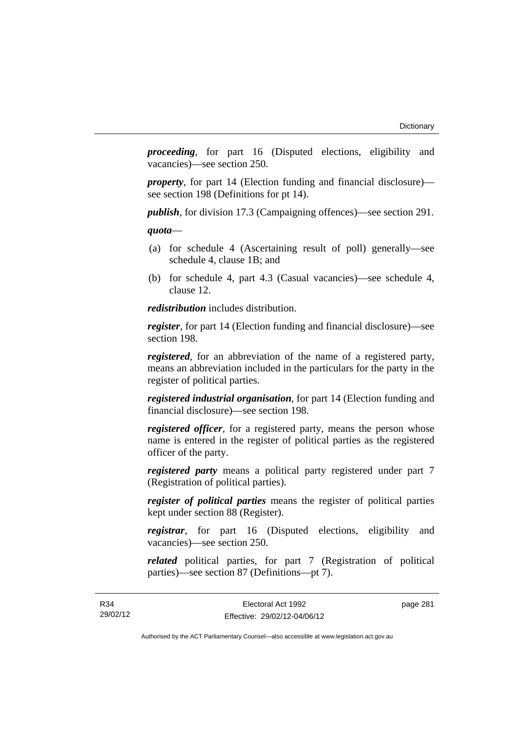*proceeding*, for part 16 (Disputed elections, eligibility and vacancies)—see section 250.

*property*, for part 14 (Election funding and financial disclosure) see section 198 (Definitions for pt 14).

*publish*, for division 17.3 (Campaigning offences)—see section 291.

*quota*—

- (a) for schedule 4 (Ascertaining result of poll) generally—see schedule 4, clause 1B; and
- (b) for schedule 4, part 4.3 (Casual vacancies)—see schedule 4, clause 12.

*redistribution* includes distribution.

*register*, for part 14 (Election funding and financial disclosure)—see section 198.

*registered*, for an abbreviation of the name of a registered party, means an abbreviation included in the particulars for the party in the register of political parties.

*registered industrial organisation*, for part 14 (Election funding and financial disclosure)—see section 198.

*registered officer*, for a registered party, means the person whose name is entered in the register of political parties as the registered officer of the party.

*registered party* means a political party registered under part 7 (Registration of political parties).

*register of political parties* means the register of political parties kept under section 88 (Register).

*registrar*, for part 16 (Disputed elections, eligibility and vacancies)—see section 250.

*related* political parties, for part 7 (Registration of political parties)—see section 87 (Definitions—pt 7).

R34 29/02/12 page 281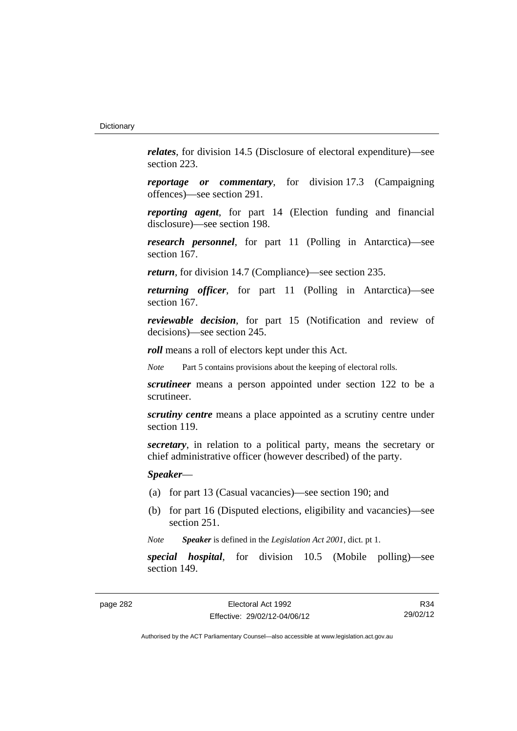*relates*, for division 14.5 (Disclosure of electoral expenditure)—see section 223.

*reportage or commentary*, for division 17.3 (Campaigning offences)—see section 291.

*reporting agent*, for part 14 (Election funding and financial disclosure)—see section 198.

*research personnel*, for part 11 (Polling in Antarctica)—see section 167.

*return*, for division 14.7 (Compliance)—see section 235.

*returning officer*, for part 11 (Polling in Antarctica)—see section 167.

*reviewable decision*, for part 15 (Notification and review of decisions)—see section 245.

*roll* means a roll of electors kept under this Act.

*Note* Part 5 contains provisions about the keeping of electoral rolls.

*scrutineer* means a person appointed under section 122 to be a scrutineer.

*scrutiny centre* means a place appointed as a scrutiny centre under section 119.

*secretary*, in relation to a political party, means the secretary or chief administrative officer (however described) of the party.

*Speaker*—

- (a) for part 13 (Casual vacancies)—see section 190; and
- (b) for part 16 (Disputed elections, eligibility and vacancies)—see section 251.

*Note Speaker* is defined in the *Legislation Act 2001*, dict. pt 1.

*special hospital*, for division 10.5 (Mobile polling)—see section 149.

R34 29/02/12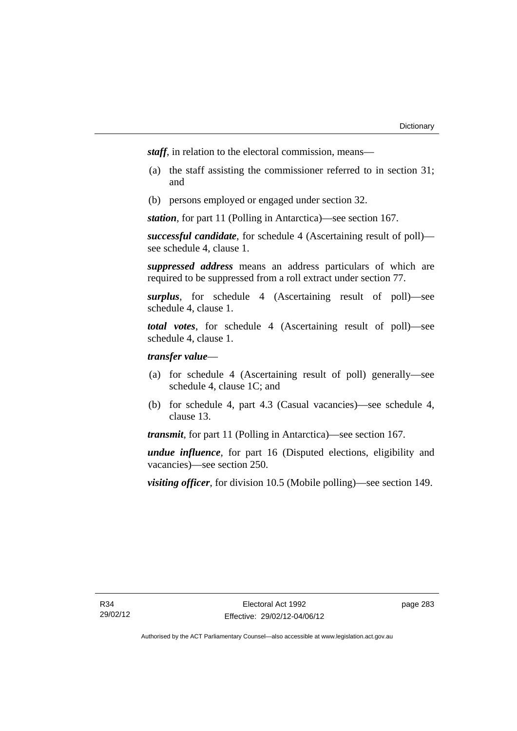*staff*, in relation to the electoral commission, means—

- (a) the staff assisting the commissioner referred to in section 31; and
- (b) persons employed or engaged under section 32.

*station*, for part 11 (Polling in Antarctica)—see section 167.

*successful candidate*, for schedule 4 (Ascertaining result of poll) see schedule 4, clause 1.

*suppressed address* means an address particulars of which are required to be suppressed from a roll extract under section 77.

*surplus*, for schedule 4 (Ascertaining result of poll)—see schedule 4, clause 1.

*total votes*, for schedule 4 (Ascertaining result of poll)—see schedule 4, clause 1.

# *transfer value*—

- (a) for schedule 4 (Ascertaining result of poll) generally—see schedule 4, clause 1C; and
- (b) for schedule 4, part 4.3 (Casual vacancies)—see schedule 4, clause 13.

*transmit*, for part 11 (Polling in Antarctica)—see section 167.

*undue influence*, for part 16 (Disputed elections, eligibility and vacancies)—see section 250.

*visiting officer*, for division 10.5 (Mobile polling)—see section 149.

page 283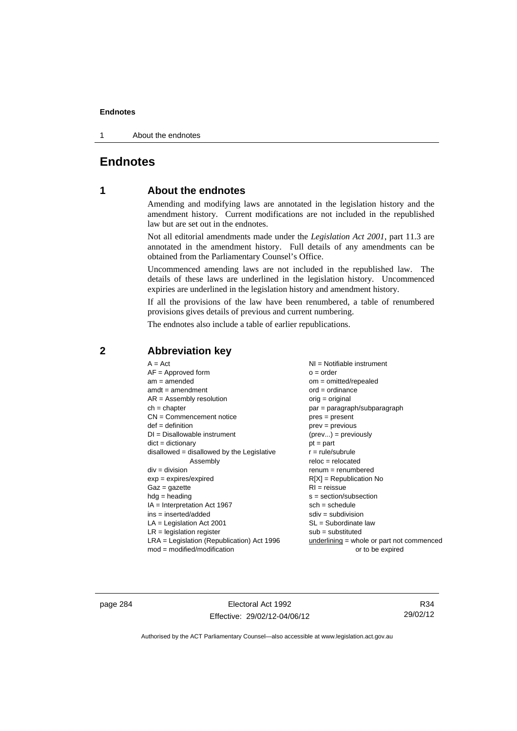1 About the endnotes

# **Endnotes**

# **1 About the endnotes**

Amending and modifying laws are annotated in the legislation history and the amendment history. Current modifications are not included in the republished law but are set out in the endnotes.

Not all editorial amendments made under the *Legislation Act 2001*, part 11.3 are annotated in the amendment history. Full details of any amendments can be obtained from the Parliamentary Counsel's Office.

Uncommenced amending laws are not included in the republished law. The details of these laws are underlined in the legislation history. Uncommenced expiries are underlined in the legislation history and amendment history.

If all the provisions of the law have been renumbered, a table of renumbered provisions gives details of previous and current numbering.

The endnotes also include a table of earlier republications.

| $A = Act$                                    | NI = Notifiable instrument                  |
|----------------------------------------------|---------------------------------------------|
| $AF =$ Approved form                         | $o = order$                                 |
| $am = amended$                               | om = omitted/repealed                       |
| $amdt = amendment$                           | $ord = ordinance$                           |
| $AR = Assembly resolution$                   | $orig = original$                           |
| $ch = chapter$                               | $par = paragraph/subparagraph$              |
| $CN =$ Commencement notice                   | $pres = present$                            |
| $def = definition$                           | $prev = previous$                           |
| $DI = Disallowable instrument$               | $(\text{prev}) = \text{previously}$         |
| $dict = dictionary$                          | $pt = part$                                 |
| $disallowed = disallowed by the Legislative$ | $r = rule/subrule$                          |
| Assembly                                     | $reloc = relocated$                         |
| $div = division$                             | $renum = renumbered$                        |
| $exp = expires/expired$                      | $R[X]$ = Republication No                   |
| $Gaz = gazette$                              | $RI = reissue$                              |
| $hdg = heading$                              | $s = section/subsection$                    |
| $IA = Interpretation Act 1967$               | $sch = schedule$                            |
| ins = inserted/added                         | $sdiv = subdivision$                        |
| $LA =$ Legislation Act 2001                  | $SL = Subordinate$ law                      |
| $LR =$ legislation register                  | $sub =$ substituted                         |
| LRA = Legislation (Republication) Act 1996   | underlining $=$ whole or part not commenced |
| $mod = modified/modification$                | or to be expired                            |

# **2 Abbreviation key**

page 284 Electoral Act 1992 Effective: 29/02/12-04/06/12

R34 29/02/12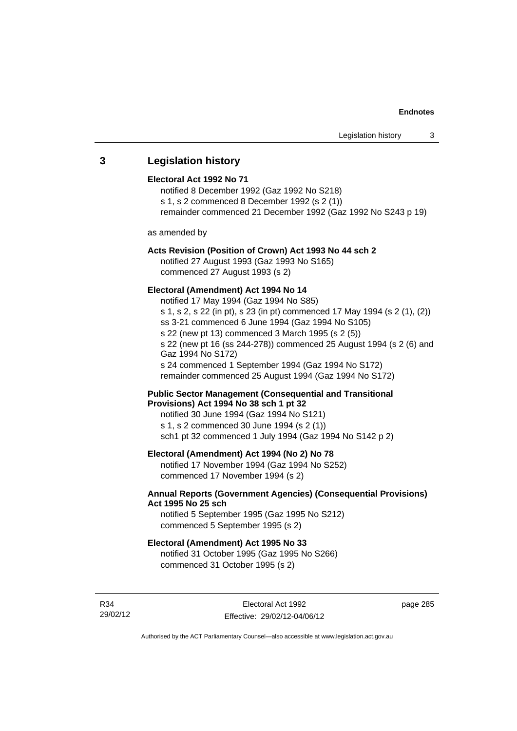# **3 Legislation history**

## **Electoral Act 1992 No 71**

notified 8 December 1992 (Gaz 1992 No S218) s 1, s 2 commenced 8 December 1992 (s 2 (1)) remainder commenced 21 December 1992 (Gaz 1992 No S243 p 19)

as amended by

### **Acts Revision (Position of Crown) Act 1993 No 44 sch 2**

notified 27 August 1993 (Gaz 1993 No S165) commenced 27 August 1993 (s 2)

# **Electoral (Amendment) Act 1994 No 14**

notified 17 May 1994 (Gaz 1994 No S85) s 1, s 2, s 22 (in pt), s 23 (in pt) commenced 17 May 1994 (s 2 (1), (2)) ss 3-21 commenced 6 June 1994 (Gaz 1994 No S105) s 22 (new pt 13) commenced 3 March 1995 (s 2 (5)) s 22 (new pt 16 (ss 244-278)) commenced 25 August 1994 (s 2 (6) and Gaz 1994 No S172) s 24 commenced 1 September 1994 (Gaz 1994 No S172) remainder commenced 25 August 1994 (Gaz 1994 No S172)

## **Public Sector Management (Consequential and Transitional Provisions) Act 1994 No 38 sch 1 pt 32**

notified 30 June 1994 (Gaz 1994 No S121) s 1, s 2 commenced 30 June 1994 (s 2 (1)) sch1 pt 32 commenced 1 July 1994 (Gaz 1994 No S142 p 2)

# **Electoral (Amendment) Act 1994 (No 2) No 78**

notified 17 November 1994 (Gaz 1994 No S252) commenced 17 November 1994 (s 2)

# **Annual Reports (Government Agencies) (Consequential Provisions) Act 1995 No 25 sch**

notified 5 September 1995 (Gaz 1995 No S212) commenced 5 September 1995 (s 2)

#### **Electoral (Amendment) Act 1995 No 33**

notified 31 October 1995 (Gaz 1995 No S266) commenced 31 October 1995 (s 2)

R34 29/02/12 page 285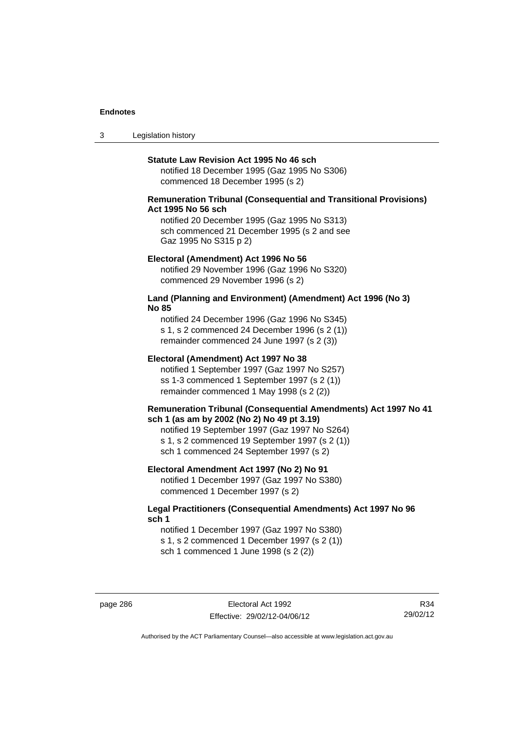3 Legislation history

## **Statute Law Revision Act 1995 No 46 sch**

notified 18 December 1995 (Gaz 1995 No S306) commenced 18 December 1995 (s 2)

# **Remuneration Tribunal (Consequential and Transitional Provisions) Act 1995 No 56 sch**

notified 20 December 1995 (Gaz 1995 No S313) sch commenced 21 December 1995 (s 2 and see Gaz 1995 No S315 p 2)

### **Electoral (Amendment) Act 1996 No 56**

notified 29 November 1996 (Gaz 1996 No S320) commenced 29 November 1996 (s 2)

# **Land (Planning and Environment) (Amendment) Act 1996 (No 3) No 85**

notified 24 December 1996 (Gaz 1996 No S345) s 1, s 2 commenced 24 December 1996 (s 2 (1)) remainder commenced 24 June 1997 (s 2 (3))

# **Electoral (Amendment) Act 1997 No 38**

notified 1 September 1997 (Gaz 1997 No S257) ss 1-3 commenced 1 September 1997 (s 2 (1)) remainder commenced 1 May 1998 (s 2 (2))

## **Remuneration Tribunal (Consequential Amendments) Act 1997 No 41 sch 1 (as am by 2002 (No 2) No 49 pt 3.19)**

notified 19 September 1997 (Gaz 1997 No S264) s 1, s 2 commenced 19 September 1997 (s 2 (1)) sch 1 commenced 24 September 1997 (s 2)

## **Electoral Amendment Act 1997 (No 2) No 91**

notified 1 December 1997 (Gaz 1997 No S380) commenced 1 December 1997 (s 2)

# **Legal Practitioners (Consequential Amendments) Act 1997 No 96 sch 1**

notified 1 December 1997 (Gaz 1997 No S380) s 1, s 2 commenced 1 December 1997 (s 2 (1)) sch 1 commenced 1 June 1998 (s 2 (2))

R34 29/02/12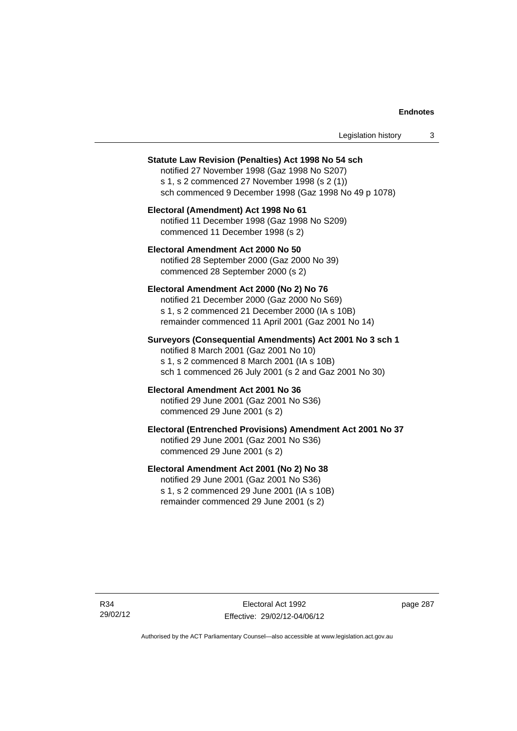| Legislation history |  |  |
|---------------------|--|--|
|---------------------|--|--|

#### **Statute Law Revision (Penalties) Act 1998 No 54 sch**

notified 27 November 1998 (Gaz 1998 No S207) s 1, s 2 commenced 27 November 1998 (s 2 (1)) sch commenced 9 December 1998 (Gaz 1998 No 49 p 1078)

# **Electoral (Amendment) Act 1998 No 61**  notified 11 December 1998 (Gaz 1998 No S209) commenced 11 December 1998 (s 2)

# **Electoral Amendment Act 2000 No 50**  notified 28 September 2000 (Gaz 2000 No 39) commenced 28 September 2000 (s 2)

### **Electoral Amendment Act 2000 (No 2) No 76**

notified 21 December 2000 (Gaz 2000 No S69) s 1, s 2 commenced 21 December 2000 (IA s 10B) remainder commenced 11 April 2001 (Gaz 2001 No 14)

# **Surveyors (Consequential Amendments) Act 2001 No 3 sch 1**

notified 8 March 2001 (Gaz 2001 No 10) s 1, s 2 commenced 8 March 2001 (IA s 10B) sch 1 commenced 26 July 2001 (s 2 and Gaz 2001 No 30)

# **Electoral Amendment Act 2001 No 36**

notified 29 June 2001 (Gaz 2001 No S36) commenced 29 June 2001 (s 2)

# **Electoral (Entrenched Provisions) Amendment Act 2001 No 37**

notified 29 June 2001 (Gaz 2001 No S36) commenced 29 June 2001 (s 2)

# **Electoral Amendment Act 2001 (No 2) No 38**

notified 29 June 2001 (Gaz 2001 No S36) s 1, s 2 commenced 29 June 2001 (IA s 10B) remainder commenced 29 June 2001 (s 2)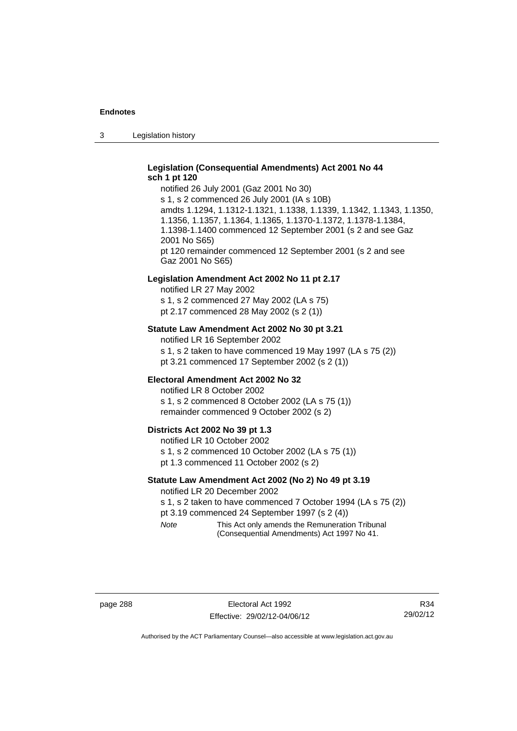3 Legislation history

# **Legislation (Consequential Amendments) Act 2001 No 44 sch 1 pt 120**

notified 26 July 2001 (Gaz 2001 No 30) s 1, s 2 commenced 26 July 2001 (IA s 10B) amdts 1.1294, 1.1312-1.1321, 1.1338, 1.1339, 1.1342, 1.1343, 1.1350, 1.1356, 1.1357, 1.1364, 1.1365, 1.1370-1.1372, 1.1378-1.1384, 1.1398-1.1400 commenced 12 September 2001 (s 2 and see Gaz 2001 No S65) pt 120 remainder commenced 12 September 2001 (s 2 and see Gaz 2001 No S65)

## **Legislation Amendment Act 2002 No 11 pt 2.17**

notified LR 27 May 2002 s 1, s 2 commenced 27 May 2002 (LA s 75) pt 2.17 commenced 28 May 2002 (s 2 (1))

# **Statute Law Amendment Act 2002 No 30 pt 3.21**

notified LR 16 September 2002 s 1, s 2 taken to have commenced 19 May 1997 (LA s 75 (2)) pt 3.21 commenced 17 September 2002 (s 2 (1))

## **Electoral Amendment Act 2002 No 32**

notified LR 8 October 2002 s 1, s 2 commenced 8 October 2002 (LA s 75 (1)) remainder commenced 9 October 2002 (s 2)

#### **Districts Act 2002 No 39 pt 1.3**

notified LR 10 October 2002 s 1, s 2 commenced 10 October 2002 (LA s 75 (1)) pt 1.3 commenced 11 October 2002 (s 2)

# **Statute Law Amendment Act 2002 (No 2) No 49 pt 3.19**

notified LR 20 December 2002

s 1, s 2 taken to have commenced 7 October 1994 (LA s 75 (2)) pt 3.19 commenced 24 September 1997 (s 2 (4))

*Note* This Act only amends the Remuneration Tribunal (Consequential Amendments) Act 1997 No 41.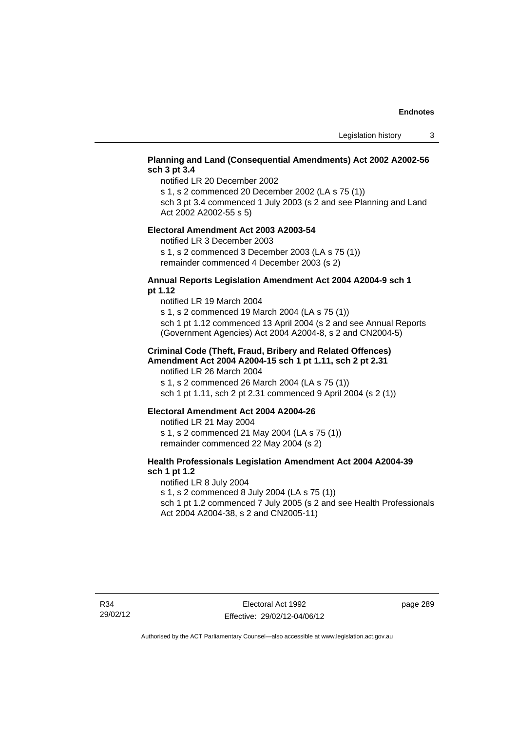# **Planning and Land (Consequential Amendments) Act 2002 A2002-56 sch 3 pt 3.4**

notified LR 20 December 2002

s 1, s 2 commenced 20 December 2002 (LA s 75 (1))

sch 3 pt 3.4 commenced 1 July 2003 (s 2 and see Planning and Land Act 2002 A2002-55 s 5)

## **Electoral Amendment Act 2003 A2003-54**

notified LR 3 December 2003

s 1, s 2 commenced 3 December 2003 (LA s 75 (1)) remainder commenced 4 December 2003 (s 2)

# **Annual Reports Legislation Amendment Act 2004 A2004-9 sch 1 pt 1.12**

notified LR 19 March 2004 s 1, s 2 commenced 19 March 2004 (LA s 75 (1)) sch 1 pt 1.12 commenced 13 April 2004 (s 2 and see Annual Reports (Government Agencies) Act 2004 A2004-8, s 2 and CN2004-5)

# **Criminal Code (Theft, Fraud, Bribery and Related Offences) Amendment Act 2004 A2004-15 sch 1 pt 1.11, sch 2 pt 2.31**

notified LR 26 March 2004 s 1, s 2 commenced 26 March 2004 (LA s 75 (1)) sch 1 pt 1.11, sch 2 pt 2.31 commenced 9 April 2004 (s 2 (1))

### **Electoral Amendment Act 2004 A2004-26**

notified LR 21 May 2004 s 1, s 2 commenced 21 May 2004 (LA s 75 (1)) remainder commenced 22 May 2004 (s 2)

# **Health Professionals Legislation Amendment Act 2004 A2004-39 sch 1 pt 1.2**

notified LR 8 July 2004 s 1, s 2 commenced 8 July 2004 (LA s 75 (1)) sch 1 pt 1.2 commenced 7 July 2005 (s 2 and see Health Professionals Act 2004 A2004-38, s 2 and CN2005-11)

page 289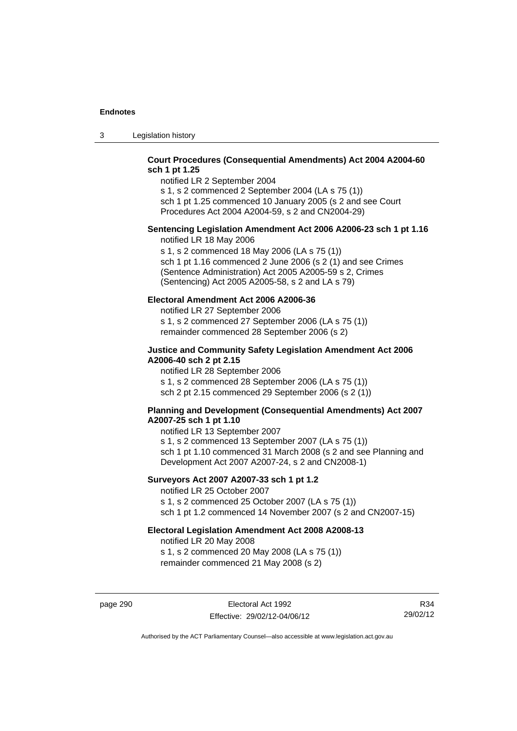3 Legislation history

# **Court Procedures (Consequential Amendments) Act 2004 A2004-60 sch 1 pt 1.25**

notified LR 2 September 2004 s 1, s 2 commenced 2 September 2004 (LA s 75 (1))

sch 1 pt 1.25 commenced 10 January 2005 (s 2 and see Court Procedures Act 2004 A2004-59, s 2 and CN2004-29)

# **Sentencing Legislation Amendment Act 2006 A2006-23 sch 1 pt 1.16**

notified LR 18 May 2006

s 1, s 2 commenced 18 May 2006 (LA s 75 (1)) sch 1 pt 1.16 commenced 2 June 2006 (s 2 (1) and see Crimes (Sentence Administration) Act 2005 A2005-59 s 2, Crimes (Sentencing) Act 2005 A2005-58, s 2 and LA s 79)

# **Electoral Amendment Act 2006 A2006-36**

notified LR 27 September 2006 s 1, s 2 commenced 27 September 2006 (LA s 75 (1)) remainder commenced 28 September 2006 (s 2)

# **Justice and Community Safety Legislation Amendment Act 2006 A2006-40 sch 2 pt 2.15**

notified LR 28 September 2006 s 1, s 2 commenced 28 September 2006 (LA s 75 (1)) sch 2 pt 2.15 commenced 29 September 2006 (s 2 (1))

# **Planning and Development (Consequential Amendments) Act 2007 A2007-25 sch 1 pt 1.10**

notified LR 13 September 2007 s 1, s 2 commenced 13 September 2007 (LA s 75 (1)) sch 1 pt 1.10 commenced 31 March 2008 (s 2 and see Planning and Development Act 2007 A2007-24, s 2 and CN2008-1)

# **Surveyors Act 2007 A2007-33 sch 1 pt 1.2**

notified LR 25 October 2007 s 1, s 2 commenced 25 October 2007 (LA s 75 (1)) sch 1 pt 1.2 commenced 14 November 2007 (s 2 and CN2007-15)

# **Electoral Legislation Amendment Act 2008 A2008-13**

notified LR 20 May 2008 s 1, s 2 commenced 20 May 2008 (LA s 75 (1)) remainder commenced 21 May 2008 (s 2)

page 290 Electoral Act 1992 Effective: 29/02/12-04/06/12

R34 29/02/12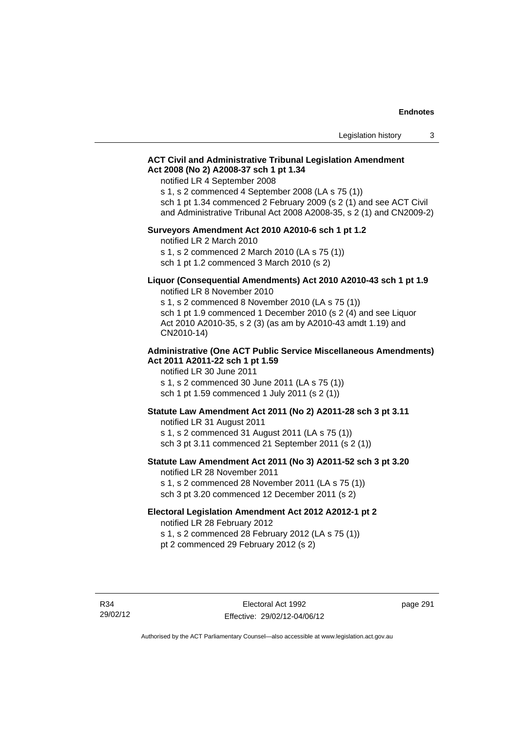# **ACT Civil and Administrative Tribunal Legislation Amendment Act 2008 (No 2) A2008-37 sch 1 pt 1.34**

notified LR 4 September 2008

s 1, s 2 commenced 4 September 2008 (LA s 75 (1))

sch 1 pt 1.34 commenced 2 February 2009 (s 2 (1) and see ACT Civil and Administrative Tribunal Act 2008 A2008-35, s 2 (1) and CN2009-2)

## **Surveyors Amendment Act 2010 A2010-6 sch 1 pt 1.2**

notified LR 2 March 2010 s 1, s 2 commenced 2 March 2010 (LA s 75 (1)) sch 1 pt 1.2 commenced 3 March 2010 (s 2)

### **Liquor (Consequential Amendments) Act 2010 A2010-43 sch 1 pt 1.9**  notified LR 8 November 2010

s 1, s 2 commenced 8 November 2010 (LA s 75 (1)) sch 1 pt 1.9 commenced 1 December 2010 (s 2 (4) and see Liquor Act 2010 A2010-35, s 2 (3) (as am by A2010-43 amdt 1.19) and CN2010-14)

## **Administrative (One ACT Public Service Miscellaneous Amendments) Act 2011 A2011-22 sch 1 pt 1.59**

notified LR 30 June 2011 s 1, s 2 commenced 30 June 2011 (LA s 75 (1)) sch 1 pt 1.59 commenced 1 July 2011 (s 2 (1))

# **Statute Law Amendment Act 2011 (No 2) A2011-28 sch 3 pt 3.11**

notified LR 31 August 2011 s 1, s 2 commenced 31 August 2011 (LA s 75 (1)) sch 3 pt 3.11 commenced 21 September 2011 (s 2 (1))

# **Statute Law Amendment Act 2011 (No 3) A2011-52 sch 3 pt 3.20**

notified LR 28 November 2011 s 1, s 2 commenced 28 November 2011 (LA s 75 (1)) sch 3 pt 3.20 commenced 12 December 2011 (s 2)

### **Electoral Legislation Amendment Act 2012 A2012-1 pt 2**

notified LR 28 February 2012 s 1, s 2 commenced 28 February 2012 (LA s 75 (1)) pt 2 commenced 29 February 2012 (s 2)

R34 29/02/12 page 291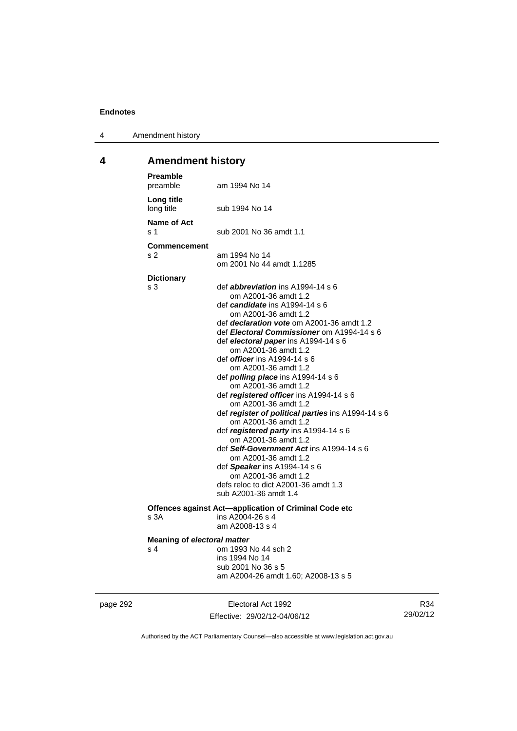4 Amendment history

# **4 Amendment history**

| <b>Preamble</b><br>preamble               | am 1994 No 14                                                                                                                                                                                                                                                                                                                                                                                                                                                                                                                                                                                                                                                                                                                                                                                                                                            |
|-------------------------------------------|----------------------------------------------------------------------------------------------------------------------------------------------------------------------------------------------------------------------------------------------------------------------------------------------------------------------------------------------------------------------------------------------------------------------------------------------------------------------------------------------------------------------------------------------------------------------------------------------------------------------------------------------------------------------------------------------------------------------------------------------------------------------------------------------------------------------------------------------------------|
| Long title<br>long title                  | sub 1994 No 14                                                                                                                                                                                                                                                                                                                                                                                                                                                                                                                                                                                                                                                                                                                                                                                                                                           |
| Name of Act<br>s 1                        | sub 2001 No 36 amdt 1.1                                                                                                                                                                                                                                                                                                                                                                                                                                                                                                                                                                                                                                                                                                                                                                                                                                  |
| <b>Commencement</b><br>s 2                | am 1994 No 14<br>om 2001 No 44 amdt 1.1285                                                                                                                                                                                                                                                                                                                                                                                                                                                                                                                                                                                                                                                                                                                                                                                                               |
| <b>Dictionary</b>                         |                                                                                                                                                                                                                                                                                                                                                                                                                                                                                                                                                                                                                                                                                                                                                                                                                                                          |
| s 3                                       | def <b>abbreviation</b> ins $A1994-14 s 6$<br>om A2001-36 amdt 1.2<br>def <i>candidate</i> ins A1994-14 s 6<br>om A2001-36 amdt 1.2<br>def <i>declaration vote</i> om A2001-36 amdt 1.2<br>def Electoral Commissioner om A1994-14 s 6<br>def electoral paper ins A1994-14 s 6<br>om A2001-36 amdt 1.2<br>def <i>officer</i> ins A1994-14 s 6<br>om A2001-36 amdt 1.2<br>def <i>polling place</i> ins A1994-14 s 6<br>om A2001-36 amdt 1.2<br>def registered officer ins A1994-14 s 6<br>om A2001-36 amdt 1.2<br>def register of political parties ins A1994-14 s 6<br>om A2001-36 amdt 1.2<br>def registered party ins A1994-14 s 6<br>om A2001-36 amdt 1.2<br>def Self-Government Act ins A1994-14 s 6<br>om A2001-36 amdt 1.2<br>def Speaker ins A1994-14 s 6<br>om A2001-36 amdt 1.2<br>defs reloc to dict A2001-36 amdt 1.3<br>sub A2001-36 amdt 1.4 |
|                                           | Offences against Act-application of Criminal Code etc                                                                                                                                                                                                                                                                                                                                                                                                                                                                                                                                                                                                                                                                                                                                                                                                    |
| s 3A                                      | ins A2004-26 s 4<br>am A2008-13 s 4                                                                                                                                                                                                                                                                                                                                                                                                                                                                                                                                                                                                                                                                                                                                                                                                                      |
| <b>Meaning of electoral matter</b><br>s 4 | om 1993 No 44 sch 2<br>ins 1994 No 14<br>sub 2001 No 36 s 5<br>am A2004-26 amdt 1.60; A2008-13 s 5                                                                                                                                                                                                                                                                                                                                                                                                                                                                                                                                                                                                                                                                                                                                                       |

page 292 **Electoral Act 1992** Effective: 29/02/12-04/06/12

R34 29/02/12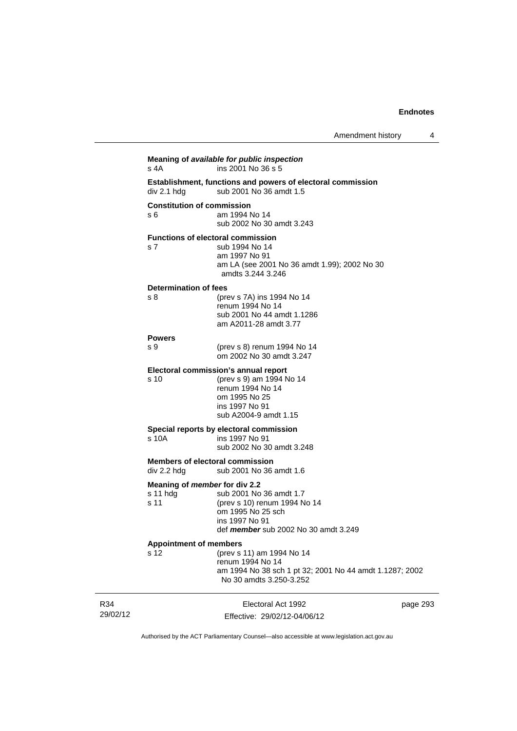| s 4A                                                  | Meaning of available for public inspection<br>ins 2001 No 36 s 5                                                                                 |          |
|-------------------------------------------------------|--------------------------------------------------------------------------------------------------------------------------------------------------|----------|
| div 2.1 hdg                                           | <b>Establishment, functions and powers of electoral commission</b><br>sub 2001 No 36 amdt 1.5                                                    |          |
| <b>Constitution of commission</b><br>s 6              | am 1994 No 14<br>sub 2002 No 30 amdt 3.243                                                                                                       |          |
| s <sub>7</sub>                                        | <b>Functions of electoral commission</b><br>sub 1994 No 14<br>am 1997 No 91<br>am LA (see 2001 No 36 amdt 1.99); 2002 No 30<br>amdts 3.244 3.246 |          |
| Determination of fees<br>s 8                          | (prev s 7A) ins 1994 No 14<br>renum 1994 No 14<br>sub 2001 No 44 amdt 1.1286<br>am A2011-28 amdt 3.77                                            |          |
| <b>Powers</b><br>s 9                                  | (prev s 8) renum 1994 No 14<br>om 2002 No 30 amdt 3.247                                                                                          |          |
| s 10                                                  | Electoral commission's annual report<br>(prev s 9) am 1994 No 14<br>renum 1994 No 14<br>om 1995 No 25<br>ins 1997 No 91<br>sub A2004-9 amdt 1.15 |          |
| s 10A                                                 | Special reports by electoral commission<br>ins 1997 No 91<br>sub 2002 No 30 amdt 3.248                                                           |          |
| <b>Members of electoral commission</b><br>div 2.2 hdg | sub 2001 No 36 amdt 1.6                                                                                                                          |          |
| Meaning of member for div 2.2<br>$s11$ hdg<br>s 11    | sub 2001 No 36 amdt 1.7<br>(prev s 10) renum 1994 No 14<br>om 1995 No 25 sch<br>ins 1997 No 91<br>def <i>member</i> sub 2002 No 30 amdt 3.249    |          |
| <b>Appointment of members</b><br>s 12                 | (prev s 11) am 1994 No 14<br>renum 1994 No 14<br>am 1994 No 38 sch 1 pt 32; 2001 No 44 amdt 1.1287; 2002<br>No 30 amdts 3.250-3.252              |          |
|                                                       | Electoral Act 1992<br>Effective: 29/02/12-04/06/12                                                                                               | page 293 |

Authorised by the ACT Parliamentary Counsel—also accessible at www.legislation.act.gov.au

R34 29/02/12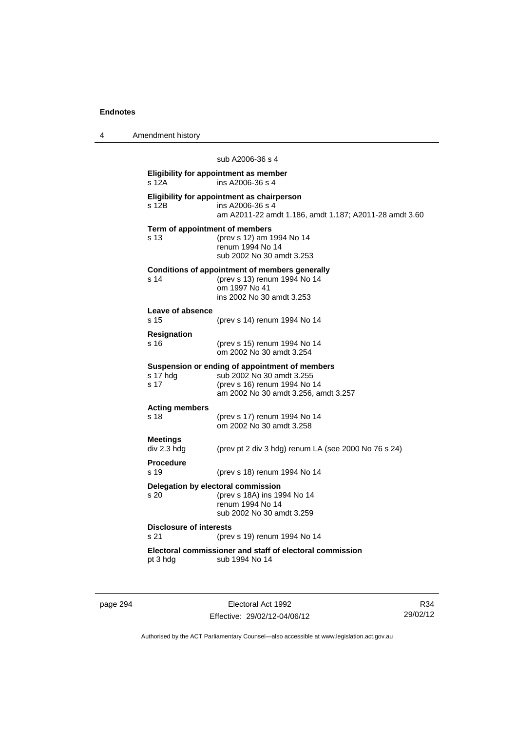4 Amendment history

sub A2006-36 s 4 **Eligibility for appointment as member**  s 12A ins A2006-36 s 4 **Eligibility for appointment as chairperson**   $ins A2006-36 s 4$ am A2011-22 amdt 1.186, amdt 1.187; A2011-28 amdt 3.60 **Term of appointment of members**  s 13 (prev s 12) am 1994 No 14 renum 1994 No 14 sub 2002 No 30 amdt 3.253 **Conditions of appointment of members generally**  s 14 (prev s 13) renum 1994 No 14 om 1997 No 41 ins 2002 No 30 amdt 3.253 **Leave of absence**  s 15 (prev s 14) renum 1994 No 14 **Resignation**  s 16 (prev s 15) renum 1994 No 14 om 2002 No 30 amdt 3.254 **Suspension or ending of appointment of members**  s 17 hdg sub 2002 No 30 amdt 3.255<br>s 17 (prev s 16) renum 1994 No 1 (prev s 16) renum 1994 No 14 am 2002 No 30 amdt 3.256, amdt 3.257 **Acting members**  s 18 (prev s 17) renum 1994 No 14 om 2002 No 30 amdt 3.258 **Meetings**  (prev pt 2 div 3 hdg) renum LA (see 2000 No 76 s 24) **Procedure**  s 19 (prev s 18) renum 1994 No 14 **Delegation by electoral commission**  s 20 (prev s 18A) ins 1994 No 14 renum 1994 No 14 sub 2002 No 30 amdt 3.259 **Disclosure of interests**  s 21 (prev s 19) renum 1994 No 14 **Electoral commissioner and staff of electoral commission**  pt 3 hdg sub 1994 No 14

page 294 Electoral Act 1992 Effective: 29/02/12-04/06/12

R34 29/02/12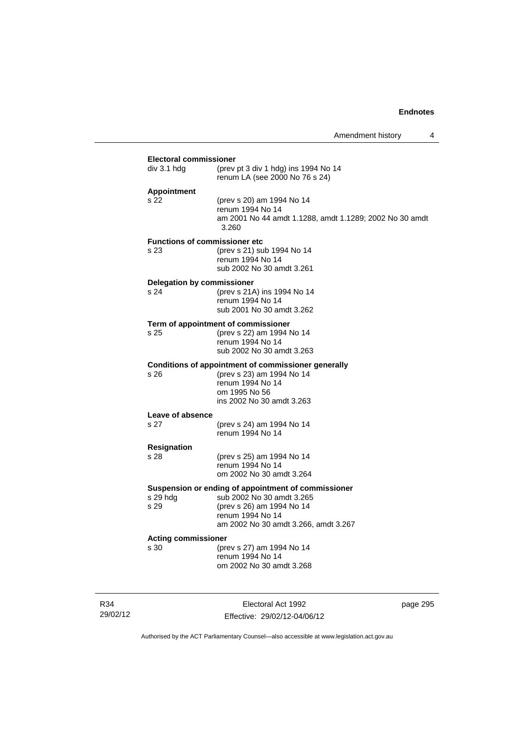| <b>Electoral commissioner</b>     |                                                                                  |
|-----------------------------------|----------------------------------------------------------------------------------|
| div 3.1 hdg                       | (prev pt 3 div 1 hdg) ins 1994 No 14<br>renum LA (see 2000 No 76 s 24)           |
| <b>Appointment</b>                |                                                                                  |
| s 22                              | (prev s 20) am 1994 No 14<br>renum 1994 No 14                                    |
|                                   | am 2001 No 44 amdt 1.1288, amdt 1.1289; 2002 No 30 amdt<br>3.260                 |
|                                   | <b>Functions of commissioner etc</b>                                             |
| s 23                              | (prev s 21) sub 1994 No 14<br>renum 1994 No 14                                   |
|                                   | sub 2002 No 30 amdt 3.261                                                        |
| <b>Delegation by commissioner</b> |                                                                                  |
| s 24                              | (prev s 21A) ins 1994 No 14                                                      |
|                                   | renum 1994 No 14<br>sub 2001 No 30 amdt 3.262                                    |
|                                   |                                                                                  |
| s 25                              | Term of appointment of commissioner<br>(prev s 22) am 1994 No 14                 |
|                                   | renum 1994 No 14                                                                 |
|                                   | sub 2002 No 30 amdt 3.263                                                        |
| s 26                              | Conditions of appointment of commissioner generally<br>(prev s 23) am 1994 No 14 |
|                                   | renum 1994 No 14                                                                 |
|                                   | om 1995 No 56                                                                    |
|                                   | ins 2002 No 30 amdt 3.263                                                        |
| Leave of absence<br>s 27          | (prev s 24) am 1994 No 14                                                        |
|                                   | renum 1994 No 14                                                                 |
| <b>Resignation</b>                |                                                                                  |
| s 28                              | (prev s 25) am 1994 No 14<br>renum 1994 No 14                                    |
|                                   | om 2002 No 30 amdt 3.264                                                         |
|                                   | Suspension or ending of appointment of commissioner                              |
| s 29 hdg                          | sub 2002 No 30 amdt 3.265                                                        |
| s 29                              | (prev s 26) am 1994 No 14<br>renum 1994 No 14                                    |
|                                   | am 2002 No 30 amdt 3.266, amdt 3.267                                             |
| <b>Acting commissioner</b>        |                                                                                  |
| s 30                              | (prev s 27) am 1994 No 14<br>renum 1994 No 14                                    |
|                                   | om 2002 No 30 amdt 3.268                                                         |
|                                   |                                                                                  |

R34 29/02/12

Electoral Act 1992 Effective: 29/02/12-04/06/12 page 295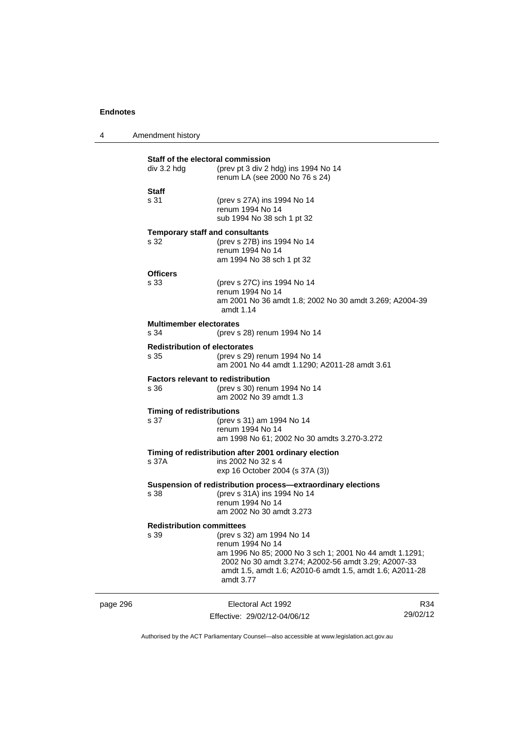|          | Staff of the electoral commission<br>div 3.2 hdg  | (prev pt 3 div 2 hdg) ins 1994 No 14<br>renum LA (see 2000 No 76 s 24)                                                                                                                                                                   |     |
|----------|---------------------------------------------------|------------------------------------------------------------------------------------------------------------------------------------------------------------------------------------------------------------------------------------------|-----|
|          | <b>Staff</b><br>s 31                              | (prev s 27A) ins 1994 No 14<br>renum 1994 No 14<br>sub 1994 No 38 sch 1 pt 32                                                                                                                                                            |     |
|          | <b>Temporary staff and consultants</b><br>s 32    | (prev s 27B) ins 1994 No 14<br>renum 1994 No 14<br>am 1994 No 38 sch 1 pt 32                                                                                                                                                             |     |
|          | <b>Officers</b><br>s 33                           | (prev s 27C) ins 1994 No 14<br>renum 1994 No 14<br>am 2001 No 36 amdt 1.8; 2002 No 30 amdt 3.269; A2004-39<br>amdt 1.14                                                                                                                  |     |
|          | <b>Multimember electorates</b><br>s 34            | (prev s 28) renum 1994 No 14                                                                                                                                                                                                             |     |
|          | <b>Redistribution of electorates</b><br>s 35      | (prev s 29) renum 1994 No 14<br>am 2001 No 44 amdt 1.1290; A2011-28 amdt 3.61                                                                                                                                                            |     |
|          | <b>Factors relevant to redistribution</b><br>s 36 | (prev s 30) renum 1994 No 14<br>am 2002 No 39 amdt 1.3                                                                                                                                                                                   |     |
|          | <b>Timing of redistributions</b><br>s 37          | (prev s 31) am 1994 No 14<br>renum 1994 No 14<br>am 1998 No 61; 2002 No 30 amdts 3.270-3.272                                                                                                                                             |     |
|          | s 37A                                             | Timing of redistribution after 2001 ordinary election<br>ins 2002 No 32 s 4<br>exp 16 October 2004 (s 37A (3))                                                                                                                           |     |
|          | s 38                                              | Suspension of redistribution process-extraordinary elections<br>(prev s 31A) ins 1994 No 14<br>renum 1994 No 14<br>am 2002 No 30 amdt 3.273                                                                                              |     |
|          | <b>Redistribution committees</b><br>s 39          | (prev s 32) am 1994 No 14<br>renum 1994 No 14<br>am 1996 No 85; 2000 No 3 sch 1; 2001 No 44 amdt 1.1291;<br>2002 No 30 amdt 3.274; A2002-56 amdt 3.29; A2007-33<br>amdt 1.5, amdt 1.6; A2010-6 amdt 1.5, amdt 1.6; A2011-28<br>amdt 3.77 |     |
| page 296 |                                                   | Electoral Act 1992                                                                                                                                                                                                                       | R34 |

Effective: 29/02/12-04/06/12

29/02/12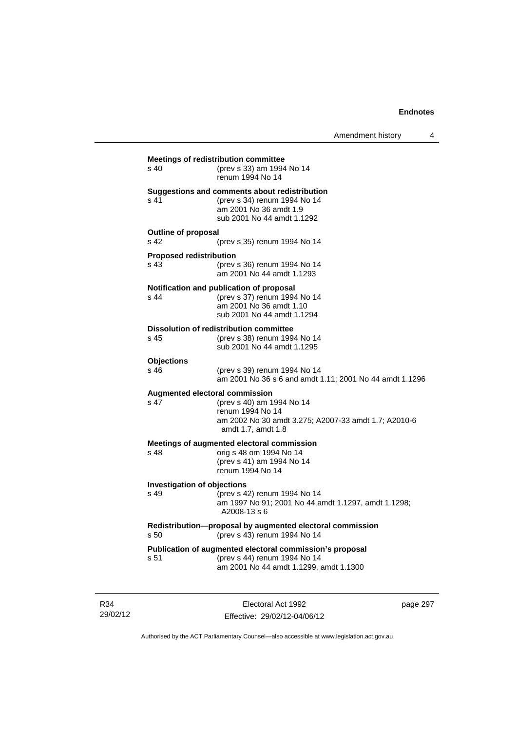| $s$ 40                                       | (prev s 33) am 1994 No 14<br>renum 1994 No 14                                                                                                                        |
|----------------------------------------------|----------------------------------------------------------------------------------------------------------------------------------------------------------------------|
| s <sub>41</sub>                              | Suggestions and comments about redistribution<br>(prev s 34) renum 1994 No 14<br>am 2001 No 36 amdt 1.9<br>sub 2001 No 44 amdt 1.1292                                |
| <b>Outline of proposal</b>                   |                                                                                                                                                                      |
| s <sub>42</sub>                              | (prev s 35) renum 1994 No 14                                                                                                                                         |
| <b>Proposed redistribution</b><br>s 43       | (prev s 36) renum 1994 No 14<br>am 2001 No 44 amdt 1.1293                                                                                                            |
| $s$ 44                                       | Notification and publication of proposal<br>(prev s 37) renum 1994 No 14<br>am 2001 No 36 amdt 1.10<br>sub 2001 No 44 amdt 1.1294                                    |
| s 45                                         | <b>Dissolution of redistribution committee</b><br>(prev s 38) renum 1994 No 14<br>sub 2001 No 44 amdt 1.1295                                                         |
| <b>Objections</b><br>s 46                    | (prev s 39) renum 1994 No 14<br>am 2001 No 36 s 6 and amdt 1.11; 2001 No 44 amdt 1.1296                                                                              |
| s 47                                         | <b>Augmented electoral commission</b><br>(prev s 40) am 1994 No 14<br>renum 1994 No 14<br>am 2002 No 30 amdt 3.275; A2007-33 amdt 1.7; A2010-6<br>amdt 1.7, amdt 1.8 |
| $s$ 48                                       | Meetings of augmented electoral commission<br>orig s 48 om 1994 No 14<br>(prev s 41) am 1994 No 14<br>renum 1994 No 14                                               |
| <b>Investigation of objections</b><br>$s$ 49 | (prev s 42) renum 1994 No 14<br>am 1997 No 91; 2001 No 44 amdt 1.1297, amdt 1.1298;<br>A2008-13 s 6                                                                  |
| s 50                                         | Redistribution-proposal by augmented electoral commission<br>(prev s 43) renum 1994 No 14                                                                            |
| s 51                                         | Publication of augmented electoral commission's proposal<br>(prev s 44) renum 1994 No 14<br>am 2001 No 44 amdt 1.1299, amdt 1.1300                                   |

R34 29/02/12

Electoral Act 1992 Effective: 29/02/12-04/06/12 page 297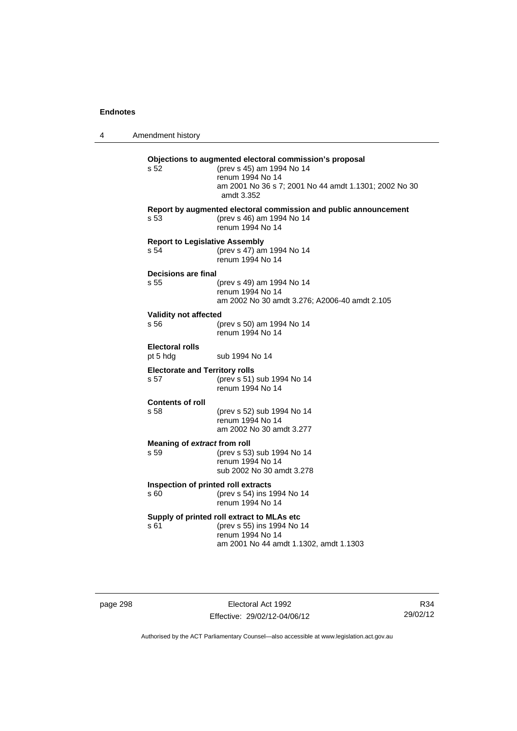| 4 | Amendment history                             |                                                                                                                                                                                 |
|---|-----------------------------------------------|---------------------------------------------------------------------------------------------------------------------------------------------------------------------------------|
|   | s 52                                          | Objections to augmented electoral commission's proposal<br>(prev s 45) am 1994 No 14<br>renum 1994 No 14<br>am 2001 No 36 s 7; 2001 No 44 amdt 1.1301; 2002 No 30<br>amdt 3.352 |
|   | s 53                                          | Report by augmented electoral commission and public announcement<br>(prev s 46) am 1994 No 14<br>renum 1994 No 14                                                               |
|   | <b>Report to Legislative Assembly</b><br>s 54 | (prev s 47) am 1994 No 14<br>renum 1994 No 14                                                                                                                                   |
|   | Decisions are final<br>s 55                   | (prev s 49) am 1994 No 14<br>renum 1994 No 14<br>am 2002 No 30 amdt 3.276; A2006-40 amdt 2.105                                                                                  |
|   | Validity not affected<br>s 56                 | (prev s 50) am 1994 No 14<br>renum 1994 No 14                                                                                                                                   |
|   | <b>Electoral rolls</b><br>pt 5 hdg            | sub 1994 No 14                                                                                                                                                                  |
|   | <b>Electorate and Territory rolls</b><br>s 57 | (prev s 51) sub 1994 No 14<br>renum 1994 No 14                                                                                                                                  |
|   | <b>Contents of roll</b><br>s 58               | (prev s 52) sub 1994 No 14<br>renum 1994 No 14<br>am 2002 No 30 amdt 3.277                                                                                                      |
|   | Meaning of extract from roll<br>s 59          | (prev s 53) sub 1994 No 14<br>renum 1994 No 14<br>sub 2002 No 30 amdt 3.278                                                                                                     |
|   | Inspection of printed roll extracts<br>s 60   | (prev s 54) ins 1994 No 14<br>renum 1994 No 14                                                                                                                                  |
|   | s 61                                          | Supply of printed roll extract to MLAs etc<br>(prev s 55) ins 1994 No 14<br>renum 1994 No 14<br>am 2001 No 44 amdt 1.1302, amdt 1.1303                                          |

page 298 **Electoral Act 1992** Effective: 29/02/12-04/06/12

R34 29/02/12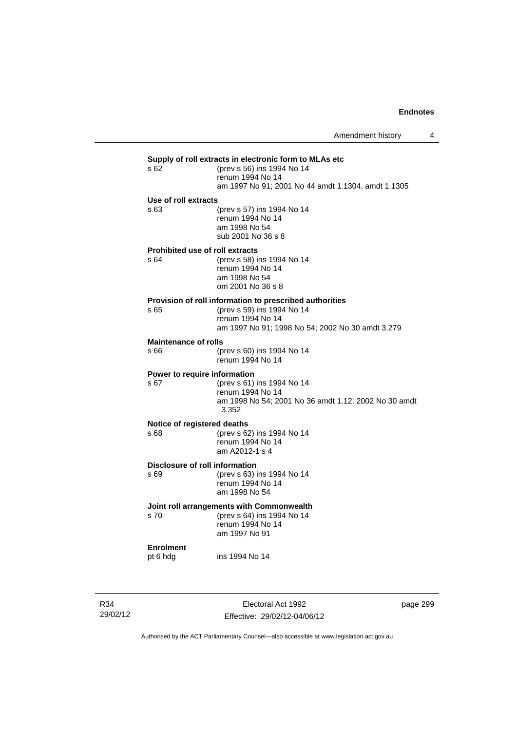| s 62                        | (prev s 56) ins 1994 No 14<br>renum 1994 No 14<br>am 1997 No 91; 2001 No 44 amdt 1.1304, amdt 1.1305                                                          |
|-----------------------------|---------------------------------------------------------------------------------------------------------------------------------------------------------------|
| Use of roll extracts        |                                                                                                                                                               |
| s 63                        | (prev s 57) ins 1994 No 14<br>renum 1994 No 14<br>am 1998 No 54<br>sub 2001 No 36 s 8                                                                         |
| s 64                        | <b>Prohibited use of roll extracts</b><br>(prev s 58) ins 1994 No 14<br>renum 1994 No 14<br>am 1998 No 54<br>om 2001 No 36 s 8                                |
| s 65                        | Provision of roll information to prescribed authorities<br>(prev s 59) ins 1994 No 14<br>renum 1994 No 14<br>am 1997 No 91; 1998 No 54; 2002 No 30 amdt 3.279 |
| <b>Maintenance of rolls</b> |                                                                                                                                                               |
| s 66                        | (prev s 60) ins 1994 No 14<br>renum 1994 No 14                                                                                                                |
| s 67                        | Power to require information<br>(prev s 61) ins 1994 No 14<br>renum 1994 No 14<br>am 1998 No 54; 2001 No 36 amdt 1.12; 2002 No 30 amdt<br>3.352               |
| s 68                        | Notice of registered deaths<br>(prev s 62) ins 1994 No 14<br>renum 1994 No 14<br>am A2012-1 s 4                                                               |
| s 69                        | Disclosure of roll information<br>(prev s 63) ins 1994 No 14<br>renum 1994 No 14<br>am 1998 No 54                                                             |
| s 70                        | Joint roll arrangements with Commonwealth<br>(prev s 64) ins 1994 No 14<br>renum 1994 No 14<br>am 1997 No 91                                                  |
|                             |                                                                                                                                                               |

R34 29/02/12

Electoral Act 1992 Effective: 29/02/12-04/06/12 page 299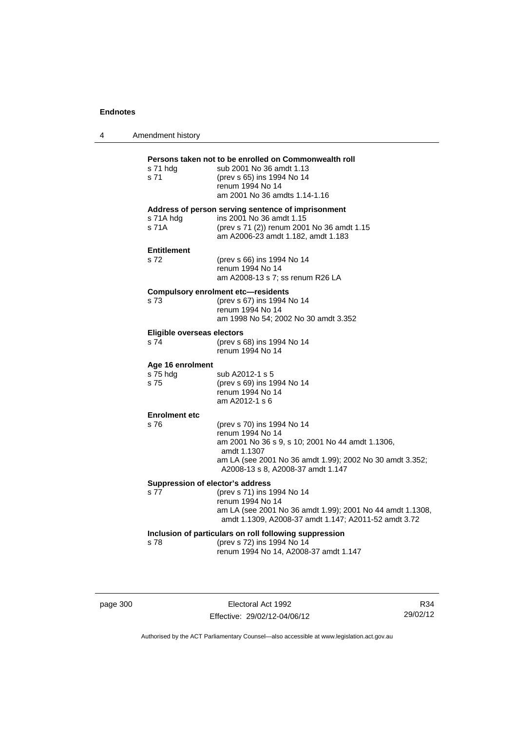| 4 | Amendment history                        |                                                                                                                                                                                                                    |
|---|------------------------------------------|--------------------------------------------------------------------------------------------------------------------------------------------------------------------------------------------------------------------|
|   | s 71 hdg<br>s 71                         | Persons taken not to be enrolled on Commonwealth roll<br>sub 2001 No 36 amdt 1.13<br>(prev s 65) ins 1994 No 14<br>renum 1994 No 14<br>am 2001 No 36 amdts 1.14-1.16                                               |
|   | s 71A hdg<br>s 71A                       | Address of person serving sentence of imprisonment<br>ins 2001 No 36 amdt 1.15<br>(prev s 71 (2)) renum 2001 No 36 amdt 1.15<br>am A2006-23 amdt 1.182, amdt 1.183                                                 |
|   | <b>Entitlement</b><br>s 72               | (prev s 66) ins 1994 No 14<br>renum 1994 No 14<br>am A2008-13 s 7; ss renum R26 LA                                                                                                                                 |
|   | s 73                                     | <b>Compulsory enrolment etc-residents</b><br>(prev s 67) ins 1994 No 14<br>renum 1994 No 14<br>am 1998 No 54; 2002 No 30 amdt 3.352                                                                                |
|   | Eligible overseas electors<br>s 74       | (prev s 68) ins 1994 No 14<br>renum 1994 No 14                                                                                                                                                                     |
|   | Age 16 enrolment<br>s 75 hdg<br>s 75     | sub A2012-1 s 5<br>(prev s 69) ins 1994 No 14<br>renum 1994 No 14<br>am A2012-1 s 6                                                                                                                                |
|   | <b>Enrolment etc</b><br>s 76             | (prev s 70) ins 1994 No 14<br>renum 1994 No 14<br>am 2001 No 36 s 9, s 10; 2001 No 44 amdt 1.1306,<br>amdt 1.1307<br>am LA (see 2001 No 36 amdt 1.99); 2002 No 30 amdt 3.352;<br>A2008-13 s 8, A2008-37 amdt 1.147 |
|   | Suppression of elector's address<br>s 77 | (prev s 71) ins 1994 No 14<br>renum 1994 No 14<br>am LA (see 2001 No 36 amdt 1.99); 2001 No 44 amdt 1.1308,<br>amdt 1.1309, A2008-37 amdt 1.147; A2011-52 amdt 3.72                                                |
|   | s 78                                     | Inclusion of particulars on roll following suppression<br>(prev s 72) ins 1994 No 14<br>renum 1994 No 14, A2008-37 amdt 1.147                                                                                      |

page 300 **Electoral Act 1992** Effective: 29/02/12-04/06/12

R34 29/02/12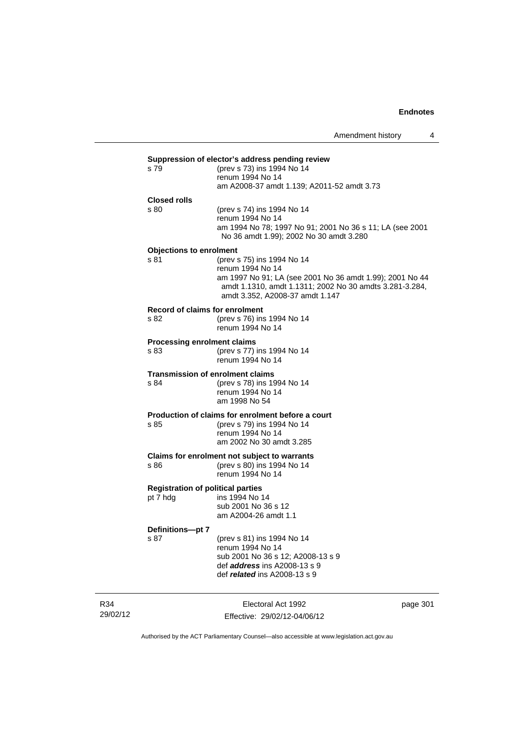# **Suppression of elector's address pending review** s 79 (prev s 73) ins 1994 No 14 s 79 (prev s 73) ins 1994 No 14 renum 1994 No 14 am A2008-37 amdt 1.139; A2011-52 amdt 3.73 **Closed rolls**  s 80 (prev s 74) ins 1994 No 14 renum 1994 No 14 am 1994 No 78; 1997 No 91; 2001 No 36 s 11; LA (see 2001 No 36 amdt 1.99); 2002 No 30 amdt 3.280 **Objections to enrolment**  s 81 (prev s 75) ins 1994 No 14 renum 1994 No 14 am 1997 No 91; LA (see 2001 No 36 amdt 1.99); 2001 No 44 amdt 1.1310, amdt 1.1311; 2002 No 30 amdts 3.281-3.284, amdt 3.352, A2008-37 amdt 1.147 **Record of claims for enrolment**  s 82 (prev s 76) ins 1994 No 14 renum 1994 No 14 **Processing enrolment claims**  s 83 (prev s 77) ins 1994 No 14 renum 1994 No 14 **Transmission of enrolment claims**  s 84 (prev s 78) ins 1994 No 14 renum 1994 No 14 am 1998 No 54 **Production of claims for enrolment before a court** s 85 (prev s 79) ins 1994 No 14 (prev s 79) ins 1994 No 14 renum 1994 No 14 am 2002 No 30 amdt 3.285 **Claims for enrolment not subject to warrants**  s 86 (prev s 80) ins 1994 No 14 renum 1994 No 14 **Registration of political parties**  pt 7 hdg ins 1994 No 14 sub 2001 No 36 s 12 am A2004-26 amdt 1.1 **Definitions—pt 7**  s 87 (prev s 81) ins 1994 No 14 renum 1994 No 14 sub 2001 No 36 s 12; A2008-13 s 9 def *address* ins A2008-13 s 9 def *related* ins A2008-13 s 9

R34 29/02/12

Electoral Act 1992 Effective: 29/02/12-04/06/12 page 301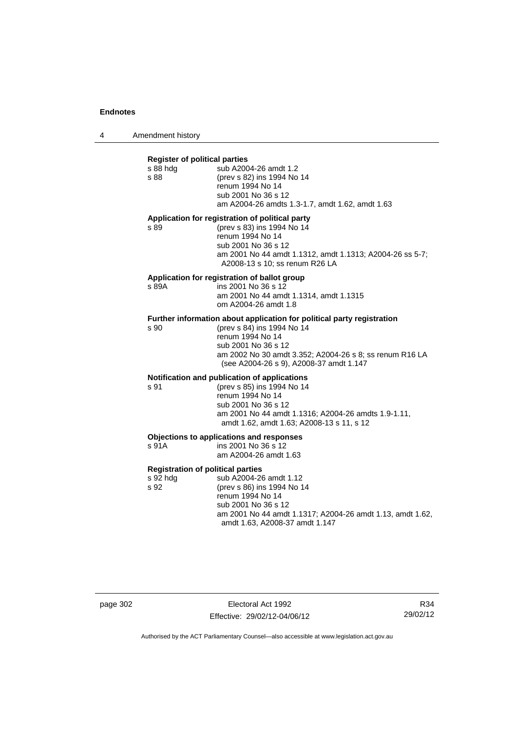4 Amendment history

#### **Register of political parties**

| s 88 hdg | sub A2004-26 amdt 1.2                                                                                                                                                                                                         |
|----------|-------------------------------------------------------------------------------------------------------------------------------------------------------------------------------------------------------------------------------|
| s 88     | (prev s 82) ins 1994 No 14                                                                                                                                                                                                    |
|          | renum 1994 No 14                                                                                                                                                                                                              |
|          | sub 2001 No 36 s 12                                                                                                                                                                                                           |
|          | am A2004-26 amdts 1.3-1.7, amdt 1.62, amdt 1.63                                                                                                                                                                               |
|          | Application for registration of political party                                                                                                                                                                               |
| s 89     | (prev s 83) ins 1994 No 14                                                                                                                                                                                                    |
|          | renum 1994 No 14                                                                                                                                                                                                              |
|          | sub 2001 No 36 s 12                                                                                                                                                                                                           |
|          | am 2001 No 44 amdt 1.1312, amdt 1.1313; A2004-26 ss 5-7;                                                                                                                                                                      |
|          | A2008-13 s 10; ss renum R26 LA                                                                                                                                                                                                |
|          | A constitute the contract of the constitution of the state of the state of the state of the state of the state of the state of the state of the state of the state of the state of the state of the state of the state of the |

# **Application for registration of ballot group**

s 89A **ins 2001 No 36 s 12**  am 2001 No 44 amdt 1.1314, amdt 1.1315 om A2004-26 amdt 1.8

# **Further information about application for political party registration** s 90 (prev s 84) ins 1994 No 14

s 90 (prev s 84) ins 1994 No 14 renum 1994 No 14 sub 2001 No 36 s 12 am 2002 No 30 amdt 3.352; A2004-26 s 8; ss renum R16 LA (see A2004-26 s 9), A2008-37 amdt 1.147

# **Notification and publication of applications**

s 91 (prev s 85) ins 1994 No 14 renum 1994 No 14 sub 2001 No 36 s 12 am 2001 No 44 amdt 1.1316; A2004-26 amdts 1.9-1.11, amdt 1.62, amdt 1.63; A2008-13 s 11, s 12

# **Objections to applications and responses**

| s 91A | ins 2001 No 36 s 12   |
|-------|-----------------------|
|       | am A2004-26 amdt 1.63 |

## **Registration of political parties**

s 92 hdg sub A2004-26 amdt 1.12 s 92 (prev s 86) ins 1994 No 14 renum 1994 No 14 sub 2001 No 36 s 12 am 2001 No 44 amdt 1.1317; A2004-26 amdt 1.13, amdt 1.62, amdt 1.63, A2008-37 amdt 1.147

page 302 Electoral Act 1992 Effective: 29/02/12-04/06/12

R34 29/02/12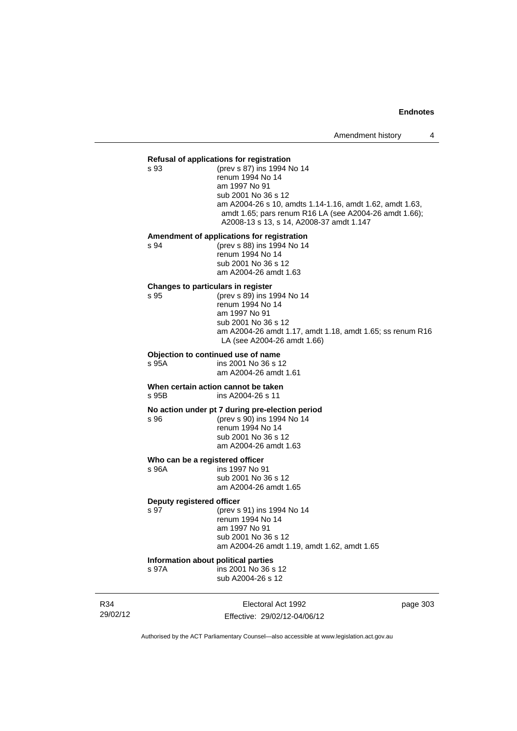# **Refusal of applications for registration**  s 93 (prev s 87) ins 1994 No 14 renum 1994 No 14 am 1997 No 91 sub 2001 No 36 s 12 am A2004-26 s 10, amdts 1.14-1.16, amdt 1.62, amdt 1.63, amdt 1.65; pars renum R16 LA (see A2004-26 amdt 1.66); A2008-13 s 13, s 14, A2008-37 amdt 1.147 **Amendment of applications for registration**  s 94 (prev s 88) ins 1994 No 14 renum 1994 No 14 sub 2001 No 36 s 12 am A2004-26 amdt 1.63 **Changes to particulars in register**  s 95 (prev s 89) ins 1994 No 14 renum 1994 No 14 am 1997 No 91 sub 2001 No 36 s 12 am A2004-26 amdt 1.17, amdt 1.18, amdt 1.65; ss renum R16 LA (see A2004-26 amdt 1.66) **Objection to continued use of name**  s 95A ins 2001 No 36 s 12 am A2004-26 amdt 1.61 **When certain action cannot be taken<br>s 95B** ins A2004-26 s 11 ins A2004-26 s 11 **No action under pt 7 during pre-election period**  s 96 (prev s 90) ins 1994 No 14 renum 1994 No 14 sub 2001 No 36 s 12 am A2004-26 amdt 1.63 **Who can be a registered officer s** 96A **ins 1997** No 9 ins 1997 No 91 sub 2001 No 36 s 12 am A2004-26 amdt 1.65 **Deputy registered officer**<br>s 97 (prev s (prev s 91) ins 1994 No 14 renum 1994 No 14 am 1997 No 91 sub 2001 No 36 s 12 am A2004-26 amdt 1.19, amdt 1.62, amdt 1.65 **Information about political parties**  s 97A ins 2001 No 36 s 12 sub A2004-26 s 12

R34 29/02/12

Electoral Act 1992 Effective: 29/02/12-04/06/12 page 303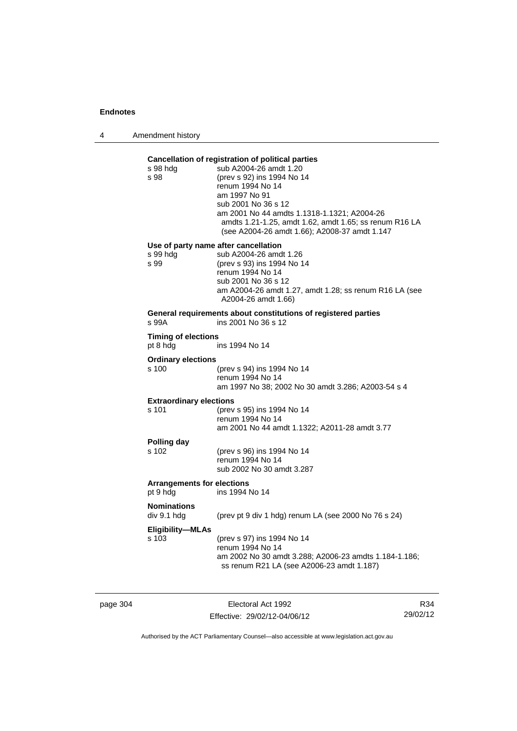4 Amendment history

# **Cancellation of registration of political parties**

| s 98 hdg<br>s 98                              | sub A2004-26 amdt 1.20<br>(prev s 92) ins 1994 No 14<br>renum 1994 No 14<br>am 1997 No 91<br>sub 2001 No 36 s 12<br>am 2001 No 44 amdts 1.1318-1.1321; A2004-26<br>amdts 1.21-1.25, amdt 1.62, amdt 1.65; ss renum R16 LA<br>(see A2004-26 amdt 1.66); A2008-37 amdt 1.147 |
|-----------------------------------------------|----------------------------------------------------------------------------------------------------------------------------------------------------------------------------------------------------------------------------------------------------------------------------|
| s 99 hdg<br>s 99                              | Use of party name after cancellation<br>sub A2004-26 amdt 1.26<br>(prev s 93) ins 1994 No 14<br>renum 1994 No 14<br>sub 2001 No 36 s 12<br>am A2004-26 amdt 1.27, amdt 1.28; ss renum R16 LA (see<br>A2004-26 amdt 1.66)                                                   |
| s 99A                                         | General requirements about constitutions of registered parties<br>ins 2001 No 36 s 12                                                                                                                                                                                      |
| <b>Timing of elections</b><br>pt 8 hdg        | ins 1994 No 14                                                                                                                                                                                                                                                             |
| <b>Ordinary elections</b><br>s 100            | (prev s 94) ins 1994 No 14<br>renum 1994 No 14<br>am 1997 No 38; 2002 No 30 amdt 3.286; A2003-54 s 4                                                                                                                                                                       |
| <b>Extraordinary elections</b><br>s 101       | (prev s 95) ins 1994 No 14<br>renum 1994 No 14<br>am 2001 No 44 amdt 1.1322; A2011-28 amdt 3.77                                                                                                                                                                            |
| Polling day<br>s 102                          | (prev s 96) ins 1994 No 14<br>renum 1994 No 14<br>sub 2002 No 30 amdt 3.287                                                                                                                                                                                                |
| <b>Arrangements for elections</b><br>pt 9 hdg | ins 1994 No 14                                                                                                                                                                                                                                                             |
| <b>Nominations</b><br>div 9.1 hdg             | (prev pt 9 div 1 hdg) renum LA (see 2000 No 76 s 24)                                                                                                                                                                                                                       |
| <b>Eligibility-MLAs</b><br>s 103              | (prev s 97) ins 1994 No 14<br>renum 1994 No 14<br>am 2002 No 30 amdt 3.288; A2006-23 amdts 1.184-1.186;<br>ss renum R21 LA (see A2006-23 amdt 1.187)                                                                                                                       |
|                                               |                                                                                                                                                                                                                                                                            |

page 304 Electoral Act 1992 Effective: 29/02/12-04/06/12

R34 29/02/12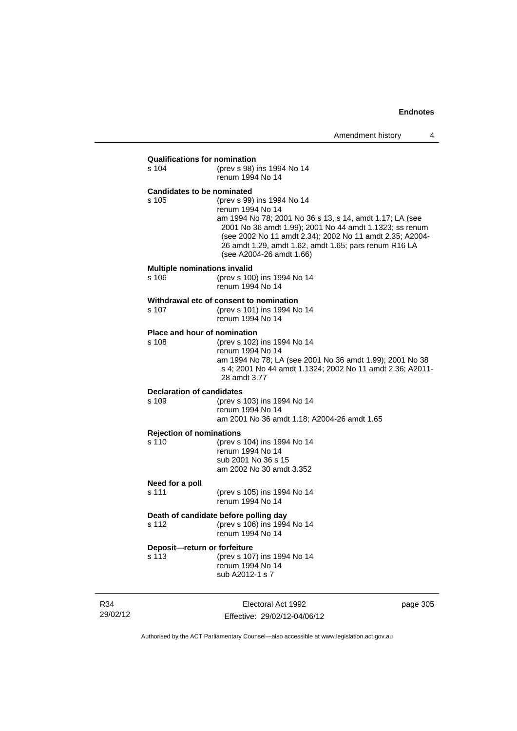| <b>Qualifications for nomination</b><br>s 104 | (prev s 98) ins 1994 No 14<br>renum 1994 No 14                                                                                                                                                                                                                                                                         |          |
|-----------------------------------------------|------------------------------------------------------------------------------------------------------------------------------------------------------------------------------------------------------------------------------------------------------------------------------------------------------------------------|----------|
| <b>Candidates to be nominated</b><br>s 105    | (prev s 99) ins 1994 No 14<br>renum 1994 No 14<br>am 1994 No 78; 2001 No 36 s 13, s 14, amdt 1.17; LA (see<br>2001 No 36 amdt 1.99); 2001 No 44 amdt 1.1323; ss renum<br>(see 2002 No 11 amdt 2.34); 2002 No 11 amdt 2.35; A2004-<br>26 amdt 1.29, amdt 1.62, amdt 1.65; pars renum R16 LA<br>(see A2004-26 amdt 1.66) |          |
| <b>Multiple nominations invalid</b><br>s 106  | (prev s 100) ins 1994 No 14<br>renum 1994 No 14                                                                                                                                                                                                                                                                        |          |
| s 107                                         | Withdrawal etc of consent to nomination<br>(prev s 101) ins 1994 No 14<br>renum 1994 No 14                                                                                                                                                                                                                             |          |
| Place and hour of nomination<br>s 108         | (prev s 102) ins 1994 No 14<br>renum 1994 No 14<br>am 1994 No 78; LA (see 2001 No 36 amdt 1.99); 2001 No 38<br>s 4; 2001 No 44 amdt 1.1324; 2002 No 11 amdt 2.36; A2011-<br>28 amdt 3.77                                                                                                                               |          |
| <b>Declaration of candidates</b><br>s 109     | (prev s 103) ins 1994 No 14<br>renum 1994 No 14<br>am 2001 No 36 amdt 1.18; A2004-26 amdt 1.65                                                                                                                                                                                                                         |          |
| <b>Rejection of nominations</b><br>s 110      | (prev s 104) ins 1994 No 14<br>renum 1994 No 14<br>sub 2001 No 36 s 15<br>am 2002 No 30 amdt 3.352                                                                                                                                                                                                                     |          |
| Need for a poll<br>s 111                      | (prev s 105) ins 1994 No 14<br>renum 1994 No 14                                                                                                                                                                                                                                                                        |          |
| s 112                                         | Death of candidate before polling day<br>(prev s 106) ins 1994 No 14<br>renum 1994 No 14                                                                                                                                                                                                                               |          |
| Deposit-return or forfeiture<br>s 113         | (prev s 107) ins 1994 No 14<br>renum 1994 No 14<br>sub A2012-1 s 7                                                                                                                                                                                                                                                     |          |
|                                               | Electoral Act 1992                                                                                                                                                                                                                                                                                                     | page 305 |

Authorised by the ACT Parliamentary Counsel—also accessible at www.legislation.act.gov.au

Effective: 29/02/12-04/06/12

R34 29/02/12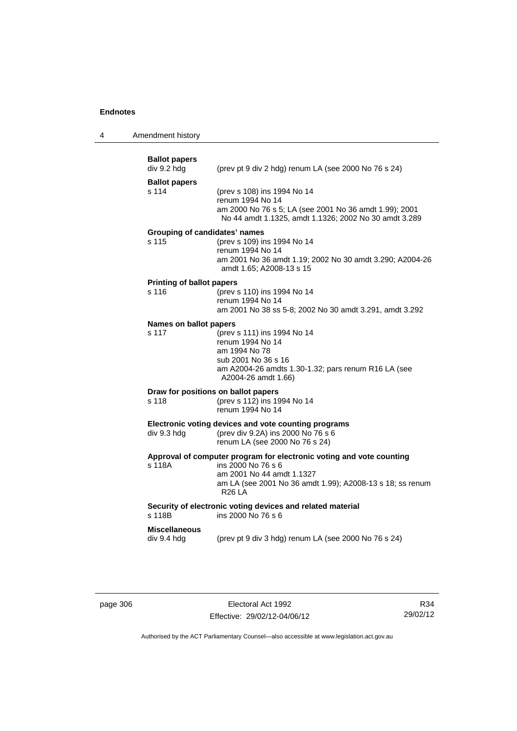4 Amendment history

| <b>Ballot papers</b><br>div 9.2 hdg          | (prev pt 9 div 2 hdg) renum LA (see 2000 No 76 s 24)                                                                                                                                                  |
|----------------------------------------------|-------------------------------------------------------------------------------------------------------------------------------------------------------------------------------------------------------|
| <b>Ballot papers</b><br>s 114                | (prev s 108) ins 1994 No 14<br>renum 1994 No 14<br>am 2000 No 76 s 5; LA (see 2001 No 36 amdt 1.99); 2001<br>No 44 amdt 1.1325, amdt 1.1326; 2002 No 30 amdt 3.289                                    |
| Grouping of candidates' names<br>s 115       | (prev s 109) ins 1994 No 14<br>renum 1994 No 14<br>am 2001 No 36 amdt 1.19; 2002 No 30 amdt 3.290; A2004-26<br>amdt 1.65; A2008-13 s 15                                                               |
| <b>Printing of ballot papers</b><br>s 116    | (prev s 110) ins 1994 No 14<br>renum 1994 No 14<br>am 2001 No 38 ss 5-8; 2002 No 30 amdt 3.291, amdt 3.292                                                                                            |
| Names on ballot papers<br>s 117              | (prev s 111) ins 1994 No 14<br>renum 1994 No 14<br>am 1994 No 78<br>sub 2001 No 36 s 16<br>am A2004-26 amdts 1.30-1.32; pars renum R16 LA (see<br>A2004-26 amdt 1.66)                                 |
| Draw for positions on ballot papers<br>s 118 | (prev s 112) ins 1994 No 14<br>renum 1994 No 14                                                                                                                                                       |
| div 9.3 hdg                                  | Electronic voting devices and vote counting programs<br>(prev div 9.2A) ins 2000 No 76 s 6<br>renum LA (see 2000 No 76 s 24)                                                                          |
| s 118A                                       | Approval of computer program for electronic voting and vote counting<br>ins 2000 No 76 s 6<br>am 2001 No 44 amdt 1.1327<br>am LA (see 2001 No 36 amdt 1.99); A2008-13 s 18; ss renum<br><b>R26 LA</b> |
| s 118B                                       | Security of electronic voting devices and related material<br>ins 2000 No 76 s 6                                                                                                                      |
| <b>Miscellaneous</b><br>div 9.4 hdg          | (prev pt 9 div 3 hdg) renum LA (see 2000 No 76 s 24)                                                                                                                                                  |

page 306 **Electoral Act 1992** Effective: 29/02/12-04/06/12

R34 29/02/12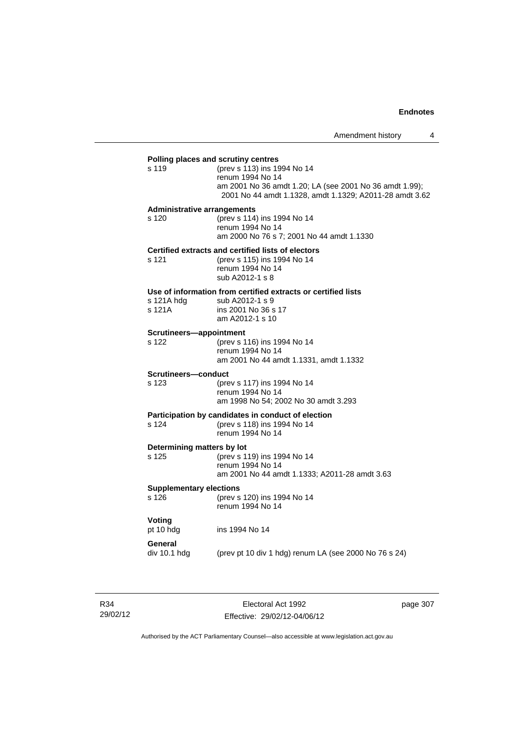### **Polling places and scrutiny centres**

| s 119 | (prev s 113) ins 1994 No 14                             |
|-------|---------------------------------------------------------|
|       | renum 1994 No 14                                        |
|       | am 2001 No 36 amdt 1.20; LA (see 2001 No 36 amdt 1.99); |
|       | 2001 No 44 amdt 1.1328, amdt 1.1329; A2011-28 amdt 3.62 |
|       |                                                         |

#### **Administrative arrangements**

s 120 (prev s 114) ins 1994 No 14 renum 1994 No 14 am 2000 No 76 s 7; 2001 No 44 amdt 1.1330

#### **Certified extracts and certified lists of electors**

| s 121 | (prev s 115) ins 1994 No 14 |
|-------|-----------------------------|
|       | renum 1994 No 14            |
|       | sub A2012-1 s 8             |

#### **Use of information from certified extracts or certified lists**

| s 121A hdg | sub A2012-1 s 9     |
|------------|---------------------|
| s 121A     | ins 2001 No 36 s 17 |
|            | am A2012-1 s 10     |

#### **Scrutineers—appointment**

s 122 (prev s 116) ins 1994 No 14 renum 1994 No 14 am 2001 No 44 amdt 1.1331, amdt 1.1332

### **Scrutineers—conduct**

s 123 (prev s 117) ins 1994 No 14 renum 1994 No 14 am 1998 No 54; 2002 No 30 amdt 3.293

### **Participation by candidates in conduct of election**

| s 124 | (prev s 118) ins 1994 No 14 |
|-------|-----------------------------|
|       | renum 1994 No 14            |

## **Determining matters by lot**

s 125 (prev s 119) ins 1994 No 14 renum 1994 No 14 am 2001 No 44 amdt 1.1333; A2011-28 amdt 3.63

### **Supplementary elections**

s 126 (prev s 120) ins 1994 No 14 renum 1994 No 14

ins 1994 No 14

# **Voting**<br>pt 10 hdg

## **General**

div 10.1 hdg (prev pt 10 div 1 hdg) renum LA (see 2000 No 76 s 24)

Electoral Act 1992 Effective: 29/02/12-04/06/12 page 307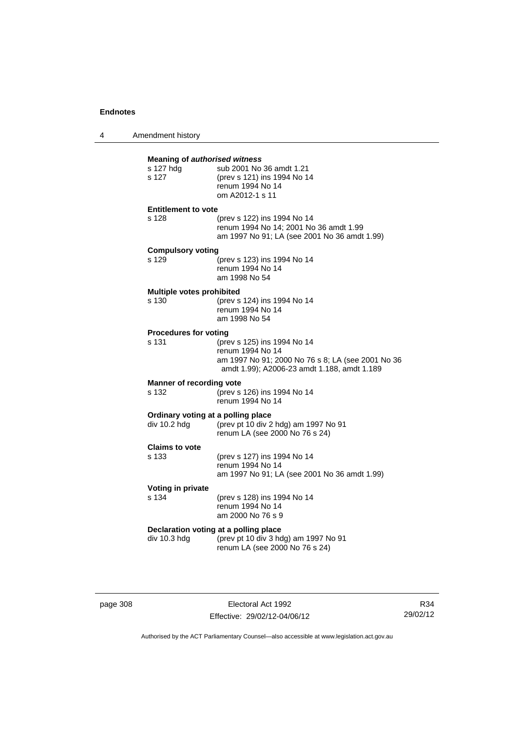4 Amendment history

| s 127 hdg<br>s 127                       | <b>Meaning of authorised witness</b><br>sub 2001 No 36 amdt 1.21<br>(prev s 121) ins 1994 No 14<br>renum 1994 No 14<br>om A2012-1 s 11              |
|------------------------------------------|-----------------------------------------------------------------------------------------------------------------------------------------------------|
| <b>Entitlement to vote</b><br>s 128      | (prev s 122) ins 1994 No 14<br>renum 1994 No 14; 2001 No 36 amdt 1.99<br>am 1997 No 91; LA (see 2001 No 36 amdt 1.99)                               |
| <b>Compulsory voting</b><br>s 129        | (prev s 123) ins 1994 No 14<br>renum 1994 No 14<br>am 1998 No 54                                                                                    |
| Multiple votes prohibited<br>s 130       | (prev s 124) ins 1994 No 14<br>renum 1994 No 14<br>am 1998 No 54                                                                                    |
| <b>Procedures for voting</b><br>s 131    | (prev s 125) ins 1994 No 14<br>renum 1994 No 14<br>am 1997 No 91; 2000 No 76 s 8; LA (see 2001 No 36<br>amdt 1.99); A2006-23 amdt 1.188, amdt 1.189 |
| <b>Manner of recording vote</b><br>s 132 | (prev s 126) ins 1994 No 14<br>renum 1994 No 14                                                                                                     |
| div 10.2 hdg                             | Ordinary voting at a polling place<br>(prev pt 10 div 2 hdg) am 1997 No 91<br>renum LA (see 2000 No 76 s 24)                                        |
| <b>Claims to vote</b><br>s 133           | (prev s 127) ins 1994 No 14<br>renum 1994 No 14<br>am 1997 No 91; LA (see 2001 No 36 amdt 1.99)                                                     |
| Voting in private<br>s 134               | (prev s 128) ins 1994 No 14<br>renum 1994 No 14<br>am 2000 No 76 s 9                                                                                |
| div 10.3 hdg                             | Declaration voting at a polling place<br>(prev pt 10 div 3 hdg) am 1997 No 91<br>renum LA (see 2000 No 76 s 24)                                     |

page 308 **Electoral Act 1992** Effective: 29/02/12-04/06/12

R34 29/02/12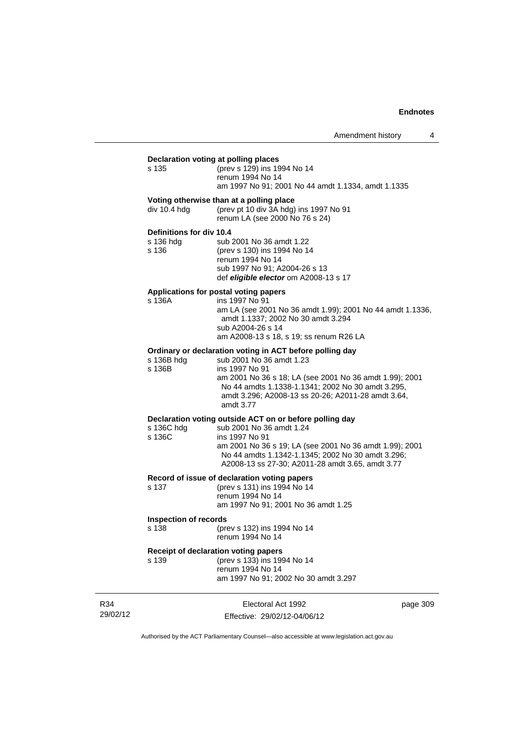| Declaration voting at polling places<br>s 135<br>div 10.4 hdg<br>Definitions for div 10.4<br>s 136 hdg<br>s 136<br>Applications for postal voting papers<br>s 136A<br>s 136B hdg<br>s 136B | (prev s 129) ins 1994 No 14<br>renum 1994 No 14<br>am 1997 No 91; 2001 No 44 amdt 1.1334, amdt 1.1335<br>Voting otherwise than at a polling place<br>(prev pt 10 div 3A hdg) ins 1997 No 91<br>renum LA (see 2000 No 76 s 24)<br>sub 2001 No 36 amdt 1.22<br>(prev s 130) ins 1994 No 14<br>renum 1994 No 14<br>sub 1997 No 91; A2004-26 s 13<br>def eligible elector om A2008-13 s 17<br>ins 1997 No 91 |
|--------------------------------------------------------------------------------------------------------------------------------------------------------------------------------------------|----------------------------------------------------------------------------------------------------------------------------------------------------------------------------------------------------------------------------------------------------------------------------------------------------------------------------------------------------------------------------------------------------------|
|                                                                                                                                                                                            |                                                                                                                                                                                                                                                                                                                                                                                                          |
|                                                                                                                                                                                            |                                                                                                                                                                                                                                                                                                                                                                                                          |
|                                                                                                                                                                                            |                                                                                                                                                                                                                                                                                                                                                                                                          |
|                                                                                                                                                                                            | am LA (see 2001 No 36 amdt 1.99); 2001 No 44 amdt 1.1336,<br>amdt 1.1337; 2002 No 30 amdt 3.294<br>sub A2004-26 s 14<br>am A2008-13 s 18, s 19; ss renum R26 LA                                                                                                                                                                                                                                          |
|                                                                                                                                                                                            | Ordinary or declaration voting in ACT before polling day<br>sub 2001 No 36 amdt 1.23<br>ins 1997 No 91<br>am 2001 No 36 s 18; LA (see 2001 No 36 amdt 1.99); 2001<br>No 44 amdts 1.1338-1.1341; 2002 No 30 amdt 3.295,<br>amdt 3.296; A2008-13 ss 20-26; A2011-28 amdt 3.64,<br>amdt 3.77                                                                                                                |
| s 136C hdg<br>s 136C                                                                                                                                                                       | Declaration voting outside ACT on or before polling day<br>sub 2001 No 36 amdt 1.24<br>ins 1997 No 91<br>am 2001 No 36 s 19; LA (see 2001 No 36 amdt 1.99); 2001<br>No 44 amdts 1.1342-1.1345; 2002 No 30 amdt 3.296;<br>A2008-13 ss 27-30; A2011-28 amdt 3.65, amdt 3.77                                                                                                                                |
| s 137                                                                                                                                                                                      | Record of issue of declaration voting papers<br>(prev s 131) ins 1994 No 14<br>renum 1994 No 14<br>am 1997 No 91; 2001 No 36 amdt 1.25                                                                                                                                                                                                                                                                   |
| <b>Inspection of records</b>                                                                                                                                                               | s 138 (prev s 132) ins 1994 No 14<br>renum 1994 No 14                                                                                                                                                                                                                                                                                                                                                    |
| Receipt of declaration voting papers<br>s 139<br>am 1997 No 91; 2002 No 30 amdt 3.297                                                                                                      | (prev s 133) ins 1994 No 14<br>renum 1994 No 14                                                                                                                                                                                                                                                                                                                                                          |

R34 29/02/12

Electoral Act 1992 Effective: 29/02/12-04/06/12 page 309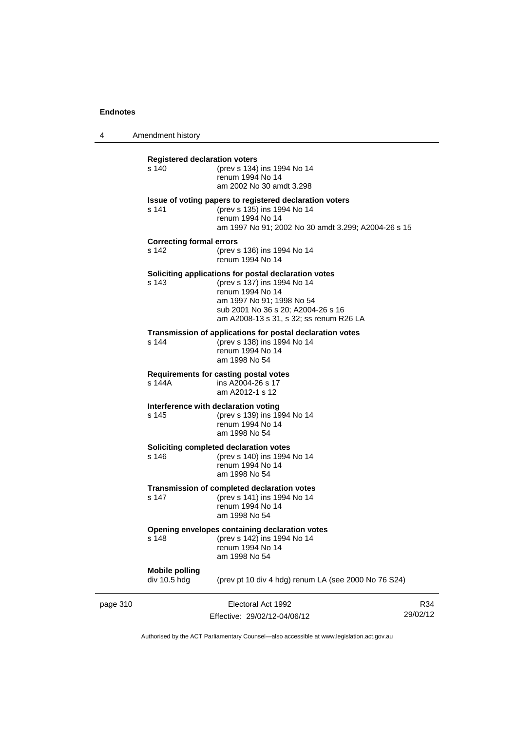4 Amendment history page 310 Electoral Act 1992 R34 29/02/12 **Registered declaration voters** s 140 (prev s 134) ins 1994 No 14 renum 1994 No 14 am 2002 No 30 amdt 3.298 **Issue of voting papers to registered declaration voters** s 141 (prev s 135) ins 1994 No 14 renum 1994 No 14 am 1997 No 91; 2002 No 30 amdt 3.299; A2004-26 s 15 **Correcting formal errors** s 142 (prev s 136) ins 1994 No 14 renum 1994 No 14 **Soliciting applications for postal declaration votes** s 143 (prev s 137) ins 1994 No 14 renum 1994 No 14 am 1997 No 91; 1998 No 54 sub 2001 No 36 s 20; A2004-26 s 16 am A2008-13 s 31, s 32; ss renum R26 LA **Transmission of applications for postal declaration votes** s 144 (prev s 138) ins 1994 No 14 renum 1994 No 14 am 1998 No 54 **Requirements for casting postal votes**  s 144A ins A2004-26 s 17 am A2012-1 s 12 **Interference with declaration voting**<br>s 145 (prev s 139) ins 19 (prev s 139) ins 1994 No 14 renum 1994 No 14 am 1998 No 54 **Soliciting completed declaration votes** s 146 (prev s 140) ins 1994 No 14 renum 1994 No 14 am 1998 No 54 **Transmission of completed declaration votes** s 147 (prev s 141) ins 1994 No 14 renum 1994 No 14 am 1998 No 54 **Opening envelopes containing declaration votes**<br>s 148 (prev s 142) ins 1994 No 14 (prev s 142) ins 1994 No 14 renum 1994 No 14 am 1998 No 54 **Mobile polling**  div 10.5 hdg (prev pt 10 div 4 hdg) renum LA (see 2000 No 76 S24)

Authorised by the ACT Parliamentary Counsel—also accessible at www.legislation.act.gov.au

Effective: 29/02/12-04/06/12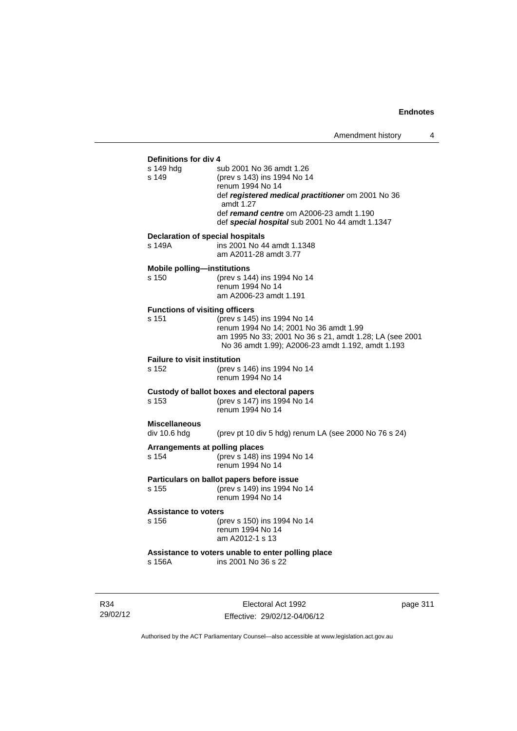## **Definitions for div 4**<br>s 149 hda s sub 2001 No 36 amdt 1.26 s 149 (prev s 143) ins 1994 No 14 renum 1994 No 14 def *registered medical practitioner* om 2001 No 36 amdt 1.27 def *remand centre* om A2006-23 amdt 1.190 def *special hospital* sub 2001 No 44 amdt 1.1347 **Declaration of special hospitals**  s 149A ins 2001 No 44 amdt 1.1348 am A2011-28 amdt 3.77 **Mobile polling—institutions** s 150 (prev s 144) ins 1994 No 14 renum 1994 No 14 am A2006-23 amdt 1.191 **Functions of visiting officers** s 151 (prev s 145) ins 1994 No 14 renum 1994 No 14; 2001 No 36 amdt 1.99 am 1995 No 33; 2001 No 36 s 21, amdt 1.28; LA (see 2001 No 36 amdt 1.99); A2006-23 amdt 1.192, amdt 1.193 **Failure to visit institution** s 152 (prev s 146) ins 1994 No 14 renum 1994 No 14 **Custody of ballot boxes and electoral papers** s 153 (prev s 147) ins 1994 No 14 renum 1994 No 14 **Miscellaneous**  div 10.6 hdg (prev pt 10 div 5 hdg) renum LA (see 2000 No 76 s 24) **Arrangements at polling places** s 154 (prev s 148) ins 1994 No 14 renum 1994 No 14 **Particulars on ballot papers before issue**<br>s 155 (prev s 149) ins 1994 No (prev s 149) ins 1994 No 14 renum 1994 No 14 **Assistance to voters** s 156 (prev s 150) ins 1994 No 14 renum 1994 No 14 am A2012-1 s 13 **Assistance to voters unable to enter polling place**<br>s 156A **ins 2001** No 36 s 22  $ins$  2001 No 36 s 22

R34 29/02/12

Electoral Act 1992 Effective: 29/02/12-04/06/12 page 311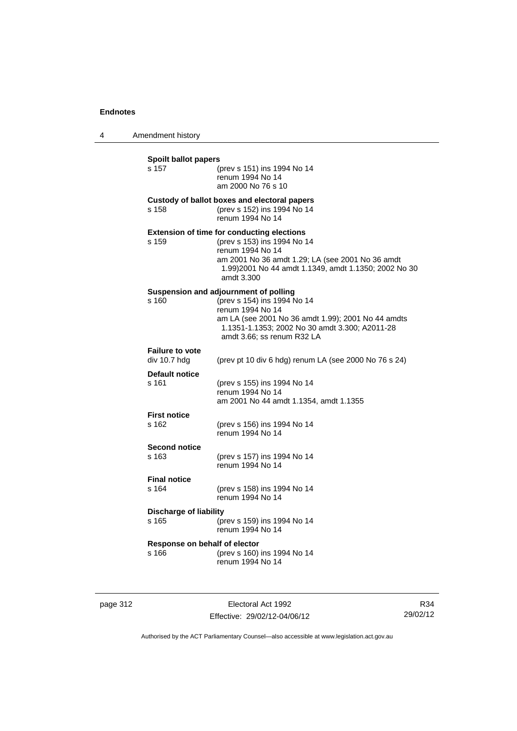4 Amendment history

**Spoilt ballot papers** s 157 (prev s 151) ins 1994 No 14 renum 1994 No 14 am 2000 No 76 s 10 **Custody of ballot boxes and electoral papers** s 158 (prev s 152) ins 1994 No 14 renum 1994 No 14 **Extension of time for conducting elections** s 159 (prev s 153) ins 1994 No 14 renum 1994 No 14 am 2001 No 36 amdt 1.29; LA (see 2001 No 36 amdt 1.99)2001 No 44 amdt 1.1349, amdt 1.1350; 2002 No 30 amdt 3.300 **Suspension and adjournment of polling**<br>s 160 (prev s 154) ins 1994 N s 160 (prev s 154) ins 1994 No 14 renum 1994 No 14 am LA (see 2001 No 36 amdt 1.99); 2001 No 44 amdts 1.1351-1.1353; 2002 No 30 amdt 3.300; A2011-28 amdt 3.66; ss renum R32 LA **Failure to vote**  div 10.7 hdg (prev pt 10 div 6 hdg) renum LA (see 2000 No 76 s 24) **Default notice** s 161 (prev s 155) ins 1994 No 14 renum 1994 No 14 am 2001 No 44 amdt 1.1354, amdt 1.1355 **First notice** s 162 (prev s 156) ins 1994 No 14 renum 1994 No 14 **Second notice** s 163 (prev s 157) ins 1994 No 14 renum 1994 No 14 **Final notice** s 164 (prev s 158) ins 1994 No 14 renum 1994 No 14 **Discharge of liability** s 165 (prev s 159) ins 1994 No 14 renum 1994 No 14 **Response on behalf of elector** s 166 (prev s 160) ins 1994 No 14 renum 1994 No 14

| page 312 |  |
|----------|--|
|----------|--|

page 312 Electoral Act 1992 Effective: 29/02/12-04/06/12

R34 29/02/12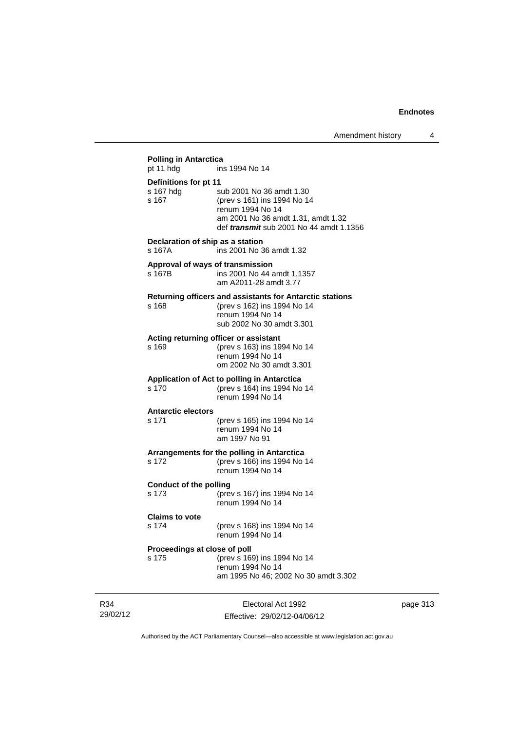| pt 11 hdg                                   | ins 1994 No 14                                                                                                                                                      |
|---------------------------------------------|---------------------------------------------------------------------------------------------------------------------------------------------------------------------|
| Definitions for pt 11<br>s 167 hdg<br>s 167 | sub 2001 No 36 amdt 1.30<br>(prev s 161) ins 1994 No 14<br>renum 1994 No 14<br>am 2001 No 36 amdt 1.31, amdt 1.32<br>def <i>transmit</i> sub 2001 No 44 amdt 1.1356 |
| Declaration of ship as a station<br>s 167A  | ins 2001 No 36 amdt 1.32                                                                                                                                            |
| s 167B                                      | Approval of ways of transmission<br>ins 2001 No 44 amdt 1.1357<br>am A2011-28 amdt 3.77                                                                             |
| s 168                                       | Returning officers and assistants for Antarctic stations<br>(prev s 162) ins 1994 No 14<br>renum 1994 No 14<br>sub 2002 No 30 amdt 3.301                            |
| s 169                                       | Acting returning officer or assistant<br>(prev s 163) ins 1994 No 14<br>renum 1994 No 14<br>om 2002 No 30 amdt 3.301                                                |
| s 170                                       | Application of Act to polling in Antarctica<br>(prev s 164) ins 1994 No 14<br>renum 1994 No 14                                                                      |
| <b>Antarctic electors</b><br>s 171          | (prev s 165) ins 1994 No 14<br>renum 1994 No 14<br>am 1997 No 91                                                                                                    |
| s 172                                       | Arrangements for the polling in Antarctica<br>(prev s 166) ins 1994 No 14<br>renum 1994 No 14                                                                       |
| <b>Conduct of the polling</b><br>s 173      | (prev s 167) ins 1994 No 14<br>renum 1994 No 14                                                                                                                     |
| <b>Claims to vote</b><br>s 174              | (prev s 168) ins 1994 No 14<br>renum 1994 No 14                                                                                                                     |
| Proceedings at close of poll<br>s 175       | (prev s 169) ins 1994 No 14<br>renum 1994 No 14<br>am 1995 No 46; 2002 No 30 amdt 3.302                                                                             |

R34 29/02/12

Electoral Act 1992 Effective: 29/02/12-04/06/12 page 313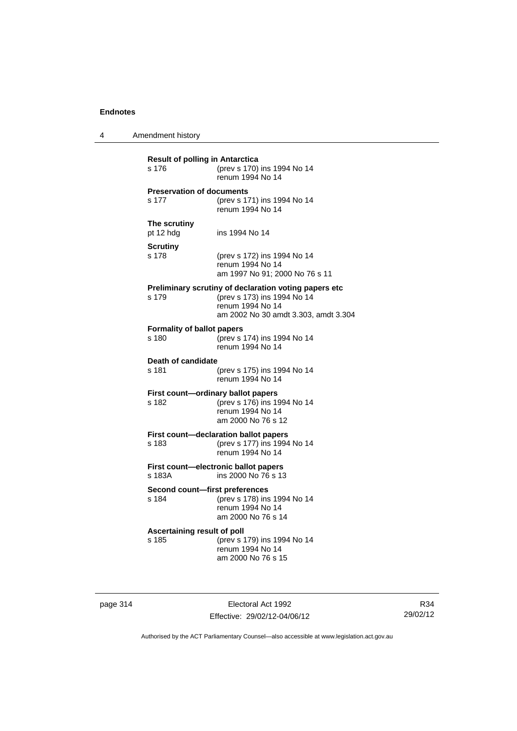4 Amendment history

| <b>Result of polling in Antarctica</b><br>s 176 | (prev s 170) ins 1994 No 14<br>renum 1994 No 14                                                                                                  |
|-------------------------------------------------|--------------------------------------------------------------------------------------------------------------------------------------------------|
| <b>Preservation of documents</b><br>s 177       | (prev s 171) ins 1994 No 14<br>renum 1994 No 14                                                                                                  |
| The scrutiny<br>pt 12 hdg                       | ins 1994 No 14                                                                                                                                   |
| Scrutiny<br>s 178                               | (prev s 172) ins 1994 No 14<br>renum 1994 No 14<br>am 1997 No 91; 2000 No 76 s 11                                                                |
| s 179                                           | Preliminary scrutiny of declaration voting papers etc<br>(prev s 173) ins 1994 No 14<br>renum 1994 No 14<br>am 2002 No 30 amdt 3.303, amdt 3.304 |
| <b>Formality of ballot papers</b><br>s 180      | (prev s 174) ins 1994 No 14<br>renum 1994 No 14                                                                                                  |
| Death of candidate<br>s 181                     | (prev s 175) ins 1994 No 14<br>renum 1994 No 14                                                                                                  |
| s 182                                           | First count-ordinary ballot papers<br>(prev s 176) ins 1994 No 14<br>renum 1994 No 14<br>am 2000 No 76 s 12                                      |
| s 183                                           | First count-declaration ballot papers<br>(prev s 177) ins 1994 No 14<br>renum 1994 No 14                                                         |
| s 183A                                          | First count-electronic ballot papers<br>ins 2000 No 76 s 13                                                                                      |
| Second count-first preferences<br>s 184         | (prev s 178) ins 1994 No 14<br>renum 1994 No 14<br>am 2000 No 76 s 14                                                                            |
| Ascertaining result of poll<br>s 185            | (prev s 179) ins 1994 No 14<br>renum 1994 No 14<br>am 2000 No 76 s 15                                                                            |

page 314 **Electoral Act 1992** Effective: 29/02/12-04/06/12

R34 29/02/12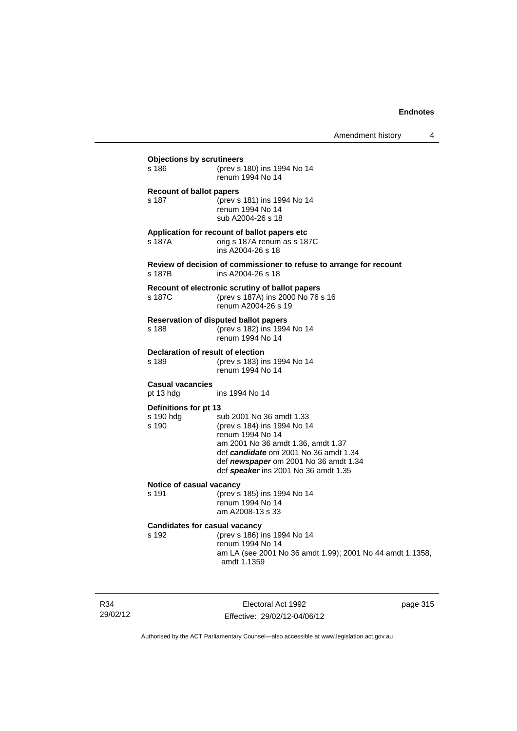| s 186                                    | (prev s 180) ins 1994 No 14<br>renum 1994 No 14                                                                                |
|------------------------------------------|--------------------------------------------------------------------------------------------------------------------------------|
|                                          |                                                                                                                                |
| <b>Recount of ballot papers</b><br>s 187 | (prev s 181) ins 1994 No 14<br>renum 1994 No 14<br>sub A2004-26 s 18                                                           |
| s 187A                                   | Application for recount of ballot papers etc.<br>orig s 187A renum as s 187C<br>ins A2004-26 s 18                              |
| s 187B                                   | Review of decision of commissioner to refuse to arrange for recount<br>ins A2004-26 s 18                                       |
| s 187C                                   | Recount of electronic scrutiny of ballot papers<br>(prev s 187A) ins 2000 No 76 s 16<br>renum A2004-26 s 19                    |
| s 188                                    | Reservation of disputed ballot papers<br>(prev s 182) ins 1994 No 14<br>renum 1994 No 14                                       |
| s 189                                    | Declaration of result of election<br>(prev s 183) ins 1994 No 14<br>renum 1994 No 14                                           |
| <b>Casual vacancies</b><br>pt 13 hdg     | ins 1994 No 14                                                                                                                 |
| Definitions for pt 13<br>s 190 hdg       | sub 2001 No 36 amdt 1.33                                                                                                       |
| s 190                                    | (prev s 184) ins 1994 No 14<br>renum 1994 No 14<br>am 2001 No 36 amdt 1.36, amdt 1.37<br>def candidate om 2001 No 36 amdt 1.34 |
|                                          | def newspaper om 2001 No 36 amdt 1.34<br>def speaker ins 2001 No 36 amdt 1.35                                                  |
| Notice of casual vacancy<br>s 191        | (prev s 185) ins 1994 No 14<br>renum 1994 No 14<br>am A2008-13 s 33                                                            |
| s 192                                    | Candidates for casual vacancy<br>(prev s 186) ins 1994 No 14<br>renum 1994 No 14                                               |

R34 29/02/12

Electoral Act 1992 Effective: 29/02/12-04/06/12 page 315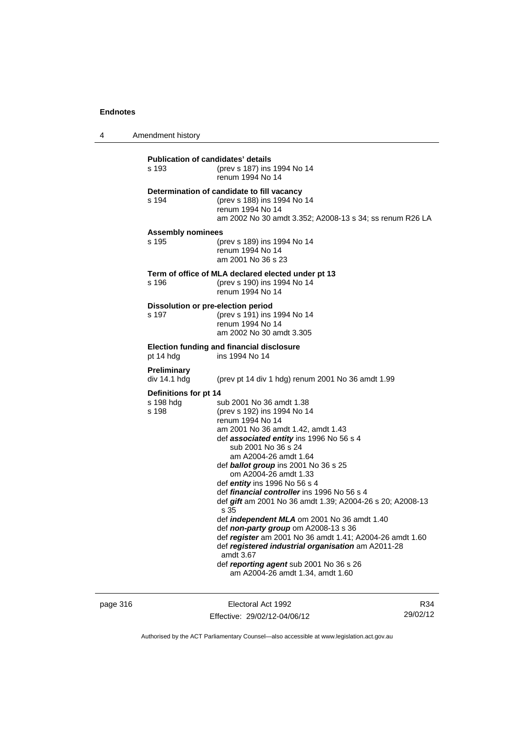4 Amendment history

| <b>Publication of candidates' details</b><br>s 193 | (prev s 187) ins 1994 No 14<br>renum 1994 No 14                                                                                                                                                                                                                                                                                                                                                                                                                                                                                                                                                                                                                                                                                                 |
|----------------------------------------------------|-------------------------------------------------------------------------------------------------------------------------------------------------------------------------------------------------------------------------------------------------------------------------------------------------------------------------------------------------------------------------------------------------------------------------------------------------------------------------------------------------------------------------------------------------------------------------------------------------------------------------------------------------------------------------------------------------------------------------------------------------|
| s 194                                              | Determination of candidate to fill vacancy<br>(prev s 188) ins 1994 No 14<br>renum 1994 No 14<br>am 2002 No 30 amdt 3.352; A2008-13 s 34; ss renum R26 LA                                                                                                                                                                                                                                                                                                                                                                                                                                                                                                                                                                                       |
| <b>Assembly nominees</b><br>s 195                  | (prev s 189) ins 1994 No 14<br>renum 1994 No 14<br>am 2001 No 36 s 23                                                                                                                                                                                                                                                                                                                                                                                                                                                                                                                                                                                                                                                                           |
| s 196                                              | Term of office of MLA declared elected under pt 13<br>(prev s 190) ins 1994 No 14<br>renum 1994 No 14                                                                                                                                                                                                                                                                                                                                                                                                                                                                                                                                                                                                                                           |
| Dissolution or pre-election period<br>s 197        | (prev s 191) ins 1994 No 14<br>renum 1994 No 14<br>am 2002 No 30 amdt 3.305                                                                                                                                                                                                                                                                                                                                                                                                                                                                                                                                                                                                                                                                     |
| pt 14 hdg                                          | <b>Election funding and financial disclosure</b><br>ins 1994 No 14                                                                                                                                                                                                                                                                                                                                                                                                                                                                                                                                                                                                                                                                              |
| Preliminary<br>div 14.1 hdg                        | (prev pt 14 div 1 hdg) renum 2001 No 36 amdt 1.99                                                                                                                                                                                                                                                                                                                                                                                                                                                                                                                                                                                                                                                                                               |
| Definitions for pt 14<br>s 198 hdg<br>s 198        | sub 2001 No 36 amdt 1.38<br>(prev s 192) ins 1994 No 14<br>renum 1994 No 14<br>am 2001 No 36 amdt 1.42, amdt 1.43<br>def associated entity ins 1996 No 56 s 4<br>sub 2001 No 36 s 24<br>am A2004-26 amdt 1.64<br>def ballot group ins 2001 No 36 s 25<br>om A2004-26 amdt 1.33<br>def entity ins 1996 No 56 s 4<br>def financial controller ins 1996 No 56 s 4<br>def gift am 2001 No 36 amdt 1.39; A2004-26 s 20; A2008-13<br>s 35<br>def <i>independent MLA</i> om 2001 No 36 amdt 1.40<br>def non-party group om A2008-13 s 36<br>def register am 2001 No 36 amdt 1.41; A2004-26 amdt 1.60<br>def registered industrial organisation am A2011-28<br>amdt 3.67<br>def reporting agent sub 2001 No 36 s 26<br>am A2004-26 amdt 1.34, amdt 1.60 |

page 316 **Electoral Act 1992** Effective: 29/02/12-04/06/12

R34 29/02/12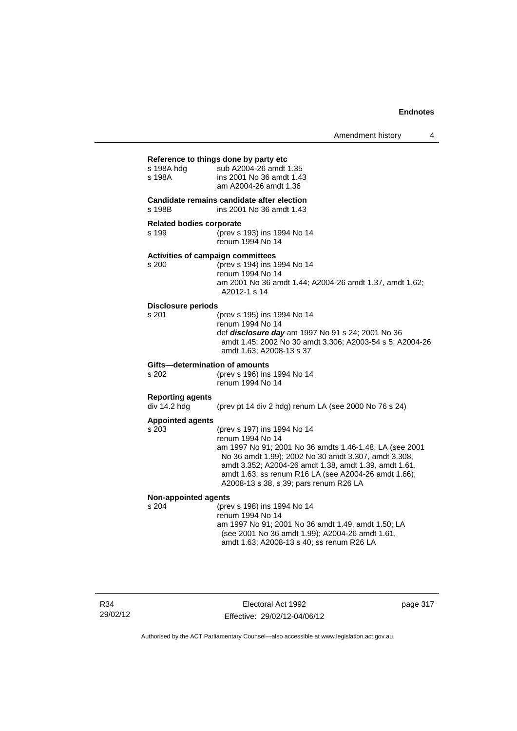| Amendment history |  |
|-------------------|--|
|-------------------|--|

| s 198A hdg<br>s 198A                       | Reference to things done by party etc<br>sub A2004-26 amdt 1.35<br>ins 2001 No 36 amdt 1.43<br>am A2004-26 amdt 1.36                                                                                                                                                                                                          |
|--------------------------------------------|-------------------------------------------------------------------------------------------------------------------------------------------------------------------------------------------------------------------------------------------------------------------------------------------------------------------------------|
| s 198B                                     | Candidate remains candidate after election<br>ins 2001 No 36 amdt 1.43                                                                                                                                                                                                                                                        |
| <b>Related bodies corporate</b><br>s 199   | (prev s 193) ins 1994 No 14<br>renum 1994 No 14                                                                                                                                                                                                                                                                               |
| Activities of campaign committees<br>s 200 | (prev s 194) ins 1994 No 14<br>renum 1994 No 14<br>am 2001 No 36 amdt 1.44; A2004-26 amdt 1.37, amdt 1.62;<br>A2012-1 s 14                                                                                                                                                                                                    |
| <b>Disclosure periods</b><br>s 201         | (prev s 195) ins 1994 No 14<br>renum 1994 No 14<br>def disclosure day am 1997 No 91 s 24; 2001 No 36<br>amdt 1.45; 2002 No 30 amdt 3.306; A2003-54 s 5; A2004-26<br>amdt 1.63: A2008-13 s 37                                                                                                                                  |
| Gifts-determination of amounts<br>s 202    | (prev s 196) ins 1994 No 14<br>renum 1994 No 14                                                                                                                                                                                                                                                                               |
| <b>Reporting agents</b><br>div 14.2 hdg    | (prev pt 14 div 2 hdg) renum LA (see 2000 No 76 s 24)                                                                                                                                                                                                                                                                         |
| <b>Appointed agents</b><br>s 203           | (prev s 197) ins 1994 No 14<br>renum 1994 No 14<br>am 1997 No 91; 2001 No 36 amdts 1.46-1.48; LA (see 2001<br>No 36 amdt 1.99); 2002 No 30 amdt 3.307, amdt 3.308,<br>amdt 3.352; A2004-26 amdt 1.38, amdt 1.39, amdt 1.61,<br>amdt 1.63; ss renum R16 LA (see A2004-26 amdt 1.66);<br>A2008-13 s 38, s 39; pars renum R26 LA |
| <b>Non-appointed agents</b>                |                                                                                                                                                                                                                                                                                                                               |
| s 204                                      | (prev s 198) ins 1994 No 14<br>renum 1994 No 14<br>am 1997 No 91; 2001 No 36 amdt 1.49, amdt 1.50; LA<br>(see 2001 No 36 amdt 1.99); A2004-26 amdt 1.61,<br>amdt 1.63; A2008-13 s 40; ss renum R26 LA                                                                                                                         |

R34 29/02/12

Electoral Act 1992 Effective: 29/02/12-04/06/12 page 317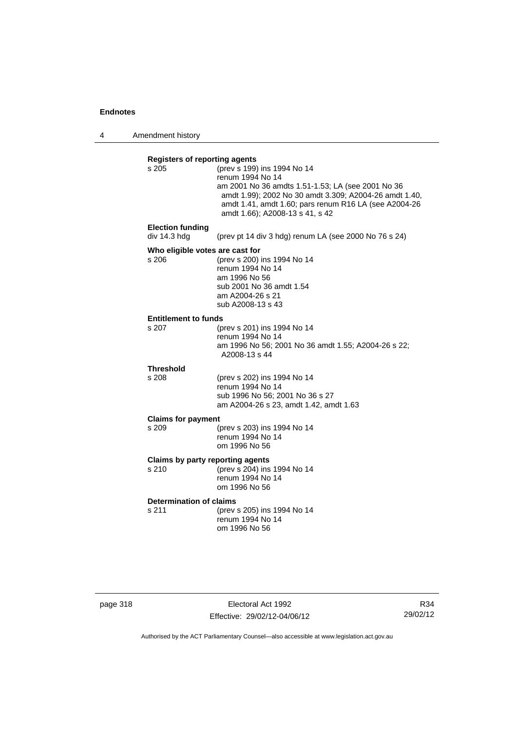4 Amendment history

| s.205                                    | (prev s 199) ins 1994 No 14<br>renum 1994 No 14<br>am 2001 No 36 amdts 1.51-1.53; LA (see 2001 No 36<br>amdt 1.99); 2002 No 30 amdt 3.309; A2004-26 amdt 1.40,<br>amdt 1.41, amdt 1.60; pars renum R16 LA (see A2004-26<br>amdt 1.66); A2008-13 s 41, s 42 |
|------------------------------------------|------------------------------------------------------------------------------------------------------------------------------------------------------------------------------------------------------------------------------------------------------------|
| <b>Election funding</b><br>div 14.3 hdg  | (prev pt 14 div 3 hdg) renum LA (see 2000 No 76 s 24)                                                                                                                                                                                                      |
| Who eligible votes are cast for<br>s 206 | (prev s 200) ins 1994 No 14<br>renum 1994 No 14<br>am 1996 No 56<br>sub 2001 No 36 amdt 1.54<br>am A2004-26 s 21<br>sub A2008-13 s 43                                                                                                                      |
| <b>Entitlement to funds</b>              |                                                                                                                                                                                                                                                            |
| s 207                                    | (prev s 201) ins 1994 No 14<br>renum 1994 No 14<br>am 1996 No 56; 2001 No 36 amdt 1.55; A2004-26 s 22;<br>A2008-13 s 44                                                                                                                                    |
| <b>Threshold</b>                         |                                                                                                                                                                                                                                                            |
| s 208                                    | (prev s 202) ins 1994 No 14<br>renum 1994 No 14<br>sub 1996 No 56; 2001 No 36 s 27<br>am A2004-26 s 23, amdt 1.42, amdt 1.63                                                                                                                               |
| <b>Claims for payment</b>                |                                                                                                                                                                                                                                                            |
| s 209                                    | (prev s 203) ins 1994 No 14<br>renum 1994 No 14<br>om 1996 No 56                                                                                                                                                                                           |
| s 210                                    | Claims by party reporting agents<br>(prev s 204) ins 1994 No 14<br>renum 1994 No 14<br>om 1996 No 56                                                                                                                                                       |
| <b>Determination of claims</b>           |                                                                                                                                                                                                                                                            |
| s 211                                    | (prev s 205) ins 1994 No 14<br>renum 1994 No 14<br>om 1996 No 56                                                                                                                                                                                           |

| page 318 |  |  |  |  |  |
|----------|--|--|--|--|--|
|----------|--|--|--|--|--|

page 318 Electoral Act 1992 Effective: 29/02/12-04/06/12

R34 29/02/12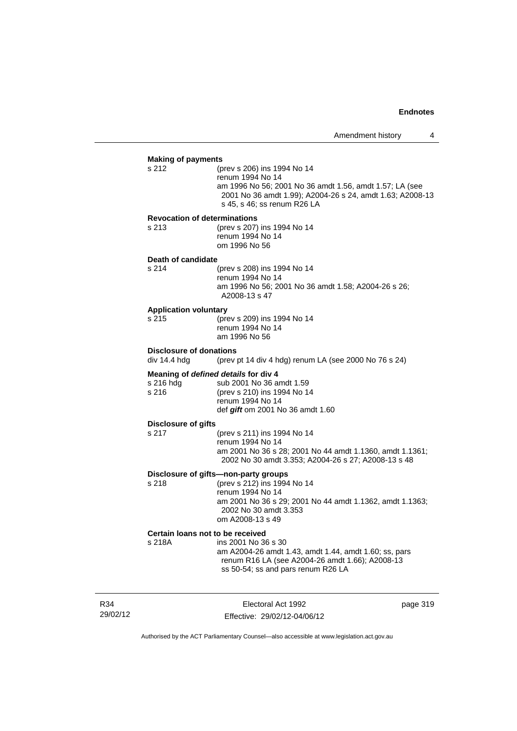## **Making of payments** s 212 (prev s 206) ins 1994 No 14 renum 1994 No 14 am 1996 No 56; 2001 No 36 amdt 1.56, amdt 1.57; LA (see 2001 No 36 amdt 1.99); A2004-26 s 24, amdt 1.63; A2008-13 s 45, s 46; ss renum R26 LA **Revocation of determinations**  s 213 (prev s 207) ins 1994 No 14 renum 1994 No 14 om 1996 No 56 **Death of candidate** s 214 (prev s 208) ins 1994 No 14 renum 1994 No 14 am 1996 No 56; 2001 No 36 amdt 1.58; A2004-26 s 26; A2008-13 s 47 **Application voluntary** s 215 (prev s 209) ins 1994 No 14 renum 1994 No 14 am 1996 No 56 **Disclosure of donations**  div 14.4 hdg (prev pt 14 div 4 hdg) renum LA (see 2000 No 76 s 24) **Meaning of** *defined details* **for div 4** s 216 hdg sub 2001 No 36 a sub 2001 No 36 amdt 1.59 s 216 (prev s 210) ins 1994 No 14 renum 1994 No 14 def *gift* om 2001 No 36 amdt 1.60 **Disclosure of gifts** s 217 (prev s 211) ins 1994 No 14 renum 1994 No 14 am 2001 No 36 s 28; 2001 No 44 amdt 1.1360, amdt 1.1361; 2002 No 30 amdt 3.353; A2004-26 s 27; A2008-13 s 48 **Disclosure of gifts—non-party groups** s 218 (prev s 212) ins 1994 No 14 renum 1994 No 14 am 2001 No 36 s 29; 2001 No 44 amdt 1.1362, amdt 1.1363; 2002 No 30 amdt 3.353 om A2008-13 s 49

#### **Certain loans not to be received**

s 218A ins 2001 No 36 s 30 am A2004-26 amdt 1.43, amdt 1.44, amdt 1.60; ss, pars renum R16 LA (see A2004-26 amdt 1.66); A2008-13 ss 50-54; ss and pars renum R26 LA

R34 29/02/12

Electoral Act 1992 Effective: 29/02/12-04/06/12 page 319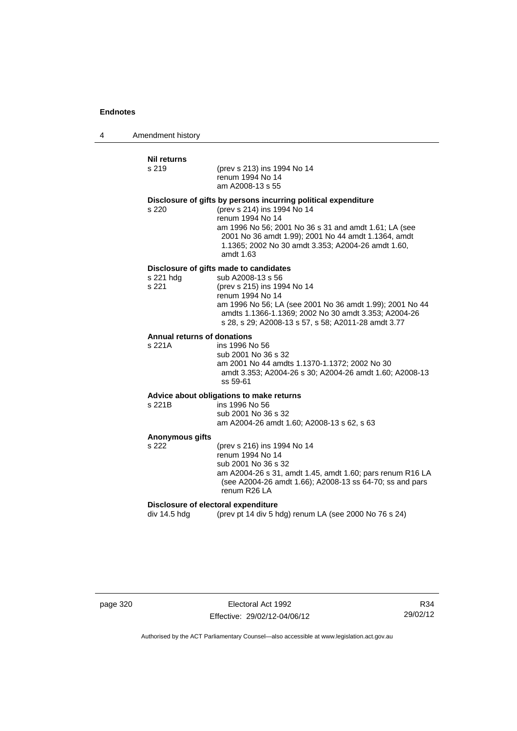4 Amendment history

#### **Nil returns**

| Nil returns                           |                                                                                                                                                                                                                                                                                                        |
|---------------------------------------|--------------------------------------------------------------------------------------------------------------------------------------------------------------------------------------------------------------------------------------------------------------------------------------------------------|
| s 219                                 | (prev s 213) ins 1994 No 14<br>renum 1994 No 14<br>am A2008-13 s 55                                                                                                                                                                                                                                    |
| s 220                                 | Disclosure of gifts by persons incurring political expenditure<br>(prev s 214) ins 1994 No 14<br>renum 1994 No 14<br>am 1996 No 56; 2001 No 36 s 31 and amdt 1.61; LA (see<br>2001 No 36 amdt 1.99); 2001 No 44 amdt 1.1364, amdt<br>1.1365; 2002 No 30 amdt 3.353; A2004-26 amdt 1.60,<br>amdt $1.63$ |
| s 221 hdg<br>s 221                    | Disclosure of gifts made to candidates<br>sub A2008-13 s 56<br>(prev s 215) ins 1994 No 14<br>renum 1994 No 14<br>am 1996 No 56; LA (see 2001 No 36 amdt 1.99); 2001 No 44<br>amdts 1.1366-1.1369; 2002 No 30 amdt 3.353; A2004-26<br>s 28, s 29; A2008-13 s 57, s 58; A2011-28 amdt 3.77              |
| Annual returns of donations<br>s 221A | ins 1996 No 56<br>sub 2001 No 36 s 32<br>am 2001 No 44 amdts 1.1370-1.1372; 2002 No 30<br>amdt 3.353; A2004-26 s 30; A2004-26 amdt 1.60; A2008-13<br>ss 59-61                                                                                                                                          |
| s 221B                                | Advice about obligations to make returns<br>ins 1996 No 56<br>sub 2001 No 36 s 32<br>am A2004-26 amdt 1.60; A2008-13 s 62, s 63                                                                                                                                                                        |
| <b>Anonymous gifts</b>                |                                                                                                                                                                                                                                                                                                        |

s 222 (prev s 216) ins 1994 No 14 renum 1994 No 14 sub 2001 No 36 s 32 am A2004-26 s 31, amdt 1.45, amdt 1.60; pars renum R16 LA (see A2004-26 amdt 1.66); A2008-13 ss 64-70; ss and pars renum R26 LA

### **Disclosure of electoral expenditure**

div 14.5 hdg (prev pt 14 div 5 hdg) renum LA (see 2000 No 76 s 24)

page 320 **Electoral Act 1992** Effective: 29/02/12-04/06/12

R34 29/02/12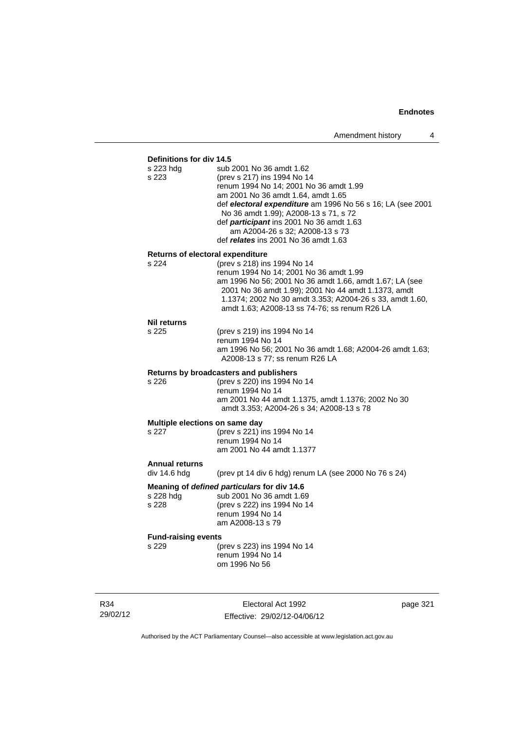## **Definitions for div 14.5**

| s 223 hdg<br>s 223               | sub 2001 No 36 amdt 1.62<br>(prev s 217) ins 1994 No 14<br>renum 1994 No 14; 2001 No 36 amdt 1.99<br>am 2001 No 36 amdt 1.64, amdt 1.65<br>def electoral expenditure am 1996 No 56 s 16; LA (see 2001<br>No 36 amdt 1.99); A2008-13 s 71, s 72<br>def participant ins 2001 No 36 amdt 1.63<br>am A2004-26 s 32; A2008-13 s 73<br>def <i>relates</i> ins 2001 No 36 amdt 1.63 |
|----------------------------------|------------------------------------------------------------------------------------------------------------------------------------------------------------------------------------------------------------------------------------------------------------------------------------------------------------------------------------------------------------------------------|
| Returns of electoral expenditure |                                                                                                                                                                                                                                                                                                                                                                              |
| s 224                            | (prev s 218) ins 1994 No 14<br>renum 1994 No 14; 2001 No 36 amdt 1.99<br>am 1996 No 56; 2001 No 36 amdt 1.66, amdt 1.67; LA (see<br>2001 No 36 amdt 1.99); 2001 No 44 amdt 1.1373, amdt<br>1.1374; 2002 No 30 amdt 3.353; A2004-26 s 33, amdt 1.60,<br>amdt 1.63; A2008-13 ss 74-76; ss renum R26 LA                                                                         |
| <b>Nil returns</b>               |                                                                                                                                                                                                                                                                                                                                                                              |
| s 225                            | (prev s 219) ins 1994 No 14<br>renum 1994 No 14<br>am 1996 No 56; 2001 No 36 amdt 1.68; A2004-26 amdt 1.63;<br>A2008-13 s 77; ss renum R26 LA                                                                                                                                                                                                                                |
|                                  | Returns by broadcasters and publishers                                                                                                                                                                                                                                                                                                                                       |
| s 226                            | (prev s 220) ins 1994 No 14<br>renum 1994 No 14<br>am 2001 No 44 amdt 1.1375, amdt 1.1376; 2002 No 30<br>amdt 3.353; A2004-26 s 34; A2008-13 s 78                                                                                                                                                                                                                            |
| Multiple elections on same day   |                                                                                                                                                                                                                                                                                                                                                                              |
| s 227                            | (prev s 221) ins 1994 No 14<br>renum 1994 No 14<br>am 2001 No 44 amdt 1.1377                                                                                                                                                                                                                                                                                                 |
| <b>Annual returns</b>            |                                                                                                                                                                                                                                                                                                                                                                              |
| div 14.6 hdg                     | (prev pt 14 div 6 hdg) renum LA (see 2000 No 76 s 24)                                                                                                                                                                                                                                                                                                                        |
| s 228 hdg<br>s 228               | Meaning of defined particulars for div 14.6<br>sub 2001 No 36 amdt 1.69<br>(prev s 222) ins 1994 No 14<br>renum 1994 No 14<br>am A2008-13 s 79                                                                                                                                                                                                                               |
| <b>Fund-raising events</b>       |                                                                                                                                                                                                                                                                                                                                                                              |
| s 229                            | (prev s 223) ins 1994 No 14<br>renum 1994 No 14<br>om 1996 No 56                                                                                                                                                                                                                                                                                                             |
|                                  |                                                                                                                                                                                                                                                                                                                                                                              |

R34 29/02/12

Electoral Act 1992 Effective: 29/02/12-04/06/12 page 321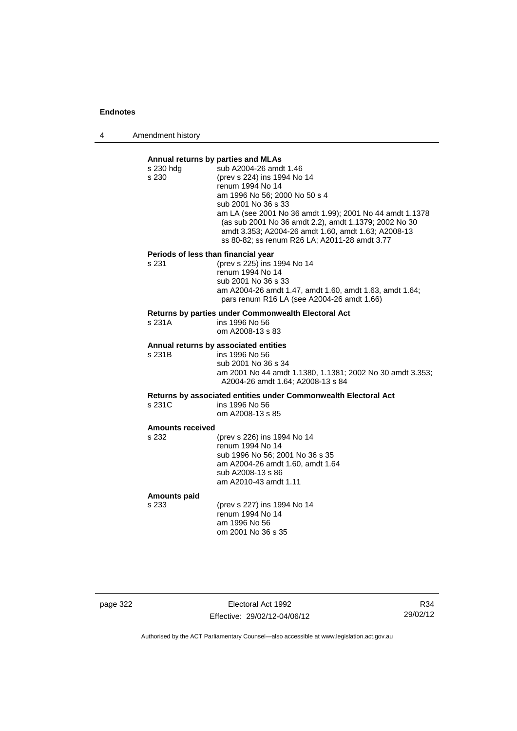4 Amendment history

## **Annual returns by parties and MLAs**  s 230 hdg sub A2004-26 amdt 1.46 s 230 (prev s 224) ins 1994 No 14 renum 1994 No 14 am 1996 No 56; 2000 No 50 s 4 sub 2001 No 36 s 33 am LA (see 2001 No 36 amdt 1.99); 2001 No 44 amdt 1.1378 (as sub 2001 No 36 amdt 2.2), amdt 1.1379; 2002 No 30 amdt 3.353; A2004-26 amdt 1.60, amdt 1.63; A2008-13 ss 80-82; ss renum R26 LA; A2011-28 amdt 3.77 **Periods of less than financial year**<br>s 231 (prev s 225) ins 1 (prev s 225) ins 1994 No 14 renum 1994 No 14 sub 2001 No 36 s 33 am A2004-26 amdt 1.47, amdt 1.60, amdt 1.63, amdt 1.64; pars renum R16 LA (see A2004-26 amdt 1.66) **Returns by parties under Commonwealth Electoral Act** s 231A ins 1996 No 56 om A2008-13 s 83 **Annual returns by associated entities** s 231B ins 1996 No 56 sub 2001 No 36 s 34 am 2001 No 44 amdt 1.1380, 1.1381; 2002 No 30 amdt 3.353; A2004-26 amdt 1.64; A2008-13 s 84 **Returns by associated entities under Commonwealth Electoral Act** ins 1996 No 56 om A2008-13 s 85 **Amounts received**

s 232 (prev s 226) ins 1994 No 14 renum 1994 No 14 sub 1996 No 56; 2001 No 36 s 35 am A2004-26 amdt 1.60, amdt 1.64 sub A2008-13 s 86 am A2010-43 amdt 1.11

#### **Amounts paid**

s 233 (prev s 227) ins 1994 No 14 renum 1994 No 14 am 1996 No 56 om 2001 No 36 s 35

page 322 Electoral Act 1992 Effective: 29/02/12-04/06/12

R34 29/02/12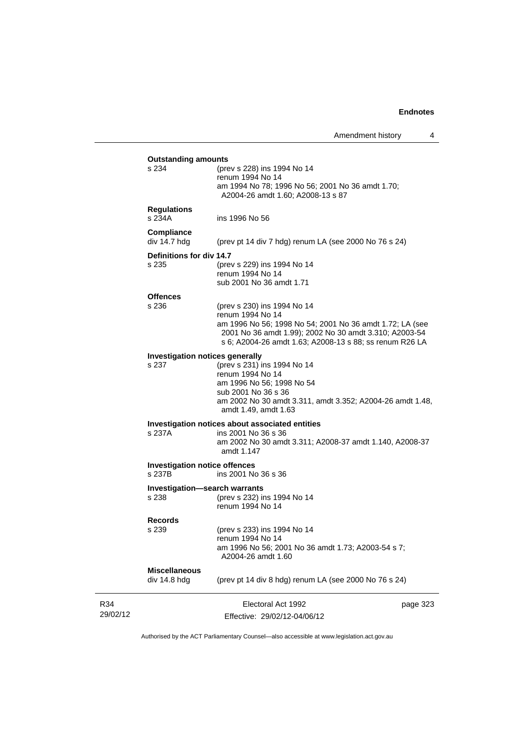|                                                | Amendment history<br>4                                                                                                                                                                                                           |
|------------------------------------------------|----------------------------------------------------------------------------------------------------------------------------------------------------------------------------------------------------------------------------------|
| <b>Outstanding amounts</b>                     |                                                                                                                                                                                                                                  |
| s 234                                          | (prev s 228) ins 1994 No 14<br>renum 1994 No 14<br>am 1994 No 78; 1996 No 56; 2001 No 36 amdt 1.70;<br>A2004-26 amdt 1.60; A2008-13 s 87                                                                                         |
| <b>Regulations</b><br>s 234A                   | ins 1996 No 56                                                                                                                                                                                                                   |
| Compliance<br>div 14.7 hdg                     | (prev pt 14 div 7 hdg) renum LA (see 2000 No 76 s 24)                                                                                                                                                                            |
| Definitions for div 14.7<br>s 235              | (prev s 229) ins 1994 No 14<br>renum 1994 No 14<br>sub 2001 No 36 amdt 1.71                                                                                                                                                      |
| <b>Offences</b><br>s 236                       | (prev s 230) ins 1994 No 14<br>renum 1994 No 14<br>am 1996 No 56; 1998 No 54; 2001 No 36 amdt 1.72; LA (see<br>2001 No 36 amdt 1.99); 2002 No 30 amdt 3.310; A2003-54<br>s 6; A2004-26 amdt 1.63; A2008-13 s 88; ss renum R26 LA |
| Investigation notices generally<br>s 237       | (prev s 231) ins 1994 No 14<br>renum 1994 No 14<br>am 1996 No 56; 1998 No 54<br>sub 2001 No 36 s 36<br>am 2002 No 30 amdt 3.311, amdt 3.352; A2004-26 amdt 1.48,<br>amdt 1.49, amdt 1.63                                         |
| s 237A                                         | Investigation notices about associated entities<br>ins 2001 No 36 s 36<br>am 2002 No 30 amdt 3.311; A2008-37 amdt 1.140, A2008-37<br>amdt 1.147                                                                                  |
| <b>Investigation notice offences</b><br>s 237B | ins 2001 No 36 s 36                                                                                                                                                                                                              |
| Investigation-search warrants<br>s 238         | (prev s 232) ins 1994 No 14<br>renum 1994 No 14                                                                                                                                                                                  |
| <b>Records</b><br>s 239                        | (prev s 233) ins 1994 No 14<br>renum 1994 No 14<br>am 1996 No 56; 2001 No 36 amdt 1.73; A2003-54 s 7;<br>A2004-26 amdt 1.60                                                                                                      |
| <b>Miscellaneous</b><br>div 14.8 hdg           | (prev pt 14 div 8 hdg) renum LA (see 2000 No 76 s 24)                                                                                                                                                                            |
|                                                | Electoral Act 1992<br>page 323<br>Effective: 29/02/12-04/06/12                                                                                                                                                                   |

Authorised by the ACT Parliamentary Counsel—also accessible at www.legislation.act.gov.au

R34 29/02/12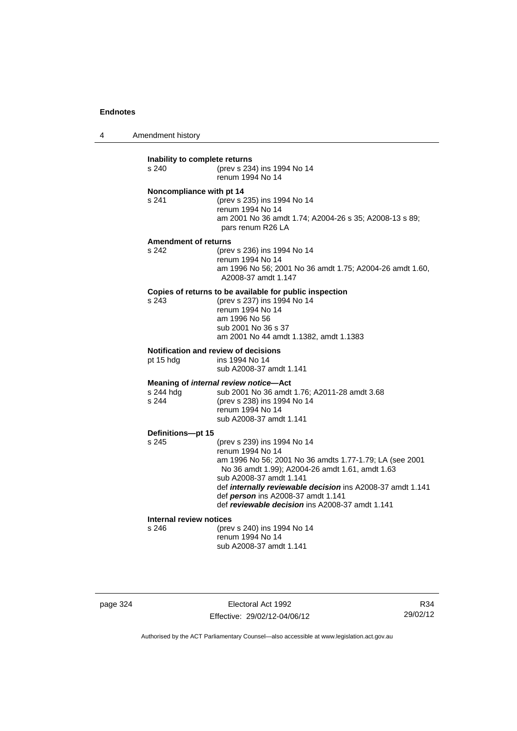4 Amendment history

| Inability to complete returns<br>s 240 | (prev s 234) ins 1994 No 14<br>renum 1994 No 14                                                                                                                                                                                                                                                                                                 |
|----------------------------------------|-------------------------------------------------------------------------------------------------------------------------------------------------------------------------------------------------------------------------------------------------------------------------------------------------------------------------------------------------|
| Noncompliance with pt 14<br>s 241      | (prev s 235) ins 1994 No 14<br>renum 1994 No 14<br>am 2001 No 36 amdt 1.74; A2004-26 s 35; A2008-13 s 89;<br>pars renum R26 LA                                                                                                                                                                                                                  |
| <b>Amendment of returns</b><br>s 242   | (prev s 236) ins 1994 No 14<br>renum 1994 No 14<br>am 1996 No 56; 2001 No 36 amdt 1.75; A2004-26 amdt 1.60,<br>A2008-37 amdt 1.147                                                                                                                                                                                                              |
| s.243                                  | Copies of returns to be available for public inspection<br>(prev s 237) ins 1994 No 14<br>renum 1994 No 14<br>am 1996 No 56<br>sub 2001 No 36 s 37<br>am 2001 No 44 amdt 1.1382, amdt 1.1383                                                                                                                                                    |
| pt 15 hdg                              | <b>Notification and review of decisions</b><br>ins 1994 No 14<br>sub A2008-37 amdt 1.141                                                                                                                                                                                                                                                        |
| s 244 hdg<br>s 244                     | Meaning of internal review notice-Act<br>sub 2001 No 36 amdt 1.76; A2011-28 amdt 3.68<br>(prev s 238) ins 1994 No 14<br>renum 1994 No 14<br>sub A2008-37 amdt 1.141                                                                                                                                                                             |
| Definitions-pt 15                      |                                                                                                                                                                                                                                                                                                                                                 |
| s 245                                  | (prev s 239) ins 1994 No 14<br>renum 1994 No 14<br>am 1996 No 56; 2001 No 36 amdts 1.77-1.79; LA (see 2001<br>No 36 amdt 1.99); A2004-26 amdt 1.61, amdt 1.63<br>sub A2008-37 amdt 1.141<br>def internally reviewable decision ins A2008-37 amdt 1.141<br>def person ins A2008-37 amdt 1.141<br>def reviewable decision ins A2008-37 amdt 1.141 |
| Internal review notices                |                                                                                                                                                                                                                                                                                                                                                 |
| s 246                                  | (prev s 240) ins 1994 No 14<br>renum 1994 No 14<br>sub A2008-37 amdt 1.141                                                                                                                                                                                                                                                                      |

page 324 Electoral Act 1992 Effective: 29/02/12-04/06/12

R34 29/02/12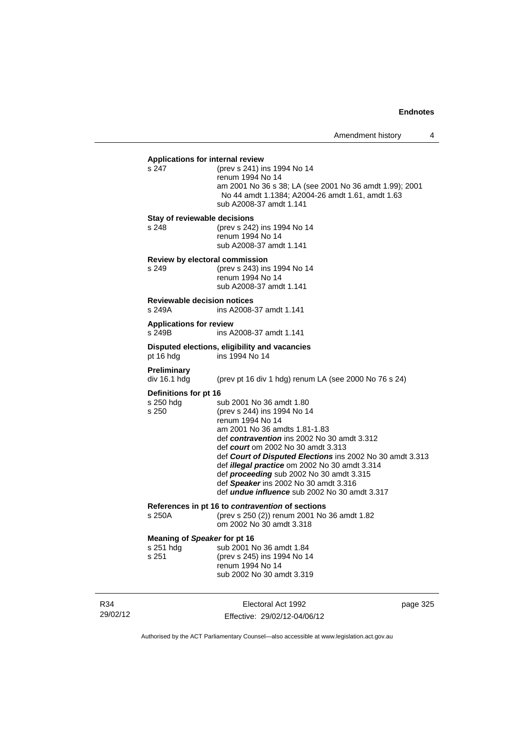| <b>Applications for internal review</b>            |                                                                                                                                                                                                                                                                                                                                                                                                                                                                     |
|----------------------------------------------------|---------------------------------------------------------------------------------------------------------------------------------------------------------------------------------------------------------------------------------------------------------------------------------------------------------------------------------------------------------------------------------------------------------------------------------------------------------------------|
| s 247                                              | (prev s 241) ins 1994 No 14<br>renum 1994 No 14<br>am 2001 No 36 s 38; LA (see 2001 No 36 amdt 1.99); 2001<br>No 44 amdt 1.1384; A2004-26 amdt 1.61, amdt 1.63<br>sub A2008-37 amdt 1.141                                                                                                                                                                                                                                                                           |
| Stay of reviewable decisions<br>s 248              | (prev s 242) ins 1994 No 14<br>renum 1994 No 14<br>sub A2008-37 amdt 1.141                                                                                                                                                                                                                                                                                                                                                                                          |
| <b>Review by electoral commission</b><br>s 249     | (prev s 243) ins 1994 No 14<br>renum 1994 No 14<br>sub A2008-37 amdt 1.141                                                                                                                                                                                                                                                                                                                                                                                          |
| <b>Reviewable decision notices</b><br>s 249A       | ins A2008-37 amdt 1.141                                                                                                                                                                                                                                                                                                                                                                                                                                             |
| <b>Applications for review</b><br>s 249B           | ins A2008-37 amdt 1.141                                                                                                                                                                                                                                                                                                                                                                                                                                             |
| pt 16 hdg                                          | Disputed elections, eligibility and vacancies<br>ins 1994 No 14                                                                                                                                                                                                                                                                                                                                                                                                     |
| Preliminary<br>div 16.1 hdg                        | (prev pt 16 div 1 hdg) renum LA (see 2000 No 76 s 24)                                                                                                                                                                                                                                                                                                                                                                                                               |
| <b>Definitions for pt 16</b><br>s 250 hdg<br>s 250 | sub 2001 No 36 amdt 1.80<br>(prev s 244) ins 1994 No 14<br>renum 1994 No 14<br>am 2001 No 36 amdts 1.81-1.83<br>def contravention ins 2002 No 30 amdt 3.312<br>def <i>court</i> om 2002 No 30 amdt 3.313<br>def Court of Disputed Elections ins 2002 No 30 amdt 3.313<br>def illegal practice om 2002 No 30 amdt 3.314<br>def proceeding sub 2002 No 30 amdt 3.315<br>def Speaker ins 2002 No 30 amdt 3.316<br>def <i>undue influence</i> sub 2002 No 30 amdt 3.317 |
| s 250A                                             | References in pt 16 to contravention of sections<br>(prev s 250 (2)) renum 2001 No 36 amdt 1.82<br>om 2002 No 30 amdt 3.318                                                                                                                                                                                                                                                                                                                                         |
| Meaning of Speaker for pt 16<br>s 251 hdg<br>s 251 | sub 2001 No 36 amdt 1.84<br>(prev s 245) ins 1994 No 14<br>renum 1994 No 14<br>sub 2002 No 30 amdt 3.319                                                                                                                                                                                                                                                                                                                                                            |

R34 29/02/12

Electoral Act 1992 Effective: 29/02/12-04/06/12 page 325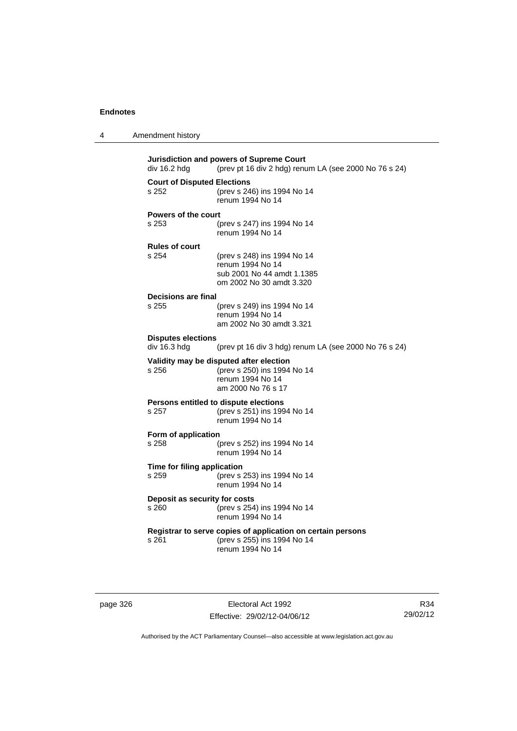| 4 | Amendment history |  |
|---|-------------------|--|
|---|-------------------|--|

| div 16.2 hdg                                                | Jurisdiction and powers of Supreme Court<br>(prev pt 16 div 2 hdg) renum LA (see 2000 No 76 s 24) |  |
|-------------------------------------------------------------|---------------------------------------------------------------------------------------------------|--|
| <b>Court of Disputed Elections</b>                          |                                                                                                   |  |
|                                                             |                                                                                                   |  |
| s 252                                                       | (prev s 246) ins 1994 No 14                                                                       |  |
|                                                             | renum 1994 No 14                                                                                  |  |
|                                                             |                                                                                                   |  |
| <b>Powers of the court</b>                                  |                                                                                                   |  |
| s 253                                                       | (prev s 247) ins 1994 No 14                                                                       |  |
|                                                             |                                                                                                   |  |
|                                                             | renum 1994 No 14                                                                                  |  |
| <b>Rules of court</b>                                       |                                                                                                   |  |
|                                                             |                                                                                                   |  |
| s.254                                                       | (prev s 248) ins 1994 No 14                                                                       |  |
|                                                             | renum 1994 No 14                                                                                  |  |
|                                                             | sub 2001 No 44 amdt 1.1385                                                                        |  |
|                                                             | om 2002 No 30 amdt 3.320                                                                          |  |
|                                                             |                                                                                                   |  |
| <b>Decisions are final</b>                                  |                                                                                                   |  |
| s 255                                                       | (prev s 249) ins 1994 No 14                                                                       |  |
|                                                             |                                                                                                   |  |
|                                                             | renum 1994 No 14                                                                                  |  |
|                                                             | am 2002 No 30 amdt 3.321                                                                          |  |
|                                                             |                                                                                                   |  |
| <b>Disputes elections</b>                                   |                                                                                                   |  |
| div 16.3 hdg                                                | (prev pt 16 div 3 hdg) renum LA (see 2000 No 76 s 24)                                             |  |
|                                                             |                                                                                                   |  |
|                                                             | Validity may be disputed after election                                                           |  |
| s 256                                                       | (prev s 250) ins 1994 No 14                                                                       |  |
|                                                             | renum 1994 No 14                                                                                  |  |
|                                                             | am 2000 No 76 s 17                                                                                |  |
|                                                             |                                                                                                   |  |
|                                                             | <b>Persons entitled to dispute elections</b>                                                      |  |
| s 257                                                       | (prev s 251) ins 1994 No 14                                                                       |  |
|                                                             | renum 1994 No 14                                                                                  |  |
|                                                             |                                                                                                   |  |
| Form of application                                         |                                                                                                   |  |
| s 258                                                       | (prev s 252) ins 1994 No 14                                                                       |  |
|                                                             | renum 1994 No 14                                                                                  |  |
|                                                             |                                                                                                   |  |
| Time for filing application                                 |                                                                                                   |  |
| s 259                                                       | (prev s 253) ins 1994 No 14                                                                       |  |
|                                                             | renum 1994 No 14                                                                                  |  |
|                                                             |                                                                                                   |  |
| Deposit as security for costs                               |                                                                                                   |  |
| s 260                                                       | (prev s 254) ins 1994 No 14                                                                       |  |
|                                                             |                                                                                                   |  |
|                                                             | renum 1994 No 14                                                                                  |  |
| Registrar to serve copies of application on certain persons |                                                                                                   |  |
|                                                             |                                                                                                   |  |
| s 261                                                       | (prev s 255) ins 1994 No 14                                                                       |  |
|                                                             | renum 1994 No 14                                                                                  |  |
|                                                             |                                                                                                   |  |
|                                                             |                                                                                                   |  |
|                                                             |                                                                                                   |  |

page 326 **Electoral Act 1992** Effective: 29/02/12-04/06/12

R34 29/02/12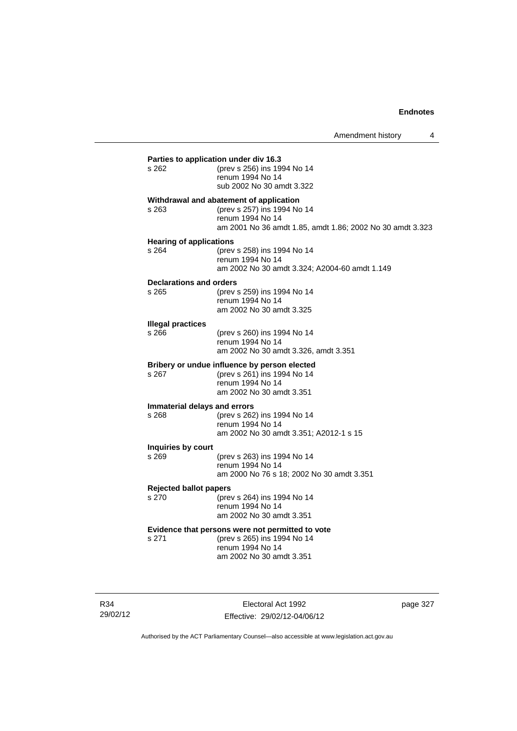| $s$ 262                           | (prev s 256) ins 1994 No 14                               |
|-----------------------------------|-----------------------------------------------------------|
|                                   | renum 1994 No 14<br>sub 2002 No 30 amdt 3.322             |
|                                   | Withdrawal and abatement of application                   |
| s 263                             | (prev s 257) ins 1994 No 14<br>renum 1994 No 14           |
|                                   | am 2001 No 36 amdt 1.85, amdt 1.86; 2002 No 30 amdt 3.323 |
| <b>Hearing of applications</b>    |                                                           |
| s 264                             | (prev s 258) ins 1994 No 14<br>renum 1994 No 14           |
|                                   | am 2002 No 30 amdt 3.324; A2004-60 amdt 1.149             |
| Declarations and orders           |                                                           |
| s 265                             | (prev s 259) ins 1994 No 14                               |
|                                   | renum 1994 No 14                                          |
|                                   | am 2002 No 30 amdt 3.325                                  |
| <b>Illegal practices</b><br>s 266 |                                                           |
|                                   | (prev s 260) ins 1994 No 14<br>renum 1994 No 14           |
|                                   | am 2002 No 30 amdt 3.326, amdt 3.351                      |
|                                   | Bribery or undue influence by person elected              |
| s.267                             | (prev s 261) ins 1994 No 14                               |
|                                   | renum 1994 No 14<br>am 2002 No 30 amdt 3.351              |
|                                   | Immaterial delays and errors                              |
| s 268                             | (prev s 262) ins 1994 No 14                               |
|                                   | renum 1994 No 14                                          |
|                                   | am 2002 No 30 amdt 3.351; A2012-1 s 15                    |
| Inquiries by court<br>s 269       |                                                           |
|                                   | (prev s 263) ins 1994 No 14<br>renum 1994 No 14           |
|                                   | am 2000 No 76 s 18; 2002 No 30 amdt 3.351                 |
| <b>Rejected ballot papers</b>     |                                                           |
| s 270                             | (prev s 264) ins 1994 No 14                               |
|                                   | renum 1994 No 14<br>am 2002 No 30 amdt 3.351              |
|                                   | Evidence that persons were not permitted to vote          |
| s 271                             | (prev s 265) ins 1994 No 14                               |
|                                   | renum 1994 No 14<br>am 2002 No 30 amdt 3.351              |

R34 29/02/12

Electoral Act 1992 Effective: 29/02/12-04/06/12 page 327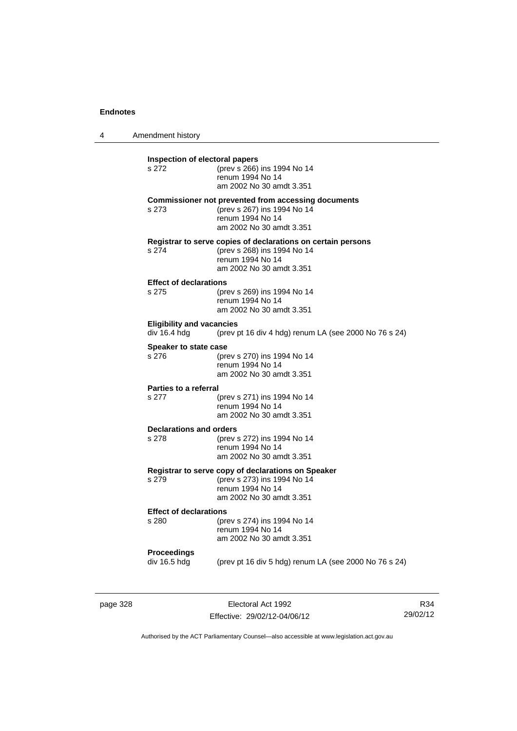4 Amendment history

| Inspection of electoral papers   |                                                                                             |  |
|----------------------------------|---------------------------------------------------------------------------------------------|--|
| s 272                            | (prev s 266) ins 1994 No 14                                                                 |  |
|                                  | renum 1994 No 14                                                                            |  |
|                                  | am 2002 No 30 amdt 3.351                                                                    |  |
|                                  | <b>Commissioner not prevented from accessing documents</b>                                  |  |
| s 273                            | (prev s 267) ins 1994 No 14<br>renum 1994 No 14                                             |  |
|                                  | am 2002 No 30 amdt 3.351                                                                    |  |
|                                  |                                                                                             |  |
| s 274                            | Registrar to serve copies of declarations on certain persons<br>(prev s 268) ins 1994 No 14 |  |
|                                  | renum 1994 No 14                                                                            |  |
|                                  | am 2002 No 30 amdt 3.351                                                                    |  |
| <b>Effect of declarations</b>    |                                                                                             |  |
| s 275                            | (prev s 269) ins 1994 No 14                                                                 |  |
|                                  | renum 1994 No 14                                                                            |  |
|                                  | am 2002 No 30 amdt 3.351                                                                    |  |
| <b>Eligibility and vacancies</b> |                                                                                             |  |
| div 16.4 hdg                     | (prev pt 16 div 4 hdg) renum LA (see 2000 No 76 s 24)                                       |  |
| Speaker to state case            |                                                                                             |  |
| s 276                            | (prev s 270) ins 1994 No 14                                                                 |  |
|                                  | renum 1994 No 14                                                                            |  |
|                                  | am 2002 No 30 amdt 3.351                                                                    |  |
| Parties to a referral            |                                                                                             |  |
| s 277                            | (prev s 271) ins 1994 No 14<br>renum 1994 No 14                                             |  |
|                                  | am 2002 No 30 amdt 3.351                                                                    |  |
| <b>Declarations and orders</b>   |                                                                                             |  |
| s 278                            | (prev s 272) ins 1994 No 14                                                                 |  |
|                                  | renum 1994 No 14                                                                            |  |
|                                  | am 2002 No 30 amdt 3.351                                                                    |  |
|                                  | Registrar to serve copy of declarations on Speaker                                          |  |
| s 279                            | (prev s 273) ins 1994 No 14                                                                 |  |
|                                  | renum 1994 No 14                                                                            |  |
|                                  | am 2002 No 30 amdt 3.351                                                                    |  |
| <b>Effect of declarations</b>    |                                                                                             |  |
| s 280                            | (prev s 274) ins 1994 No 14<br>renum 1994 No 14                                             |  |
|                                  | am 2002 No 30 amdt 3.351                                                                    |  |
|                                  |                                                                                             |  |
| Proceedings                      |                                                                                             |  |
| div 16.5 hdg                     | (prev pt 16 div 5 hdg) renum LA (see 2000 No 76 s 24)                                       |  |
|                                  |                                                                                             |  |

page 328 **Electoral Act 1992** Effective: 29/02/12-04/06/12

R34 29/02/12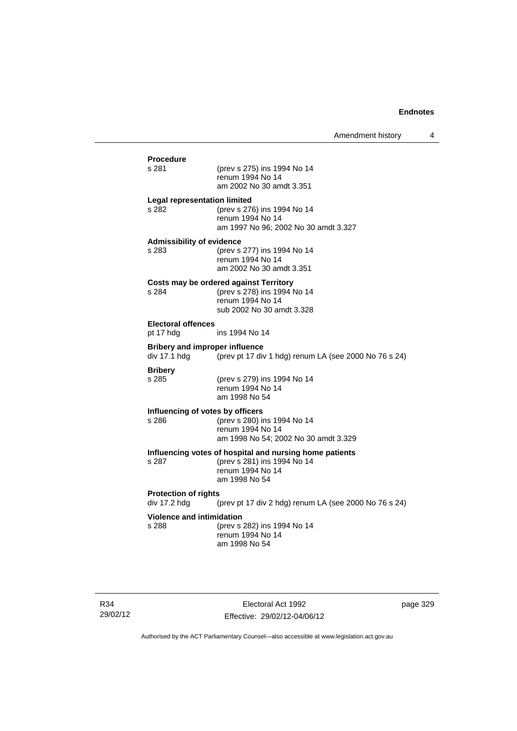| <b>Procedure</b><br>s 281             | (prev s 275) ins 1994 No 14<br>renum 1994 No 14                                         |
|---------------------------------------|-----------------------------------------------------------------------------------------|
|                                       | am 2002 No 30 amdt 3.351                                                                |
| <b>Legal representation limited</b>   |                                                                                         |
| s 282                                 | (prev s 276) ins 1994 No 14<br>renum 1994 No 14<br>am 1997 No 96; 2002 No 30 amdt 3.327 |
| <b>Admissibility of evidence</b>      |                                                                                         |
| s 283                                 | (prev s 277) ins 1994 No 14<br>renum 1994 No 14<br>am 2002 No 30 amdt 3.351             |
|                                       |                                                                                         |
| s 284                                 | <b>Costs may be ordered against Territory</b><br>(prev s 278) ins 1994 No 14            |
|                                       | renum 1994 No 14                                                                        |
|                                       | sub 2002 No 30 amdt 3.328                                                               |
| <b>Electoral offences</b>             |                                                                                         |
| pt 17 hdg                             | ins 1994 No 14                                                                          |
| <b>Bribery and improper influence</b> |                                                                                         |
| div 17.1 hdg                          | (prev pt 17 div 1 hdg) renum LA (see 2000 No 76 s 24)                                   |
| <b>Bribery</b>                        |                                                                                         |
| s 285                                 | (prev s 279) ins 1994 No 14                                                             |
|                                       | renum 1994 No 14                                                                        |
|                                       | am 1998 No 54                                                                           |
| Influencing of votes by officers      |                                                                                         |
| s 286                                 | (prev s 280) ins 1994 No 14<br>renum 1994 No 14                                         |
|                                       | am 1998 No 54; 2002 No 30 amdt 3.329                                                    |
|                                       |                                                                                         |
| s 287                                 | Influencing votes of hospital and nursing home patients<br>(prev s 281) ins 1994 No 14  |
|                                       | renum 1994 No 14                                                                        |
|                                       | am 1998 No 54                                                                           |
| <b>Protection of rights</b>           |                                                                                         |
| div 17.2 hdg                          | (prev pt 17 div 2 hdg) renum LA (see 2000 No 76 s 24)                                   |
| <b>Violence and intimidation</b>      |                                                                                         |
| s 288                                 | (prev s 282) ins 1994 No 14                                                             |
|                                       | renum 1994 No 14                                                                        |
|                                       | am 1998 No 54                                                                           |

R34 29/02/12

Electoral Act 1992 Effective: 29/02/12-04/06/12 page 329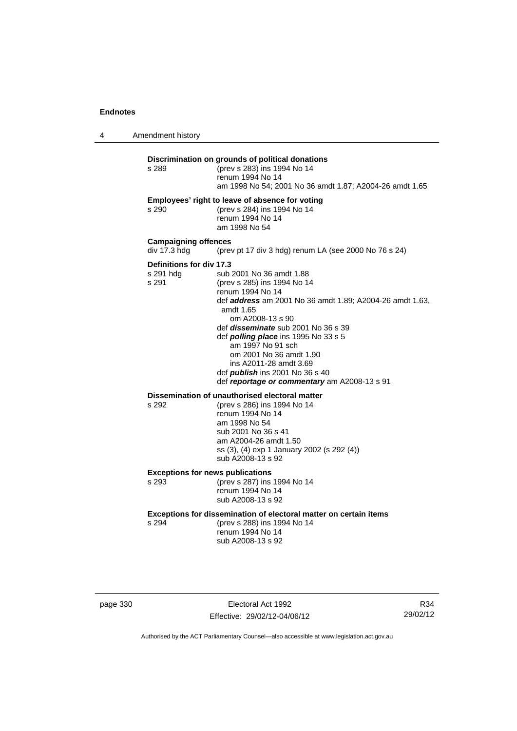4 Amendment history

#### **Discrimination on grounds of political donations**

s 289 (prev s 283) ins 1994 No 14 renum 1994 No 14 am 1998 No 54; 2001 No 36 amdt 1.87; A2004-26 amdt 1.65 **Employees' right to leave of absence for voting** s 290 (prev s 284) ins 1994 No 14 renum 1994 No 14 am 1998 No 54 **Campaigning offences**  div 17.3 hdg (prev pt 17 div 3 hdg) renum LA (see 2000 No 76 s 24) **Definitions for div 17.3**<br>s 291 hdg sub s 291 hdg sub 2001 No 36 amdt 1.88<br>s 291 (prev s 285) ins 1994 No 14 (prev s 285) ins 1994 No 14 renum 1994 No 14 def *address* am 2001 No 36 amdt 1.89; A2004-26 amdt 1.63, amdt 1.65 om A2008-13 s 90 def *disseminate* sub 2001 No 36 s 39 def *polling place* ins 1995 No 33 s 5 am 1997 No 91 sch om 2001 No 36 amdt 1.90 ins A2011-28 amdt 3.69 def *publish* ins 2001 No 36 s 40 def *reportage or commentary* am A2008-13 s 91 **Dissemination of unauthorised electoral matter**<br>s 292 (prev s 286) ins 1994 No 14

s 292 (prev s 286) ins 1994 No 14 renum 1994 No 14 am 1998 No 54 sub 2001 No 36 s 41 am A2004-26 amdt 1.50 ss (3), (4) exp 1 January 2002 (s 292 (4)) sub A2008-13 s 92

**Exceptions for news publications**

s 293 (prev s 287) ins 1994 No 14 renum 1994 No 14 sub A2008-13 s 92

**Exceptions for dissemination of electoral matter on certain items**

s 294 (prev s 288) ins 1994 No 14 renum 1994 No 14 sub A2008-13 s 92

page 330 Electoral Act 1992 Effective: 29/02/12-04/06/12

R34 29/02/12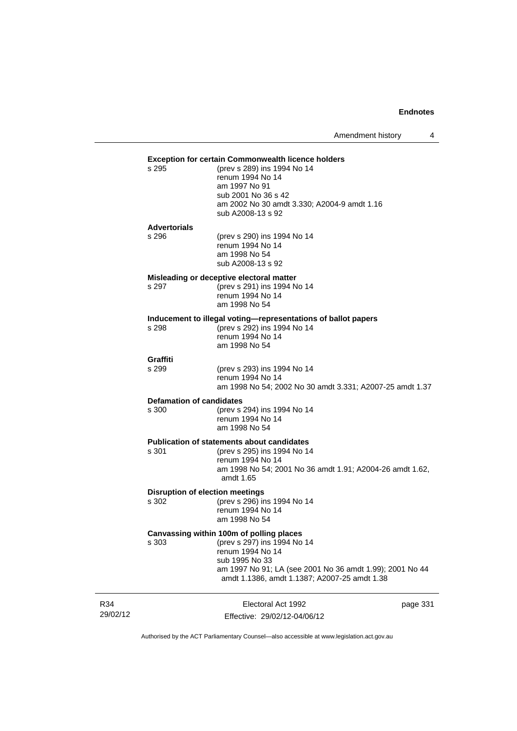Amendment history 4

#### **Exception for certain Commonwealth licence holders**

| (prev s 289) ins 1994 No 14                 |
|---------------------------------------------|
| renum 1994 No 14                            |
| am 1997 No 91                               |
| sub 2001 No 36 s 42                         |
| am 2002 No 30 amdt 3.330; A2004-9 amdt 1.16 |
| sub A2008-13 s 92                           |
|                                             |

## **Advertorials**

 $s$  295

| s 296 | (prev s 290) ins 1994 No 14 |
|-------|-----------------------------|
|       | renum 1994 No 14            |
|       | am 1998 No 54               |
|       | sub A2008-13 s 92           |

#### **Misleading or deceptive electoral matter**

s 297 (prev s 291) ins 1994 No 14 renum 1994 No 14 am 1998 No 54

## **Inducement to illegal voting—representations of ballot papers**

(prev s 292) ins 1994 No 14 renum 1994 No 14 am 1998 No 54

## **Graffiti**

(prev s 293) ins 1994 No 14 renum 1994 No 14 am 1998 No 54; 2002 No 30 amdt 3.331; A2007-25 amdt 1.37

#### **Defamation of candidates**

s 300 (prev s 294) ins 1994 No 14 renum 1994 No 14 am 1998 No 54

## **Publication of statements about candidates**<br>s 301 (orev s 295) ins 1994 No 1-

(prev s 295) ins 1994 No 14 renum 1994 No 14 am 1998 No 54; 2001 No 36 amdt 1.91; A2004-26 amdt 1.62, amdt 1.65

### **Disruption of election meetings**

s 302 (prev s 296) ins 1994 No 14 renum 1994 No 14 am 1998 No 54

#### **Canvassing within 100m of polling places**

s 303 (prev s 297) ins 1994 No 14 renum 1994 No 14 sub 1995 No 33 am 1997 No 91; LA (see 2001 No 36 amdt 1.99); 2001 No 44 amdt 1.1386, amdt 1.1387; A2007-25 amdt 1.38

| R34      | Electoral Act 1992           |
|----------|------------------------------|
| 29/02/12 | Effective: 29/02/12-04/06/12 |

page 331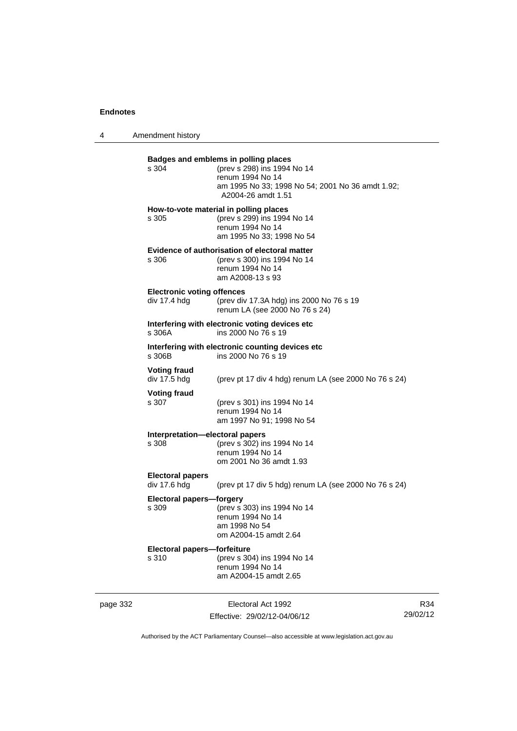4 Amendment history

| page 332 |                                                   | Electoral Act 1992                                                                                                                                                | R34 |
|----------|---------------------------------------------------|-------------------------------------------------------------------------------------------------------------------------------------------------------------------|-----|
|          | Electoral papers-forfeiture<br>s 310              | (prev s 304) ins 1994 No 14<br>renum 1994 No 14<br>am A2004-15 amdt 2.65                                                                                          |     |
|          | Electoral papers-forgery<br>s 309                 | (prev s 303) ins 1994 No 14<br>renum 1994 No 14<br>am 1998 No 54<br>om A2004-15 amdt 2.64                                                                         |     |
|          | <b>Electoral papers</b><br>div 17.6 hdg           | (prev pt 17 div 5 hdg) renum LA (see 2000 No 76 s 24)                                                                                                             |     |
|          | Interpretation-electoral papers<br>s 308          | (prev s 302) ins 1994 No 14<br>renum 1994 No 14<br>om 2001 No 36 amdt 1.93                                                                                        |     |
|          | <b>Voting fraud</b><br>s 307                      | (prev s 301) ins 1994 No 14<br>renum 1994 No 14<br>am 1997 No 91; 1998 No 54                                                                                      |     |
|          | <b>Voting fraud</b><br>div 17.5 hdg               | (prev pt 17 div 4 hdg) renum LA (see 2000 No 76 s 24)                                                                                                             |     |
|          | s 306B                                            | Interfering with electronic counting devices etc<br>ins 2000 No 76 s 19                                                                                           |     |
|          | s 306A                                            | Interfering with electronic voting devices etc<br>ins 2000 No 76 s 19                                                                                             |     |
|          | <b>Electronic voting offences</b><br>div 17.4 hdg | (prev div 17.3A hdg) ins 2000 No 76 s 19<br>renum LA (see 2000 No 76 s 24)                                                                                        |     |
|          | s 306                                             | Evidence of authorisation of electoral matter<br>(prev s 300) ins 1994 No 14<br>renum 1994 No 14<br>am A2008-13 s 93                                              |     |
|          | s 305                                             | How-to-vote material in polling places<br>(prev s 299) ins 1994 No 14<br>renum 1994 No 14<br>am 1995 No 33; 1998 No 54                                            |     |
|          | s 304                                             | Badges and emblems in polling places<br>(prev s 298) ins 1994 No 14<br>renum 1994 No 14<br>am 1995 No 33; 1998 No 54; 2001 No 36 amdt 1.92;<br>A2004-26 amdt 1.51 |     |
|          |                                                   |                                                                                                                                                                   |     |

Authorised by the ACT Parliamentary Counsel—also accessible at www.legislation.act.gov.au

29/02/12

Effective: 29/02/12-04/06/12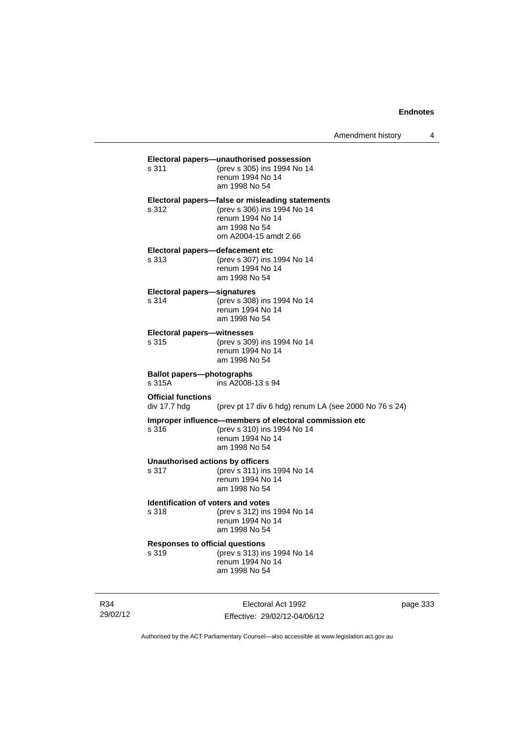| s 311                                              | Electoral papers-unauthorised possession<br>(prev s 305) ins 1994 No 14<br>renum 1994 No 14<br>am 1998 No 54                                 |
|----------------------------------------------------|----------------------------------------------------------------------------------------------------------------------------------------------|
| s 312                                              | Electoral papers—false or misleading statements<br>(prev s 306) ins 1994 No 14<br>renum 1994 No 14<br>am 1998 No 54<br>om A2004-15 amdt 2.66 |
| Electoral papers-defacement etc<br>s 313           | (prev s 307) ins 1994 No 14<br>renum 1994 No 14<br>am 1998 No 54                                                                             |
| <b>Electoral papers-signatures</b><br>s 314        | (prev s 308) ins 1994 No 14<br>renum 1994 No 14<br>am 1998 No 54                                                                             |
| <b>Electoral papers-witnesses</b><br>s 315         | (prev s 309) ins 1994 No 14<br>renum 1994 No 14<br>am 1998 No 54                                                                             |
| <b>Ballot papers-photographs</b><br>s 315A         | ins A2008-13 s 94                                                                                                                            |
| <b>Official functions</b><br>div 17.7 hdg          | (prev pt 17 div 6 hdg) renum LA (see 2000 No 76 s 24)                                                                                        |
| s 316                                              | Improper influence-members of electoral commission etc<br>(prev s 310) ins 1994 No 14<br>renum 1994 No 14<br>am 1998 No 54                   |
| <b>Unauthorised actions by officers</b><br>s 317   | (prev s 311) ins 1994 No 14<br>renum 1994 No 14<br>am 1998 No 54                                                                             |
| <b>Identification of voters and votes</b><br>s 318 | (prev s 312) ins 1994 No 14<br>renum 1994 No 14<br>am 1998 No 54                                                                             |
| <b>Responses to official questions</b><br>s 319    | (prev s 313) ins 1994 No 14<br>renum 1994 No 14<br>am 1998 No 54                                                                             |
|                                                    |                                                                                                                                              |

R34 29/02/12

Electoral Act 1992 Effective: 29/02/12-04/06/12 page 333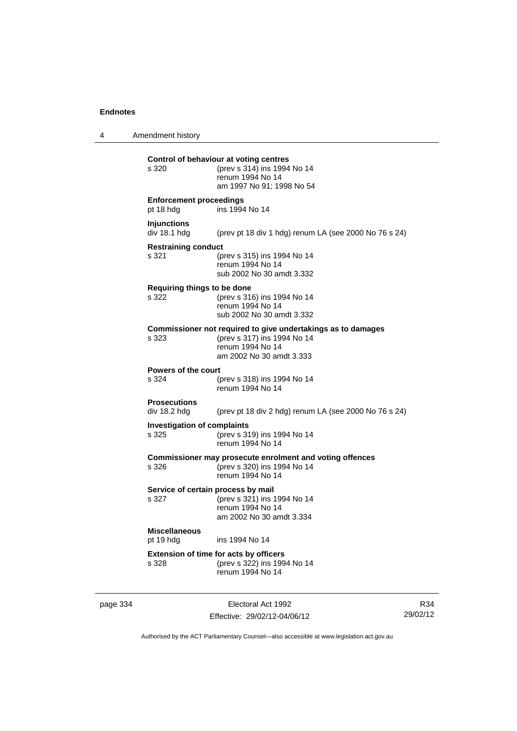4 Amendment history

| s 320                                       | Control of behaviour at voting centres<br>(prev s 314) ins 1994 No 14<br>renum 1994 No 14<br>am 1997 No 91; 1998 No 54                      |
|---------------------------------------------|---------------------------------------------------------------------------------------------------------------------------------------------|
| <b>Enforcement proceedings</b><br>pt 18 hdg | ins 1994 No 14                                                                                                                              |
| <b>Injunctions</b><br>div 18.1 hdg          | (prev pt 18 div 1 hdg) renum LA (see 2000 No 76 s 24)                                                                                       |
| <b>Restraining conduct</b><br>s 321         | (prev s 315) ins 1994 No 14<br>renum 1994 No 14<br>sub 2002 No 30 amdt 3.332                                                                |
| Requiring things to be done<br>s 322        | (prev s 316) ins 1994 No 14<br>renum 1994 No 14<br>sub 2002 No 30 amdt 3.332                                                                |
| s 323                                       | Commissioner not required to give undertakings as to damages<br>(prev s 317) ins 1994 No 14<br>renum 1994 No 14<br>am 2002 No 30 amdt 3.333 |
| Powers of the court<br>s 324                | (prev s 318) ins 1994 No 14<br>renum 1994 No 14                                                                                             |
| <b>Prosecutions</b><br>div 18.2 hdg         | (prev pt 18 div 2 hdg) renum LA (see 2000 No 76 s 24)                                                                                       |
| <b>Investigation of complaints</b><br>s 325 | (prev s 319) ins 1994 No 14<br>renum 1994 No 14                                                                                             |
| s 326                                       | Commissioner may prosecute enrolment and voting offences<br>(prev s 320) ins 1994 No 14<br>renum 1994 No 14                                 |
| Service of certain process by mail<br>s 327 | (prev s 321) ins 1994 No 14<br>renum 1994 No 14<br>am 2002 No 30 amdt 3.334                                                                 |
| <b>Miscellaneous</b><br>pt 19 hdg           | ins 1994 No 14                                                                                                                              |
| s 328                                       | <b>Extension of time for acts by officers</b><br>(prev s 322) ins 1994 No 14<br>renum 1994 No 14                                            |
|                                             |                                                                                                                                             |

page 334 Electoral Act 1992 Effective: 29/02/12-04/06/12

R34 29/02/12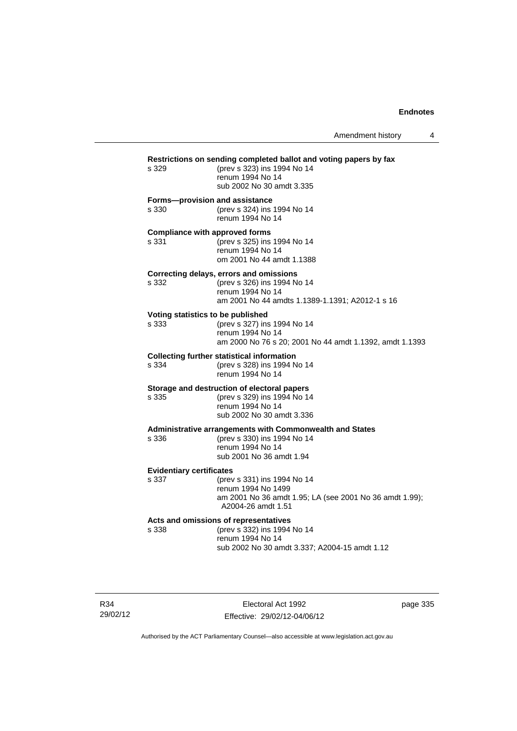| s 329                                          | Restrictions on sending completed ballot and voting papers by fax<br>(prev s 323) ins 1994 No 14<br>renum 1994 No 14<br>sub 2002 No 30 amdt 3.335 |  |
|------------------------------------------------|---------------------------------------------------------------------------------------------------------------------------------------------------|--|
| Forms-provision and assistance<br>s 330        | (prev s 324) ins 1994 No 14<br>renum 1994 No 14                                                                                                   |  |
| <b>Compliance with approved forms</b><br>s 331 | (prev s 325) ins 1994 No 14<br>renum 1994 No 14<br>om 2001 No 44 amdt 1.1388                                                                      |  |
| s 332                                          | Correcting delays, errors and omissions<br>(prev s 326) ins 1994 No 14<br>renum 1994 No 14<br>am 2001 No 44 amdts 1.1389-1.1391; A2012-1 s 16     |  |
| Voting statistics to be published<br>s 333     | (prev s 327) ins 1994 No 14<br>renum 1994 No 14<br>am 2000 No 76 s 20; 2001 No 44 amdt 1.1392, amdt 1.1393                                        |  |
| s 334                                          | <b>Collecting further statistical information</b><br>(prev s 328) ins 1994 No 14<br>renum 1994 No 14                                              |  |
| s 335                                          | Storage and destruction of electoral papers<br>(prev s 329) ins 1994 No 14<br>renum 1994 No 14<br>sub 2002 No 30 amdt 3.336                       |  |
| s 336                                          | <b>Administrative arrangements with Commonwealth and States</b><br>(prev s 330) ins 1994 No 14<br>renum 1994 No 14<br>sub 2001 No 36 amdt 1.94    |  |
| <b>Evidentiary certificates</b><br>s 337       | (prev s 331) ins 1994 No 14<br>renum 1994 No 1499<br>am 2001 No 36 amdt 1.95; LA (see 2001 No 36 amdt 1.99);<br>A2004-26 amdt 1.51                |  |
| s 338                                          | Acts and omissions of representatives<br>(prev s 332) ins 1994 No 14<br>renum 1994 No 14<br>sub 2002 No 30 amdt 3.337; A2004-15 amdt 1.12         |  |

R34 29/02/12

Electoral Act 1992 Effective: 29/02/12-04/06/12 page 335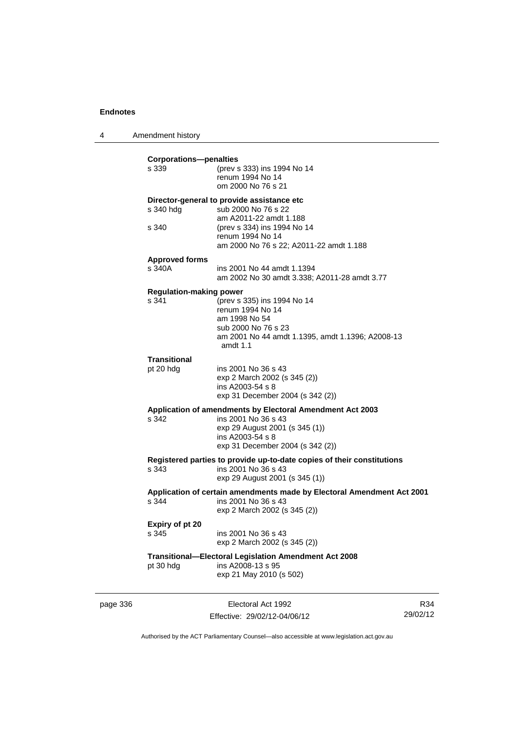4 Amendment history **Corporations—penalties** s 339 (prev s 333) ins 1994 No 14 renum 1994 No 14 om 2000 No 76 s 21 **Director-general to provide assistance etc** s 340 hdg sub 2000 No 76 s 22 am A2011-22 amdt 1.188<br>s 340 (prev s 334) ins 1994 No (prev s 334) ins 1994 No 14 renum 1994 No 14 am 2000 No 76 s 22; A2011-22 amdt 1.188 **Approved forms**  s 340A ins 2001 No 44 amdt 1.1394 am 2002 No 30 amdt 3.338; A2011-28 amdt 3.77 **Regulation-making power**<br>s 341 (prev s)  $S$  (prev s 335) ins 1994 No 14 renum 1994 No 14 am 1998 No 54 sub 2000 No 76 s 23 am 2001 No 44 amdt 1.1395, amdt 1.1396; A2008-13 amdt 1.1 **Transitional** pt 20 hdg ins 2001 No 36 s 43 exp 2 March 2002 (s 345 (2)) ins A2003-54 s 8 exp 31 December 2004 (s 342 (2)) **Application of amendments by Electoral Amendment Act 2003** s 342 ins 2001 No 36 s 43 exp 29 August 2001 (s 345 (1)) ins A2003-54 s 8 exp 31 December 2004 (s 342 (2)) **Registered parties to provide up-to-date copies of their constitutions** s 343 ins 2001 No 36 s 43 exp 29 August 2001 (s 345 (1)) **Application of certain amendments made by Electoral Amendment Act 2001**

s 344 ins 2001 No 36 s 43 exp 2 March 2002 (s 345 (2))

**Expiry of pt 20** s 345 ins 2001 No 36 s 43 exp 2 March 2002 (s 345 (2))

## **Transitional—Electoral Legislation Amendment Act 2008**

 $ins A2008-13 s 95$ exp 21 May 2010 (s 502)

page 336 Electoral Act 1992 Effective: 29/02/12-04/06/12

R34 29/02/12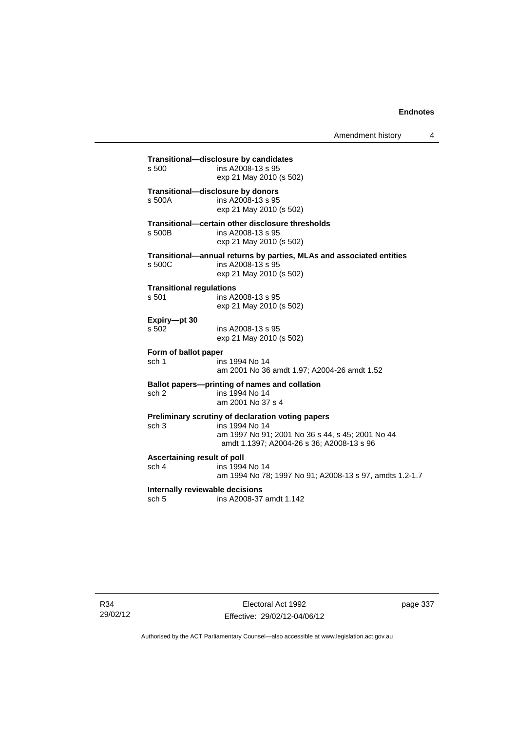## **Transitional—disclosure by candidates**  ins A2008-13 s 95 exp 21 May 2010 (s 502) **Transitional—disclosure by donors**  ins A2008-13 s 95 exp 21 May 2010 (s 502) **Transitional—certain other disclosure thresholds**  s 500B ins A2008-13 s 95 exp 21 May 2010 (s 502) **Transitional—annual returns by parties, MLAs and associated entities**  s 500C ins A2008-13 s 95 exp 21 May 2010 (s 502) **Transitional regulations**  s 501 ins A2008-13 s 95 exp 21 May 2010 (s 502) **Expiry—pt 30**  ins A2008-13 s 95 exp 21 May 2010 (s 502) **Form of ballot paper** sch 1 ins 1994 No 14 am 2001 No 36 amdt 1.97; A2004-26 amdt 1.52 **Ballot papers—printing of names and collation**<br>sch 2 ins 1994 No 14 ins 1994 No 14 am 2001 No 37 s 4 **Preliminary scrutiny of declaration voting papers** sch 3 ins 1994 No 14 am 1997 No 91; 2001 No 36 s 44, s 45; 2001 No 44 amdt 1.1397; A2004-26 s 36; A2008-13 s 96 **Ascertaining result of poll** sch 4 ins 1994 No 14 am 1994 No 78; 1997 No 91; A2008-13 s 97, amdts 1.2-1.7 **Internally reviewable decisions**  sch 5 ins A2008-37 amdt 1.142

R34 29/02/12 page 337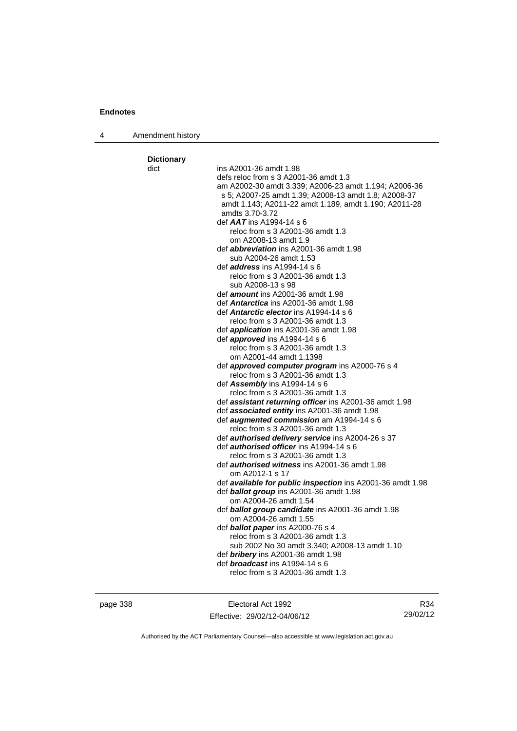4 Amendment history

| <b>Dictionary</b> |                                                                                          |
|-------------------|------------------------------------------------------------------------------------------|
| dict              | ins A2001-36 amdt 1.98                                                                   |
|                   | defs reloc from s 3 A2001-36 amdt 1.3                                                    |
|                   | am A2002-30 amdt 3.339; A2006-23 amdt 1.194; A2006-36                                    |
|                   | s 5; A2007-25 amdt 1.39; A2008-13 amdt 1.8; A2008-37                                     |
|                   | amdt 1.143; A2011-22 amdt 1.189, amdt 1.190; A2011-28                                    |
|                   | amdts 3.70-3.72                                                                          |
|                   | def $AAT$ ins A1994-14 s 6                                                               |
|                   | reloc from s 3 A2001-36 amdt 1.3                                                         |
|                   | om A2008-13 amdt 1.9                                                                     |
|                   | def <i>abbreviation</i> ins A2001-36 amdt 1.98                                           |
|                   | sub A2004-26 amdt 1.53                                                                   |
|                   | def <i>address</i> ins A1994-14 s 6                                                      |
|                   | reloc from s 3 A2001-36 amdt 1.3                                                         |
|                   | sub A2008-13 s 98                                                                        |
|                   | def <i>amount</i> ins A2001-36 amdt 1.98                                                 |
|                   | def <b>Antarctica</b> ins A2001-36 amdt 1.98                                             |
|                   | def <b>Antarctic elector</b> ins A1994-14 s 6                                            |
|                   | reloc from s 3 A2001-36 amdt 1.3                                                         |
|                   | def <i>application</i> ins A2001-36 amdt 1.98                                            |
|                   | def <b>approved</b> ins $A1994-14 s 6$                                                   |
|                   | reloc from s 3 A2001-36 amdt 1.3                                                         |
|                   | om A2001-44 amdt 1.1398                                                                  |
|                   | def <b>approved computer program</b> ins A2000-76 s 4                                    |
|                   | reloc from s 3 A2001-36 amdt 1.3                                                         |
|                   | def Assembly ins A1994-14 s 6                                                            |
|                   | reloc from s 3 A2001-36 amdt 1.3                                                         |
|                   | def <b>assistant returning officer</b> ins A2001-36 amdt 1.98                            |
|                   | def associated entity ins A2001-36 amdt 1.98<br>def augmented commission am A1994-14 s 6 |
|                   | reloc from s 3 A2001-36 amdt 1.3                                                         |
|                   | def authorised delivery service ins A2004-26 s 37                                        |
|                   | def <i>authorised officer</i> ins A1994-14 s 6                                           |
|                   | reloc from s 3 A2001-36 amdt 1.3                                                         |
|                   | def <b>authorised witness</b> ins A2001-36 amdt 1.98                                     |
|                   | om A2012-1 s 17                                                                          |
|                   | def available for public inspection ins A2001-36 amdt 1.98                               |
|                   | def ballot group ins A2001-36 amdt 1.98                                                  |
|                   | om A2004-26 amdt 1.54                                                                    |
|                   | def ballot group candidate ins A2001-36 amdt 1.98                                        |
|                   | om A2004-26 amdt 1.55                                                                    |
|                   | def <b>ballot paper</b> ins A2000-76 s 4                                                 |
|                   | reloc from s 3 A2001-36 amdt 1.3                                                         |
|                   | sub 2002 No 30 amdt 3.340; A2008-13 amdt 1.10                                            |
|                   | def <b>bribery</b> ins A2001-36 amdt 1.98                                                |
|                   | def <b>broadcast</b> ins A1994-14 s 6                                                    |
|                   | reloc from s 3 A2001-36 amdt 1.3                                                         |
|                   |                                                                                          |

page 338 **Electoral Act 1992** Effective: 29/02/12-04/06/12

R34 29/02/12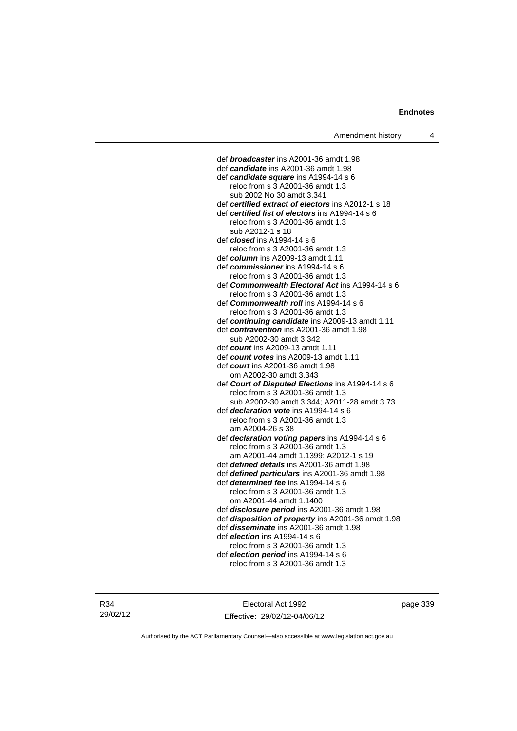def *broadcaster* ins A2001-36 amdt 1.98 def *candidate* ins A2001-36 amdt 1.98 def *candidate square* ins A1994-14 s 6 reloc from s 3 A2001-36 amdt 1.3 sub 2002 No 30 amdt 3.341 def *certified extract of electors* ins A2012-1 s 18 def *certified list of electors* ins A1994-14 s 6 reloc from s 3 A2001-36 amdt 1.3 sub A2012-1 s 18 def *closed* ins A1994-14 s 6 reloc from s 3 A2001-36 amdt 1.3 def *column* ins A2009-13 amdt 1.11 def *commissioner* ins A1994-14 s 6 reloc from s 3 A2001-36 amdt 1.3 def *Commonwealth Electoral Act* ins A1994-14 s 6 reloc from s 3 A2001-36 amdt 1.3 def *Commonwealth roll* ins A1994-14 s 6 reloc from s 3 A2001-36 amdt 1.3 def *continuing candidate* ins A2009-13 amdt 1.11 def *contravention* ins A2001-36 amdt 1.98 sub A2002-30 amdt 3.342 def *count* ins A2009-13 amdt 1.11 def *count votes* ins A2009-13 amdt 1.11 def *court* ins A2001-36 amdt 1.98 om A2002-30 amdt 3.343 def *Court of Disputed Elections* ins A1994-14 s 6 reloc from s 3 A2001-36 amdt 1.3 sub A2002-30 amdt 3.344; A2011-28 amdt 3.73 def *declaration vote* ins A1994-14 s 6 reloc from s 3 A2001-36 amdt 1.3 am A2004-26 s 38 def *declaration voting papers* ins A1994-14 s 6 reloc from s 3 A2001-36 amdt 1.3 am A2001-44 amdt 1.1399; A2012-1 s 19 def *defined details* ins A2001-36 amdt 1.98 def *defined particulars* ins A2001-36 amdt 1.98 def *determined fee* ins A1994-14 s 6 reloc from s 3 A2001-36 amdt 1.3 om A2001-44 amdt 1.1400 def *disclosure period* ins A2001-36 amdt 1.98 def *disposition of property* ins A2001-36 amdt 1.98 def *disseminate* ins A2001-36 amdt 1.98 def *election* ins A1994-14 s 6 reloc from s 3 A2001-36 amdt 1.3 def *election period* ins A1994-14 s 6 reloc from s 3 A2001-36 amdt 1.3

R34 29/02/12

Electoral Act 1992 Effective: 29/02/12-04/06/12 page 339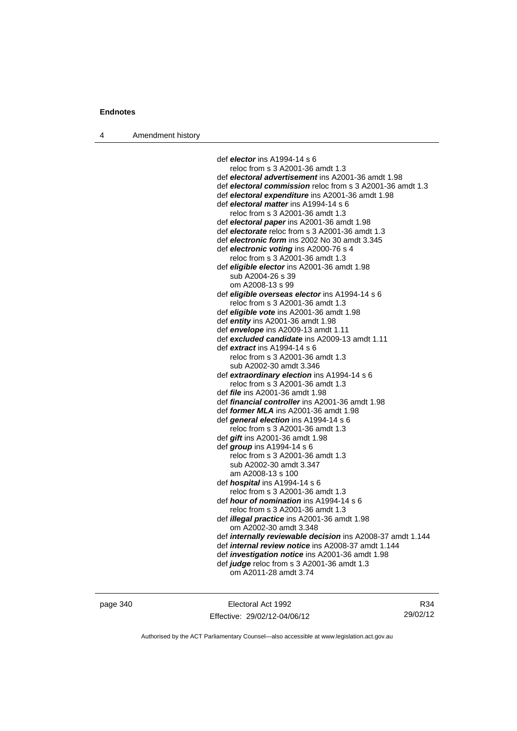4 Amendment history

 def *elector* ins A1994-14 s 6 reloc from s 3 A2001-36 amdt 1.3 def *electoral advertisement* ins A2001-36 amdt 1.98 def *electoral commission* reloc from s 3 A2001-36 amdt 1.3 def *electoral expenditure* ins A2001-36 amdt 1.98 def *electoral matter* ins A1994-14 s 6 reloc from s 3 A2001-36 amdt 1.3 def *electoral paper* ins A2001-36 amdt 1.98 def *electorate* reloc from s 3 A2001-36 amdt 1.3 def *electronic form* ins 2002 No 30 amdt 3.345 def *electronic voting* ins A2000-76 s 4 reloc from s 3 A2001-36 amdt 1.3 def *eligible elector* ins A2001-36 amdt 1.98 sub A2004-26 s 39 om A2008-13 s 99 def *eligible overseas elector* ins A1994-14 s 6 reloc from s 3 A2001-36 amdt 1.3 def *eligible vote* ins A2001-36 amdt 1.98 def *entity* ins A2001-36 amdt 1.98 def *envelope* ins A2009-13 amdt 1.11 def *excluded candidate* ins A2009-13 amdt 1.11 def *extract* ins A1994-14 s 6 reloc from s 3 A2001-36 amdt 1.3 sub A2002-30 amdt 3.346 def *extraordinary election* ins A1994-14 s 6 reloc from s 3 A2001-36 amdt 1.3 def *file* ins A2001-36 amdt 1.98 def *financial controller* ins A2001-36 amdt 1.98 def *former MLA* ins A2001-36 amdt 1.98 def *general election* ins A1994-14 s 6 reloc from s 3 A2001-36 amdt 1.3 def *gift* ins A2001-36 amdt 1.98 def *group* ins A1994-14 s 6 reloc from s 3 A2001-36 amdt 1.3 sub A2002-30 amdt 3.347 am A2008-13 s 100 def *hospital* ins A1994-14 s 6 reloc from s 3 A2001-36 amdt 1.3 def *hour of nomination* ins A1994-14 s 6 reloc from s 3 A2001-36 amdt 1.3 def *illegal practice* ins A2001-36 amdt 1.98 om A2002-30 amdt 3.348 def *internally reviewable decision* ins A2008-37 amdt 1.144 def *internal review notice* ins A2008-37 amdt 1.144 def *investigation notice* ins A2001-36 amdt 1.98 def *judge* reloc from s 3 A2001-36 amdt 1.3 om A2011-28 amdt 3.74

page 340 Electoral Act 1992 Effective: 29/02/12-04/06/12

R34 29/02/12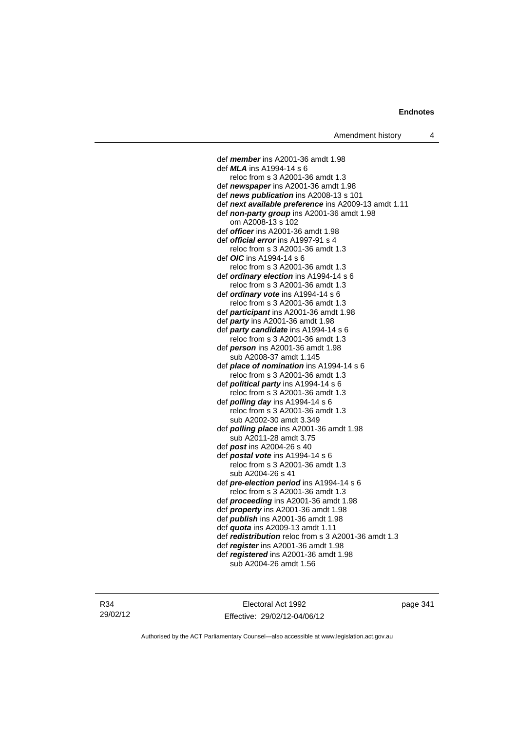def *member* ins A2001-36 amdt 1.98 def *MLA* ins A1994-14 s 6 reloc from s 3 A2001-36 amdt 1.3 def *newspaper* ins A2001-36 amdt 1.98 def *news publication* ins A2008-13 s 101 def *next available preference* ins A2009-13 amdt 1.11 def *non-party group* ins A2001-36 amdt 1.98 om A2008-13 s 102 def *officer* ins A2001-36 amdt 1.98 def *official error* ins A1997-91 s 4 reloc from s 3 A2001-36 amdt 1.3 def *OIC* ins A1994-14 s 6 reloc from s 3 A2001-36 amdt 1.3 def *ordinary election* ins A1994-14 s 6 reloc from s 3 A2001-36 amdt 1.3 def *ordinary vote* ins A1994-14 s 6 reloc from s 3 A2001-36 amdt 1.3 def *participant* ins A2001-36 amdt 1.98 def *party* ins A2001-36 amdt 1.98 def *party candidate* ins A1994-14 s 6 reloc from s 3 A2001-36 amdt 1.3 def *person* ins A2001-36 amdt 1.98 sub A2008-37 amdt 1.145 def *place of nomination* ins A1994-14 s 6 reloc from s 3 A2001-36 amdt 1.3 def *political party* ins A1994-14 s 6 reloc from s 3 A2001-36 amdt 1.3 def *polling day* ins A1994-14 s 6 reloc from s 3 A2001-36 amdt 1.3 sub A2002-30 amdt 3.349 def *polling place* ins A2001-36 amdt 1.98 sub A2011-28 amdt 3.75 def *post* ins A2004-26 s 40 def *postal vote* ins A1994-14 s 6 reloc from s 3 A2001-36 amdt 1.3 sub A2004-26 s 41 def *pre-election period* ins A1994-14 s 6 reloc from s 3 A2001-36 amdt 1.3 def *proceeding* ins A2001-36 amdt 1.98 def *property* ins A2001-36 amdt 1.98 def *publish* ins A2001-36 amdt 1.98 def *quota* ins A2009-13 amdt 1.11 def *redistribution* reloc from s 3 A2001-36 amdt 1.3 def *register* ins A2001-36 amdt 1.98 def *registered* ins A2001-36 amdt 1.98 sub A2004-26 amdt 1.56

R34 29/02/12

Electoral Act 1992 Effective: 29/02/12-04/06/12 page 341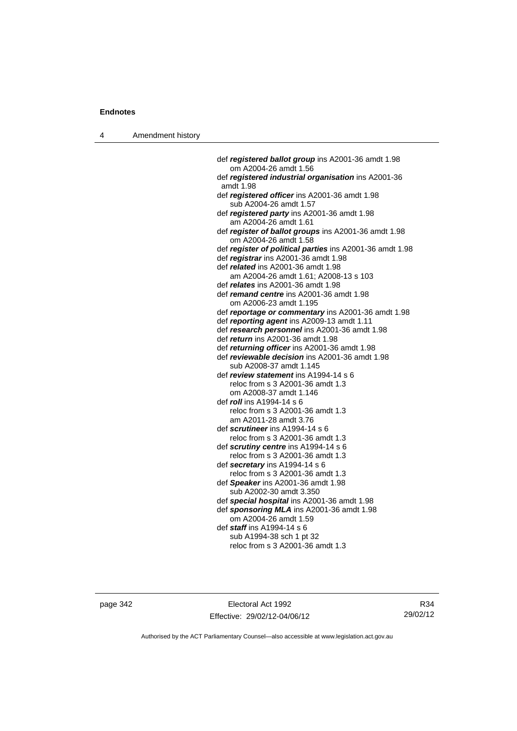4 Amendment history

 def *registered ballot group* ins A2001-36 amdt 1.98 om A2004-26 amdt 1.56 def *registered industrial organisation* ins A2001-36 amdt 1.98 def *registered officer* ins A2001-36 amdt 1.98 sub A2004-26 amdt 1.57 def *registered party* ins A2001-36 amdt 1.98 am A2004-26 amdt 1.61 def *register of ballot groups* ins A2001-36 amdt 1.98 om A2004-26 amdt 1.58 def *register of political parties* ins A2001-36 amdt 1.98 def *registrar* ins A2001-36 amdt 1.98 def *related* ins A2001-36 amdt 1.98 am A2004-26 amdt 1.61; A2008-13 s 103 def *relates* ins A2001-36 amdt 1.98 def *remand centre* ins A2001-36 amdt 1.98 om A2006-23 amdt 1.195 def *reportage or commentary* ins A2001-36 amdt 1.98 def *reporting agent* ins A2009-13 amdt 1.11 def *research personnel* ins A2001-36 amdt 1.98 def *return* ins A2001-36 amdt 1.98 def *returning officer* ins A2001-36 amdt 1.98 def *reviewable decision* ins A2001-36 amdt 1.98 sub A2008-37 amdt 1.145 def *review statement* ins A1994-14 s 6 reloc from s 3 A2001-36 amdt 1.3 om A2008-37 amdt 1.146 def *roll* ins A1994-14 s 6 reloc from s 3 A2001-36 amdt 1.3 am A2011-28 amdt 3.76 def *scrutineer* ins A1994-14 s 6 reloc from s 3 A2001-36 amdt 1.3 def *scrutiny centre* ins A1994-14 s 6 reloc from s 3 A2001-36 amdt 1.3 def *secretary* ins A1994-14 s 6 reloc from s 3 A2001-36 amdt 1.3 def *Speaker* ins A2001-36 amdt 1.98 sub A2002-30 amdt 3.350 def *special hospital* ins A2001-36 amdt 1.98 def *sponsoring MLA* ins A2001-36 amdt 1.98 om A2004-26 amdt 1.59 def *staff* ins A1994-14 s 6 sub A1994-38 sch 1 pt 32 reloc from s 3 A2001-36 amdt 1.3

page 342 Electoral Act 1992 Effective: 29/02/12-04/06/12

R34 29/02/12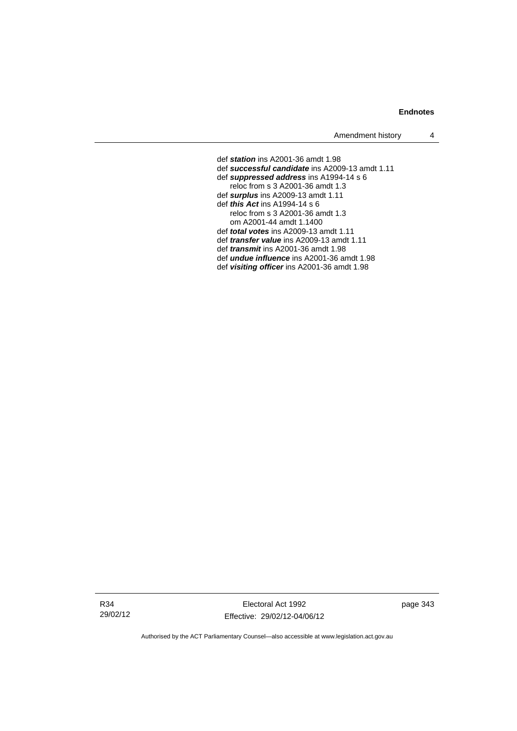### **Endnotes**

Amendment history 4

 def *station* ins A2001-36 amdt 1.98 def *successful candidate* ins A2009-13 amdt 1.11 def *suppressed address* ins A1994-14 s 6 reloc from s 3 A2001-36 amdt 1.3 def *surplus* ins A2009-13 amdt 1.11 def *this Act* ins A1994-14 s 6 reloc from s 3 A2001-36 amdt 1.3 om A2001-44 amdt 1.1400 def *total votes* ins A2009-13 amdt 1.11 def *transfer value* ins A2009-13 amdt 1.11 def *transmit* ins A2001-36 amdt 1.98 def *undue influence* ins A2001-36 amdt 1.98 def *visiting officer* ins A2001-36 amdt 1.98

R34 29/02/12

Electoral Act 1992 Effective: 29/02/12-04/06/12 page 343

Authorised by the ACT Parliamentary Counsel—also accessible at www.legislation.act.gov.au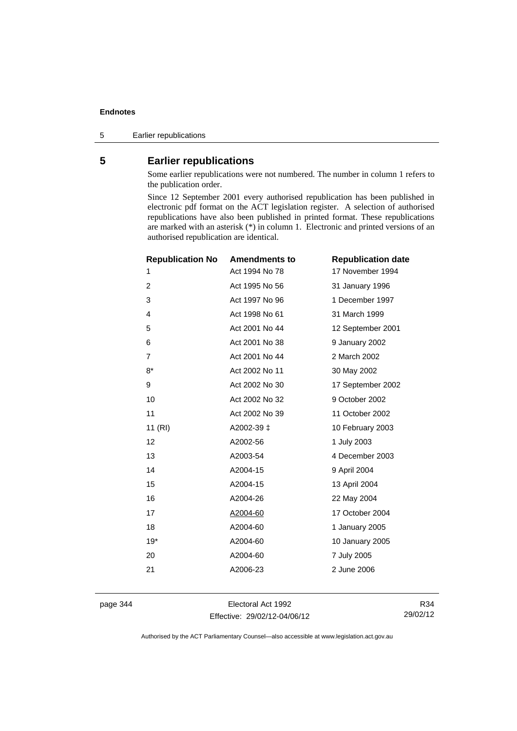### **Endnotes**

5 Earlier republications

## **5 Earlier republications**

Some earlier republications were not numbered. The number in column 1 refers to the publication order.

Since 12 September 2001 every authorised republication has been published in electronic pdf format on the ACT legislation register. A selection of authorised republications have also been published in printed format. These republications are marked with an asterisk (\*) in column 1. Electronic and printed versions of an authorised republication are identical.

| <b>Republication No</b> | <b>Amendments to</b> | <b>Republication date</b> |
|-------------------------|----------------------|---------------------------|
| 1                       | Act 1994 No 78       | 17 November 1994          |
| 2                       | Act 1995 No 56       | 31 January 1996           |
| 3                       | Act 1997 No 96       | 1 December 1997           |
| 4                       | Act 1998 No 61       | 31 March 1999             |
| 5                       | Act 2001 No 44       | 12 September 2001         |
| 6                       | Act 2001 No 38       | 9 January 2002            |
| 7                       | Act 2001 No 44       | 2 March 2002              |
| $8*$                    | Act 2002 No 11       | 30 May 2002               |
| 9                       | Act 2002 No 30       | 17 September 2002         |
| 10                      | Act 2002 No 32       | 9 October 2002            |
| 11                      | Act 2002 No 39       | 11 October 2002           |
| 11 (RI)                 | A2002-39 ‡           | 10 February 2003          |
| 12                      | A2002-56             | 1 July 2003               |
| 13                      | A2003-54             | 4 December 2003           |
| 14                      | A2004-15             | 9 April 2004              |
| 15                      | A2004-15             | 13 April 2004             |
| 16                      | A2004-26             | 22 May 2004               |
| 17                      | A2004-60             | 17 October 2004           |
| 18                      | A2004-60             | 1 January 2005            |
| $19*$                   | A2004-60             | 10 January 2005           |
| 20                      | A2004-60             | 7 July 2005               |
| 21                      | A2006-23             | 2 June 2006               |
|                         |                      |                           |

page 344 Electoral Act 1992 Effective: 29/02/12-04/06/12

R34 29/02/12

Authorised by the ACT Parliamentary Counsel—also accessible at www.legislation.act.gov.au